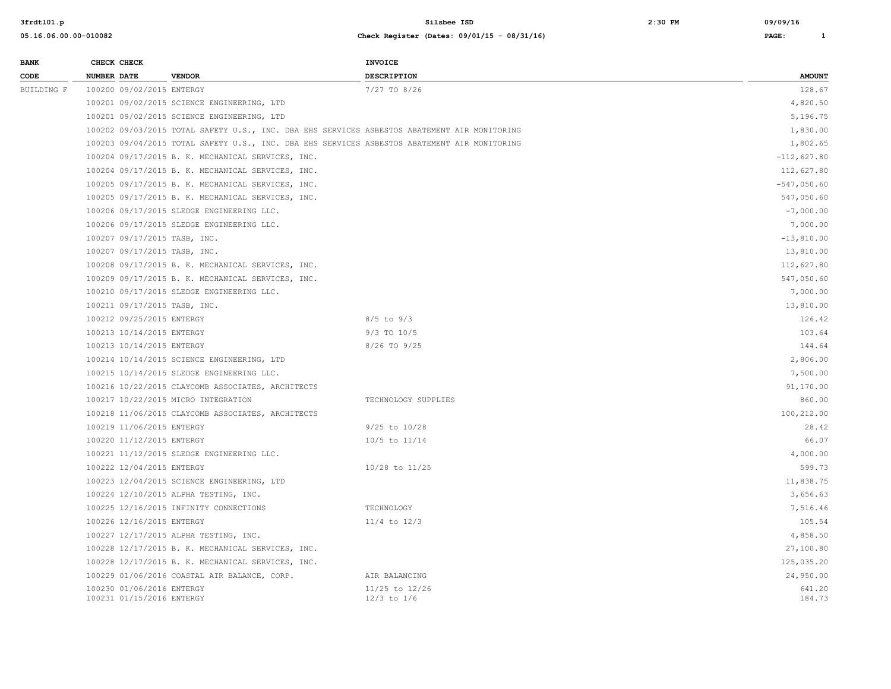| <b>BANK</b> |                    | CHECK CHECK                                            |                                                                                                | <b>INVOICE</b>                    |                  |
|-------------|--------------------|--------------------------------------------------------|------------------------------------------------------------------------------------------------|-----------------------------------|------------------|
| CODE        | <b>NUMBER DATE</b> |                                                        | <b>VENDOR</b>                                                                                  | <b>DESCRIPTION</b>                | <b>AMOUNT</b>    |
| BUILDING F  |                    | 100200 09/02/2015 ENTERGY                              |                                                                                                | 7/27 TO 8/26                      | 128.67           |
|             |                    |                                                        | 100201 09/02/2015 SCIENCE ENGINEERING, LTD                                                     |                                   | 4,820.50         |
|             |                    |                                                        | 100201 09/02/2015 SCIENCE ENGINEERING, LTD                                                     |                                   | 5,196.75         |
|             |                    |                                                        | 100202 09/03/2015 TOTAL SAFETY U.S., INC. DBA EHS SERVICES ASBESTOS ABATEMENT AIR MONITORING   |                                   | 1,830.00         |
|             |                    |                                                        | 100203 09/04/2015 TOTAL SAFETY U.S., INC. DBA EHS SERVICES ASBESTOS ABATEMENT AIR MONITORING   |                                   | 1,802.65         |
|             |                    |                                                        | 100204 09/17/2015 B. K. MECHANICAL SERVICES, INC.                                              |                                   | $-112,627.80$    |
|             |                    |                                                        | 100204 09/17/2015 B. K. MECHANICAL SERVICES, INC.                                              | 112,627.80                        |                  |
|             |                    |                                                        | 100205 09/17/2015 B. K. MECHANICAL SERVICES, INC.                                              | $-547,050.60$                     |                  |
|             |                    |                                                        | 100205 09/17/2015 B. K. MECHANICAL SERVICES, INC.                                              | 547,050.60                        |                  |
|             |                    |                                                        | 100206 09/17/2015 SLEDGE ENGINEERING LLC.                                                      | $-7,000.00$                       |                  |
|             |                    |                                                        | 100206 09/17/2015 SLEDGE ENGINEERING LLC.                                                      | 7,000.00                          |                  |
|             |                    |                                                        | 100207 09/17/2015 TASB, INC.                                                                   | $-13,810.00$                      |                  |
|             |                    |                                                        | 100207 09/17/2015 TASB, INC.                                                                   | 13,810.00                         |                  |
|             |                    |                                                        | 100208 09/17/2015 B. K. MECHANICAL SERVICES, INC.                                              | 112,627.80                        |                  |
|             |                    |                                                        | 100209 09/17/2015 B. K. MECHANICAL SERVICES, INC.<br>100210 09/17/2015 SLEDGE ENGINEERING LLC. |                                   | 547,050.60       |
|             |                    |                                                        |                                                                                                |                                   | 7,000.00         |
|             |                    |                                                        | 100211 09/17/2015 TASB, INC.                                                                   |                                   | 13,810.00        |
|             |                    | 100212 09/25/2015 ENTERGY                              |                                                                                                | $8/5$ to $9/3$                    | 126.42           |
|             |                    | 100213 10/14/2015 ENTERGY                              |                                                                                                | $9/3$ TO $10/5$                   | 103.64           |
|             |                    | 100213 10/14/2015 ENTERGY                              |                                                                                                | 8/26 TO 9/25                      | 144.64           |
|             |                    |                                                        | 100214 10/14/2015 SCIENCE ENGINEERING, LTD                                                     |                                   | 2,806.00         |
|             |                    |                                                        | 100215 10/14/2015 SLEDGE ENGINEERING LLC.                                                      |                                   | 7,500.00         |
|             |                    |                                                        | 100216 10/22/2015 CLAYCOMB ASSOCIATES, ARCHITECTS                                              |                                   | 91,170.00        |
|             |                    |                                                        | 100217 10/22/2015 MICRO INTEGRATION                                                            | TECHNOLOGY SUPPLIES               | 860.00           |
|             |                    |                                                        | 100218 11/06/2015 CLAYCOMB ASSOCIATES, ARCHITECTS                                              |                                   | 100,212.00       |
|             |                    | 100219 11/06/2015 ENTERGY                              |                                                                                                | $9/25$ to $10/28$                 | 28.42            |
|             |                    | 100220 11/12/2015 ENTERGY                              |                                                                                                | 10/5 to 11/14                     | 66.07            |
|             |                    |                                                        | 100221 11/12/2015 SLEDGE ENGINEERING LLC.                                                      |                                   | 4,000.00         |
|             |                    | 100222 12/04/2015 ENTERGY                              |                                                                                                | 10/28 to 11/25                    | 599.73           |
|             |                    |                                                        | 100223 12/04/2015 SCIENCE ENGINEERING, LTD                                                     |                                   | 11,838.75        |
|             |                    |                                                        | 100224 12/10/2015 ALPHA TESTING, INC.                                                          |                                   | 3,656.63         |
|             |                    |                                                        | 100225 12/16/2015 INFINITY CONNECTIONS                                                         | TECHNOLOGY                        | 7,516.46         |
|             |                    | 100226 12/16/2015 ENTERGY                              |                                                                                                | $11/4$ to $12/3$                  | 105.54           |
|             |                    |                                                        | 100227 12/17/2015 ALPHA TESTING, INC.                                                          |                                   | 4,858.50         |
|             |                    |                                                        | 100228 12/17/2015 B. K. MECHANICAL SERVICES, INC.                                              |                                   | 27,100.80        |
|             |                    |                                                        | 100228 12/17/2015 B. K. MECHANICAL SERVICES, INC.                                              |                                   | 125,035.20       |
|             |                    |                                                        | 100229 01/06/2016 COASTAL AIR BALANCE, CORP.                                                   | AIR BALANCING                     | 24,950.00        |
|             |                    | 100230 01/06/2016 ENTERGY<br>100231 01/15/2016 ENTERGY |                                                                                                | 11/25 to 12/26<br>$12/3$ to $1/6$ | 641.20<br>184.73 |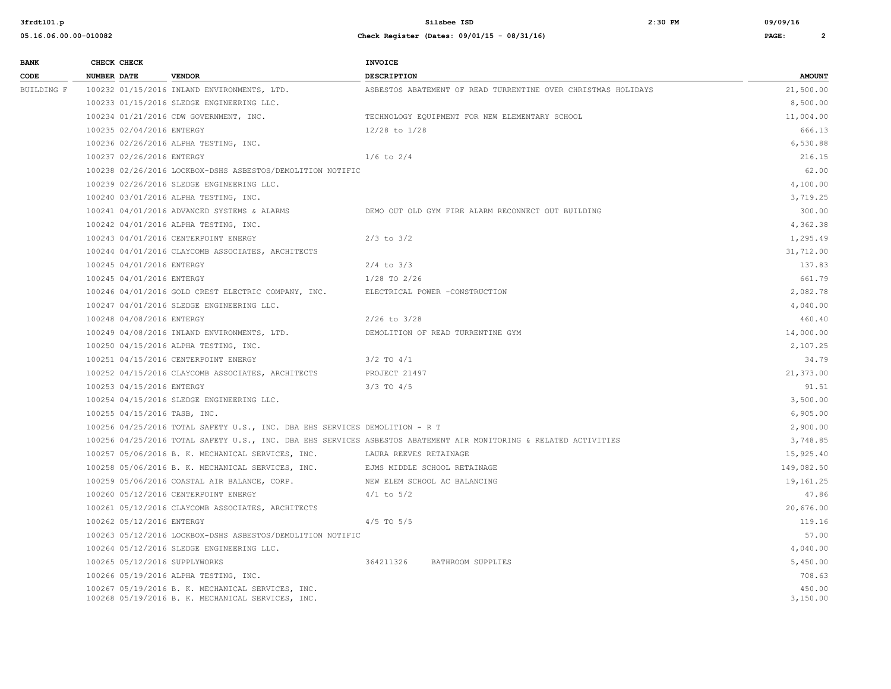| <b>BANK</b> | CHECK CHECK               |                                                                                                        | <b>INVOICE</b>                                                                                                    |                    |
|-------------|---------------------------|--------------------------------------------------------------------------------------------------------|-------------------------------------------------------------------------------------------------------------------|--------------------|
| CODE        | <b>NUMBER DATE</b>        | <b>VENDOR</b>                                                                                          | <b>DESCRIPTION</b>                                                                                                | <b>AMOUNT</b>      |
| BUILDING F  |                           | 100232 01/15/2016 INLAND ENVIRONMENTS, LTD.                                                            | ASBESTOS ABATEMENT OF READ TURRENTINE OVER CHRISTMAS HOLIDAYS                                                     | 21,500.00          |
|             |                           | 100233 01/15/2016 SLEDGE ENGINEERING LLC.                                                              |                                                                                                                   | 8,500.00           |
|             |                           | 100234 01/21/2016 CDW GOVERNMENT, INC.                                                                 | TECHNOLOGY EQUIPMENT FOR NEW ELEMENTARY SCHOOL                                                                    | 11,004.00          |
|             | 100235 02/04/2016 ENTERGY |                                                                                                        | 12/28 to 1/28                                                                                                     | 666.13             |
|             |                           | 100236 02/26/2016 ALPHA TESTING, INC.                                                                  |                                                                                                                   | 6,530.88           |
|             | 100237 02/26/2016 ENTERGY |                                                                                                        | $1/6$ to $2/4$                                                                                                    | 216.15             |
|             |                           | 100238 02/26/2016 LOCKBOX-DSHS ASBESTOS/DEMOLITION NOTIFIC                                             |                                                                                                                   | 62.00              |
|             |                           | 100239 02/26/2016 SLEDGE ENGINEERING LLC.                                                              |                                                                                                                   | 4,100.00           |
|             |                           | 100240 03/01/2016 ALPHA TESTING, INC.                                                                  |                                                                                                                   | 3,719.25           |
|             |                           | 100241 04/01/2016 ADVANCED SYSTEMS & ALARMS                                                            | DEMO OUT OLD GYM FIRE ALARM RECONNECT OUT BUILDING                                                                | 300.00             |
|             |                           | 100242 04/01/2016 ALPHA TESTING, INC.                                                                  |                                                                                                                   | 4,362.38           |
|             |                           | 100243 04/01/2016 CENTERPOINT ENERGY                                                                   | $2/3$ to $3/2$                                                                                                    | 1,295.49           |
|             |                           | 100244 04/01/2016 CLAYCOMB ASSOCIATES, ARCHITECTS                                                      |                                                                                                                   | 31,712.00          |
|             | 100245 04/01/2016 ENTERGY |                                                                                                        | $2/4$ to $3/3$                                                                                                    | 137.83             |
|             | 100245 04/01/2016 ENTERGY |                                                                                                        | $1/28$ TO $2/26$                                                                                                  | 661.79             |
|             |                           | 100246 04/01/2016 GOLD CREST ELECTRIC COMPANY, INC.                                                    | ELECTRICAL POWER -CONSTRUCTION                                                                                    | 2,082.78           |
|             |                           | 100247 04/01/2016 SLEDGE ENGINEERING LLC.                                                              |                                                                                                                   | 4,040.00           |
|             | 100248 04/08/2016 ENTERGY |                                                                                                        | $2/26$ to $3/28$                                                                                                  | 460.40             |
|             |                           | 100249 04/08/2016 INLAND ENVIRONMENTS, LTD.                                                            | DEMOLITION OF READ TURRENTINE GYM                                                                                 | 14,000.00          |
|             |                           | 100250 04/15/2016 ALPHA TESTING, INC.                                                                  |                                                                                                                   | 2,107.25           |
|             |                           | 100251 04/15/2016 CENTERPOINT ENERGY                                                                   | $3/2$ TO $4/1$                                                                                                    | 34.79              |
|             |                           | 100252 04/15/2016 CLAYCOMB ASSOCIATES, ARCHITECTS                                                      | PROJECT 21497                                                                                                     | 21,373.00          |
|             | 100253 04/15/2016 ENTERGY |                                                                                                        | $3/3$ TO $4/5$                                                                                                    | 91.51              |
|             |                           | 100254 04/15/2016 SLEDGE ENGINEERING LLC.                                                              |                                                                                                                   | 3,500.00           |
|             |                           | 100255 04/15/2016 TASB, INC.                                                                           |                                                                                                                   | 6,905.00           |
|             |                           | 100256 04/25/2016 TOTAL SAFETY U.S., INC. DBA EHS SERVICES DEMOLITION - R T                            |                                                                                                                   | 2,900.00           |
|             |                           |                                                                                                        | 100256 04/25/2016 TOTAL SAFETY U.S., INC. DBA EHS SERVICES ASBESTOS ABATEMENT AIR MONITORING & RELATED ACTIVITIES | 3,748.85           |
|             |                           | 100257 05/06/2016 B. K. MECHANICAL SERVICES, INC.                                                      | LAURA REEVES RETAINAGE                                                                                            | 15,925.40          |
|             |                           | 100258 05/06/2016 B. K. MECHANICAL SERVICES, INC.                                                      | EJMS MIDDLE SCHOOL RETAINAGE                                                                                      | 149,082.50         |
|             |                           | 100259 05/06/2016 COASTAL AIR BALANCE, CORP.                                                           | NEW ELEM SCHOOL AC BALANCING                                                                                      | 19,161.25          |
|             |                           | 100260 05/12/2016 CENTERPOINT ENERGY                                                                   | $4/1$ to $5/2$                                                                                                    | 47.86              |
|             |                           | 100261 05/12/2016 CLAYCOMB ASSOCIATES, ARCHITECTS                                                      |                                                                                                                   | 20,676.00          |
|             | 100262 05/12/2016 ENTERGY |                                                                                                        | $4/5$ TO $5/5$                                                                                                    | 119.16             |
|             |                           | 100263 05/12/2016 LOCKBOX-DSHS ASBESTOS/DEMOLITION NOTIFIC                                             |                                                                                                                   | 57.00              |
|             |                           | 100264 05/12/2016 SLEDGE ENGINEERING LLC.                                                              |                                                                                                                   | 4,040.00           |
|             |                           | 100265 05/12/2016 SUPPLYWORKS                                                                          | 364211326<br>BATHROOM SUPPLIES                                                                                    | 5,450.00           |
|             |                           | 100266 05/19/2016 ALPHA TESTING, INC.                                                                  |                                                                                                                   | 708.63             |
|             |                           | 100267 05/19/2016 B. K. MECHANICAL SERVICES, INC.<br>100268 05/19/2016 B. K. MECHANICAL SERVICES, INC. |                                                                                                                   | 450.00<br>3,150.00 |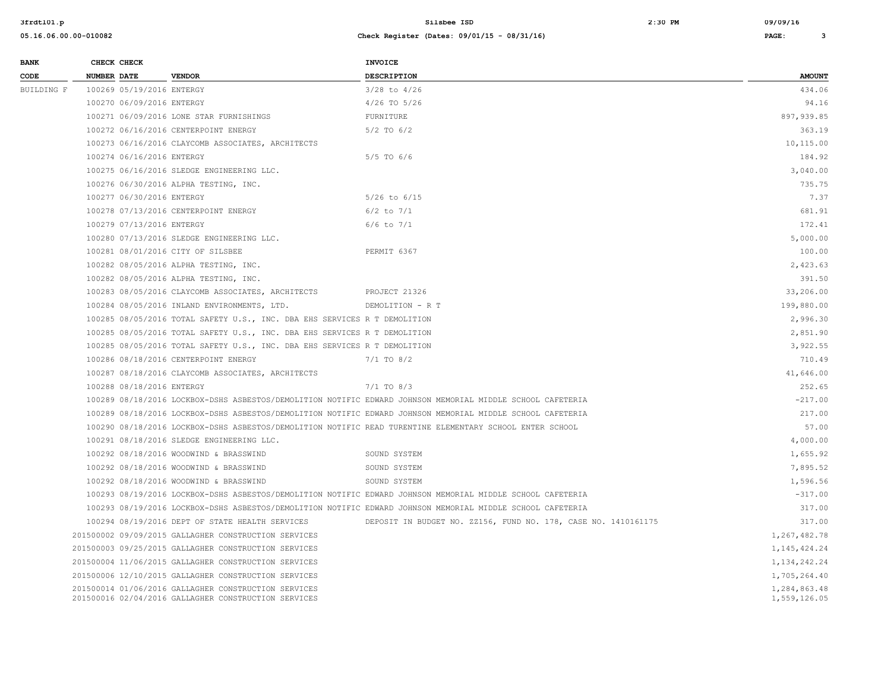| <b>BANK</b> |             | CHECK CHECK               |                                                                                                              | <b>INVOICE</b>                                                                                             |                              |  |
|-------------|-------------|---------------------------|--------------------------------------------------------------------------------------------------------------|------------------------------------------------------------------------------------------------------------|------------------------------|--|
| CODE        | NUMBER DATE |                           | <b>VENDOR</b>                                                                                                | <b>DESCRIPTION</b>                                                                                         | <b>AMOUNT</b>                |  |
| BUILDING F  |             | 100269 05/19/2016 ENTERGY |                                                                                                              | $3/28$ to $4/26$                                                                                           | 434.06                       |  |
|             |             | 100270 06/09/2016 ENTERGY |                                                                                                              | $4/26$ TO $5/26$                                                                                           | 94.16                        |  |
|             |             |                           | 100271 06/09/2016 LONE STAR FURNISHINGS                                                                      | FURNITURE                                                                                                  | 897,939.85                   |  |
|             |             |                           | 100272 06/16/2016 CENTERPOINT ENERGY                                                                         | $5/2$ TO $6/2$                                                                                             | 363.19                       |  |
|             |             |                           | 100273 06/16/2016 CLAYCOMB ASSOCIATES, ARCHITECTS                                                            |                                                                                                            | 10,115.00                    |  |
|             |             | 100274 06/16/2016 ENTERGY |                                                                                                              | $5/5$ TO $6/6$                                                                                             | 184.92                       |  |
|             |             |                           | 100275 06/16/2016 SLEDGE ENGINEERING LLC.                                                                    |                                                                                                            | 3,040.00                     |  |
|             |             |                           | 100276 06/30/2016 ALPHA TESTING, INC.                                                                        |                                                                                                            | 735.75                       |  |
|             |             | 100277 06/30/2016 ENTERGY |                                                                                                              | $5/26$ to $6/15$                                                                                           | 7.37                         |  |
|             |             |                           | 100278 07/13/2016 CENTERPOINT ENERGY                                                                         | $6/2$ to $7/1$                                                                                             | 681.91                       |  |
|             |             | 100279 07/13/2016 ENTERGY |                                                                                                              | $6/6$ to $7/1$                                                                                             | 172.41                       |  |
|             |             |                           | 100280 07/13/2016 SLEDGE ENGINEERING LLC.                                                                    |                                                                                                            | 5,000.00                     |  |
|             |             |                           | 100281 08/01/2016 CITY OF SILSBEE                                                                            | PERMIT 6367                                                                                                | 100.00                       |  |
|             |             |                           | 100282 08/05/2016 ALPHA TESTING, INC.                                                                        |                                                                                                            | 2,423.63                     |  |
|             |             |                           | 100282 08/05/2016 ALPHA TESTING, INC.                                                                        |                                                                                                            | 391.50                       |  |
|             |             |                           | 100283 08/05/2016 CLAYCOMB ASSOCIATES, ARCHITECTS                                                            | PROJECT 21326                                                                                              | 33,206.00                    |  |
|             |             |                           | 100284 08/05/2016 INLAND ENVIRONMENTS, LTD.                                                                  | DEMOLITION - R T                                                                                           | 199,880.00                   |  |
|             |             |                           | 100285 08/05/2016 TOTAL SAFETY U.S., INC. DBA EHS SERVICES R T DEMOLITION                                    |                                                                                                            | 2,996.30                     |  |
|             |             |                           |                                                                                                              | 100285 08/05/2016 TOTAL SAFETY U.S., INC. DBA EHS SERVICES R T DEMOLITION                                  |                              |  |
|             |             |                           | 100285 08/05/2016 TOTAL SAFETY U.S., INC. DBA EHS SERVICES R T DEMOLITION                                    |                                                                                                            | 3,922.55                     |  |
|             |             |                           | 100286 08/18/2016 CENTERPOINT ENERGY                                                                         | $7/1$ TO 8/2                                                                                               | 710.49                       |  |
|             |             |                           | 100287 08/18/2016 CLAYCOMB ASSOCIATES, ARCHITECTS                                                            |                                                                                                            | 41,646.00                    |  |
|             |             | 100288 08/18/2016 ENTERGY |                                                                                                              | $7/1$ TO 8/3                                                                                               | 252.65                       |  |
|             |             |                           |                                                                                                              | 100289 08/18/2016 LOCKBOX-DSHS ASBESTOS/DEMOLITION NOTIFIC EDWARD JOHNSON MEMORIAL MIDDLE SCHOOL CAFETERIA | $-217.00$                    |  |
|             |             |                           |                                                                                                              | 100289 08/18/2016 LOCKBOX-DSHS ASBESTOS/DEMOLITION NOTIFIC EDWARD JOHNSON MEMORIAL MIDDLE SCHOOL CAFETERIA | 217.00                       |  |
|             |             |                           |                                                                                                              | 100290 08/18/2016 LOCKBOX-DSHS ASBESTOS/DEMOLITION NOTIFIC READ TURENTINE ELEMENTARY SCHOOL ENTER SCHOOL   | 57.00                        |  |
|             |             |                           | 100291 08/18/2016 SLEDGE ENGINEERING LLC.                                                                    |                                                                                                            | 4,000.00                     |  |
|             |             |                           | 100292 08/18/2016 WOODWIND & BRASSWIND                                                                       | SOUND SYSTEM                                                                                               | 1,655.92                     |  |
|             |             |                           | 100292 08/18/2016 WOODWIND & BRASSWIND                                                                       | SOUND SYSTEM                                                                                               | 7,895.52                     |  |
|             |             |                           | 100292 08/18/2016 WOODWIND & BRASSWIND                                                                       | SOUND SYSTEM                                                                                               | 1,596.56                     |  |
|             |             |                           |                                                                                                              | 100293 08/19/2016 LOCKBOX-DSHS ASBESTOS/DEMOLITION NOTIFIC EDWARD JOHNSON MEMORIAL MIDDLE SCHOOL CAFETERIA | $-317.00$                    |  |
|             |             |                           |                                                                                                              | 100293 08/19/2016 LOCKBOX-DSHS ASBESTOS/DEMOLITION NOTIFIC EDWARD JOHNSON MEMORIAL MIDDLE SCHOOL CAFETERIA | 317.00                       |  |
|             |             |                           | 100294 08/19/2016 DEPT OF STATE HEALTH SERVICES                                                              | DEPOSIT IN BUDGET NO. ZZ156, FUND NO. 178, CASE NO. 1410161175                                             | 317.00                       |  |
|             |             |                           | 201500002 09/09/2015 GALLAGHER CONSTRUCTION SERVICES                                                         |                                                                                                            | 1,267,482.78                 |  |
|             |             |                           | 201500003 09/25/2015 GALLAGHER CONSTRUCTION SERVICES                                                         |                                                                                                            | 1, 145, 424. 24              |  |
|             |             |                           | 201500004 11/06/2015 GALLAGHER CONSTRUCTION SERVICES                                                         |                                                                                                            | 1, 134, 242. 24              |  |
|             |             |                           | 201500006 12/10/2015 GALLAGHER CONSTRUCTION SERVICES                                                         |                                                                                                            | 1,705,264.40                 |  |
|             |             |                           | 201500014 01/06/2016 GALLAGHER CONSTRUCTION SERVICES<br>201500016 02/04/2016 GALLAGHER CONSTRUCTION SERVICES |                                                                                                            | 1,284,863.48<br>1,559,126.05 |  |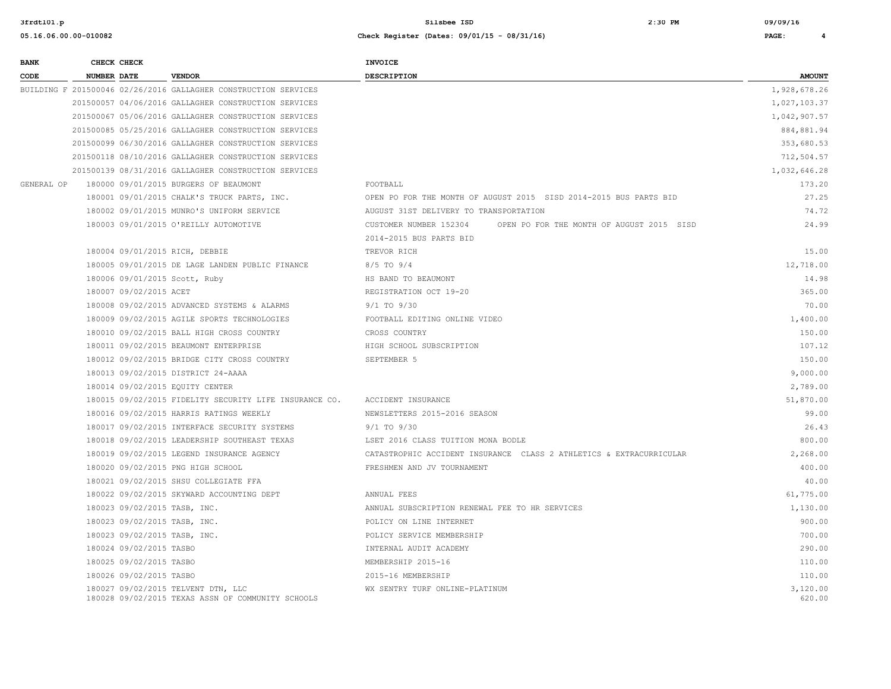| <b>BANK</b> |                    | CHECK CHECK                  |                                                                                         | INVOICE                                                             |                    |
|-------------|--------------------|------------------------------|-----------------------------------------------------------------------------------------|---------------------------------------------------------------------|--------------------|
| CODE        | <b>NUMBER DATE</b> |                              | <b>VENDOR</b>                                                                           | <b>DESCRIPTION</b>                                                  | <b>AMOUNT</b>      |
|             |                    |                              | BUILDING F 201500046 02/26/2016 GALLAGHER CONSTRUCTION SERVICES                         |                                                                     | 1,928,678.26       |
|             |                    |                              | 201500057 04/06/2016 GALLAGHER CONSTRUCTION SERVICES                                    |                                                                     | 1,027,103.37       |
|             |                    |                              | 201500067 05/06/2016 GALLAGHER CONSTRUCTION SERVICES                                    |                                                                     | 1,042,907.57       |
|             |                    |                              | 201500085 05/25/2016 GALLAGHER CONSTRUCTION SERVICES                                    |                                                                     | 884,881.94         |
|             |                    |                              | 201500099 06/30/2016 GALLAGHER CONSTRUCTION SERVICES                                    |                                                                     | 353,680.53         |
|             |                    |                              | 201500118 08/10/2016 GALLAGHER CONSTRUCTION SERVICES                                    |                                                                     | 712,504.57         |
|             |                    |                              | 201500139 08/31/2016 GALLAGHER CONSTRUCTION SERVICES                                    |                                                                     | 1,032,646.28       |
| GENERAL OP  |                    |                              | 180000 09/01/2015 BURGERS OF BEAUMONT                                                   | FOOTBALL                                                            | 173.20             |
|             |                    |                              | 180001 09/01/2015 CHALK'S TRUCK PARTS, INC.                                             | OPEN PO FOR THE MONTH OF AUGUST 2015 SISD 2014-2015 BUS PARTS BID   | 27.25              |
|             |                    |                              | 180002 09/01/2015 MUNRO'S UNIFORM SERVICE                                               | AUGUST 31ST DELIVERY TO TRANSPORTATION                              | 74.72              |
|             |                    |                              | 180003 09/01/2015 O'REILLY AUTOMOTIVE                                                   | CUSTOMER NUMBER 152304<br>OPEN PO FOR THE MONTH OF AUGUST 2015 SISD | 24.99              |
|             |                    |                              |                                                                                         | 2014-2015 BUS PARTS BID                                             |                    |
|             |                    |                              | 180004 09/01/2015 RICH, DEBBIE                                                          | TREVOR RICH                                                         | 15.00              |
|             |                    |                              | 180005 09/01/2015 DE LAGE LANDEN PUBLIC FINANCE                                         | $8/5$ TO $9/4$                                                      | 12,718.00          |
|             |                    |                              | 180006 09/01/2015 Scott, Ruby                                                           | HS BAND TO BEAUMONT                                                 | 14.98              |
|             |                    | 180007 09/02/2015 ACET       |                                                                                         | REGISTRATION OCT 19-20                                              | 365.00             |
|             |                    |                              | 180008 09/02/2015 ADVANCED SYSTEMS & ALARMS                                             | $9/1$ TO $9/30$                                                     | 70.00              |
|             |                    |                              | 180009 09/02/2015 AGILE SPORTS TECHNOLOGIES                                             | FOOTBALL EDITING ONLINE VIDEO                                       | 1,400.00           |
|             |                    |                              | 180010 09/02/2015 BALL HIGH CROSS COUNTRY                                               | CROSS COUNTRY                                                       | 150.00             |
|             |                    |                              | 180011 09/02/2015 BEAUMONT ENTERPRISE                                                   | HIGH SCHOOL SUBSCRIPTION                                            | 107.12             |
|             |                    |                              | 180012 09/02/2015 BRIDGE CITY CROSS COUNTRY                                             | SEPTEMBER 5                                                         | 150.00             |
|             |                    |                              | 180013 09/02/2015 DISTRICT 24-AAAA                                                      |                                                                     | 9,000.00           |
|             |                    |                              | 180014 09/02/2015 EQUITY CENTER                                                         |                                                                     | 2,789.00           |
|             |                    |                              | 180015 09/02/2015 FIDELITY SECURITY LIFE INSURANCE CO.                                  | ACCIDENT INSURANCE                                                  | 51,870.00          |
|             |                    |                              | 180016 09/02/2015 HARRIS RATINGS WEEKLY                                                 | NEWSLETTERS 2015-2016 SEASON                                        | 99.00              |
|             |                    |                              | 180017 09/02/2015 INTERFACE SECURITY SYSTEMS                                            | 9/1 TO 9/30                                                         | 26.43              |
|             |                    |                              | 180018 09/02/2015 LEADERSHIP SOUTHEAST TEXAS                                            | LSET 2016 CLASS TUITION MONA BODLE                                  | 800.00             |
|             |                    |                              | 180019 09/02/2015 LEGEND INSURANCE AGENCY                                               | CATASTROPHIC ACCIDENT INSURANCE CLASS 2 ATHLETICS & EXTRACURRICULAR | 2,268.00           |
|             |                    |                              | 180020 09/02/2015 PNG HIGH SCHOOL                                                       | FRESHMEN AND JV TOURNAMENT                                          | 400.00             |
|             |                    |                              | 180021 09/02/2015 SHSU COLLEGIATE FFA                                                   |                                                                     | 40.00              |
|             |                    |                              | 180022 09/02/2015 SKYWARD ACCOUNTING DEPT                                               | ANNUAL FEES                                                         | 61,775.00          |
|             |                    | 180023 09/02/2015 TASB, INC. |                                                                                         | ANNUAL SUBSCRIPTION RENEWAL FEE TO HR SERVICES                      | 1,130.00           |
|             |                    | 180023 09/02/2015 TASB, INC. |                                                                                         | POLICY ON LINE INTERNET                                             | 900.00             |
|             |                    | 180023 09/02/2015 TASB, INC. |                                                                                         | POLICY SERVICE MEMBERSHIP                                           | 700.00             |
|             |                    | 180024 09/02/2015 TASBO      |                                                                                         | INTERNAL AUDIT ACADEMY                                              | 290.00             |
|             |                    | 180025 09/02/2015 TASBO      |                                                                                         | MEMBERSHIP 2015-16                                                  | 110.00             |
|             |                    | 180026 09/02/2015 TASBO      |                                                                                         | 2015-16 MEMBERSHIP                                                  | 110.00             |
|             |                    |                              | 180027 09/02/2015 TELVENT DTN, LLC<br>180028 09/02/2015 TEXAS ASSN OF COMMUNITY SCHOOLS | WX SENTRY TURF ONLINE-PLATINUM                                      | 3,120.00<br>620.00 |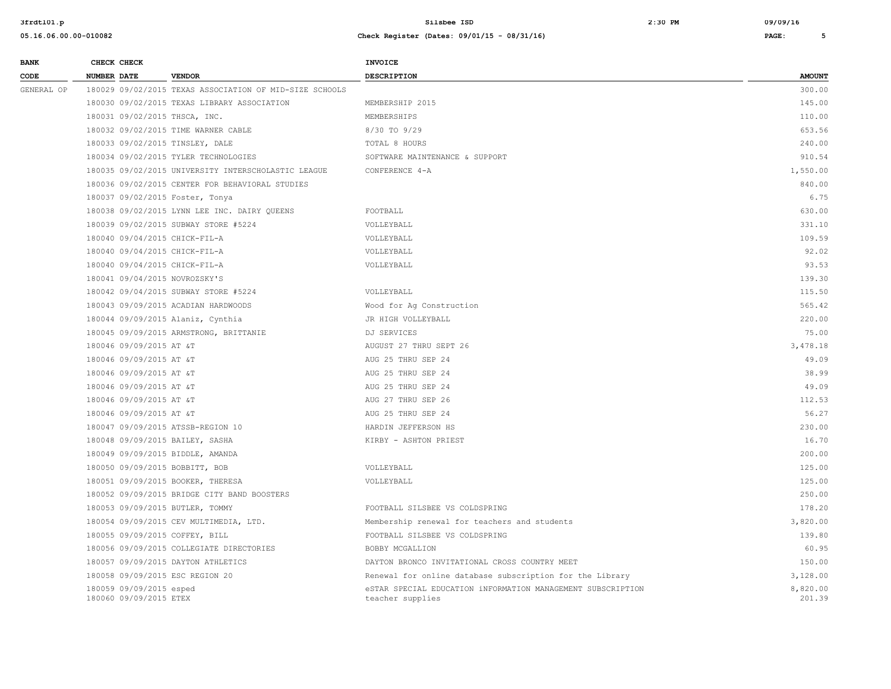| <b>BANK</b> | CHECK CHECK                                       |                                                         | <b>INVOICE</b>                                                                  |                    |
|-------------|---------------------------------------------------|---------------------------------------------------------|---------------------------------------------------------------------------------|--------------------|
| CODE        | <b>NUMBER DATE</b>                                | <b>VENDOR</b>                                           | <b>DESCRIPTION</b>                                                              | <b>AMOUNT</b>      |
| GENERAL OP  |                                                   | 180029 09/02/2015 TEXAS ASSOCIATION OF MID-SIZE SCHOOLS |                                                                                 | 300.00             |
|             |                                                   | 180030 09/02/2015 TEXAS LIBRARY ASSOCIATION             | MEMBERSHIP 2015                                                                 | 145.00             |
|             | 180031 09/02/2015 THSCA, INC.                     |                                                         | MEMBERSHIPS                                                                     | 110.00             |
|             |                                                   | 180032 09/02/2015 TIME WARNER CABLE                     | $8/30$ TO $9/29$                                                                | 653.56             |
|             | 180033 09/02/2015 TINSLEY, DALE                   |                                                         | TOTAL 8 HOURS                                                                   | 240.00             |
|             |                                                   | 180034 09/02/2015 TYLER TECHNOLOGIES                    | SOFTWARE MAINTENANCE & SUPPORT                                                  | 910.54             |
|             |                                                   | 180035 09/02/2015 UNIVERSITY INTERSCHOLASTIC LEAGUE     | CONFERENCE 4-A                                                                  | 1,550.00           |
|             |                                                   | 180036 09/02/2015 CENTER FOR BEHAVIORAL STUDIES         |                                                                                 | 840.00             |
|             | 180037 09/02/2015 Foster, Tonya                   |                                                         |                                                                                 | 6.75               |
|             |                                                   | 180038 09/02/2015 LYNN LEE INC. DAIRY QUEENS            | FOOTBALL                                                                        | 630.00             |
|             |                                                   | 180039 09/02/2015 SUBWAY STORE #5224                    | VOLLEYBALL                                                                      | 331.10             |
|             | 180040 09/04/2015 CHICK-FIL-A                     |                                                         | VOLLEYBALL                                                                      | 109.59             |
|             | 180040 09/04/2015 CHICK-FIL-A                     |                                                         | VOLLEYBALL                                                                      | 92.02              |
|             | 180040 09/04/2015 CHICK-FIL-A                     |                                                         | VOLLEYBALL                                                                      | 93.53              |
|             | 180041 09/04/2015 NOVROZSKY'S                     |                                                         |                                                                                 | 139.30             |
|             |                                                   | 180042 09/04/2015 SUBWAY STORE #5224                    | VOLLEYBALL                                                                      | 115.50             |
|             |                                                   | 180043 09/09/2015 ACADIAN HARDWOODS                     | Wood for Ag Construction                                                        | 565.42             |
|             |                                                   | 180044 09/09/2015 Alaniz, Cynthia                       | JR HIGH VOLLEYBALL                                                              | 220.00             |
|             |                                                   | 180045 09/09/2015 ARMSTRONG, BRITTANIE                  | DJ SERVICES                                                                     | 75.00              |
|             | 180046 09/09/2015 AT &T                           |                                                         | AUGUST 27 THRU SEPT 26                                                          | 3,478.18           |
|             | 180046 09/09/2015 AT &T                           |                                                         | AUG 25 THRU SEP 24                                                              | 49.09              |
|             | 180046 09/09/2015 AT &T                           |                                                         | AUG 25 THRU SEP 24                                                              | 38.99              |
|             | 180046 09/09/2015 AT &T                           |                                                         | AUG 25 THRU SEP 24                                                              | 49.09              |
|             | 180046 09/09/2015 AT &T                           |                                                         | AUG 27 THRU SEP 26                                                              | 112.53             |
|             | 180046 09/09/2015 AT &T                           |                                                         | AUG 25 THRU SEP 24                                                              | 56.27              |
|             |                                                   | 180047 09/09/2015 ATSSB-REGION 10                       | HARDIN JEFFERSON HS                                                             | 230.00             |
|             | 180048 09/09/2015 BAILEY, SASHA                   |                                                         | KIRBY - ASHTON PRIEST                                                           | 16.70              |
|             |                                                   | 180049 09/09/2015 BIDDLE, AMANDA                        |                                                                                 | 200.00             |
|             | 180050 09/09/2015 BOBBITT, BOB                    |                                                         | VOLLEYBALL                                                                      | 125.00             |
|             |                                                   | 180051 09/09/2015 BOOKER, THERESA                       | VOLLEYBALL                                                                      | 125.00             |
|             |                                                   | 180052 09/09/2015 BRIDGE CITY BAND BOOSTERS             |                                                                                 | 250.00             |
|             | 180053 09/09/2015 BUTLER, TOMMY                   |                                                         | FOOTBALL SILSBEE VS COLDSPRING                                                  | 178.20             |
|             |                                                   | 180054 09/09/2015 CEV MULTIMEDIA, LTD.                  | Membership renewal for teachers and students                                    | 3,820.00           |
|             | 180055 09/09/2015 COFFEY, BILL                    |                                                         | FOOTBALL SILSBEE VS COLDSPRING                                                  | 139.80             |
|             |                                                   | 180056 09/09/2015 COLLEGIATE DIRECTORIES                | BOBBY MCGALLION                                                                 | 60.95              |
|             |                                                   | 180057 09/09/2015 DAYTON ATHLETICS                      | DAYTON BRONCO INVITATIONAL CROSS COUNTRY MEET                                   | 150.00             |
|             | 180058 09/09/2015 ESC REGION 20                   |                                                         | Renewal for online database subscription for the Library                        | 3,128.00           |
|             | 180059 09/09/2015 esped<br>180060 09/09/2015 ETEX |                                                         | eSTAR SPECIAL EDUCATION iNFORMATION MANAGEMENT SUBSCRIPTION<br>teacher supplies | 8,820.00<br>201.39 |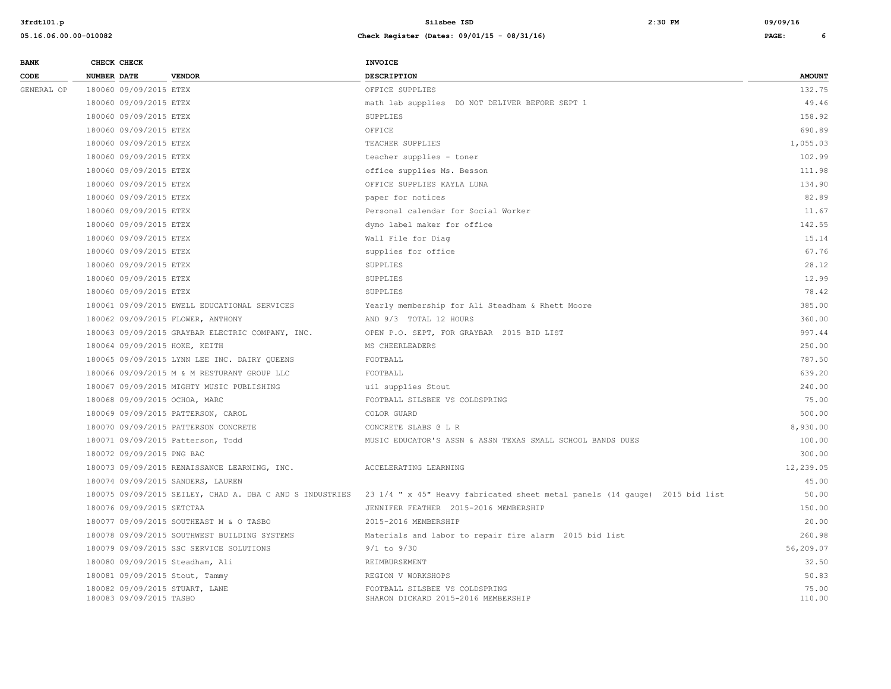| <b>BANK</b> | CHECK CHECK                                               |                                                          | <b>INVOICE</b>                                                              |                 |
|-------------|-----------------------------------------------------------|----------------------------------------------------------|-----------------------------------------------------------------------------|-----------------|
| CODE        | <b>NUMBER DATE</b>                                        | <b>VENDOR</b>                                            | <b>DESCRIPTION</b>                                                          | <b>AMOUNT</b>   |
| GENERAL OP  | 180060 09/09/2015 ETEX                                    |                                                          | OFFICE SUPPLIES                                                             | 132.75          |
|             | 180060 09/09/2015 ETEX                                    |                                                          | math lab supplies DO NOT DELIVER BEFORE SEPT 1                              | 49.46           |
|             | 180060 09/09/2015 ETEX                                    |                                                          | SUPPLIES                                                                    | 158.92          |
|             | 180060 09/09/2015 ETEX                                    |                                                          | OFFICE                                                                      | 690.89          |
|             | 180060 09/09/2015 ETEX                                    |                                                          | TEACHER SUPPLIES                                                            | 1,055.03        |
|             | 180060 09/09/2015 ETEX                                    |                                                          | teacher supplies - toner                                                    | 102.99          |
|             | 180060 09/09/2015 ETEX                                    |                                                          | office supplies Ms. Besson                                                  | 111.98          |
|             | 180060 09/09/2015 ETEX                                    |                                                          | OFFICE SUPPLIES KAYLA LUNA                                                  | 134.90          |
|             | 180060 09/09/2015 ETEX                                    |                                                          | paper for notices                                                           | 82.89           |
|             | 180060 09/09/2015 ETEX                                    |                                                          | Personal calendar for Social Worker                                         | 11.67           |
|             | 180060 09/09/2015 ETEX                                    |                                                          | dymo label maker for office                                                 | 142.55          |
|             | 180060 09/09/2015 ETEX                                    |                                                          | Wall File for Diag                                                          | 15.14           |
|             | 180060 09/09/2015 ETEX                                    |                                                          | supplies for office                                                         | 67.76           |
|             | 180060 09/09/2015 ETEX                                    |                                                          | SUPPLIES                                                                    | 28.12           |
|             | 180060 09/09/2015 ETEX                                    |                                                          | SUPPLIES                                                                    | 12.99           |
|             | 180060 09/09/2015 ETEX                                    |                                                          | SUPPLIES                                                                    | 78.42           |
|             |                                                           | 180061 09/09/2015 EWELL EDUCATIONAL SERVICES             | Yearly membership for Ali Steadham & Rhett Moore                            | 385.00          |
|             | 180062 09/09/2015 FLOWER, ANTHONY                         |                                                          | AND 9/3 TOTAL 12 HOURS                                                      | 360.00          |
|             |                                                           | 180063 09/09/2015 GRAYBAR ELECTRIC COMPANY, INC.         | OPEN P.O. SEPT, FOR GRAYBAR 2015 BID LIST                                   | 997.44          |
|             | 180064 09/09/2015 HOKE, KEITH                             |                                                          | MS CHEERLEADERS                                                             | 250.00          |
|             |                                                           | 180065 09/09/2015 LYNN LEE INC. DAIRY OUEENS             | FOOTBALL                                                                    | 787.50          |
|             |                                                           | 180066 09/09/2015 M & M RESTURANT GROUP LLC              | FOOTBALL                                                                    | 639.20          |
|             |                                                           | 180067 09/09/2015 MIGHTY MUSIC PUBLISHING                | uil supplies Stout                                                          | 240.00          |
|             | 180068 09/09/2015 OCHOA, MARC                             |                                                          | FOOTBALL SILSBEE VS COLDSPRING                                              | 75.00           |
|             | 180069 09/09/2015 PATTERSON, CAROL                        |                                                          | COLOR GUARD                                                                 | 500.00          |
|             |                                                           | 180070 09/09/2015 PATTERSON CONCRETE                     | CONCRETE SLABS @ L R                                                        | 8,930.00        |
|             | 180071 09/09/2015 Patterson, Todd                         |                                                          | MUSIC EDUCATOR'S ASSN & ASSN TEXAS SMALL SCHOOL BANDS DUES                  | 100.00          |
|             | 180072 09/09/2015 PNG BAC                                 |                                                          |                                                                             | 300.00          |
|             |                                                           | 180073 09/09/2015 RENAISSANCE LEARNING, INC.             | ACCELERATING LEARNING                                                       | 12,239.05       |
|             | 180074 09/09/2015 SANDERS, LAUREN                         |                                                          |                                                                             | 45.00           |
|             |                                                           | 180075 09/09/2015 SEILEY, CHAD A. DBA C AND S INDUSTRIES | 23 1/4 " x 45" Heavy fabricated sheet metal panels (14 gauge) 2015 bid list | 50.00           |
|             | 180076 09/09/2015 SETCTAA                                 |                                                          | JENNIFER FEATHER 2015-2016 MEMBERSHIP                                       | 150.00          |
|             |                                                           | 180077 09/09/2015 SOUTHEAST M & O TASBO                  | 2015-2016 MEMBERSHIP                                                        | 20.00           |
|             |                                                           | 180078 09/09/2015 SOUTHWEST BUILDING SYSTEMS             | Materials and labor to repair fire alarm 2015 bid list                      | 260.98          |
|             |                                                           | 180079 09/09/2015 SSC SERVICE SOLUTIONS                  | $9/1$ to $9/30$                                                             | 56,209.07       |
|             | 180080 09/09/2015 Steadham, Ali                           |                                                          | REIMBURSEMENT                                                               | 32.50           |
|             | 180081 09/09/2015 Stout, Tammy                            |                                                          | REGION V WORKSHOPS                                                          | 50.83           |
|             | 180082 09/09/2015 STUART, LANE<br>180083 09/09/2015 TASBO |                                                          | FOOTBALL SILSBEE VS COLDSPRING<br>SHARON DICKARD 2015-2016 MEMBERSHIP       | 75.00<br>110.00 |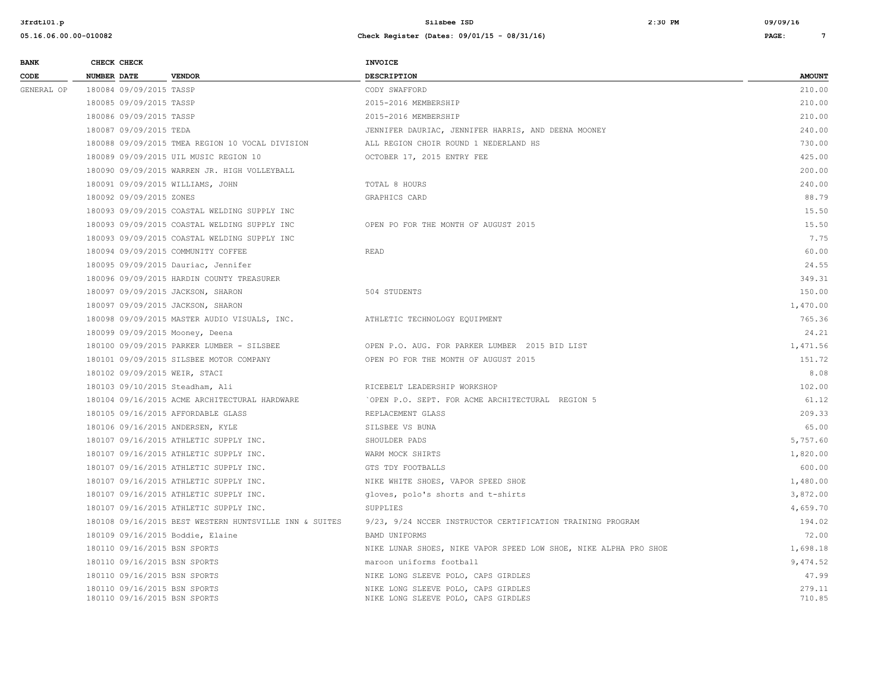| <b>BANK</b> | CHECK CHECK                                                  |                                                        | <b>INVOICE</b>                                                             |                  |
|-------------|--------------------------------------------------------------|--------------------------------------------------------|----------------------------------------------------------------------------|------------------|
| CODE        | <b>NUMBER DATE</b>                                           | <b>VENDOR</b>                                          | DESCRIPTION                                                                | <b>AMOUNT</b>    |
| GENERAL OP  | 180084 09/09/2015 TASSP                                      |                                                        | CODY SWAFFORD                                                              | 210.00           |
|             | 180085 09/09/2015 TASSP                                      |                                                        | 2015-2016 MEMBERSHIP                                                       | 210.00           |
|             | 180086 09/09/2015 TASSP                                      |                                                        | 2015-2016 MEMBERSHIP                                                       | 210.00           |
|             | 180087 09/09/2015 TEDA                                       |                                                        | JENNIFER DAURIAC, JENNIFER HARRIS, AND DEENA MOONEY                        | 240.00           |
|             |                                                              | 180088 09/09/2015 TMEA REGION 10 VOCAL DIVISION        | ALL REGION CHOIR ROUND 1 NEDERLAND HS                                      | 730.00           |
|             |                                                              | 180089 09/09/2015 UIL MUSIC REGION 10                  | OCTOBER 17, 2015 ENTRY FEE                                                 | 425.00           |
|             |                                                              | 180090 09/09/2015 WARREN JR. HIGH VOLLEYBALL           |                                                                            | 200.00           |
|             |                                                              | 180091 09/09/2015 WILLIAMS, JOHN                       | TOTAL 8 HOURS                                                              | 240.00           |
|             | 180092 09/09/2015 ZONES                                      |                                                        | <b>GRAPHICS CARD</b>                                                       | 88.79            |
|             |                                                              | 180093 09/09/2015 COASTAL WELDING SUPPLY INC           |                                                                            | 15.50            |
|             |                                                              | 180093 09/09/2015 COASTAL WELDING SUPPLY INC           | OPEN PO FOR THE MONTH OF AUGUST 2015                                       | 15.50            |
|             |                                                              | 180093 09/09/2015 COASTAL WELDING SUPPLY INC           |                                                                            | 7.75             |
|             |                                                              | 180094 09/09/2015 COMMUNITY COFFEE                     | READ                                                                       | 60.00            |
|             |                                                              | 180095 09/09/2015 Dauriac, Jennifer                    |                                                                            | 24.55            |
|             |                                                              | 180096 09/09/2015 HARDIN COUNTY TREASURER              |                                                                            | 349.31           |
|             |                                                              | 180097 09/09/2015 JACKSON, SHARON                      | 504 STUDENTS                                                               | 150.00           |
|             |                                                              | 180097 09/09/2015 JACKSON, SHARON                      |                                                                            | 1,470.00         |
|             |                                                              | 180098 09/09/2015 MASTER AUDIO VISUALS, INC.           | ATHLETIC TECHNOLOGY EQUIPMENT                                              | 765.36           |
|             |                                                              | 180099 09/09/2015 Mooney, Deena                        |                                                                            | 24.21            |
|             |                                                              | 180100 09/09/2015 PARKER LUMBER - SILSBEE              | OPEN P.O. AUG. FOR PARKER LUMBER 2015 BID LIST                             | 1,471.56         |
|             |                                                              | 180101 09/09/2015 SILSBEE MOTOR COMPANY                | OPEN PO FOR THE MONTH OF AUGUST 2015                                       | 151.72           |
|             | 180102 09/09/2015 WEIR, STACI                                |                                                        |                                                                            | 8.08             |
|             |                                                              | 180103 09/10/2015 Steadham, Ali                        | RICEBELT LEADERSHIP WORKSHOP                                               | 102.00           |
|             |                                                              | 180104 09/16/2015 ACME ARCHITECTURAL HARDWARE          | 'OPEN P.O. SEPT. FOR ACME ARCHITECTURAL REGION 5                           | 61.12            |
|             |                                                              | 180105 09/16/2015 AFFORDABLE GLASS                     | REPLACEMENT GLASS                                                          | 209.33           |
|             |                                                              | 180106 09/16/2015 ANDERSEN, KYLE                       | SILSBEE VS BUNA                                                            | 65.00            |
|             |                                                              | 180107 09/16/2015 ATHLETIC SUPPLY INC.                 | SHOULDER PADS                                                              | 5,757.60         |
|             |                                                              | 180107 09/16/2015 ATHLETIC SUPPLY INC.                 | WARM MOCK SHIRTS                                                           | 1,820.00         |
|             |                                                              | 180107 09/16/2015 ATHLETIC SUPPLY INC.                 | GTS TDY FOOTBALLS                                                          | 600.00           |
|             |                                                              | 180107 09/16/2015 ATHLETIC SUPPLY INC.                 | NIKE WHITE SHOES, VAPOR SPEED SHOE                                         | 1,480.00         |
|             |                                                              | 180107 09/16/2015 ATHLETIC SUPPLY INC.                 | gloves, polo's shorts and t-shirts                                         | 3,872.00         |
|             |                                                              | 180107 09/16/2015 ATHLETIC SUPPLY INC.                 | SUPPLIES                                                                   | 4,659.70         |
|             |                                                              | 180108 09/16/2015 BEST WESTERN HUNTSVILLE INN & SUITES | 9/23, 9/24 NCCER INSTRUCTOR CERTIFICATION TRAINING PROGRAM                 | 194.02           |
|             |                                                              | 180109 09/16/2015 Boddie, Elaine                       | BAMD UNIFORMS                                                              | 72.00            |
|             | 180110 09/16/2015 BSN SPORTS                                 |                                                        | NIKE LUNAR SHOES, NIKE VAPOR SPEED LOW SHOE, NIKE ALPHA PRO SHOE           | 1,698.18         |
|             | 180110 09/16/2015 BSN SPORTS                                 |                                                        | maroon uniforms football                                                   | 9,474.52         |
|             | 180110 09/16/2015 BSN SPORTS                                 |                                                        | NIKE LONG SLEEVE POLO, CAPS GIRDLES                                        | 47.99            |
|             | 180110 09/16/2015 BSN SPORTS<br>180110 09/16/2015 BSN SPORTS |                                                        | NIKE LONG SLEEVE POLO, CAPS GIRDLES<br>NIKE LONG SLEEVE POLO, CAPS GIRDLES | 279.11<br>710.85 |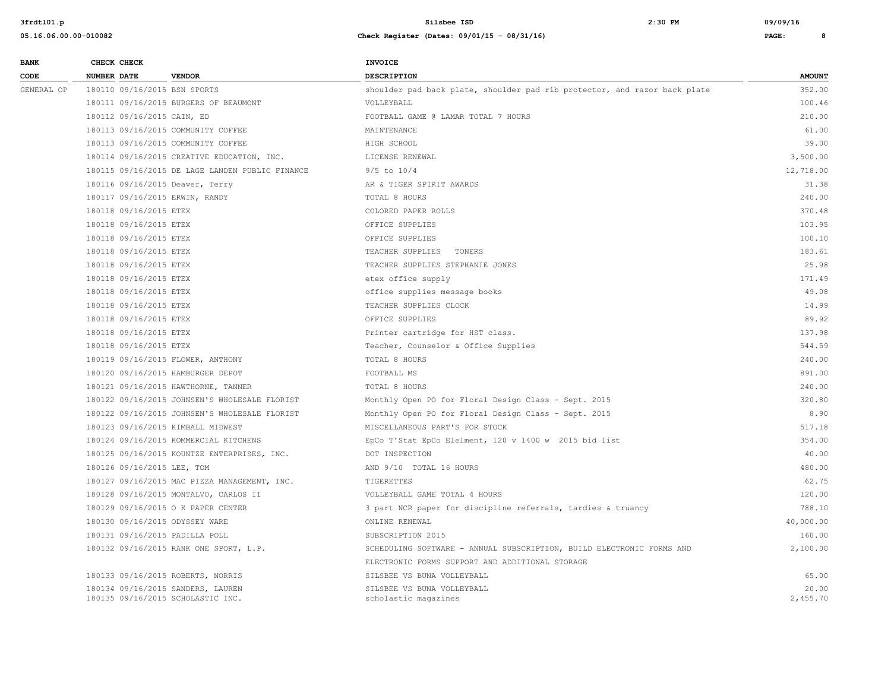| <b>BANK</b> |                    | CHECK CHECK                |                                                                        | INVOICE                                                                   |                   |
|-------------|--------------------|----------------------------|------------------------------------------------------------------------|---------------------------------------------------------------------------|-------------------|
| CODE        | <b>NUMBER DATE</b> |                            | <b>VENDOR</b>                                                          | <b>DESCRIPTION</b>                                                        | <b>AMOUNT</b>     |
| GENERAL OP  |                    |                            | 180110 09/16/2015 BSN SPORTS                                           | shoulder pad back plate, shoulder pad rib protector, and razor back plate | 352.00            |
|             |                    |                            | 180111 09/16/2015 BURGERS OF BEAUMONT                                  | VOLLEYBALL                                                                | 100.46            |
|             |                    | 180112 09/16/2015 CAIN, ED |                                                                        | FOOTBALL GAME @ LAMAR TOTAL 7 HOURS                                       | 210.00            |
|             |                    |                            | 180113 09/16/2015 COMMUNITY COFFEE                                     | MAINTENANCE                                                               | 61.00             |
|             |                    |                            | 180113 09/16/2015 COMMUNITY COFFEE                                     | HIGH SCHOOL                                                               | 39.00             |
|             |                    |                            | 180114 09/16/2015 CREATIVE EDUCATION, INC.                             | LICENSE RENEWAL                                                           | 3,500.00          |
|             |                    |                            | 180115 09/16/2015 DE LAGE LANDEN PUBLIC FINANCE                        | $9/5$ to $10/4$                                                           | 12,718.00         |
|             |                    |                            | 180116 09/16/2015 Deaver, Terry                                        | AR & TIGER SPIRIT AWARDS                                                  | 31.38             |
|             |                    |                            | 180117 09/16/2015 ERWIN, RANDY                                         | TOTAL 8 HOURS                                                             | 240.00            |
|             |                    | 180118 09/16/2015 ETEX     |                                                                        | COLORED PAPER ROLLS                                                       | 370.48            |
|             |                    | 180118 09/16/2015 ETEX     |                                                                        | OFFICE SUPPLIES                                                           | 103.95            |
|             |                    | 180118 09/16/2015 ETEX     |                                                                        | OFFICE SUPPLIES                                                           | 100.10            |
|             |                    | 180118 09/16/2015 ETEX     |                                                                        | TEACHER SUPPLIES TONERS                                                   | 183.61            |
|             |                    | 180118 09/16/2015 ETEX     |                                                                        | TEACHER SUPPLIES STEPHANIE JONES                                          | 25.98             |
|             |                    | 180118 09/16/2015 ETEX     |                                                                        | etex office supply                                                        | 171.49            |
|             |                    | 180118 09/16/2015 ETEX     |                                                                        | office supplies message books                                             | 49.08             |
|             |                    | 180118 09/16/2015 ETEX     |                                                                        | TEACHER SUPPLIES CLOCK                                                    | 14.99             |
|             |                    | 180118 09/16/2015 ETEX     |                                                                        | OFFICE SUPPLIES                                                           | 89.92             |
|             |                    | 180118 09/16/2015 ETEX     |                                                                        | Printer cartridge for HST class.                                          | 137.98            |
|             |                    | 180118 09/16/2015 ETEX     |                                                                        | Teacher, Counselor & Office Supplies                                      | 544.59            |
|             |                    |                            | 180119 09/16/2015 FLOWER, ANTHONY                                      | TOTAL 8 HOURS                                                             | 240.00            |
|             |                    |                            | 180120 09/16/2015 HAMBURGER DEPOT                                      | FOOTBALL MS                                                               | 891.00            |
|             |                    |                            | 180121 09/16/2015 HAWTHORNE, TANNER                                    | TOTAL 8 HOURS                                                             | 240.00            |
|             |                    |                            | 180122 09/16/2015 JOHNSEN'S WHOLESALE FLORIST                          | Monthly Open PO for Floral Design Class - Sept. 2015                      | 320.80            |
|             |                    |                            | 180122 09/16/2015 JOHNSEN'S WHOLESALE FLORIST                          | Monthly Open PO for Floral Design Class - Sept. 2015                      | 8.90              |
|             |                    |                            | 180123 09/16/2015 KIMBALL MIDWEST                                      | MISCELLANEOUS PART'S FOR STOCK                                            | 517.18            |
|             |                    |                            | 180124 09/16/2015 KOMMERCIAL KITCHENS                                  | EpCo T'Stat EpCo Elelment, 120 v 1400 w 2015 bid list                     | 354.00            |
|             |                    |                            | 180125 09/16/2015 KOUNTZE ENTERPRISES, INC.                            | DOT INSPECTION                                                            | 40.00             |
|             |                    | 180126 09/16/2015 LEE, TOM |                                                                        | AND 9/10 TOTAL 16 HOURS                                                   | 480.00            |
|             |                    |                            | 180127 09/16/2015 MAC PIZZA MANAGEMENT, INC.                           | TIGERETTES                                                                | 62.75             |
|             |                    |                            | 180128 09/16/2015 MONTALVO, CARLOS II                                  | VOLLEYBALL GAME TOTAL 4 HOURS                                             | 120.00            |
|             |                    |                            | 180129 09/16/2015 O K PAPER CENTER                                     | 3 part NCR paper for discipline referrals, tardies & truancy              | 788.10            |
|             |                    |                            | 180130 09/16/2015 ODYSSEY WARE                                         | ONLINE RENEWAL                                                            | 40,000.00         |
|             |                    |                            | 180131 09/16/2015 PADILLA POLL                                         | SUBSCRIPTION 2015                                                         | 160.00            |
|             |                    |                            | 180132 09/16/2015 RANK ONE SPORT, L.P.                                 | SCHEDULING SOFTWARE - ANNUAL SUBSCRIPTION, BUILD ELECTRONIC FORMS AND     | 2,100.00          |
|             |                    |                            |                                                                        | ELECTRONIC FORMS SUPPORT AND ADDITIONAL STORAGE                           |                   |
|             |                    |                            | 180133 09/16/2015 ROBERTS, NORRIS                                      | SILSBEE VS BUNA VOLLEYBALL                                                | 65.00             |
|             |                    |                            | 180134 09/16/2015 SANDERS, LAUREN<br>180135 09/16/2015 SCHOLASTIC INC. | SILSBEE VS BUNA VOLLEYBALL<br>scholastic magazines                        | 20.00<br>2,455.70 |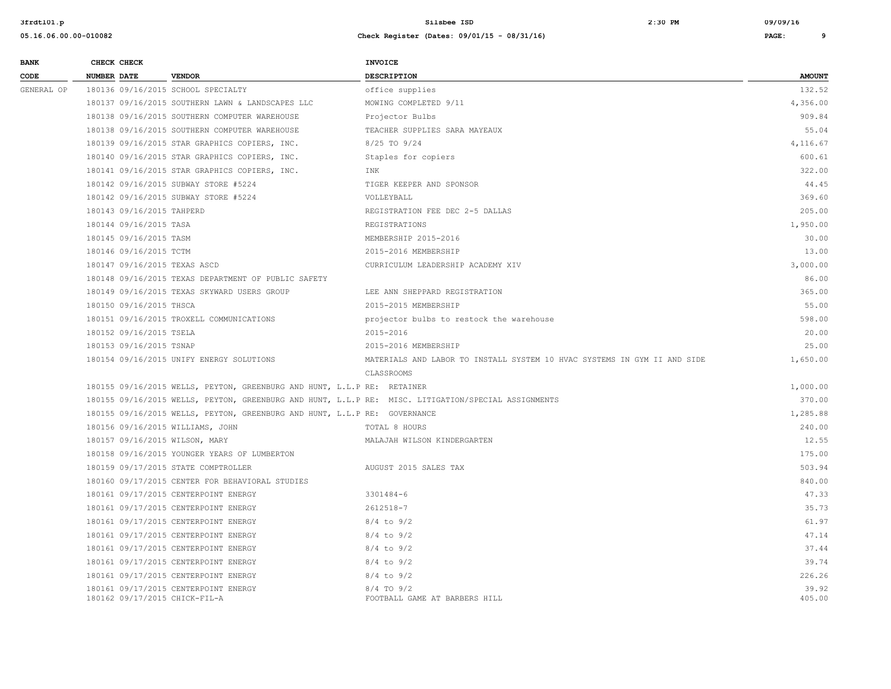| <b>BANK</b> |                    | CHECK CHECK               |                                                                           | <b>INVOICE</b>                                                                                      |                 |
|-------------|--------------------|---------------------------|---------------------------------------------------------------------------|-----------------------------------------------------------------------------------------------------|-----------------|
| CODE        | <b>NUMBER DATE</b> |                           | <b>VENDOR</b>                                                             | <b>DESCRIPTION</b>                                                                                  | <b>AMOUNT</b>   |
| GENERAL OP  |                    |                           | 180136 09/16/2015 SCHOOL SPECIALTY                                        | office supplies                                                                                     | 132.52          |
|             |                    |                           | 180137 09/16/2015 SOUTHERN LAWN & LANDSCAPES LLC                          | MOWING COMPLETED 9/11                                                                               | 4,356.00        |
|             |                    |                           | 180138 09/16/2015 SOUTHERN COMPUTER WAREHOUSE                             | Projector Bulbs                                                                                     | 909.84          |
|             |                    |                           | 180138 09/16/2015 SOUTHERN COMPUTER WAREHOUSE                             | TEACHER SUPPLIES SARA MAYEAUX                                                                       | 55.04           |
|             |                    |                           | 180139 09/16/2015 STAR GRAPHICS COPIERS, INC.                             | 8/25 TO 9/24                                                                                        | 4,116.67        |
|             |                    |                           | 180140 09/16/2015 STAR GRAPHICS COPIERS, INC.                             | Staples for copiers                                                                                 | 600.61          |
|             |                    |                           | 180141 09/16/2015 STAR GRAPHICS COPIERS, INC.                             | INK                                                                                                 | 322.00          |
|             |                    |                           | 180142 09/16/2015 SUBWAY STORE #5224                                      | TIGER KEEPER AND SPONSOR                                                                            | 44.45           |
|             |                    |                           | 180142 09/16/2015 SUBWAY STORE #5224                                      | VOLLEYBALL                                                                                          | 369.60          |
|             |                    | 180143 09/16/2015 TAHPERD |                                                                           | REGISTRATION FEE DEC 2-5 DALLAS                                                                     | 205.00          |
|             |                    | 180144 09/16/2015 TASA    |                                                                           | REGISTRATIONS                                                                                       | 1,950.00        |
|             |                    | 180145 09/16/2015 TASM    |                                                                           | MEMBERSHIP 2015-2016                                                                                | 30.00           |
|             |                    | 180146 09/16/2015 TCTM    |                                                                           | 2015-2016 MEMBERSHIP                                                                                | 13.00           |
|             |                    |                           | 180147 09/16/2015 TEXAS ASCD                                              | CURRICULUM LEADERSHIP ACADEMY XIV                                                                   | 3,000.00        |
|             |                    |                           | 180148 09/16/2015 TEXAS DEPARTMENT OF PUBLIC SAFETY                       |                                                                                                     | 86.00           |
|             |                    |                           | 180149 09/16/2015 TEXAS SKYWARD USERS GROUP                               | LEE ANN SHEPPARD REGISTRATION                                                                       | 365.00          |
|             |                    | 180150 09/16/2015 THSCA   |                                                                           | 2015-2015 MEMBERSHIP                                                                                | 55.00           |
|             |                    |                           | 180151 09/16/2015 TROXELL COMMUNICATIONS                                  | projector bulbs to restock the warehouse                                                            | 598.00          |
|             |                    | 180152 09/16/2015 TSELA   |                                                                           | 2015-2016                                                                                           | 20.00           |
|             |                    | 180153 09/16/2015 TSNAP   |                                                                           | 2015-2016 MEMBERSHIP                                                                                | 25.00           |
|             |                    |                           | 180154 09/16/2015 UNIFY ENERGY SOLUTIONS                                  | MATERIALS AND LABOR TO INSTALL SYSTEM 10 HVAC SYSTEMS IN GYM II AND SIDE                            | 1,650.00        |
|             |                    |                           |                                                                           | CLASSROOMS                                                                                          |                 |
|             |                    |                           | 180155 09/16/2015 WELLS, PEYTON, GREENBURG AND HUNT, L.L.P RE: RETAINER   |                                                                                                     | 1,000.00        |
|             |                    |                           |                                                                           | 180155 09/16/2015 WELLS, PEYTON, GREENBURG AND HUNT, L.L.P RE: MISC. LITIGATION/SPECIAL ASSIGNMENTS | 370.00          |
|             |                    |                           | 180155 09/16/2015 WELLS, PEYTON, GREENBURG AND HUNT, L.L.P RE: GOVERNANCE |                                                                                                     | 1,285.88        |
|             |                    |                           | 180156 09/16/2015 WILLIAMS, JOHN                                          | TOTAL 8 HOURS                                                                                       | 240.00          |
|             |                    |                           | 180157 09/16/2015 WILSON, MARY                                            | MALAJAH WILSON KINDERGARTEN                                                                         | 12.55           |
|             |                    |                           | 180158 09/16/2015 YOUNGER YEARS OF LUMBERTON                              |                                                                                                     | 175.00          |
|             |                    |                           | 180159 09/17/2015 STATE COMPTROLLER                                       | AUGUST 2015 SALES TAX                                                                               | 503.94          |
|             |                    |                           | 180160 09/17/2015 CENTER FOR BEHAVIORAL STUDIES                           |                                                                                                     | 840.00          |
|             |                    |                           | 180161 09/17/2015 CENTERPOINT ENERGY                                      | 3301484-6                                                                                           | 47.33           |
|             |                    |                           | 180161 09/17/2015 CENTERPOINT ENERGY                                      | 2612518-7                                                                                           | 35.73           |
|             |                    |                           | 180161 09/17/2015 CENTERPOINT ENERGY                                      | $8/4$ to $9/2$                                                                                      | 61.97           |
|             |                    |                           | 180161 09/17/2015 CENTERPOINT ENERGY                                      | $8/4$ to $9/2$                                                                                      | 47.14           |
|             |                    |                           | 180161 09/17/2015 CENTERPOINT ENERGY                                      | $8/4$ to $9/2$                                                                                      | 37.44           |
|             |                    |                           | 180161 09/17/2015 CENTERPOINT ENERGY                                      | $8/4$ to $9/2$                                                                                      | 39.74           |
|             |                    |                           | 180161 09/17/2015 CENTERPOINT ENERGY                                      | $8/4$ to $9/2$                                                                                      | 226.26          |
|             |                    |                           | 180161 09/17/2015 CENTERPOINT ENERGY<br>180162 09/17/2015 CHICK-FIL-A     | $8/4$ TO $9/2$<br>FOOTBALL GAME AT BARBERS HILL                                                     | 39.92<br>405.00 |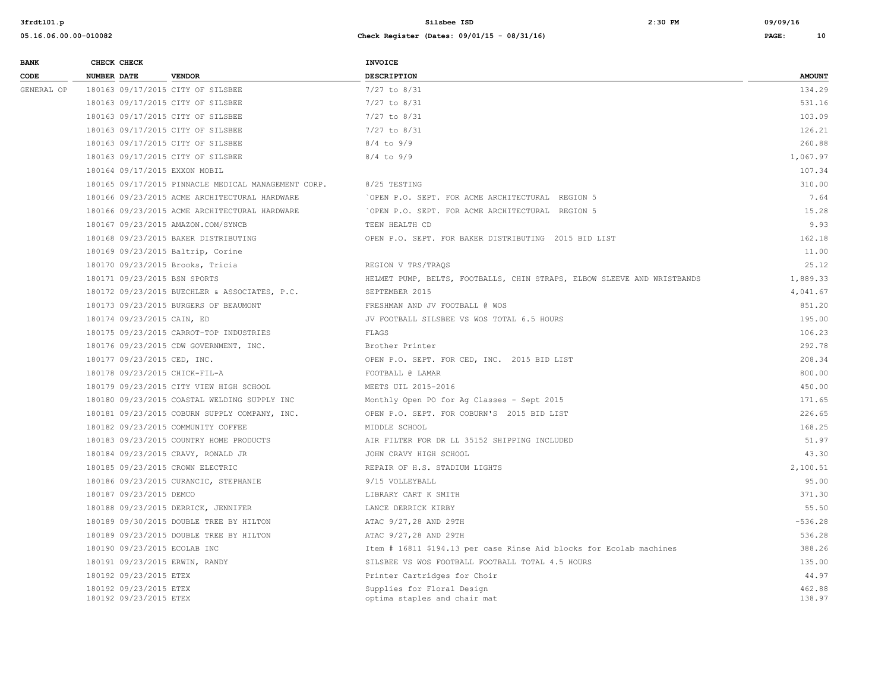| <b>BANK</b> | CHECK CHECK                                      |                                                     | <b>INVOICE</b>                                                          |                  |
|-------------|--------------------------------------------------|-----------------------------------------------------|-------------------------------------------------------------------------|------------------|
| CODE        | <b>NUMBER DATE</b>                               | <b>VENDOR</b>                                       | <b>DESCRIPTION</b>                                                      | <b>AMOUNT</b>    |
| GENERAL OP  |                                                  | 180163 09/17/2015 CITY OF SILSBEE                   | $7/27$ to $8/31$                                                        | 134.29           |
|             |                                                  | 180163 09/17/2015 CITY OF SILSBEE                   | $7/27$ to $8/31$                                                        | 531.16           |
|             |                                                  | 180163 09/17/2015 CITY OF SILSBEE                   | $7/27$ to $8/31$                                                        | 103.09           |
|             |                                                  | 180163 09/17/2015 CITY OF SILSBEE                   | $7/27$ to $8/31$                                                        | 126.21           |
|             |                                                  | 180163 09/17/2015 CITY OF SILSBEE                   | $8/4$ to $9/9$                                                          | 260.88           |
|             |                                                  | 180163 09/17/2015 CITY OF SILSBEE                   | $8/4$ to $9/9$                                                          | 1,067.97         |
|             | 180164 09/17/2015 EXXON MOBIL                    |                                                     |                                                                         | 107.34           |
|             |                                                  | 180165 09/17/2015 PINNACLE MEDICAL MANAGEMENT CORP. | 8/25 TESTING                                                            | 310.00           |
|             |                                                  | 180166 09/23/2015 ACME ARCHITECTURAL HARDWARE       | OPEN P.O. SEPT. FOR ACME ARCHITECTURAL REGION 5                         | 7.64             |
|             |                                                  | 180166 09/23/2015 ACME ARCHITECTURAL HARDWARE       | OPEN P.O. SEPT. FOR ACME ARCHITECTURAL REGION 5                         | 15.28            |
|             |                                                  | 180167 09/23/2015 AMAZON.COM/SYNCB                  | TEEN HEALTH CD                                                          | 9.93             |
|             |                                                  | 180168 09/23/2015 BAKER DISTRIBUTING                | OPEN P.O. SEPT. FOR BAKER DISTRIBUTING 2015 BID LIST                    | 162.18           |
|             |                                                  | 180169 09/23/2015 Baltrip, Corine                   |                                                                         | 11.00            |
|             |                                                  | 180170 09/23/2015 Brooks, Tricia                    | REGION V TRS/TRAOS                                                      | 25.12            |
|             | 180171 09/23/2015 BSN SPORTS                     |                                                     | HELMET PUMP, BELTS, FOOTBALLS, CHIN STRAPS, ELBOW SLEEVE AND WRISTBANDS | 1,889.33         |
|             |                                                  | 180172 09/23/2015 BUECHLER & ASSOCIATES, P.C.       | SEPTEMBER 2015                                                          | 4,041.67         |
|             |                                                  | 180173 09/23/2015 BURGERS OF BEAUMONT               | FRESHMAN AND JV FOOTBALL @ WOS                                          | 851.20           |
|             | 180174 09/23/2015 CAIN, ED                       |                                                     | JV FOOTBALL SILSBEE VS WOS TOTAL 6.5 HOURS                              | 195.00           |
|             |                                                  | 180175 09/23/2015 CARROT-TOP INDUSTRIES             | FLAGS                                                                   | 106.23           |
|             |                                                  | 180176 09/23/2015 CDW GOVERNMENT, INC.              | Brother Printer                                                         | 292.78           |
|             | 180177 09/23/2015 CED, INC.                      |                                                     | OPEN P.O. SEPT. FOR CED, INC. 2015 BID LIST                             | 208.34           |
|             | 180178 09/23/2015 CHICK-FIL-A                    |                                                     | FOOTBALL @ LAMAR                                                        | 800.00           |
|             |                                                  | 180179 09/23/2015 CITY VIEW HIGH SCHOOL             | MEETS UIL 2015-2016                                                     | 450.00           |
|             |                                                  | 180180 09/23/2015 COASTAL WELDING SUPPLY INC        | Monthly Open PO for Ag Classes - Sept 2015                              | 171.65           |
|             |                                                  | 180181 09/23/2015 COBURN SUPPLY COMPANY, INC.       | OPEN P.O. SEPT. FOR COBURN'S 2015 BID LIST                              | 226.65           |
|             |                                                  | 180182 09/23/2015 COMMUNITY COFFEE                  | MIDDLE SCHOOL                                                           | 168.25           |
|             |                                                  | 180183 09/23/2015 COUNTRY HOME PRODUCTS             | AIR FILTER FOR DR LL 35152 SHIPPING INCLUDED                            | 51.97            |
|             |                                                  | 180184 09/23/2015 CRAVY, RONALD JR                  | JOHN CRAVY HIGH SCHOOL                                                  | 43.30            |
|             |                                                  | 180185 09/23/2015 CROWN ELECTRIC                    | REPAIR OF H.S. STADIUM LIGHTS                                           | 2,100.51         |
|             |                                                  | 180186 09/23/2015 CURANCIC, STEPHANIE               | 9/15 VOLLEYBALL                                                         | 95.00            |
|             | 180187 09/23/2015 DEMCO                          |                                                     | LIBRARY CART K SMITH                                                    | 371.30           |
|             |                                                  | 180188 09/23/2015 DERRICK, JENNIFER                 | LANCE DERRICK KIRBY                                                     | 55.50            |
|             |                                                  | 180189 09/30/2015 DOUBLE TREE BY HILTON             | ATAC 9/27,28 AND 29TH                                                   | $-536.28$        |
|             |                                                  | 180189 09/23/2015 DOUBLE TREE BY HILTON             | ATAC 9/27, 28 AND 29TH                                                  | 536.28           |
|             | 180190 09/23/2015 ECOLAB INC                     |                                                     | Item # 16811 \$194.13 per case Rinse Aid blocks for Ecolab machines     | 388.26           |
|             | 180191 09/23/2015 ERWIN, RANDY                   |                                                     | SILSBEE VS WOS FOOTBALL FOOTBALL TOTAL 4.5 HOURS                        | 135.00           |
|             | 180192 09/23/2015 ETEX                           |                                                     | Printer Cartridges for Choir                                            | 44.97            |
|             | 180192 09/23/2015 ETEX<br>180192 09/23/2015 ETEX |                                                     | Supplies for Floral Design<br>optima staples and chair mat              | 462.88<br>138.97 |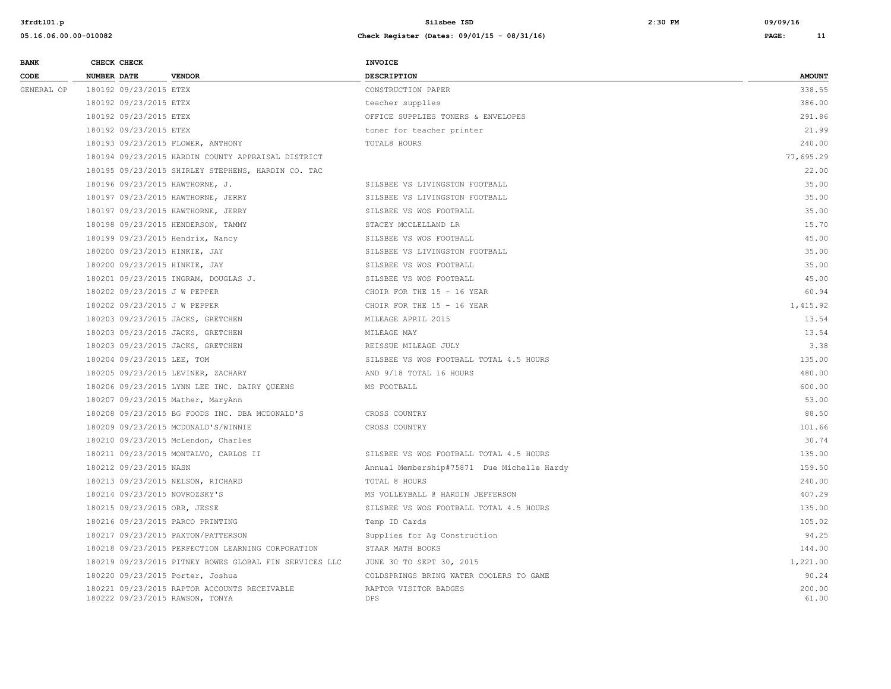| <b>BANK</b> | CHECK CHECK                      |                                                        | INVOICE                                    |                 |
|-------------|----------------------------------|--------------------------------------------------------|--------------------------------------------|-----------------|
| CODE        | <b>NUMBER DATE</b>               | <b>VENDOR</b>                                          | <b>DESCRIPTION</b>                         | <b>AMOUNT</b>   |
| GENERAL OP  | 180192 09/23/2015 ETEX           |                                                        | CONSTRUCTION PAPER                         | 338.55          |
|             | 180192 09/23/2015 ETEX           |                                                        | teacher supplies                           | 386.00          |
|             | 180192 09/23/2015 ETEX           |                                                        | OFFICE SUPPLIES TONERS & ENVELOPES         | 291.86          |
|             | 180192 09/23/2015 ETEX           |                                                        | toner for teacher printer                  | 21.99           |
|             |                                  | 180193 09/23/2015 FLOWER, ANTHONY                      | TOTAL8 HOURS                               | 240.00          |
|             |                                  | 180194 09/23/2015 HARDIN COUNTY APPRAISAL DISTRICT     |                                            | 77,695.29       |
|             |                                  | 180195 09/23/2015 SHIRLEY STEPHENS, HARDIN CO. TAC     |                                            | 22.00           |
|             | 180196 09/23/2015 HAWTHORNE, J.  |                                                        | SILSBEE VS LIVINGSTON FOOTBALL             | 35.00           |
|             |                                  | 180197 09/23/2015 HAWTHORNE, JERRY                     | SILSBEE VS LIVINGSTON FOOTBALL             | 35.00           |
|             |                                  | 180197 09/23/2015 HAWTHORNE, JERRY                     | SILSBEE VS WOS FOOTBALL                    | 35.00           |
|             |                                  | 180198 09/23/2015 HENDERSON, TAMMY                     | STACEY MCCLELLAND LR                       | 15.70           |
|             | 180199 09/23/2015 Hendrix, Nancy |                                                        | SILSBEE VS WOS FOOTBALL                    | 45.00           |
|             | 180200 09/23/2015 HINKIE, JAY    |                                                        | SILSBEE VS LIVINGSTON FOOTBALL             | 35.00           |
|             | 180200 09/23/2015 HINKIE, JAY    |                                                        | SILSBEE VS WOS FOOTBALL                    | 35.00           |
|             |                                  | 180201 09/23/2015 INGRAM, DOUGLAS J.                   | SILSBEE VS WOS FOOTBALL                    | 45.00           |
|             | 180202 09/23/2015 J W PEPPER     |                                                        | CHOIR FOR THE 15 - 16 YEAR                 | 60.94           |
|             | 180202 09/23/2015 J W PEPPER     |                                                        | CHOIR FOR THE 15 - 16 YEAR                 | 1,415.92        |
|             |                                  | 180203 09/23/2015 JACKS, GRETCHEN                      | MILEAGE APRIL 2015                         | 13.54           |
|             |                                  | 180203 09/23/2015 JACKS, GRETCHEN                      | MILEAGE MAY                                | 13.54           |
|             |                                  | 180203 09/23/2015 JACKS, GRETCHEN                      | REISSUE MILEAGE JULY                       | 3.38            |
|             | 180204 09/23/2015 LEE, TOM       |                                                        | SILSBEE VS WOS FOOTBALL TOTAL 4.5 HOURS    | 135.00          |
|             |                                  | 180205 09/23/2015 LEVINER, ZACHARY                     | AND 9/18 TOTAL 16 HOURS                    | 480.00          |
|             |                                  | 180206 09/23/2015 LYNN LEE INC. DAIRY QUEENS           | MS FOOTBALL                                | 600.00          |
|             |                                  | 180207 09/23/2015 Mather, MaryAnn                      |                                            | 53.00           |
|             |                                  | 180208 09/23/2015 BG FOODS INC. DBA MCDONALD'S         | CROSS COUNTRY                              | 88.50           |
|             |                                  | 180209 09/23/2015 MCDONALD'S/WINNIE                    | CROSS COUNTRY                              | 101.66          |
|             |                                  | 180210 09/23/2015 McLendon, Charles                    |                                            | 30.74           |
|             |                                  | 180211 09/23/2015 MONTALVO, CARLOS II                  | SILSBEE VS WOS FOOTBALL TOTAL 4.5 HOURS    | 135.00          |
|             | 180212 09/23/2015 NASN           |                                                        | Annual Membership#75871 Due Michelle Hardy | 159.50          |
|             |                                  | 180213 09/23/2015 NELSON, RICHARD                      | TOTAL 8 HOURS                              | 240.00          |
|             | 180214 09/23/2015 NOVROZSKY'S    |                                                        | MS VOLLEYBALL @ HARDIN JEFFERSON           | 407.29          |
|             | 180215 09/23/2015 ORR, JESSE     |                                                        | SILSBEE VS WOS FOOTBALL TOTAL 4.5 HOURS    | 135.00          |
|             | 180216 09/23/2015 PARCO PRINTING |                                                        | Temp ID Cards                              | 105.02          |
|             |                                  | 180217 09/23/2015 PAXTON/PATTERSON                     | Supplies for Ag Construction               | 94.25           |
|             |                                  | 180218 09/23/2015 PERFECTION LEARNING CORPORATION      | STAAR MATH BOOKS                           | 144.00          |
|             |                                  | 180219 09/23/2015 PITNEY BOWES GLOBAL FIN SERVICES LLC | JUNE 30 TO SEPT 30, 2015                   | 1,221.00        |
|             | 180220 09/23/2015 Porter, Joshua |                                                        | COLDSPRINGS BRING WATER COOLERS TO GAME    | 90.24           |
|             | 180222 09/23/2015 RAWSON, TONYA  | 180221 09/23/2015 RAPTOR ACCOUNTS RECEIVABLE           | RAPTOR VISITOR BADGES<br><b>DPS</b>        | 200.00<br>61.00 |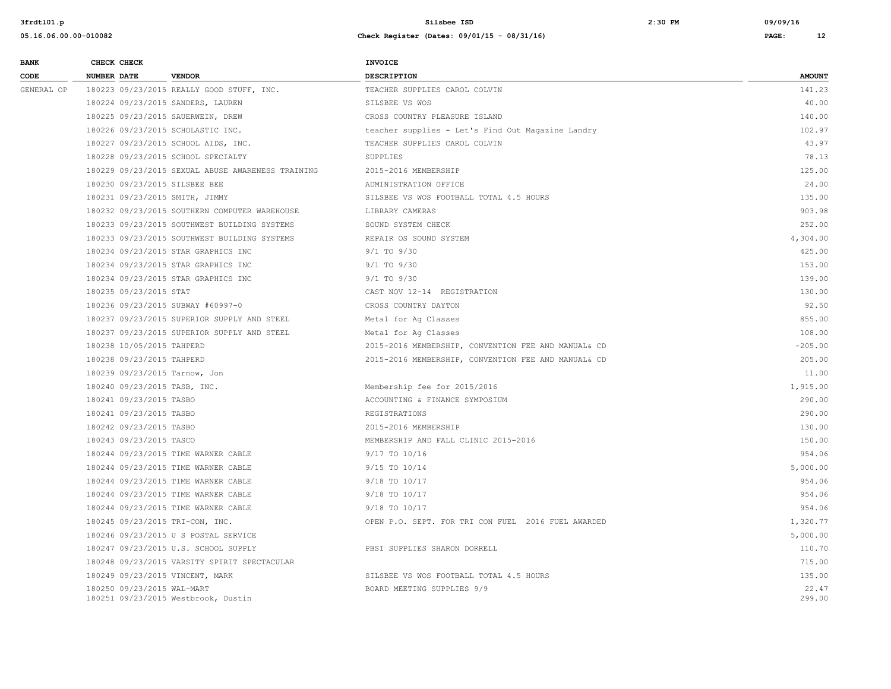| <b>BANK</b> | CHECK CHECK                   |                                                   | INVOICE                                             |                 |
|-------------|-------------------------------|---------------------------------------------------|-----------------------------------------------------|-----------------|
| CODE        | <b>NUMBER DATE</b>            | <b>VENDOR</b>                                     | <b>DESCRIPTION</b>                                  | <b>AMOUNT</b>   |
| GENERAL OP  |                               | 180223 09/23/2015 REALLY GOOD STUFF, INC.         | TEACHER SUPPLIES CAROL COLVIN                       | 141.23          |
|             |                               | 180224 09/23/2015 SANDERS, LAUREN                 | SILSBEE VS WOS                                      | 40.00           |
|             |                               | 180225 09/23/2015 SAUERWEIN, DREW                 | CROSS COUNTRY PLEASURE ISLAND                       | 140.00          |
|             |                               | 180226 09/23/2015 SCHOLASTIC INC.                 | teacher supplies - Let's Find Out Magazine Landry   | 102.97          |
|             |                               | 180227 09/23/2015 SCHOOL AIDS, INC.               | TEACHER SUPPLIES CAROL COLVIN                       | 43.97           |
|             |                               | 180228 09/23/2015 SCHOOL SPECIALTY                | SUPPLIES                                            | 78.13           |
|             |                               | 180229 09/23/2015 SEXUAL ABUSE AWARENESS TRAINING | 2015-2016 MEMBERSHIP                                | 125.00          |
|             | 180230 09/23/2015 SILSBEE BEE |                                                   | ADMINISTRATION OFFICE                               | 24.00           |
|             |                               | 180231 09/23/2015 SMITH, JIMMY                    | SILSBEE VS WOS FOOTBALL TOTAL 4.5 HOURS             | 135.00          |
|             |                               | 180232 09/23/2015 SOUTHERN COMPUTER WAREHOUSE     | LIBRARY CAMERAS                                     | 903.98          |
|             |                               | 180233 09/23/2015 SOUTHWEST BUILDING SYSTEMS      | SOUND SYSTEM CHECK                                  | 252.00          |
|             |                               | 180233 09/23/2015 SOUTHWEST BUILDING SYSTEMS      | REPAIR OS SOUND SYSTEM                              | 4,304.00        |
|             |                               | 180234 09/23/2015 STAR GRAPHICS INC               | $9/1$ TO $9/30$                                     | 425.00          |
|             |                               | 180234 09/23/2015 STAR GRAPHICS INC               | $9/1$ TO $9/30$                                     | 153.00          |
|             |                               | 180234 09/23/2015 STAR GRAPHICS INC               | $9/1$ TO $9/30$                                     | 139.00          |
|             | 180235 09/23/2015 STAT        |                                                   | CAST NOV 12-14 REGISTRATION                         | 130.00          |
|             |                               | 180236 09/23/2015 SUBWAY #60997-0                 | CROSS COUNTRY DAYTON                                | 92.50           |
|             |                               | 180237 09/23/2015 SUPERIOR SUPPLY AND STEEL       | Metal for Aq Classes                                | 855.00          |
|             |                               | 180237 09/23/2015 SUPERIOR SUPPLY AND STEEL       | Metal for Aq Classes                                | 108.00          |
|             | 180238 10/05/2015 TAHPERD     |                                                   | 2015-2016 MEMBERSHIP, CONVENTION FEE AND MANUAL& CD | $-205.00$       |
|             | 180238 09/23/2015 TAHPERD     |                                                   | 2015-2016 MEMBERSHIP, CONVENTION FEE AND MANUAL& CD | 205.00          |
|             | 180239 09/23/2015 Tarnow, Jon |                                                   |                                                     | 11.00           |
|             | 180240 09/23/2015 TASB, INC.  |                                                   | Membership fee for 2015/2016                        | 1,915.00        |
|             | 180241 09/23/2015 TASBO       |                                                   | ACCOUNTING & FINANCE SYMPOSIUM                      | 290.00          |
|             | 180241 09/23/2015 TASBO       |                                                   | REGISTRATIONS                                       | 290.00          |
|             | 180242 09/23/2015 TASBO       |                                                   | 2015-2016 MEMBERSHIP                                | 130.00          |
|             | 180243 09/23/2015 TASCO       |                                                   | MEMBERSHIP AND FALL CLINIC 2015-2016                | 150.00          |
|             |                               | 180244 09/23/2015 TIME WARNER CABLE               | 9/17 TO 10/16                                       | 954.06          |
|             |                               | 180244 09/23/2015 TIME WARNER CABLE               | 9/15 TO 10/14                                       | 5,000.00        |
|             |                               | 180244 09/23/2015 TIME WARNER CABLE               | 9/18 TO 10/17                                       | 954.06          |
|             |                               | 180244 09/23/2015 TIME WARNER CABLE               | 9/18 TO 10/17                                       | 954.06          |
|             |                               | 180244 09/23/2015 TIME WARNER CABLE               | 9/18 TO 10/17                                       | 954.06          |
|             |                               | 180245 09/23/2015 TRI-CON, INC.                   | OPEN P.O. SEPT. FOR TRI CON FUEL 2016 FUEL AWARDED  | 1,320.77        |
|             |                               | 180246 09/23/2015 U S POSTAL SERVICE              |                                                     | 5,000.00        |
|             |                               | 180247 09/23/2015 U.S. SCHOOL SUPPLY              | PBSI SUPPLIES SHARON DORRELL                        | 110.70          |
|             |                               | 180248 09/23/2015 VARSITY SPIRIT SPECTACULAR      |                                                     | 715.00          |
|             |                               | 180249 09/23/2015 VINCENT, MARK                   | SILSBEE VS WOS FOOTBALL TOTAL 4.5 HOURS             | 135.00          |
|             | 180250 09/23/2015 WAL-MART    | 180251 09/23/2015 Westbrook, Dustin               | BOARD MEETING SUPPLIES 9/9                          | 22.47<br>299.00 |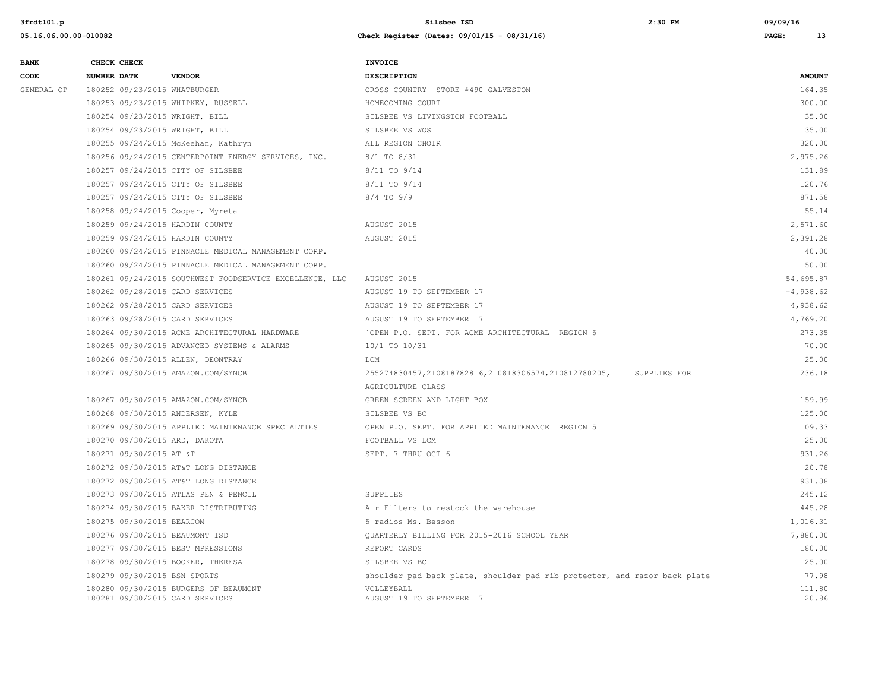| <b>BANK</b> |                    | CHECK CHECK               |                                                                                       | <b>INVOICE</b>                                                            |               |
|-------------|--------------------|---------------------------|---------------------------------------------------------------------------------------|---------------------------------------------------------------------------|---------------|
| CODE        | <b>NUMBER DATE</b> |                           | <b>VENDOR</b>                                                                         | DESCRIPTION                                                               | <b>AMOUNT</b> |
| GENERAL OP  |                    |                           | 180252 09/23/2015 WHATBURGER                                                          | CROSS COUNTRY STORE #490 GALVESTON                                        | 164.35        |
|             |                    |                           | 180253 09/23/2015 WHIPKEY, RUSSELL                                                    | HOMECOMING COURT                                                          | 300.00        |
|             |                    |                           | 180254 09/23/2015 WRIGHT, BILL                                                        | SILSBEE VS LIVINGSTON FOOTBALL                                            | 35.00         |
|             |                    |                           | 180254 09/23/2015 WRIGHT, BILL                                                        | SILSBEE VS WOS                                                            | 35.00         |
|             |                    |                           | 180255 09/24/2015 McKeehan, Kathryn                                                   | ALL REGION CHOIR                                                          | 320.00        |
|             |                    |                           | 180256 09/24/2015 CENTERPOINT ENERGY SERVICES, INC.                                   | 8/1 TO 8/31                                                               | 2,975.26      |
|             |                    |                           | 180257 09/24/2015 CITY OF SILSBEE                                                     | 8/11 TO 9/14                                                              | 131.89        |
|             |                    |                           | 180257 09/24/2015 CITY OF SILSBEE                                                     | 8/11 TO 9/14                                                              | 120.76        |
|             |                    |                           | 180257 09/24/2015 CITY OF SILSBEE                                                     | $8/4$ TO $9/9$                                                            | 871.58        |
|             |                    |                           | 180258 09/24/2015 Cooper, Myreta                                                      |                                                                           | 55.14         |
|             |                    |                           | 180259 09/24/2015 HARDIN COUNTY                                                       | AUGUST 2015                                                               | 2,571.60      |
|             |                    |                           | 180259 09/24/2015 HARDIN COUNTY                                                       | AUGUST 2015                                                               | 2,391.28      |
|             |                    |                           | 180260 09/24/2015 PINNACLE MEDICAL MANAGEMENT CORP.                                   |                                                                           | 40.00         |
|             |                    |                           | 180260 09/24/2015 PINNACLE MEDICAL MANAGEMENT CORP.                                   |                                                                           | 50.00         |
|             |                    |                           | 180261 09/24/2015 SOUTHWEST FOODSERVICE EXCELLENCE, LLC                               | AUGUST 2015                                                               | 54,695.87     |
|             |                    |                           | 180262 09/28/2015 CARD SERVICES                                                       | AUGUST 19 TO SEPTEMBER 17                                                 | $-4,938.62$   |
|             |                    |                           | 180262 09/28/2015 CARD SERVICES                                                       | AUGUST 19 TO SEPTEMBER 17                                                 | 4,938.62      |
|             |                    |                           | 180263 09/28/2015 CARD SERVICES                                                       | AUGUST 19 TO SEPTEMBER 17                                                 | 4,769.20      |
|             |                    |                           | 180264 09/30/2015 ACME ARCHITECTURAL HARDWARE                                         | 'OPEN P.O. SEPT. FOR ACME ARCHITECTURAL REGION 5                          | 273.35        |
|             |                    |                           | 180265 09/30/2015 ADVANCED SYSTEMS & ALARMS                                           | 10/1 TO 10/31                                                             | 70.00         |
|             |                    |                           | 180266 09/30/2015 ALLEN, DEONTRAY                                                     | LCM                                                                       | 25.00         |
|             |                    |                           | 180267 09/30/2015 AMAZON.COM/SYNCB                                                    | 255274830457, 210818782816, 210818306574, 210812780205,<br>SUPPLIES FOR   | 236.18        |
|             |                    |                           |                                                                                       | AGRICULTURE CLASS                                                         | 159.99        |
|             |                    |                           | 180267 09/30/2015 AMAZON.COM/SYNCB                                                    | GREEN SCREEN AND LIGHT BOX                                                | 125.00        |
|             |                    |                           | 180268 09/30/2015 ANDERSEN, KYLE<br>180269 09/30/2015 APPLIED MAINTENANCE SPECIALTIES | SILSBEE VS BC<br>OPEN P.O. SEPT. FOR APPLIED MAINTENANCE REGION 5         | 109.33        |
|             |                    |                           | 180270 09/30/2015 ARD, DAKOTA                                                         | FOOTBALL VS LCM                                                           | 25.00         |
|             |                    | 180271 09/30/2015 AT &T   |                                                                                       | SEPT. 7 THRU OCT 6                                                        | 931.26        |
|             |                    |                           | 180272 09/30/2015 AT&T LONG DISTANCE                                                  |                                                                           | 20.78         |
|             |                    |                           | 180272 09/30/2015 AT&T LONG DISTANCE                                                  |                                                                           | 931.38        |
|             |                    |                           | 180273 09/30/2015 ATLAS PEN & PENCIL                                                  | SUPPLIES                                                                  | 245.12        |
|             |                    |                           | 180274 09/30/2015 BAKER DISTRIBUTING                                                  | Air Filters to restock the warehouse                                      | 445.28        |
|             |                    | 180275 09/30/2015 BEARCOM |                                                                                       | 5 radios Ms. Besson                                                       | 1,016.31      |
|             |                    |                           | 180276 09/30/2015 BEAUMONT ISD                                                        | OUARTERLY BILLING FOR 2015-2016 SCHOOL YEAR                               | 7,880.00      |
|             |                    |                           | 180277 09/30/2015 BEST MPRESSIONS                                                     | REPORT CARDS                                                              | 180.00        |
|             |                    |                           | 180278 09/30/2015 BOOKER, THERESA                                                     | SILSBEE VS BC                                                             | 125.00        |
|             |                    |                           | 180279 09/30/2015 BSN SPORTS                                                          | shoulder pad back plate, shoulder pad rib protector, and razor back plate | 77.98         |
|             |                    |                           | 180280 09/30/2015 BURGERS OF BEAUMONT                                                 | VOLLEYBALL                                                                | 111.80        |
|             |                    |                           | 180281 09/30/2015 CARD SERVICES                                                       | AUGUST 19 TO SEPTEMBER 17                                                 | 120.86        |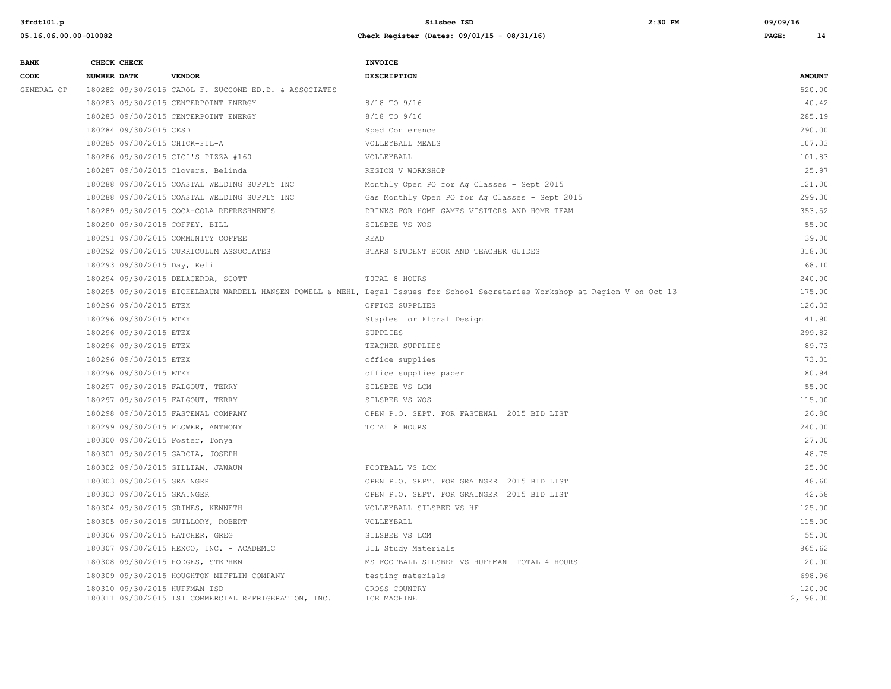| <b>BANK</b> |                    | CHECK CHECK                 |                                                                                       | <b>INVOICE</b>                                                                                                                |                    |
|-------------|--------------------|-----------------------------|---------------------------------------------------------------------------------------|-------------------------------------------------------------------------------------------------------------------------------|--------------------|
| CODE        | <b>NUMBER DATE</b> |                             | <b>VENDOR</b>                                                                         | <b>DESCRIPTION</b>                                                                                                            | <b>AMOUNT</b>      |
| GENERAL OP  |                    |                             | 180282 09/30/2015 CAROL F. ZUCCONE ED.D. & ASSOCIATES                                 |                                                                                                                               | 520.00             |
|             |                    |                             | 180283 09/30/2015 CENTERPOINT ENERGY                                                  | 8/18 TO 9/16                                                                                                                  | 40.42              |
|             |                    |                             | 180283 09/30/2015 CENTERPOINT ENERGY                                                  | 8/18 TO 9/16                                                                                                                  | 285.19             |
|             |                    | 180284 09/30/2015 CESD      |                                                                                       | Sped Conference                                                                                                               | 290.00             |
|             |                    |                             | 180285 09/30/2015 CHICK-FIL-A                                                         | VOLLEYBALL MEALS                                                                                                              | 107.33             |
|             |                    |                             | 180286 09/30/2015 CICI'S PIZZA #160                                                   | VOLLEYBALL                                                                                                                    | 101.83             |
|             |                    |                             | 180287 09/30/2015 Clowers, Belinda                                                    | REGION V WORKSHOP                                                                                                             | 25.97              |
|             |                    |                             | 180288 09/30/2015 COASTAL WELDING SUPPLY INC                                          | Monthly Open PO for Ag Classes - Sept 2015                                                                                    | 121.00             |
|             |                    |                             | 180288 09/30/2015 COASTAL WELDING SUPPLY INC                                          | Gas Monthly Open PO for Ag Classes - Sept 2015                                                                                | 299.30             |
|             |                    |                             | 180289 09/30/2015 COCA-COLA REFRESHMENTS                                              | DRINKS FOR HOME GAMES VISITORS AND HOME TEAM                                                                                  | 353.52             |
|             |                    |                             | 180290 09/30/2015 COFFEY, BILL                                                        | SILSBEE VS WOS                                                                                                                | 55.00              |
|             |                    |                             | 180291 09/30/2015 COMMUNITY COFFEE                                                    | <b>READ</b>                                                                                                                   | 39.00              |
|             |                    |                             | 180292 09/30/2015 CURRICULUM ASSOCIATES                                               | STARS STUDENT BOOK AND TEACHER GUIDES                                                                                         | 318.00             |
|             |                    | 180293 09/30/2015 Day, Keli |                                                                                       |                                                                                                                               | 68.10              |
|             |                    |                             | 180294 09/30/2015 DELACERDA, SCOTT                                                    | TOTAL 8 HOURS                                                                                                                 | 240.00             |
|             |                    |                             |                                                                                       | 180295 09/30/2015 EICHELBAUM WARDELL HANSEN POWELL & MEHL, Legal Issues for School Secretaries Workshop at Region V on Oct 13 | 175.00             |
|             |                    | 180296 09/30/2015 ETEX      |                                                                                       | OFFICE SUPPLIES                                                                                                               | 126.33             |
|             |                    | 180296 09/30/2015 ETEX      |                                                                                       | Staples for Floral Design                                                                                                     | 41.90              |
|             |                    | 180296 09/30/2015 ETEX      |                                                                                       | SUPPLIES                                                                                                                      | 299.82             |
|             |                    | 180296 09/30/2015 ETEX      |                                                                                       | TEACHER SUPPLIES                                                                                                              | 89.73              |
|             |                    | 180296 09/30/2015 ETEX      |                                                                                       | office supplies                                                                                                               | 73.31              |
|             |                    | 180296 09/30/2015 ETEX      |                                                                                       | office supplies paper                                                                                                         | 80.94              |
|             |                    |                             | 180297 09/30/2015 FALGOUT, TERRY                                                      | SILSBEE VS LCM                                                                                                                | 55.00              |
|             |                    |                             | 180297 09/30/2015 FALGOUT, TERRY                                                      | SILSBEE VS WOS                                                                                                                | 115.00             |
|             |                    |                             | 180298 09/30/2015 FASTENAL COMPANY                                                    | OPEN P.O. SEPT. FOR FASTENAL 2015 BID LIST                                                                                    | 26.80              |
|             |                    |                             | 180299 09/30/2015 FLOWER, ANTHONY                                                     | TOTAL 8 HOURS                                                                                                                 | 240.00             |
|             |                    |                             | 180300 09/30/2015 Foster, Tonya                                                       |                                                                                                                               | 27.00              |
|             |                    |                             | 180301 09/30/2015 GARCIA, JOSEPH                                                      |                                                                                                                               | 48.75              |
|             |                    |                             | 180302 09/30/2015 GILLIAM, JAWAUN                                                     | FOOTBALL VS LCM                                                                                                               | 25.00              |
|             |                    | 180303 09/30/2015 GRAINGER  |                                                                                       | OPEN P.O. SEPT. FOR GRAINGER 2015 BID LIST                                                                                    | 48.60              |
|             |                    | 180303 09/30/2015 GRAINGER  |                                                                                       | OPEN P.O. SEPT. FOR GRAINGER 2015 BID LIST                                                                                    | 42.58              |
|             |                    |                             | 180304 09/30/2015 GRIMES, KENNETH                                                     | VOLLEYBALL SILSBEE VS HF                                                                                                      | 125.00             |
|             |                    |                             | 180305 09/30/2015 GUILLORY, ROBERT                                                    | VOLLEYBALL                                                                                                                    | 115.00             |
|             |                    |                             | 180306 09/30/2015 HATCHER, GREG                                                       | SILSBEE VS LCM                                                                                                                | 55.00              |
|             |                    |                             | 180307 09/30/2015 HEXCO, INC. - ACADEMIC                                              | UIL Study Materials                                                                                                           | 865.62             |
|             |                    |                             | 180308 09/30/2015 HODGES, STEPHEN                                                     | MS FOOTBALL SILSBEE VS HUFFMAN TOTAL 4 HOURS                                                                                  | 120.00             |
|             |                    |                             | 180309 09/30/2015 HOUGHTON MIFFLIN COMPANY                                            | testing materials                                                                                                             | 698.96             |
|             |                    |                             | 180310 09/30/2015 HUFFMAN ISD<br>180311 09/30/2015 ISI COMMERCIAL REFRIGERATION, INC. | CROSS COUNTRY<br>ICE MACHINE                                                                                                  | 120.00<br>2,198.00 |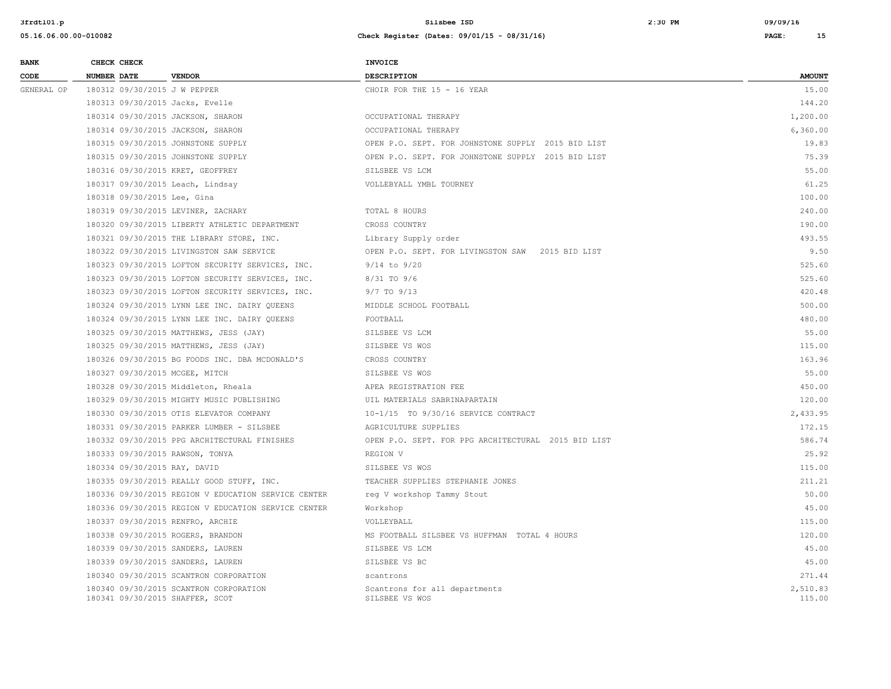**3frdtl01.p Silsbee ISD 2:30 PM 09/09/16**

| <b>BANK</b> | CHECK CHECK                       |                                                     | <b>INVOICE</b>                                      |                    |
|-------------|-----------------------------------|-----------------------------------------------------|-----------------------------------------------------|--------------------|
| CODE        | <b>NUMBER DATE</b>                | <b>VENDOR</b>                                       | <b>DESCRIPTION</b>                                  | <b>AMOUNT</b>      |
| GENERAL OP  | 180312 09/30/2015 J W PEPPER      |                                                     | CHOIR FOR THE 15 - 16 YEAR                          | 15.00              |
|             | 180313 09/30/2015 Jacks, Evelle   |                                                     |                                                     | 144.20             |
|             | 180314 09/30/2015 JACKSON, SHARON |                                                     | OCCUPATIONAL THERAPY                                | 1,200.00           |
|             | 180314 09/30/2015 JACKSON, SHARON |                                                     | OCCUPATIONAL THERAPY                                | 6,360.00           |
|             |                                   | 180315 09/30/2015 JOHNSTONE SUPPLY                  | OPEN P.O. SEPT. FOR JOHNSTONE SUPPLY 2015 BID LIST  | 19.83              |
|             |                                   | 180315 09/30/2015 JOHNSTONE SUPPLY                  | OPEN P.O. SEPT. FOR JOHNSTONE SUPPLY 2015 BID LIST  | 75.39              |
|             | 180316 09/30/2015 KRET, GEOFFREY  |                                                     | SILSBEE VS LCM                                      | 55.00              |
|             | 180317 09/30/2015 Leach, Lindsay  |                                                     | VOLLEBYALL YMBL TOURNEY                             | 61.25              |
|             | 180318 09/30/2015 Lee, Gina       |                                                     |                                                     | 100.00             |
|             |                                   | 180319 09/30/2015 LEVINER, ZACHARY                  | TOTAL 8 HOURS                                       | 240.00             |
|             |                                   | 180320 09/30/2015 LIBERTY ATHLETIC DEPARTMENT       | CROSS COUNTRY                                       | 190.00             |
|             |                                   | 180321 09/30/2015 THE LIBRARY STORE, INC.           | Library Supply order                                | 493.55             |
|             |                                   | 180322 09/30/2015 LIVINGSTON SAW SERVICE            | OPEN P.O. SEPT. FOR LIVINGSTON SAW 2015 BID LIST    | 9.50               |
|             |                                   | 180323 09/30/2015 LOFTON SECURITY SERVICES, INC.    | $9/14$ to $9/20$                                    | 525.60             |
|             |                                   | 180323 09/30/2015 LOFTON SECURITY SERVICES, INC.    | 8/31 TO 9/6                                         | 525.60             |
|             |                                   | 180323 09/30/2015 LOFTON SECURITY SERVICES, INC.    | 9/7 TO 9/13                                         | 420.48             |
|             |                                   | 180324 09/30/2015 LYNN LEE INC. DAIRY OUEENS        | MIDDLE SCHOOL FOOTBALL                              | 500.00             |
|             |                                   | 180324 09/30/2015 LYNN LEE INC. DAIRY QUEENS        | FOOTBALL                                            | 480.00             |
|             |                                   | 180325 09/30/2015 MATTHEWS, JESS (JAY)              | SILSBEE VS LCM                                      | 55.00              |
|             |                                   | 180325 09/30/2015 MATTHEWS, JESS (JAY)              | SILSBEE VS WOS                                      | 115.00             |
|             |                                   | 180326 09/30/2015 BG FOODS INC. DBA MCDONALD'S      | CROSS COUNTRY                                       | 163.96             |
|             | 180327 09/30/2015 MCGEE, MITCH    |                                                     | SILSBEE VS WOS                                      | 55.00              |
|             |                                   | 180328 09/30/2015 Middleton, Rheala                 | APEA REGISTRATION FEE                               | 450.00             |
|             |                                   | 180329 09/30/2015 MIGHTY MUSIC PUBLISHING           | UIL MATERIALS SABRINAPARTAIN                        | 120.00             |
|             |                                   | 180330 09/30/2015 OTIS ELEVATOR COMPANY             | 10-1/15 TO 9/30/16 SERVICE CONTRACT                 | 2,433.95           |
|             |                                   | 180331 09/30/2015 PARKER LUMBER - SILSBEE           | AGRICULTURE SUPPLIES                                | 172.15             |
|             |                                   | 180332 09/30/2015 PPG ARCHITECTURAL FINISHES        | OPEN P.O. SEPT. FOR PPG ARCHITECTURAL 2015 BID LIST | 586.74             |
|             | 180333 09/30/2015 RAWSON, TONYA   |                                                     | REGION V                                            | 25.92              |
|             | 180334 09/30/2015 RAY, DAVID      |                                                     | SILSBEE VS WOS                                      | 115.00             |
|             |                                   | 180335 09/30/2015 REALLY GOOD STUFF, INC.           | TEACHER SUPPLIES STEPHANIE JONES                    | 211.21             |
|             |                                   | 180336 09/30/2015 REGION V EDUCATION SERVICE CENTER | req V workshop Tammy Stout                          | 50.00              |
|             |                                   | 180336 09/30/2015 REGION V EDUCATION SERVICE CENTER | Workshop                                            | 45.00              |
|             | 180337 09/30/2015 RENFRO, ARCHIE  |                                                     | VOLLEYBALL                                          | 115.00             |
|             | 180338 09/30/2015 ROGERS, BRANDON |                                                     | MS FOOTBALL SILSBEE VS HUFFMAN TOTAL 4 HOURS        | 120.00             |
|             | 180339 09/30/2015 SANDERS, LAUREN |                                                     | SILSBEE VS LCM                                      | 45.00              |
|             | 180339 09/30/2015 SANDERS, LAUREN |                                                     | SILSBEE VS BC                                       | 45.00              |
|             |                                   | 180340 09/30/2015 SCANTRON CORPORATION              | scantrons                                           | 271.44             |
|             | 180341 09/30/2015 SHAFFER, SCOT   | 180340 09/30/2015 SCANTRON CORPORATION              | Scantrons for all departments<br>SILSBEE VS WOS     | 2.510.83<br>115.00 |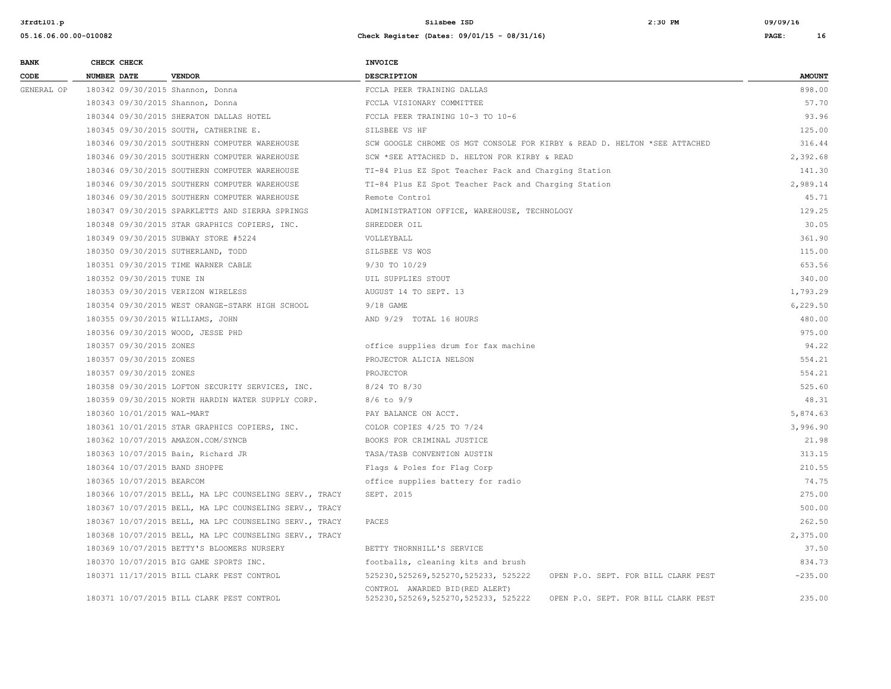| <b>BANK</b> | CHECK CHECK                       |                                                        | <b>INVOICE</b>                                                                                                   |               |
|-------------|-----------------------------------|--------------------------------------------------------|------------------------------------------------------------------------------------------------------------------|---------------|
| CODE        | NUMBER DATE                       | <b>VENDOR</b>                                          | <b>DESCRIPTION</b>                                                                                               | <b>AMOUNT</b> |
| GENERAL OP  | 180342 09/30/2015 Shannon, Donna  |                                                        | FCCLA PEER TRAINING DALLAS                                                                                       | 898.00        |
|             | 180343 09/30/2015 Shannon, Donna  |                                                        | FCCLA VISIONARY COMMITTEE                                                                                        | 57.70         |
|             |                                   | 180344 09/30/2015 SHERATON DALLAS HOTEL                | FCCLA PEER TRAINING 10-3 TO 10-6                                                                                 | 93.96         |
|             |                                   | 180345 09/30/2015 SOUTH, CATHERINE E.                  | SILSBEE VS HF                                                                                                    | 125.00        |
|             |                                   | 180346 09/30/2015 SOUTHERN COMPUTER WAREHOUSE          | SCW GOOGLE CHROME OS MGT CONSOLE FOR KIRBY & READ D. HELTON *SEE ATTACHED                                        | 316.44        |
|             |                                   | 180346 09/30/2015 SOUTHERN COMPUTER WAREHOUSE          | SCW *SEE ATTACHED D. HELTON FOR KIRBY & READ                                                                     | 2,392.68      |
|             |                                   | 180346 09/30/2015 SOUTHERN COMPUTER WAREHOUSE          | TI-84 Plus EZ Spot Teacher Pack and Charging Station                                                             | 141.30        |
|             |                                   | 180346 09/30/2015 SOUTHERN COMPUTER WAREHOUSE          | TI-84 Plus EZ Spot Teacher Pack and Charging Station                                                             | 2,989.14      |
|             |                                   | 180346 09/30/2015 SOUTHERN COMPUTER WAREHOUSE          | Remote Control                                                                                                   | 45.71         |
|             |                                   | 180347 09/30/2015 SPARKLETTS AND SIERRA SPRINGS        | ADMINISTRATION OFFICE, WAREHOUSE, TECHNOLOGY                                                                     | 129.25        |
|             |                                   | 180348 09/30/2015 STAR GRAPHICS COPIERS, INC.          | SHREDDER OIL                                                                                                     | 30.05         |
|             |                                   | 180349 09/30/2015 SUBWAY STORE #5224                   | VOLLEYBALL                                                                                                       | 361.90        |
|             |                                   | 180350 09/30/2015 SUTHERLAND, TODD                     | SILSBEE VS WOS                                                                                                   | 115.00        |
|             |                                   | 180351 09/30/2015 TIME WARNER CABLE                    | 9/30 TO 10/29                                                                                                    | 653.56        |
|             | 180352 09/30/2015 TUNE IN         |                                                        | UIL SUPPLIES STOUT                                                                                               | 340.00        |
|             |                                   | 180353 09/30/2015 VERIZON WIRELESS                     | AUGUST 14 TO SEPT. 13                                                                                            | 1,793.29      |
|             |                                   | 180354 09/30/2015 WEST ORANGE-STARK HIGH SCHOOL        | 9/18 GAME                                                                                                        | 6,229.50      |
|             | 180355 09/30/2015 WILLIAMS, JOHN  |                                                        | AND 9/29 TOTAL 16 HOURS                                                                                          | 480.00        |
|             | 180356 09/30/2015 WOOD, JESSE PHD |                                                        |                                                                                                                  | 975.00        |
|             | 180357 09/30/2015 ZONES           |                                                        | office supplies drum for fax machine                                                                             | 94.22         |
|             | 180357 09/30/2015 ZONES           |                                                        | PROJECTOR ALICIA NELSON                                                                                          | 554.21        |
|             | 180357 09/30/2015 ZONES           |                                                        | PROJECTOR                                                                                                        | 554.21        |
|             |                                   | 180358 09/30/2015 LOFTON SECURITY SERVICES, INC.       | 8/24 TO 8/30                                                                                                     | 525.60        |
|             |                                   | 180359 09/30/2015 NORTH HARDIN WATER SUPPLY CORP.      | $8/6$ to $9/9$                                                                                                   | 48.31         |
|             | 180360 10/01/2015 WAL-MART        |                                                        | PAY BALANCE ON ACCT.                                                                                             | 5,874.63      |
|             |                                   | 180361 10/01/2015 STAR GRAPHICS COPIERS, INC.          | COLOR COPIES 4/25 TO 7/24                                                                                        | 3,996.90      |
|             |                                   | 180362 10/07/2015 AMAZON.COM/SYNCB                     | BOOKS FOR CRIMINAL JUSTICE                                                                                       | 21.98         |
|             |                                   | 180363 10/07/2015 Bain, Richard JR                     | TASA/TASB CONVENTION AUSTIN                                                                                      | 313.15        |
|             | 180364 10/07/2015 BAND SHOPPE     |                                                        | Flags & Poles for Flag Corp                                                                                      | 210.55        |
|             | 180365 10/07/2015 BEARCOM         |                                                        | office supplies battery for radio                                                                                | 74.75         |
|             |                                   | 180366 10/07/2015 BELL, MA LPC COUNSELING SERV., TRACY | SEPT. 2015                                                                                                       | 275.00        |
|             |                                   | 180367 10/07/2015 BELL, MA LPC COUNSELING SERV., TRACY |                                                                                                                  | 500.00        |
|             |                                   | 180367 10/07/2015 BELL, MA LPC COUNSELING SERV., TRACY | PACES                                                                                                            | 262.50        |
|             |                                   | 180368 10/07/2015 BELL, MA LPC COUNSELING SERV., TRACY |                                                                                                                  | 2,375.00      |
|             |                                   | 180369 10/07/2015 BETTY'S BLOOMERS NURSERY             | BETTY THORNHILL'S SERVICE                                                                                        | 37.50         |
|             |                                   | 180370 10/07/2015 BIG GAME SPORTS INC.                 | footballs, cleaning kits and brush                                                                               | 834.73        |
|             |                                   | 180371 11/17/2015 BILL CLARK PEST CONTROL              | 525230, 525269, 525270, 525233, 525222<br>OPEN P.O. SEPT. FOR BILL CLARK PEST                                    | $-235.00$     |
|             |                                   | 180371 10/07/2015 BILL CLARK PEST CONTROL              | CONTROL AWARDED BID (RED ALERT)<br>525230, 525269, 525270, 525233, 525222<br>OPEN P.O. SEPT. FOR BILL CLARK PEST | 235.00        |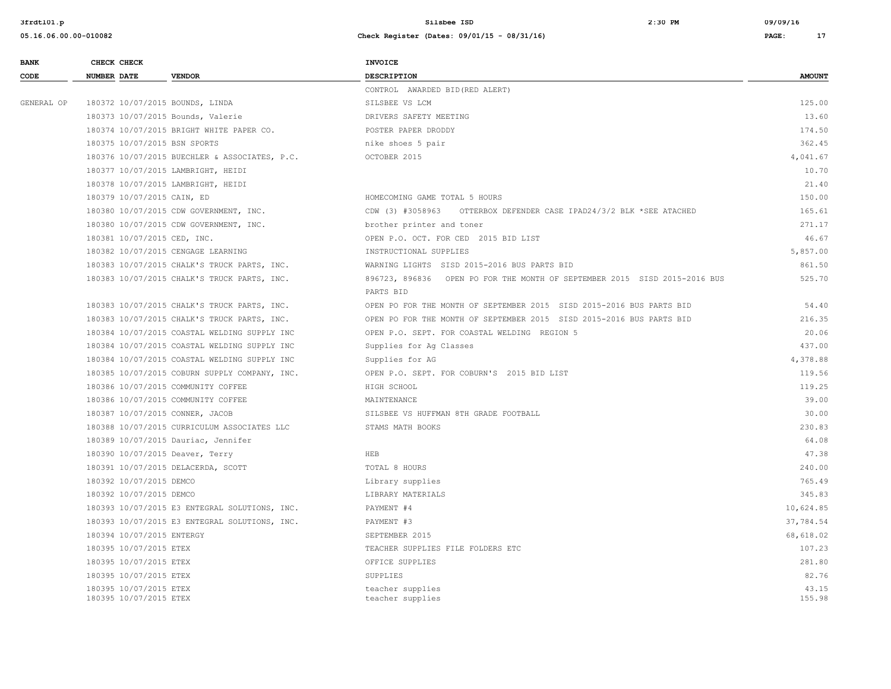| <b>BANK</b> | CHECK CHECK                                      | <b>INVOICE</b>                                                            |                 |
|-------------|--------------------------------------------------|---------------------------------------------------------------------------|-----------------|
| CODE        | <b>NUMBER DATE</b><br><b>VENDOR</b>              | <b>DESCRIPTION</b>                                                        | <b>AMOUNT</b>   |
|             |                                                  | CONTROL AWARDED BID (RED ALERT)                                           |                 |
| GENERAL OP  | 180372 10/07/2015 BOUNDS, LINDA                  | SILSBEE VS LCM                                                            | 125.00          |
|             | 180373 10/07/2015 Bounds, Valerie                | DRIVERS SAFETY MEETING                                                    | 13.60           |
|             | 180374 10/07/2015 BRIGHT WHITE PAPER CO.         | POSTER PAPER DRODDY                                                       | 174.50          |
|             | 180375 10/07/2015 BSN SPORTS                     | nike shoes 5 pair                                                         | 362.45          |
|             | 180376 10/07/2015 BUECHLER & ASSOCIATES, P.C.    | OCTOBER 2015                                                              | 4,041.67        |
|             | 180377 10/07/2015 LAMBRIGHT, HEIDI               |                                                                           | 10.70           |
|             | 180378 10/07/2015 LAMBRIGHT, HEIDI               |                                                                           | 21.40           |
|             | 180379 10/07/2015 CAIN, ED                       | HOMECOMING GAME TOTAL 5 HOURS                                             | 150.00          |
|             | 180380 10/07/2015 CDW GOVERNMENT, INC.           | CDW (3) #3058963<br>OTTERBOX DEFENDER CASE IPAD24/3/2 BLK *SEE ATACHED    | 165.61          |
|             | 180380 10/07/2015 CDW GOVERNMENT, INC.           | brother printer and toner                                                 | 271.17          |
|             | 180381 10/07/2015 CED, INC.                      | OPEN P.O. OCT. FOR CED 2015 BID LIST                                      | 46.67           |
|             | 180382 10/07/2015 CENGAGE LEARNING               | INSTRUCTIONAL SUPPLIES                                                    | 5,857.00        |
|             | 180383 10/07/2015 CHALK'S TRUCK PARTS, INC.      | WARNING LIGHTS SISD 2015-2016 BUS PARTS BID                               | 861.50          |
|             | 180383 10/07/2015 CHALK'S TRUCK PARTS, INC.      | 896723, 896836 OPEN PO FOR THE MONTH OF SEPTEMBER 2015 SISD 2015-2016 BUS | 525.70          |
|             |                                                  | PARTS BID                                                                 |                 |
|             | 180383 10/07/2015 CHALK'S TRUCK PARTS, INC.      | OPEN PO FOR THE MONTH OF SEPTEMBER 2015 SISD 2015-2016 BUS PARTS BID      | 54.40           |
|             | 180383 10/07/2015 CHALK'S TRUCK PARTS, INC.      | OPEN PO FOR THE MONTH OF SEPTEMBER 2015 SISD 2015-2016 BUS PARTS BID      | 216.35          |
|             | 180384 10/07/2015 COASTAL WELDING SUPPLY INC     | OPEN P.O. SEPT. FOR COASTAL WELDING REGION 5                              | 20.06           |
|             | 180384 10/07/2015 COASTAL WELDING SUPPLY INC     | Supplies for Ag Classes                                                   | 437.00          |
|             | 180384 10/07/2015 COASTAL WELDING SUPPLY INC     | Supplies for AG                                                           | 4,378.88        |
|             | 180385 10/07/2015 COBURN SUPPLY COMPANY, INC.    | OPEN P.O. SEPT. FOR COBURN'S 2015 BID LIST                                | 119.56          |
|             | 180386 10/07/2015 COMMUNITY COFFEE               | HIGH SCHOOL                                                               | 119.25          |
|             | 180386 10/07/2015 COMMUNITY COFFEE               | MAINTENANCE                                                               | 39.00           |
|             | 180387 10/07/2015 CONNER, JACOB                  | SILSBEE VS HUFFMAN 8TH GRADE FOOTBALL                                     | 30.00           |
|             | 180388 10/07/2015 CURRICULUM ASSOCIATES LLC      | STAMS MATH BOOKS                                                          | 230.83          |
|             | 180389 10/07/2015 Dauriac, Jennifer              |                                                                           | 64.08           |
|             | 180390 10/07/2015 Deaver, Terry                  | <b>HEB</b>                                                                | 47.38           |
|             | 180391 10/07/2015 DELACERDA, SCOTT               | TOTAL 8 HOURS                                                             | 240.00          |
|             | 180392 10/07/2015 DEMCO                          | Library supplies                                                          | 765.49          |
|             | 180392 10/07/2015 DEMCO                          | LIBRARY MATERIALS                                                         | 345.83          |
|             | 180393 10/07/2015 E3 ENTEGRAL SOLUTIONS, INC.    | PAYMENT #4                                                                | 10,624.85       |
|             | 180393 10/07/2015 E3 ENTEGRAL SOLUTIONS, INC.    | PAYMENT #3                                                                | 37,784.54       |
|             | 180394 10/07/2015 ENTERGY                        | SEPTEMBER 2015                                                            | 68,618.02       |
|             | 180395 10/07/2015 ETEX                           | TEACHER SUPPLIES FILE FOLDERS ETC                                         | 107.23          |
|             | 180395 10/07/2015 ETEX                           | OFFICE SUPPLIES                                                           | 281.80          |
|             | 180395 10/07/2015 ETEX                           | <b>SUPPLIES</b>                                                           | 82.76           |
|             | 180395 10/07/2015 ETEX<br>180395 10/07/2015 ETEX | teacher supplies<br>teacher supplies                                      | 43.15<br>155.98 |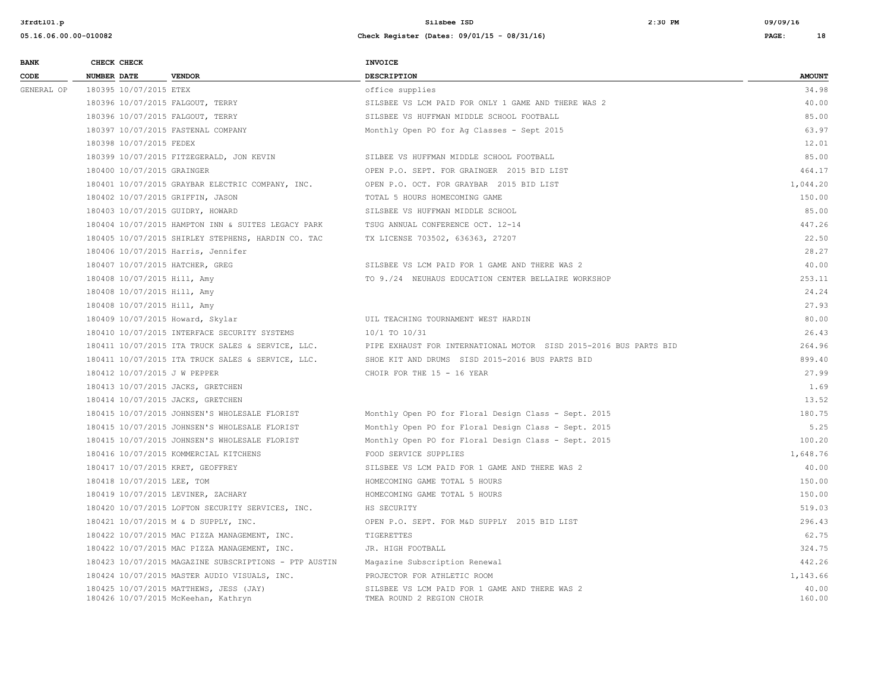| <b>BANK</b> |                    | CHECK CHECK                 |                                                                               | <b>INVOICE</b>                                                              |                 |
|-------------|--------------------|-----------------------------|-------------------------------------------------------------------------------|-----------------------------------------------------------------------------|-----------------|
| CODE        | <b>NUMBER DATE</b> |                             | <b>VENDOR</b>                                                                 | <b>DESCRIPTION</b>                                                          | <b>AMOUNT</b>   |
| GENERAL OP  |                    | 180395 10/07/2015 ETEX      |                                                                               | office supplies                                                             | 34.98           |
|             |                    |                             | 180396 10/07/2015 FALGOUT, TERRY                                              | SILSBEE VS LCM PAID FOR ONLY 1 GAME AND THERE WAS 2                         | 40.00           |
|             |                    |                             | 180396 10/07/2015 FALGOUT, TERRY                                              | SILSBEE VS HUFFMAN MIDDLE SCHOOL FOOTBALL                                   | 85.00           |
|             |                    |                             | 180397 10/07/2015 FASTENAL COMPANY                                            | Monthly Open PO for Ag Classes - Sept 2015                                  | 63.97           |
|             |                    | 180398 10/07/2015 FEDEX     |                                                                               |                                                                             | 12.01           |
|             |                    |                             | 180399 10/07/2015 FITZEGERALD, JON KEVIN                                      | SILBEE VS HUFFMAN MIDDLE SCHOOL FOOTBALL                                    | 85.00           |
|             |                    | 180400 10/07/2015 GRAINGER  |                                                                               | OPEN P.O. SEPT. FOR GRAINGER 2015 BID LIST                                  | 464.17          |
|             |                    |                             | 180401 10/07/2015 GRAYBAR ELECTRIC COMPANY, INC.                              | OPEN P.O. OCT. FOR GRAYBAR 2015 BID LIST                                    | 1,044.20        |
|             |                    |                             | 180402 10/07/2015 GRIFFIN, JASON                                              | TOTAL 5 HOURS HOMECOMING GAME                                               | 150.00          |
|             |                    |                             | 180403 10/07/2015 GUIDRY, HOWARD                                              | SILSBEE VS HUFFMAN MIDDLE SCHOOL                                            | 85.00           |
|             |                    |                             | 180404 10/07/2015 HAMPTON INN & SUITES LEGACY PARK                            | TSUG ANNUAL CONFERENCE OCT. 12-14                                           | 447.26          |
|             |                    |                             | 180405 10/07/2015 SHIRLEY STEPHENS, HARDIN CO. TAC                            | TX LICENSE 703502, 636363, 27207                                            | 22.50           |
|             |                    |                             | 180406 10/07/2015 Harris, Jennifer                                            |                                                                             | 28.27           |
|             |                    |                             | 180407 10/07/2015 HATCHER, GREG                                               | SILSBEE VS LCM PAID FOR 1 GAME AND THERE WAS 2                              | 40.00           |
|             |                    | 180408 10/07/2015 Hill, Amy |                                                                               | TO 9./24 NEUHAUS EDUCATION CENTER BELLAIRE WORKSHOP                         | 253.11          |
|             |                    | 180408 10/07/2015 Hill, Amy |                                                                               |                                                                             | 24.24           |
|             |                    | 180408 10/07/2015 Hill, Amy |                                                                               |                                                                             | 27.93           |
|             |                    |                             | 180409 10/07/2015 Howard, Skylar                                              | UIL TEACHING TOURNAMENT WEST HARDIN                                         | 80.00           |
|             |                    |                             | 180410 10/07/2015 INTERFACE SECURITY SYSTEMS                                  | 10/1 TO 10/31                                                               | 26.43           |
|             |                    |                             | 180411 10/07/2015 ITA TRUCK SALES & SERVICE, LLC.                             | PIPE EXHAUST FOR INTERNATIONAL MOTOR SISD 2015-2016 BUS PARTS BID           | 264.96          |
|             |                    |                             | 180411 10/07/2015 ITA TRUCK SALES & SERVICE, LLC.                             | SHOE KIT AND DRUMS SISD 2015-2016 BUS PARTS BID                             | 899.40          |
|             |                    |                             | 180412 10/07/2015 J W PEPPER                                                  | CHOIR FOR THE 15 - 16 YEAR                                                  | 27.99           |
|             |                    |                             | 180413 10/07/2015 JACKS, GRETCHEN                                             |                                                                             | 1.69            |
|             |                    |                             | 180414 10/07/2015 JACKS, GRETCHEN                                             |                                                                             | 13.52           |
|             |                    |                             | 180415 10/07/2015 JOHNSEN'S WHOLESALE FLORIST                                 | Monthly Open PO for Floral Design Class - Sept. 2015                        | 180.75          |
|             |                    |                             | 180415 10/07/2015 JOHNSEN'S WHOLESALE FLORIST                                 | Monthly Open PO for Floral Design Class - Sept. 2015                        | 5.25            |
|             |                    |                             | 180415 10/07/2015 JOHNSEN'S WHOLESALE FLORIST                                 | Monthly Open PO for Floral Design Class - Sept. 2015                        | 100.20          |
|             |                    |                             | 180416 10/07/2015 KOMMERCIAL KITCHENS                                         | FOOD SERVICE SUPPLIES                                                       | 1,648.76        |
|             |                    |                             | 180417 10/07/2015 KRET, GEOFFREY                                              | SILSBEE VS LCM PAID FOR 1 GAME AND THERE WAS 2                              | 40.00           |
|             |                    | 180418 10/07/2015 LEE, TOM  |                                                                               | HOMECOMING GAME TOTAL 5 HOURS                                               | 150.00          |
|             |                    |                             | 180419 10/07/2015 LEVINER, ZACHARY                                            | HOMECOMING GAME TOTAL 5 HOURS                                               | 150.00          |
|             |                    |                             | 180420 10/07/2015 LOFTON SECURITY SERVICES, INC.                              | HS SECURITY                                                                 | 519.03          |
|             |                    |                             | 180421 10/07/2015 M & D SUPPLY, INC.                                          | OPEN P.O. SEPT. FOR M&D SUPPLY 2015 BID LIST                                | 296.43          |
|             |                    |                             | 180422 10/07/2015 MAC PIZZA MANAGEMENT, INC.                                  | TIGERETTES                                                                  | 62.75           |
|             |                    |                             | 180422 10/07/2015 MAC PIZZA MANAGEMENT, INC.                                  | JR. HIGH FOOTBALL                                                           | 324.75          |
|             |                    |                             | 180423 10/07/2015 MAGAZINE SUBSCRIPTIONS - PTP AUSTIN                         | Magazine Subscription Renewal                                               | 442.26          |
|             |                    |                             | 180424 10/07/2015 MASTER AUDIO VISUALS, INC.                                  | PROJECTOR FOR ATHLETIC ROOM                                                 | 1,143.66        |
|             |                    |                             | 180425 10/07/2015 MATTHEWS, JESS (JAY)<br>180426 10/07/2015 McKeehan, Kathryn | SILSBEE VS LCM PAID FOR 1 GAME AND THERE WAS 2<br>TMEA ROUND 2 REGION CHOIR | 40.00<br>160.00 |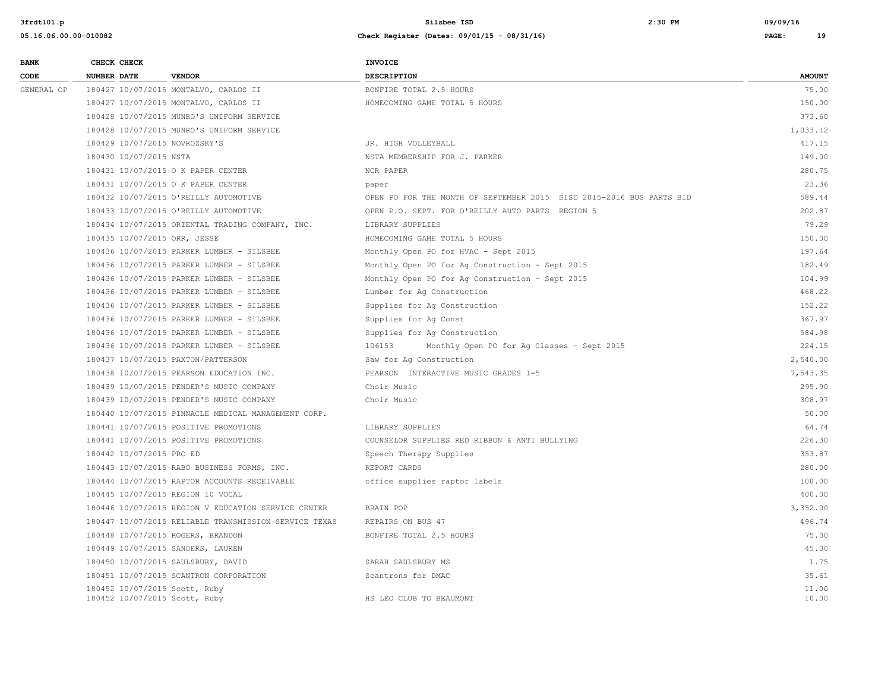| <b>BANK</b> | CHECK CHECK                       |                                                       | <b>INVOICE</b>                                                       |               |
|-------------|-----------------------------------|-------------------------------------------------------|----------------------------------------------------------------------|---------------|
| CODE        | <b>NUMBER DATE</b>                | <b>VENDOR</b>                                         | DESCRIPTION                                                          | <b>AMOUNT</b> |
| GENERAL OP  |                                   | 180427 10/07/2015 MONTALVO, CARLOS II                 | BONFIRE TOTAL 2.5 HOURS                                              | 75.00         |
|             |                                   | 180427 10/07/2015 MONTALVO, CARLOS II                 | HOMECOMING GAME TOTAL 5 HOURS                                        | 150.00        |
|             |                                   | 180428 10/07/2015 MUNRO'S UNIFORM SERVICE             |                                                                      | 373.60        |
|             |                                   | 180428 10/07/2015 MUNRO'S UNIFORM SERVICE             |                                                                      | 1,033.12      |
|             | 180429 10/07/2015 NOVROZSKY'S     |                                                       | JR. HIGH VOLLEYBALL                                                  | 417.15        |
|             | 180430 10/07/2015 NSTA            |                                                       | NSTA MEMBERSHIP FOR J. PARKER                                        | 149.00        |
|             |                                   | 180431 10/07/2015 O K PAPER CENTER                    | NCR PAPER                                                            | 280.75        |
|             |                                   | 180431 10/07/2015 O K PAPER CENTER                    | paper                                                                | 23.36         |
|             |                                   | 180432 10/07/2015 O'REILLY AUTOMOTIVE                 | OPEN PO FOR THE MONTH OF SEPTEMBER 2015 SISD 2015-2016 BUS PARTS BID | 589.44        |
|             |                                   | 180433 10/07/2015 O'REILLY AUTOMOTIVE                 | OPEN P.O. SEPT. FOR O'REILLY AUTO PARTS REGION 5                     | 202.87        |
|             |                                   | 180434 10/07/2015 ORIENTAL TRADING COMPANY, INC.      | LIBRARY SUPPLIES                                                     | 79.29         |
|             | 180435 10/07/2015 ORR, JESSE      |                                                       | HOMECOMING GAME TOTAL 5 HOURS                                        | 150.00        |
|             |                                   | 180436 10/07/2015 PARKER LUMBER - SILSBEE             | Monthly Open PO for HVAC - Sept 2015                                 | 197.64        |
|             |                                   | 180436 10/07/2015 PARKER LUMBER - SILSBEE             | Monthly Open PO for Ag Construction - Sept 2015                      | 182.49        |
|             |                                   | 180436 10/07/2015 PARKER LUMBER - SILSBEE             | Monthly Open PO for Aq Construction - Sept 2015                      | 104.99        |
|             |                                   | 180436 10/07/2015 PARKER LUMBER - SILSBEE             | Lumber for Ag Construction                                           | 468.22        |
|             |                                   | 180436 10/07/2015 PARKER LUMBER - SILSBEE             | Supplies for Ag Construction                                         | 152.22        |
|             |                                   | 180436 10/07/2015 PARKER LUMBER - SILSBEE             | Supplies for Ag Const                                                | 367.97        |
|             |                                   | 180436 10/07/2015 PARKER LUMBER - SILSBEE             | Supplies for Ag Construction                                         | 584.98        |
|             |                                   | 180436 10/07/2015 PARKER LUMBER - SILSBEE             | 106153<br>Monthly Open PO for Ag Classes - Sept 2015                 | 224.15        |
|             |                                   | 180437 10/07/2015 PAXTON/PATTERSON                    | Saw for Aq Construction                                              | 2,540.00      |
|             |                                   | 180438 10/07/2015 PEARSON EDUCATION INC.              | PEARSON INTERACTIVE MUSIC GRADES 1-5                                 | 7,543.35      |
|             |                                   | 180439 10/07/2015 PENDER'S MUSIC COMPANY              | Choir Music                                                          | 295.90        |
|             |                                   | 180439 10/07/2015 PENDER'S MUSIC COMPANY              | Choir Music                                                          | 308.97        |
|             |                                   | 180440 10/07/2015 PINNACLE MEDICAL MANAGEMENT CORP.   |                                                                      | 50.00         |
|             |                                   | 180441 10/07/2015 POSITIVE PROMOTIONS                 | LIBRARY SUPPLIES                                                     | 64.74         |
|             |                                   | 180441 10/07/2015 POSITIVE PROMOTIONS                 | COUNSELOR SUPPLIES RED RIBBON & ANTI BULLYING                        | 226.30        |
|             | 180442 10/07/2015 PRO ED          |                                                       | Speech Therapy Supplies                                              | 353.87        |
|             |                                   | 180443 10/07/2015 RABO BUSINESS FORMS, INC.           | REPORT CARDS                                                         | 280.00        |
|             |                                   | 180444 10/07/2015 RAPTOR ACCOUNTS RECEIVABLE          | office supplies raptor labels                                        | 100.00        |
|             | 180445 10/07/2015 REGION 10 VOCAL |                                                       |                                                                      | 400.00        |
|             |                                   | 180446 10/07/2015 REGION V EDUCATION SERVICE CENTER   | BRAIN POP                                                            | 3,352.00      |
|             |                                   | 180447 10/07/2015 RELIABLE TRANSMISSION SERVICE TEXAS | REPAIRS ON BUS 47                                                    | 496.74        |
|             | 180448 10/07/2015 ROGERS, BRANDON |                                                       | BONFIRE TOTAL 2.5 HOURS                                              | 75.00         |
|             |                                   | 180449 10/07/2015 SANDERS, LAUREN                     |                                                                      | 45.00         |
|             |                                   | 180450 10/07/2015 SAULSBURY, DAVID                    | SARAH SAULSBURY MS                                                   | 1.75          |
|             |                                   | 180451 10/07/2015 SCANTRON CORPORATION                | Scantrons for DMAC                                                   | 35.61         |
|             | 180452 10/07/2015 Scott, Ruby     |                                                       |                                                                      | 11.00         |
|             | 180452 10/07/2015 Scott, Ruby     |                                                       | HS LEO CLUB TO BEAUMONT                                              | 10.00         |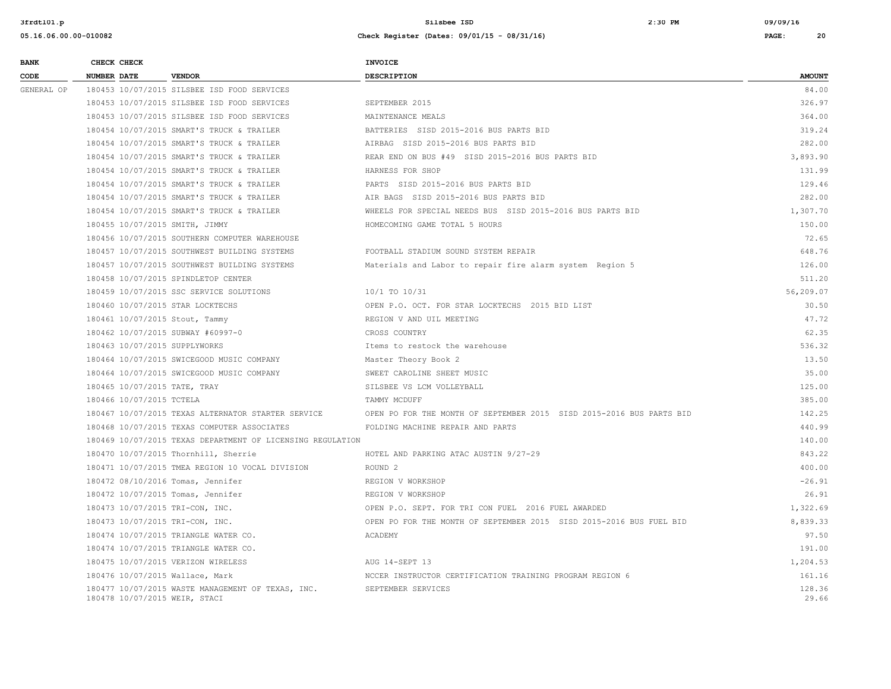| <b>BANK</b> | CHECK CHECK                      |                                                            | <b>INVOICE</b>                                                       |                 |
|-------------|----------------------------------|------------------------------------------------------------|----------------------------------------------------------------------|-----------------|
| CODE        | NUMBER DATE                      | <b>VENDOR</b>                                              | <b>DESCRIPTION</b>                                                   | <b>AMOUNT</b>   |
| GENERAL OP  |                                  | 180453 10/07/2015 SILSBEE ISD FOOD SERVICES                |                                                                      | 84.00           |
|             |                                  | 180453 10/07/2015 SILSBEE ISD FOOD SERVICES                | SEPTEMBER 2015                                                       | 326.97          |
|             |                                  | 180453 10/07/2015 SILSBEE ISD FOOD SERVICES                | MAINTENANCE MEALS                                                    | 364.00          |
|             |                                  | 180454 10/07/2015 SMART'S TRUCK & TRAILER                  | BATTERIES SISD 2015-2016 BUS PARTS BID                               | 319.24          |
|             |                                  | 180454 10/07/2015 SMART'S TRUCK & TRAILER                  | AIRBAG SISD 2015-2016 BUS PARTS BID                                  | 282.00          |
|             |                                  | 180454 10/07/2015 SMART'S TRUCK & TRAILER                  | REAR END ON BUS #49 SISD 2015-2016 BUS PARTS BID                     | 3,893.90        |
|             |                                  | 180454 10/07/2015 SMART'S TRUCK & TRAILER                  | HARNESS FOR SHOP                                                     | 131.99          |
|             |                                  | 180454 10/07/2015 SMART'S TRUCK & TRAILER                  | PARTS SISD 2015-2016 BUS PARTS BID                                   | 129.46          |
|             |                                  | 180454 10/07/2015 SMART'S TRUCK & TRAILER                  | AIR BAGS SISD 2015-2016 BUS PARTS BID                                | 282.00          |
|             |                                  | 180454 10/07/2015 SMART'S TRUCK & TRAILER                  | WHEELS FOR SPECIAL NEEDS BUS SISD 2015-2016 BUS PARTS BID            | 1,307.70        |
|             | 180455 10/07/2015 SMITH, JIMMY   |                                                            | HOMECOMING GAME TOTAL 5 HOURS                                        | 150.00          |
|             |                                  | 180456 10/07/2015 SOUTHERN COMPUTER WAREHOUSE              |                                                                      | 72.65           |
|             |                                  | 180457 10/07/2015 SOUTHWEST BUILDING SYSTEMS               | FOOTBALL STADIUM SOUND SYSTEM REPAIR                                 | 648.76          |
|             |                                  | 180457 10/07/2015 SOUTHWEST BUILDING SYSTEMS               | Materials and Labor to repair fire alarm system Region 5             | 126.00          |
|             |                                  | 180458 10/07/2015 SPINDLETOP CENTER                        |                                                                      | 511.20          |
|             |                                  | 180459 10/07/2015 SSC SERVICE SOLUTIONS                    | 10/1 TO 10/31                                                        | 56,209.07       |
|             | 180460 10/07/2015 STAR LOCKTECHS |                                                            | OPEN P.O. OCT. FOR STAR LOCKTECHS 2015 BID LIST                      | 30.50           |
|             | 180461 10/07/2015 Stout, Tammy   |                                                            | REGION V AND UIL MEETING                                             | 47.72           |
|             |                                  | 180462 10/07/2015 SUBWAY #60997-0                          | CROSS COUNTRY                                                        | 62.35           |
|             | 180463 10/07/2015 SUPPLYWORKS    |                                                            | Items to restock the warehouse                                       | 536.32          |
|             |                                  | 180464 10/07/2015 SWICEGOOD MUSIC COMPANY                  | Master Theory Book 2                                                 | 13.50           |
|             |                                  | 180464 10/07/2015 SWICEGOOD MUSIC COMPANY                  | SWEET CAROLINE SHEET MUSIC                                           | 35.00           |
|             | 180465 10/07/2015 TATE, TRAY     |                                                            | SILSBEE VS LCM VOLLEYBALL                                            | 125.00          |
|             | 180466 10/07/2015 TCTELA         |                                                            | TAMMY MCDUFF                                                         | 385.00          |
|             |                                  | 180467 10/07/2015 TEXAS ALTERNATOR STARTER SERVICE         | OPEN PO FOR THE MONTH OF SEPTEMBER 2015 SISD 2015-2016 BUS PARTS BID | 142.25          |
|             |                                  | 180468 10/07/2015 TEXAS COMPUTER ASSOCIATES                | FOLDING MACHINE REPAIR AND PARTS                                     | 440.99          |
|             |                                  | 180469 10/07/2015 TEXAS DEPARTMENT OF LICENSING REGULATION |                                                                      | 140.00          |
|             |                                  | 180470 10/07/2015 Thornhill, Sherrie                       | HOTEL AND PARKING ATAC AUSTIN 9/27-29                                | 843.22          |
|             |                                  | 180471 10/07/2015 TMEA REGION 10 VOCAL DIVISION            | ROUND <sub>2</sub>                                                   | 400.00          |
|             |                                  | 180472 08/10/2016 Tomas, Jennifer                          | REGION V WORKSHOP                                                    | $-26.91$        |
|             |                                  | 180472 10/07/2015 Tomas, Jennifer                          | REGION V WORKSHOP                                                    | 26.91           |
|             | 180473 10/07/2015 TRI-CON, INC.  |                                                            | OPEN P.O. SEPT. FOR TRI CON FUEL 2016 FUEL AWARDED                   | 1,322.69        |
|             | 180473 10/07/2015 TRI-CON, INC.  |                                                            | OPEN PO FOR THE MONTH OF SEPTEMBER 2015 SISD 2015-2016 BUS FUEL BID  | 8,839.33        |
|             |                                  | 180474 10/07/2015 TRIANGLE WATER CO.                       | ACADEMY                                                              | 97.50           |
|             |                                  | 180474 10/07/2015 TRIANGLE WATER CO.                       |                                                                      | 191.00          |
|             |                                  | 180475 10/07/2015 VERIZON WIRELESS                         | AUG 14-SEPT 13                                                       | 1,204.53        |
|             | 180476 10/07/2015 Wallace, Mark  |                                                            | NCCER INSTRUCTOR CERTIFICATION TRAINING PROGRAM REGION 6             | 161.16          |
|             | 180478 10/07/2015 WEIR, STACI    | 180477 10/07/2015 WASTE MANAGEMENT OF TEXAS, INC.          | SEPTEMBER SERVICES                                                   | 128.36<br>29.66 |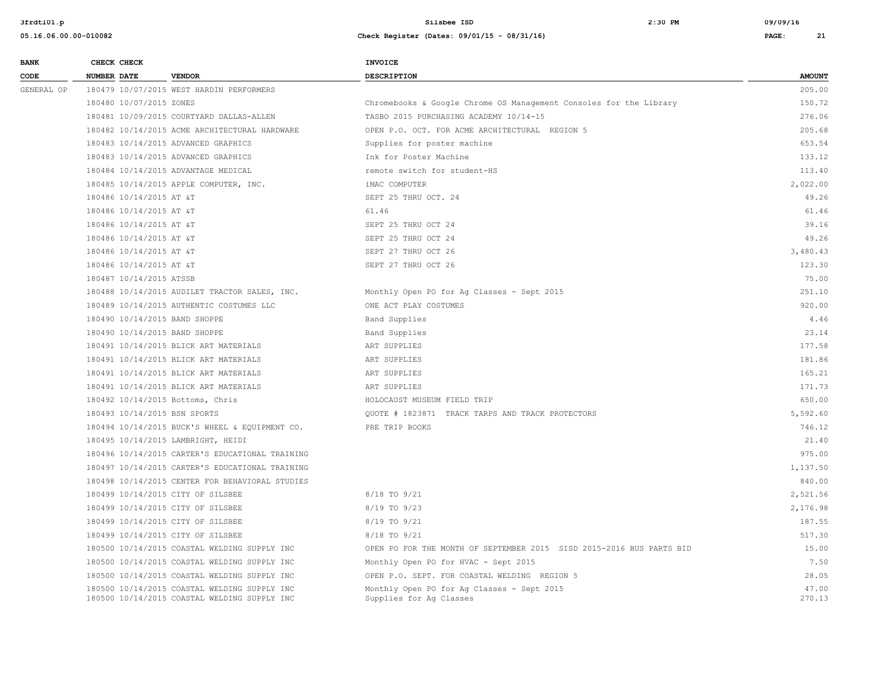| <b>BANK</b> | CHECK CHECK                       |                                                                                              | <b>INVOICE</b>                                                        |                 |
|-------------|-----------------------------------|----------------------------------------------------------------------------------------------|-----------------------------------------------------------------------|-----------------|
| CODE        | <b>NUMBER DATE</b>                | <b>VENDOR</b>                                                                                | <b>DESCRIPTION</b>                                                    | <b>AMOUNT</b>   |
| GENERAL OP  |                                   | 180479 10/07/2015 WEST HARDIN PERFORMERS                                                     |                                                                       | 205.00          |
|             | 180480 10/07/2015 ZONES           |                                                                                              | Chromebooks & Google Chrome OS Management Consoles for the Library    | 150.72          |
|             |                                   | 180481 10/09/2015 COURTYARD DALLAS-ALLEN                                                     | TASBO 2015 PURCHASING ACADEMY 10/14-15                                | 276.06          |
|             |                                   | 180482 10/14/2015 ACME ARCHITECTURAL HARDWARE                                                | OPEN P.O. OCT. FOR ACME ARCHITECTURAL REGION 5                        | 205.68          |
|             |                                   | 180483 10/14/2015 ADVANCED GRAPHICS                                                          | Supplies for poster machine                                           | 653.54          |
|             |                                   | 180483 10/14/2015 ADVANCED GRAPHICS                                                          | Ink for Poster Machine                                                | 133.12          |
|             |                                   | 180484 10/14/2015 ADVANTAGE MEDICAL                                                          | remote switch for student-HS                                          | 113.40          |
|             |                                   | 180485 10/14/2015 APPLE COMPUTER, INC.                                                       | iMAC COMPUTER                                                         | 2,022.00        |
|             | 180486 10/14/2015 AT &T           |                                                                                              | SEPT 25 THRU OCT. 24                                                  | 49.26           |
|             | 180486 10/14/2015 AT &T           |                                                                                              | 61.46                                                                 | 61.46           |
|             | 180486 10/14/2015 AT &T           |                                                                                              | SEPT 25 THRU OCT 24                                                   | 39.16           |
|             | 180486 10/14/2015 AT &T           |                                                                                              | SEPT 25 THRU OCT 24                                                   | 49.26           |
|             | 180486 10/14/2015 AT &T           |                                                                                              | SEPT 27 THRU OCT 26                                                   | 3,480.43        |
|             | 180486 10/14/2015 AT &T           |                                                                                              | SEPT 27 THRU OCT 26                                                   | 123.30          |
|             | 180487 10/14/2015 ATSSB           |                                                                                              |                                                                       | 75.00           |
|             |                                   | 180488 10/14/2015 AUDILET TRACTOR SALES, INC.                                                | Monthly Open PO for Ag Classes - Sept 2015                            | 251.10          |
|             |                                   | 180489 10/14/2015 AUTHENTIC COSTUMES LLC                                                     | ONE ACT PLAY COSTUMES                                                 | 920.00          |
|             | 180490 10/14/2015 BAND SHOPPE     |                                                                                              | Band Supplies                                                         | 4.46            |
|             | 180490 10/14/2015 BAND SHOPPE     |                                                                                              | Band Supplies                                                         | 23.14           |
|             |                                   | 180491 10/14/2015 BLICK ART MATERIALS                                                        | ART SUPPLIES                                                          | 177.58          |
|             |                                   | 180491 10/14/2015 BLICK ART MATERIALS                                                        | ART SUPPLIES                                                          | 181.86          |
|             |                                   | 180491 10/14/2015 BLICK ART MATERIALS                                                        | ART SUPPLIES                                                          | 165.21          |
|             |                                   | 180491 10/14/2015 BLICK ART MATERIALS                                                        | ART SUPPLIES                                                          | 171.73          |
|             | 180492 10/14/2015 Bottoms, Chris  |                                                                                              | HOLOCAUST MUSEUM FIELD TRIP                                           | 650.00          |
|             | 180493 10/14/2015 BSN SPORTS      |                                                                                              | OUOTE # 1823871 TRACK TARPS AND TRACK PROTECTORS                      | 5,592.60        |
|             |                                   | 180494 10/14/2015 BUCK'S WHEEL & EQUIPMENT CO.                                               | PRE TRIP BOOKS                                                        | 746.12          |
|             |                                   | 180495 10/14/2015 LAMBRIGHT, HEIDI                                                           |                                                                       | 21.40           |
|             |                                   | 180496 10/14/2015 CARTER'S EDUCATIONAL TRAINING                                              |                                                                       | 975.00          |
|             |                                   | 180497 10/14/2015 CARTER'S EDUCATIONAL TRAINING                                              |                                                                       | 1,137.50        |
|             |                                   | 180498 10/14/2015 CENTER FOR BEHAVIORAL STUDIES                                              |                                                                       | 840.00          |
|             | 180499 10/14/2015 CITY OF SILSBEE |                                                                                              | 8/18 TO 9/21                                                          | 2,521.56        |
|             |                                   | 180499 10/14/2015 CITY OF SILSBEE                                                            | $8/19$ TO $9/23$                                                      | 2,176.98        |
|             |                                   | 180499 10/14/2015 CITY OF SILSBEE                                                            | 8/19 TO 9/21                                                          | 187.55          |
|             |                                   | 180499 10/14/2015 CITY OF SILSBEE                                                            | 8/18 TO 9/21                                                          | 517.30          |
|             |                                   | 180500 10/14/2015 COASTAL WELDING SUPPLY INC                                                 | OPEN PO FOR THE MONTH OF SEPTEMBER 2015 SISD 2015-2016 BUS PARTS BID  | 15.00           |
|             |                                   | 180500 10/14/2015 COASTAL WELDING SUPPLY INC                                                 | Monthly Open PO for HVAC - Sept 2015                                  | 7.50            |
|             |                                   | 180500 10/14/2015 COASTAL WELDING SUPPLY INC                                                 | OPEN P.O. SEPT. FOR COASTAL WELDING REGION 5                          | 28.05           |
|             |                                   | 180500 10/14/2015 COASTAL WELDING SUPPLY INC<br>180500 10/14/2015 COASTAL WELDING SUPPLY INC | Monthly Open PO for Ag Classes - Sept 2015<br>Supplies for Ag Classes | 47.00<br>270.13 |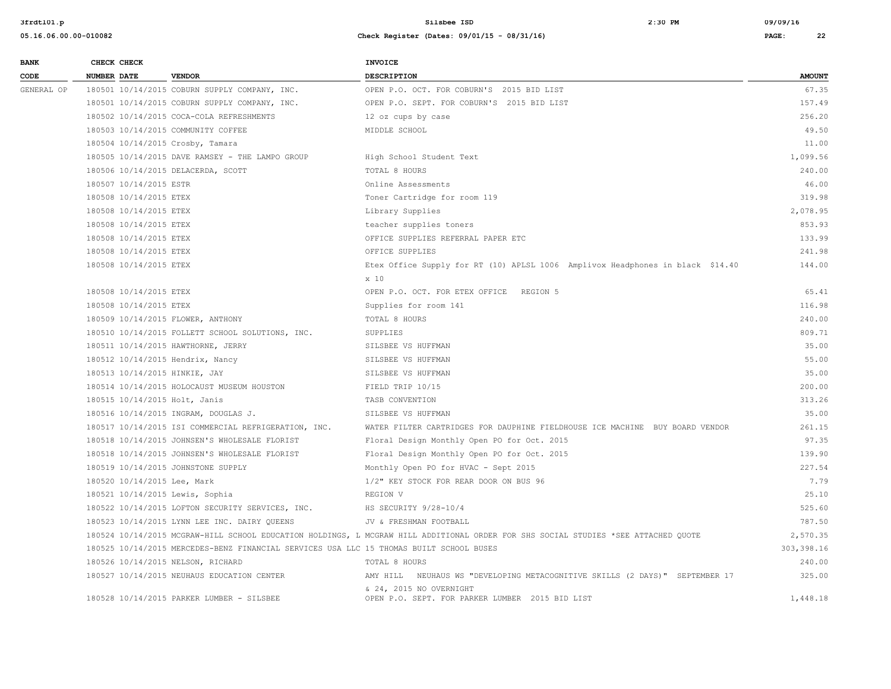| <b>BANK</b> | CHECK CHECK                        |                                                                                         | <b>INVOICE</b>                                                                                                                     |               |
|-------------|------------------------------------|-----------------------------------------------------------------------------------------|------------------------------------------------------------------------------------------------------------------------------------|---------------|
| CODE        | NUMBER DATE                        | <b>VENDOR</b>                                                                           | <b>DESCRIPTION</b>                                                                                                                 | <b>AMOUNT</b> |
| GENERAL OP  |                                    | 180501 10/14/2015 COBURN SUPPLY COMPANY, INC.                                           | OPEN P.O. OCT. FOR COBURN'S 2015 BID LIST                                                                                          | 67.35         |
|             |                                    | 180501 10/14/2015 COBURN SUPPLY COMPANY, INC.                                           | OPEN P.O. SEPT. FOR COBURN'S 2015 BID LIST                                                                                         | 157.49        |
|             |                                    | 180502 10/14/2015 COCA-COLA REFRESHMENTS                                                | 12 oz cups by case                                                                                                                 | 256.20        |
|             | 180503 10/14/2015 COMMUNITY COFFEE |                                                                                         | MIDDLE SCHOOL                                                                                                                      | 49.50         |
|             | 180504 10/14/2015 Crosby, Tamara   |                                                                                         |                                                                                                                                    | 11.00         |
|             |                                    | 180505 10/14/2015 DAVE RAMSEY - THE LAMPO GROUP                                         | High School Student Text                                                                                                           | 1,099.56      |
|             | 180506 10/14/2015 DELACERDA, SCOTT |                                                                                         | TOTAL 8 HOURS                                                                                                                      | 240.00        |
|             | 180507 10/14/2015 ESTR             |                                                                                         | Online Assessments                                                                                                                 | 46.00         |
|             | 180508 10/14/2015 ETEX             |                                                                                         | Toner Cartridge for room 119                                                                                                       | 319.98        |
|             | 180508 10/14/2015 ETEX             |                                                                                         | Library Supplies                                                                                                                   | 2,078.95      |
|             | 180508 10/14/2015 ETEX             |                                                                                         | teacher supplies toners                                                                                                            | 853.93        |
|             | 180508 10/14/2015 ETEX             |                                                                                         | OFFICE SUPPLIES REFERRAL PAPER ETC                                                                                                 | 133.99        |
|             | 180508 10/14/2015 ETEX             |                                                                                         | OFFICE SUPPLIES                                                                                                                    | 241.98        |
|             | 180508 10/14/2015 ETEX             |                                                                                         | Etex Office Supply for RT (10) APLSL 1006 Amplivox Headphones in black \$14.40                                                     | 144.00        |
|             |                                    |                                                                                         | x 10                                                                                                                               |               |
|             | 180508 10/14/2015 ETEX             |                                                                                         | OPEN P.O. OCT. FOR ETEX OFFICE REGION 5                                                                                            | 65.41         |
|             | 180508 10/14/2015 ETEX             |                                                                                         | Supplies for room 141                                                                                                              | 116.98        |
|             | 180509 10/14/2015 FLOWER, ANTHONY  |                                                                                         | TOTAL 8 HOURS                                                                                                                      | 240.00        |
|             |                                    | 180510 10/14/2015 FOLLETT SCHOOL SOLUTIONS, INC.                                        | SUPPLIES                                                                                                                           | 809.71        |
|             | 180511 10/14/2015 HAWTHORNE, JERRY |                                                                                         | SILSBEE VS HUFFMAN                                                                                                                 | 35.00         |
|             | 180512 10/14/2015 Hendrix, Nancy   |                                                                                         | SILSBEE VS HUFFMAN                                                                                                                 | 55.00         |
|             | 180513 10/14/2015 HINKIE, JAY      |                                                                                         | SILSBEE VS HUFFMAN                                                                                                                 | 35.00         |
|             |                                    | 180514 10/14/2015 HOLOCAUST MUSEUM HOUSTON                                              | FIELD TRIP 10/15                                                                                                                   | 200.00        |
|             | 180515 10/14/2015 Holt, Janis      |                                                                                         | TASB CONVENTION                                                                                                                    | 313.26        |
|             |                                    | 180516 10/14/2015 INGRAM, DOUGLAS J.                                                    | SILSBEE VS HUFFMAN                                                                                                                 | 35.00         |
|             |                                    | 180517 10/14/2015 ISI COMMERCIAL REFRIGERATION, INC.                                    | WATER FILTER CARTRIDGES FOR DAUPHINE FIELDHOUSE ICE MACHINE BUY BOARD VENDOR                                                       | 261.15        |
|             |                                    | 180518 10/14/2015 JOHNSEN'S WHOLESALE FLORIST                                           | Floral Design Monthly Open PO for Oct. 2015                                                                                        | 97.35         |
|             |                                    | 180518 10/14/2015 JOHNSEN'S WHOLESALE FLORIST                                           | Floral Design Monthly Open PO for Oct. 2015                                                                                        | 139.90        |
|             | 180519 10/14/2015 JOHNSTONE SUPPLY |                                                                                         | Monthly Open PO for HVAC - Sept 2015                                                                                               | 227.54        |
|             | 180520 10/14/2015 Lee, Mark        |                                                                                         | 1/2" KEY STOCK FOR REAR DOOR ON BUS 96                                                                                             | 7.79          |
|             | 180521 10/14/2015 Lewis, Sophia    |                                                                                         | REGION V                                                                                                                           | 25.10         |
|             |                                    | 180522 10/14/2015 LOFTON SECURITY SERVICES, INC.                                        | HS SECURITY 9/28-10/4                                                                                                              | 525.60        |
|             |                                    | 180523 10/14/2015 LYNN LEE INC. DAIRY QUEENS                                            | JV & FRESHMAN FOOTBALL                                                                                                             | 787.50        |
|             |                                    |                                                                                         | 180524 10/14/2015 MCGRAW-HILL SCHOOL EDUCATION HOLDINGS, L MCGRAW HILL ADDITIONAL ORDER FOR SHS SOCIAL STUDIES *SEE ATTACHED QUOTE | 2,570.35      |
|             |                                    | 180525 10/14/2015 MERCEDES-BENZ FINANCIAL SERVICES USA LLC 15 THOMAS BUILT SCHOOL BUSES |                                                                                                                                    | 303, 398.16   |
|             | 180526 10/14/2015 NELSON, RICHARD  |                                                                                         | TOTAL 8 HOURS                                                                                                                      | 240.00        |
|             |                                    | 180527 10/14/2015 NEUHAUS EDUCATION CENTER                                              | AMY HILL NEUHAUS WS "DEVELOPING METACOGNITIVE SKILLS (2 DAYS)" SEPTEMBER 17                                                        | 325.00        |
|             |                                    | 180528 10/14/2015 PARKER LUMBER - SILSBEE                                               | & 24, 2015 NO OVERNIGHT<br>OPEN P.O. SEPT. FOR PARKER LUMBER 2015 BID LIST                                                         | 1,448.18      |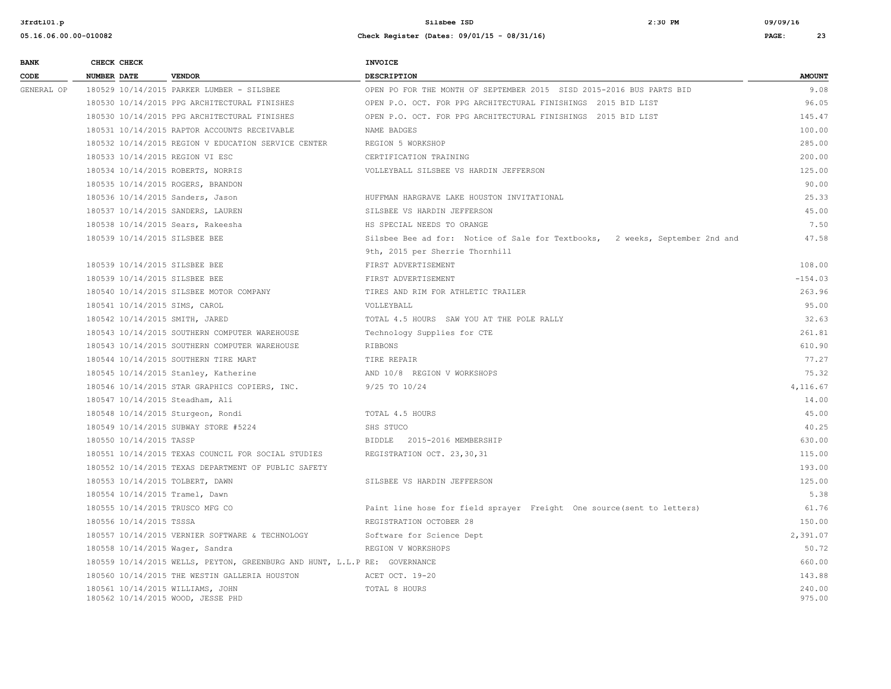| <b>BANK</b> | CHECK CHECK                                                           |                                                                           | <b>INVOICE</b>                                                               |                  |
|-------------|-----------------------------------------------------------------------|---------------------------------------------------------------------------|------------------------------------------------------------------------------|------------------|
| CODE        | <b>NUMBER DATE</b>                                                    | <b>VENDOR</b>                                                             | <b>DESCRIPTION</b>                                                           | <b>AMOUNT</b>    |
| GENERAL OP  |                                                                       | 180529 10/14/2015 PARKER LUMBER - SILSBEE                                 | OPEN PO FOR THE MONTH OF SEPTEMBER 2015 SISD 2015-2016 BUS PARTS BID         | 9.08             |
|             |                                                                       | 180530 10/14/2015 PPG ARCHITECTURAL FINISHES                              | OPEN P.O. OCT. FOR PPG ARCHITECTURAL FINISHINGS 2015 BID LIST                | 96.05            |
|             |                                                                       | 180530 10/14/2015 PPG ARCHITECTURAL FINISHES                              | OPEN P.O. OCT. FOR PPG ARCHITECTURAL FINISHINGS 2015 BID LIST                | 145.47           |
|             |                                                                       | 180531 10/14/2015 RAPTOR ACCOUNTS RECEIVABLE                              | NAME BADGES                                                                  | 100.00           |
|             |                                                                       | 180532 10/14/2015 REGION V EDUCATION SERVICE CENTER                       | REGION 5 WORKSHOP                                                            | 285.00           |
|             | 180533 10/14/2015 REGION VI ESC                                       |                                                                           | CERTIFICATION TRAINING                                                       | 200.00           |
|             | 180534 10/14/2015 ROBERTS, NORRIS                                     |                                                                           | VOLLEYBALL SILSBEE VS HARDIN JEFFERSON                                       | 125.00           |
|             | 180535 10/14/2015 ROGERS, BRANDON                                     |                                                                           |                                                                              | 90.00            |
|             | 180536 10/14/2015 Sanders, Jason                                      |                                                                           | HUFFMAN HARGRAVE LAKE HOUSTON INVITATIONAL                                   | 25.33            |
|             | 180537 10/14/2015 SANDERS, LAUREN                                     |                                                                           | SILSBEE VS HARDIN JEFFERSON                                                  | 45.00            |
|             | 180538 10/14/2015 Sears, Rakeesha                                     |                                                                           | HS SPECIAL NEEDS TO ORANGE                                                   | 7.50             |
|             | 180539 10/14/2015 SILSBEE BEE                                         |                                                                           | Silsbee Bee ad for: Notice of Sale for Textbooks, 2 weeks, September 2nd and | 47.58            |
|             |                                                                       |                                                                           | 9th, 2015 per Sherrie Thornhill                                              |                  |
|             | 180539 10/14/2015 SILSBEE BEE                                         |                                                                           | FIRST ADVERTISEMENT                                                          | 108.00           |
|             | 180539 10/14/2015 SILSBEE BEE                                         |                                                                           | FIRST ADVERTISEMENT                                                          | $-154.03$        |
|             |                                                                       | 180540 10/14/2015 SILSBEE MOTOR COMPANY                                   | TIRES AND RIM FOR ATHLETIC TRAILER                                           | 263.96           |
|             | 180541 10/14/2015 SIMS, CAROL                                         |                                                                           | VOLLEYBALL                                                                   | 95.00            |
|             | 180542 10/14/2015 SMITH, JARED                                        |                                                                           | TOTAL 4.5 HOURS SAW YOU AT THE POLE RALLY                                    | 32.63            |
|             |                                                                       | 180543 10/14/2015 SOUTHERN COMPUTER WAREHOUSE                             | Technology Supplies for CTE                                                  | 261.81           |
|             |                                                                       | 180543 10/14/2015 SOUTHERN COMPUTER WAREHOUSE                             | RIBBONS                                                                      | 610.90           |
|             |                                                                       | 180544 10/14/2015 SOUTHERN TIRE MART                                      | TIRE REPAIR                                                                  | 77.27            |
|             |                                                                       | 180545 10/14/2015 Stanley, Katherine                                      | AND 10/8 REGION V WORKSHOPS                                                  | 75.32            |
|             |                                                                       | 180546 10/14/2015 STAR GRAPHICS COPIERS, INC.                             | 9/25 TO 10/24                                                                | 4,116.67         |
|             | 180547 10/14/2015 Steadham, Ali                                       |                                                                           |                                                                              | 14.00            |
|             | 180548 10/14/2015 Sturgeon, Rondi                                     |                                                                           | TOTAL 4.5 HOURS                                                              | 45.00            |
|             |                                                                       | 180549 10/14/2015 SUBWAY STORE #5224                                      | SHS STUCO                                                                    | 40.25            |
|             | 180550 10/14/2015 TASSP                                               |                                                                           | BIDDLE 2015-2016 MEMBERSHIP                                                  | 630.00           |
|             |                                                                       | 180551 10/14/2015 TEXAS COUNCIL FOR SOCIAL STUDIES                        | REGISTRATION OCT. 23,30,31                                                   | 115.00           |
|             |                                                                       | 180552 10/14/2015 TEXAS DEPARTMENT OF PUBLIC SAFETY                       |                                                                              | 193.00           |
|             | 180553 10/14/2015 TOLBERT, DAWN                                       |                                                                           | SILSBEE VS HARDIN JEFFERSON                                                  | 125.00           |
|             | 180554 10/14/2015 Tramel, Dawn                                        |                                                                           |                                                                              | 5.38             |
|             | 180555 10/14/2015 TRUSCO MFG CO                                       |                                                                           | Paint line hose for field sprayer Freight One source (sent to letters)       | 61.76            |
|             | 180556 10/14/2015 TSSSA                                               |                                                                           | REGISTRATION OCTOBER 28                                                      | 150.00           |
|             |                                                                       | 180557 10/14/2015 VERNIER SOFTWARE & TECHNOLOGY                           | Software for Science Dept                                                    | 2,391.07         |
|             | 180558 10/14/2015 Wager, Sandra                                       |                                                                           | REGION V WORKSHOPS                                                           | 50.72            |
|             |                                                                       | 180559 10/14/2015 WELLS, PEYTON, GREENBURG AND HUNT, L.L.P RE: GOVERNANCE |                                                                              | 660.00           |
|             |                                                                       | 180560 10/14/2015 THE WESTIN GALLERIA HOUSTON                             | ACET OCT. 19-20                                                              | 143.88           |
|             | 180561 10/14/2015 WILLIAMS, JOHN<br>180562 10/14/2015 WOOD, JESSE PHD |                                                                           | TOTAL 8 HOURS                                                                | 240.00<br>975.00 |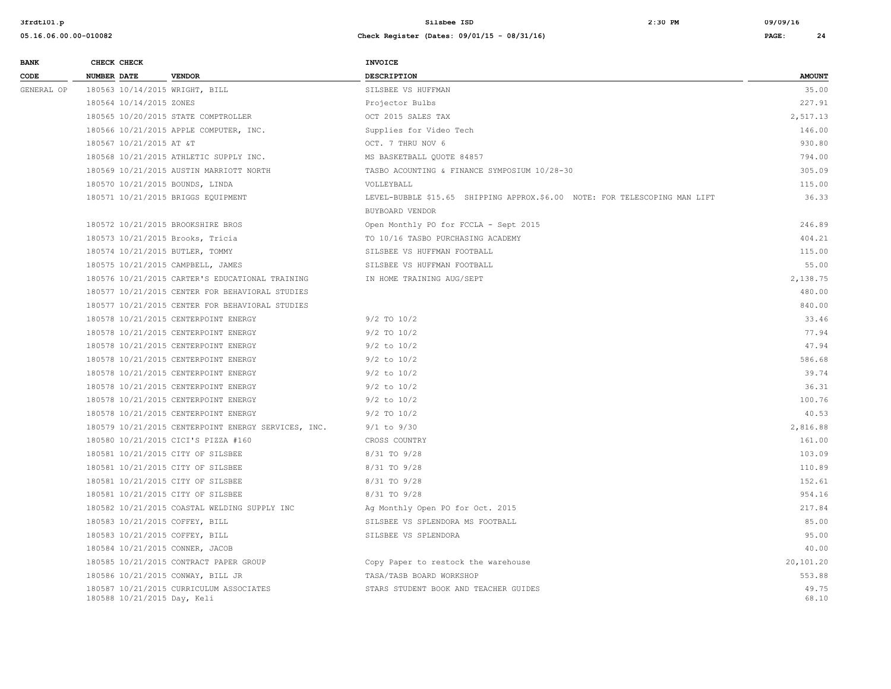| <b>BANK</b> | CHECK CHECK                       |                                                     | <b>INVOICE</b>                                                             |                |
|-------------|-----------------------------------|-----------------------------------------------------|----------------------------------------------------------------------------|----------------|
| CODE        | <b>NUMBER DATE</b>                | <b>VENDOR</b>                                       | <b>DESCRIPTION</b>                                                         | <b>AMOUNT</b>  |
| GENERAL OP  | 180563 10/14/2015 WRIGHT, BILL    |                                                     | SILSBEE VS HUFFMAN                                                         | 35.00          |
|             | 180564 10/14/2015 ZONES           |                                                     | Projector Bulbs                                                            | 227.91         |
|             |                                   | 180565 10/20/2015 STATE COMPTROLLER                 | OCT 2015 SALES TAX                                                         | 2,517.13       |
|             |                                   | 180566 10/21/2015 APPLE COMPUTER, INC.              | Supplies for Video Tech                                                    | 146.00         |
|             | 180567 10/21/2015 AT &T           |                                                     | OCT. 7 THRU NOV 6                                                          | 930.80         |
|             |                                   | 180568 10/21/2015 ATHLETIC SUPPLY INC.              | MS BASKETBALL QUOTE 84857                                                  | 794.00         |
|             |                                   | 180569 10/21/2015 AUSTIN MARRIOTT NORTH             | TASBO ACOUNTING & FINANCE SYMPOSIUM 10/28-30                               | 305.09         |
|             | 180570 10/21/2015 BOUNDS, LINDA   |                                                     | VOLLEYBALL                                                                 | 115.00         |
|             |                                   | 180571 10/21/2015 BRIGGS EQUIPMENT                  | LEVEL-BUBBLE \$15.65 SHIPPING APPROX.\$6.00 NOTE: FOR TELESCOPING MAN LIFT | 36.33          |
|             |                                   |                                                     | BUYBOARD VENDOR                                                            |                |
|             | 180572 10/21/2015 BROOKSHIRE BROS |                                                     | Open Monthly PO for FCCLA - Sept 2015                                      | 246.89         |
|             | 180573 10/21/2015 Brooks, Tricia  |                                                     | TO 10/16 TASBO PURCHASING ACADEMY                                          | 404.21         |
|             | 180574 10/21/2015 BUTLER, TOMMY   |                                                     | SILSBEE VS HUFFMAN FOOTBALL                                                | 115.00         |
|             | 180575 10/21/2015 CAMPBELL, JAMES |                                                     | SILSBEE VS HUFFMAN FOOTBALL                                                | 55.00          |
|             |                                   | 180576 10/21/2015 CARTER'S EDUCATIONAL TRAINING     | IN HOME TRAINING AUG/SEPT                                                  | 2,138.75       |
|             |                                   | 180577 10/21/2015 CENTER FOR BEHAVIORAL STUDIES     |                                                                            | 480.00         |
|             |                                   | 180577 10/21/2015 CENTER FOR BEHAVIORAL STUDIES     |                                                                            | 840.00         |
|             |                                   | 180578 10/21/2015 CENTERPOINT ENERGY                | $9/2$ TO $10/2$                                                            | 33.46          |
|             |                                   | 180578 10/21/2015 CENTERPOINT ENERGY                | $9/2$ TO $10/2$                                                            | 77.94          |
|             |                                   | 180578 10/21/2015 CENTERPOINT ENERGY                | $9/2$ to $10/2$                                                            | 47.94          |
|             |                                   | 180578 10/21/2015 CENTERPOINT ENERGY                | $9/2$ to $10/2$                                                            | 586.68         |
|             |                                   | 180578 10/21/2015 CENTERPOINT ENERGY                | $9/2$ to $10/2$                                                            | 39.74          |
|             |                                   | 180578 10/21/2015 CENTERPOINT ENERGY                | $9/2$ to $10/2$                                                            | 36.31          |
|             |                                   | 180578 10/21/2015 CENTERPOINT ENERGY                | $9/2$ to $10/2$                                                            | 100.76         |
|             |                                   | 180578 10/21/2015 CENTERPOINT ENERGY                | $9/2$ TO $10/2$                                                            | 40.53          |
|             |                                   | 180579 10/21/2015 CENTERPOINT ENERGY SERVICES, INC. | $9/1$ to $9/30$                                                            | 2,816.88       |
|             |                                   | 180580 10/21/2015 CICI'S PIZZA #160                 | CROSS COUNTRY                                                              | 161.00         |
|             | 180581 10/21/2015 CITY OF SILSBEE |                                                     | 8/31 TO 9/28                                                               | 103.09         |
|             | 180581 10/21/2015 CITY OF SILSBEE |                                                     | 8/31 TO 9/28                                                               | 110.89         |
|             | 180581 10/21/2015 CITY OF SILSBEE |                                                     | 8/31 TO 9/28                                                               | 152.61         |
|             | 180581 10/21/2015 CITY OF SILSBEE |                                                     | 8/31 TO 9/28                                                               | 954.16         |
|             |                                   | 180582 10/21/2015 COASTAL WELDING SUPPLY INC        | Ag Monthly Open PO for Oct. 2015                                           | 217.84         |
|             | 180583 10/21/2015 COFFEY, BILL    |                                                     | SILSBEE VS SPLENDORA MS FOOTBALL                                           | 85.00          |
|             | 180583 10/21/2015 COFFEY, BILL    |                                                     | SILSBEE VS SPLENDORA                                                       | 95.00          |
|             | 180584 10/21/2015 CONNER, JACOB   |                                                     |                                                                            | 40.00          |
|             |                                   | 180585 10/21/2015 CONTRACT PAPER GROUP              | Copy Paper to restock the warehouse                                        | 20,101.20      |
|             | 180586 10/21/2015 CONWAY, BILL JR |                                                     | TASA/TASB BOARD WORKSHOP                                                   | 553.88         |
|             | 180588 10/21/2015 Day, Keli       | 180587 10/21/2015 CURRICULUM ASSOCIATES             | STARS STUDENT BOOK AND TEACHER GUIDES                                      | 49.75<br>68.10 |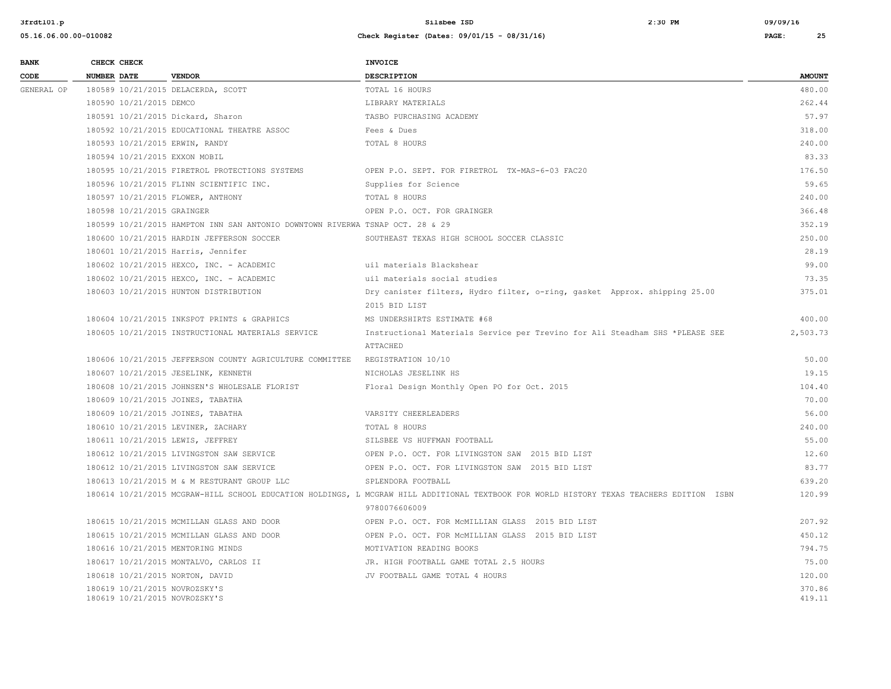| <b>BANK</b> | CHECK CHECK        |                            |                                                                               | <b>INVOICE</b>                                                                                                                           |               |  |
|-------------|--------------------|----------------------------|-------------------------------------------------------------------------------|------------------------------------------------------------------------------------------------------------------------------------------|---------------|--|
| CODE        | <b>NUMBER DATE</b> |                            | <b>VENDOR</b>                                                                 | <b>DESCRIPTION</b>                                                                                                                       | <b>AMOUNT</b> |  |
| GENERAL OP  |                    |                            | 180589 10/21/2015 DELACERDA, SCOTT                                            | TOTAL 16 HOURS                                                                                                                           | 480.00        |  |
|             |                    | 180590 10/21/2015 DEMCO    |                                                                               | LIBRARY MATERIALS                                                                                                                        | 262.44        |  |
|             |                    |                            | 180591 10/21/2015 Dickard, Sharon                                             | TASBO PURCHASING ACADEMY                                                                                                                 | 57.97         |  |
|             |                    |                            | 180592 10/21/2015 EDUCATIONAL THEATRE ASSOC                                   | Fees & Dues                                                                                                                              | 318.00        |  |
|             |                    |                            | 180593 10/21/2015 ERWIN, RANDY                                                | TOTAL 8 HOURS                                                                                                                            | 240.00        |  |
|             |                    |                            | 180594 10/21/2015 EXXON MOBIL                                                 |                                                                                                                                          | 83.33         |  |
|             |                    |                            | 180595 10/21/2015 FIRETROL PROTECTIONS SYSTEMS                                | OPEN P.O. SEPT. FOR FIRETROL TX-MAS-6-03 FAC20                                                                                           | 176.50        |  |
|             |                    |                            | 180596 10/21/2015 FLINN SCIENTIFIC INC.                                       | Supplies for Science                                                                                                                     | 59.65         |  |
|             |                    |                            | 180597 10/21/2015 FLOWER, ANTHONY                                             | TOTAL 8 HOURS                                                                                                                            | 240.00        |  |
|             |                    | 180598 10/21/2015 GRAINGER |                                                                               | OPEN P.O. OCT. FOR GRAINGER                                                                                                              | 366.48        |  |
|             |                    |                            | 180599 10/21/2015 HAMPTON INN SAN ANTONIO DOWNTOWN RIVERWA TSNAP OCT. 28 & 29 |                                                                                                                                          | 352.19        |  |
|             |                    |                            | 180600 10/21/2015 HARDIN JEFFERSON SOCCER                                     | SOUTHEAST TEXAS HIGH SCHOOL SOCCER CLASSIC                                                                                               | 250.00        |  |
|             |                    |                            | 180601 10/21/2015 Harris, Jennifer                                            |                                                                                                                                          | 28.19         |  |
|             |                    |                            | 180602 10/21/2015 HEXCO, INC. - ACADEMIC                                      | uil materials Blackshear                                                                                                                 | 99.00         |  |
|             |                    |                            | 180602 10/21/2015 HEXCO, INC. - ACADEMIC                                      | uil materials social studies                                                                                                             | 73.35         |  |
|             |                    |                            | 180603 10/21/2015 HUNTON DISTRIBUTION                                         | Dry canister filters, Hydro filter, o-ring, gasket Approx. shipping 25.00                                                                | 375.01        |  |
|             |                    |                            |                                                                               | 2015 BID LIST                                                                                                                            |               |  |
|             |                    |                            | 180604 10/21/2015 INKSPOT PRINTS & GRAPHICS                                   | MS UNDERSHIRTS ESTIMATE #68                                                                                                              | 400.00        |  |
|             |                    |                            | 180605 10/21/2015 INSTRUCTIONAL MATERIALS SERVICE                             | Instructional Materials Service per Trevino for Ali Steadham SHS *PLEASE SEE                                                             | 2,503.73      |  |
|             |                    |                            |                                                                               | ATTACHED                                                                                                                                 |               |  |
|             |                    |                            | 180606 10/21/2015 JEFFERSON COUNTY AGRICULTURE COMMITTEE                      | REGISTRATION 10/10                                                                                                                       | 50.00         |  |
|             |                    |                            | 180607 10/21/2015 JESELINK, KENNETH                                           | NICHOLAS JESELINK HS                                                                                                                     | 19.15         |  |
|             |                    |                            | 180608 10/21/2015 JOHNSEN'S WHOLESALE FLORIST                                 | Floral Design Monthly Open PO for Oct. 2015                                                                                              | 104.40        |  |
|             |                    |                            | 180609 10/21/2015 JOINES, TABATHA                                             |                                                                                                                                          | 70.00         |  |
|             |                    |                            | 180609 10/21/2015 JOINES, TABATHA                                             | VARSITY CHEERLEADERS                                                                                                                     | 56.00         |  |
|             |                    |                            | 180610 10/21/2015 LEVINER, ZACHARY                                            | TOTAL 8 HOURS                                                                                                                            | 240.00        |  |
|             |                    |                            | 180611 10/21/2015 LEWIS, JEFFREY                                              | SILSBEE VS HUFFMAN FOOTBALL                                                                                                              | 55.00         |  |
|             |                    |                            | 180612 10/21/2015 LIVINGSTON SAW SERVICE                                      | OPEN P.O. OCT. FOR LIVINGSTON SAW 2015 BID LIST                                                                                          | 12.60         |  |
|             |                    |                            | 180612 10/21/2015 LIVINGSTON SAW SERVICE                                      | OPEN P.O. OCT. FOR LIVINGSTON SAW 2015 BID LIST                                                                                          | 83.77         |  |
|             |                    |                            | 180613 10/21/2015 M & M RESTURANT GROUP LLC                                   | SPLENDORA FOOTBALL                                                                                                                       | 639.20        |  |
|             |                    |                            |                                                                               | 180614 10/21/2015 MCGRAW-HILL SCHOOL EDUCATION HOLDINGS, L MCGRAW HILL ADDITIONAL TEXTBOOK FOR WORLD HISTORY TEXAS TEACHERS EDITION ISBN | 120.99        |  |
|             |                    |                            |                                                                               | 9780076606009                                                                                                                            |               |  |
|             |                    |                            | 180615 10/21/2015 MCMILLAN GLASS AND DOOR                                     | OPEN P.O. OCT. FOR MCMILLIAN GLASS 2015 BID LIST                                                                                         | 207.92        |  |
|             |                    |                            | 180615 10/21/2015 MCMILLAN GLASS AND DOOR                                     | OPEN P.O. OCT. FOR MCMILLIAN GLASS 2015 BID LIST                                                                                         | 450.12        |  |
|             |                    |                            | 180616 10/21/2015 MENTORING MINDS                                             | MOTIVATION READING BOOKS                                                                                                                 | 794.75        |  |
|             |                    |                            | 180617 10/21/2015 MONTALVO, CARLOS II                                         | JR. HIGH FOOTBALL GAME TOTAL 2.5 HOURS                                                                                                   | 75.00         |  |
|             |                    |                            | 180618 10/21/2015 NORTON, DAVID                                               | JV FOOTBALL GAME TOTAL 4 HOURS                                                                                                           | 120.00        |  |
|             |                    |                            | 180619 10/21/2015 NOVROZSKY'S                                                 |                                                                                                                                          | 370.86        |  |
|             |                    |                            | 180619 10/21/2015 NOVROZSKY'S                                                 |                                                                                                                                          | 419.11        |  |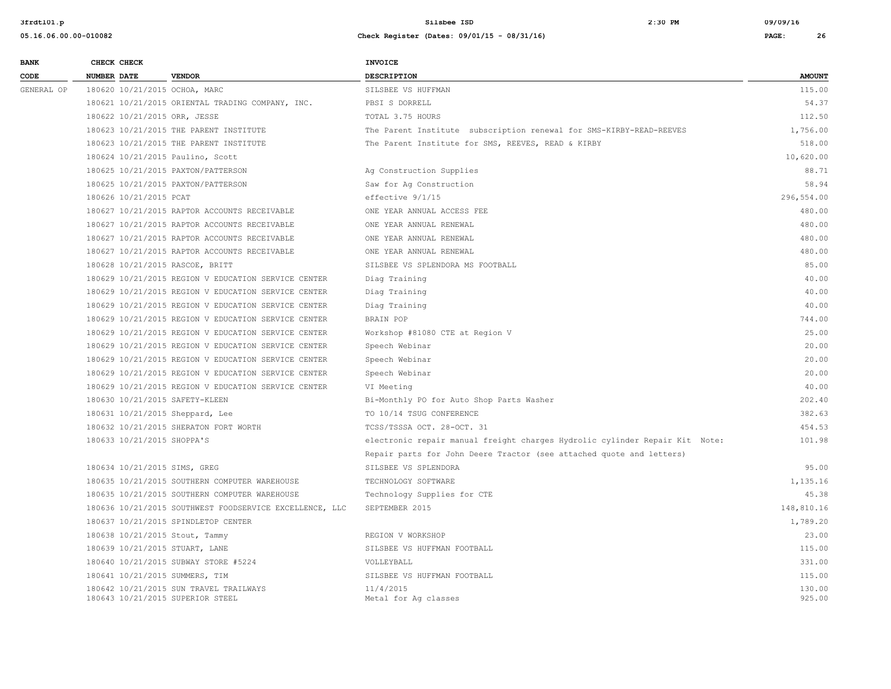| <b>BANK</b> |             | CHECK CHECK                |                                                                            | <b>INVOICE</b>                                                              |                  |
|-------------|-------------|----------------------------|----------------------------------------------------------------------------|-----------------------------------------------------------------------------|------------------|
| CODE        | NUMBER DATE |                            | <b>VENDOR</b>                                                              | <b>DESCRIPTION</b>                                                          | <b>AMOUNT</b>    |
| GENERAL OP  |             |                            | 180620 10/21/2015 OCHOA, MARC                                              | SILSBEE VS HUFFMAN                                                          | 115.00           |
|             |             |                            | 180621 10/21/2015 ORIENTAL TRADING COMPANY, INC.                           | PBSI S DORRELL                                                              | 54.37            |
|             |             |                            | 180622 10/21/2015 ORR, JESSE                                               | TOTAL 3.75 HOURS                                                            | 112.50           |
|             |             |                            | 180623 10/21/2015 THE PARENT INSTITUTE                                     | The Parent Institute subscription renewal for SMS-KIRBY-READ-REEVES         | 1,756.00         |
|             |             |                            | 180623 10/21/2015 THE PARENT INSTITUTE                                     | The Parent Institute for SMS, REEVES, READ & KIRBY                          | 518.00           |
|             |             |                            | 180624 10/21/2015 Paulino, Scott                                           |                                                                             | 10,620.00        |
|             |             |                            | 180625 10/21/2015 PAXTON/PATTERSON                                         | Ag Construction Supplies                                                    | 88.71            |
|             |             |                            | 180625 10/21/2015 PAXTON/PATTERSON                                         | Saw for Aq Construction                                                     | 58.94            |
|             |             | 180626 10/21/2015 PCAT     |                                                                            | effective $9/1/15$                                                          | 296,554.00       |
|             |             |                            | 180627 10/21/2015 RAPTOR ACCOUNTS RECEIVABLE                               | ONE YEAR ANNUAL ACCESS FEE                                                  | 480.00           |
|             |             |                            | 180627 10/21/2015 RAPTOR ACCOUNTS RECEIVABLE                               | ONE YEAR ANNUAL RENEWAL                                                     | 480.00           |
|             |             |                            | 180627 10/21/2015 RAPTOR ACCOUNTS RECEIVABLE                               | ONE YEAR ANNUAL RENEWAL                                                     | 480.00           |
|             |             |                            | 180627 10/21/2015 RAPTOR ACCOUNTS RECEIVABLE                               | ONE YEAR ANNUAL RENEWAL                                                     | 480.00           |
|             |             |                            | 180628 10/21/2015 RASCOE, BRITT                                            | SILSBEE VS SPLENDORA MS FOOTBALL                                            | 85.00            |
|             |             |                            | 180629 10/21/2015 REGION V EDUCATION SERVICE CENTER                        | Diag Training                                                               | 40.00            |
|             |             |                            | 180629 10/21/2015 REGION V EDUCATION SERVICE CENTER                        | Diag Training                                                               | 40.00            |
|             |             |                            | 180629 10/21/2015 REGION V EDUCATION SERVICE CENTER                        | Diag Training                                                               | 40.00            |
|             |             |                            | 180629 10/21/2015 REGION V EDUCATION SERVICE CENTER                        | BRAIN POP                                                                   | 744.00           |
|             |             |                            | 180629 10/21/2015 REGION V EDUCATION SERVICE CENTER                        | Workshop #81080 CTE at Region V                                             | 25.00            |
|             |             |                            | 180629 10/21/2015 REGION V EDUCATION SERVICE CENTER                        | Speech Webinar                                                              | 20.00            |
|             |             |                            | 180629 10/21/2015 REGION V EDUCATION SERVICE CENTER                        | Speech Webinar                                                              | 20.00            |
|             |             |                            | 180629 10/21/2015 REGION V EDUCATION SERVICE CENTER                        | Speech Webinar                                                              | 20.00            |
|             |             |                            | 180629 10/21/2015 REGION V EDUCATION SERVICE CENTER                        | VI Meeting                                                                  | 40.00            |
|             |             |                            | 180630 10/21/2015 SAFETY-KLEEN                                             | Bi-Monthly PO for Auto Shop Parts Washer                                    | 202.40           |
|             |             |                            | 180631 10/21/2015 Sheppard, Lee                                            | TO 10/14 TSUG CONFERENCE                                                    | 382.63           |
|             |             |                            | 180632 10/21/2015 SHERATON FORT WORTH                                      | TCSS/TSSSA OCT. 28-OCT. 31                                                  | 454.53           |
|             |             | 180633 10/21/2015 SHOPPA'S |                                                                            | electronic repair manual freight charges Hydrolic cylinder Repair Kit Note: | 101.98           |
|             |             |                            |                                                                            | Repair parts for John Deere Tractor (see attached quote and letters)        |                  |
|             |             |                            | 180634 10/21/2015 SIMS, GREG                                               | SILSBEE VS SPLENDORA                                                        | 95.00            |
|             |             |                            | 180635 10/21/2015 SOUTHERN COMPUTER WAREHOUSE                              | TECHNOLOGY SOFTWARE                                                         | 1,135.16         |
|             |             |                            | 180635 10/21/2015 SOUTHERN COMPUTER WAREHOUSE                              | Technology Supplies for CTE                                                 | 45.38            |
|             |             |                            | 180636 10/21/2015 SOUTHWEST FOODSERVICE EXCELLENCE, LLC                    | SEPTEMBER 2015                                                              | 148,810.16       |
|             |             |                            | 180637 10/21/2015 SPINDLETOP CENTER                                        |                                                                             | 1,789.20         |
|             |             |                            | 180638 10/21/2015 Stout, Tammy                                             | REGION V WORKSHOP                                                           | 23.00            |
|             |             |                            | 180639 10/21/2015 STUART, LANE                                             | SILSBEE VS HUFFMAN FOOTBALL                                                 | 115.00           |
|             |             |                            | 180640 10/21/2015 SUBWAY STORE #5224                                       | VOLLEYBALL                                                                  | 331.00           |
|             |             |                            | 180641 10/21/2015 SUMMERS, TIM                                             | SILSBEE VS HUFFMAN FOOTBALL                                                 | 115.00           |
|             |             |                            | 180642 10/21/2015 SUN TRAVEL TRAILWAYS<br>180643 10/21/2015 SUPERIOR STEEL | 11/4/2015<br>Metal for Aq classes                                           | 130.00<br>925.00 |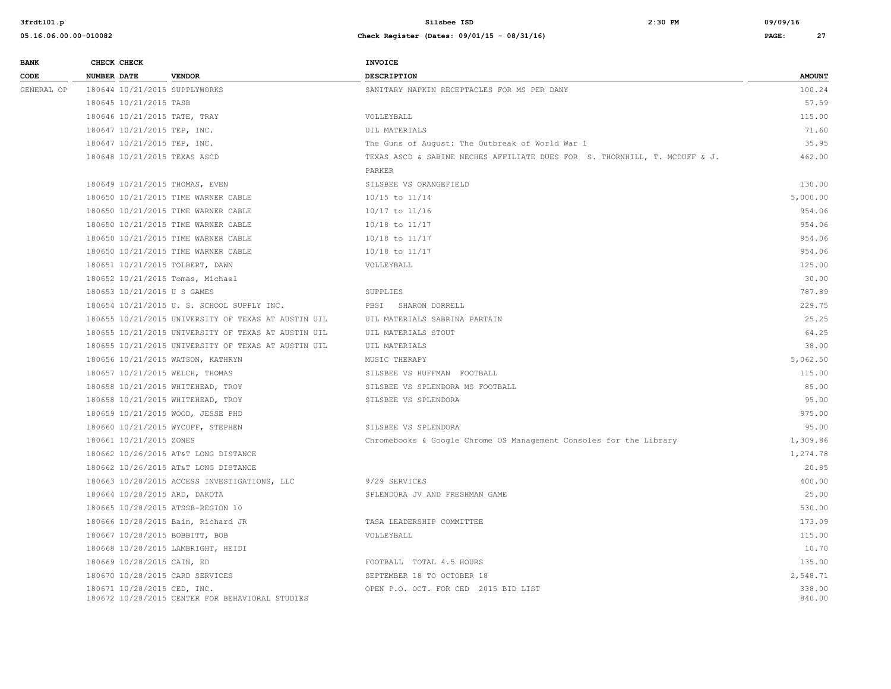| <b>BANK</b> |                    | CHECK CHECK                 |                                                     | <b>INVOICE</b>                                                             |                  |  |
|-------------|--------------------|-----------------------------|-----------------------------------------------------|----------------------------------------------------------------------------|------------------|--|
| CODE        | <b>NUMBER DATE</b> |                             | <b>VENDOR</b>                                       | <b>DESCRIPTION</b>                                                         | <b>AMOUNT</b>    |  |
| GENERAL OP  |                    |                             | 180644 10/21/2015 SUPPLYWORKS                       | SANITARY NAPKIN RECEPTACLES FOR MS PER DANY                                | 100.24           |  |
|             |                    | 180645 10/21/2015 TASB      |                                                     |                                                                            | 57.59            |  |
|             |                    |                             | 180646 10/21/2015 TATE, TRAY                        | VOLLEYBALL                                                                 | 115.00           |  |
|             |                    | 180647 10/21/2015 TEP, INC. |                                                     | UIL MATERIALS                                                              | 71.60            |  |
|             |                    | 180647 10/21/2015 TEP, INC. |                                                     | The Guns of August: The Outbreak of World War 1                            | 35.95            |  |
|             |                    |                             | 180648 10/21/2015 TEXAS ASCD                        | TEXAS ASCD & SABINE NECHES AFFILIATE DUES FOR S. THORNHILL, T. MCDUFF & J. | 462.00           |  |
|             |                    |                             |                                                     | PARKER                                                                     |                  |  |
|             |                    |                             | 180649 10/21/2015 THOMAS, EVEN                      | SILSBEE VS ORANGEFIELD                                                     | 130.00           |  |
|             |                    |                             | 180650 10/21/2015 TIME WARNER CABLE                 | 10/15 to 11/14                                                             | 5,000.00         |  |
|             |                    |                             | 180650 10/21/2015 TIME WARNER CABLE                 | 10/17 to 11/16                                                             | 954.06           |  |
|             |                    |                             | 180650 10/21/2015 TIME WARNER CABLE                 | 10/18 to 11/17                                                             | 954.06           |  |
|             |                    |                             | 180650 10/21/2015 TIME WARNER CABLE                 | $10/18$ to $11/17$                                                         | 954.06           |  |
|             |                    |                             | 180650 10/21/2015 TIME WARNER CABLE                 | 10/18 to 11/17                                                             | 954.06           |  |
|             |                    |                             | 180651 10/21/2015 TOLBERT, DAWN                     | VOLLEYBALL                                                                 | 125.00           |  |
|             |                    |                             | 180652 10/21/2015 Tomas, Michael                    |                                                                            | 30.00            |  |
|             |                    | 180653 10/21/2015 U S GAMES |                                                     | SUPPLIES                                                                   | 787.89           |  |
|             |                    |                             | 180654 10/21/2015 U. S. SCHOOL SUPPLY INC.          | PBSI SHARON DORRELL                                                        | 229.75           |  |
|             |                    |                             | 180655 10/21/2015 UNIVERSITY OF TEXAS AT AUSTIN UIL | UIL MATERIALS SABRINA PARTAIN                                              | 25.25            |  |
|             |                    |                             | 180655 10/21/2015 UNIVERSITY OF TEXAS AT AUSTIN UIL | UIL MATERIALS STOUT                                                        | 64.25            |  |
|             |                    |                             | 180655 10/21/2015 UNIVERSITY OF TEXAS AT AUSTIN UIL | UIL MATERIALS                                                              | 38.00            |  |
|             |                    |                             | 180656 10/21/2015 WATSON, KATHRYN                   | MUSIC THERAPY                                                              | 5,062.50         |  |
|             |                    |                             | 180657 10/21/2015 WELCH, THOMAS                     | SILSBEE VS HUFFMAN FOOTBALL                                                | 115.00           |  |
|             |                    |                             | 180658 10/21/2015 WHITEHEAD, TROY                   | SILSBEE VS SPLENDORA MS FOOTBALL                                           | 85.00            |  |
|             |                    |                             | 180658 10/21/2015 WHITEHEAD, TROY                   | SILSBEE VS SPLENDORA                                                       | 95.00            |  |
|             |                    |                             | 180659 10/21/2015 WOOD, JESSE PHD                   |                                                                            | 975.00           |  |
|             |                    |                             | 180660 10/21/2015 WYCOFF, STEPHEN                   | SILSBEE VS SPLENDORA                                                       | 95.00            |  |
|             |                    | 180661 10/21/2015 ZONES     |                                                     | Chromebooks & Google Chrome OS Management Consoles for the Library         | 1,309.86         |  |
|             |                    |                             | 180662 10/26/2015 AT&T LONG DISTANCE                |                                                                            | 1,274.78         |  |
|             |                    |                             | 180662 10/26/2015 AT&T LONG DISTANCE                |                                                                            | 20.85            |  |
|             |                    |                             | 180663 10/28/2015 ACCESS INVESTIGATIONS, LLC        | 9/29 SERVICES                                                              | 400.00           |  |
|             |                    |                             | 180664 10/28/2015 ARD, DAKOTA                       | SPLENDORA JV AND FRESHMAN GAME                                             | 25.00            |  |
|             |                    |                             | 180665 10/28/2015 ATSSB-REGION 10                   |                                                                            | 530.00           |  |
|             |                    |                             | 180666 10/28/2015 Bain, Richard JR                  | TASA LEADERSHIP COMMITTEE                                                  | 173.09           |  |
|             |                    |                             | 180667 10/28/2015 BOBBITT, BOB                      | VOLLEYBALL                                                                 | 115.00           |  |
|             |                    |                             | 180668 10/28/2015 LAMBRIGHT, HEIDI                  |                                                                            | 10.70            |  |
|             |                    | 180669 10/28/2015 CAIN, ED  |                                                     | FOOTBALL TOTAL 4.5 HOURS                                                   | 135.00           |  |
|             |                    |                             | 180670 10/28/2015 CARD SERVICES                     | SEPTEMBER 18 TO OCTOBER 18                                                 | 2,548.71         |  |
|             |                    | 180671 10/28/2015 CED, INC. | 180672 10/28/2015 CENTER FOR BEHAVIORAL STUDIES     | OPEN P.O. OCT. FOR CED 2015 BID LIST                                       | 338.00<br>840.00 |  |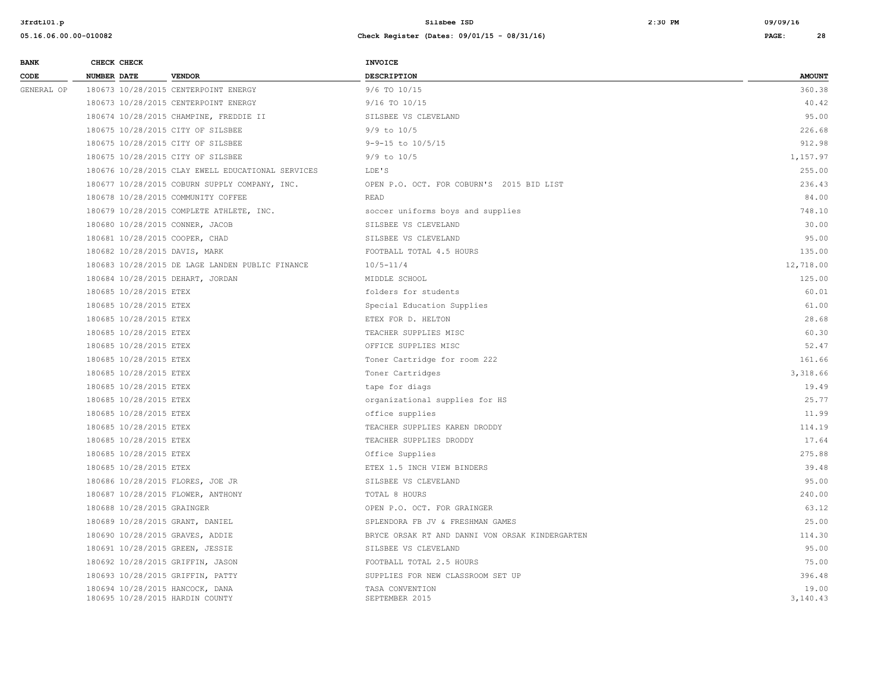| <b>BANK</b> | CHECK CHECK                                                        |                                                   | <b>INVOICE</b>                                  |                   |
|-------------|--------------------------------------------------------------------|---------------------------------------------------|-------------------------------------------------|-------------------|
| CODE        | <b>NUMBER DATE</b>                                                 | <b>VENDOR</b>                                     | <b>DESCRIPTION</b>                              | <b>AMOUNT</b>     |
| GENERAL OP  |                                                                    | 180673 10/28/2015 CENTERPOINT ENERGY              | 9/6 TO 10/15                                    | 360.38            |
|             |                                                                    | 180673 10/28/2015 CENTERPOINT ENERGY              | 9/16 TO 10/15                                   | 40.42             |
|             |                                                                    | 180674 10/28/2015 CHAMPINE, FREDDIE II            | SILSBEE VS CLEVELAND                            | 95.00             |
|             | 180675 10/28/2015 CITY OF SILSBEE                                  |                                                   | $9/9$ to $10/5$                                 | 226.68            |
|             | 180675 10/28/2015 CITY OF SILSBEE                                  |                                                   | $9 - 9 - 15$ to $10/5/15$                       | 912.98            |
|             | 180675 10/28/2015 CITY OF SILSBEE                                  |                                                   | $9/9$ to $10/5$                                 | 1,157.97          |
|             |                                                                    | 180676 10/28/2015 CLAY EWELL EDUCATIONAL SERVICES | LDE'S                                           | 255.00            |
|             |                                                                    | 180677 10/28/2015 COBURN SUPPLY COMPANY, INC.     | OPEN P.O. OCT. FOR COBURN'S 2015 BID LIST       | 236.43            |
|             |                                                                    | 180678 10/28/2015 COMMUNITY COFFEE                | <b>READ</b>                                     | 84.00             |
|             |                                                                    | 180679 10/28/2015 COMPLETE ATHLETE, INC.          | soccer uniforms boys and supplies               | 748.10            |
|             | 180680 10/28/2015 CONNER, JACOB                                    |                                                   | SILSBEE VS CLEVELAND                            | 30.00             |
|             | 180681 10/28/2015 COOPER, CHAD                                     |                                                   | SILSBEE VS CLEVELAND                            | 95.00             |
|             | 180682 10/28/2015 DAVIS, MARK                                      |                                                   | FOOTBALL TOTAL 4.5 HOURS                        | 135.00            |
|             |                                                                    | 180683 10/28/2015 DE LAGE LANDEN PUBLIC FINANCE   | $10/5 - 11/4$                                   | 12,718.00         |
|             | 180684 10/28/2015 DEHART, JORDAN                                   |                                                   | MIDDLE SCHOOL                                   | 125.00            |
|             | 180685 10/28/2015 ETEX                                             |                                                   | folders for students                            | 60.01             |
|             | 180685 10/28/2015 ETEX                                             |                                                   | Special Education Supplies                      | 61.00             |
|             | 180685 10/28/2015 ETEX                                             |                                                   | ETEX FOR D. HELTON                              | 28.68             |
|             | 180685 10/28/2015 ETEX                                             |                                                   | TEACHER SUPPLIES MISC                           | 60.30             |
|             | 180685 10/28/2015 ETEX                                             |                                                   | OFFICE SUPPLIES MISC                            | 52.47             |
|             | 180685 10/28/2015 ETEX                                             |                                                   | Toner Cartridge for room 222                    | 161.66            |
|             | 180685 10/28/2015 ETEX                                             |                                                   | Toner Cartridges                                | 3,318.66          |
|             | 180685 10/28/2015 ETEX                                             |                                                   | tape for diags                                  | 19.49             |
|             | 180685 10/28/2015 ETEX                                             |                                                   | organizational supplies for HS                  | 25.77             |
|             | 180685 10/28/2015 ETEX                                             |                                                   | office supplies                                 | 11.99             |
|             | 180685 10/28/2015 ETEX                                             |                                                   | TEACHER SUPPLIES KAREN DRODDY                   | 114.19            |
|             | 180685 10/28/2015 ETEX                                             |                                                   | TEACHER SUPPLIES DRODDY                         | 17.64             |
|             | 180685 10/28/2015 ETEX                                             |                                                   | Office Supplies                                 | 275.88            |
|             | 180685 10/28/2015 ETEX                                             |                                                   | ETEX 1.5 INCH VIEW BINDERS                      | 39.48             |
|             | 180686 10/28/2015 FLORES, JOE JR                                   |                                                   | SILSBEE VS CLEVELAND                            | 95.00             |
|             | 180687 10/28/2015 FLOWER, ANTHONY                                  |                                                   | TOTAL 8 HOURS                                   | 240.00            |
|             | 180688 10/28/2015 GRAINGER                                         |                                                   | OPEN P.O. OCT. FOR GRAINGER                     | 63.12             |
|             | 180689 10/28/2015 GRANT, DANIEL                                    |                                                   | SPLENDORA FB JV & FRESHMAN GAMES                | 25.00             |
|             | 180690 10/28/2015 GRAVES, ADDIE                                    |                                                   | BRYCE ORSAK RT AND DANNI VON ORSAK KINDERGARTEN | 114.30            |
|             | 180691 10/28/2015 GREEN, JESSIE                                    |                                                   | SILSBEE VS CLEVELAND                            | 95.00             |
|             | 180692 10/28/2015 GRIFFIN, JASON                                   |                                                   | FOOTBALL TOTAL 2.5 HOURS                        | 75.00             |
|             | 180693 10/28/2015 GRIFFIN, PATTY                                   |                                                   | SUPPLIES FOR NEW CLASSROOM SET UP               | 396.48            |
|             | 180694 10/28/2015 HANCOCK, DANA<br>180695 10/28/2015 HARDIN COUNTY |                                                   | TASA CONVENTION<br>SEPTEMBER 2015               | 19.00<br>3,140.43 |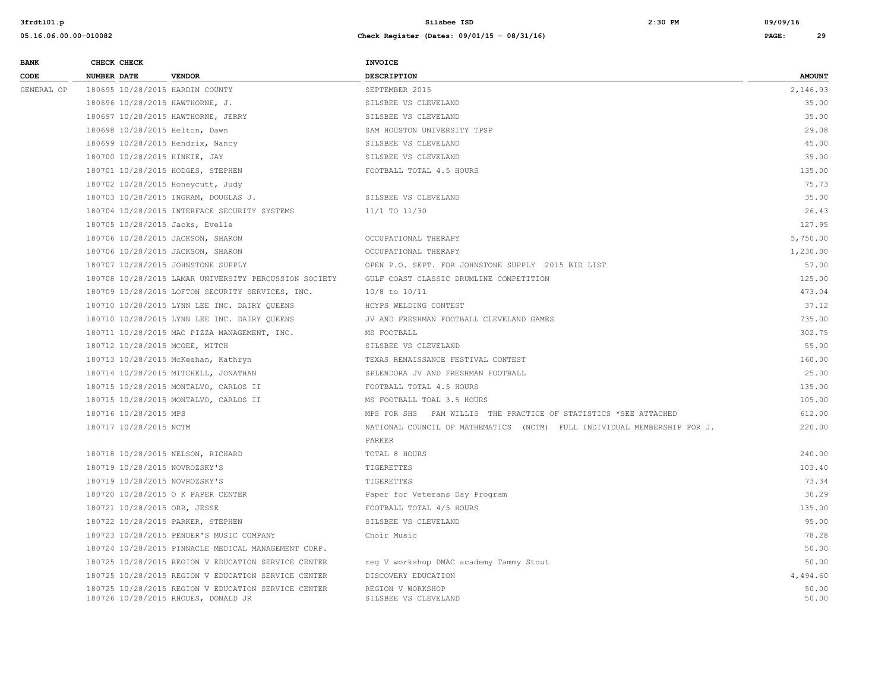| <b>BANK</b> | CHECK CHECK                       |                                                                                            | <b>INVOICE</b>                                                           |                |
|-------------|-----------------------------------|--------------------------------------------------------------------------------------------|--------------------------------------------------------------------------|----------------|
| CODE        | <b>NUMBER DATE</b>                | <b>VENDOR</b>                                                                              | <b>DESCRIPTION</b>                                                       | <b>AMOUNT</b>  |
| GENERAL OP  | 180695 10/28/2015 HARDIN COUNTY   |                                                                                            | SEPTEMBER 2015                                                           | 2,146.93       |
|             | 180696 10/28/2015 HAWTHORNE, J.   |                                                                                            | SILSBEE VS CLEVELAND                                                     | 35.00          |
|             |                                   | 180697 10/28/2015 HAWTHORNE, JERRY                                                         | SILSBEE VS CLEVELAND                                                     | 35.00          |
|             | 180698 10/28/2015 Helton, Dawn    |                                                                                            | SAM HOUSTON UNIVERSITY TPSP                                              | 29.08          |
|             | 180699 10/28/2015 Hendrix, Nancy  |                                                                                            | SILSBEE VS CLEVELAND                                                     | 45.00          |
|             | 180700 10/28/2015 HINKIE, JAY     |                                                                                            | SILSBEE VS CLEVELAND                                                     | 35.00          |
|             | 180701 10/28/2015 HODGES, STEPHEN |                                                                                            | FOOTBALL TOTAL 4.5 HOURS                                                 | 135.00         |
|             | 180702 10/28/2015 Honeycutt, Judy |                                                                                            |                                                                          | 75.73          |
|             |                                   | 180703 10/28/2015 INGRAM, DOUGLAS J.                                                       | SILSBEE VS CLEVELAND                                                     | 35.00          |
|             |                                   | 180704 10/28/2015 INTERFACE SECURITY SYSTEMS                                               | 11/1 TO 11/30                                                            | 26.43          |
|             | 180705 10/28/2015 Jacks, Evelle   |                                                                                            |                                                                          | 127.95         |
|             | 180706 10/28/2015 JACKSON, SHARON |                                                                                            | OCCUPATIONAL THERAPY                                                     | 5,750.00       |
|             | 180706 10/28/2015 JACKSON, SHARON |                                                                                            | OCCUPATIONAL THERAPY                                                     | 1,230.00       |
|             |                                   | 180707 10/28/2015 JOHNSTONE SUPPLY                                                         | OPEN P.O. SEPT. FOR JOHNSTONE SUPPLY 2015 BID LIST                       | 57.00          |
|             |                                   | 180708 10/28/2015 LAMAR UNIVERSITY PERCUSSION SOCIETY                                      | GULF COAST CLASSIC DRUMLINE COMPETITION                                  | 125.00         |
|             |                                   | 180709 10/28/2015 LOFTON SECURITY SERVICES, INC.                                           | $10/8$ to $10/11$                                                        | 473.04         |
|             |                                   | 180710 10/28/2015 LYNN LEE INC. DAIRY OUEENS                                               | HCYPS WELDING CONTEST                                                    | 37.12          |
|             |                                   | 180710 10/28/2015 LYNN LEE INC. DAIRY QUEENS                                               | JV AND FRESHMAN FOOTBALL CLEVELAND GAMES                                 | 735.00         |
|             |                                   | 180711 10/28/2015 MAC PIZZA MANAGEMENT, INC.                                               | MS FOOTBALL                                                              | 302.75         |
|             | 180712 10/28/2015 MCGEE, MITCH    |                                                                                            | SILSBEE VS CLEVELAND                                                     | 55.00          |
|             |                                   | 180713 10/28/2015 McKeehan, Kathryn                                                        | TEXAS RENAISSANCE FESTIVAL CONTEST                                       | 160.00         |
|             |                                   | 180714 10/28/2015 MITCHELL, JONATHAN                                                       | SPLENDORA JV AND FRESHMAN FOOTBALL                                       | 25.00          |
|             |                                   | 180715 10/28/2015 MONTALVO, CARLOS II                                                      | FOOTBALL TOTAL 4.5 HOURS                                                 | 135.00         |
|             |                                   | 180715 10/28/2015 MONTALVO, CARLOS II                                                      | MS FOOTBALL TOAL 3.5 HOURS                                               | 105.00         |
|             | 180716 10/28/2015 MPS             |                                                                                            | MPS FOR SHS PAM WILLIS THE PRACTICE OF STATISTICS *SEE ATTACHED          | 612.00         |
|             | 180717 10/28/2015 NCTM            |                                                                                            | NATIONAL COUNCIL OF MATHEMATICS (NCTM) FULL INDIVIDUAL MEMBERSHIP FOR J. | 220.00         |
|             |                                   |                                                                                            | PARKER                                                                   |                |
|             | 180718 10/28/2015 NELSON, RICHARD |                                                                                            | TOTAL 8 HOURS                                                            | 240.00         |
|             | 180719 10/28/2015 NOVROZSKY'S     |                                                                                            | TIGERETTES                                                               | 103.40         |
|             | 180719 10/28/2015 NOVROZSKY'S     |                                                                                            | TIGERETTES                                                               | 73.34          |
|             |                                   | 180720 10/28/2015 O K PAPER CENTER                                                         | Paper for Veterans Day Program                                           | 30.29          |
|             | 180721 10/28/2015 ORR, JESSE      |                                                                                            | FOOTBALL TOTAL 4/5 HOURS                                                 | 135.00         |
|             | 180722 10/28/2015 PARKER, STEPHEN |                                                                                            | SILSBEE VS CLEVELAND                                                     | 95.00          |
|             |                                   | 180723 10/28/2015 PENDER'S MUSIC COMPANY                                                   | Choir Music                                                              | 78.28          |
|             |                                   | 180724 10/28/2015 PINNACLE MEDICAL MANAGEMENT CORP.                                        |                                                                          | 50.00          |
|             |                                   | 180725 10/28/2015 REGION V EDUCATION SERVICE CENTER                                        | reg V workshop DMAC academy Tammy Stout                                  | 50.00          |
|             |                                   | 180725 10/28/2015 REGION V EDUCATION SERVICE CENTER                                        | DISCOVERY EDUCATION                                                      | 4,494.60       |
|             |                                   | 180725 10/28/2015 REGION V EDUCATION SERVICE CENTER<br>180726 10/28/2015 RHODES, DONALD JR | REGION V WORKSHOP<br>SILSBEE VS CLEVELAND                                | 50.00<br>50.00 |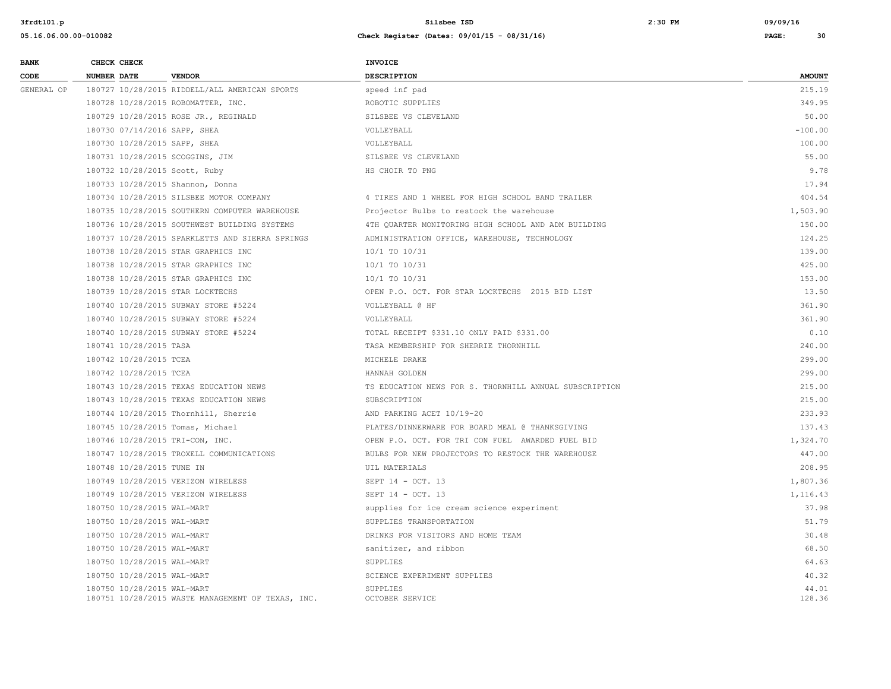| <b>BANK</b> | CHECK CHECK                |                                                   | <b>INVOICE</b>                                         |                 |  |
|-------------|----------------------------|---------------------------------------------------|--------------------------------------------------------|-----------------|--|
| <b>CODE</b> | <b>NUMBER DATE</b>         | <b>VENDOR</b>                                     | <b>DESCRIPTION</b>                                     | <b>AMOUNT</b>   |  |
| GENERAL OP  |                            | 180727 10/28/2015 RIDDELL/ALL AMERICAN SPORTS     | speed inf pad                                          | 215.19          |  |
|             |                            | 180728 10/28/2015 ROBOMATTER, INC.                | ROBOTIC SUPPLIES                                       | 349.95          |  |
|             |                            | 180729 10/28/2015 ROSE JR., REGINALD              | SILSBEE VS CLEVELAND                                   | 50.00           |  |
|             |                            | 180730 07/14/2016 SAPP, SHEA                      | VOLLEYBALL                                             | $-100.00$       |  |
|             |                            | 180730 10/28/2015 SAPP, SHEA                      | VOLLEYBALL                                             | 100.00          |  |
|             |                            | 180731 10/28/2015 SCOGGINS, JIM                   | SILSBEE VS CLEVELAND                                   | 55.00           |  |
|             |                            | 180732 10/28/2015 Scott, Ruby                     | HS CHOIR TO PNG                                        | 9.78            |  |
|             |                            | 180733 10/28/2015 Shannon, Donna                  |                                                        | 17.94           |  |
|             |                            | 180734 10/28/2015 SILSBEE MOTOR COMPANY           | 4 TIRES AND 1 WHEEL FOR HIGH SCHOOL BAND TRAILER       | 404.54          |  |
|             |                            | 180735 10/28/2015 SOUTHERN COMPUTER WAREHOUSE     | Projector Bulbs to restock the warehouse               | 1,503.90        |  |
|             |                            | 180736 10/28/2015 SOUTHWEST BUILDING SYSTEMS      | 4TH QUARTER MONITORING HIGH SCHOOL AND ADM BUILDING    | 150.00          |  |
|             |                            | 180737 10/28/2015 SPARKLETTS AND SIERRA SPRINGS   | ADMINISTRATION OFFICE, WAREHOUSE, TECHNOLOGY           | 124.25          |  |
|             |                            | 180738 10/28/2015 STAR GRAPHICS INC               | 10/1 TO 10/31                                          | 139.00          |  |
|             |                            | 180738 10/28/2015 STAR GRAPHICS INC               | 10/1 TO 10/31                                          | 425.00          |  |
|             |                            | 180738 10/28/2015 STAR GRAPHICS INC               | 10/1 TO 10/31                                          | 153.00          |  |
|             |                            | 180739 10/28/2015 STAR LOCKTECHS                  | OPEN P.O. OCT. FOR STAR LOCKTECHS 2015 BID LIST        | 13.50           |  |
|             |                            | 180740 10/28/2015 SUBWAY STORE #5224              | VOLLEYBALL @ HF                                        | 361.90          |  |
|             |                            | 180740 10/28/2015 SUBWAY STORE #5224              | VOLLEYBALL                                             | 361.90          |  |
|             |                            | 180740 10/28/2015 SUBWAY STORE #5224              | TOTAL RECEIPT \$331.10 ONLY PAID \$331.00              | 0.10            |  |
|             | 180741 10/28/2015 TASA     |                                                   | TASA MEMBERSHIP FOR SHERRIE THORNHILL                  | 240.00          |  |
|             | 180742 10/28/2015 TCEA     |                                                   | MICHELE DRAKE                                          | 299.00          |  |
|             | 180742 10/28/2015 TCEA     |                                                   | HANNAH GOLDEN                                          | 299.00          |  |
|             |                            | 180743 10/28/2015 TEXAS EDUCATION NEWS            | TS EDUCATION NEWS FOR S. THORNHILL ANNUAL SUBSCRIPTION | 215.00          |  |
|             |                            | 180743 10/28/2015 TEXAS EDUCATION NEWS            | SUBSCRIPTION                                           | 215.00          |  |
|             |                            | 180744 10/28/2015 Thornhill, Sherrie              | AND PARKING ACET 10/19-20                              | 233.93          |  |
|             |                            | 180745 10/28/2015 Tomas, Michael                  | PLATES/DINNERWARE FOR BOARD MEAL @ THANKSGIVING        | 137.43          |  |
|             |                            | 180746 10/28/2015 TRI-CON, INC.                   | OPEN P.O. OCT. FOR TRI CON FUEL AWARDED FUEL BID       | 1,324.70        |  |
|             |                            | 180747 10/28/2015 TROXELL COMMUNICATIONS          | BULBS FOR NEW PROJECTORS TO RESTOCK THE WAREHOUSE      | 447.00          |  |
|             | 180748 10/28/2015 TUNE IN  |                                                   | UIL MATERIALS                                          | 208.95          |  |
|             |                            | 180749 10/28/2015 VERIZON WIRELESS                | SEPT 14 - OCT. 13                                      | 1,807.36        |  |
|             |                            | 180749 10/28/2015 VERIZON WIRELESS                | SEPT 14 - OCT. 13                                      | 1,116.43        |  |
|             | 180750 10/28/2015 WAL-MART |                                                   | supplies for ice cream science experiment              | 37.98           |  |
|             | 180750 10/28/2015 WAL-MART |                                                   | SUPPLIES TRANSPORTATION                                | 51.79           |  |
|             | 180750 10/28/2015 WAL-MART |                                                   | DRINKS FOR VISITORS AND HOME TEAM                      | 30.48           |  |
|             | 180750 10/28/2015 WAL-MART |                                                   | sanitizer, and ribbon                                  | 68.50           |  |
|             | 180750 10/28/2015 WAL-MART |                                                   | SUPPLIES                                               | 64.63           |  |
|             | 180750 10/28/2015 WAL-MART |                                                   | SCIENCE EXPERIMENT SUPPLIES                            | 40.32           |  |
|             | 180750 10/28/2015 WAL-MART | 180751 10/28/2015 WASTE MANAGEMENT OF TEXAS, INC. | SUPPLIES<br>OCTOBER SERVICE                            | 44.01<br>128.36 |  |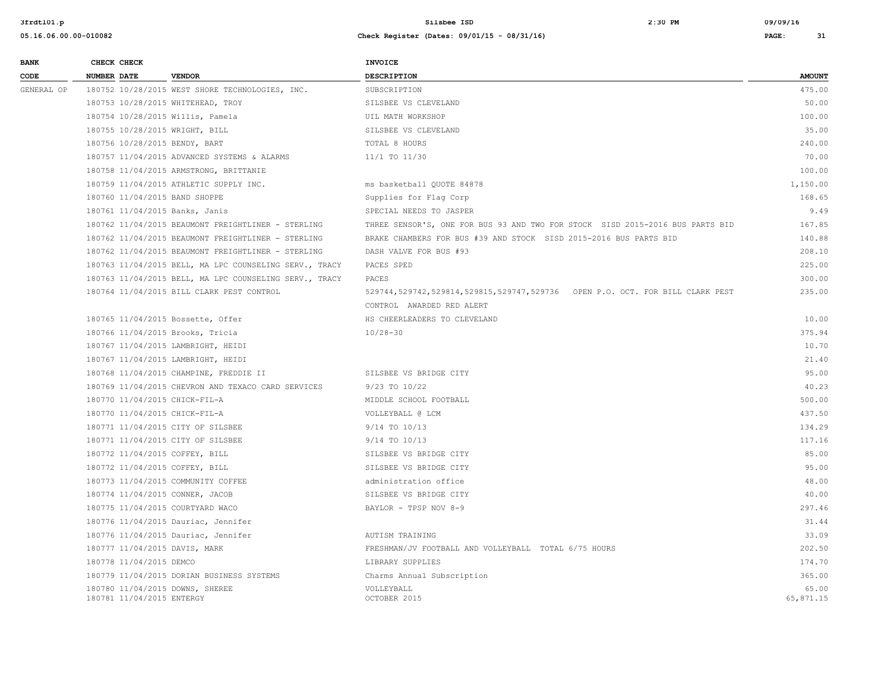| <b>BANK</b> | CHECK CHECK        |                           |                                                        | <b>INVOICE</b>                                                                |                    |
|-------------|--------------------|---------------------------|--------------------------------------------------------|-------------------------------------------------------------------------------|--------------------|
| CODE        | <b>NUMBER DATE</b> |                           | <b>VENDOR</b>                                          | <b>DESCRIPTION</b>                                                            | <b>AMOUNT</b>      |
| GENERAL OP  |                    |                           | 180752 10/28/2015 WEST SHORE TECHNOLOGIES, INC.        | SUBSCRIPTION                                                                  | 475.00             |
|             |                    |                           | 180753 10/28/2015 WHITEHEAD, TROY                      | SILSBEE VS CLEVELAND                                                          | 50.00              |
|             |                    |                           | 180754 10/28/2015 Willis, Pamela                       | UIL MATH WORKSHOP                                                             | 100.00             |
|             |                    |                           | 180755 10/28/2015 WRIGHT, BILL                         | SILSBEE VS CLEVELAND                                                          | 35.00              |
|             |                    |                           | 180756 10/28/2015 BENDY, BART                          | TOTAL 8 HOURS                                                                 | 240.00             |
|             |                    |                           | 180757 11/04/2015 ADVANCED SYSTEMS & ALARMS            | 11/1 TO 11/30                                                                 | 70.00              |
|             |                    |                           | 180758 11/04/2015 ARMSTRONG, BRITTANIE                 |                                                                               | 100.00             |
|             |                    |                           | 180759 11/04/2015 ATHLETIC SUPPLY INC.                 | ms basketball QUOTE 84878                                                     | 1,150.00           |
|             |                    |                           | 180760 11/04/2015 BAND SHOPPE                          | Supplies for Flag Corp                                                        | 168.65             |
|             |                    |                           | 180761 11/04/2015 Banks, Janis                         | SPECIAL NEEDS TO JASPER                                                       | 9.49               |
|             |                    |                           | 180762 11/04/2015 BEAUMONT FREIGHTLINER - STERLING     | THREE SENSOR'S, ONE FOR BUS 93 AND TWO FOR STOCK SISD 2015-2016 BUS PARTS BID | 167.85             |
|             |                    |                           | 180762 11/04/2015 BEAUMONT FREIGHTLINER - STERLING     | BRAKE CHAMBERS FOR BUS #39 AND STOCK SISD 2015-2016 BUS PARTS BID             | 140.88             |
|             |                    |                           | 180762 11/04/2015 BEAUMONT FREIGHTLINER - STERLING     | DASH VALVE FOR BUS #93                                                        | 208.10             |
|             |                    |                           | 180763 11/04/2015 BELL, MA LPC COUNSELING SERV., TRACY | PACES SPED                                                                    | 225.00             |
|             |                    |                           | 180763 11/04/2015 BELL, MA LPC COUNSELING SERV., TRACY | PACES                                                                         | 300.00             |
|             |                    |                           | 180764 11/04/2015 BILL CLARK PEST CONTROL              | 529744,529742,529814,529815,529747,529736 OPEN P.O. OCT. FOR BILL CLARK PEST  | 235.00             |
|             |                    |                           |                                                        | CONTROL AWARDED RED ALERT                                                     |                    |
|             |                    |                           | 180765 11/04/2015 Bossette, Offer                      | HS CHEERLEADERS TO CLEVELAND                                                  | 10.00              |
|             |                    |                           | 180766 11/04/2015 Brooks, Tricia                       | $10/28 - 30$                                                                  | 375.94             |
|             |                    |                           | 180767 11/04/2015 LAMBRIGHT, HEIDI                     |                                                                               | 10.70              |
|             |                    |                           | 180767 11/04/2015 LAMBRIGHT, HEIDI                     |                                                                               | 21.40              |
|             |                    |                           | 180768 11/04/2015 CHAMPINE, FREDDIE II                 | SILSBEE VS BRIDGE CITY                                                        | 95.00              |
|             |                    |                           | 180769 11/04/2015 CHEVRON AND TEXACO CARD SERVICES     | 9/23 TO 10/22                                                                 | 40.23              |
|             |                    |                           | 180770 11/04/2015 CHICK-FIL-A                          | MIDDLE SCHOOL FOOTBALL                                                        | 500.00             |
|             |                    |                           | 180770 11/04/2015 CHICK-FIL-A                          | VOLLEYBALL @ LCM                                                              | 437.50             |
|             |                    |                           | 180771 11/04/2015 CITY OF SILSBEE                      | 9/14 TO 10/13                                                                 | 134.29             |
|             |                    |                           | 180771 11/04/2015 CITY OF SILSBEE                      | 9/14 TO 10/13                                                                 | 117.16             |
|             |                    |                           | 180772 11/04/2015 COFFEY, BILL                         | SILSBEE VS BRIDGE CITY                                                        | 85.00              |
|             |                    |                           | 180772 11/04/2015 COFFEY, BILL                         | SILSBEE VS BRIDGE CITY                                                        | 95.00              |
|             |                    |                           | 180773 11/04/2015 COMMUNITY COFFEE                     | administration office                                                         | 48.00              |
|             |                    |                           | 180774 11/04/2015 CONNER, JACOB                        | SILSBEE VS BRIDGE CITY                                                        | 40.00              |
|             |                    |                           | 180775 11/04/2015 COURTYARD WACO                       | BAYLOR - TPSP NOV 8-9                                                         | 297.46             |
|             |                    |                           | 180776 11/04/2015 Dauriac, Jennifer                    |                                                                               | 31.44              |
|             |                    |                           | 180776 11/04/2015 Dauriac, Jennifer                    | AUTISM TRAINING                                                               | 33.09              |
|             |                    |                           | 180777 11/04/2015 DAVIS, MARK                          | FRESHMAN/JV FOOTBALL AND VOLLEYBALL TOTAL 6/75 HOURS                          | 202.50             |
|             |                    | 180778 11/04/2015 DEMCO   |                                                        | LIBRARY SUPPLIES                                                              | 174.70             |
|             |                    |                           | 180779 11/04/2015 DORIAN BUSINESS SYSTEMS              | Charms Annual Subscription                                                    | 365.00             |
|             |                    | 180781 11/04/2015 ENTERGY | 180780 11/04/2015 DOWNS, SHEREE                        | VOLLEYBALL<br>OCTOBER 2015                                                    | 65.00<br>65,871.15 |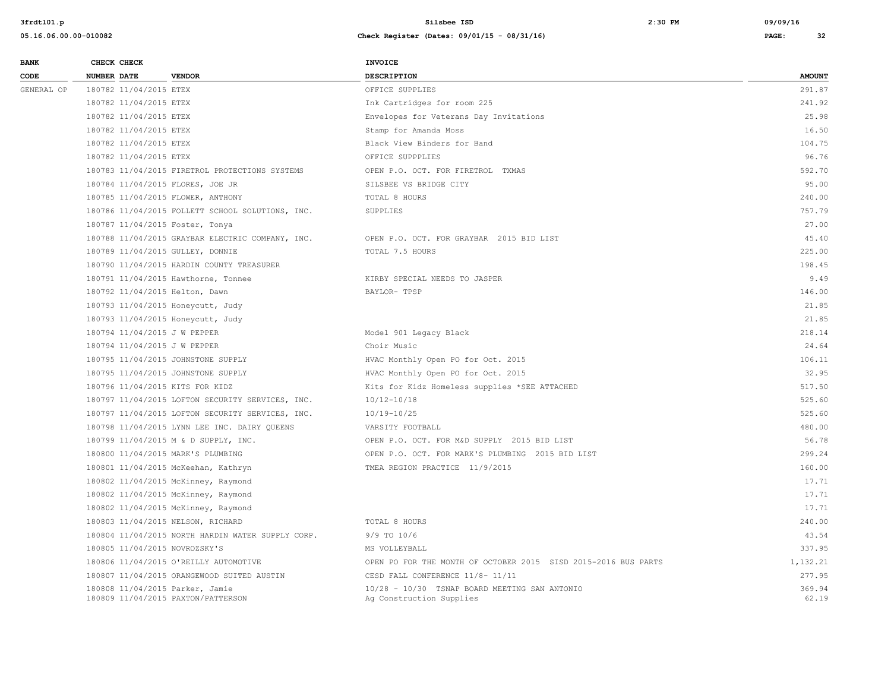| <b>BANK</b> |                    | CHECK CHECK            |                                                                       | <b>INVOICE</b>                                                            |                 |
|-------------|--------------------|------------------------|-----------------------------------------------------------------------|---------------------------------------------------------------------------|-----------------|
| CODE        | <b>NUMBER DATE</b> |                        | <b>VENDOR</b>                                                         | <b>DESCRIPTION</b>                                                        | <b>AMOUNT</b>   |
| GENERAL OP  |                    | 180782 11/04/2015 ETEX |                                                                       | OFFICE SUPPLIES                                                           | 291.87          |
|             |                    | 180782 11/04/2015 ETEX |                                                                       | Ink Cartridges for room 225                                               | 241.92          |
|             |                    | 180782 11/04/2015 ETEX |                                                                       | Envelopes for Veterans Day Invitations                                    | 25.98           |
|             |                    | 180782 11/04/2015 ETEX |                                                                       | Stamp for Amanda Moss                                                     | 16.50           |
|             |                    | 180782 11/04/2015 ETEX |                                                                       | Black View Binders for Band                                               | 104.75          |
|             |                    | 180782 11/04/2015 ETEX |                                                                       | OFFICE SUPPPLIES                                                          | 96.76           |
|             |                    |                        | 180783 11/04/2015 FIRETROL PROTECTIONS SYSTEMS                        | OPEN P.O. OCT. FOR FIRETROL TXMAS                                         | 592.70          |
|             |                    |                        | 180784 11/04/2015 FLORES, JOE JR                                      | SILSBEE VS BRIDGE CITY                                                    | 95.00           |
|             |                    |                        | 180785 11/04/2015 FLOWER, ANTHONY                                     | TOTAL 8 HOURS                                                             | 240.00          |
|             |                    |                        | 180786 11/04/2015 FOLLETT SCHOOL SOLUTIONS, INC.                      | SUPPLIES                                                                  | 757.79          |
|             |                    |                        | 180787 11/04/2015 Foster, Tonya                                       |                                                                           | 27.00           |
|             |                    |                        | 180788 11/04/2015 GRAYBAR ELECTRIC COMPANY, INC.                      | OPEN P.O. OCT. FOR GRAYBAR 2015 BID LIST                                  | 45.40           |
|             |                    |                        | 180789 11/04/2015 GULLEY, DONNIE                                      | TOTAL 7.5 HOURS                                                           | 225.00          |
|             |                    |                        | 180790 11/04/2015 HARDIN COUNTY TREASURER                             |                                                                           | 198.45          |
|             |                    |                        | 180791 11/04/2015 Hawthorne, Tonnee                                   | KIRBY SPECIAL NEEDS TO JASPER                                             | 9.49            |
|             |                    |                        | 180792 11/04/2015 Helton, Dawn                                        | BAYLOR- TPSP                                                              | 146.00          |
|             |                    |                        | 180793 11/04/2015 Honeycutt, Judy                                     |                                                                           | 21.85           |
|             |                    |                        | 180793 11/04/2015 Honeycutt, Judy                                     |                                                                           | 21.85           |
|             |                    |                        | 180794 11/04/2015 J W PEPPER                                          | Model 901 Legacy Black                                                    | 218.14          |
|             |                    |                        | 180794 11/04/2015 J W PEPPER                                          | Choir Music                                                               | 24.64           |
|             |                    |                        | 180795 11/04/2015 JOHNSTONE SUPPLY                                    | HVAC Monthly Open PO for Oct. 2015                                        | 106.11          |
|             |                    |                        | 180795 11/04/2015 JOHNSTONE SUPPLY                                    | HVAC Monthly Open PO for Oct. 2015                                        | 32.95           |
|             |                    |                        | 180796 11/04/2015 KITS FOR KIDZ                                       | Kits for Kidz Homeless supplies *SEE ATTACHED                             | 517.50          |
|             |                    |                        | 180797 11/04/2015 LOFTON SECURITY SERVICES, INC.                      | 10/12-10/18                                                               | 525.60          |
|             |                    |                        | 180797 11/04/2015 LOFTON SECURITY SERVICES, INC.                      | $10/19 - 10/25$                                                           | 525.60          |
|             |                    |                        | 180798 11/04/2015 LYNN LEE INC. DAIRY QUEENS                          | VARSITY FOOTBALL                                                          | 480.00          |
|             |                    |                        | 180799 11/04/2015 M & D SUPPLY, INC.                                  | OPEN P.O. OCT. FOR M&D SUPPLY 2015 BID LIST                               | 56.78           |
|             |                    |                        | 180800 11/04/2015 MARK'S PLUMBING                                     | OPEN P.O. OCT. FOR MARK'S PLUMBING 2015 BID LIST                          | 299.24          |
|             |                    |                        | 180801 11/04/2015 McKeehan, Kathryn                                   | TMEA REGION PRACTICE 11/9/2015                                            | 160.00          |
|             |                    |                        | 180802 11/04/2015 McKinney, Raymond                                   |                                                                           | 17.71           |
|             |                    |                        | 180802 11/04/2015 McKinney, Raymond                                   |                                                                           | 17.71           |
|             |                    |                        | 180802 11/04/2015 McKinney, Raymond                                   |                                                                           | 17.71           |
|             |                    |                        | 180803 11/04/2015 NELSON, RICHARD                                     | TOTAL 8 HOURS                                                             | 240.00          |
|             |                    |                        | 180804 11/04/2015 NORTH HARDIN WATER SUPPLY CORP.                     | 9/9 TO 10/6                                                               | 43.54           |
|             |                    |                        | 180805 11/04/2015 NOVROZSKY'S                                         | MS VOLLEYBALL                                                             | 337.95          |
|             |                    |                        | 180806 11/04/2015 O'REILLY AUTOMOTIVE                                 | OPEN PO FOR THE MONTH OF OCTOBER 2015 SISD 2015-2016 BUS PARTS            | 1,132.21        |
|             |                    |                        | 180807 11/04/2015 ORANGEWOOD SUITED AUSTIN                            | CESD FALL CONFERENCE 11/8- 11/11                                          | 277.95          |
|             |                    |                        | 180808 11/04/2015 Parker, Jamie<br>180809 11/04/2015 PAXTON/PATTERSON | 10/28 - 10/30 TSNAP BOARD MEETING SAN ANTONIO<br>Ag Construction Supplies | 369.94<br>62.19 |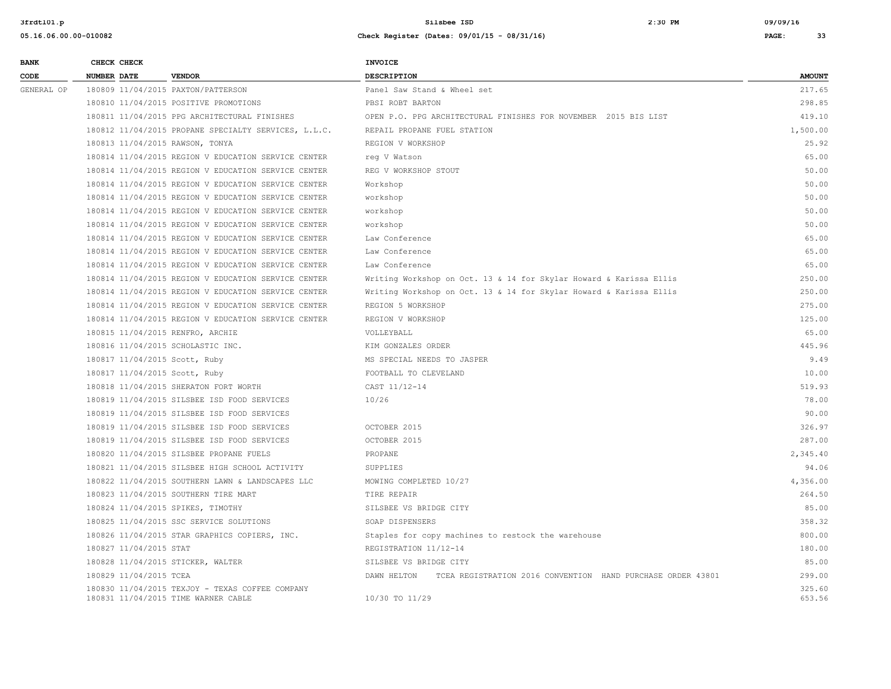| <b>BANK</b> | CHECK CHECK                   |                                                                                        | <b>INVOICE</b>                                                             |                  |
|-------------|-------------------------------|----------------------------------------------------------------------------------------|----------------------------------------------------------------------------|------------------|
| CODE        | <b>NUMBER DATE</b>            | <b>VENDOR</b>                                                                          | <b>DESCRIPTION</b>                                                         | <b>AMOUNT</b>    |
| GENERAL OP  |                               | 180809 11/04/2015 PAXTON/PATTERSON                                                     | Panel Saw Stand & Wheel set                                                | 217.65           |
|             |                               | 180810 11/04/2015 POSITIVE PROMOTIONS                                                  | PBSI ROBT BARTON                                                           | 298.85           |
|             |                               | 180811 11/04/2015 PPG ARCHITECTURAL FINISHES                                           | OPEN P.O. PPG ARCHITECTURAL FINISHES FOR NOVEMBER 2015 BIS LIST            | 419.10           |
|             |                               | 180812 11/04/2015 PROPANE SPECIALTY SERVICES, L.L.C.                                   | REPAIL PROPANE FUEL STATION                                                | 1,500.00         |
|             |                               | 180813 11/04/2015 RAWSON, TONYA                                                        | REGION V WORKSHOP                                                          | 25.92            |
|             |                               | 180814 11/04/2015 REGION V EDUCATION SERVICE CENTER                                    | req V Watson                                                               | 65.00            |
|             |                               | 180814 11/04/2015 REGION V EDUCATION SERVICE CENTER                                    | REG V WORKSHOP STOUT                                                       | 50.00            |
|             |                               | 180814 11/04/2015 REGION V EDUCATION SERVICE CENTER                                    | Workshop                                                                   | 50.00            |
|             |                               | 180814 11/04/2015 REGION V EDUCATION SERVICE CENTER                                    | workshop                                                                   | 50.00            |
|             |                               | 180814 11/04/2015 REGION V EDUCATION SERVICE CENTER                                    | workshop                                                                   | 50.00            |
|             |                               | 180814 11/04/2015 REGION V EDUCATION SERVICE CENTER                                    | workshop                                                                   | 50.00            |
|             |                               | 180814 11/04/2015 REGION V EDUCATION SERVICE CENTER                                    | Law Conference                                                             | 65.00            |
|             |                               | 180814 11/04/2015 REGION V EDUCATION SERVICE CENTER                                    | Law Conference                                                             | 65.00            |
|             |                               | 180814 11/04/2015 REGION V EDUCATION SERVICE CENTER                                    | Law Conference                                                             | 65.00            |
|             |                               | 180814 11/04/2015 REGION V EDUCATION SERVICE CENTER                                    | Writing Workshop on Oct. 13 & 14 for Skylar Howard & Karissa Ellis         | 250.00           |
|             |                               | 180814 11/04/2015 REGION V EDUCATION SERVICE CENTER                                    | Writing Workshop on Oct. 13 & 14 for Skylar Howard & Karissa Ellis         | 250.00           |
|             |                               | 180814 11/04/2015 REGION V EDUCATION SERVICE CENTER                                    | REGION 5 WORKSHOP                                                          | 275.00           |
|             |                               | 180814 11/04/2015 REGION V EDUCATION SERVICE CENTER                                    | REGION V WORKSHOP                                                          | 125.00           |
|             |                               | 180815 11/04/2015 RENFRO, ARCHIE                                                       | VOLLEYBALL                                                                 | 65.00            |
|             |                               | 180816 11/04/2015 SCHOLASTIC INC.                                                      | KIM GONZALES ORDER                                                         | 445.96           |
|             | 180817 11/04/2015 Scott, Ruby |                                                                                        | MS SPECIAL NEEDS TO JASPER                                                 | 9.49             |
|             | 180817 11/04/2015 Scott, Ruby |                                                                                        | FOOTBALL TO CLEVELAND                                                      | 10.00            |
|             |                               | 180818 11/04/2015 SHERATON FORT WORTH                                                  | CAST 11/12-14                                                              | 519.93           |
|             |                               | 180819 11/04/2015 SILSBEE ISD FOOD SERVICES                                            | 10/26                                                                      | 78.00            |
|             |                               | 180819 11/04/2015 SILSBEE ISD FOOD SERVICES                                            |                                                                            | 90.00            |
|             |                               | 180819 11/04/2015 SILSBEE ISD FOOD SERVICES                                            | OCTOBER 2015                                                               | 326.97           |
|             |                               | 180819 11/04/2015 SILSBEE ISD FOOD SERVICES                                            | OCTOBER 2015                                                               | 287.00           |
|             |                               | 180820 11/04/2015 SILSBEE PROPANE FUELS                                                | PROPANE                                                                    | 2,345.40         |
|             |                               | 180821 11/04/2015 SILSBEE HIGH SCHOOL ACTIVITY                                         | SUPPLIES                                                                   | 94.06            |
|             |                               | 180822 11/04/2015 SOUTHERN LAWN & LANDSCAPES LLC                                       | MOWING COMPLETED 10/27                                                     | 4,356.00         |
|             |                               | 180823 11/04/2015 SOUTHERN TIRE MART                                                   | TIRE REPAIR                                                                | 264.50           |
|             |                               | 180824 11/04/2015 SPIKES, TIMOTHY                                                      | SILSBEE VS BRIDGE CITY                                                     | 85.00            |
|             |                               | 180825 11/04/2015 SSC SERVICE SOLUTIONS                                                | SOAP DISPENSERS                                                            | 358.32           |
|             |                               | 180826 11/04/2015 STAR GRAPHICS COPIERS, INC.                                          | Staples for copy machines to restock the warehouse                         | 800.00           |
|             | 180827 11/04/2015 STAT        |                                                                                        | REGISTRATION 11/12-14                                                      | 180.00           |
|             |                               | 180828 11/04/2015 STICKER, WALTER                                                      | SILSBEE VS BRIDGE CITY                                                     | 85.00            |
|             | 180829 11/04/2015 TCEA        |                                                                                        | TCEA REGISTRATION 2016 CONVENTION HAND PURCHASE ORDER 43801<br>DAWN HELTON | 299.00           |
|             |                               | 180830 11/04/2015 TEXJOY - TEXAS COFFEE COMPANY<br>180831 11/04/2015 TIME WARNER CABLE | 10/30 TO 11/29                                                             | 325.60<br>653.56 |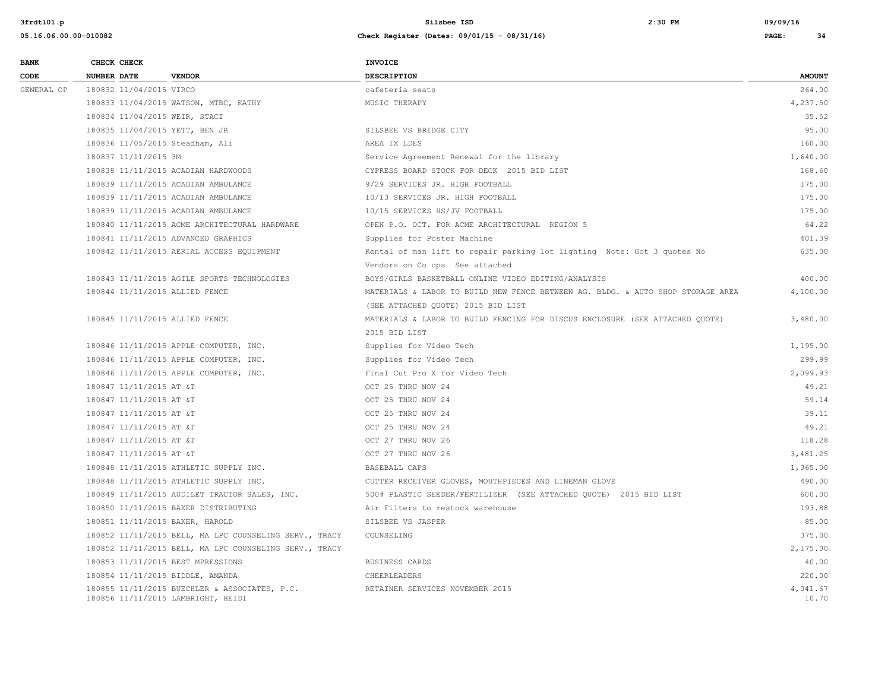| <b>BANK</b> | CHECK CHECK                       |                                                                                     | <b>INVOICE</b>                                                                  |                   |
|-------------|-----------------------------------|-------------------------------------------------------------------------------------|---------------------------------------------------------------------------------|-------------------|
| CODE        | <b>NUMBER DATE</b>                | <b>VENDOR</b>                                                                       | <b>DESCRIPTION</b>                                                              | <b>AMOUNT</b>     |
| GENERAL OP  | 180832 11/04/2015 VIRCO           |                                                                                     | cafeteria seats                                                                 | 264.00            |
|             |                                   | 180833 11/04/2015 WATSON, MTBC, KATHY                                               | MUSIC THERAPY                                                                   | 4,237.50          |
|             | 180834 11/04/2015 WEIR, STACI     |                                                                                     |                                                                                 | 35.52             |
|             | 180835 11/04/2015 YETT, BEN JR    |                                                                                     | SILSBEE VS BRIDGE CITY                                                          | 95.00             |
|             | 180836 11/05/2015 Steadham, Ali   |                                                                                     | AREA IX LDES                                                                    | 160.00            |
|             | 180837 11/11/2015 3M              |                                                                                     | Service Agreement Renewal for the library                                       | 1,640.00          |
|             |                                   | 180838 11/11/2015 ACADIAN HARDWOODS                                                 | CYPRESS BOARD STOCK FOR DECK 2015 BID LIST                                      | 168.60            |
|             |                                   | 180839 11/11/2015 ACADIAN AMBULANCE                                                 | 9/29 SERVICES JR. HIGH FOOTBALL                                                 | 175.00            |
|             |                                   | 180839 11/11/2015 ACADIAN AMBULANCE                                                 | 10/13 SERVICES JR. HIGH FOOTBALL                                                | 175.00            |
|             |                                   | 180839 11/11/2015 ACADIAN AMBULANCE                                                 | 10/15 SERVICES HS/JV FOOTBALL                                                   | 175.00            |
|             |                                   | 180840 11/11/2015 ACME ARCHITECTURAL HARDWARE                                       | OPEN P.O. OCT. FOR ACME ARCHITECTURAL REGION 5                                  | 64.22             |
|             |                                   | 180841 11/11/2015 ADVANCED GRAPHICS                                                 | Supplies for Poster Machine                                                     | 401.39            |
|             |                                   | 180842 11/11/2015 AERIAL ACCESS EQUIPMENT                                           | Rental of man lift to repair parking lot lighting Note: Got 3 quotes No         | 635.00            |
|             |                                   |                                                                                     | Vendors on Co ops See attached                                                  |                   |
|             |                                   | 180843 11/11/2015 AGILE SPORTS TECHNOLOGIES                                         | BOYS/GIRLS BASKETBALL ONLINE VIDEO EDITING/ANALYSIS                             | 400.00            |
|             | 180844 11/11/2015 ALLIED FENCE    |                                                                                     | MATERIALS & LABOR TO BUILD NEW FENCE BETWEEN AG. BLDG. & AUTO SHOP STORAGE AREA | 4,100.00          |
|             |                                   |                                                                                     | (SEE ATTACHED QUOTE) 2015 BID LIST                                              |                   |
|             | 180845 11/11/2015 ALLIED FENCE    |                                                                                     | MATERIALS & LABOR TO BUILD FENCING FOR DISCUS ENCLOSURE (SEE ATTACHED QUOTE)    | 3,480.00          |
|             |                                   |                                                                                     | 2015 BID LIST                                                                   |                   |
|             |                                   | 180846 11/11/2015 APPLE COMPUTER, INC.                                              | Supplies for Video Tech                                                         | 1,195.00          |
|             |                                   | 180846 11/11/2015 APPLE COMPUTER, INC.                                              | Supplies for Video Tech                                                         | 299.99            |
|             |                                   | 180846 11/11/2015 APPLE COMPUTER, INC.                                              | Final Cut Pro X for Video Tech                                                  | 2,099.93          |
|             | 180847 11/11/2015 AT &T           |                                                                                     | OCT 25 THRU NOV 24                                                              | 49.21             |
|             | 180847 11/11/2015 AT &T           |                                                                                     | OCT 25 THRU NOV 24                                                              | 59.14             |
|             | 180847 11/11/2015 AT &T           |                                                                                     | OCT 25 THRU NOV 24                                                              | 39.11             |
|             | 180847 11/11/2015 AT &T           |                                                                                     | OCT 25 THRU NOV 24                                                              | 49.21             |
|             | 180847 11/11/2015 AT &T           |                                                                                     | OCT 27 THRU NOV 26                                                              | 118.28            |
|             | 180847 11/11/2015 AT &T           |                                                                                     | OCT 27 THRU NOV 26                                                              | 3,481.25          |
|             |                                   | 180848 11/11/2015 ATHLETIC SUPPLY INC.                                              | BASEBALL CAPS                                                                   | 1,365.00          |
|             |                                   | 180848 11/11/2015 ATHLETIC SUPPLY INC.                                              | CUTTER RECEIVER GLOVES, MOUTHPIECES AND LINEMAN GLOVE                           | 490.00            |
|             |                                   | 180849 11/11/2015 AUDILET TRACTOR SALES, INC.                                       | 500# PLASTIC SEEDER/FERTILIZER (SEE ATTACHED QUOTE) 2015 BID LIST               | 600.00            |
|             |                                   | 180850 11/11/2015 BAKER DISTRIBUTING                                                | Air Filters to restock warehouse                                                | 193.88            |
|             | 180851 11/11/2015 BAKER, HAROLD   |                                                                                     | SILSBEE VS JASPER                                                               | 85.00             |
|             |                                   | 180852 11/11/2015 BELL, MA LPC COUNSELING SERV., TRACY                              | COUNSELING                                                                      | 375.00            |
|             |                                   | 180852 11/11/2015 BELL, MA LPC COUNSELING SERV., TRACY                              |                                                                                 | 2,175.00          |
|             | 180853 11/11/2015 BEST MPRESSIONS |                                                                                     | BUSINESS CARDS                                                                  | 40.00             |
|             | 180854 11/11/2015 BIDDLE, AMANDA  |                                                                                     | CHEERLEADERS                                                                    | 220.00            |
|             |                                   | 180855 11/11/2015 BUECHLER & ASSOCIATES, P.C.<br>180856 11/11/2015 LAMBRIGHT, HEIDI | RETAINER SERVICES NOVEMBER 2015                                                 | 4,041.67<br>10.70 |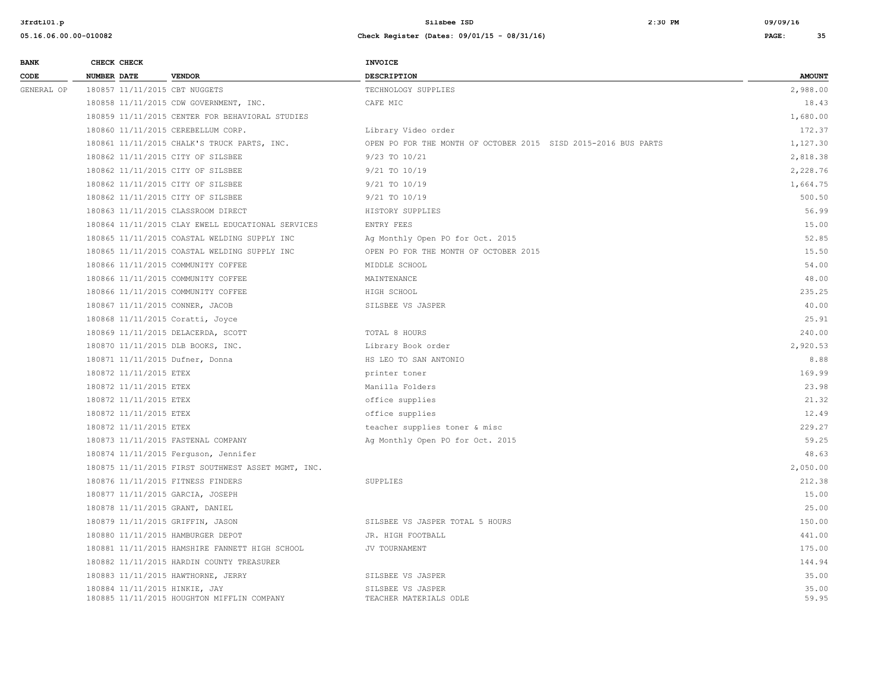| <b>BANK</b> |                    | CHECK CHECK            |                                                                             | <b>INVOICE</b>                                                 |                |
|-------------|--------------------|------------------------|-----------------------------------------------------------------------------|----------------------------------------------------------------|----------------|
| CODE        | <b>NUMBER DATE</b> |                        | <b>VENDOR</b>                                                               | DESCRIPTION                                                    | <b>AMOUNT</b>  |
| GENERAL OP  |                    |                        | 180857 11/11/2015 CBT NUGGETS                                               | TECHNOLOGY SUPPLIES                                            | 2,988.00       |
|             |                    |                        | 180858 11/11/2015 CDW GOVERNMENT, INC.                                      | CAFE MIC                                                       | 18.43          |
|             |                    |                        | 180859 11/11/2015 CENTER FOR BEHAVIORAL STUDIES                             |                                                                | 1,680.00       |
|             |                    |                        | 180860 11/11/2015 CEREBELLUM CORP.                                          | Library Video order                                            | 172.37         |
|             |                    |                        | 180861 11/11/2015 CHALK'S TRUCK PARTS, INC.                                 | OPEN PO FOR THE MONTH OF OCTOBER 2015 SISD 2015-2016 BUS PARTS | 1,127.30       |
|             |                    |                        | 180862 11/11/2015 CITY OF SILSBEE                                           | 9/23 TO 10/21                                                  | 2,818.38       |
|             |                    |                        | 180862 11/11/2015 CITY OF SILSBEE                                           | 9/21 TO 10/19                                                  | 2,228.76       |
|             |                    |                        | 180862 11/11/2015 CITY OF SILSBEE                                           | 9/21 TO 10/19                                                  | 1,664.75       |
|             |                    |                        | 180862 11/11/2015 CITY OF SILSBEE                                           | 9/21 TO 10/19                                                  | 500.50         |
|             |                    |                        | 180863 11/11/2015 CLASSROOM DIRECT                                          | HISTORY SUPPLIES                                               | 56.99          |
|             |                    |                        | 180864 11/11/2015 CLAY EWELL EDUCATIONAL SERVICES                           | ENTRY FEES                                                     | 15.00          |
|             |                    |                        | 180865 11/11/2015 COASTAL WELDING SUPPLY INC                                | Ag Monthly Open PO for Oct. 2015                               | 52.85          |
|             |                    |                        | 180865 11/11/2015 COASTAL WELDING SUPPLY INC                                | OPEN PO FOR THE MONTH OF OCTOBER 2015                          | 15.50          |
|             |                    |                        | 180866 11/11/2015 COMMUNITY COFFEE                                          | MIDDLE SCHOOL                                                  | 54.00          |
|             |                    |                        | 180866 11/11/2015 COMMUNITY COFFEE                                          | MAINTENANCE                                                    | 48.00          |
|             |                    |                        | 180866 11/11/2015 COMMUNITY COFFEE                                          | HIGH SCHOOL                                                    | 235.25         |
|             |                    |                        | 180867 11/11/2015 CONNER, JACOB                                             | SILSBEE VS JASPER                                              | 40.00          |
|             |                    |                        | 180868 11/11/2015 Coratti, Joyce                                            |                                                                | 25.91          |
|             |                    |                        | 180869 11/11/2015 DELACERDA, SCOTT                                          | TOTAL 8 HOURS                                                  | 240.00         |
|             |                    |                        | 180870 11/11/2015 DLB BOOKS, INC.                                           | Library Book order                                             | 2,920.53       |
|             |                    |                        | 180871 11/11/2015 Dufner, Donna                                             | HS LEO TO SAN ANTONIO                                          | 8.88           |
|             |                    | 180872 11/11/2015 ETEX |                                                                             | printer toner                                                  | 169.99         |
|             |                    | 180872 11/11/2015 ETEX |                                                                             | Manilla Folders                                                | 23.98          |
|             |                    | 180872 11/11/2015 ETEX |                                                                             | office supplies                                                | 21.32          |
|             |                    | 180872 11/11/2015 ETEX |                                                                             | office supplies                                                | 12.49          |
|             |                    | 180872 11/11/2015 ETEX |                                                                             | teacher supplies toner & misc                                  | 229.27         |
|             |                    |                        | 180873 11/11/2015 FASTENAL COMPANY                                          | Ag Monthly Open PO for Oct. 2015                               | 59.25          |
|             |                    |                        | 180874 11/11/2015 Ferguson, Jennifer                                        |                                                                | 48.63          |
|             |                    |                        | 180875 11/11/2015 FIRST SOUTHWEST ASSET MGMT, INC.                          |                                                                | 2,050.00       |
|             |                    |                        | 180876 11/11/2015 FITNESS FINDERS                                           | SUPPLIES                                                       | 212.38         |
|             |                    |                        | 180877 11/11/2015 GARCIA, JOSEPH                                            |                                                                | 15.00          |
|             |                    |                        | 180878 11/11/2015 GRANT, DANIEL                                             |                                                                | 25.00          |
|             |                    |                        | 180879 11/11/2015 GRIFFIN, JASON                                            | SILSBEE VS JASPER TOTAL 5 HOURS                                | 150.00         |
|             |                    |                        | 180880 11/11/2015 HAMBURGER DEPOT                                           | JR. HIGH FOOTBALL                                              | 441.00         |
|             |                    |                        | 180881 11/11/2015 HAMSHIRE FANNETT HIGH SCHOOL                              | JV TOURNAMENT                                                  | 175.00         |
|             |                    |                        | 180882 11/11/2015 HARDIN COUNTY TREASURER                                   |                                                                | 144.94         |
|             |                    |                        | 180883 11/11/2015 HAWTHORNE, JERRY                                          | SILSBEE VS JASPER                                              | 35.00          |
|             |                    |                        | 180884 11/11/2015 HINKIE, JAY<br>180885 11/11/2015 HOUGHTON MIFFLIN COMPANY | SILSBEE VS JASPER<br>TEACHER MATERIALS ODLE                    | 35.00<br>59.95 |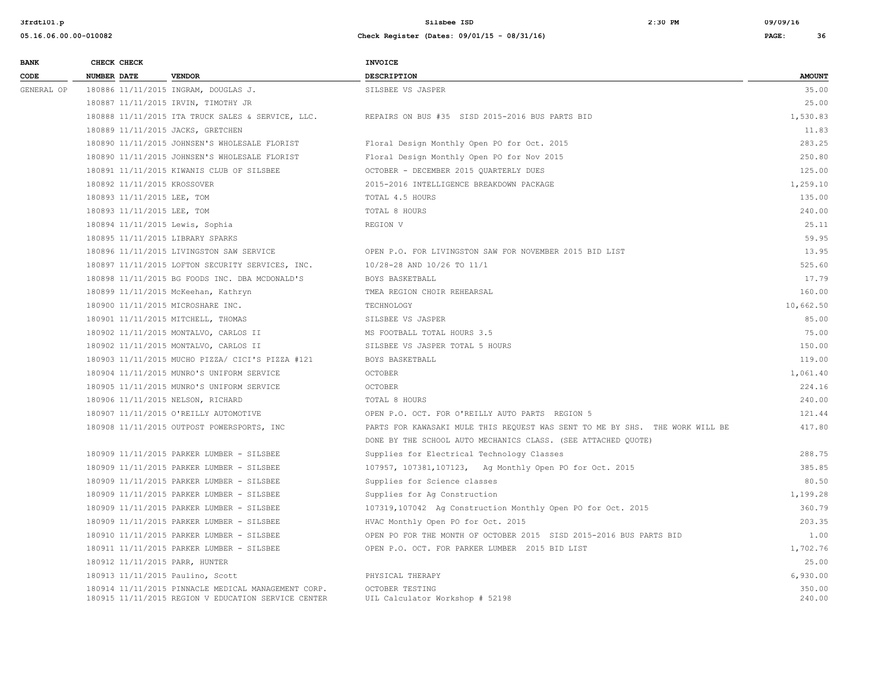| <b>BANK</b> | CHECK CHECK                         |                                                                                                            | <b>INVOICE</b>                                                               |                  |
|-------------|-------------------------------------|------------------------------------------------------------------------------------------------------------|------------------------------------------------------------------------------|------------------|
| CODE        | <b>NUMBER DATE</b>                  | <b>VENDOR</b>                                                                                              | <b>DESCRIPTION</b>                                                           | <b>AMOUNT</b>    |
| GENERAL OP  |                                     | 180886 11/11/2015 INGRAM, DOUGLAS J.                                                                       | SILSBEE VS JASPER                                                            | 35.00            |
|             | 180887 11/11/2015 IRVIN, TIMOTHY JR |                                                                                                            |                                                                              | 25.00            |
|             |                                     | 180888 11/11/2015 ITA TRUCK SALES & SERVICE, LLC.                                                          | REPAIRS ON BUS #35 SISD 2015-2016 BUS PARTS BID                              | 1,530.83         |
|             | 180889 11/11/2015 JACKS, GRETCHEN   |                                                                                                            |                                                                              | 11.83            |
|             |                                     | 180890 11/11/2015 JOHNSEN'S WHOLESALE FLORIST                                                              | Floral Design Monthly Open PO for Oct. 2015                                  | 283.25           |
|             |                                     | 180890 11/11/2015 JOHNSEN'S WHOLESALE FLORIST                                                              | Floral Design Monthly Open PO for Nov 2015                                   | 250.80           |
|             |                                     | 180891 11/11/2015 KIWANIS CLUB OF SILSBEE                                                                  | OCTOBER - DECEMBER 2015 QUARTERLY DUES                                       | 125.00           |
|             | 180892 11/11/2015 KROSSOVER         |                                                                                                            | 2015-2016 INTELLIGENCE BREAKDOWN PACKAGE                                     | 1,259.10         |
|             | 180893 11/11/2015 LEE, TOM          |                                                                                                            | TOTAL 4.5 HOURS                                                              | 135.00           |
|             | 180893 11/11/2015 LEE, TOM          |                                                                                                            | TOTAL 8 HOURS                                                                | 240.00           |
|             | 180894 11/11/2015 Lewis, Sophia     |                                                                                                            | REGION V                                                                     | 25.11            |
|             | 180895 11/11/2015 LIBRARY SPARKS    |                                                                                                            |                                                                              | 59.95            |
|             |                                     | 180896 11/11/2015 LIVINGSTON SAW SERVICE                                                                   | OPEN P.O. FOR LIVINGSTON SAW FOR NOVEMBER 2015 BID LIST                      | 13.95            |
|             |                                     | 180897 11/11/2015 LOFTON SECURITY SERVICES, INC.                                                           | 10/28-28 AND 10/26 TO 11/1                                                   | 525.60           |
|             |                                     | 180898 11/11/2015 BG FOODS INC. DBA MCDONALD'S                                                             | BOYS BASKETBALL                                                              | 17.79            |
|             | 180899 11/11/2015 McKeehan, Kathryn |                                                                                                            | TMEA REGION CHOIR REHEARSAL                                                  | 160.00           |
|             | 180900 11/11/2015 MICROSHARE INC.   |                                                                                                            | TECHNOLOGY                                                                   | 10,662.50        |
|             | 180901 11/11/2015 MITCHELL, THOMAS  |                                                                                                            | SILSBEE VS JASPER                                                            | 85.00            |
|             |                                     | 180902 11/11/2015 MONTALVO, CARLOS II                                                                      | MS FOOTBALL TOTAL HOURS 3.5                                                  | 75.00            |
|             |                                     | 180902 11/11/2015 MONTALVO, CARLOS II                                                                      | SILSBEE VS JASPER TOTAL 5 HOURS                                              | 150.00           |
|             |                                     | 180903 11/11/2015 MUCHO PIZZA/ CICI'S PIZZA #121                                                           | BOYS BASKETBALL                                                              | 119.00           |
|             |                                     | 180904 11/11/2015 MUNRO'S UNIFORM SERVICE                                                                  | <b>OCTOBER</b>                                                               | 1,061.40         |
|             |                                     | 180905 11/11/2015 MUNRO'S UNIFORM SERVICE                                                                  | <b>OCTOBER</b>                                                               | 224.16           |
|             | 180906 11/11/2015 NELSON, RICHARD   |                                                                                                            | TOTAL 8 HOURS                                                                | 240.00           |
|             |                                     | 180907 11/11/2015 O'REILLY AUTOMOTIVE                                                                      | OPEN P.O. OCT. FOR O'REILLY AUTO PARTS REGION 5                              | 121.44           |
|             |                                     | 180908 11/11/2015 OUTPOST POWERSPORTS, INC                                                                 | PARTS FOR KAWASAKI MULE THIS REQUEST WAS SENT TO ME BY SHS. THE WORK WILL BE | 417.80           |
|             |                                     |                                                                                                            | DONE BY THE SCHOOL AUTO MECHANICS CLASS. (SEE ATTACHED QUOTE)                |                  |
|             |                                     | 180909 11/11/2015 PARKER LUMBER - SILSBEE                                                                  | Supplies for Electrical Technology Classes                                   | 288.75           |
|             |                                     | 180909 11/11/2015 PARKER LUMBER - SILSBEE                                                                  | 107957, 107381, 107123, Ag Monthly Open PO for Oct. 2015                     | 385.85           |
|             |                                     | 180909 11/11/2015 PARKER LUMBER - SILSBEE                                                                  | Supplies for Science classes                                                 | 80.50            |
|             |                                     | 180909 11/11/2015 PARKER LUMBER - SILSBEE                                                                  | Supplies for Ag Construction                                                 | 1,199.28         |
|             |                                     | 180909 11/11/2015 PARKER LUMBER - SILSBEE                                                                  | 107319,107042 Ag Construction Monthly Open PO for Oct. 2015                  | 360.79           |
|             |                                     | 180909 11/11/2015 PARKER LUMBER - SILSBEE                                                                  | HVAC Monthly Open PO for Oct. 2015                                           | 203.35           |
|             |                                     | 180910 11/11/2015 PARKER LUMBER - SILSBEE                                                                  | OPEN PO FOR THE MONTH OF OCTOBER 2015 SISD 2015-2016 BUS PARTS BID           | 1.00             |
|             |                                     | 180911 11/11/2015 PARKER LUMBER - SILSBEE                                                                  | OPEN P.O. OCT. FOR PARKER LUMBER 2015 BID LIST                               | 1,702.76         |
|             | 180912 11/11/2015 PARR, HUNTER      |                                                                                                            |                                                                              | 25.00            |
|             | 180913 11/11/2015 Paulino, Scott    |                                                                                                            | PHYSICAL THERAPY                                                             | 6,930.00         |
|             |                                     | 180914 11/11/2015 PINNACLE MEDICAL MANAGEMENT CORP.<br>180915 11/11/2015 REGION V EDUCATION SERVICE CENTER | OCTOBER TESTING<br>UIL Calculator Workshop # 52198                           | 350.00<br>240.00 |
|             |                                     |                                                                                                            |                                                                              |                  |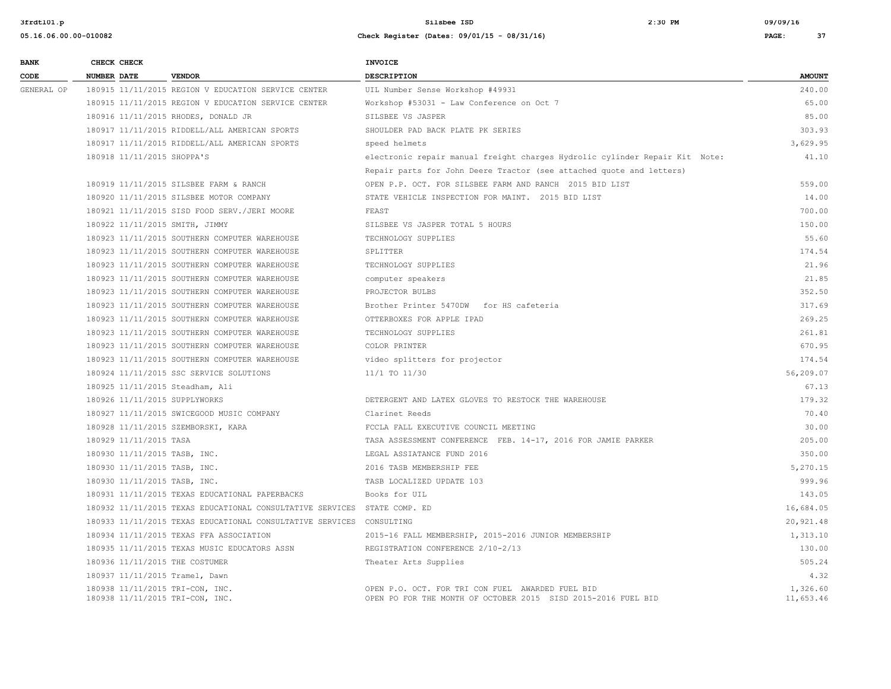| <b>BANK</b> | CHECK CHECK                                                        |                                                                          | <b>INVOICE</b>                                                                                                    |                       |
|-------------|--------------------------------------------------------------------|--------------------------------------------------------------------------|-------------------------------------------------------------------------------------------------------------------|-----------------------|
| CODE        | <b>NUMBER DATE</b>                                                 | <b>VENDOR</b>                                                            | <b>DESCRIPTION</b>                                                                                                | <b>AMOUNT</b>         |
| GENERAL OP  |                                                                    | 180915 11/11/2015 REGION V EDUCATION SERVICE CENTER                      | UIL Number Sense Workshop #49931                                                                                  | 240.00                |
|             |                                                                    | 180915 11/11/2015 REGION V EDUCATION SERVICE CENTER                      | Workshop #53031 - Law Conference on Oct 7                                                                         | 65.00                 |
|             |                                                                    | 180916 11/11/2015 RHODES, DONALD JR                                      | SILSBEE VS JASPER                                                                                                 | 85.00                 |
|             |                                                                    | 180917 11/11/2015 RIDDELL/ALL AMERICAN SPORTS                            | SHOULDER PAD BACK PLATE PK SERIES                                                                                 | 303.93                |
|             |                                                                    | 180917 11/11/2015 RIDDELL/ALL AMERICAN SPORTS                            | speed helmets                                                                                                     | 3.629.95              |
|             | 180918 11/11/2015 SHOPPA'S                                         |                                                                          | electronic repair manual freight charges Hydrolic cylinder Repair Kit Note:                                       | 41.10                 |
|             |                                                                    |                                                                          | Repair parts for John Deere Tractor (see attached quote and letters)                                              |                       |
|             |                                                                    | 180919 11/11/2015 SILSBEE FARM & RANCH                                   | OPEN P.P. OCT. FOR SILSBEE FARM AND RANCH 2015 BID LIST                                                           | 559.00                |
|             |                                                                    | 180920 11/11/2015 SILSBEE MOTOR COMPANY                                  | STATE VEHICLE INSPECTION FOR MAINT. 2015 BID LIST                                                                 | 14.00                 |
|             |                                                                    | 180921 11/11/2015 SISD FOOD SERV./JERI MOORE                             | FEAST                                                                                                             | 700.00                |
|             | 180922 11/11/2015 SMITH, JIMMY                                     |                                                                          | SILSBEE VS JASPER TOTAL 5 HOURS                                                                                   | 150.00                |
|             |                                                                    | 180923 11/11/2015 SOUTHERN COMPUTER WAREHOUSE                            | TECHNOLOGY SUPPLIES                                                                                               | 55.60                 |
|             |                                                                    | 180923 11/11/2015 SOUTHERN COMPUTER WAREHOUSE                            | SPLITTER                                                                                                          | 174.54                |
|             |                                                                    | 180923 11/11/2015 SOUTHERN COMPUTER WAREHOUSE                            | TECHNOLOGY SUPPLIES                                                                                               | 21.96                 |
|             |                                                                    | 180923 11/11/2015 SOUTHERN COMPUTER WAREHOUSE                            | computer speakers                                                                                                 | 21.85                 |
|             |                                                                    | 180923 11/11/2015 SOUTHERN COMPUTER WAREHOUSE                            | PROJECTOR BULBS                                                                                                   | 352.50                |
|             |                                                                    | 180923 11/11/2015 SOUTHERN COMPUTER WAREHOUSE                            | Brother Printer 5470DW for HS cafeteria                                                                           | 317.69                |
|             |                                                                    | 180923 11/11/2015 SOUTHERN COMPUTER WAREHOUSE                            | OTTERBOXES FOR APPLE IPAD                                                                                         | 269.25                |
|             |                                                                    | 180923 11/11/2015 SOUTHERN COMPUTER WAREHOUSE                            | TECHNOLOGY SUPPLIES                                                                                               | 261.81                |
|             |                                                                    | 180923 11/11/2015 SOUTHERN COMPUTER WAREHOUSE                            | COLOR PRINTER                                                                                                     | 670.95                |
|             |                                                                    | 180923 11/11/2015 SOUTHERN COMPUTER WAREHOUSE                            | video splitters for projector                                                                                     | 174.54                |
|             |                                                                    | 180924 11/11/2015 SSC SERVICE SOLUTIONS                                  | 11/1 TO 11/30                                                                                                     | 56,209.07             |
|             | 180925 11/11/2015 Steadham, Ali                                    |                                                                          |                                                                                                                   | 67.13                 |
|             | 180926 11/11/2015 SUPPLYWORKS                                      |                                                                          | DETERGENT AND LATEX GLOVES TO RESTOCK THE WAREHOUSE                                                               | 179.32                |
|             |                                                                    | 180927 11/11/2015 SWICEGOOD MUSIC COMPANY                                | Clarinet Reeds                                                                                                    | 70.40                 |
|             |                                                                    | 180928 11/11/2015 SZEMBORSKI, KARA                                       | FCCLA FALL EXECUTIVE COUNCIL MEETING                                                                              | 30.00                 |
|             | 180929 11/11/2015 TASA                                             |                                                                          | TASA ASSESSMENT CONFERENCE FEB. 14-17, 2016 FOR JAMIE PARKER                                                      | 205.00                |
|             | 180930 11/11/2015 TASB, INC.                                       |                                                                          | LEGAL ASSIATANCE FUND 2016                                                                                        | 350.00                |
|             | 180930 11/11/2015 TASB, INC.                                       |                                                                          | 2016 TASB MEMBERSHIP FEE                                                                                          | 5,270.15              |
|             | 180930 11/11/2015 TASB, INC.                                       |                                                                          | TASB LOCALIZED UPDATE 103                                                                                         | 999.96                |
|             |                                                                    | 180931 11/11/2015 TEXAS EDUCATIONAL PAPERBACKS                           | Books for UIL                                                                                                     | 143.05                |
|             |                                                                    | 180932 11/11/2015 TEXAS EDUCATIONAL CONSULTATIVE SERVICES STATE COMP. ED |                                                                                                                   | 16,684.05             |
|             |                                                                    | 180933 11/11/2015 TEXAS EDUCATIONAL CONSULTATIVE SERVICES CONSULTING     |                                                                                                                   | 20,921.48             |
|             |                                                                    | 180934 11/11/2015 TEXAS FFA ASSOCIATION                                  | 2015-16 FALL MEMBERSHIP, 2015-2016 JUNIOR MEMBERSHIP                                                              | 1,313.10              |
|             |                                                                    | 180935 11/11/2015 TEXAS MUSIC EDUCATORS ASSN                             | REGISTRATION CONFERENCE 2/10-2/13                                                                                 | 130.00                |
|             | 180936 11/11/2015 THE COSTUMER                                     |                                                                          | Theater Arts Supplies                                                                                             | 505.24                |
|             | 180937 11/11/2015 Tramel, Dawn                                     |                                                                          |                                                                                                                   | 4.32                  |
|             | 180938 11/11/2015 TRI-CON, INC.<br>180938 11/11/2015 TRI-CON, INC. |                                                                          | OPEN P.O. OCT. FOR TRI CON FUEL AWARDED FUEL BID<br>OPEN PO FOR THE MONTH OF OCTOBER 2015 SISD 2015-2016 FUEL BID | 1,326.60<br>11,653.46 |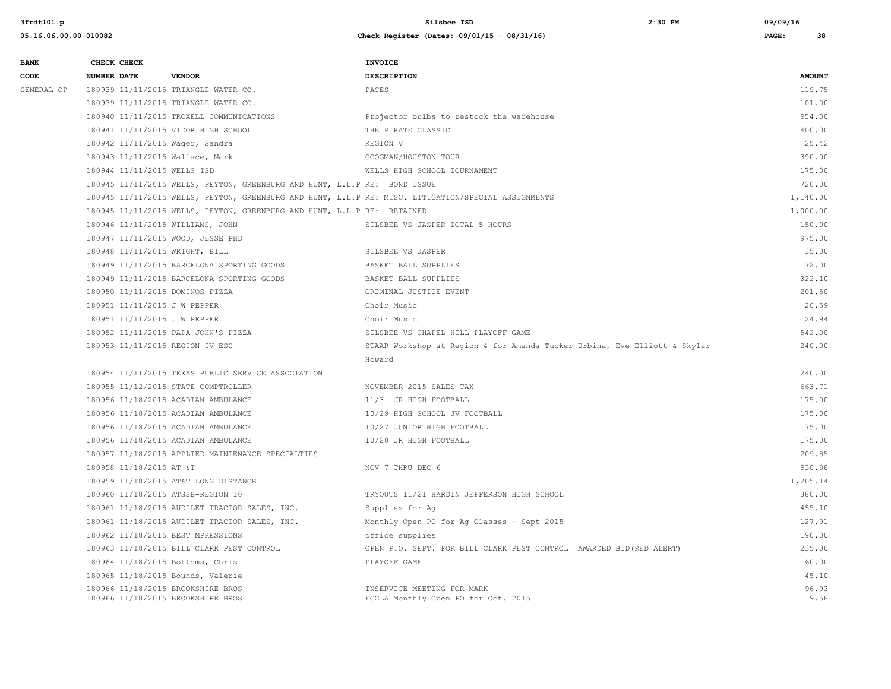| <b>BANK</b> |                    | CHECK CHECK                 |                                                                           | <b>INVOICE</b>                                                                                      |                 |
|-------------|--------------------|-----------------------------|---------------------------------------------------------------------------|-----------------------------------------------------------------------------------------------------|-----------------|
| CODE        | <b>NUMBER DATE</b> |                             | <b>VENDOR</b>                                                             | <b>DESCRIPTION</b>                                                                                  | <b>AMOUNT</b>   |
| GENERAL OP  |                    |                             | 180939 11/11/2015 TRIANGLE WATER CO.                                      | PACES                                                                                               | 119.75          |
|             |                    |                             | 180939 11/11/2015 TRIANGLE WATER CO.                                      |                                                                                                     | 101.00          |
|             |                    |                             | 180940 11/11/2015 TROXELL COMMUNICATIONS                                  | Projector bulbs to restock the warehouse                                                            | 954.00          |
|             |                    |                             | 180941 11/11/2015 VIDOR HIGH SCHOOL                                       | THE PIRATE CLASSIC                                                                                  | 400.00          |
|             |                    |                             | 180942 11/11/2015 Wager, Sandra                                           | REGION V                                                                                            | 25.42           |
|             |                    |                             | 180943 11/11/2015 Wallace, Mark                                           | GOOGMAN/HOUSTON TOUR                                                                                | 390.00          |
|             |                    | 180944 11/11/2015 WELLS ISD |                                                                           | WELLS HIGH SCHOOL TOURNAMENT                                                                        | 175.00          |
|             |                    |                             | 180945 11/11/2015 WELLS, PEYTON, GREENBURG AND HUNT, L.L.P RE: BOND ISSUE |                                                                                                     | 720.00          |
|             |                    |                             |                                                                           | 180945 11/11/2015 WELLS, PEYTON, GREENBURG AND HUNT, L.L.P RE: MISC. LITIGATION/SPECIAL ASSIGNMENTS | 1,140.00        |
|             |                    |                             | 180945 11/11/2015 WELLS, PEYTON, GREENBURG AND HUNT, L.L.P RE: RETAINER   |                                                                                                     | 1,000.00        |
|             |                    |                             | 180946 11/11/2015 WILLIAMS, JOHN                                          | SILSBEE VS JASPER TOTAL 5 HOURS                                                                     | 150.00          |
|             |                    |                             | 180947 11/11/2015 WOOD, JESSE PHD                                         |                                                                                                     | 975.00          |
|             |                    |                             | 180948 11/11/2015 WRIGHT, BILL                                            | SILSBEE VS JASPER                                                                                   | 35.00           |
|             |                    |                             | 180949 11/11/2015 BARCELONA SPORTING GOODS                                | BASKET BALL SUPPLIES                                                                                | 72.00           |
|             |                    |                             | 180949 11/11/2015 BARCELONA SPORTING GOODS                                | BASKET BALL SUPPLIES                                                                                | 322.10          |
|             |                    |                             | 180950 11/11/2015 DOMINOS PIZZA                                           | CRIMINAL JUSTICE EVENT                                                                              | 201.50          |
|             |                    |                             | 180951 11/11/2015 J W PEPPER                                              | Choir Music                                                                                         | 20.59           |
|             |                    |                             | 180951 11/11/2015 J W PEPPER                                              | Choir Music                                                                                         | 24.94           |
|             |                    |                             | 180952 11/11/2015 PAPA JOHN'S PIZZA                                       | SILSBEE VS CHAPEL HILL PLAYOFF GAME                                                                 | 542.00          |
|             |                    |                             | 180953 11/11/2015 REGION IV ESC                                           | STAAR Workshop at Region 4 for Amanda Tucker Urbina, Eve Elliott & Skylar                           | 240.00          |
|             |                    |                             |                                                                           | Howard                                                                                              |                 |
|             |                    |                             | 180954 11/11/2015 TEXAS PUBLIC SERVICE ASSOCIATION                        |                                                                                                     | 240.00          |
|             |                    |                             | 180955 11/12/2015 STATE COMPTROLLER                                       | NOVEMBER 2015 SALES TAX                                                                             | 663.71          |
|             |                    |                             | 180956 11/18/2015 ACADIAN AMBULANCE                                       | 11/3 JR HIGH FOOTBALL                                                                               | 175.00          |
|             |                    |                             | 180956 11/18/2015 ACADIAN AMBULANCE                                       | 10/29 HIGH SCHOOL JV FOOTBALL                                                                       | 175.00          |
|             |                    |                             | 180956 11/18/2015 ACADIAN AMBULANCE                                       | 10/27 JUNIOR HIGH FOOTBALL                                                                          | 175.00          |
|             |                    |                             | 180956 11/18/2015 ACADIAN AMBULANCE                                       | 10/20 JR HIGH FOOTBALL                                                                              | 175.00          |
|             |                    |                             | 180957 11/18/2015 APPLIED MAINTENANCE SPECIALTIES                         |                                                                                                     | 209.85          |
|             |                    | 180958 11/18/2015 AT &T     |                                                                           | NOV 7 THRU DEC 6                                                                                    | 930.88          |
|             |                    |                             | 180959 11/18/2015 AT&T LONG DISTANCE                                      |                                                                                                     | 1,205.14        |
|             |                    |                             | 180960 11/18/2015 ATSSB-REGION 10                                         | TRYOUTS 11/21 HARDIN JEFFERSON HIGH SCHOOL                                                          | 380.00          |
|             |                    |                             | 180961 11/18/2015 AUDILET TRACTOR SALES, INC.                             | Supplies for Aq                                                                                     | 455.10          |
|             |                    |                             | 180961 11/18/2015 AUDILET TRACTOR SALES, INC.                             | Monthly Open PO for Ag Classes - Sept 2015                                                          | 127.91          |
|             |                    |                             | 180962 11/18/2015 BEST MPRESSIONS                                         | office supplies                                                                                     | 190.00          |
|             |                    |                             | 180963 11/18/2015 BILL CLARK PEST CONTROL                                 | OPEN P.O. SEPT. FOR BILL CLARK PEST CONTROL AWARDED BID (RED ALERT)                                 | 235.00          |
|             |                    |                             | 180964 11/18/2015 Bottoms, Chris                                          | PLAYOFF GAME                                                                                        | 60.00           |
|             |                    |                             | 180965 11/18/2015 Bounds, Valerie                                         |                                                                                                     | 45.10           |
|             |                    |                             | 180966 11/18/2015 BROOKSHIRE BROS<br>180966 11/18/2015 BROOKSHIRE BROS    | INSERVICE MEETING FOR MARK<br>FCCLA Monthly Open PO for Oct. 2015                                   | 96.93<br>119.58 |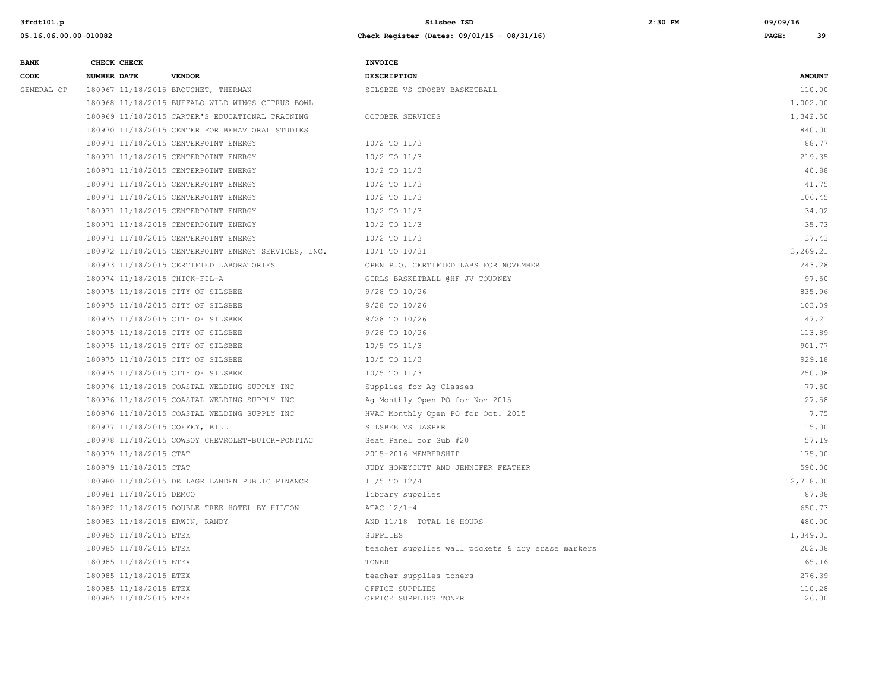| <b>BANK</b> | CHECK CHECK        |                                                  |                                                     | <b>INVOICE</b>                                    |                  |
|-------------|--------------------|--------------------------------------------------|-----------------------------------------------------|---------------------------------------------------|------------------|
| CODE        | <b>NUMBER DATE</b> |                                                  | <b>VENDOR</b>                                       | <b>DESCRIPTION</b>                                | <b>AMOUNT</b>    |
| GENERAL OP  |                    |                                                  | 180967 11/18/2015 BROUCHET, THERMAN                 | SILSBEE VS CROSBY BASKETBALL                      | 110.00           |
|             |                    |                                                  | 180968 11/18/2015 BUFFALO WILD WINGS CITRUS BOWL    |                                                   | 1,002.00         |
|             |                    |                                                  | 180969 11/18/2015 CARTER'S EDUCATIONAL TRAINING     | OCTOBER SERVICES                                  | 1,342.50         |
|             |                    |                                                  | 180970 11/18/2015 CENTER FOR BEHAVIORAL STUDIES     |                                                   | 840.00           |
|             |                    |                                                  | 180971 11/18/2015 CENTERPOINT ENERGY                | $10/2$ TO $11/3$                                  | 88.77            |
|             |                    |                                                  | 180971 11/18/2015 CENTERPOINT ENERGY                | $10/2$ TO $11/3$                                  | 219.35           |
|             |                    |                                                  | 180971 11/18/2015 CENTERPOINT ENERGY                | $10/2$ TO $11/3$                                  | 40.88            |
|             |                    |                                                  | 180971 11/18/2015 CENTERPOINT ENERGY                | 10/2 TO 11/3                                      | 41.75            |
|             |                    |                                                  | 180971 11/18/2015 CENTERPOINT ENERGY                | $10/2$ TO $11/3$                                  | 106.45           |
|             |                    |                                                  | 180971 11/18/2015 CENTERPOINT ENERGY                | $10/2$ TO $11/3$                                  | 34.02            |
|             |                    |                                                  | 180971 11/18/2015 CENTERPOINT ENERGY                | $10/2$ TO $11/3$                                  | 35.73            |
|             |                    |                                                  | 180971 11/18/2015 CENTERPOINT ENERGY                | $10/2$ TO $11/3$                                  | 37.43            |
|             |                    |                                                  | 180972 11/18/2015 CENTERPOINT ENERGY SERVICES, INC. | 10/1 TO 10/31                                     | 3,269.21         |
|             |                    |                                                  | 180973 11/18/2015 CERTIFIED LABORATORIES            | OPEN P.O. CERTIFIED LABS FOR NOVEMBER             | 243.28           |
|             |                    |                                                  | 180974 11/18/2015 CHICK-FIL-A                       | GIRLS BASKETBALL @HF JV TOURNEY                   | 97.50            |
|             |                    |                                                  | 180975 11/18/2015 CITY OF SILSBEE                   | $9/28$ TO $10/26$                                 | 835.96           |
|             |                    |                                                  | 180975 11/18/2015 CITY OF SILSBEE                   | $9/28$ TO $10/26$                                 | 103.09           |
|             |                    |                                                  | 180975 11/18/2015 CITY OF SILSBEE                   | 9/28 TO 10/26                                     | 147.21           |
|             |                    |                                                  | 180975 11/18/2015 CITY OF SILSBEE                   | $9/28$ TO $10/26$                                 | 113.89           |
|             |                    |                                                  | 180975 11/18/2015 CITY OF SILSBEE                   | $10/5$ TO $11/3$                                  | 901.77           |
|             |                    |                                                  | 180975 11/18/2015 CITY OF SILSBEE                   | $10/5$ TO $11/3$                                  | 929.18           |
|             |                    |                                                  | 180975 11/18/2015 CITY OF SILSBEE                   | 10/5 TO 11/3                                      | 250.08           |
|             |                    |                                                  | 180976 11/18/2015 COASTAL WELDING SUPPLY INC        | Supplies for Ag Classes                           | 77.50            |
|             |                    |                                                  | 180976 11/18/2015 COASTAL WELDING SUPPLY INC        | Ag Monthly Open PO for Nov 2015                   | 27.58            |
|             |                    |                                                  | 180976 11/18/2015 COASTAL WELDING SUPPLY INC        | HVAC Monthly Open PO for Oct. 2015                | 7.75             |
|             |                    |                                                  | 180977 11/18/2015 COFFEY, BILL                      | SILSBEE VS JASPER                                 | 15.00            |
|             |                    |                                                  | 180978 11/18/2015 COWBOY CHEVROLET-BUICK-PONTIAC    | Seat Panel for Sub #20                            | 57.19            |
|             |                    | 180979 11/18/2015 CTAT                           |                                                     | 2015-2016 MEMBERSHIP                              | 175.00           |
|             |                    | 180979 11/18/2015 CTAT                           |                                                     | JUDY HONEYCUTT AND JENNIFER FEATHER               | 590.00           |
|             |                    |                                                  | 180980 11/18/2015 DE LAGE LANDEN PUBLIC FINANCE     | $11/5$ TO $12/4$                                  | 12,718.00        |
|             |                    | 180981 11/18/2015 DEMCO                          |                                                     | library supplies                                  | 87.88            |
|             |                    |                                                  | 180982 11/18/2015 DOUBLE TREE HOTEL BY HILTON       | ATAC 12/1-4                                       | 650.73           |
|             |                    |                                                  | 180983 11/18/2015 ERWIN, RANDY                      | AND 11/18 TOTAL 16 HOURS                          | 480.00           |
|             |                    | 180985 11/18/2015 ETEX                           |                                                     | SUPPLIES                                          | 1,349.01         |
|             |                    | 180985 11/18/2015 ETEX                           |                                                     | teacher supplies wall pockets & dry erase markers | 202.38           |
|             |                    | 180985 11/18/2015 ETEX                           |                                                     | <b>TONER</b>                                      | 65.16            |
|             |                    | 180985 11/18/2015 ETEX                           |                                                     | teacher supplies toners                           | 276.39           |
|             |                    | 180985 11/18/2015 ETEX<br>180985 11/18/2015 ETEX |                                                     | OFFICE SUPPLIES<br>OFFICE SUPPLIES TONER          | 110.28<br>126.00 |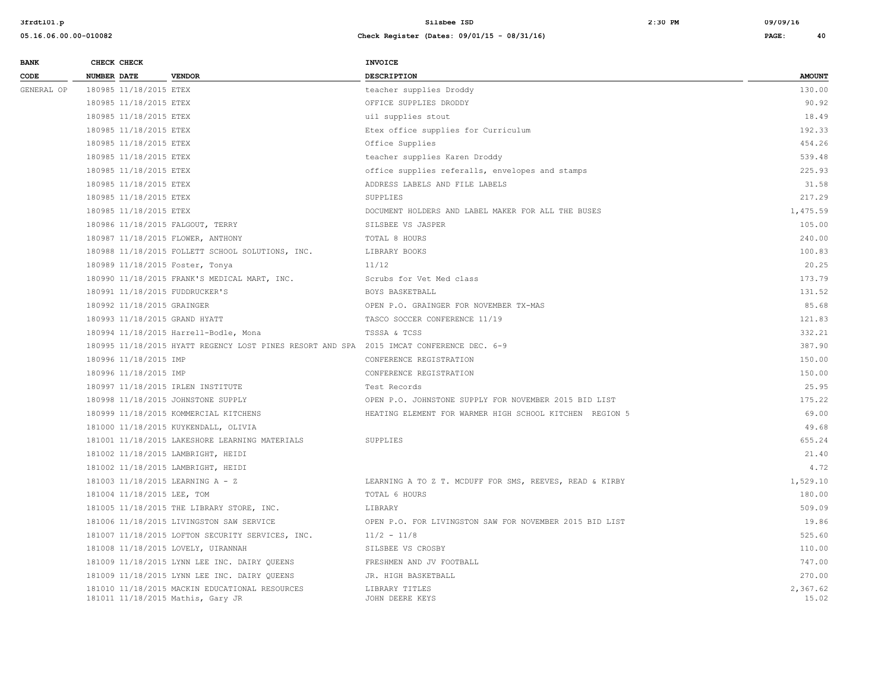| <b>BANK</b> |             | CHECK CHECK                |                                                                                          | <b>INVOICE</b>                                          |                   |
|-------------|-------------|----------------------------|------------------------------------------------------------------------------------------|---------------------------------------------------------|-------------------|
| CODE        | NUMBER DATE |                            | <b>VENDOR</b>                                                                            | DESCRIPTION                                             | <b>AMOUNT</b>     |
| GENERAL OP  |             | 180985 11/18/2015 ETEX     |                                                                                          | teacher supplies Droddy                                 | 130.00            |
|             |             | 180985 11/18/2015 ETEX     |                                                                                          | OFFICE SUPPLIES DRODDY                                  | 90.92             |
|             |             | 180985 11/18/2015 ETEX     |                                                                                          | uil supplies stout                                      | 18.49             |
|             |             | 180985 11/18/2015 ETEX     |                                                                                          | Etex office supplies for Curriculum                     | 192.33            |
|             |             | 180985 11/18/2015 ETEX     |                                                                                          | Office Supplies                                         | 454.26            |
|             |             | 180985 11/18/2015 ETEX     |                                                                                          | teacher supplies Karen Droddy                           | 539.48            |
|             |             | 180985 11/18/2015 ETEX     |                                                                                          | office supplies referalls, envelopes and stamps         | 225.93            |
|             |             | 180985 11/18/2015 ETEX     |                                                                                          | ADDRESS LABELS AND FILE LABELS                          | 31.58             |
|             |             | 180985 11/18/2015 ETEX     |                                                                                          | SUPPLIES                                                | 217.29            |
|             |             | 180985 11/18/2015 ETEX     |                                                                                          | DOCUMENT HOLDERS AND LABEL MAKER FOR ALL THE BUSES      | 1,475.59          |
|             |             |                            | 180986 11/18/2015 FALGOUT, TERRY                                                         | SILSBEE VS JASPER                                       | 105.00            |
|             |             |                            | 180987 11/18/2015 FLOWER, ANTHONY                                                        | TOTAL 8 HOURS                                           | 240.00            |
|             |             |                            | 180988 11/18/2015 FOLLETT SCHOOL SOLUTIONS, INC.                                         | LIBRARY BOOKS                                           | 100.83            |
|             |             |                            | 180989 11/18/2015 Foster, Tonya                                                          | 11/12                                                   | 20.25             |
|             |             |                            | 180990 11/18/2015 FRANK'S MEDICAL MART, INC.                                             | Scrubs for Vet Med class                                | 173.79            |
|             |             |                            | 180991 11/18/2015 FUDDRUCKER'S                                                           | BOYS BASKETBALL                                         | 131.52            |
|             |             | 180992 11/18/2015 GRAINGER |                                                                                          | OPEN P.O. GRAINGER FOR NOVEMBER TX-MAS                  | 85.68             |
|             |             |                            | 180993 11/18/2015 GRAND HYATT                                                            | TASCO SOCCER CONFERENCE 11/19                           | 121.83            |
|             |             |                            | 180994 11/18/2015 Harrell-Bodle, Mona                                                    | TSSSA & TCSS                                            | 332.21            |
|             |             |                            | 180995 11/18/2015 HYATT REGENCY LOST PINES RESORT AND SPA 2015 IMCAT CONFERENCE DEC. 6-9 |                                                         | 387.90            |
|             |             | 180996 11/18/2015 IMP      |                                                                                          | CONFERENCE REGISTRATION                                 | 150.00            |
|             |             | 180996 11/18/2015 IMP      |                                                                                          | CONFERENCE REGISTRATION                                 | 150.00            |
|             |             |                            | 180997 11/18/2015 IRLEN INSTITUTE                                                        | Test Records                                            | 25.95             |
|             |             |                            | 180998 11/18/2015 JOHNSTONE SUPPLY                                                       | OPEN P.O. JOHNSTONE SUPPLY FOR NOVEMBER 2015 BID LIST   | 175.22            |
|             |             |                            | 180999 11/18/2015 KOMMERCIAL KITCHENS                                                    | HEATING ELEMENT FOR WARMER HIGH SCHOOL KITCHEN REGION 5 | 69.00             |
|             |             |                            | 181000 11/18/2015 KUYKENDALL, OLIVIA                                                     |                                                         | 49.68             |
|             |             |                            | 181001 11/18/2015 LAKESHORE LEARNING MATERIALS                                           | SUPPLIES                                                | 655.24            |
|             |             |                            | 181002 11/18/2015 LAMBRIGHT, HEIDI                                                       |                                                         | 21.40             |
|             |             |                            | 181002 11/18/2015 LAMBRIGHT, HEIDI                                                       |                                                         | 4.72              |
|             |             |                            | 181003 11/18/2015 LEARNING A - Z                                                         | LEARNING A TO Z T. MCDUFF FOR SMS, REEVES, READ & KIRBY | 1,529.10          |
|             |             | 181004 11/18/2015 LEE, TOM |                                                                                          | TOTAL 6 HOURS                                           | 180.00            |
|             |             |                            | 181005 11/18/2015 THE LIBRARY STORE, INC.                                                | LIBRARY                                                 | 509.09            |
|             |             |                            | 181006 11/18/2015 LIVINGSTON SAW SERVICE                                                 | OPEN P.O. FOR LIVINGSTON SAW FOR NOVEMBER 2015 BID LIST | 19.86             |
|             |             |                            | 181007 11/18/2015 LOFTON SECURITY SERVICES, INC.                                         | $11/2 - 11/8$                                           | 525.60            |
|             |             |                            | 181008 11/18/2015 LOVELY, UIRANNAH                                                       | SILSBEE VS CROSBY                                       | 110.00            |
|             |             |                            | 181009 11/18/2015 LYNN LEE INC. DAIRY QUEENS                                             | FRESHMEN AND JV FOOTBALL                                | 747.00            |
|             |             |                            | 181009 11/18/2015 LYNN LEE INC. DAIRY QUEENS                                             | JR. HIGH BASKETBALL                                     | 270.00            |
|             |             |                            | 181010 11/18/2015 MACKIN EDUCATIONAL RESOURCES<br>181011 11/18/2015 Mathis, Gary JR      | LIBRARY TITLES<br>JOHN DEERE KEYS                       | 2.367.62<br>15.02 |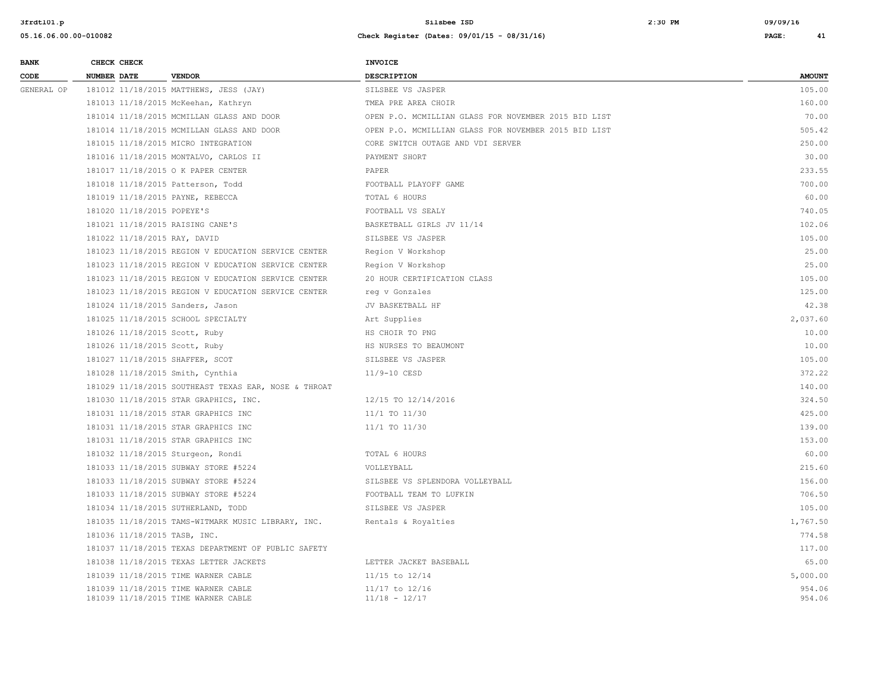| <b>BANK</b> | CHECK CHECK                       |                                                                            | <b>INVOICE</b>                                       |                  |
|-------------|-----------------------------------|----------------------------------------------------------------------------|------------------------------------------------------|------------------|
| CODE        | <b>NUMBER DATE</b>                | <b>VENDOR</b>                                                              | DESCRIPTION                                          | <b>AMOUNT</b>    |
| GENERAL OP  |                                   | 181012 11/18/2015 MATTHEWS, JESS (JAY)                                     | SILSBEE VS JASPER                                    | 105.00           |
|             |                                   | 181013 11/18/2015 McKeehan, Kathryn                                        | TMEA PRE AREA CHOIR                                  | 160.00           |
|             |                                   | 181014 11/18/2015 MCMILLAN GLASS AND DOOR                                  | OPEN P.O. MCMILLIAN GLASS FOR NOVEMBER 2015 BID LIST | 70.00            |
|             |                                   | 181014 11/18/2015 MCMILLAN GLASS AND DOOR                                  | OPEN P.O. MCMILLIAN GLASS FOR NOVEMBER 2015 BID LIST | 505.42           |
|             |                                   | 181015 11/18/2015 MICRO INTEGRATION                                        | CORE SWITCH OUTAGE AND VDI SERVER                    | 250.00           |
|             |                                   | 181016 11/18/2015 MONTALVO, CARLOS II                                      | PAYMENT SHORT                                        | 30.00            |
|             |                                   | 181017 11/18/2015 O K PAPER CENTER                                         | PAPER                                                | 233.55           |
|             | 181018 11/18/2015 Patterson, Todd |                                                                            | FOOTBALL PLAYOFF GAME                                | 700.00           |
|             | 181019 11/18/2015 PAYNE, REBECCA  |                                                                            | TOTAL 6 HOURS                                        | 60.00            |
|             | 181020 11/18/2015 POPEYE'S        |                                                                            | FOOTBALL VS SEALY                                    | 740.05           |
|             | 181021 11/18/2015 RAISING CANE'S  |                                                                            | BASKETBALL GIRLS JV 11/14                            | 102.06           |
|             | 181022 11/18/2015 RAY, DAVID      |                                                                            | SILSBEE VS JASPER                                    | 105.00           |
|             |                                   | 181023 11/18/2015 REGION V EDUCATION SERVICE CENTER                        | Region V Workshop                                    | 25.00            |
|             |                                   | 181023 11/18/2015 REGION V EDUCATION SERVICE CENTER                        | Region V Workshop                                    | 25.00            |
|             |                                   | 181023 11/18/2015 REGION V EDUCATION SERVICE CENTER                        | 20 HOUR CERTIFICATION CLASS                          | 105.00           |
|             |                                   | 181023 11/18/2015 REGION V EDUCATION SERVICE CENTER                        | req v Gonzales                                       | 125.00           |
|             | 181024 11/18/2015 Sanders, Jason  |                                                                            | JV BASKETBALL HF                                     | 42.38            |
|             |                                   | 181025 11/18/2015 SCHOOL SPECIALTY                                         | Art Supplies                                         | 2,037.60         |
|             | 181026 11/18/2015 Scott, Ruby     |                                                                            | HS CHOIR TO PNG                                      | 10.00            |
|             | 181026 11/18/2015 Scott, Ruby     |                                                                            | HS NURSES TO BEAUMONT                                | 10.00            |
|             | 181027 11/18/2015 SHAFFER, SCOT   |                                                                            | SILSBEE VS JASPER                                    | 105.00           |
|             | 181028 11/18/2015 Smith, Cynthia  |                                                                            | 11/9-10 CESD                                         | 372.22           |
|             |                                   | 181029 11/18/2015 SOUTHEAST TEXAS EAR, NOSE & THROAT                       |                                                      | 140.00           |
|             |                                   | 181030 11/18/2015 STAR GRAPHICS, INC.                                      | 12/15 TO 12/14/2016                                  | 324.50           |
|             |                                   | 181031 11/18/2015 STAR GRAPHICS INC                                        | 11/1 TO 11/30                                        | 425.00           |
|             |                                   | 181031 11/18/2015 STAR GRAPHICS INC                                        | 11/1 TO 11/30                                        | 139.00           |
|             |                                   | 181031 11/18/2015 STAR GRAPHICS INC                                        |                                                      | 153.00           |
|             | 181032 11/18/2015 Sturgeon, Rondi |                                                                            | TOTAL 6 HOURS                                        | 60.00            |
|             |                                   | 181033 11/18/2015 SUBWAY STORE #5224                                       | VOLLEYBALL                                           | 215.60           |
|             |                                   | 181033 11/18/2015 SUBWAY STORE #5224                                       | SILSBEE VS SPLENDORA VOLLEYBALL                      | 156.00           |
|             |                                   | 181033 11/18/2015 SUBWAY STORE #5224                                       | FOOTBALL TEAM TO LUFKIN                              | 706.50           |
|             |                                   | 181034 11/18/2015 SUTHERLAND, TODD                                         | SILSBEE VS JASPER                                    | 105.00           |
|             |                                   | 181035 11/18/2015 TAMS-WITMARK MUSIC LIBRARY, INC.                         | Rentals & Royalties                                  | 1,767.50         |
|             | 181036 11/18/2015 TASB, INC.      |                                                                            |                                                      | 774.58           |
|             |                                   | 181037 11/18/2015 TEXAS DEPARTMENT OF PUBLIC SAFETY                        |                                                      | 117.00           |
|             |                                   | 181038 11/18/2015 TEXAS LETTER JACKETS                                     | LETTER JACKET BASEBALL                               | 65.00            |
|             |                                   | 181039 11/18/2015 TIME WARNER CABLE                                        | 11/15 to 12/14                                       | 5,000.00         |
|             |                                   | 181039 11/18/2015 TIME WARNER CABLE<br>181039 11/18/2015 TIME WARNER CABLE | 11/17 to 12/16<br>$11/18 - 12/17$                    | 954.06<br>954.06 |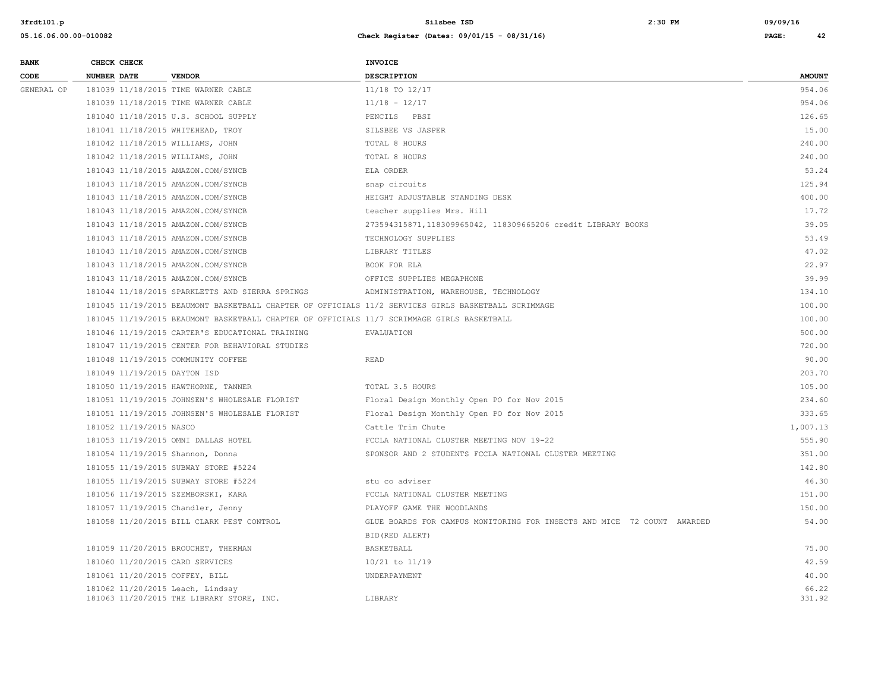| <b>BANK</b> | CHECK CHECK                      |                                                                                            | <b>INVOICE</b>                                                                                      |                 |
|-------------|----------------------------------|--------------------------------------------------------------------------------------------|-----------------------------------------------------------------------------------------------------|-----------------|
| CODE        | <b>NUMBER DATE</b>               | <b>VENDOR</b>                                                                              | DESCRIPTION                                                                                         | <b>AMOUNT</b>   |
| GENERAL OP  |                                  | 181039 11/18/2015 TIME WARNER CABLE                                                        | 11/18 TO 12/17                                                                                      | 954.06          |
|             |                                  | 181039 11/18/2015 TIME WARNER CABLE                                                        | $11/18 - 12/17$                                                                                     | 954.06          |
|             |                                  | 181040 11/18/2015 U.S. SCHOOL SUPPLY                                                       | PENCILS PBSI                                                                                        | 126.65          |
|             |                                  | 181041 11/18/2015 WHITEHEAD, TROY                                                          | SILSBEE VS JASPER                                                                                   | 15.00           |
|             | 181042 11/18/2015 WILLIAMS, JOHN |                                                                                            | TOTAL 8 HOURS                                                                                       | 240.00          |
|             | 181042 11/18/2015 WILLIAMS, JOHN |                                                                                            | TOTAL 8 HOURS                                                                                       | 240.00          |
|             |                                  | 181043 11/18/2015 AMAZON.COM/SYNCB                                                         | ELA ORDER                                                                                           | 53.24           |
|             |                                  | 181043 11/18/2015 AMAZON.COM/SYNCB                                                         | snap circuits                                                                                       | 125.94          |
|             |                                  | 181043 11/18/2015 AMAZON.COM/SYNCB                                                         | HEIGHT ADJUSTABLE STANDING DESK                                                                     | 400.00          |
|             |                                  | 181043 11/18/2015 AMAZON.COM/SYNCB                                                         | teacher supplies Mrs. Hill                                                                          | 17.72           |
|             |                                  | 181043 11/18/2015 AMAZON.COM/SYNCB                                                         | 273594315871,118309965042, 118309665206 credit LIBRARY BOOKS                                        | 39.05           |
|             |                                  | 181043 11/18/2015 AMAZON.COM/SYNCB                                                         | TECHNOLOGY SUPPLIES                                                                                 | 53.49           |
|             |                                  | 181043 11/18/2015 AMAZON.COM/SYNCB                                                         | LIBRARY TITLES                                                                                      | 47.02           |
|             |                                  | 181043 11/18/2015 AMAZON.COM/SYNCB                                                         | BOOK FOR ELA                                                                                        | 22.97           |
|             |                                  | 181043 11/18/2015 AMAZON.COM/SYNCB                                                         | OFFICE SUPPLIES MEGAPHONE                                                                           | 39.99           |
|             |                                  | 181044 11/18/2015 SPARKLETTS AND SIERRA SPRINGS                                            | ADMINISTRATION, WAREHOUSE, TECHNOLOGY                                                               | 134.10          |
|             |                                  |                                                                                            | 181045 11/19/2015 BEAUMONT BASKETBALL CHAPTER OF OFFICIALS 11/2 SERVICES GIRLS BASKETBALL SCRIMMAGE | 100.00          |
|             |                                  | 181045 11/19/2015 BEAUMONT BASKETBALL CHAPTER OF OFFICIALS 11/7 SCRIMMAGE GIRLS BASKETBALL |                                                                                                     | 100.00          |
|             |                                  | 181046 11/19/2015 CARTER'S EDUCATIONAL TRAINING                                            | EVALUATION                                                                                          | 500.00          |
|             |                                  | 181047 11/19/2015 CENTER FOR BEHAVIORAL STUDIES                                            |                                                                                                     | 720.00          |
|             |                                  | 181048 11/19/2015 COMMUNITY COFFEE                                                         | <b>READ</b>                                                                                         | 90.00           |
|             | 181049 11/19/2015 DAYTON ISD     |                                                                                            |                                                                                                     | 203.70          |
|             |                                  | 181050 11/19/2015 HAWTHORNE, TANNER                                                        | TOTAL 3.5 HOURS                                                                                     | 105.00          |
|             |                                  | 181051 11/19/2015 JOHNSEN'S WHOLESALE FLORIST                                              | Floral Design Monthly Open PO for Nov 2015                                                          | 234.60          |
|             |                                  | 181051 11/19/2015 JOHNSEN'S WHOLESALE FLORIST                                              | Floral Design Monthly Open PO for Nov 2015                                                          | 333.65          |
|             | 181052 11/19/2015 NASCO          |                                                                                            | Cattle Trim Chute                                                                                   | 1,007.13        |
|             |                                  | 181053 11/19/2015 OMNI DALLAS HOTEL                                                        | FCCLA NATIONAL CLUSTER MEETING NOV 19-22                                                            | 555.90          |
|             | 181054 11/19/2015 Shannon, Donna |                                                                                            | SPONSOR AND 2 STUDENTS FCCLA NATIONAL CLUSTER MEETING                                               | 351.00          |
|             |                                  | 181055 11/19/2015 SUBWAY STORE #5224                                                       |                                                                                                     | 142.80          |
|             |                                  | 181055 11/19/2015 SUBWAY STORE #5224                                                       | stu co adviser                                                                                      | 46.30           |
|             |                                  | 181056 11/19/2015 SZEMBORSKI, KARA                                                         | FCCLA NATIONAL CLUSTER MEETING                                                                      | 151.00          |
|             |                                  | 181057 11/19/2015 Chandler, Jenny                                                          | PLAYOFF GAME THE WOODLANDS                                                                          | 150.00          |
|             |                                  | 181058 11/20/2015 BILL CLARK PEST CONTROL                                                  | GLUE BOARDS FOR CAMPUS MONITORING FOR INSECTS AND MICE 72 COUNT AWARDED                             | 54.00           |
|             |                                  |                                                                                            | BID (RED ALERT)                                                                                     |                 |
|             |                                  | 181059 11/20/2015 BROUCHET, THERMAN                                                        | BASKETBALL                                                                                          | 75.00           |
|             | 181060 11/20/2015 CARD SERVICES  |                                                                                            | 10/21 to 11/19                                                                                      | 42.59           |
|             | 181061 11/20/2015 COFFEY, BILL   |                                                                                            | UNDERPAYMENT                                                                                        | 40.00           |
|             | 181062 11/20/2015 Leach, Lindsay | 181063 11/20/2015 THE LIBRARY STORE, INC.                                                  | LIBRARY                                                                                             | 66.22<br>331.92 |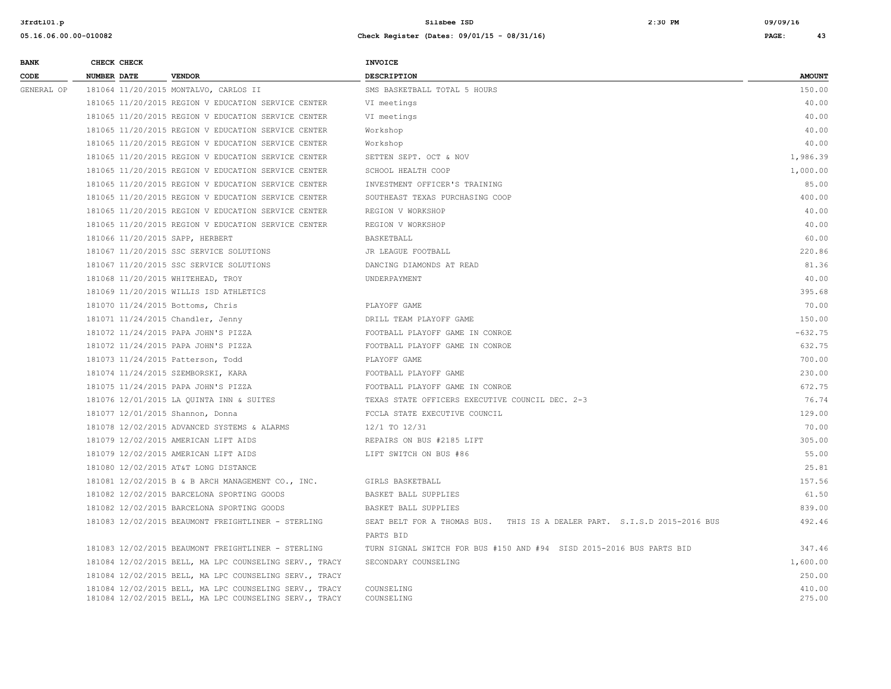| <b>BANK</b> | CHECK CHECK                       |                                                                                                                  | <b>INVOICE</b>                                                           |                  |
|-------------|-----------------------------------|------------------------------------------------------------------------------------------------------------------|--------------------------------------------------------------------------|------------------|
| CODE        | <b>NUMBER DATE</b>                | <b>VENDOR</b>                                                                                                    | <b>DESCRIPTION</b>                                                       | <b>AMOUNT</b>    |
| GENERAL OP  |                                   | 181064 11/20/2015 MONTALVO, CARLOS II                                                                            | SMS BASKETBALL TOTAL 5 HOURS                                             | 150.00           |
|             |                                   | 181065 11/20/2015 REGION V EDUCATION SERVICE CENTER                                                              | VI meetings                                                              | 40.00            |
|             |                                   | 181065 11/20/2015 REGION V EDUCATION SERVICE CENTER                                                              | VI meetings                                                              | 40.00            |
|             |                                   | 181065 11/20/2015 REGION V EDUCATION SERVICE CENTER                                                              | Workshop                                                                 | 40.00            |
|             |                                   | 181065 11/20/2015 REGION V EDUCATION SERVICE CENTER                                                              | Workshop                                                                 | 40.00            |
|             |                                   | 181065 11/20/2015 REGION V EDUCATION SERVICE CENTER                                                              | SETTEN SEPT. OCT & NOV                                                   | 1,986.39         |
|             |                                   | 181065 11/20/2015 REGION V EDUCATION SERVICE CENTER                                                              | SCHOOL HEALTH COOP                                                       | 1,000.00         |
|             |                                   | 181065 11/20/2015 REGION V EDUCATION SERVICE CENTER                                                              | INVESTMENT OFFICER'S TRAINING                                            | 85.00            |
|             |                                   | 181065 11/20/2015 REGION V EDUCATION SERVICE CENTER                                                              | SOUTHEAST TEXAS PURCHASING COOP                                          | 400.00           |
|             |                                   | 181065 11/20/2015 REGION V EDUCATION SERVICE CENTER                                                              | REGION V WORKSHOP                                                        | 40.00            |
|             |                                   | 181065 11/20/2015 REGION V EDUCATION SERVICE CENTER                                                              | REGION V WORKSHOP                                                        | 40.00            |
|             | 181066 11/20/2015 SAPP, HERBERT   |                                                                                                                  | BASKETBALL                                                               | 60.00            |
|             |                                   | 181067 11/20/2015 SSC SERVICE SOLUTIONS                                                                          | JR LEAGUE FOOTBALL                                                       | 220.86           |
|             |                                   | 181067 11/20/2015 SSC SERVICE SOLUTIONS                                                                          | DANCING DIAMONDS AT READ                                                 | 81.36            |
|             | 181068 11/20/2015 WHITEHEAD, TROY |                                                                                                                  | UNDERPAYMENT                                                             | 40.00            |
|             |                                   | 181069 11/20/2015 WILLIS ISD ATHLETICS                                                                           |                                                                          | 395.68           |
|             | 181070 11/24/2015 Bottoms, Chris  |                                                                                                                  | PLAYOFF GAME                                                             | 70.00            |
|             | 181071 11/24/2015 Chandler, Jenny |                                                                                                                  | DRILL TEAM PLAYOFF GAME                                                  | 150.00           |
|             |                                   | 181072 11/24/2015 PAPA JOHN'S PIZZA                                                                              | FOOTBALL PLAYOFF GAME IN CONROE                                          | $-632.75$        |
|             |                                   | 181072 11/24/2015 PAPA JOHN'S PIZZA                                                                              | FOOTBALL PLAYOFF GAME IN CONROE                                          | 632.75           |
|             | 181073 11/24/2015 Patterson, Todd |                                                                                                                  | PLAYOFF GAME                                                             | 700.00           |
|             |                                   | 181074 11/24/2015 SZEMBORSKI, KARA                                                                               | FOOTBALL PLAYOFF GAME                                                    | 230.00           |
|             |                                   | 181075 11/24/2015 PAPA JOHN'S PIZZA                                                                              | FOOTBALL PLAYOFF GAME IN CONROE                                          | 672.75           |
|             |                                   | 181076 12/01/2015 LA QUINTA INN & SUITES                                                                         | TEXAS STATE OFFICERS EXECUTIVE COUNCIL DEC. 2-3                          | 76.74            |
|             | 181077 12/01/2015 Shannon, Donna  |                                                                                                                  | FCCLA STATE EXECUTIVE COUNCIL                                            | 129.00           |
|             |                                   | 181078 12/02/2015 ADVANCED SYSTEMS & ALARMS                                                                      | 12/1 TO 12/31                                                            | 70.00            |
|             |                                   | 181079 12/02/2015 AMERICAN LIFT AIDS                                                                             | REPAIRS ON BUS #2185 LIFT                                                | 305.00           |
|             |                                   | 181079 12/02/2015 AMERICAN LIFT AIDS                                                                             | LIFT SWITCH ON BUS #86                                                   | 55.00            |
|             |                                   | 181080 12/02/2015 AT&T LONG DISTANCE                                                                             |                                                                          | 25.81            |
|             |                                   | 181081 12/02/2015 B & B ARCH MANAGEMENT CO., INC.                                                                | GIRLS BASKETBALL                                                         | 157.56           |
|             |                                   | 181082 12/02/2015 BARCELONA SPORTING GOODS                                                                       | BASKET BALL SUPPLIES                                                     | 61.50            |
|             |                                   | 181082 12/02/2015 BARCELONA SPORTING GOODS                                                                       | BASKET BALL SUPPLIES                                                     | 839.00           |
|             |                                   | 181083 12/02/2015 BEAUMONT FREIGHTLINER - STERLING                                                               | SEAT BELT FOR A THOMAS BUS. THIS IS A DEALER PART. S.I.S.D 2015-2016 BUS | 492.46           |
|             |                                   |                                                                                                                  | PARTS BID                                                                |                  |
|             |                                   | 181083 12/02/2015 BEAUMONT FREIGHTLINER - STERLING                                                               | TURN SIGNAL SWITCH FOR BUS #150 AND #94 SISD 2015-2016 BUS PARTS BID     | 347.46           |
|             |                                   | 181084 12/02/2015 BELL, MA LPC COUNSELING SERV., TRACY                                                           | SECONDARY COUNSELING                                                     | 1,600.00         |
|             |                                   | 181084 12/02/2015 BELL, MA LPC COUNSELING SERV., TRACY                                                           |                                                                          | 250.00           |
|             |                                   | 181084 12/02/2015 BELL, MA LPC COUNSELING SERV., TRACY<br>181084 12/02/2015 BELL, MA LPC COUNSELING SERV., TRACY | COUNSELING<br>COUNSELING                                                 | 410.00<br>275.00 |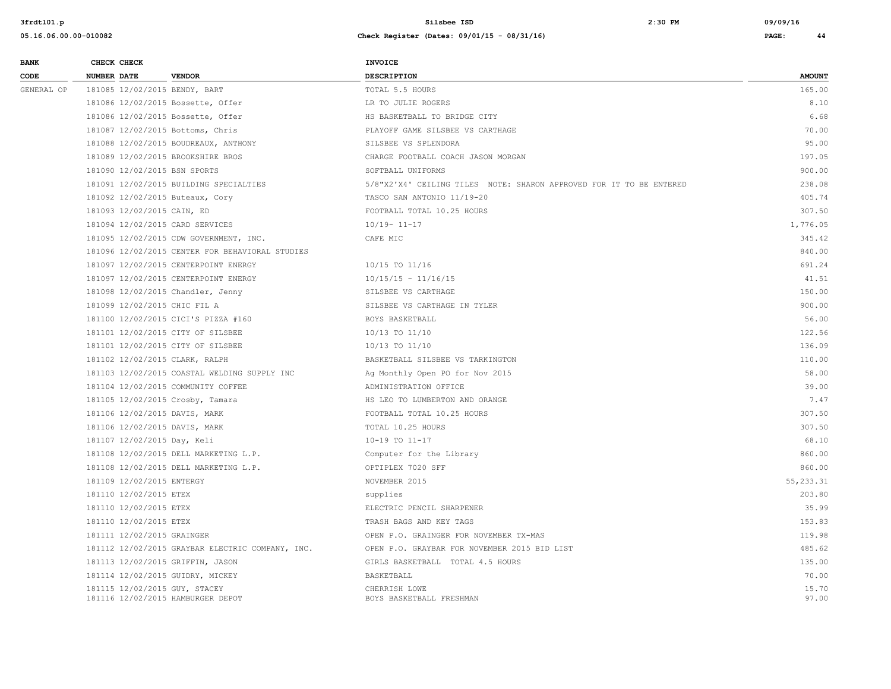| <b>BANK</b> | CHECK CHECK                                                        |                                                  | INVOICE                                                             |                |
|-------------|--------------------------------------------------------------------|--------------------------------------------------|---------------------------------------------------------------------|----------------|
| CODE        | <b>NUMBER DATE</b>                                                 | <b>VENDOR</b>                                    | <b>DESCRIPTION</b>                                                  | <b>AMOUNT</b>  |
| GENERAL OP  | 181085 12/02/2015 BENDY, BART                                      |                                                  | TOTAL 5.5 HOURS                                                     | 165.00         |
|             | 181086 12/02/2015 Bossette, Offer                                  |                                                  | LR TO JULIE ROGERS                                                  | 8.10           |
|             | 181086 12/02/2015 Bossette, Offer                                  |                                                  | HS BASKETBALL TO BRIDGE CITY                                        | 6.68           |
|             | 181087 12/02/2015 Bottoms, Chris                                   |                                                  | PLAYOFF GAME SILSBEE VS CARTHAGE                                    | 70.00          |
|             |                                                                    | 181088 12/02/2015 BOUDREAUX, ANTHONY             | SILSBEE VS SPLENDORA                                                | 95.00          |
|             | 181089 12/02/2015 BROOKSHIRE BROS                                  |                                                  | CHARGE FOOTBALL COACH JASON MORGAN                                  | 197.05         |
|             | 181090 12/02/2015 BSN SPORTS                                       |                                                  | SOFTBALL UNIFORMS                                                   | 900.00         |
|             |                                                                    | 181091 12/02/2015 BUILDING SPECIALTIES           | 5/8"X2'X4' CEILING TILES NOTE: SHARON APPROVED FOR IT TO BE ENTERED | 238.08         |
|             | 181092 12/02/2015 Buteaux, Cory                                    |                                                  | TASCO SAN ANTONIO 11/19-20                                          | 405.74         |
|             | 181093 12/02/2015 CAIN, ED                                         |                                                  | FOOTBALL TOTAL 10.25 HOURS                                          | 307.50         |
|             | 181094 12/02/2015 CARD SERVICES                                    |                                                  | $10/19 - 11 - 17$                                                   | 1,776.05       |
|             |                                                                    | 181095 12/02/2015 CDW GOVERNMENT, INC.           | CAFE MIC                                                            | 345.42         |
|             |                                                                    | 181096 12/02/2015 CENTER FOR BEHAVIORAL STUDIES  |                                                                     | 840.00         |
|             |                                                                    | 181097 12/02/2015 CENTERPOINT ENERGY             | 10/15 TO 11/16                                                      | 691.24         |
|             |                                                                    | 181097 12/02/2015 CENTERPOINT ENERGY             | $10/15/15 - 11/16/15$                                               | 41.51          |
|             | 181098 12/02/2015 Chandler, Jenny                                  |                                                  | SILSBEE VS CARTHAGE                                                 | 150.00         |
|             | 181099 12/02/2015 CHIC FIL A                                       |                                                  | SILSBEE VS CARTHAGE IN TYLER                                        | 900.00         |
|             |                                                                    | 181100 12/02/2015 CICI'S PIZZA #160              | BOYS BASKETBALL                                                     | 56.00          |
|             | 181101 12/02/2015 CITY OF SILSBEE                                  |                                                  | 10/13 TO 11/10                                                      | 122.56         |
|             | 181101 12/02/2015 CITY OF SILSBEE                                  |                                                  | 10/13 TO 11/10                                                      | 136.09         |
|             | 181102 12/02/2015 CLARK, RALPH                                     |                                                  | BASKETBALL SILSBEE VS TARKINGTON                                    | 110.00         |
|             |                                                                    | 181103 12/02/2015 COASTAL WELDING SUPPLY INC     | Ag Monthly Open PO for Nov 2015                                     | 58.00          |
|             |                                                                    | 181104 12/02/2015 COMMUNITY COFFEE               | ADMINISTRATION OFFICE                                               | 39.00          |
|             | 181105 12/02/2015 Crosby, Tamara                                   |                                                  | HS LEO TO LUMBERTON AND ORANGE                                      | 7.47           |
|             | 181106 12/02/2015 DAVIS, MARK                                      |                                                  | FOOTBALL TOTAL 10.25 HOURS                                          | 307.50         |
|             | 181106 12/02/2015 DAVIS, MARK                                      |                                                  | TOTAL 10.25 HOURS                                                   | 307.50         |
|             | 181107 12/02/2015 Day, Keli                                        |                                                  | 10-19 TO 11-17                                                      | 68.10          |
|             |                                                                    | 181108 12/02/2015 DELL MARKETING L.P.            | Computer for the Library                                            | 860.00         |
|             |                                                                    | 181108 12/02/2015 DELL MARKETING L.P.            | OPTIPLEX 7020 SFF                                                   | 860.00         |
|             | 181109 12/02/2015 ENTERGY                                          |                                                  | NOVEMBER 2015                                                       | 55, 233.31     |
|             | 181110 12/02/2015 ETEX                                             |                                                  | supplies                                                            | 203.80         |
|             | 181110 12/02/2015 ETEX                                             |                                                  | ELECTRIC PENCIL SHARPENER                                           | 35.99          |
|             | 181110 12/02/2015 ETEX                                             |                                                  | TRASH BAGS AND KEY TAGS                                             | 153.83         |
|             | 181111 12/02/2015 GRAINGER                                         |                                                  | OPEN P.O. GRAINGER FOR NOVEMBER TX-MAS                              | 119.98         |
|             |                                                                    | 181112 12/02/2015 GRAYBAR ELECTRIC COMPANY, INC. | OPEN P.O. GRAYBAR FOR NOVEMBER 2015 BID LIST                        | 485.62         |
|             | 181113 12/02/2015 GRIFFIN, JASON                                   |                                                  | GIRLS BASKETBALL TOTAL 4.5 HOURS                                    | 135.00         |
|             | 181114 12/02/2015 GUIDRY, MICKEY                                   |                                                  | BASKETBALL                                                          | 70.00          |
|             | 181115 12/02/2015 GUY, STACEY<br>181116 12/02/2015 HAMBURGER DEPOT |                                                  | CHERRISH LOWE<br>BOYS BASKETBALL FRESHMAN                           | 15.70<br>97.00 |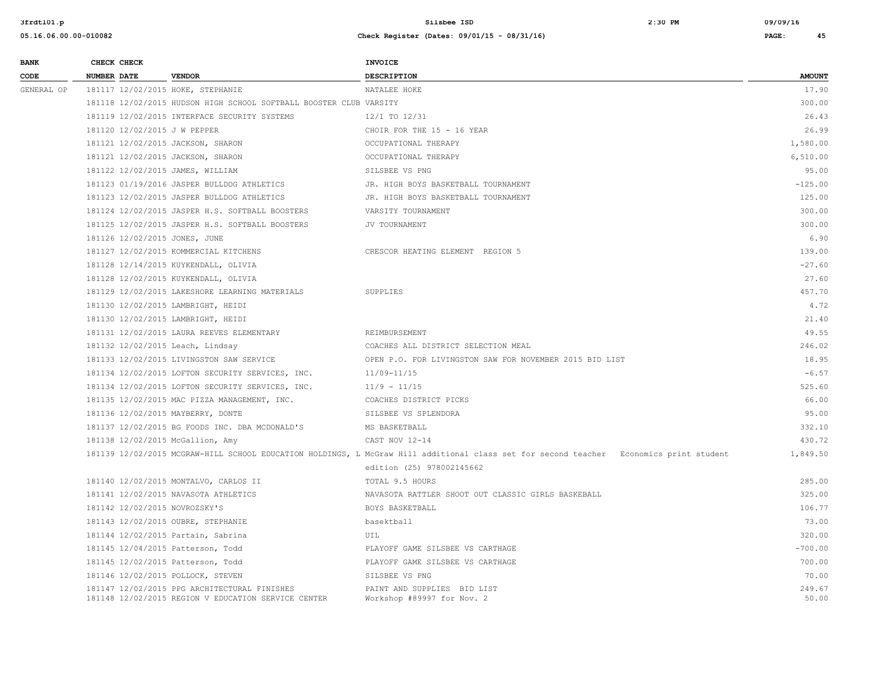| <b>BANK</b> | CHECK CHECK                      |                                                                                                     | <b>INVOICE</b>                                                                                                                         |                 |
|-------------|----------------------------------|-----------------------------------------------------------------------------------------------------|----------------------------------------------------------------------------------------------------------------------------------------|-----------------|
| CODE        | <b>NUMBER DATE</b>               | <b>VENDOR</b>                                                                                       | DESCRIPTION                                                                                                                            | <b>AMOUNT</b>   |
| GENERAL OP  |                                  | 181117 12/02/2015 HOKE, STEPHANIE                                                                   | NATALEE HOKE                                                                                                                           | 17.90           |
|             |                                  | 181118 12/02/2015 HUDSON HIGH SCHOOL SOFTBALL BOOSTER CLUB VARSITY                                  |                                                                                                                                        | 300.00          |
|             |                                  | 181119 12/02/2015 INTERFACE SECURITY SYSTEMS                                                        | 12/1 TO 12/31                                                                                                                          | 26.43           |
|             | 181120 12/02/2015 J W PEPPER     |                                                                                                     | CHOIR FOR THE 15 - 16 YEAR                                                                                                             | 26.99           |
|             |                                  | 181121 12/02/2015 JACKSON, SHARON                                                                   | OCCUPATIONAL THERAPY                                                                                                                   | 1,580.00        |
|             |                                  | 181121 12/02/2015 JACKSON, SHARON                                                                   | OCCUPATIONAL THERAPY                                                                                                                   | 6,510.00        |
|             | 181122 12/02/2015 JAMES, WILLIAM |                                                                                                     | SILSBEE VS PNG                                                                                                                         | 95.00           |
|             |                                  | 181123 01/19/2016 JASPER BULLDOG ATHLETICS                                                          | JR. HIGH BOYS BASKETBALL TOURNAMENT                                                                                                    | $-125.00$       |
|             |                                  | 181123 12/02/2015 JASPER BULLDOG ATHLETICS                                                          | JR. HIGH BOYS BASKETBALL TOURNAMENT                                                                                                    | 125.00          |
|             |                                  | 181124 12/02/2015 JASPER H.S. SOFTBALL BOOSTERS                                                     | VARSITY TOURNAMENT                                                                                                                     | 300.00          |
|             |                                  | 181125 12/02/2015 JASPER H.S. SOFTBALL BOOSTERS                                                     | JV TOURNAMENT                                                                                                                          | 300.00          |
|             | 181126 12/02/2015 JONES, JUNE    |                                                                                                     |                                                                                                                                        | 6.90            |
|             |                                  | 181127 12/02/2015 KOMMERCIAL KITCHENS                                                               | CRESCOR HEATING ELEMENT REGION 5                                                                                                       | 139.00          |
|             |                                  | 181128 12/14/2015 KUYKENDALL, OLIVIA                                                                |                                                                                                                                        | $-27.60$        |
|             |                                  | 181128 12/02/2015 KUYKENDALL, OLIVIA                                                                |                                                                                                                                        | 27.60           |
|             |                                  | 181129 12/02/2015 LAKESHORE LEARNING MATERIALS                                                      | SUPPLIES                                                                                                                               | 457.70          |
|             |                                  | 181130 12/02/2015 LAMBRIGHT, HEIDI                                                                  |                                                                                                                                        | 4.72            |
|             |                                  | 181130 12/02/2015 LAMBRIGHT, HEIDI                                                                  |                                                                                                                                        | 21.40           |
|             |                                  | 181131 12/02/2015 LAURA REEVES ELEMENTARY                                                           | REIMBURSEMENT                                                                                                                          | 49.55           |
|             | 181132 12/02/2015 Leach, Lindsay |                                                                                                     | COACHES ALL DISTRICT SELECTION MEAL                                                                                                    | 246.02          |
|             |                                  | 181133 12/02/2015 LIVINGSTON SAW SERVICE                                                            | OPEN P.O. FOR LIVINGSTON SAW FOR NOVEMBER 2015 BID LIST                                                                                | 18.95           |
|             |                                  | 181134 12/02/2015 LOFTON SECURITY SERVICES, INC.                                                    | 11/09-11/15                                                                                                                            | $-6.57$         |
|             |                                  | 181134 12/02/2015 LOFTON SECURITY SERVICES, INC.                                                    | $11/9 - 11/15$                                                                                                                         | 525.60          |
|             |                                  | 181135 12/02/2015 MAC PIZZA MANAGEMENT, INC.                                                        | COACHES DISTRICT PICKS                                                                                                                 | 66.00           |
|             |                                  | 181136 12/02/2015 MAYBERRY, DONTE                                                                   | SILSBEE VS SPLENDORA                                                                                                                   | 95.00           |
|             |                                  | 181137 12/02/2015 BG FOODS INC. DBA MCDONALD'S                                                      | MS BASKETBALL                                                                                                                          | 332.10          |
|             | 181138 12/02/2015 McGallion, Amy |                                                                                                     | CAST NOV 12-14                                                                                                                         | 430.72          |
|             |                                  |                                                                                                     | 181139 12/02/2015 MCGRAW-HILL SCHOOL EDUCATION HOLDINGS, L McGraw Hill additional class set for second teacher Economics print student | 1,849.50        |
|             |                                  |                                                                                                     | edition (25) 978002145662                                                                                                              |                 |
|             |                                  | 181140 12/02/2015 MONTALVO, CARLOS II                                                               | TOTAL 9.5 HOURS                                                                                                                        | 285.00          |
|             |                                  | 181141 12/02/2015 NAVASOTA ATHLETICS                                                                | NAVASOTA RATTLER SHOOT OUT CLASSIC GIRLS BASKEBALL                                                                                     | 325.00          |
|             | 181142 12/02/2015 NOVROZSKY'S    |                                                                                                     | BOYS BASKETBALL                                                                                                                        | 106.77          |
|             |                                  | 181143 12/02/2015 OUBRE, STEPHANIE                                                                  | basektball                                                                                                                             | 73.00           |
|             |                                  | 181144 12/02/2015 Partain, Sabrina                                                                  | UIL                                                                                                                                    | 320.00          |
|             |                                  | 181145 12/04/2015 Patterson, Todd                                                                   | PLAYOFF GAME SILSBEE VS CARTHAGE                                                                                                       | $-700.00$       |
|             |                                  | 181145 12/02/2015 Patterson, Todd                                                                   | PLAYOFF GAME SILSBEE VS CARTHAGE                                                                                                       | 700.00          |
|             |                                  | 181146 12/02/2015 POLLOCK, STEVEN                                                                   | SILSBEE VS PNG                                                                                                                         | 70.00           |
|             |                                  | 181147 12/02/2015 PPG ARCHITECTURAL FINISHES<br>181148 12/02/2015 REGION V EDUCATION SERVICE CENTER | PAINT AND SUPPLIES BID LIST<br>Workshop #89997 for Nov. 2                                                                              | 249.67<br>50.00 |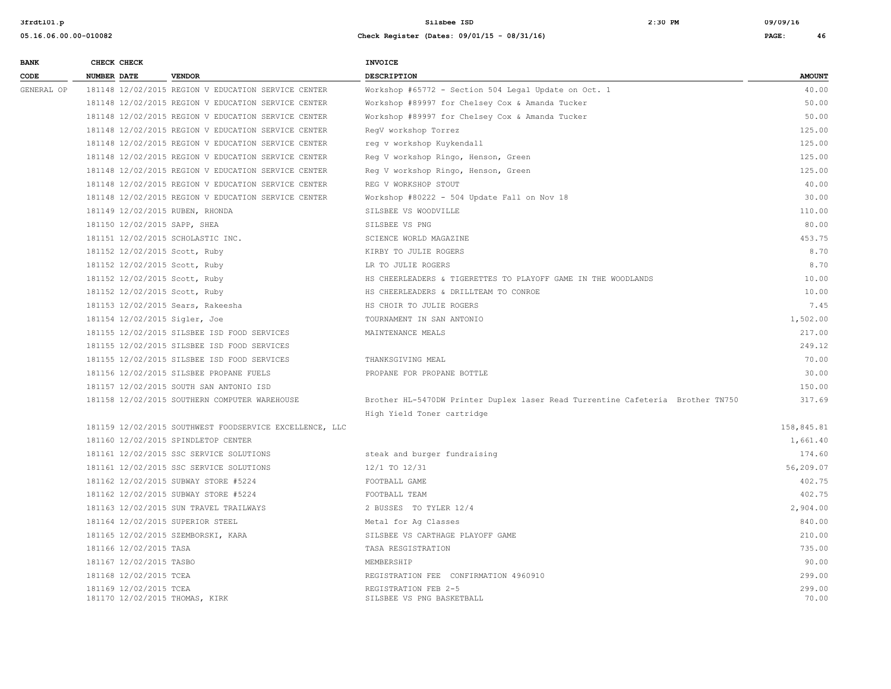|  | $\overline{\mathbf{4}}$ |
|--|-------------------------|

| <b>BANK</b> |                    | CHECK CHECK             |                                                         | INVOICE                                                                        |                 |
|-------------|--------------------|-------------------------|---------------------------------------------------------|--------------------------------------------------------------------------------|-----------------|
| CODE        | <b>NUMBER DATE</b> |                         | <b>VENDOR</b>                                           | <b>DESCRIPTION</b>                                                             | <b>AMOUNT</b>   |
| GENERAL OP  |                    |                         | 181148 12/02/2015 REGION V EDUCATION SERVICE CENTER     | Workshop #65772 - Section 504 Legal Update on Oct. 1                           | 40.00           |
|             |                    |                         | 181148 12/02/2015 REGION V EDUCATION SERVICE CENTER     | Workshop #89997 for Chelsey Cox & Amanda Tucker                                | 50.00           |
|             |                    |                         | 181148 12/02/2015 REGION V EDUCATION SERVICE CENTER     | Workshop #89997 for Chelsey Cox & Amanda Tucker                                | 50.00           |
|             |                    |                         | 181148 12/02/2015 REGION V EDUCATION SERVICE CENTER     | ReqV workshop Torrez                                                           | 125.00          |
|             |                    |                         | 181148 12/02/2015 REGION V EDUCATION SERVICE CENTER     | req v workshop Kuykendall                                                      | 125.00          |
|             |                    |                         | 181148 12/02/2015 REGION V EDUCATION SERVICE CENTER     | Reg V workshop Ringo, Henson, Green                                            | 125.00          |
|             |                    |                         | 181148 12/02/2015 REGION V EDUCATION SERVICE CENTER     | Reg V workshop Ringo, Henson, Green                                            | 125.00          |
|             |                    |                         | 181148 12/02/2015 REGION V EDUCATION SERVICE CENTER     | REG V WORKSHOP STOUT                                                           | 40.00           |
|             |                    |                         | 181148 12/02/2015 REGION V EDUCATION SERVICE CENTER     | Workshop #80222 - 504 Update Fall on Nov 18                                    | 30.00           |
|             |                    |                         | 181149 12/02/2015 RUBEN, RHONDA                         | SILSBEE VS WOODVILLE                                                           | 110.00          |
|             |                    |                         | 181150 12/02/2015 SAPP, SHEA                            | SILSBEE VS PNG                                                                 | 80.00           |
|             |                    |                         | 181151 12/02/2015 SCHOLASTIC INC.                       | SCIENCE WORLD MAGAZINE                                                         | 453.75          |
|             |                    |                         | 181152 12/02/2015 Scott, Ruby                           | KIRBY TO JULIE ROGERS                                                          | 8.70            |
|             |                    |                         | 181152 12/02/2015 Scott, Ruby                           | LR TO JULIE ROGERS                                                             | 8.70            |
|             |                    |                         | 181152 12/02/2015 Scott, Ruby                           | HS CHEERLEADERS & TIGERETTES TO PLAYOFF GAME IN THE WOODLANDS                  | 10.00           |
|             |                    |                         | 181152 12/02/2015 Scott, Ruby                           | HS CHEERLEADERS & DRILLTEAM TO CONROE                                          | 10.00           |
|             |                    |                         | 181153 12/02/2015 Sears, Rakeesha                       | HS CHOIR TO JULIE ROGERS                                                       | 7.45            |
|             |                    |                         | 181154 12/02/2015 Sigler, Joe                           | TOURNAMENT IN SAN ANTONIO                                                      | 1,502.00        |
|             |                    |                         | 181155 12/02/2015 SILSBEE ISD FOOD SERVICES             | MAINTENANCE MEALS                                                              | 217.00          |
|             |                    |                         | 181155 12/02/2015 SILSBEE ISD FOOD SERVICES             |                                                                                | 249.12          |
|             |                    |                         | 181155 12/02/2015 SILSBEE ISD FOOD SERVICES             | THANKSGIVING MEAL                                                              | 70.00           |
|             |                    |                         | 181156 12/02/2015 SILSBEE PROPANE FUELS                 | PROPANE FOR PROPANE BOTTLE                                                     | 30.00           |
|             |                    |                         | 181157 12/02/2015 SOUTH SAN ANTONIO ISD                 |                                                                                | 150.00          |
|             |                    |                         | 181158 12/02/2015 SOUTHERN COMPUTER WAREHOUSE           | Brother HL-5470DW Printer Duplex laser Read Turrentine Cafeteria Brother TN750 | 317.69          |
|             |                    |                         |                                                         | High Yield Toner cartridge                                                     |                 |
|             |                    |                         | 181159 12/02/2015 SOUTHWEST FOODSERVICE EXCELLENCE, LLC |                                                                                | 158,845.81      |
|             |                    |                         | 181160 12/02/2015 SPINDLETOP CENTER                     |                                                                                | 1,661.40        |
|             |                    |                         | 181161 12/02/2015 SSC SERVICE SOLUTIONS                 | steak and burger fundraising                                                   | 174.60          |
|             |                    |                         | 181161 12/02/2015 SSC SERVICE SOLUTIONS                 | 12/1 TO 12/31                                                                  | 56,209.07       |
|             |                    |                         | 181162 12/02/2015 SUBWAY STORE #5224                    | FOOTBALL GAME                                                                  | 402.75          |
|             |                    |                         | 181162 12/02/2015 SUBWAY STORE #5224                    | FOOTBALL TEAM                                                                  | 402.75          |
|             |                    |                         | 181163 12/02/2015 SUN TRAVEL TRAILWAYS                  | 2 BUSSES TO TYLER 12/4                                                         | 2,904.00        |
|             |                    |                         | 181164 12/02/2015 SUPERIOR STEEL                        | Metal for Ag Classes                                                           | 840.00          |
|             |                    |                         | 181165 12/02/2015 SZEMBORSKI, KARA                      | SILSBEE VS CARTHAGE PLAYOFF GAME                                               | 210.00          |
|             |                    | 181166 12/02/2015 TASA  |                                                         | TASA RESGISTRATION                                                             | 735.00          |
|             |                    | 181167 12/02/2015 TASBO |                                                         | MEMBERSHIP                                                                     | 90.00           |
|             |                    | 181168 12/02/2015 TCEA  |                                                         | REGISTRATION FEE CONFIRMATION 4960910                                          | 299.00          |
|             |                    | 181169 12/02/2015 TCEA  | 181170 12/02/2015 THOMAS, KIRK                          | REGISTRATION FEB 2-5<br>SILSBEE VS PNG BASKETBALL                              | 299.00<br>70.00 |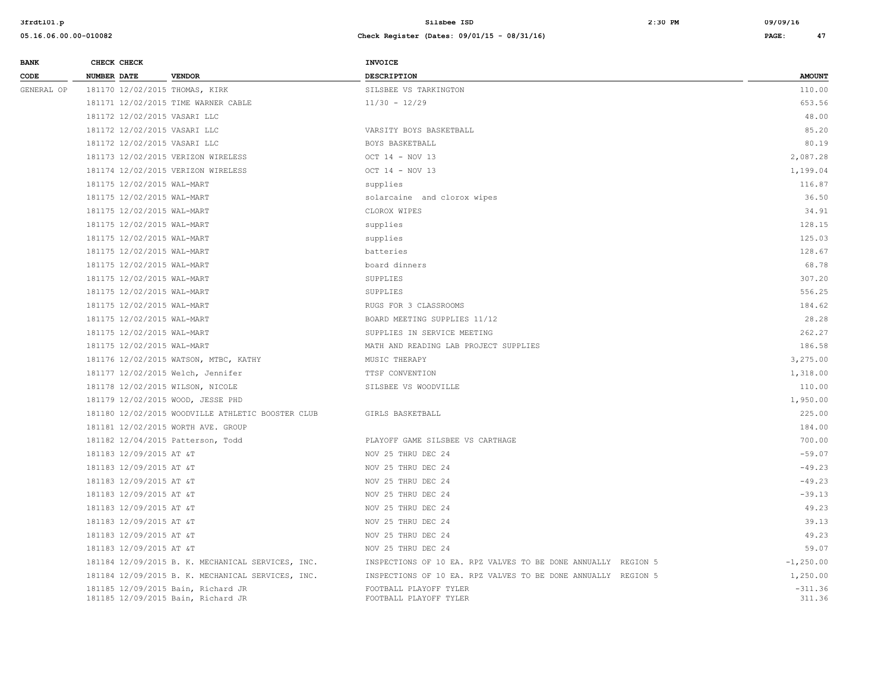| <b>BANK</b> |                    | CHECK CHECK                |                                                                          | <b>INVOICE</b>                                                |                     |
|-------------|--------------------|----------------------------|--------------------------------------------------------------------------|---------------------------------------------------------------|---------------------|
| CODE        | <b>NUMBER DATE</b> |                            | <b>VENDOR</b>                                                            | <b>DESCRIPTION</b>                                            | <b>AMOUNT</b>       |
| GENERAL OP  |                    |                            | 181170 12/02/2015 THOMAS, KIRK                                           | SILSBEE VS TARKINGTON                                         | 110.00              |
|             |                    |                            | 181171 12/02/2015 TIME WARNER CABLE                                      | $11/30 - 12/29$                                               | 653.56              |
|             |                    |                            | 181172 12/02/2015 VASARI LLC                                             |                                                               | 48.00               |
|             |                    |                            | 181172 12/02/2015 VASARI LLC                                             | VARSITY BOYS BASKETBALL                                       | 85.20               |
|             |                    |                            | 181172 12/02/2015 VASARI LLC                                             | BOYS BASKETBALL                                               | 80.19               |
|             |                    |                            | 181173 12/02/2015 VERIZON WIRELESS                                       | OCT 14 - NOV 13                                               | 2,087.28            |
|             |                    |                            | 181174 12/02/2015 VERIZON WIRELESS                                       | OCT 14 - NOV 13                                               | 1,199.04            |
|             |                    | 181175 12/02/2015 WAL-MART |                                                                          | supplies                                                      | 116.87              |
|             |                    | 181175 12/02/2015 WAL-MART |                                                                          | solarcaine and clorox wipes                                   | 36.50               |
|             |                    | 181175 12/02/2015 WAL-MART |                                                                          | CLOROX WIPES                                                  | 34.91               |
|             |                    | 181175 12/02/2015 WAL-MART |                                                                          | supplies                                                      | 128.15              |
|             |                    | 181175 12/02/2015 WAL-MART |                                                                          | supplies                                                      | 125.03              |
|             |                    | 181175 12/02/2015 WAL-MART |                                                                          | batteries                                                     | 128.67              |
|             |                    | 181175 12/02/2015 WAL-MART |                                                                          | board dinners                                                 | 68.78               |
|             |                    | 181175 12/02/2015 WAL-MART |                                                                          | SUPPLIES                                                      | 307.20              |
|             |                    | 181175 12/02/2015 WAL-MART |                                                                          | SUPPLIES                                                      | 556.25              |
|             |                    | 181175 12/02/2015 WAL-MART |                                                                          | RUGS FOR 3 CLASSROOMS                                         | 184.62              |
|             |                    | 181175 12/02/2015 WAL-MART |                                                                          | BOARD MEETING SUPPLIES 11/12                                  | 28.28               |
|             |                    | 181175 12/02/2015 WAL-MART |                                                                          | SUPPLIES IN SERVICE MEETING                                   | 262.27              |
|             |                    | 181175 12/02/2015 WAL-MART |                                                                          | MATH AND READING LAB PROJECT SUPPLIES                         | 186.58              |
|             |                    |                            | 181176 12/02/2015 WATSON, MTBC, KATHY                                    | MUSIC THERAPY                                                 | 3,275.00            |
|             |                    |                            | 181177 12/02/2015 Welch, Jennifer                                        | TTSF CONVENTION                                               | 1,318.00            |
|             |                    |                            | 181178 12/02/2015 WILSON, NICOLE                                         | SILSBEE VS WOODVILLE                                          | 110.00              |
|             |                    |                            | 181179 12/02/2015 WOOD, JESSE PHD                                        |                                                               | 1,950.00            |
|             |                    |                            | 181180 12/02/2015 WOODVILLE ATHLETIC BOOSTER CLUB                        | GIRLS BASKETBALL                                              | 225.00              |
|             |                    |                            | 181181 12/02/2015 WORTH AVE. GROUP                                       |                                                               | 184.00              |
|             |                    |                            | 181182 12/04/2015 Patterson, Todd                                        | PLAYOFF GAME SILSBEE VS CARTHAGE                              | 700.00              |
|             |                    | 181183 12/09/2015 AT &T    |                                                                          | NOV 25 THRU DEC 24                                            | $-59.07$            |
|             |                    | 181183 12/09/2015 AT &T    |                                                                          | NOV 25 THRU DEC 24                                            | $-49.23$            |
|             |                    | 181183 12/09/2015 AT &T    |                                                                          | NOV 25 THRU DEC 24                                            | $-49.23$            |
|             |                    | 181183 12/09/2015 AT &T    |                                                                          | NOV 25 THRU DEC 24                                            | $-39.13$            |
|             |                    | 181183 12/09/2015 AT &T    |                                                                          | NOV 25 THRU DEC 24                                            | 49.23               |
|             |                    | 181183 12/09/2015 AT &T    |                                                                          | NOV 25 THRU DEC 24                                            | 39.13               |
|             |                    | 181183 12/09/2015 AT &T    |                                                                          | NOV 25 THRU DEC 24                                            | 49.23               |
|             |                    | 181183 12/09/2015 AT &T    |                                                                          | NOV 25 THRU DEC 24                                            | 59.07               |
|             |                    |                            | 181184 12/09/2015 B. K. MECHANICAL SERVICES, INC.                        | INSPECTIONS OF 10 EA. RPZ VALVES TO BE DONE ANNUALLY REGION 5 | $-1, 250.00$        |
|             |                    |                            | 181184 12/09/2015 B. K. MECHANICAL SERVICES, INC.                        | INSPECTIONS OF 10 EA. RPZ VALVES TO BE DONE ANNUALLY REGION 5 | 1,250.00            |
|             |                    |                            | 181185 12/09/2015 Bain, Richard JR<br>181185 12/09/2015 Bain, Richard JR | FOOTBALL PLAYOFF TYLER<br>FOOTBALL PLAYOFF TYLER              | $-311.36$<br>311.36 |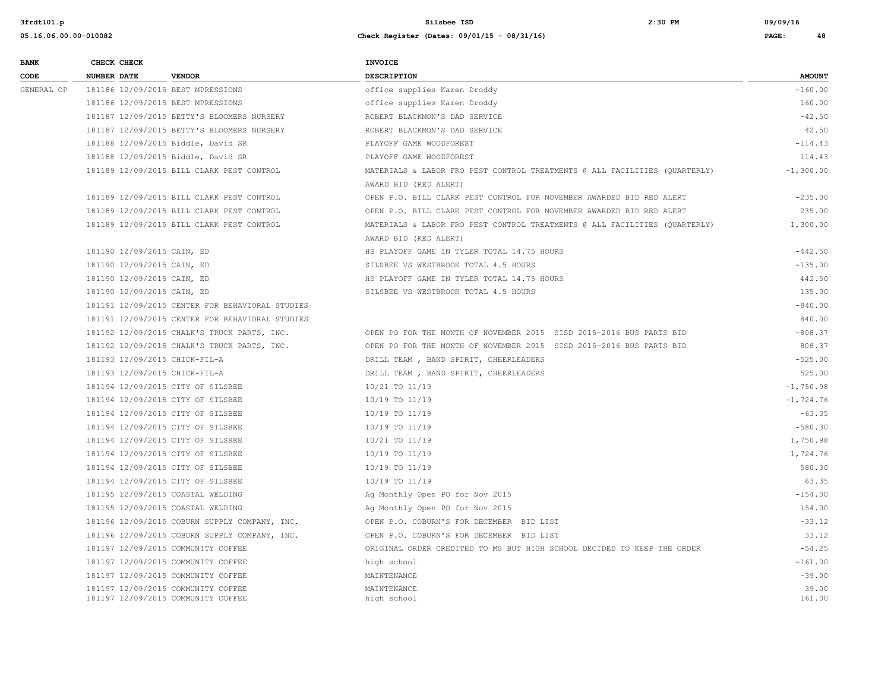**3frdtl01.p Silsbee ISD 2:30 PM 09/09/16**

| <b>BANK</b> | CHECK CHECK                                                              | <b>INVOICE</b>                                                             |                 |
|-------------|--------------------------------------------------------------------------|----------------------------------------------------------------------------|-----------------|
| CODE        | <b>NUMBER DATE</b><br><b>VENDOR</b>                                      | DESCRIPTION                                                                | <b>AMOUNT</b>   |
| GENERAL OP  | 181186 12/09/2015 BEST MPRESSIONS                                        | office supplies Karen Droddy                                               | $-160.00$       |
|             | 181186 12/09/2015 BEST MPRESSIONS                                        | office supplies Karen Droddy                                               | 160.00          |
|             | 181187 12/09/2015 BETTY'S BLOOMERS NURSERY                               | ROBERT BLACKMON'S DAD SERVICE                                              | $-42.50$        |
|             | 181187 12/09/2015 BETTY'S BLOOMERS NURSERY                               | ROBERT BLACKMON'S DAD SERVICE                                              | 42.50           |
|             | 181188 12/09/2015 Biddle, David SR                                       | PLAYOFF GAME WOODFOREST                                                    | $-114.43$       |
|             | 181188 12/09/2015 Biddle, David SR                                       | PLAYOFF GAME WOODFOREST                                                    | 114.43          |
|             | 181189 12/09/2015 BILL CLARK PEST CONTROL                                | MATERIALS & LABOR FRO PEST CONTROL TREATMENTS @ ALL FACILITIES (QUARTERLY) | $-1,300.00$     |
|             |                                                                          | AWARD BID (RED ALERT)                                                      |                 |
|             | 181189 12/09/2015 BILL CLARK PEST CONTROL                                | OPEN P.O. BILL CLARK PEST CONTROL FOR NOVEMBER AWARDED BID RED ALERT       | $-235.00$       |
|             | 181189 12/09/2015 BILL CLARK PEST CONTROL                                | OPEN P.O. BILL CLARK PEST CONTROL FOR NOVEMBER AWARDED BID RED ALERT       | 235.00          |
|             | 181189 12/09/2015 BILL CLARK PEST CONTROL                                | MATERIALS & LABOR FRO PEST CONTROL TREATMENTS @ ALL FACILITIES (QUARTERLY) | 1,300.00        |
|             |                                                                          | AWARD BID (RED ALERT)                                                      |                 |
|             | 181190 12/09/2015 CAIN, ED                                               | HS PLAYOFF GAME IN TYLER TOTAL 14.75 HOURS                                 | $-442.50$       |
|             | 181190 12/09/2015 CAIN, ED                                               | SILSBEE VS WESTBROOK TOTAL 4.5 HOURS                                       | $-135.00$       |
|             | 181190 12/09/2015 CAIN, ED                                               | HS PLAYOFF GAME IN TYLER TOTAL 14.75 HOURS                                 | 442.50          |
|             | 181190 12/09/2015 CAIN, ED                                               | SILSBEE VS WESTBROOK TOTAL 4.5 HOURS                                       | 135.00          |
|             | 181191 12/09/2015 CENTER FOR BEHAVIORAL STUDIES                          |                                                                            | $-840.00$       |
|             | 181191 12/09/2015 CENTER FOR BEHAVIORAL STUDIES                          |                                                                            | 840.00          |
|             | 181192 12/09/2015 CHALK'S TRUCK PARTS, INC.                              | OPEN PO FOR THE MONTH OF NOVEMBER 2015 SISD 2015-2016 BUS PARTS BID        | $-808.37$       |
|             | 181192 12/09/2015 CHALK'S TRUCK PARTS, INC.                              | OPEN PO FOR THE MONTH OF NOVEMBER 2015 SISD 2015-2016 BUS PARTS BID        | 808.37          |
|             | 181193 12/09/2015 CHICK-FIL-A                                            | DRILL TEAM, BAND SPIRIT, CHEERLEADERS                                      | $-525.00$       |
|             | 181193 12/09/2015 CHICK-FIL-A                                            | DRILL TEAM, BAND SPIRIT, CHEERLEADERS                                      | 525.00          |
|             | 181194 12/09/2015 CITY OF SILSBEE                                        | 10/21 TO 11/19                                                             | $-1,750.98$     |
|             | 181194 12/09/2015 CITY OF SILSBEE                                        | 10/19 TO 11/19                                                             | $-1,724.76$     |
|             | 181194 12/09/2015 CITY OF SILSBEE                                        | 10/19 TO 11/19                                                             | $-63.35$        |
|             | 181194 12/09/2015 CITY OF SILSBEE                                        | 10/19 TO 11/19                                                             | $-580.30$       |
|             | 181194 12/09/2015 CITY OF SILSBEE                                        | 10/21 TO 11/19                                                             | 1,750.98        |
|             | 181194 12/09/2015 CITY OF SILSBEE                                        | 10/19 TO 11/19                                                             | 1,724.76        |
|             | 181194 12/09/2015 CITY OF SILSBEE                                        | 10/19 TO 11/19                                                             | 580.30          |
|             | 181194 12/09/2015 CITY OF SILSBEE                                        | 10/19 TO 11/19                                                             | 63.35           |
|             | 181195 12/09/2015 COASTAL WELDING                                        | Ag Monthly Open PO for Nov 2015                                            | $-154.00$       |
|             | 181195 12/09/2015 COASTAL WELDING                                        | Ag Monthly Open PO for Nov 2015                                            | 154.00          |
|             | 181196 12/09/2015 COBURN SUPPLY COMPANY, INC.                            | OPEN P.O. COBURN'S FOR DECEMBER BID LIST                                   | $-33.12$        |
|             | 181196 12/09/2015 COBURN SUPPLY COMPANY, INC.                            | OPEN P.O. COBURN'S FOR DECEMBER BID LIST                                   | 33.12           |
|             | 181197 12/09/2015 COMMUNITY COFFEE                                       | ORIGINAL ORDER CREDITED TO MS BUT HIGH SCHOOL DECIDED TO KEEP THE ORDER    | $-54.25$        |
|             | 181197 12/09/2015 COMMUNITY COFFEE                                       | high school                                                                | $-161.00$       |
|             | 181197 12/09/2015 COMMUNITY COFFEE                                       | MAINTENANCE                                                                | $-39.00$        |
|             | 181197 12/09/2015 COMMUNITY COFFEE<br>181197 12/09/2015 COMMUNITY COFFEE | MAINTENANCE<br>high school                                                 | 39.00<br>161.00 |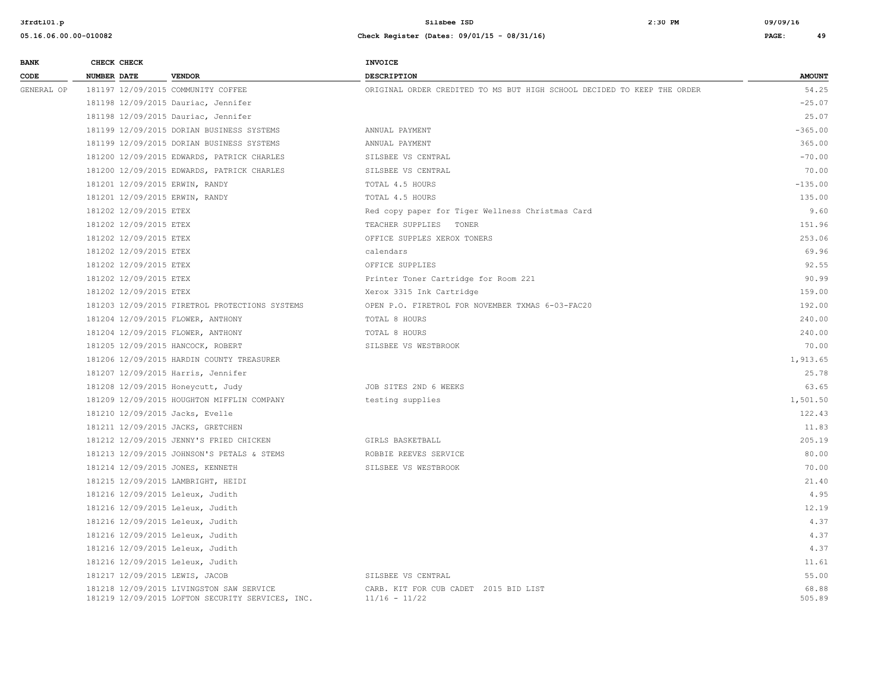| <b>BANK</b> | CHECK CHECK                     |                                                                                              | <b>INVOICE</b>                                                          |                 |
|-------------|---------------------------------|----------------------------------------------------------------------------------------------|-------------------------------------------------------------------------|-----------------|
| CODE        | <b>NUMBER DATE</b>              | <b>VENDOR</b>                                                                                | <b>DESCRIPTION</b>                                                      | <b>AMOUNT</b>   |
| GENERAL OP  |                                 | 181197 12/09/2015 COMMUNITY COFFEE                                                           | ORIGINAL ORDER CREDITED TO MS BUT HIGH SCHOOL DECIDED TO KEEP THE ORDER | 54.25           |
|             |                                 | 181198 12/09/2015 Dauriac, Jennifer                                                          |                                                                         | $-25.07$        |
|             |                                 | 181198 12/09/2015 Dauriac, Jennifer                                                          |                                                                         | 25.07           |
|             |                                 | 181199 12/09/2015 DORIAN BUSINESS SYSTEMS                                                    | ANNUAL PAYMENT                                                          | $-365.00$       |
|             |                                 | 181199 12/09/2015 DORIAN BUSINESS SYSTEMS                                                    | ANNUAL PAYMENT                                                          | 365.00          |
|             |                                 | 181200 12/09/2015 EDWARDS, PATRICK CHARLES                                                   | SILSBEE VS CENTRAL                                                      | $-70.00$        |
|             |                                 | 181200 12/09/2015 EDWARDS, PATRICK CHARLES                                                   | SILSBEE VS CENTRAL                                                      | 70.00           |
|             | 181201 12/09/2015 ERWIN, RANDY  |                                                                                              | TOTAL 4.5 HOURS                                                         | $-135.00$       |
|             | 181201 12/09/2015 ERWIN, RANDY  |                                                                                              | TOTAL 4.5 HOURS                                                         | 135.00          |
|             | 181202 12/09/2015 ETEX          |                                                                                              | Red copy paper for Tiger Wellness Christmas Card                        | 9.60            |
|             | 181202 12/09/2015 ETEX          |                                                                                              | TEACHER SUPPLIES TONER                                                  | 151.96          |
|             | 181202 12/09/2015 ETEX          |                                                                                              | OFFICE SUPPLES XEROX TONERS                                             | 253.06          |
|             | 181202 12/09/2015 ETEX          |                                                                                              | calendars                                                               | 69.96           |
|             | 181202 12/09/2015 ETEX          |                                                                                              | OFFICE SUPPLIES                                                         | 92.55           |
|             | 181202 12/09/2015 ETEX          |                                                                                              | Printer Toner Cartridge for Room 221                                    | 90.99           |
|             | 181202 12/09/2015 ETEX          |                                                                                              | Xerox 3315 Ink Cartridge                                                | 159.00          |
|             |                                 | 181203 12/09/2015 FIRETROL PROTECTIONS SYSTEMS                                               | OPEN P.O. FIRETROL FOR NOVEMBER TXMAS 6-03-FAC20                        | 192.00          |
|             |                                 | 181204 12/09/2015 FLOWER, ANTHONY                                                            | TOTAL 8 HOURS                                                           | 240.00          |
|             |                                 | 181204 12/09/2015 FLOWER, ANTHONY                                                            | TOTAL 8 HOURS                                                           | 240.00          |
|             |                                 | 181205 12/09/2015 HANCOCK, ROBERT                                                            | SILSBEE VS WESTBROOK                                                    | 70.00           |
|             |                                 | 181206 12/09/2015 HARDIN COUNTY TREASURER                                                    |                                                                         | 1,913.65        |
|             |                                 | 181207 12/09/2015 Harris, Jennifer                                                           |                                                                         | 25.78           |
|             |                                 | 181208 12/09/2015 Honeycutt, Judy                                                            | JOB SITES 2ND 6 WEEKS                                                   | 63.65           |
|             |                                 | 181209 12/09/2015 HOUGHTON MIFFLIN COMPANY                                                   | testing supplies                                                        | 1,501.50        |
|             | 181210 12/09/2015 Jacks, Evelle |                                                                                              |                                                                         | 122.43          |
|             |                                 | 181211 12/09/2015 JACKS, GRETCHEN                                                            |                                                                         | 11.83           |
|             |                                 | 181212 12/09/2015 JENNY'S FRIED CHICKEN                                                      | GIRLS BASKETBALL                                                        | 205.19          |
|             |                                 | 181213 12/09/2015 JOHNSON'S PETALS & STEMS                                                   | ROBBIE REEVES SERVICE                                                   | 80.00           |
|             |                                 | 181214 12/09/2015 JONES, KENNETH                                                             | SILSBEE VS WESTBROOK                                                    | 70.00           |
|             |                                 | 181215 12/09/2015 LAMBRIGHT, HEIDI                                                           |                                                                         | 21.40           |
|             |                                 | 181216 12/09/2015 Leleux, Judith                                                             |                                                                         | 4.95            |
|             |                                 | 181216 12/09/2015 Leleux, Judith                                                             |                                                                         | 12.19           |
|             |                                 | 181216 12/09/2015 Leleux, Judith                                                             |                                                                         | 4.37            |
|             |                                 | 181216 12/09/2015 Leleux, Judith                                                             |                                                                         | 4.37            |
|             |                                 | 181216 12/09/2015 Leleux, Judith                                                             |                                                                         | 4.37            |
|             |                                 | 181216 12/09/2015 Leleux, Judith                                                             |                                                                         | 11.61           |
|             | 181217 12/09/2015 LEWIS, JACOB  |                                                                                              | SILSBEE VS CENTRAL                                                      | 55.00           |
|             |                                 | 181218 12/09/2015 LIVINGSTON SAW SERVICE<br>181219 12/09/2015 LOFTON SECURITY SERVICES, INC. | CARB. KIT FOR CUB CADET 2015 BID LIST<br>$11/16 - 11/22$                | 68.88<br>505.89 |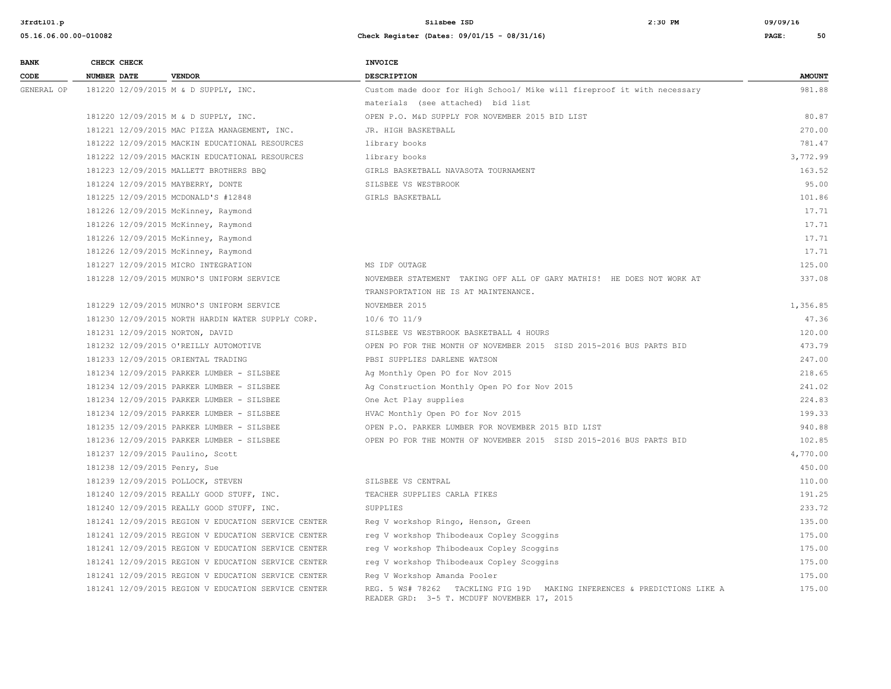| <b>BANK</b> | CHECK CHECK                     |                                                     | <b>INVOICE</b>                                                                                                          |               |
|-------------|---------------------------------|-----------------------------------------------------|-------------------------------------------------------------------------------------------------------------------------|---------------|
| CODE        | <b>NUMBER DATE</b>              | <b>VENDOR</b>                                       | <b>DESCRIPTION</b>                                                                                                      | <b>AMOUNT</b> |
| GENERAL OP  |                                 | 181220 12/09/2015 M & D SUPPLY, INC.                | Custom made door for High School/ Mike will fireproof it with necessary                                                 | 981.88        |
|             |                                 |                                                     | materials (see attached) bid list                                                                                       |               |
|             |                                 | 181220 12/09/2015 M & D SUPPLY, INC.                | OPEN P.O. M&D SUPPLY FOR NOVEMBER 2015 BID LIST                                                                         | 80.87         |
|             |                                 | 181221 12/09/2015 MAC PIZZA MANAGEMENT, INC.        | JR. HIGH BASKETBALL                                                                                                     | 270.00        |
|             |                                 | 181222 12/09/2015 MACKIN EDUCATIONAL RESOURCES      | library books                                                                                                           | 781.47        |
|             |                                 | 181222 12/09/2015 MACKIN EDUCATIONAL RESOURCES      | library books                                                                                                           | 3,772.99      |
|             |                                 | 181223 12/09/2015 MALLETT BROTHERS BBO              | GIRLS BASKETBALL NAVASOTA TOURNAMENT                                                                                    | 163.52        |
|             |                                 | 181224 12/09/2015 MAYBERRY, DONTE                   | SILSBEE VS WESTBROOK                                                                                                    | 95.00         |
|             |                                 | 181225 12/09/2015 MCDONALD'S #12848                 | GIRLS BASKETBALL                                                                                                        | 101.86        |
|             |                                 | 181226 12/09/2015 McKinney, Raymond                 |                                                                                                                         | 17.71         |
|             |                                 | 181226 12/09/2015 McKinney, Raymond                 |                                                                                                                         | 17.71         |
|             |                                 | 181226 12/09/2015 McKinney, Raymond                 |                                                                                                                         | 17.71         |
|             |                                 | 181226 12/09/2015 McKinney, Raymond                 |                                                                                                                         | 17.71         |
|             |                                 | 181227 12/09/2015 MICRO INTEGRATION                 | MS IDF OUTAGE                                                                                                           | 125.00        |
|             |                                 | 181228 12/09/2015 MUNRO'S UNIFORM SERVICE           | NOVEMBER STATEMENT TAKING OFF ALL OF GARY MATHIS! HE DOES NOT WORK AT                                                   | 337.08        |
|             |                                 |                                                     | TRANSPORTATION HE IS AT MAINTENANCE.                                                                                    |               |
|             |                                 | 181229 12/09/2015 MUNRO'S UNIFORM SERVICE           | NOVEMBER 2015                                                                                                           | 1,356.85      |
|             |                                 | 181230 12/09/2015 NORTH HARDIN WATER SUPPLY CORP.   | 10/6 TO 11/9                                                                                                            | 47.36         |
|             | 181231 12/09/2015 NORTON, DAVID |                                                     | SILSBEE VS WESTBROOK BASKETBALL 4 HOURS                                                                                 | 120.00        |
|             |                                 | 181232 12/09/2015 O'REILLY AUTOMOTIVE               | OPEN PO FOR THE MONTH OF NOVEMBER 2015 SISD 2015-2016 BUS PARTS BID                                                     | 473.79        |
|             |                                 | 181233 12/09/2015 ORIENTAL TRADING                  | PBSI SUPPLIES DARLENE WATSON                                                                                            | 247.00        |
|             |                                 | 181234 12/09/2015 PARKER LUMBER - SILSBEE           | Ag Monthly Open PO for Nov 2015                                                                                         | 218.65        |
|             |                                 | 181234 12/09/2015 PARKER LUMBER - SILSBEE           | Ag Construction Monthly Open PO for Nov 2015                                                                            | 241.02        |
|             |                                 | 181234 12/09/2015 PARKER LUMBER - SILSBEE           | One Act Play supplies                                                                                                   | 224.83        |
|             |                                 | 181234 12/09/2015 PARKER LUMBER - SILSBEE           | HVAC Monthly Open PO for Nov 2015                                                                                       | 199.33        |
|             |                                 | 181235 12/09/2015 PARKER LUMBER - SILSBEE           | OPEN P.O. PARKER LUMBER FOR NOVEMBER 2015 BID LIST                                                                      | 940.88        |
|             |                                 | 181236 12/09/2015 PARKER LUMBER - SILSBEE           | OPEN PO FOR THE MONTH OF NOVEMBER 2015 SISD 2015-2016 BUS PARTS BID                                                     | 102.85        |
|             |                                 | 181237 12/09/2015 Paulino, Scott                    |                                                                                                                         | 4,770.00      |
|             | 181238 12/09/2015 Penry, Sue    |                                                     |                                                                                                                         | 450.00        |
|             |                                 | 181239 12/09/2015 POLLOCK, STEVEN                   | SILSBEE VS CENTRAL                                                                                                      | 110.00        |
|             |                                 | 181240 12/09/2015 REALLY GOOD STUFF, INC.           | TEACHER SUPPLIES CARLA FIKES                                                                                            | 191.25        |
|             |                                 | 181240 12/09/2015 REALLY GOOD STUFF, INC.           | SUPPLIES                                                                                                                | 233.72        |
|             |                                 | 181241 12/09/2015 REGION V EDUCATION SERVICE CENTER | Reg V workshop Ringo, Henson, Green                                                                                     | 135.00        |
|             |                                 | 181241 12/09/2015 REGION V EDUCATION SERVICE CENTER | reg V workshop Thibodeaux Copley Scoggins                                                                               | 175.00        |
|             |                                 | 181241 12/09/2015 REGION V EDUCATION SERVICE CENTER | reg V workshop Thibodeaux Copley Scoggins                                                                               | 175.00        |
|             |                                 | 181241 12/09/2015 REGION V EDUCATION SERVICE CENTER | reg V workshop Thibodeaux Copley Scoggins                                                                               | 175.00        |
|             |                                 | 181241 12/09/2015 REGION V EDUCATION SERVICE CENTER | Reg V Workshop Amanda Pooler                                                                                            | 175.00        |
|             |                                 | 181241 12/09/2015 REGION V EDUCATION SERVICE CENTER | REG. 5 WS# 78262 TACKLING FIG 19D MAKING INFERENCES & PREDICTIONS LIKE A<br>READER GRD: 3-5 T. MCDUFF NOVEMBER 17, 2015 | 175.00        |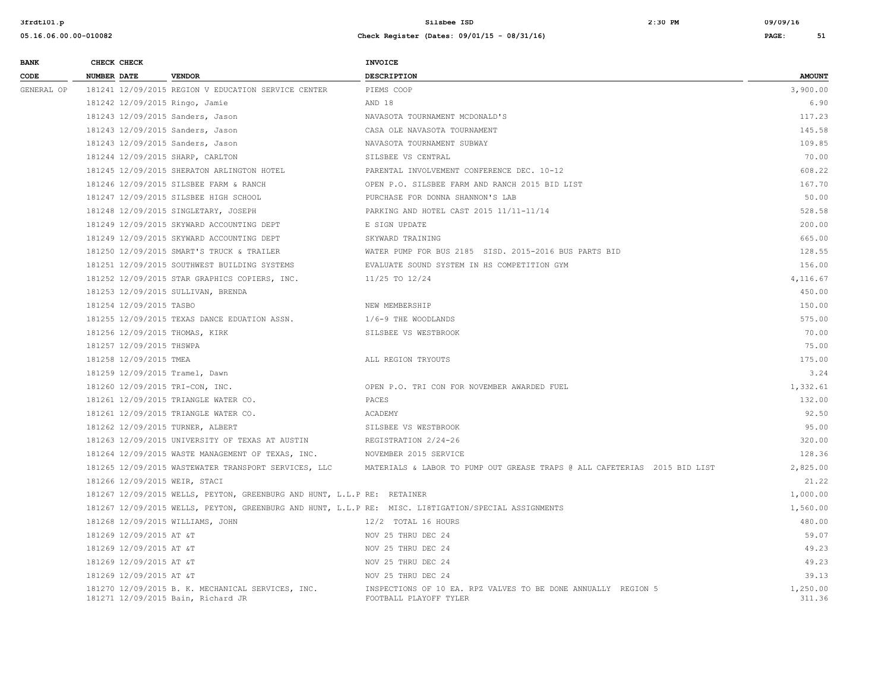| <b>BANK</b> | CHECK CHECK                     |                                                                                         | INVOICE                                                                                              |                    |
|-------------|---------------------------------|-----------------------------------------------------------------------------------------|------------------------------------------------------------------------------------------------------|--------------------|
| CODE        | <b>NUMBER DATE</b>              | <b>VENDOR</b>                                                                           | <b>DESCRIPTION</b>                                                                                   | <b>AMOUNT</b>      |
| GENERAL OP  |                                 | 181241 12/09/2015 REGION V EDUCATION SERVICE CENTER                                     | PIEMS COOP                                                                                           | 3,900.00           |
|             | 181242 12/09/2015 Ringo, Jamie  |                                                                                         | AND 18                                                                                               | 6.90               |
|             |                                 | 181243 12/09/2015 Sanders, Jason                                                        | NAVASOTA TOURNAMENT MCDONALD'S                                                                       | 117.23             |
|             |                                 | 181243 12/09/2015 Sanders, Jason                                                        | CASA OLE NAVASOTA TOURNAMENT                                                                         | 145.58             |
|             |                                 | 181243 12/09/2015 Sanders, Jason                                                        | NAVASOTA TOURNAMENT SUBWAY                                                                           | 109.85             |
|             |                                 | 181244 12/09/2015 SHARP, CARLTON                                                        | SILSBEE VS CENTRAL                                                                                   | 70.00              |
|             |                                 | 181245 12/09/2015 SHERATON ARLINGTON HOTEL                                              | PARENTAL INVOLVEMENT CONFERENCE DEC. 10-12                                                           | 608.22             |
|             |                                 | 181246 12/09/2015 SILSBEE FARM & RANCH                                                  | OPEN P.O. SILSBEE FARM AND RANCH 2015 BID LIST                                                       | 167.70             |
|             |                                 | 181247 12/09/2015 SILSBEE HIGH SCHOOL                                                   | PURCHASE FOR DONNA SHANNON'S LAB                                                                     | 50.00              |
|             |                                 | 181248 12/09/2015 SINGLETARY, JOSEPH                                                    | PARKING AND HOTEL CAST 2015 11/11-11/14                                                              | 528.58             |
|             |                                 | 181249 12/09/2015 SKYWARD ACCOUNTING DEPT                                               | E SIGN UPDATE                                                                                        | 200.00             |
|             |                                 | 181249 12/09/2015 SKYWARD ACCOUNTING DEPT                                               | SKYWARD TRAINING                                                                                     | 665.00             |
|             |                                 | 181250 12/09/2015 SMART'S TRUCK & TRAILER                                               | WATER PUMP FOR BUS 2185 SISD. 2015-2016 BUS PARTS BID                                                | 128.55             |
|             |                                 | 181251 12/09/2015 SOUTHWEST BUILDING SYSTEMS                                            | EVALUATE SOUND SYSTEM IN HS COMPETITION GYM                                                          | 156.00             |
|             |                                 | 181252 12/09/2015 STAR GRAPHICS COPIERS, INC.                                           | 11/25 TO 12/24                                                                                       | 4,116.67           |
|             |                                 | 181253 12/09/2015 SULLIVAN, BRENDA                                                      |                                                                                                      | 450.00             |
|             | 181254 12/09/2015 TASBO         |                                                                                         | NEW MEMBERSHIP                                                                                       | 150.00             |
|             |                                 | 181255 12/09/2015 TEXAS DANCE EDUATION ASSN.                                            | 1/6-9 THE WOODLANDS                                                                                  | 575.00             |
|             | 181256 12/09/2015 THOMAS, KIRK  |                                                                                         | SILSBEE VS WESTBROOK                                                                                 | 70.00              |
|             | 181257 12/09/2015 THSWPA        |                                                                                         |                                                                                                      | 75.00              |
|             | 181258 12/09/2015 TMEA          |                                                                                         | ALL REGION TRYOUTS                                                                                   | 175.00             |
|             | 181259 12/09/2015 Tramel, Dawn  |                                                                                         |                                                                                                      | 3.24               |
|             | 181260 12/09/2015 TRI-CON, INC. |                                                                                         | OPEN P.O. TRI CON FOR NOVEMBER AWARDED FUEL                                                          | 1,332.61           |
|             |                                 | 181261 12/09/2015 TRIANGLE WATER CO.                                                    | PACES                                                                                                | 132.00             |
|             |                                 | 181261 12/09/2015 TRIANGLE WATER CO.                                                    | ACADEMY                                                                                              | 92.50              |
|             |                                 | 181262 12/09/2015 TURNER, ALBERT                                                        | SILSBEE VS WESTBROOK                                                                                 | 95.00              |
|             |                                 | 181263 12/09/2015 UNIVERSITY OF TEXAS AT AUSTIN                                         | REGISTRATION 2/24-26                                                                                 | 320.00             |
|             |                                 | 181264 12/09/2015 WASTE MANAGEMENT OF TEXAS, INC.                                       | NOVEMBER 2015 SERVICE                                                                                | 128.36             |
|             |                                 | 181265 12/09/2015 WASTEWATER TRANSPORT SERVICES, LLC                                    | MATERIALS & LABOR TO PUMP OUT GREASE TRAPS @ ALL CAFETERIAS 2015 BID LIST                            | 2,825.00           |
|             | 181266 12/09/2015 WEIR, STACI   |                                                                                         |                                                                                                      | 21.22              |
|             |                                 | 181267 12/09/2015 WELLS, PEYTON, GREENBURG AND HUNT, L.L.P RE: RETAINER                 |                                                                                                      | 1,000.00           |
|             |                                 |                                                                                         | 181267 12/09/2015 WELLS, PEYTON, GREENBURG AND HUNT, L.L.P RE: MISC. LI8TIGATION/SPECIAL ASSIGNMENTS | 1,560.00           |
|             |                                 | 181268 12/09/2015 WILLIAMS, JOHN                                                        | 12/2 TOTAL 16 HOURS                                                                                  | 480.00             |
|             | 181269 12/09/2015 AT &T         |                                                                                         | NOV 25 THRU DEC 24                                                                                   | 59.07              |
|             | 181269 12/09/2015 AT &T         |                                                                                         | NOV 25 THRU DEC 24                                                                                   | 49.23              |
|             | 181269 12/09/2015 AT &T         |                                                                                         | NOV 25 THRU DEC 24                                                                                   | 49.23              |
|             | 181269 12/09/2015 AT &T         |                                                                                         | NOV 25 THRU DEC 24                                                                                   | 39.13              |
|             |                                 | 181270 12/09/2015 B. K. MECHANICAL SERVICES, INC.<br>181271 12/09/2015 Bain, Richard JR | INSPECTIONS OF 10 EA. RPZ VALVES TO BE DONE ANNUALLY REGION 5<br>FOOTBALL PLAYOFF TYLER              | 1,250.00<br>311.36 |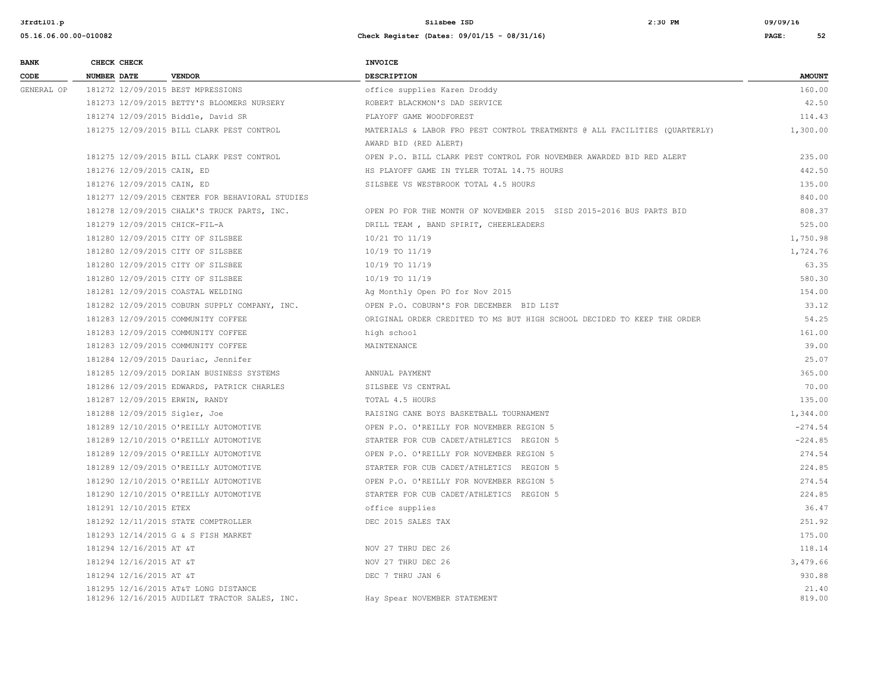| <b>BANK</b> |                    | CHECK CHECK                |                                                                                       | <b>INVOICE</b>                                                             |                 |
|-------------|--------------------|----------------------------|---------------------------------------------------------------------------------------|----------------------------------------------------------------------------|-----------------|
| CODE        | <b>NUMBER DATE</b> |                            | <b>VENDOR</b>                                                                         | <b>DESCRIPTION</b>                                                         | <b>AMOUNT</b>   |
| GENERAL OP  |                    |                            | 181272 12/09/2015 BEST MPRESSIONS                                                     | office supplies Karen Droddy                                               | 160.00          |
|             |                    |                            | 181273 12/09/2015 BETTY'S BLOOMERS NURSERY                                            | ROBERT BLACKMON'S DAD SERVICE                                              | 42.50           |
|             |                    |                            | 181274 12/09/2015 Biddle, David SR                                                    | PLAYOFF GAME WOODFOREST                                                    | 114.43          |
|             |                    |                            | 181275 12/09/2015 BILL CLARK PEST CONTROL                                             | MATERIALS & LABOR FRO PEST CONTROL TREATMENTS @ ALL FACILITIES (QUARTERLY) | 1,300.00        |
|             |                    |                            |                                                                                       | AWARD BID (RED ALERT)                                                      |                 |
|             |                    |                            | 181275 12/09/2015 BILL CLARK PEST CONTROL                                             | OPEN P.O. BILL CLARK PEST CONTROL FOR NOVEMBER AWARDED BID RED ALERT       | 235.00          |
|             |                    | 181276 12/09/2015 CAIN, ED |                                                                                       | HS PLAYOFF GAME IN TYLER TOTAL 14.75 HOURS                                 | 442.50          |
|             |                    | 181276 12/09/2015 CAIN, ED |                                                                                       | SILSBEE VS WESTBROOK TOTAL 4.5 HOURS                                       | 135.00          |
|             |                    |                            | 181277 12/09/2015 CENTER FOR BEHAVIORAL STUDIES                                       |                                                                            | 840.00          |
|             |                    |                            | 181278 12/09/2015 CHALK'S TRUCK PARTS, INC.                                           | OPEN PO FOR THE MONTH OF NOVEMBER 2015 SISD 2015-2016 BUS PARTS BID        | 808.37          |
|             |                    |                            | 181279 12/09/2015 CHICK-FIL-A                                                         | DRILL TEAM, BAND SPIRIT, CHEERLEADERS                                      | 525.00          |
|             |                    |                            | 181280 12/09/2015 CITY OF SILSBEE                                                     | 10/21 TO 11/19                                                             | 1,750.98        |
|             |                    |                            | 181280 12/09/2015 CITY OF SILSBEE                                                     | 10/19 TO 11/19                                                             | 1,724.76        |
|             |                    |                            | 181280 12/09/2015 CITY OF SILSBEE                                                     | 10/19 TO 11/19                                                             | 63.35           |
|             |                    |                            | 181280 12/09/2015 CITY OF SILSBEE                                                     | 10/19 TO 11/19                                                             | 580.30          |
|             |                    |                            | 181281 12/09/2015 COASTAL WELDING                                                     | Ag Monthly Open PO for Nov 2015                                            | 154.00          |
|             |                    |                            | 181282 12/09/2015 COBURN SUPPLY COMPANY, INC.                                         | OPEN P.O. COBURN'S FOR DECEMBER BID LIST                                   | 33.12           |
|             |                    |                            | 181283 12/09/2015 COMMUNITY COFFEE                                                    | ORIGINAL ORDER CREDITED TO MS BUT HIGH SCHOOL DECIDED TO KEEP THE ORDER    | 54.25           |
|             |                    |                            | 181283 12/09/2015 COMMUNITY COFFEE                                                    | high school                                                                | 161.00          |
|             |                    |                            | 181283 12/09/2015 COMMUNITY COFFEE                                                    | MAINTENANCE                                                                | 39.00           |
|             |                    |                            | 181284 12/09/2015 Dauriac, Jennifer                                                   |                                                                            | 25.07           |
|             |                    |                            | 181285 12/09/2015 DORIAN BUSINESS SYSTEMS                                             | ANNUAL PAYMENT                                                             | 365.00          |
|             |                    |                            | 181286 12/09/2015 EDWARDS, PATRICK CHARLES                                            | SILSBEE VS CENTRAL                                                         | 70.00           |
|             |                    |                            | 181287 12/09/2015 ERWIN, RANDY                                                        | TOTAL 4.5 HOURS                                                            | 135.00          |
|             |                    |                            | 181288 12/09/2015 Sigler, Joe                                                         | RAISING CANE BOYS BASKETBALL TOURNAMENT                                    | 1,344.00        |
|             |                    |                            | 181289 12/10/2015 O'REILLY AUTOMOTIVE                                                 | OPEN P.O. O'REILLY FOR NOVEMBER REGION 5                                   | $-274.54$       |
|             |                    |                            | 181289 12/10/2015 O'REILLY AUTOMOTIVE                                                 | STARTER FOR CUB CADET/ATHLETICS REGION 5                                   | $-224.85$       |
|             |                    |                            | 181289 12/09/2015 O'REILLY AUTOMOTIVE                                                 | OPEN P.O. O'REILLY FOR NOVEMBER REGION 5                                   | 274.54          |
|             |                    |                            | 181289 12/09/2015 O'REILLY AUTOMOTIVE                                                 | STARTER FOR CUB CADET/ATHLETICS REGION 5                                   | 224.85          |
|             |                    |                            | 181290 12/10/2015 O'REILLY AUTOMOTIVE                                                 | OPEN P.O. O'REILLY FOR NOVEMBER REGION 5                                   | 274.54          |
|             |                    |                            | 181290 12/10/2015 O'REILLY AUTOMOTIVE                                                 | STARTER FOR CUB CADET/ATHLETICS REGION 5                                   | 224.85          |
|             |                    | 181291 12/10/2015 ETEX     |                                                                                       | office supplies                                                            | 36.47           |
|             |                    |                            | 181292 12/11/2015 STATE COMPTROLLER                                                   | DEC 2015 SALES TAX                                                         | 251.92          |
|             |                    |                            | 181293 12/14/2015 G & S FISH MARKET                                                   |                                                                            | 175.00          |
|             |                    | 181294 12/16/2015 AT &T    |                                                                                       | NOV 27 THRU DEC 26                                                         | 118.14          |
|             |                    | 181294 12/16/2015 AT &T    |                                                                                       | NOV 27 THRU DEC 26                                                         | 3,479.66        |
|             |                    | 181294 12/16/2015 AT &T    |                                                                                       | DEC 7 THRU JAN 6                                                           | 930.88          |
|             |                    |                            | 181295 12/16/2015 AT&T LONG DISTANCE<br>181296 12/16/2015 AUDILET TRACTOR SALES, INC. | Hay Spear NOVEMBER STATEMENT                                               | 21.40<br>819.00 |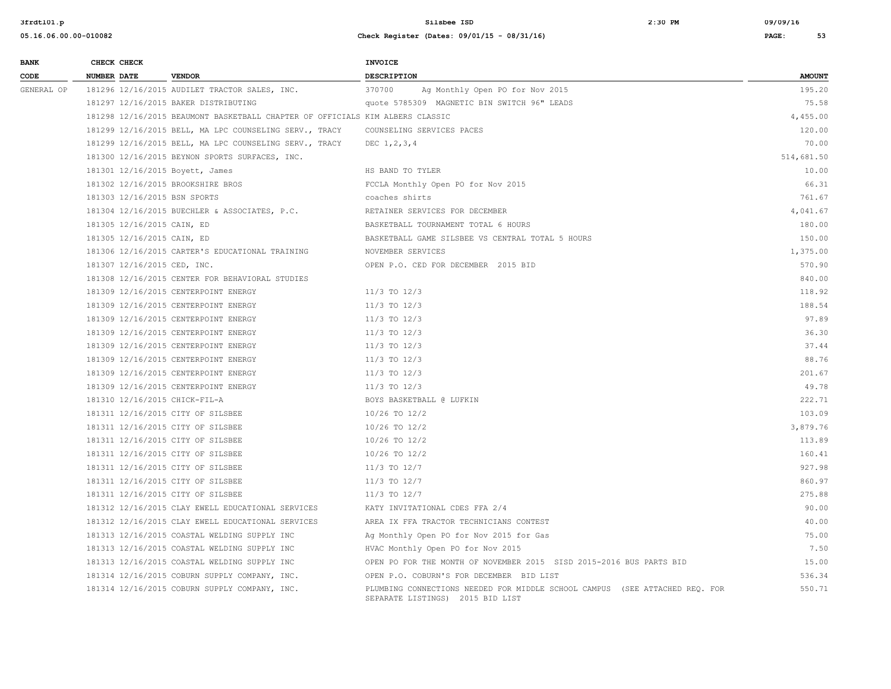| <b>BANK</b> |                    | CHECK CHECK                 |                                                                               | <b>INVOICE</b>                                                                                                  |               |
|-------------|--------------------|-----------------------------|-------------------------------------------------------------------------------|-----------------------------------------------------------------------------------------------------------------|---------------|
| CODE        | <b>NUMBER DATE</b> |                             | <b>VENDOR</b>                                                                 | <b>DESCRIPTION</b>                                                                                              | <b>AMOUNT</b> |
| GENERAL OP  |                    |                             | 181296 12/16/2015 AUDILET TRACTOR SALES, INC.                                 | 370700<br>Ag Monthly Open PO for Nov 2015                                                                       | 195.20        |
|             |                    |                             | 181297 12/16/2015 BAKER DISTRIBUTING                                          | quote 5785309 MAGNETIC BIN SWITCH 96" LEADS                                                                     | 75.58         |
|             |                    |                             | 181298 12/16/2015 BEAUMONT BASKETBALL CHAPTER OF OFFICIALS KIM ALBERS CLASSIC |                                                                                                                 | 4,455.00      |
|             |                    |                             | 181299 12/16/2015 BELL, MA LPC COUNSELING SERV., TRACY                        | COUNSELING SERVICES PACES                                                                                       | 120.00        |
|             |                    |                             | 181299 12/16/2015 BELL, MA LPC COUNSELING SERV., TRACY                        | DEC $1, 2, 3, 4$                                                                                                | 70.00         |
|             |                    |                             | 181300 12/16/2015 BEYNON SPORTS SURFACES, INC.                                |                                                                                                                 | 514,681.50    |
|             |                    |                             | 181301 12/16/2015 Boyett, James                                               | HS BAND TO TYLER                                                                                                | 10.00         |
|             |                    |                             | 181302 12/16/2015 BROOKSHIRE BROS                                             | FCCLA Monthly Open PO for Nov 2015                                                                              | 66.31         |
|             |                    |                             | 181303 12/16/2015 BSN SPORTS                                                  | coaches shirts                                                                                                  | 761.67        |
|             |                    |                             | 181304 12/16/2015 BUECHLER & ASSOCIATES, P.C.                                 | RETAINER SERVICES FOR DECEMBER                                                                                  | 4,041.67      |
|             |                    | 181305 12/16/2015 CAIN, ED  |                                                                               | BASKETBALL TOURNAMENT TOTAL 6 HOURS                                                                             | 180.00        |
|             |                    | 181305 12/16/2015 CAIN, ED  |                                                                               | BASKETBALL GAME SILSBEE VS CENTRAL TOTAL 5 HOURS                                                                | 150.00        |
|             |                    |                             | 181306 12/16/2015 CARTER'S EDUCATIONAL TRAINING                               | NOVEMBER SERVICES                                                                                               | 1,375.00      |
|             |                    | 181307 12/16/2015 CED, INC. |                                                                               | OPEN P.O. CED FOR DECEMBER 2015 BID                                                                             | 570.90        |
|             |                    |                             | 181308 12/16/2015 CENTER FOR BEHAVIORAL STUDIES                               |                                                                                                                 | 840.00        |
|             |                    |                             | 181309 12/16/2015 CENTERPOINT ENERGY                                          | $11/3$ TO $12/3$                                                                                                | 118.92        |
|             |                    |                             | 181309 12/16/2015 CENTERPOINT ENERGY                                          | $11/3$ TO $12/3$                                                                                                | 188.54        |
|             |                    |                             | 181309 12/16/2015 CENTERPOINT ENERGY                                          | $11/3$ TO $12/3$                                                                                                | 97.89         |
|             |                    |                             | 181309 12/16/2015 CENTERPOINT ENERGY                                          | $11/3$ TO $12/3$                                                                                                | 36.30         |
|             |                    |                             | 181309 12/16/2015 CENTERPOINT ENERGY                                          | $11/3$ TO $12/3$                                                                                                | 37.44         |
|             |                    |                             | 181309 12/16/2015 CENTERPOINT ENERGY                                          | $11/3$ TO $12/3$                                                                                                | 88.76         |
|             |                    |                             | 181309 12/16/2015 CENTERPOINT ENERGY                                          | $11/3$ TO $12/3$                                                                                                | 201.67        |
|             |                    |                             | 181309 12/16/2015 CENTERPOINT ENERGY                                          | $11/3$ TO $12/3$                                                                                                | 49.78         |
|             |                    |                             | 181310 12/16/2015 CHICK-FIL-A                                                 | BOYS BASKETBALL @ LUFKIN                                                                                        | 222.71        |
|             |                    |                             | 181311 12/16/2015 CITY OF SILSBEE                                             | $10/26$ TO $12/2$                                                                                               | 103.09        |
|             |                    |                             | 181311 12/16/2015 CITY OF SILSBEE                                             | $10/26$ TO $12/2$                                                                                               | 3,879.76      |
|             |                    |                             | 181311 12/16/2015 CITY OF SILSBEE                                             | 10/26 TO 12/2                                                                                                   | 113.89        |
|             |                    |                             | 181311 12/16/2015 CITY OF SILSBEE                                             | 10/26 TO 12/2                                                                                                   | 160.41        |
|             |                    |                             | 181311 12/16/2015 CITY OF SILSBEE                                             | 11/3 TO 12/7                                                                                                    | 927.98        |
|             |                    |                             | 181311 12/16/2015 CITY OF SILSBEE                                             | 11/3 TO 12/7                                                                                                    | 860.97        |
|             |                    |                             | 181311 12/16/2015 CITY OF SILSBEE                                             | 11/3 TO 12/7                                                                                                    | 275.88        |
|             |                    |                             | 181312 12/16/2015 CLAY EWELL EDUCATIONAL SERVICES                             | KATY INVITATIONAL CDES FFA 2/4                                                                                  | 90.00         |
|             |                    |                             | 181312 12/16/2015 CLAY EWELL EDUCATIONAL SERVICES                             | AREA IX FFA TRACTOR TECHNICIANS CONTEST                                                                         | 40.00         |
|             |                    |                             | 181313 12/16/2015 COASTAL WELDING SUPPLY INC                                  | Ag Monthly Open PO for Nov 2015 for Gas                                                                         | 75.00         |
|             |                    |                             | 181313 12/16/2015 COASTAL WELDING SUPPLY INC                                  | HVAC Monthly Open PO for Nov 2015                                                                               | 7.50          |
|             |                    |                             | 181313 12/16/2015 COASTAL WELDING SUPPLY INC                                  | OPEN PO FOR THE MONTH OF NOVEMBER 2015 SISD 2015-2016 BUS PARTS BID                                             | 15.00         |
|             |                    |                             | 181314 12/16/2015 COBURN SUPPLY COMPANY, INC.                                 | OPEN P.O. COBURN'S FOR DECEMBER BID LIST                                                                        | 536.34        |
|             |                    |                             | 181314 12/16/2015 COBURN SUPPLY COMPANY, INC.                                 | PLUMBING CONNECTIONS NEEDED FOR MIDDLE SCHOOL CAMPUS (SEE ATTACHED REO. FOR<br>SEPARATE LISTINGS) 2015 BID LIST | 550.71        |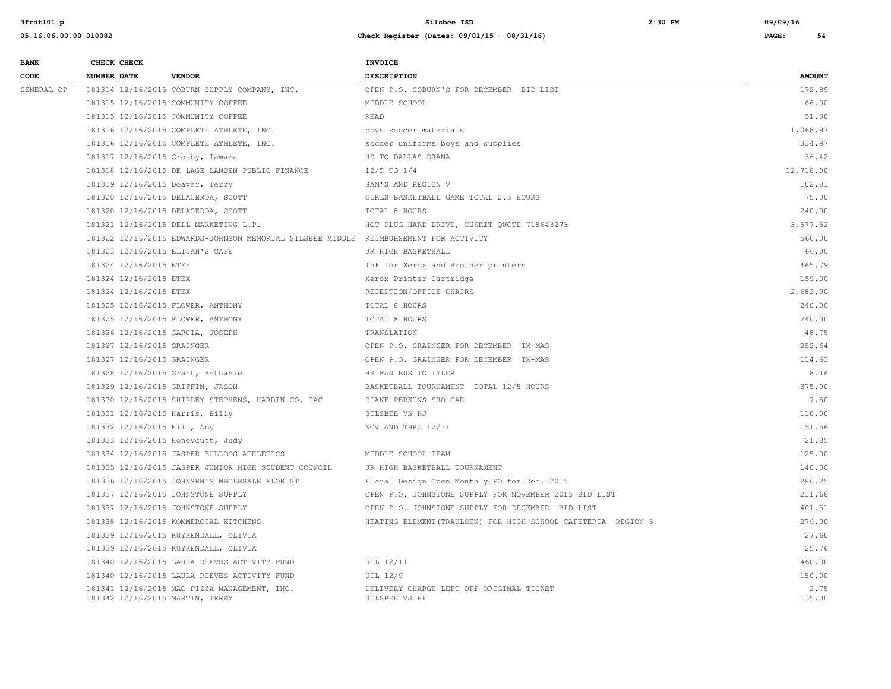| <b>BANK</b> |                    | CHECK CHECK                 |                                                                                      | <b>INVOICE</b>                                                |                |
|-------------|--------------------|-----------------------------|--------------------------------------------------------------------------------------|---------------------------------------------------------------|----------------|
| CODE        | <b>NUMBER DATE</b> |                             | <b>VENDOR</b>                                                                        | <b>DESCRIPTION</b>                                            | <b>AMOUNT</b>  |
| GENERAL OP  |                    |                             | 181314 12/16/2015 COBURN SUPPLY COMPANY, INC.                                        | OPEN P.O. COBURN'S FOR DECEMBER BID LIST                      | 172.89         |
|             |                    |                             | 181315 12/16/2015 COMMUNITY COFFEE                                                   | MIDDLE SCHOOL                                                 | 66.00          |
|             |                    |                             | 181315 12/16/2015 COMMUNITY COFFEE                                                   | <b>READ</b>                                                   | 51.00          |
|             |                    |                             | 181316 12/16/2015 COMPLETE ATHLETE, INC.                                             | boys soccer materials                                         | 1,068.97       |
|             |                    |                             | 181316 12/16/2015 COMPLETE ATHLETE, INC.                                             | soccer uniforms boys and supplies                             | 334.97         |
|             |                    |                             | 181317 12/16/2015 Crosby, Tamara                                                     | HS TO DALLAS DRAMA                                            | 36.42          |
|             |                    |                             | 181318 12/16/2015 DE LAGE LANDEN PUBLIC FINANCE                                      | $12/5$ TO $1/4$                                               | 12,718.00      |
|             |                    |                             | 181319 12/16/2015 Deaver, Terry                                                      | SAM'S AND REGION V                                            | 102.81         |
|             |                    |                             | 181320 12/16/2015 DELACERDA, SCOTT                                                   | GIRLS BASKETBALL GAME TOTAL 2.5 HOURS                         | 75.00          |
|             |                    |                             | 181320 12/16/2015 DELACERDA, SCOTT                                                   | TOTAL 8 HOURS                                                 | 240.00         |
|             |                    |                             | 181321 12/16/2015 DELL MARKETING L.P.                                                | HOT PLUG HARD DRIVE, CUSKIT QUOTE 718643273                   | 3,577.52       |
|             |                    |                             | 181322 12/16/2015 EDWARDS-JOHNSON MEMORIAL SILSBEE MIDDLE REIMBURSEMENT FOR ACTIVITY |                                                               | 560.00         |
|             |                    |                             | 181323 12/16/2015 ELIJAH'S CAFE                                                      | JR HIGH BASKETBALL                                            | 66.00          |
|             |                    | 181324 12/16/2015 ETEX      |                                                                                      | Ink for Xerox and Brother printers                            | 465.79         |
|             |                    | 181324 12/16/2015 ETEX      |                                                                                      | Xerox Printer Cartridge                                       | 159.00         |
|             |                    | 181324 12/16/2015 ETEX      |                                                                                      | RECEPTION/OFFICE CHAIRS                                       | 2,682.00       |
|             |                    |                             | 181325 12/16/2015 FLOWER, ANTHONY                                                    | TOTAL 8 HOURS                                                 | 240.00         |
|             |                    |                             | 181325 12/16/2015 FLOWER, ANTHONY                                                    | TOTAL 8 HOURS                                                 | 240.00         |
|             |                    |                             | 181326 12/16/2015 GARCIA, JOSEPH                                                     | TRANSLATION                                                   | 48.75          |
|             |                    | 181327 12/16/2015 GRAINGER  |                                                                                      | OPEN P.O. GRAINGER FOR DECEMBER TX-MAS                        | 252.64         |
|             |                    | 181327 12/16/2015 GRAINGER  |                                                                                      | OPEN P.O. GRAINGER FOR DECEMBER TX-MAS                        | 114.63         |
|             |                    |                             | 181328 12/16/2015 Grant, Bethanie                                                    | HS FAN BUS TO TYLER                                           | 8.16           |
|             |                    |                             | 181329 12/16/2015 GRIFFIN, JASON                                                     | BASKETBALL TOURNAMENT TOTAL 12/5 HOURS                        | 375.00         |
|             |                    |                             | 181330 12/16/2015 SHIRLEY STEPHENS, HARDIN CO. TAC                                   | DIANE PERKINS SRO CAR                                         | 7.50           |
|             |                    |                             | 181331 12/16/2015 Harris, Billy                                                      | SILSBEE VS HJ                                                 | 110.00         |
|             |                    | 181332 12/16/2015 Hill, Amy |                                                                                      | NOV AND THRU 12/11                                            | 151.56         |
|             |                    |                             | 181333 12/16/2015 Honeycutt, Judy                                                    |                                                               | 21.85          |
|             |                    |                             | 181334 12/16/2015 JASPER BULLDOG ATHLETICS                                           | MIDDLE SCHOOL TEAM                                            | 125.00         |
|             |                    |                             | 181335 12/16/2015 JASPER JUNIOR HIGH STUDENT COUNCIL                                 | JR HIGH BASKETBALL TOURNAMENT                                 | 140.00         |
|             |                    |                             | 181336 12/16/2015 JOHNSEN'S WHOLESALE FLORIST                                        | Floral Design Open Monthly PO for Dec. 2015                   | 286.25         |
|             |                    |                             | 181337 12/16/2015 JOHNSTONE SUPPLY                                                   | OPEN P.O. JOHNSTONE SUPPLY FOR NOVEMBER 2015 BID LIST         | 211.68         |
|             |                    |                             | 181337 12/16/2015 JOHNSTONE SUPPLY                                                   | OPEN P.O. JOHNSTONE SUPPLY FOR DECEMBER BID LIST              | 401.51         |
|             |                    |                             | 181338 12/16/2015 KOMMERCIAL KITCHENS                                                | HEATING ELEMENT (TRAULSEN) FOR HIGH SCHOOL CAFETERIA REGION 5 | 279.00         |
|             |                    |                             | 181339 12/16/2015 KUYKENDALL, OLIVIA                                                 |                                                               | 27.60          |
|             |                    |                             | 181339 12/16/2015 KUYKENDALL, OLIVIA                                                 |                                                               | 25.76          |
|             |                    |                             | 181340 12/16/2015 LAURA REEVES ACTIVITY FUND                                         | UIL 12/11                                                     | 460.00         |
|             |                    |                             | 181340 12/16/2015 LAURA REEVES ACTIVITY FUND                                         | UIL 12/9                                                      | 150.00         |
|             |                    |                             | 181341 12/16/2015 MAC PIZZA MANAGEMENT, INC.<br>181342 12/16/2015 MARTIN, TERRY      | DELIVERY CHARGE LEFT OFF ORIGINAL TICKET<br>SILSBEE VS HF     | 2.75<br>135.00 |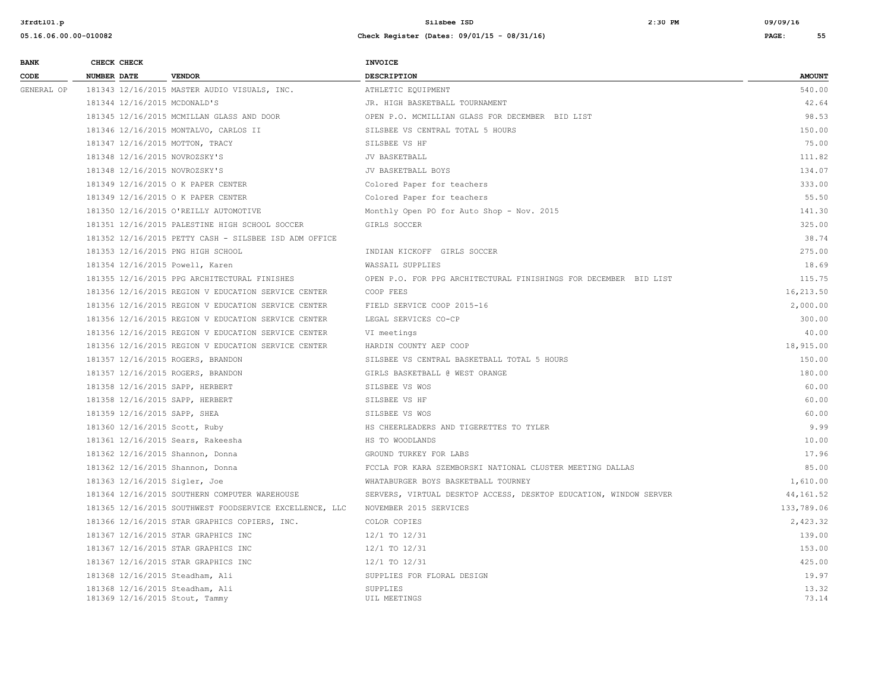| <b>BANK</b> | CHECK CHECK        |                                                                   | <b>INVOICE</b>                                                    |                |
|-------------|--------------------|-------------------------------------------------------------------|-------------------------------------------------------------------|----------------|
| CODE        | <b>NUMBER DATE</b> | <b>VENDOR</b>                                                     | DESCRIPTION                                                       | <b>AMOUNT</b>  |
| GENERAL OP  |                    | 181343 12/16/2015 MASTER AUDIO VISUALS, INC.                      | ATHLETIC EQUIPMENT                                                | 540.00         |
|             |                    | 181344 12/16/2015 MCDONALD'S                                      | JR. HIGH BASKETBALL TOURNAMENT                                    | 42.64          |
|             |                    | 181345 12/16/2015 MCMILLAN GLASS AND DOOR                         | OPEN P.O. MCMILLIAN GLASS FOR DECEMBER BID LIST                   | 98.53          |
|             |                    | 181346 12/16/2015 MONTALVO, CARLOS II                             | SILSBEE VS CENTRAL TOTAL 5 HOURS                                  | 150.00         |
|             |                    | 181347 12/16/2015 MOTTON, TRACY                                   | SILSBEE VS HF                                                     | 75.00          |
|             |                    | 181348 12/16/2015 NOVROZSKY'S                                     | JV BASKETBALL                                                     | 111.82         |
|             |                    | 181348 12/16/2015 NOVROZSKY'S                                     | JV BASKETBALL BOYS                                                | 134.07         |
|             |                    | 181349 12/16/2015 O K PAPER CENTER                                | Colored Paper for teachers                                        | 333.00         |
|             |                    | 181349 12/16/2015 O K PAPER CENTER                                | Colored Paper for teachers                                        | 55.50          |
|             |                    | 181350 12/16/2015 O'REILLY AUTOMOTIVE                             | Monthly Open PO for Auto Shop - Nov. 2015                         | 141.30         |
|             |                    | 181351 12/16/2015 PALESTINE HIGH SCHOOL SOCCER                    | GIRLS SOCCER                                                      | 325.00         |
|             |                    | 181352 12/16/2015 PETTY CASH - SILSBEE ISD ADM OFFICE             |                                                                   | 38.74          |
|             |                    | 181353 12/16/2015 PNG HIGH SCHOOL                                 | INDIAN KICKOFF GIRLS SOCCER                                       | 275.00         |
|             |                    | 181354 12/16/2015 Powell, Karen                                   | WASSAIL SUPPLIES                                                  | 18.69          |
|             |                    | 181355 12/16/2015 PPG ARCHITECTURAL FINISHES                      | OPEN P.O. FOR PPG ARCHITECTURAL FINISHINGS FOR DECEMBER BID LIST  | 115.75         |
|             |                    | 181356 12/16/2015 REGION V EDUCATION SERVICE CENTER               | COOP FEES                                                         | 16,213.50      |
|             |                    | 181356 12/16/2015 REGION V EDUCATION SERVICE CENTER               | FIELD SERVICE COOP 2015-16                                        | 2,000.00       |
|             |                    | 181356 12/16/2015 REGION V EDUCATION SERVICE CENTER               | LEGAL SERVICES CO-CP                                              | 300.00         |
|             |                    | 181356 12/16/2015 REGION V EDUCATION SERVICE CENTER               | VI meetings                                                       | 40.00          |
|             |                    | 181356 12/16/2015 REGION V EDUCATION SERVICE CENTER               | HARDIN COUNTY AEP COOP                                            | 18,915.00      |
|             |                    | 181357 12/16/2015 ROGERS, BRANDON                                 | SILSBEE VS CENTRAL BASKETBALL TOTAL 5 HOURS                       | 150.00         |
|             |                    | 181357 12/16/2015 ROGERS, BRANDON                                 | GIRLS BASKETBALL @ WEST ORANGE                                    | 180.00         |
|             |                    | 181358 12/16/2015 SAPP, HERBERT                                   | SILSBEE VS WOS                                                    | 60.00          |
|             |                    | 181358 12/16/2015 SAPP, HERBERT                                   | SILSBEE VS HF                                                     | 60.00          |
|             |                    | 181359 12/16/2015 SAPP, SHEA                                      | SILSBEE VS WOS                                                    | 60.00          |
|             |                    | 181360 12/16/2015 Scott, Ruby                                     | HS CHEERLEADERS AND TIGERETTES TO TYLER                           | 9.99           |
|             |                    | 181361 12/16/2015 Sears, Rakeesha                                 | HS TO WOODLANDS                                                   | 10.00          |
|             |                    | 181362 12/16/2015 Shannon, Donna                                  | GROUND TURKEY FOR LABS                                            | 17.96          |
|             |                    | 181362 12/16/2015 Shannon, Donna                                  | FCCLA FOR KARA SZEMBORSKI NATIONAL CLUSTER MEETING DALLAS         | 85.00          |
|             |                    | 181363 12/16/2015 Sigler, Joe                                     | WHATABURGER BOYS BASKETBALL TOURNEY                               | 1,610.00       |
|             |                    | 181364 12/16/2015 SOUTHERN COMPUTER WAREHOUSE                     | SERVERS, VIRTUAL DESKTOP ACCESS, DESKTOP EDUCATION, WINDOW SERVER | 44,161.52      |
|             |                    | 181365 12/16/2015 SOUTHWEST FOODSERVICE EXCELLENCE, LLC           | NOVEMBER 2015 SERVICES                                            | 133,789.06     |
|             |                    | 181366 12/16/2015 STAR GRAPHICS COPIERS, INC.                     | COLOR COPIES                                                      | 2,423.32       |
|             |                    | 181367 12/16/2015 STAR GRAPHICS INC                               | 12/1 TO 12/31                                                     | 139.00         |
|             |                    | 181367 12/16/2015 STAR GRAPHICS INC                               | 12/1 TO 12/31                                                     | 153.00         |
|             |                    | 181367 12/16/2015 STAR GRAPHICS INC                               | 12/1 TO 12/31                                                     | 425.00         |
|             |                    | 181368 12/16/2015 Steadham, Ali                                   | SUPPLIES FOR FLORAL DESIGN                                        | 19.97          |
|             |                    | 181368 12/16/2015 Steadham, Ali<br>181369 12/16/2015 Stout, Tammy | SUPPLIES<br>UIL MEETINGS                                          | 13.32<br>73.14 |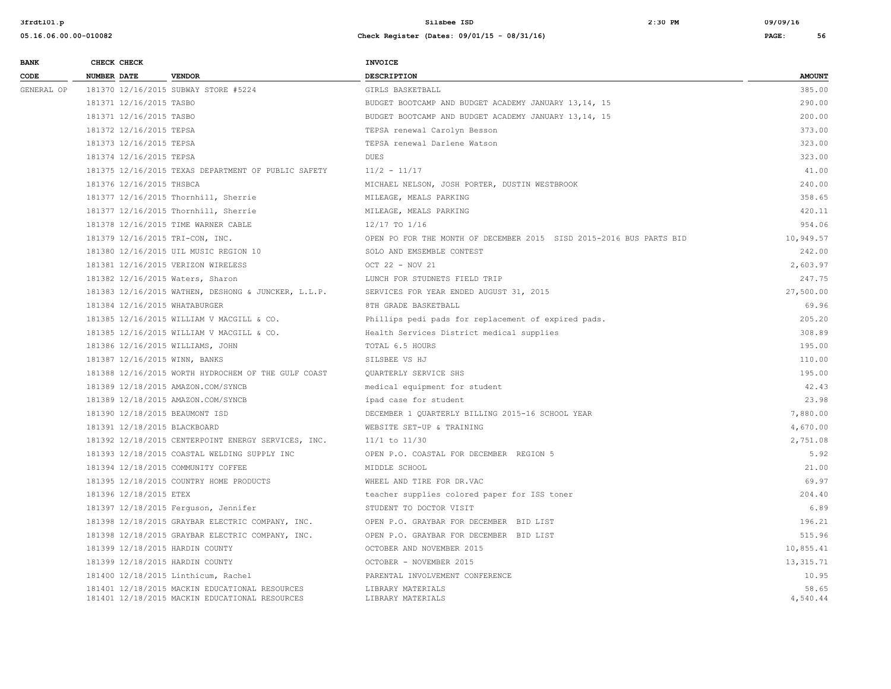| <b>BANK</b> | CHECK CHECK                     |                                                                                                  | <b>INVOICE</b>                                                      |                   |
|-------------|---------------------------------|--------------------------------------------------------------------------------------------------|---------------------------------------------------------------------|-------------------|
| CODE        | <b>NUMBER DATE</b>              | <b>VENDOR</b>                                                                                    | <b>DESCRIPTION</b>                                                  | <b>AMOUNT</b>     |
| GENERAL OP  |                                 | 181370 12/16/2015 SUBWAY STORE #5224                                                             | GIRLS BASKETBALL                                                    | 385.00            |
|             | 181371 12/16/2015 TASBO         |                                                                                                  | BUDGET BOOTCAMP AND BUDGET ACADEMY JANUARY 13,14, 15                | 290.00            |
|             | 181371 12/16/2015 TASBO         |                                                                                                  | BUDGET BOOTCAMP AND BUDGET ACADEMY JANUARY 13,14, 15                | 200.00            |
|             | 181372 12/16/2015 TEPSA         |                                                                                                  | TEPSA renewal Carolyn Besson                                        | 373.00            |
|             | 181373 12/16/2015 TEPSA         |                                                                                                  | TEPSA renewal Darlene Watson                                        | 323.00            |
|             | 181374 12/16/2015 TEPSA         |                                                                                                  | <b>DUES</b>                                                         | 323.00            |
|             |                                 | 181375 12/16/2015 TEXAS DEPARTMENT OF PUBLIC SAFETY                                              | $11/2 - 11/17$                                                      | 41.00             |
|             | 181376 12/16/2015 THSBCA        |                                                                                                  | MICHAEL NELSON, JOSH PORTER, DUSTIN WESTBROOK                       | 240.00            |
|             |                                 | 181377 12/16/2015 Thornhill, Sherrie                                                             | MILEAGE, MEALS PARKING                                              | 358.65            |
|             |                                 | 181377 12/16/2015 Thornhill, Sherrie                                                             | MILEAGE, MEALS PARKING                                              | 420.11            |
|             |                                 | 181378 12/16/2015 TIME WARNER CABLE                                                              | 12/17 TO 1/16                                                       | 954.06            |
|             | 181379 12/16/2015 TRI-CON, INC. |                                                                                                  | OPEN PO FOR THE MONTH OF DECEMBER 2015 SISD 2015-2016 BUS PARTS BID | 10,949.57         |
|             |                                 | 181380 12/16/2015 UIL MUSIC REGION 10                                                            | SOLO AND EMSEMBLE CONTEST                                           | 242.00            |
|             |                                 | 181381 12/16/2015 VERIZON WIRELESS                                                               | OCT 22 - NOV 21                                                     | 2,603.97          |
|             |                                 | 181382 12/16/2015 Waters, Sharon                                                                 | LUNCH FOR STUDNETS FIELD TRIP                                       | 247.75            |
|             |                                 | 181383 12/16/2015 WATHEN, DESHONG & JUNCKER, L.L.P.                                              | SERVICES FOR YEAR ENDED AUGUST 31, 2015                             | 27,500.00         |
|             | 181384 12/16/2015 WHATABURGER   |                                                                                                  | 8TH GRADE BASKETBALL                                                | 69.96             |
|             |                                 | 181385 12/16/2015 WILLIAM V MACGILL & CO.                                                        | Phillips pedi pads for replacement of expired pads.                 | 205.20            |
|             |                                 | 181385 12/16/2015 WILLIAM V MACGILL & CO.                                                        | Health Services District medical supplies                           | 308.89            |
|             |                                 | 181386 12/16/2015 WILLIAMS, JOHN                                                                 | TOTAL 6.5 HOURS                                                     | 195.00            |
|             | 181387 12/16/2015 WINN, BANKS   |                                                                                                  | SILSBEE VS HJ                                                       | 110.00            |
|             |                                 | 181388 12/16/2015 WORTH HYDROCHEM OF THE GULF COAST                                              | QUARTERLY SERVICE SHS                                               | 195.00            |
|             |                                 | 181389 12/18/2015 AMAZON.COM/SYNCB                                                               | medical equipment for student                                       | 42.43             |
|             |                                 | 181389 12/18/2015 AMAZON.COM/SYNCB                                                               | ipad case for student                                               | 23.98             |
|             | 181390 12/18/2015 BEAUMONT ISD  |                                                                                                  | DECEMBER 1 QUARTERLY BILLING 2015-16 SCHOOL YEAR                    | 7,880.00          |
|             | 181391 12/18/2015 BLACKBOARD    |                                                                                                  | WEBSITE SET-UP & TRAINING                                           | 4,670.00          |
|             |                                 | 181392 12/18/2015 CENTERPOINT ENERGY SERVICES, INC.                                              | $11/1$ to $11/30$                                                   | 2,751.08          |
|             |                                 | 181393 12/18/2015 COASTAL WELDING SUPPLY INC                                                     | OPEN P.O. COASTAL FOR DECEMBER REGION 5                             | 5.92              |
|             |                                 | 181394 12/18/2015 COMMUNITY COFFEE                                                               | MIDDLE SCHOOL                                                       | 21.00             |
|             |                                 | 181395 12/18/2015 COUNTRY HOME PRODUCTS                                                          | WHEEL AND TIRE FOR DR.VAC                                           | 69.97             |
|             | 181396 12/18/2015 ETEX          |                                                                                                  | teacher supplies colored paper for ISS toner                        | 204.40            |
|             |                                 | 181397 12/18/2015 Ferguson, Jennifer                                                             | STUDENT TO DOCTOR VISIT                                             | 6.89              |
|             |                                 | 181398 12/18/2015 GRAYBAR ELECTRIC COMPANY, INC.                                                 | OPEN P.O. GRAYBAR FOR DECEMBER BID LIST                             | 196.21            |
|             |                                 | 181398 12/18/2015 GRAYBAR ELECTRIC COMPANY, INC.                                                 | OPEN P.O. GRAYBAR FOR DECEMBER BID LIST                             | 515.96            |
|             | 181399 12/18/2015 HARDIN COUNTY |                                                                                                  | OCTOBER AND NOVEMBER 2015                                           | 10,855.41         |
|             | 181399 12/18/2015 HARDIN COUNTY |                                                                                                  | OCTOBER - NOVEMBER 2015                                             | 13, 315. 71       |
|             |                                 | 181400 12/18/2015 Linthicum, Rachel                                                              | PARENTAL INVOLVEMENT CONFERENCE                                     | 10.95             |
|             |                                 | 181401 12/18/2015 MACKIN EDUCATIONAL RESOURCES<br>181401 12/18/2015 MACKIN EDUCATIONAL RESOURCES | LIBRARY MATERIALS<br>LIBRARY MATERIALS                              | 58.65<br>4,540.44 |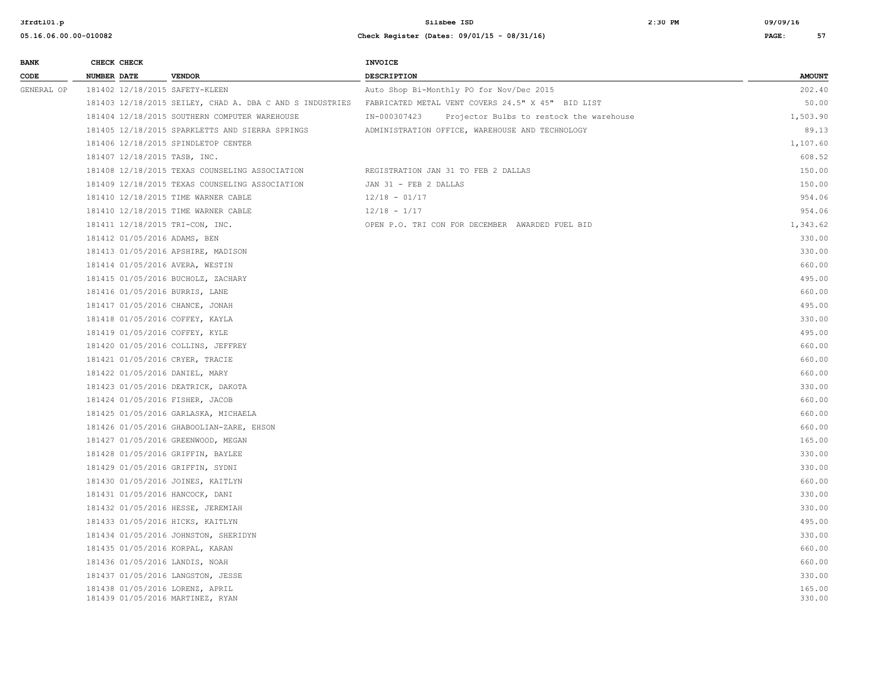| <b>BANK</b> |                    | CHECK CHECK |                                                                     | <b>INVOICE</b>                                    |                                          |                  |
|-------------|--------------------|-------------|---------------------------------------------------------------------|---------------------------------------------------|------------------------------------------|------------------|
| CODE        | <b>NUMBER DATE</b> |             | <b>VENDOR</b>                                                       | DESCRIPTION                                       |                                          | <b>AMOUNT</b>    |
| GENERAL OP  |                    |             | 181402 12/18/2015 SAFETY-KLEEN                                      | Auto Shop Bi-Monthly PO for Nov/Dec 2015          |                                          | 202.40           |
|             |                    |             | 181403 12/18/2015 SEILEY, CHAD A. DBA C AND S INDUSTRIES            | FABRICATED METAL VENT COVERS 24.5" X 45" BID LIST |                                          | 50.00            |
|             |                    |             | 181404 12/18/2015 SOUTHERN COMPUTER WAREHOUSE                       | IN-000307423                                      | Projector Bulbs to restock the warehouse | 1,503.90         |
|             |                    |             | 181405 12/18/2015 SPARKLETTS AND SIERRA SPRINGS                     | ADMINISTRATION OFFICE, WAREHOUSE AND TECHNOLOGY   |                                          | 89.13            |
|             |                    |             | 181406 12/18/2015 SPINDLETOP CENTER                                 |                                                   |                                          | 1,107.60         |
|             |                    |             | 181407 12/18/2015 TASB, INC.                                        |                                                   |                                          | 608.52           |
|             |                    |             | 181408 12/18/2015 TEXAS COUNSELING ASSOCIATION                      | REGISTRATION JAN 31 TO FEB 2 DALLAS               |                                          | 150.00           |
|             |                    |             | 181409 12/18/2015 TEXAS COUNSELING ASSOCIATION                      | JAN 31 - FEB 2 DALLAS                             |                                          | 150.00           |
|             |                    |             | 181410 12/18/2015 TIME WARNER CABLE                                 | $12/18 - 01/17$                                   |                                          | 954.06           |
|             |                    |             | 181410 12/18/2015 TIME WARNER CABLE                                 | $12/18 - 1/17$                                    |                                          | 954.06           |
|             |                    |             | 181411 12/18/2015 TRI-CON, INC.                                     | OPEN P.O. TRI CON FOR DECEMBER AWARDED FUEL BID   |                                          | 1,343.62         |
|             |                    |             | 181412 01/05/2016 ADAMS, BEN                                        |                                                   |                                          | 330.00           |
|             |                    |             | 181413 01/05/2016 APSHIRE, MADISON                                  |                                                   |                                          | 330.00           |
|             |                    |             | 181414 01/05/2016 AVERA, WESTIN                                     |                                                   |                                          | 660.00           |
|             |                    |             | 181415 01/05/2016 BUCHOLZ, ZACHARY                                  |                                                   |                                          | 495.00           |
|             |                    |             | 181416 01/05/2016 BURRIS, LANE                                      |                                                   |                                          | 660.00           |
|             |                    |             | 181417 01/05/2016 CHANCE, JONAH                                     |                                                   |                                          | 495.00           |
|             |                    |             | 181418 01/05/2016 COFFEY, KAYLA                                     |                                                   |                                          | 330.00           |
|             |                    |             | 181419 01/05/2016 COFFEY, KYLE                                      |                                                   |                                          | 495.00           |
|             |                    |             | 181420 01/05/2016 COLLINS, JEFFREY                                  |                                                   |                                          | 660.00           |
|             |                    |             | 181421 01/05/2016 CRYER, TRACIE                                     |                                                   |                                          | 660.00           |
|             |                    |             | 181422 01/05/2016 DANIEL, MARY                                      |                                                   |                                          | 660.00           |
|             |                    |             | 181423 01/05/2016 DEATRICK, DAKOTA                                  |                                                   |                                          | 330.00           |
|             |                    |             | 181424 01/05/2016 FISHER, JACOB                                     |                                                   |                                          | 660.00           |
|             |                    |             | 181425 01/05/2016 GARLASKA, MICHAELA                                |                                                   |                                          | 660.00           |
|             |                    |             | 181426 01/05/2016 GHABOOLIAN-ZARE, EHSON                            |                                                   |                                          | 660.00           |
|             |                    |             | 181427 01/05/2016 GREENWOOD, MEGAN                                  |                                                   |                                          | 165.00           |
|             |                    |             | 181428 01/05/2016 GRIFFIN, BAYLEE                                   |                                                   |                                          | 330.00           |
|             |                    |             | 181429 01/05/2016 GRIFFIN, SYDNI                                    |                                                   |                                          | 330.00           |
|             |                    |             | 181430 01/05/2016 JOINES, KAITLYN                                   |                                                   |                                          | 660.00           |
|             |                    |             | 181431 01/05/2016 HANCOCK, DANI                                     |                                                   |                                          | 330.00           |
|             |                    |             | 181432 01/05/2016 HESSE, JEREMIAH                                   |                                                   |                                          | 330.00           |
|             |                    |             | 181433 01/05/2016 HICKS, KAITLYN                                    |                                                   |                                          | 495.00           |
|             |                    |             | 181434 01/05/2016 JOHNSTON, SHERIDYN                                |                                                   |                                          | 330.00           |
|             |                    |             | 181435 01/05/2016 KORPAL, KARAN                                     |                                                   |                                          | 660.00           |
|             |                    |             | 181436 01/05/2016 LANDIS, NOAH                                      |                                                   |                                          | 660.00           |
|             |                    |             | 181437 01/05/2016 LANGSTON, JESSE                                   |                                                   |                                          | 330.00           |
|             |                    |             | 181438 01/05/2016 LORENZ, APRIL<br>181439 01/05/2016 MARTINEZ, RYAN |                                                   |                                          | 165.00<br>330.00 |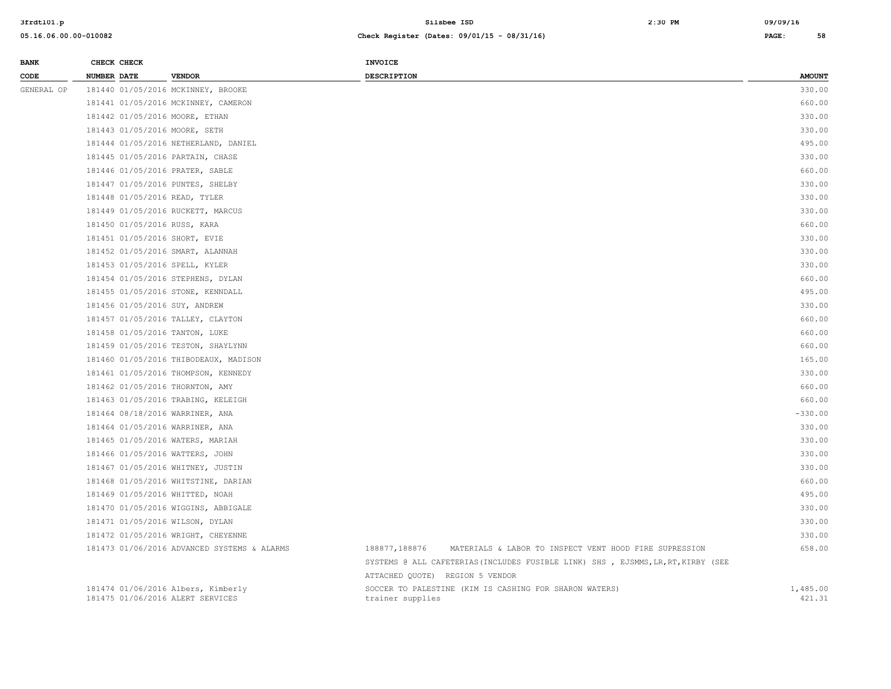| <b>BANK</b> | CHECK CHECK                    |                                                                        | <b>INVOICE</b>                                                                    |                    |
|-------------|--------------------------------|------------------------------------------------------------------------|-----------------------------------------------------------------------------------|--------------------|
| CODE        | NUMBER DATE                    | <b>VENDOR</b>                                                          | <b>DESCRIPTION</b>                                                                | <b>AMOUNT</b>      |
| GENERAL OP  |                                | 181440 01/05/2016 MCKINNEY, BROOKE                                     |                                                                                   | 330.00             |
|             |                                | 181441 01/05/2016 MCKINNEY, CAMERON                                    |                                                                                   | 660.00             |
|             | 181442 01/05/2016 MOORE, ETHAN |                                                                        |                                                                                   | 330.00             |
|             | 181443 01/05/2016 MOORE, SETH  |                                                                        |                                                                                   | 330.00             |
|             |                                | 181444 01/05/2016 NETHERLAND, DANIEL                                   |                                                                                   | 495.00             |
|             |                                | 181445 01/05/2016 PARTAIN, CHASE                                       |                                                                                   | 330.00             |
|             |                                | 181446 01/05/2016 PRATER, SABLE                                        |                                                                                   | 660.00             |
|             |                                | 181447 01/05/2016 PUNTES, SHELBY                                       |                                                                                   | 330.00             |
|             | 181448 01/05/2016 READ, TYLER  |                                                                        |                                                                                   | 330.00             |
|             |                                | 181449 01/05/2016 RUCKETT, MARCUS                                      |                                                                                   | 330.00             |
|             | 181450 01/05/2016 RUSS, KARA   |                                                                        |                                                                                   | 660.00             |
|             | 181451 01/05/2016 SHORT, EVIE  |                                                                        |                                                                                   | 330.00             |
|             |                                | 181452 01/05/2016 SMART, ALANNAH                                       |                                                                                   | 330.00             |
|             | 181453 01/05/2016 SPELL, KYLER |                                                                        |                                                                                   | 330.00             |
|             |                                | 181454 01/05/2016 STEPHENS, DYLAN                                      |                                                                                   | 660.00             |
|             |                                | 181455 01/05/2016 STONE, KENNDALL                                      |                                                                                   | 495.00             |
|             | 181456 01/05/2016 SUY, ANDREW  |                                                                        |                                                                                   | 330.00             |
|             |                                | 181457 01/05/2016 TALLEY, CLAYTON                                      |                                                                                   | 660.00             |
|             | 181458 01/05/2016 TANTON, LUKE |                                                                        |                                                                                   | 660.00             |
|             |                                | 181459 01/05/2016 TESTON, SHAYLYNN                                     |                                                                                   | 660.00             |
|             |                                | 181460 01/05/2016 THIBODEAUX, MADISON                                  |                                                                                   | 165.00             |
|             |                                | 181461 01/05/2016 THOMPSON, KENNEDY                                    |                                                                                   | 330.00             |
|             |                                | 181462 01/05/2016 THORNTON, AMY                                        |                                                                                   | 660.00             |
|             |                                | 181463 01/05/2016 TRABING, KELEIGH                                     |                                                                                   | 660.00             |
|             |                                | 181464 08/18/2016 WARRINER, ANA                                        |                                                                                   | $-330.00$          |
|             |                                | 181464 01/05/2016 WARRINER, ANA                                        |                                                                                   | 330.00             |
|             |                                | 181465 01/05/2016 WATERS, MARIAH                                       |                                                                                   | 330.00             |
|             |                                | 181466 01/05/2016 WATTERS, JOHN                                        |                                                                                   | 330.00             |
|             |                                | 181467 01/05/2016 WHITNEY, JUSTIN                                      |                                                                                   | 330.00             |
|             |                                | 181468 01/05/2016 WHITSTINE, DARIAN                                    |                                                                                   | 660.00             |
|             |                                | 181469 01/05/2016 WHITTED, NOAH                                        |                                                                                   | 495.00             |
|             |                                | 181470 01/05/2016 WIGGINS, ABBIGALE                                    |                                                                                   | 330.00             |
|             |                                | 181471 01/05/2016 WILSON, DYLAN                                        |                                                                                   | 330.00             |
|             |                                | 181472 01/05/2016 WRIGHT, CHEYENNE                                     |                                                                                   | 330.00             |
|             |                                | 181473 01/06/2016 ADVANCED SYSTEMS & ALARMS                            | 188877,188876<br>MATERIALS & LABOR TO INSPECT VENT HOOD FIRE SUPRESSION           | 658.00             |
|             |                                |                                                                        | SYSTEMS @ ALL CAFETERIAS (INCLUDES FUSIBLE LINK) SHS , EJSMMS, LR, RT, KIRBY (SEE |                    |
|             |                                |                                                                        | ATTACHED QUOTE) REGION 5 VENDOR                                                   |                    |
|             |                                | 181474 01/06/2016 Albers, Kimberly<br>181475 01/06/2016 ALERT SERVICES | SOCCER TO PALESTINE (KIM IS CASHING FOR SHARON WATERS)<br>trainer supplies        | 1,485.00<br>421.31 |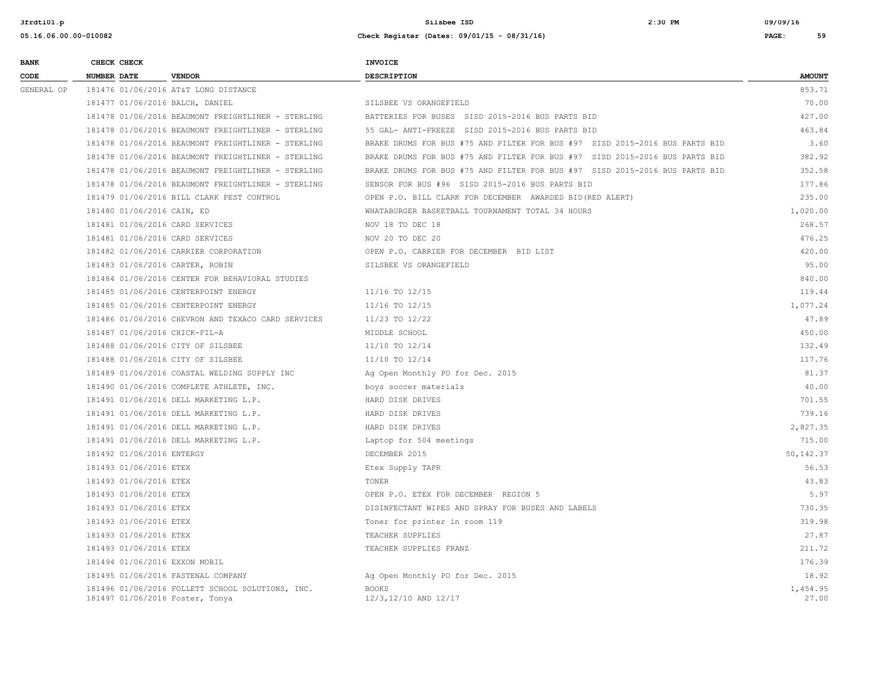| <b>BANK</b> | CHECK CHECK                     |                                                    | INVOICE                                                                     |                   |
|-------------|---------------------------------|----------------------------------------------------|-----------------------------------------------------------------------------|-------------------|
| CODE        | <b>NUMBER DATE</b>              | <b>VENDOR</b>                                      | <b>DESCRIPTION</b>                                                          | <b>AMOUNT</b>     |
| GENERAL OP  |                                 | 181476 01/06/2016 AT&T LONG DISTANCE               |                                                                             | 853.71            |
|             | 181477 01/06/2016 BALCH, DANIEL |                                                    | SILSBEE VS ORANGEFIELD                                                      | 70.00             |
|             |                                 | 181478 01/06/2016 BEAUMONT FREIGHTLINER - STERLING | BATTERIES FOR BUSES SISD 2015-2016 BUS PARTS BID                            | 427.00            |
|             |                                 | 181478 01/06/2016 BEAUMONT FREIGHTLINER - STERLING | 55 GAL- ANTI-FREEZE SISD 2015-2016 BUS PARTS BID                            | 463.84            |
|             |                                 | 181478 01/06/2016 BEAUMONT FREIGHTLINER - STERLING | BRAKE DRUMS FOR BUS #75 AND FILTER FOR BUS #97 SISD 2015-2016 BUS PARTS BID | 3.60              |
|             |                                 | 181478 01/06/2016 BEAUMONT FREIGHTLINER - STERLING | BRAKE DRUMS FOR BUS #75 AND FILTER FOR BUS #97 SISD 2015-2016 BUS PARTS BID | 382.92            |
|             |                                 | 181478 01/06/2016 BEAUMONT FREIGHTLINER - STERLING | BRAKE DRUMS FOR BUS #75 AND FILTER FOR BUS #97 SISD 2015-2016 BUS PARTS BID | 352.58            |
|             |                                 | 181478 01/06/2016 BEAUMONT FREIGHTLINER - STERLING | SENSOR FOR BUS #96 SISD 2015-2016 BUS PARTS BID                             | 177.86            |
|             |                                 | 181479 01/06/2016 BILL CLARK PEST CONTROL          | OPEN P.O. BILL CLARK FOR DECEMBER AWARDED BID (RED ALERT)                   | 235.00            |
|             | 181480 01/06/2016 CAIN, ED      |                                                    | WHATABURGER BASKETBALL TOURNAMENT TOTAL 34 HOURS                            | 1,020.00          |
|             | 181481 01/06/2016 CARD SERVICES |                                                    | NOV 18 TO DEC 18                                                            | 268.57            |
|             | 181481 01/06/2016 CARD SERVICES |                                                    | NOV 20 TO DEC 20                                                            | 476.25            |
|             |                                 | 181482 01/06/2016 CARRIER CORPORATION              | OPEN P.O. CARRIER FOR DECEMBER BID LIST                                     | 420.00            |
|             | 181483 01/06/2016 CARTER, ROBIN |                                                    | SILSBEE VS ORANGEFIELD                                                      | 95.00             |
|             |                                 | 181484 01/06/2016 CENTER FOR BEHAVIORAL STUDIES    |                                                                             | 840.00            |
|             |                                 | 181485 01/06/2016 CENTERPOINT ENERGY               | 11/16 TO 12/15                                                              | 119.44            |
|             |                                 | 181485 01/06/2016 CENTERPOINT ENERGY               | 11/16 TO 12/15                                                              | 1,077.24          |
|             |                                 | 181486 01/06/2016 CHEVRON AND TEXACO CARD SERVICES | 11/23 TO 12/22                                                              | 47.89             |
|             | 181487 01/06/2016 CHICK-FIL-A   |                                                    | MIDDLE SCHOOL                                                               | 450.00            |
|             |                                 | 181488 01/06/2016 CITY OF SILSBEE                  | 11/10 TO 12/14                                                              | 132.49            |
|             |                                 | 181488 01/06/2016 CITY OF SILSBEE                  | 11/10 TO 12/14                                                              | 117.76            |
|             |                                 | 181489 01/06/2016 COASTAL WELDING SUPPLY INC       | Ag Open Monthly PO for Dec. 2015                                            | 81.37             |
|             |                                 | 181490 01/06/2016 COMPLETE ATHLETE, INC.           | boys soccer materials                                                       | 40.00             |
|             |                                 | 181491 01/06/2016 DELL MARKETING L.P.              | HARD DISK DRIVES                                                            | 701.55            |
|             |                                 | 181491 01/06/2016 DELL MARKETING L.P.              | HARD DISK DRIVES                                                            | 739.16            |
|             |                                 | 181491 01/06/2016 DELL MARKETING L.P.              | HARD DISK DRIVES                                                            | 2,827.35          |
|             |                                 | 181491 01/06/2016 DELL MARKETING L.P.              | Laptop for 504 meetings                                                     | 715.00            |
|             | 181492 01/06/2016 ENTERGY       |                                                    | DECEMBER 2015                                                               | 50, 142.37        |
|             | 181493 01/06/2016 ETEX          |                                                    | Etex Supply TAPR                                                            | 56.53             |
|             | 181493 01/06/2016 ETEX          |                                                    | TONER                                                                       | 43.83             |
|             | 181493 01/06/2016 ETEX          |                                                    | OPEN P.O. ETEX FOR DECEMBER REGION 5                                        | 5.97              |
|             | 181493 01/06/2016 ETEX          |                                                    | DISINFECTANT WIPES AND SPRAY FOR BUSES AND LABELS                           | 730.35            |
|             | 181493 01/06/2016 ETEX          |                                                    | Toner for printer in room 119                                               | 319.98            |
|             | 181493 01/06/2016 ETEX          |                                                    | TEACHER SUPPLIES                                                            | 27.87             |
|             | 181493 01/06/2016 ETEX          |                                                    | TEACHER SUPPLIES FRANZ                                                      | 211.72            |
|             | 181494 01/06/2016 EXXON MOBIL   |                                                    |                                                                             | 176.39            |
|             |                                 | 181495 01/06/2016 FASTENAL COMPANY                 | Ag Open Monthly PO for Dec. 2015                                            | 18.92             |
|             | 181497 01/06/2016 Foster, Tonya | 181496 01/06/2016 FOLLETT SCHOOL SOLUTIONS, INC.   | <b>BOOKS</b><br>12/3,12/10 AND 12/17                                        | 1,454.95<br>27.00 |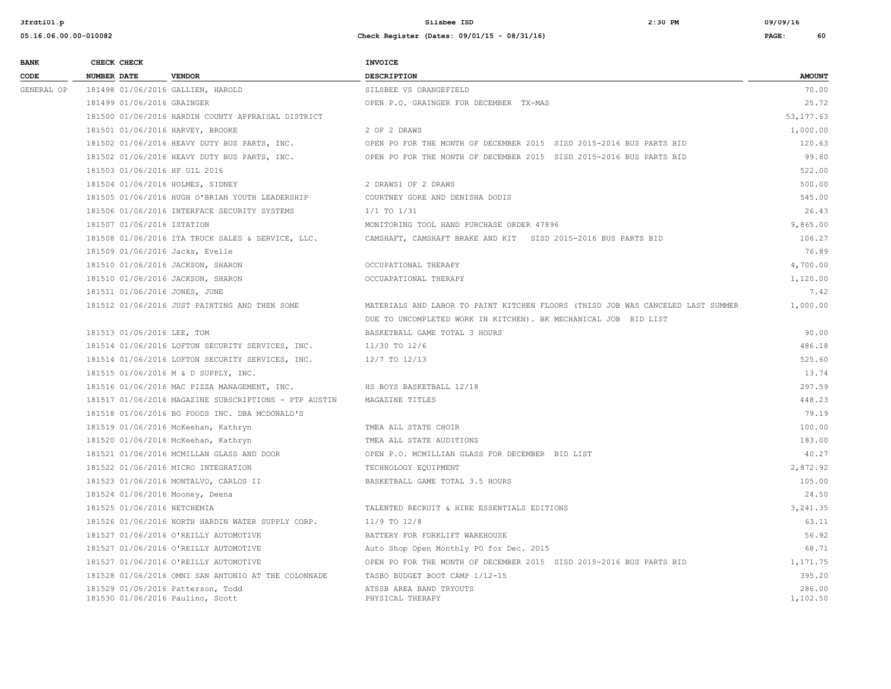| <b>BANK</b> | CHECK CHECK                     |                                                                       | <b>INVOICE</b>                                                                  |                    |
|-------------|---------------------------------|-----------------------------------------------------------------------|---------------------------------------------------------------------------------|--------------------|
| CODE        | <b>NUMBER DATE</b>              | <b>VENDOR</b>                                                         | DESCRIPTION                                                                     | <b>AMOUNT</b>      |
| GENERAL OP  |                                 | 181498 01/06/2016 GALLIEN, HAROLD                                     | SILSBEE VS ORANGEFIELD                                                          | 70.00              |
|             | 181499 01/06/2016 GRAINGER      |                                                                       | OPEN P.O. GRAINGER FOR DECEMBER TX-MAS                                          | 25.72              |
|             |                                 | 181500 01/06/2016 HARDIN COUNTY APPRAISAL DISTRICT                    |                                                                                 | 53,177.63          |
|             |                                 | 181501 01/06/2016 HARVEY, BROOKE                                      | 2 OF 2 DRAWS                                                                    | 1,000.00           |
|             |                                 | 181502 01/06/2016 HEAVY DUTY BUS PARTS, INC.                          | OPEN PO FOR THE MONTH OF DECEMBER 2015 SISD 2015-2016 BUS PARTS BID             | 120.63             |
|             |                                 | 181502 01/06/2016 HEAVY DUTY BUS PARTS, INC.                          | OPEN PO FOR THE MONTH OF DECEMBER 2015 SISD 2015-2016 BUS PARTS BID             | 99.80              |
|             | 181503 01/06/2016 HF UIL 2016   |                                                                       |                                                                                 | 522.00             |
|             |                                 | 181504 01/06/2016 HOLMES, SIDNEY                                      | 2 DRAWS1 OF 2 DRAWS                                                             | 500.00             |
|             |                                 | 181505 01/06/2016 HUGH O'BRIAN YOUTH LEADERSHIP                       | COURTNEY GORE AND DENISHA DODIS                                                 | 545.00             |
|             |                                 | 181506 01/06/2016 INTERFACE SECURITY SYSTEMS                          | $1/1$ TO $1/31$                                                                 | 26.43              |
|             | 181507 01/06/2016 ISTATION      |                                                                       | MONITORING TOOL HAND PURCHASE ORDER 47896                                       | 9,865.00           |
|             |                                 | 181508 01/06/2016 ITA TRUCK SALES & SERVICE, LLC.                     | CAMSHAFT, CAMSHAFT BRAKE AND KIT SISD 2015-2016 BUS PARTS BID                   | 106.27             |
|             | 181509 01/06/2016 Jacks, Evelle |                                                                       |                                                                                 | 76.89              |
|             |                                 | 181510 01/06/2016 JACKSON, SHARON                                     | OCCUPATIONAL THERAPY                                                            | 4,700.00           |
|             |                                 | 181510 01/06/2016 JACKSON, SHARON                                     | OCCUAPATIONAL THERAPY                                                           | 1,120.00           |
|             | 181511 01/06/2016 JONES, JUNE   |                                                                       |                                                                                 | 7.42               |
|             |                                 | 181512 01/06/2016 JUST PAINTING AND THEN SOME                         | MATERIALS AND LABOR TO PAINT KITCHEN FLOORS (THISD JOB WAS CANCELED LAST SUMMER | 1,000.00           |
|             |                                 |                                                                       | DUE TO UNCOMPLETED WORK IN KITCHEN). BK MECHANICAL JOB BID LIST                 |                    |
|             | 181513 01/06/2016 LEE, TOM      |                                                                       | BASKETBALL GAME TOTAL 3 HOURS                                                   | 90.00              |
|             |                                 | 181514 01/06/2016 LOFTON SECURITY SERVICES, INC.                      | 11/30 TO 12/6                                                                   | 486.18             |
|             |                                 | 181514 01/06/2016 LOFTON SECURITY SERVICES, INC.                      | 12/7 TO 12/13                                                                   | 525.60             |
|             |                                 | 181515 01/06/2016 M & D SUPPLY, INC.                                  |                                                                                 | 13.74              |
|             |                                 | 181516 01/06/2016 MAC PIZZA MANAGEMENT, INC.                          | HS BOYS BASKETBALL 12/18                                                        | 297.59             |
|             |                                 | 181517 01/06/2016 MAGAZINE SUBSCRIPTIONS - PTP AUSTIN                 | MAGAZINE TITLES                                                                 | 448.23             |
|             |                                 | 181518 01/06/2016 BG FOODS INC. DBA MCDONALD'S                        |                                                                                 | 79.19              |
|             |                                 | 181519 01/06/2016 McKeehan, Kathryn                                   | TMEA ALL STATE CHOIR                                                            | 100.00             |
|             |                                 | 181520 01/06/2016 McKeehan, Kathryn                                   | TMEA ALL STATE AUDITIONS                                                        | 183.00             |
|             |                                 | 181521 01/06/2016 MCMILLAN GLASS AND DOOR                             | OPEN P.O. MCMILLIAN GLASS FOR DECEMBER BID LIST                                 | 40.27              |
|             |                                 | 181522 01/06/2016 MICRO INTEGRATION                                   | TECHNOLOGY EQUIPMENT                                                            | 2,872.92           |
|             |                                 | 181523 01/06/2016 MONTALVO, CARLOS II                                 | BASKETBALL GAME TOTAL 3.5 HOURS                                                 | 105.00             |
|             | 181524 01/06/2016 Mooney, Deena |                                                                       |                                                                                 | 24.50              |
|             | 181525 01/06/2016 NETCHEMIA     |                                                                       | TALENTED RECRUIT & HIRE ESSENTIALS EDITIONS                                     | 3,241.35           |
|             |                                 | 181526 01/06/2016 NORTH HARDIN WATER SUPPLY CORP.                     | $11/9$ TO $12/8$                                                                | 63.11              |
|             |                                 | 181527 01/06/2016 O'REILLY AUTOMOTIVE                                 | BATTERY FOR FORKLIFT WAREHOUSE                                                  | 56.92              |
|             |                                 | 181527 01/06/2016 O'REILLY AUTOMOTIVE                                 | Auto Shop Open Monthly PO for Dec. 2015                                         | 68.71              |
|             |                                 | 181527 01/06/2016 O'REILLY AUTOMOTIVE                                 | OPEN PO FOR THE MONTH OF DECEMBER 2015 SISD 2015-2016 BUS PARTS BID             | 1,171.75           |
|             |                                 | 181528 01/06/2016 OMNI SAN ANTONIO AT THE COLONNADE                   | TASBO BUDGET BOOT CAMP 1/12-15                                                  | 395.20             |
|             |                                 | 181529 01/06/2016 Patterson, Todd<br>181530 01/06/2016 Paulino, Scott | ATSSB AREA BAND TRYOUTS<br>PHYSICAL THERAPY                                     | 286.00<br>1,102.50 |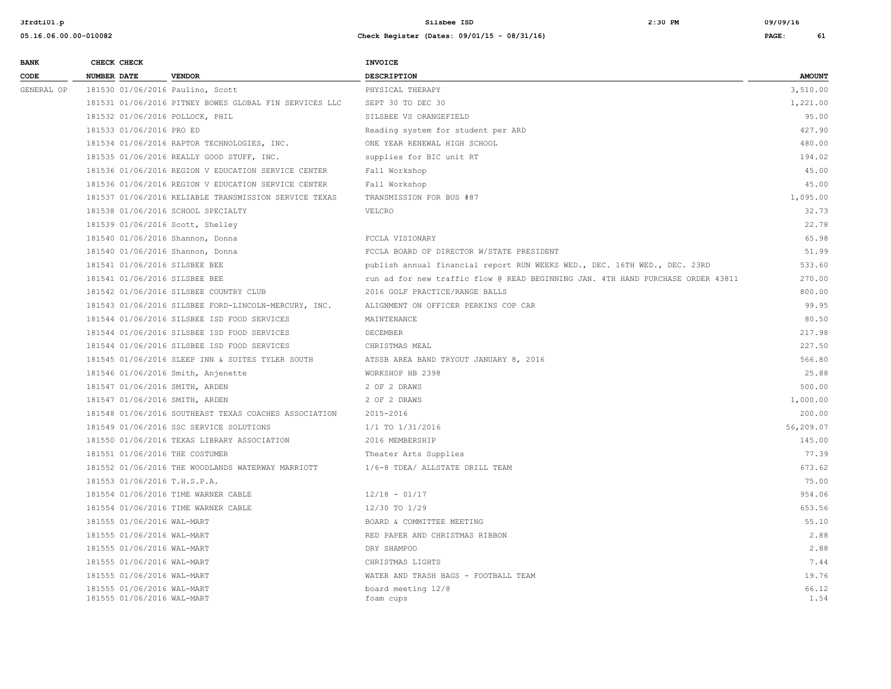| <b>BANK</b> | CHECK CHECK        |                                                          | <b>INVOICE</b>                                                                  |               |
|-------------|--------------------|----------------------------------------------------------|---------------------------------------------------------------------------------|---------------|
| CODE        | <b>NUMBER DATE</b> | <b>VENDOR</b>                                            | <b>DESCRIPTION</b>                                                              | <b>AMOUNT</b> |
| GENERAL OP  |                    | 181530 01/06/2016 Paulino, Scott                         | PHYSICAL THERAPY                                                                | 3,510.00      |
|             |                    | 181531 01/06/2016 PITNEY BOWES GLOBAL FIN SERVICES LLC   | SEPT 30 TO DEC 30                                                               | 1,221.00      |
|             |                    | 181532 01/06/2016 POLLOCK, PHIL                          | SILSBEE VS ORANGEFIELD                                                          | 95.00         |
|             |                    | 181533 01/06/2016 PRO ED                                 | Reading system for student per ARD                                              | 427.90        |
|             |                    | 181534 01/06/2016 RAPTOR TECHNOLOGIES, INC.              | ONE YEAR RENEWAL HIGH SCHOOL                                                    | 480.00        |
|             |                    | 181535 01/06/2016 REALLY GOOD STUFF, INC.                | supplies for BIC unit RT                                                        | 194.02        |
|             |                    | 181536 01/06/2016 REGION V EDUCATION SERVICE CENTER      | Fall Workshop                                                                   | 45.00         |
|             |                    | 181536 01/06/2016 REGION V EDUCATION SERVICE CENTER      | Fall Workshop                                                                   | 45.00         |
|             |                    | 181537 01/06/2016 RELIABLE TRANSMISSION SERVICE TEXAS    | TRANSMISSION FOR BUS #87                                                        | 1,095.00      |
|             |                    | 181538 01/06/2016 SCHOOL SPECIALTY                       | VELCRO                                                                          | 32.73         |
|             |                    | 181539 01/06/2016 Scott, Shelley                         |                                                                                 | 22.78         |
|             |                    | 181540 01/06/2016 Shannon, Donna                         | FCCLA VISIONARY                                                                 | 65.98         |
|             |                    | 181540 01/06/2016 Shannon, Donna                         | FCCLA BOARD OF DIRECTOR W/STATE PRESIDENT                                       | 51.99         |
|             |                    | 181541 01/06/2016 SILSBEE BEE                            | publish annual financial report RUN WEEKS WED., DEC. 16TH WED., DEC. 23RD       | 533.60        |
|             |                    | 181541 01/06/2016 SILSBEE BEE                            | run ad for new traffic flow @ READ BEGINNING JAN. 4TH HAND PURCHASE ORDER 43811 | 270.00        |
|             |                    | 181542 01/06/2016 SILSBEE COUNTRY CLUB                   | 2016 GOLF PRACTICE/RANGE BALLS                                                  | 800.00        |
|             |                    | 181543 01/06/2016 SILSBEE FORD-LINCOLN-MERCURY, INC.     | ALIGNMENT ON OFFICER PERKINS COP CAR                                            | 99.95         |
|             |                    | 181544 01/06/2016 SILSBEE ISD FOOD SERVICES              | MAINTENANCE                                                                     | 80.50         |
|             |                    | 181544 01/06/2016 SILSBEE ISD FOOD SERVICES              | DECEMBER                                                                        | 217.98        |
|             |                    | 181544 01/06/2016 SILSBEE ISD FOOD SERVICES              | CHRISTMAS MEAL                                                                  | 227.50        |
|             |                    | 181545 01/06/2016 SLEEP INN & SUITES TYLER SOUTH         | ATSSB AREA BAND TRYOUT JANUARY 8, 2016                                          | 566.80        |
|             |                    | 181546 01/06/2016 Smith, Anjenette                       | WORKSHOP HB 2398                                                                | 25.88         |
|             |                    | 181547 01/06/2016 SMITH, ARDEN                           | 2 OF 2 DRAWS                                                                    | 500.00        |
|             |                    | 181547 01/06/2016 SMITH, ARDEN                           | 2 OF 2 DRAWS                                                                    | 1,000.00      |
|             |                    | 181548 01/06/2016 SOUTHEAST TEXAS COACHES ASSOCIATION    | 2015-2016                                                                       | 200.00        |
|             |                    | 181549 01/06/2016 SSC SERVICE SOLUTIONS                  | 1/1 TO 1/31/2016                                                                | 56,209.07     |
|             |                    | 181550 01/06/2016 TEXAS LIBRARY ASSOCIATION              | 2016 MEMBERSHIP                                                                 | 145.00        |
|             |                    | 181551 01/06/2016 THE COSTUMER                           | Theater Arts Supplies                                                           | 77.39         |
|             |                    | 181552 01/06/2016 THE WOODLANDS WATERWAY MARRIOTT        | 1/6-8 TDEA/ ALLSTATE DRILL TEAM                                                 | 673.62        |
|             |                    | 181553 01/06/2016 T.H.S.P.A.                             |                                                                                 | 75.00         |
|             |                    | 181554 01/06/2016 TIME WARNER CABLE                      | $12/18 - 01/17$                                                                 | 954.06        |
|             |                    | 181554 01/06/2016 TIME WARNER CABLE                      | 12/30 TO 1/29                                                                   | 653.56        |
|             |                    | 181555 01/06/2016 WAL-MART                               | BOARD & COMMITTEE MEETING                                                       | 55.10         |
|             |                    | 181555 01/06/2016 WAL-MART                               | RED PAPER AND CHRISTMAS RIBBON                                                  | 2.88          |
|             |                    | 181555 01/06/2016 WAL-MART                               | DRY SHAMPOO                                                                     | 2.88          |
|             |                    | 181555 01/06/2016 WAL-MART                               | CHRISTMAS LIGHTS                                                                | 7.44          |
|             |                    | 181555 01/06/2016 WAL-MART                               | WATER AND TRASH BAGS - FOOTBALL TEAM                                            | 19.76         |
|             |                    | 181555 01/06/2016 WAL-MART<br>181555 01/06/2016 WAL-MART | board meeting 12/8<br>foam cups                                                 | 66.12<br>1.54 |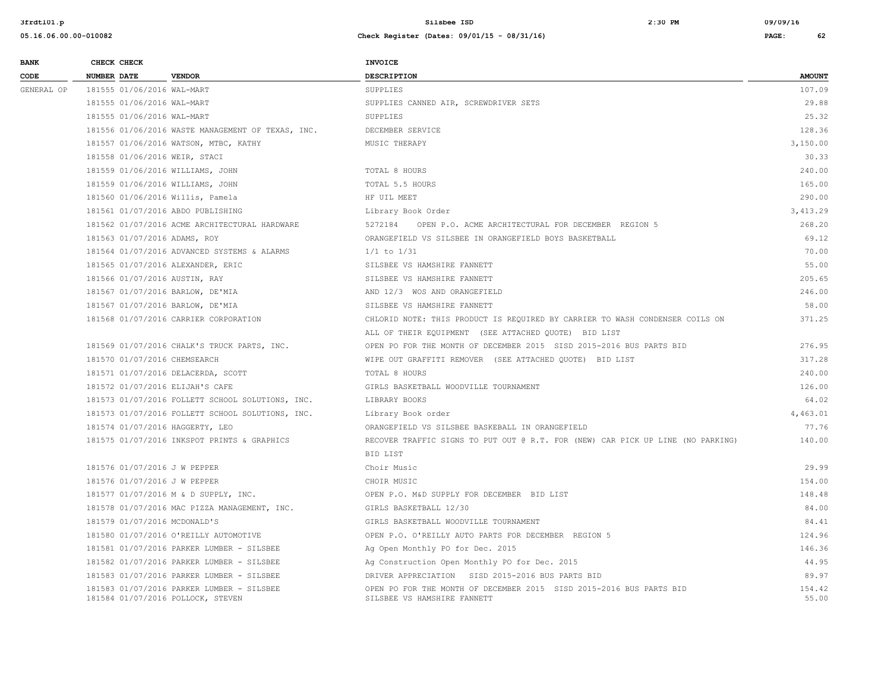| <b>BANK</b> | CHECK CHECK                      |                                                                                | <b>INVOICE</b>                                                                                     |                 |
|-------------|----------------------------------|--------------------------------------------------------------------------------|----------------------------------------------------------------------------------------------------|-----------------|
| CODE        | <b>NUMBER DATE</b>               | <b>VENDOR</b>                                                                  | <b>DESCRIPTION</b>                                                                                 | <b>AMOUNT</b>   |
| GENERAL OP  | 181555 01/06/2016 WAL-MART       |                                                                                | SUPPLIES                                                                                           | 107.09          |
|             | 181555 01/06/2016 WAL-MART       |                                                                                | SUPPLIES CANNED AIR, SCREWDRIVER SETS                                                              | 29.88           |
|             | 181555 01/06/2016 WAL-MART       |                                                                                | SUPPLIES                                                                                           | 25.32           |
|             |                                  | 181556 01/06/2016 WASTE MANAGEMENT OF TEXAS, INC.                              | DECEMBER SERVICE                                                                                   | 128.36          |
|             |                                  | 181557 01/06/2016 WATSON, MTBC, KATHY                                          | MUSIC THERAPY                                                                                      | 3,150.00        |
|             | 181558 01/06/2016 WEIR, STACI    |                                                                                |                                                                                                    | 30.33           |
|             | 181559 01/06/2016 WILLIAMS, JOHN |                                                                                | TOTAL 8 HOURS                                                                                      | 240.00          |
|             | 181559 01/06/2016 WILLIAMS, JOHN |                                                                                | TOTAL 5.5 HOURS                                                                                    | 165.00          |
|             | 181560 01/06/2016 Willis, Pamela |                                                                                | HF UIL MEET                                                                                        | 290.00          |
|             |                                  | 181561 01/07/2016 ABDO PUBLISHING                                              | Library Book Order                                                                                 | 3,413.29        |
|             |                                  | 181562 01/07/2016 ACME ARCHITECTURAL HARDWARE                                  | 5272184 OPEN P.O. ACME ARCHITECTURAL FOR DECEMBER REGION 5                                         | 268.20          |
|             | 181563 01/07/2016 ADAMS, ROY     |                                                                                | ORANGEFIELD VS SILSBEE IN ORANGEFIELD BOYS BASKETBALL                                              | 69.12           |
|             |                                  | 181564 01/07/2016 ADVANCED SYSTEMS & ALARMS                                    | $1/1$ to $1/31$                                                                                    | 70.00           |
|             |                                  | 181565 01/07/2016 ALEXANDER, ERIC                                              | SILSBEE VS HAMSHIRE FANNETT                                                                        | 55.00           |
|             | 181566 01/07/2016 AUSTIN, RAY    |                                                                                | SILSBEE VS HAMSHIRE FANNETT                                                                        | 205.65          |
|             | 181567 01/07/2016 BARLOW, DE'MIA |                                                                                | AND 12/3 WOS AND ORANGEFIELD                                                                       | 246.00          |
|             | 181567 01/07/2016 BARLOW, DE'MIA |                                                                                | SILSBEE VS HAMSHIRE FANNETT                                                                        | 58.00           |
|             |                                  | 181568 01/07/2016 CARRIER CORPORATION                                          | CHLORID NOTE: THIS PRODUCT IS REQUIRED BY CARRIER TO WASH CONDENSER COILS ON                       | 371.25          |
|             |                                  |                                                                                | ALL OF THEIR EQUIPMENT (SEE ATTACHED QUOTE) BID LIST                                               |                 |
|             |                                  | 181569 01/07/2016 CHALK'S TRUCK PARTS, INC.                                    | OPEN PO FOR THE MONTH OF DECEMBER 2015 SISD 2015-2016 BUS PARTS BID                                | 276.95          |
|             | 181570 01/07/2016 CHEMSEARCH     |                                                                                | WIPE OUT GRAFFITI REMOVER (SEE ATTACHED QUOTE) BID LIST                                            | 317.28          |
|             |                                  | 181571 01/07/2016 DELACERDA, SCOTT                                             | TOTAL 8 HOURS                                                                                      | 240.00          |
|             | 181572 01/07/2016 ELIJAH'S CAFE  |                                                                                | GIRLS BASKETBALL WOODVILLE TOURNAMENT                                                              | 126.00          |
|             |                                  | 181573 01/07/2016 FOLLETT SCHOOL SOLUTIONS, INC.                               | LIBRARY BOOKS                                                                                      | 64.02           |
|             |                                  | 181573 01/07/2016 FOLLETT SCHOOL SOLUTIONS, INC.                               | Library Book order                                                                                 | 4,463.01        |
|             | 181574 01/07/2016 HAGGERTY, LEO  |                                                                                | ORANGEFIELD VS SILSBEE BASKEBALL IN ORANGEFIELD                                                    | 77.76           |
|             |                                  | 181575 01/07/2016 INKSPOT PRINTS & GRAPHICS                                    | RECOVER TRAFFIC SIGNS TO PUT OUT @ R.T. FOR (NEW) CAR PICK UP LINE (NO PARKING)                    | 140.00          |
|             |                                  |                                                                                | BID LIST                                                                                           |                 |
|             | 181576 01/07/2016 J W PEPPER     |                                                                                | Choir Music                                                                                        | 29.99           |
|             | 181576 01/07/2016 J W PEPPER     |                                                                                | CHOIR MUSIC                                                                                        | 154.00          |
|             |                                  | 181577 01/07/2016 M & D SUPPLY, INC.                                           | OPEN P.O. M&D SUPPLY FOR DECEMBER BID LIST                                                         | 148.48          |
|             |                                  | 181578 01/07/2016 MAC PIZZA MANAGEMENT, INC.                                   | GIRLS BASKETBALL 12/30                                                                             | 84.00           |
|             | 181579 01/07/2016 MCDONALD'S     |                                                                                | GIRLS BASKETBALL WOODVILLE TOURNAMENT                                                              | 84.41           |
|             |                                  | 181580 01/07/2016 O'REILLY AUTOMOTIVE                                          | OPEN P.O. O'REILLY AUTO PARTS FOR DECEMBER REGION 5                                                | 124.96          |
|             |                                  | 181581 01/07/2016 PARKER LUMBER - SILSBEE                                      | Ag Open Monthly PO for Dec. 2015                                                                   | 146.36          |
|             |                                  | 181582 01/07/2016 PARKER LUMBER - SILSBEE                                      | Ag Construction Open Monthly PO for Dec. 2015                                                      | 44.95           |
|             |                                  | 181583 01/07/2016 PARKER LUMBER - SILSBEE                                      | DRIVER APPRECIATION SISD 2015-2016 BUS PARTS BID                                                   | 89.97           |
|             |                                  | 181583 01/07/2016 PARKER LUMBER - SILSBEE<br>181584 01/07/2016 POLLOCK, STEVEN | OPEN PO FOR THE MONTH OF DECEMBER 2015 SISD 2015-2016 BUS PARTS BID<br>SILSBEE VS HAMSHIRE FANNETT | 154.42<br>55.00 |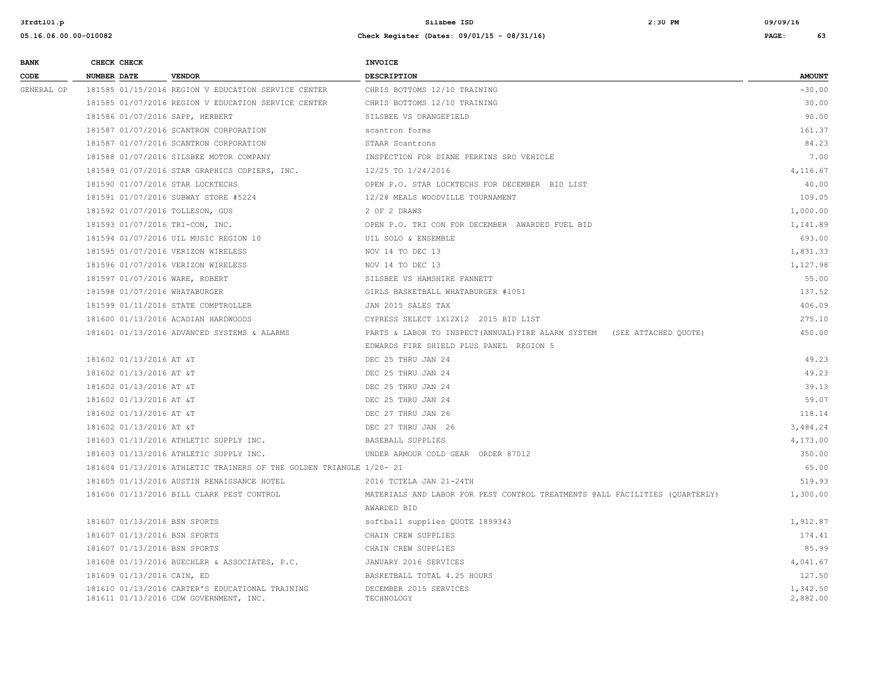| <b>BANK</b> | CHECK CHECK                    |                                                                     | <b>INVOICE</b>                                                              |               |
|-------------|--------------------------------|---------------------------------------------------------------------|-----------------------------------------------------------------------------|---------------|
| CODE        | <b>NUMBER DATE</b>             | <b>VENDOR</b>                                                       | <b>DESCRIPTION</b>                                                          | <b>AMOUNT</b> |
| GENERAL OP  |                                | 181585 01/15/2016 REGION V EDUCATION SERVICE CENTER                 | CHRIS BOTTOMS 12/10 TRAINING                                                | $-30.00$      |
|             |                                | 181585 01/07/2016 REGION V EDUCATION SERVICE CENTER                 | CHRIS BOTTOMS 12/10 TRAINING                                                | 30.00         |
|             |                                | 181586 01/07/2016 SAPP, HERBERT                                     | SILSBEE VS ORANGEFIELD                                                      | 90.00         |
|             |                                | 181587 01/07/2016 SCANTRON CORPORATION                              | scantron forms                                                              | 161.37        |
|             |                                | 181587 01/07/2016 SCANTRON CORPORATION                              | STAAR Scantrons                                                             | 84.23         |
|             |                                | 181588 01/07/2016 SILSBEE MOTOR COMPANY                             | INSPECTION FOR DIANE PERKINS SRO VEHICLE                                    | 7.00          |
|             |                                | 181589 01/07/2016 STAR GRAPHICS COPIERS, INC.                       | 12/25 TO 1/24/2016                                                          | 4,116.67      |
|             |                                | 181590 01/07/2016 STAR LOCKTECHS                                    | OPEN P.O. STAR LOCKTECHS FOR DECEMBER BID LIST                              | 40.00         |
|             |                                | 181591 01/07/2016 SUBWAY STORE #5224                                | 12/28 MEALS WOODVILLE TOURNAMENT                                            | 109.05        |
|             |                                | 181592 01/07/2016 TOLLESON, GUS                                     | 2 OF 2 DRAWS                                                                | 1,000.00      |
|             |                                | 181593 01/07/2016 TRI-CON, INC.                                     | OPEN P.O. TRI CON FOR DECEMBER AWARDED FUEL BID                             | 1,141.89      |
|             |                                | 181594 01/07/2016 UIL MUSIC REGION 10                               | UIL SOLO & ENSEMBLE                                                         | 693.00        |
|             |                                | 181595 01/07/2016 VERIZON WIRELESS                                  | NOV 14 TO DEC 13                                                            | 1,831.33      |
|             |                                | 181596 01/07/2016 VERIZON WIRELESS                                  | NOV 14 TO DEC 13                                                            | 1,127.98      |
|             | 181597 01/07/2016 WARE, ROBERT |                                                                     | SILSBEE VS HAMSHIRE FANNETT                                                 | 55.00         |
|             | 181598 01/07/2016 WHATABURGER  |                                                                     | GIRLS BASKETBALL WHATABURGER #1051                                          | 137.52        |
|             |                                | 181599 01/11/2016 STATE COMPTROLLER                                 | JAN 2015 SALES TAX                                                          | 406.09        |
|             |                                | 181600 01/13/2016 ACADIAN HARDWOODS                                 | CYPRESS SELECT 1X12X12 2015 BID LIST                                        | 275.10        |
|             |                                | 181601 01/13/2016 ADVANCED SYSTEMS & ALARMS                         | PARTS & LABOR TO INSPECT (ANNUAL) FIRE ALARM SYSTEM (SEE ATTACHED QUOTE)    | 450.00        |
|             |                                |                                                                     | EDWARDS FIRE SHIELD PLUS PANEL REGION 5                                     |               |
|             | 181602 01/13/2016 AT &T        |                                                                     | DEC 25 THRU JAN 24                                                          | 49.23         |
|             | 181602 01/13/2016 AT &T        |                                                                     | DEC 25 THRU JAN 24                                                          | 49.23         |
|             | 181602 01/13/2016 AT &T        |                                                                     | DEC 25 THRU JAN 24                                                          | 39.13         |
|             | 181602 01/13/2016 AT &T        |                                                                     | DEC 25 THRU JAN 24                                                          | 59.07         |
|             | 181602 01/13/2016 AT &T        |                                                                     | DEC 27 THRU JAN 26                                                          | 118.14        |
|             | 181602 01/13/2016 AT &T        |                                                                     | DEC 27 THRU JAN 26                                                          | 3,484.24      |
|             |                                | 181603 01/13/2016 ATHLETIC SUPPLY INC.                              | BASEBALL SUPPLIES                                                           | 4,173.00      |
|             |                                | 181603 01/13/2016 ATHLETIC SUPPLY INC.                              | UNDER ARMOUR COLD GEAR ORDER 87012                                          | 350.00        |
|             |                                | 181604 01/13/2016 ATHLETIC TRAINERS OF THE GOLDEN TRIANGLE 1/20- 21 |                                                                             | 65.00         |
|             |                                | 181605 01/13/2016 AUSTIN RENAISSANCE HOTEL                          | 2016 TCTELA JAN 21-24TH                                                     | 519.93        |
|             |                                | 181606 01/13/2016 BILL CLARK PEST CONTROL                           | MATERIALS AND LABOR FOR PEST CONTROL TREATMENTS @ALL FACILITIES (OUARTERLY) | 1,300.00      |
|             |                                |                                                                     | AWARDED BID                                                                 |               |
|             | 181607 01/13/2016 BSN SPORTS   |                                                                     | softball supplies QUOTE 1899343                                             | 1,912.87      |
|             | 181607 01/13/2016 BSN SPORTS   |                                                                     | CHAIN CREW SUPPLIES                                                         | 174.41        |
|             | 181607 01/13/2016 BSN SPORTS   |                                                                     | CHAIN CREW SUPPLIES                                                         | 85.99         |
|             |                                | 181608 01/13/2016 BUECHLER & ASSOCIATES, P.C.                       | JANUARY 2016 SERVICES                                                       | 4.041.67      |
|             | 181609 01/13/2016 CAIN, ED     |                                                                     | BASKETBALL TOTAL 4.25 HOURS                                                 | 127.50        |
|             |                                | 181610 01/13/2016 CARTER'S EDUCATIONAL TRAINING                     | DECEMBER 2015 SERVICES                                                      | 1,342.50      |
|             |                                | 181611 01/13/2016 CDW GOVERNMENT, INC.                              | TECHNOLOGY                                                                  | 2,882.00      |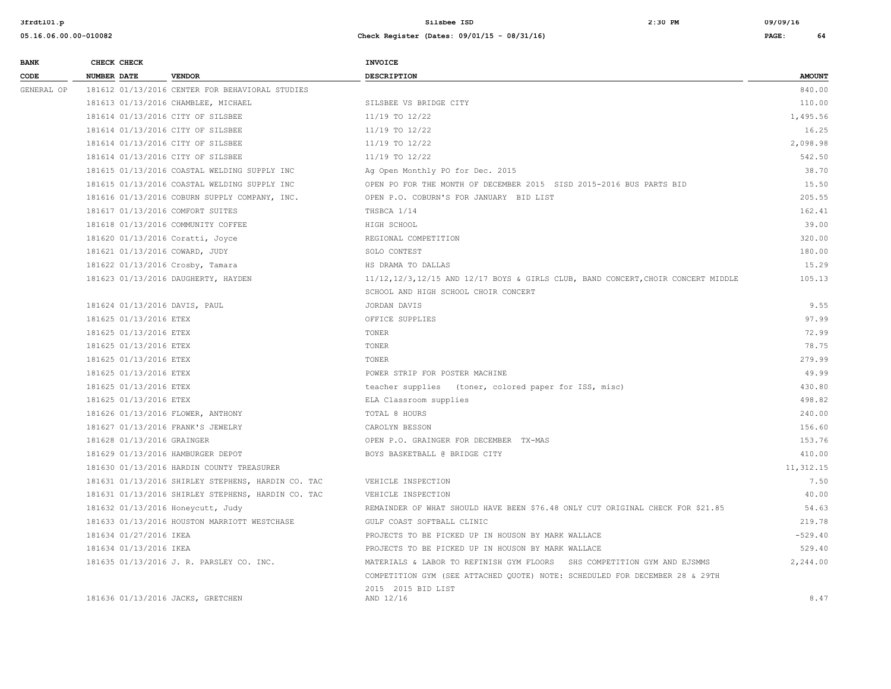| <b>BANK</b> | CHECK CHECK                      |                                                    | <b>INVOICE</b>                                                                   |               |
|-------------|----------------------------------|----------------------------------------------------|----------------------------------------------------------------------------------|---------------|
| CODE        | <b>NUMBER DATE</b>               | <b>VENDOR</b>                                      | <b>DESCRIPTION</b>                                                               | <b>AMOUNT</b> |
| GENERAL OP  |                                  | 181612 01/13/2016 CENTER FOR BEHAVIORAL STUDIES    |                                                                                  | 840.00        |
|             |                                  | 181613 01/13/2016 CHAMBLEE, MICHAEL                | SILSBEE VS BRIDGE CITY                                                           | 110.00        |
|             |                                  | 181614 01/13/2016 CITY OF SILSBEE                  | 11/19 TO 12/22                                                                   | 1,495.56      |
|             |                                  | 181614 01/13/2016 CITY OF SILSBEE                  | 11/19 TO 12/22                                                                   | 16.25         |
|             |                                  | 181614 01/13/2016 CITY OF SILSBEE                  | 11/19 TO 12/22                                                                   | 2,098.98      |
|             |                                  | 181614 01/13/2016 CITY OF SILSBEE                  | 11/19 TO 12/22                                                                   | 542.50        |
|             |                                  | 181615 01/13/2016 COASTAL WELDING SUPPLY INC       | Ag Open Monthly PO for Dec. 2015                                                 | 38.70         |
|             |                                  | 181615 01/13/2016 COASTAL WELDING SUPPLY INC       | OPEN PO FOR THE MONTH OF DECEMBER 2015 SISD 2015-2016 BUS PARTS BID              | 15.50         |
|             |                                  | 181616 01/13/2016 COBURN SUPPLY COMPANY, INC.      | OPEN P.O. COBURN'S FOR JANUARY BID LIST                                          | 205.55        |
|             | 181617 01/13/2016 COMFORT SUITES |                                                    | THSBCA 1/14                                                                      | 162.41        |
|             |                                  | 181618 01/13/2016 COMMUNITY COFFEE                 | HIGH SCHOOL                                                                      | 39.00         |
|             | 181620 01/13/2016 Coratti, Joyce |                                                    | REGIONAL COMPETITION                                                             | 320.00        |
|             | 181621 01/13/2016 COWARD, JUDY   |                                                    | SOLO CONTEST                                                                     | 180.00        |
|             | 181622 01/13/2016 Crosby, Tamara |                                                    | HS DRAMA TO DALLAS                                                               | 15.29         |
|             |                                  | 181623 01/13/2016 DAUGHERTY, HAYDEN                | 11/12,12/3,12/15 AND 12/17 BOYS & GIRLS CLUB, BAND CONCERT, CHOIR CONCERT MIDDLE | 105.13        |
|             |                                  |                                                    | SCHOOL AND HIGH SCHOOL CHOIR CONCERT                                             |               |
|             | 181624 01/13/2016 DAVIS, PAUL    |                                                    | JORDAN DAVIS                                                                     | 9.55          |
|             | 181625 01/13/2016 ETEX           |                                                    | OFFICE SUPPLIES                                                                  | 97.99         |
|             | 181625 01/13/2016 ETEX           |                                                    | TONER                                                                            | 72.99         |
|             | 181625 01/13/2016 ETEX           |                                                    | TONER                                                                            | 78.75         |
|             | 181625 01/13/2016 ETEX           |                                                    | TONER                                                                            | 279.99        |
|             | 181625 01/13/2016 ETEX           |                                                    | POWER STRIP FOR POSTER MACHINE                                                   | 49.99         |
|             | 181625 01/13/2016 ETEX           |                                                    | teacher supplies (toner, colored paper for ISS, misc)                            | 430.80        |
|             | 181625 01/13/2016 ETEX           |                                                    | ELA Classroom supplies                                                           | 498.82        |
|             |                                  | 181626 01/13/2016 FLOWER, ANTHONY                  | TOTAL 8 HOURS                                                                    | 240.00        |
|             |                                  | 181627 01/13/2016 FRANK'S JEWELRY                  | CAROLYN BESSON                                                                   | 156.60        |
|             | 181628 01/13/2016 GRAINGER       |                                                    | OPEN P.O. GRAINGER FOR DECEMBER TX-MAS                                           | 153.76        |
|             |                                  | 181629 01/13/2016 HAMBURGER DEPOT                  | BOYS BASKETBALL @ BRIDGE CITY                                                    | 410.00        |
|             |                                  | 181630 01/13/2016 HARDIN COUNTY TREASURER          |                                                                                  | 11,312.15     |
|             |                                  | 181631 01/13/2016 SHIRLEY STEPHENS, HARDIN CO. TAC | VEHICLE INSPECTION                                                               | 7.50          |
|             |                                  | 181631 01/13/2016 SHIRLEY STEPHENS, HARDIN CO. TAC | VEHICLE INSPECTION                                                               | 40.00         |
|             |                                  | 181632 01/13/2016 Honeycutt, Judy                  | REMAINDER OF WHAT SHOULD HAVE BEEN \$76.48 ONLY CUT ORIGINAL CHECK FOR \$21.85   | 54.63         |
|             |                                  | 181633 01/13/2016 HOUSTON MARRIOTT WESTCHASE       | GULF COAST SOFTBALL CLINIC                                                       | 219.78        |
|             | 181634 01/27/2016 IKEA           |                                                    | PROJECTS TO BE PICKED UP IN HOUSON BY MARK WALLACE                               | $-529.40$     |
|             | 181634 01/13/2016 IKEA           |                                                    | PROJECTS TO BE PICKED UP IN HOUSON BY MARK WALLACE                               | 529.40        |
|             |                                  | 181635 01/13/2016 J. R. PARSLEY CO. INC.           | MATERIALS & LABOR TO REFINISH GYM FLOORS SHS COMPETITION GYM AND EJSMMS          | 2,244.00      |
|             |                                  |                                                    | COMPETITION GYM (SEE ATTACHED QUOTE) NOTE: SCHEDULED FOR DECEMBER 28 & 29TH      |               |
|             |                                  | 181636 01/13/2016 JACKS, GRETCHEN                  | 2015 2015 BID LIST<br>AND 12/16                                                  | 8.47          |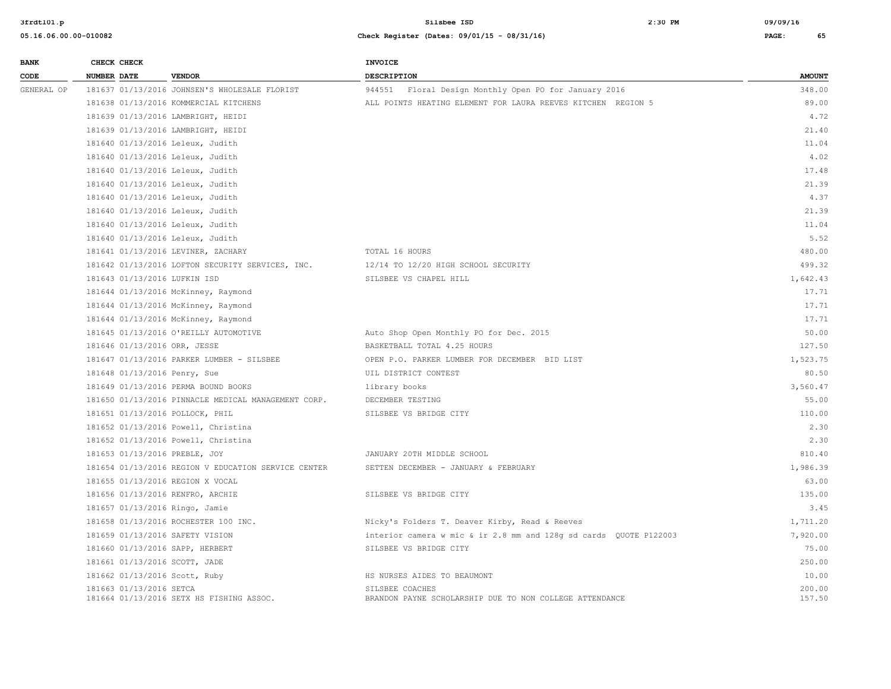| <b>BANK</b><br>CODE | CHECK CHECK             |                                                     | <b>INVOICE</b>                                                             |                  |
|---------------------|-------------------------|-----------------------------------------------------|----------------------------------------------------------------------------|------------------|
|                     | NUMBER DATE             | <b>VENDOR</b>                                       | <b>DESCRIPTION</b>                                                         | <b>AMOUNT</b>    |
| GENERAL OP          |                         | 181637 01/13/2016 JOHNSEN'S WHOLESALE FLORIST       | 944551 Floral Design Monthly Open PO for January 2016                      | 348.00           |
|                     |                         | 181638 01/13/2016 KOMMERCIAL KITCHENS               | ALL POINTS HEATING ELEMENT FOR LAURA REEVES KITCHEN REGION 5               | 89.00            |
|                     |                         | 181639 01/13/2016 LAMBRIGHT, HEIDI                  |                                                                            | 4.72             |
|                     |                         | 181639 01/13/2016 LAMBRIGHT, HEIDI                  |                                                                            | 21.40            |
|                     |                         | 181640 01/13/2016 Leleux, Judith                    |                                                                            | 11.04            |
|                     |                         | 181640 01/13/2016 Leleux, Judith                    |                                                                            | 4.02             |
|                     |                         | 181640 01/13/2016 Leleux, Judith                    |                                                                            | 17.48            |
|                     |                         | 181640 01/13/2016 Leleux, Judith                    |                                                                            | 21.39            |
|                     |                         | 181640 01/13/2016 Leleux, Judith                    |                                                                            | 4.37             |
|                     |                         | 181640 01/13/2016 Leleux, Judith                    |                                                                            | 21.39            |
|                     |                         | 181640 01/13/2016 Leleux, Judith                    |                                                                            | 11.04            |
|                     |                         | 181640 01/13/2016 Leleux, Judith                    |                                                                            | 5.52             |
|                     |                         | 181641 01/13/2016 LEVINER, ZACHARY                  | TOTAL 16 HOURS                                                             | 480.00           |
|                     |                         | 181642 01/13/2016 LOFTON SECURITY SERVICES, INC.    | 12/14 TO 12/20 HIGH SCHOOL SECURITY                                        | 499.32           |
|                     |                         | 181643 01/13/2016 LUFKIN ISD                        | SILSBEE VS CHAPEL HILL                                                     | 1,642.43         |
|                     |                         | 181644 01/13/2016 McKinney, Raymond                 |                                                                            | 17.71            |
|                     |                         | 181644 01/13/2016 McKinney, Raymond                 |                                                                            | 17.71            |
|                     |                         | 181644 01/13/2016 McKinney, Raymond                 |                                                                            | 17.71            |
|                     |                         | 181645 01/13/2016 O'REILLY AUTOMOTIVE               | Auto Shop Open Monthly PO for Dec. 2015                                    | 50.00            |
|                     |                         | 181646 01/13/2016 ORR, JESSE                        | BASKETBALL TOTAL 4.25 HOURS                                                | 127.50           |
|                     |                         | 181647 01/13/2016 PARKER LUMBER - SILSBEE           | OPEN P.O. PARKER LUMBER FOR DECEMBER BID LIST                              | 1,523.75         |
|                     |                         | 181648 01/13/2016 Penry, Sue                        | UIL DISTRICT CONTEST                                                       | 80.50            |
|                     |                         | 181649 01/13/2016 PERMA BOUND BOOKS                 | library books                                                              | 3,560.47         |
|                     |                         | 181650 01/13/2016 PINNACLE MEDICAL MANAGEMENT CORP. | DECEMBER TESTING                                                           | 55.00            |
|                     |                         | 181651 01/13/2016 POLLOCK, PHIL                     | SILSBEE VS BRIDGE CITY                                                     | 110.00           |
|                     |                         | 181652 01/13/2016 Powell, Christina                 |                                                                            | 2.30             |
|                     |                         | 181652 01/13/2016 Powell, Christina                 |                                                                            | 2.30             |
|                     |                         | 181653 01/13/2016 PREBLE, JOY                       | JANUARY 20TH MIDDLE SCHOOL                                                 | 810.40           |
|                     |                         | 181654 01/13/2016 REGION V EDUCATION SERVICE CENTER | SETTEN DECEMBER - JANUARY & FEBRUARY                                       | 1,986.39         |
|                     |                         | 181655 01/13/2016 REGION X VOCAL                    |                                                                            | 63.00            |
|                     |                         | 181656 01/13/2016 RENFRO, ARCHIE                    | SILSBEE VS BRIDGE CITY                                                     | 135.00           |
|                     |                         | 181657 01/13/2016 Ringo, Jamie                      |                                                                            | 3.45             |
|                     |                         | 181658 01/13/2016 ROCHESTER 100 INC.                | Nicky's Folders T. Deaver Kirby, Read & Reeves                             | 1,711.20         |
|                     |                         | 181659 01/13/2016 SAFETY VISION                     | interior camera w mic & ir 2.8 mm and 128q sd cards QUOTE P122003          | 7,920.00         |
|                     |                         | 181660 01/13/2016 SAPP, HERBERT                     | SILSBEE VS BRIDGE CITY                                                     | 75.00            |
|                     |                         | 181661 01/13/2016 SCOTT, JADE                       |                                                                            | 250.00           |
|                     |                         | 181662 01/13/2016 Scott, Ruby                       | HS NURSES AIDES TO BEAUMONT                                                | 10.00            |
|                     | 181663 01/13/2016 SETCA | 181664 01/13/2016 SETX HS FISHING ASSOC.            | SILSBEE COACHES<br>BRANDON PAYNE SCHOLARSHIP DUE TO NON COLLEGE ATTENDANCE | 200.00<br>157.50 |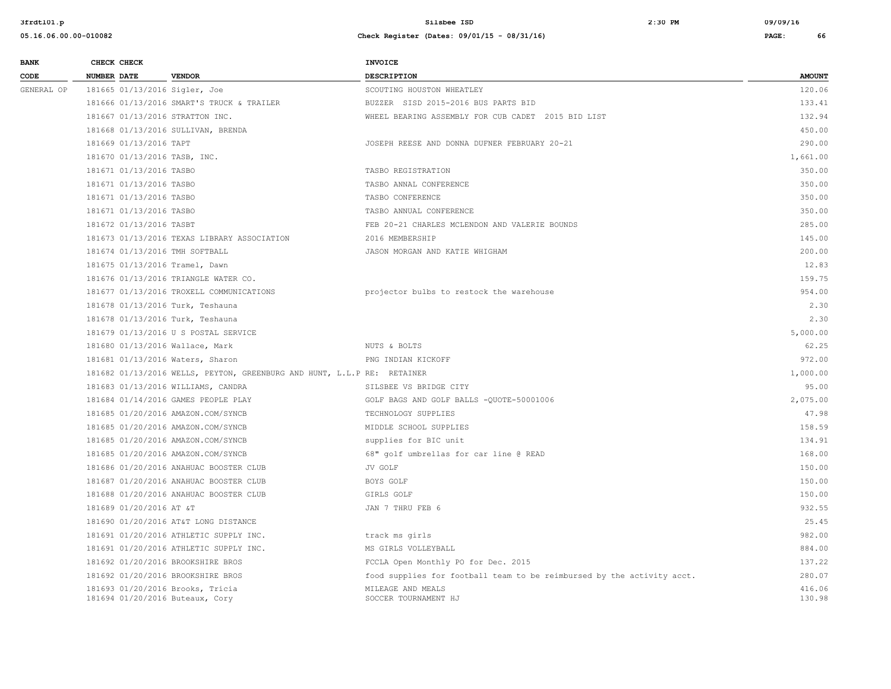| <b>BANK</b> | CHECK CHECK                                                         |                                                                         | INVOICE                                                                |                  |
|-------------|---------------------------------------------------------------------|-------------------------------------------------------------------------|------------------------------------------------------------------------|------------------|
| CODE        | <b>NUMBER DATE</b>                                                  | <b>VENDOR</b>                                                           | <b>DESCRIPTION</b>                                                     | <b>AMOUNT</b>    |
| GENERAL OP  | 181665 01/13/2016 Sigler, Joe                                       |                                                                         | SCOUTING HOUSTON WHEATLEY                                              | 120.06           |
|             |                                                                     | 181666 01/13/2016 SMART'S TRUCK & TRAILER                               | BUZZER SISD 2015-2016 BUS PARTS BID                                    | 133.41           |
|             | 181667 01/13/2016 STRATTON INC.                                     |                                                                         | WHEEL BEARING ASSEMBLY FOR CUB CADET 2015 BID LIST                     | 132.94           |
|             | 181668 01/13/2016 SULLIVAN, BRENDA                                  |                                                                         |                                                                        | 450.00           |
|             | 181669 01/13/2016 TAPT                                              |                                                                         | JOSEPH REESE AND DONNA DUFNER FEBRUARY 20-21                           | 290.00           |
|             | 181670 01/13/2016 TASB, INC.                                        |                                                                         |                                                                        | 1,661.00         |
|             | 181671 01/13/2016 TASBO                                             |                                                                         | TASBO REGISTRATION                                                     | 350.00           |
|             | 181671 01/13/2016 TASBO                                             |                                                                         | TASBO ANNAL CONFERENCE                                                 | 350.00           |
|             | 181671 01/13/2016 TASBO                                             |                                                                         | TASBO CONFERENCE                                                       | 350.00           |
|             | 181671 01/13/2016 TASBO                                             |                                                                         | TASBO ANNUAL CONFERENCE                                                | 350.00           |
|             | 181672 01/13/2016 TASBT                                             |                                                                         | FEB 20-21 CHARLES MCLENDON AND VALERIE BOUNDS                          | 285.00           |
|             |                                                                     | 181673 01/13/2016 TEXAS LIBRARY ASSOCIATION                             | 2016 MEMBERSHIP                                                        | 145.00           |
|             | 181674 01/13/2016 TMH SOFTBALL                                      |                                                                         | JASON MORGAN AND KATIE WHIGHAM                                         | 200.00           |
|             | 181675 01/13/2016 Tramel, Dawn                                      |                                                                         |                                                                        | 12.83            |
|             |                                                                     | 181676 01/13/2016 TRIANGLE WATER CO.                                    |                                                                        | 159.75           |
|             |                                                                     | 181677 01/13/2016 TROXELL COMMUNICATIONS                                | projector bulbs to restock the warehouse                               | 954.00           |
|             | 181678 01/13/2016 Turk, Teshauna                                    |                                                                         |                                                                        | 2.30             |
|             | 181678 01/13/2016 Turk, Teshauna                                    |                                                                         |                                                                        | 2.30             |
|             |                                                                     | 181679 01/13/2016 U S POSTAL SERVICE                                    |                                                                        | 5,000.00         |
|             | 181680 01/13/2016 Wallace, Mark                                     |                                                                         | NUTS & BOLTS                                                           | 62.25            |
|             | 181681 01/13/2016 Waters, Sharon                                    |                                                                         | PNG INDIAN KICKOFF                                                     | 972.00           |
|             |                                                                     | 181682 01/13/2016 WELLS, PEYTON, GREENBURG AND HUNT, L.L.P RE: RETAINER |                                                                        | 1,000.00         |
|             | 181683 01/13/2016 WILLIAMS, CANDRA                                  |                                                                         | SILSBEE VS BRIDGE CITY                                                 | 95.00            |
|             |                                                                     | 181684 01/14/2016 GAMES PEOPLE PLAY                                     | GOLF BAGS AND GOLF BALLS -QUOTE-50001006                               | 2,075.00         |
|             | 181685 01/20/2016 AMAZON.COM/SYNCB                                  |                                                                         | TECHNOLOGY SUPPLIES                                                    | 47.98            |
|             | 181685 01/20/2016 AMAZON.COM/SYNCB                                  |                                                                         | MIDDLE SCHOOL SUPPLIES                                                 | 158.59           |
|             | 181685 01/20/2016 AMAZON.COM/SYNCB                                  |                                                                         | supplies for BIC unit                                                  | 134.91           |
|             | 181685 01/20/2016 AMAZON.COM/SYNCB                                  |                                                                         | 68" golf umbrellas for car line @ READ                                 | 168.00           |
|             |                                                                     | 181686 01/20/2016 ANAHUAC BOOSTER CLUB                                  | JV GOLF                                                                | 150.00           |
|             |                                                                     | 181687 01/20/2016 ANAHUAC BOOSTER CLUB                                  | BOYS GOLF                                                              | 150.00           |
|             |                                                                     | 181688 01/20/2016 ANAHUAC BOOSTER CLUB                                  | GIRLS GOLF                                                             | 150.00           |
|             | 181689 01/20/2016 AT &T                                             |                                                                         | JAN 7 THRU FEB 6                                                       | 932.55           |
|             |                                                                     | 181690 01/20/2016 AT&T LONG DISTANCE                                    |                                                                        | 25.45            |
|             |                                                                     | 181691 01/20/2016 ATHLETIC SUPPLY INC.                                  | track ms girls                                                         | 982.00           |
|             |                                                                     | 181691 01/20/2016 ATHLETIC SUPPLY INC.                                  | MS GIRLS VOLLEYBALL                                                    | 884.00           |
|             | 181692 01/20/2016 BROOKSHIRE BROS                                   |                                                                         | FCCLA Open Monthly PO for Dec. 2015                                    | 137.22           |
|             | 181692 01/20/2016 BROOKSHIRE BROS                                   |                                                                         | food supplies for football team to be reimbursed by the activity acct. | 280.07           |
|             | 181693 01/20/2016 Brooks, Tricia<br>181694 01/20/2016 Buteaux, Cory |                                                                         | MILEAGE AND MEALS<br>SOCCER TOURNAMENT HJ                              | 416.06<br>130.98 |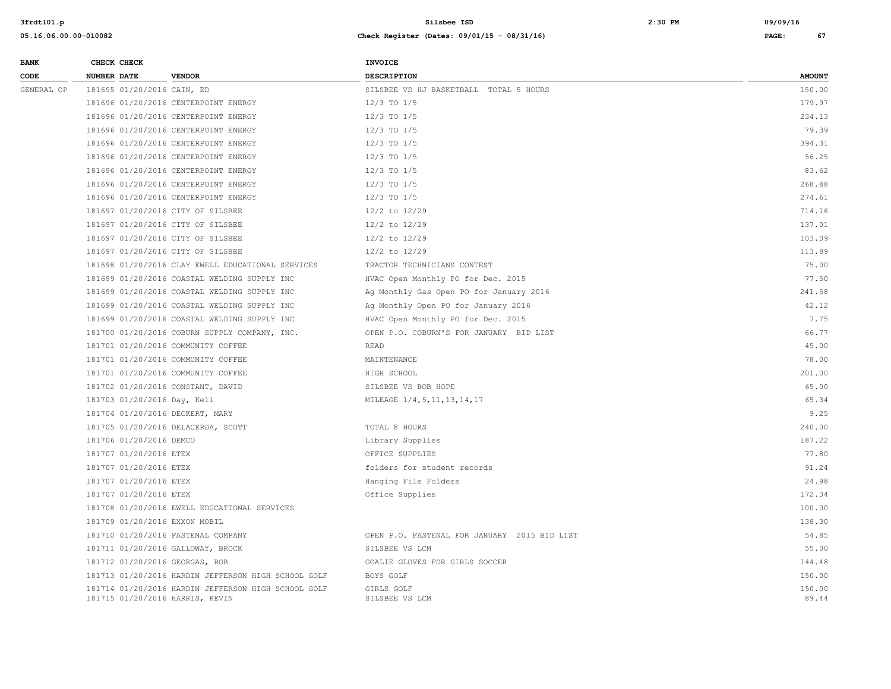| <b>BANK</b> | CHECK CHECK                    |                                                                                        | <b>INVOICE</b>                               |                 |
|-------------|--------------------------------|----------------------------------------------------------------------------------------|----------------------------------------------|-----------------|
| CODE        | <b>NUMBER DATE</b>             | <b>VENDOR</b>                                                                          | <b>DESCRIPTION</b>                           | <b>AMOUNT</b>   |
| GENERAL OP  | 181695 01/20/2016 CAIN, ED     |                                                                                        | SILSBEE VS HJ BASKETBALL TOTAL 5 HOURS       | 150.00          |
|             |                                | 181696 01/20/2016 CENTERPOINT ENERGY                                                   | $12/3$ TO $1/5$                              | 179.97          |
|             |                                | 181696 01/20/2016 CENTERPOINT ENERGY                                                   | $12/3$ TO $1/5$                              | 234.13          |
|             |                                | 181696 01/20/2016 CENTERPOINT ENERGY                                                   | 12/3 TO 1/5                                  | 79.39           |
|             |                                | 181696 01/20/2016 CENTERPOINT ENERGY                                                   | $12/3$ TO $1/5$                              | 394.31          |
|             |                                | 181696 01/20/2016 CENTERPOINT ENERGY                                                   | $12/3$ TO $1/5$                              | 56.25           |
|             |                                | 181696 01/20/2016 CENTERPOINT ENERGY                                                   | $12/3$ TO $1/5$                              | 83.62           |
|             |                                | 181696 01/20/2016 CENTERPOINT ENERGY                                                   | $12/3$ TO $1/5$                              | 268.88          |
|             |                                | 181696 01/20/2016 CENTERPOINT ENERGY                                                   | $12/3$ TO $1/5$                              | 274.61          |
|             |                                | 181697 01/20/2016 CITY OF SILSBEE                                                      | $12/2$ to $12/29$                            | 714.16          |
|             |                                | 181697 01/20/2016 CITY OF SILSBEE                                                      | $12/2$ to $12/29$                            | 137.01          |
|             |                                | 181697 01/20/2016 CITY OF SILSBEE                                                      | 12/2 to 12/29                                | 103.09          |
|             |                                | 181697 01/20/2016 CITY OF SILSBEE                                                      | $12/2$ to $12/29$                            | 113.89          |
|             |                                | 181698 01/20/2016 CLAY EWELL EDUCATIONAL SERVICES                                      | TRACTOR TECHNICIANS CONTEST                  | 75.00           |
|             |                                | 181699 01/20/2016 COASTAL WELDING SUPPLY INC                                           | HVAC Open Monthly PO for Dec. 2015           | 77.50           |
|             |                                | 181699 01/20/2016 COASTAL WELDING SUPPLY INC                                           | Ag Monthly Gas Open PO for January 2016      | 241.58          |
|             |                                | 181699 01/20/2016 COASTAL WELDING SUPPLY INC                                           | Ag Monthly Open PO for January 2016          | 42.12           |
|             |                                | 181699 01/20/2016 COASTAL WELDING SUPPLY INC                                           | HVAC Open Monthly PO for Dec. 2015           | 7.75            |
|             |                                | 181700 01/20/2016 COBURN SUPPLY COMPANY, INC.                                          | OPEN P.O. COBURN'S FOR JANUARY BID LIST      | 66.77           |
|             |                                | 181701 01/20/2016 COMMUNITY COFFEE                                                     | <b>READ</b>                                  | 45.00           |
|             |                                | 181701 01/20/2016 COMMUNITY COFFEE                                                     | MAINTENANCE                                  | 78.00           |
|             |                                | 181701 01/20/2016 COMMUNITY COFFEE                                                     | HIGH SCHOOL                                  | 201.00          |
|             |                                | 181702 01/20/2016 CONSTANT, DAVID                                                      | SILSBEE VS BOB HOPE                          | 65.00           |
|             | 181703 01/20/2016 Day, Keli    |                                                                                        | MILEAGE 1/4, 5, 11, 13, 14, 17               | 65.34           |
|             |                                | 181704 01/20/2016 DECKERT, MARY                                                        |                                              | 9.25            |
|             |                                | 181705 01/20/2016 DELACERDA, SCOTT                                                     | TOTAL 8 HOURS                                | 240.00          |
|             | 181706 01/20/2016 DEMCO        |                                                                                        | Library Supplies                             | 187.22          |
|             | 181707 01/20/2016 ETEX         |                                                                                        | OFFICE SUPPLIES                              | 77.80           |
|             | 181707 01/20/2016 ETEX         |                                                                                        | folders for student records                  | 91.24           |
|             | 181707 01/20/2016 ETEX         |                                                                                        | Hanging File Folders                         | 24.98           |
|             | 181707 01/20/2016 ETEX         |                                                                                        | Office Supplies                              | 172.34          |
|             |                                | 181708 01/20/2016 EWELL EDUCATIONAL SERVICES                                           |                                              | 100.00          |
|             | 181709 01/20/2016 EXXON MOBIL  |                                                                                        |                                              | 138.30          |
|             |                                | 181710 01/20/2016 FASTENAL COMPANY                                                     | OPEN P.O. FASTENAL FOR JANUARY 2015 BID LIST | 54.85           |
|             |                                | 181711 01/20/2016 GALLOWAY, BROCK                                                      | SILSBEE VS LCM                               | 55.00           |
|             | 181712 01/20/2016 GEORGAS, ROB |                                                                                        | GOALIE GLOVES FOR GIRLS SOCCER               | 144.48          |
|             |                                | 181713 01/20/2016 HARDIN JEFFERSON HIGH SCHOOL GOLF                                    | BOYS GOLF                                    | 150.00          |
|             |                                | 181714 01/20/2016 HARDIN JEFFERSON HIGH SCHOOL GOLF<br>181715 01/20/2016 HARRIS, KEVIN | GIRLS GOLF<br>SILSBEE VS LCM                 | 150.00<br>89.44 |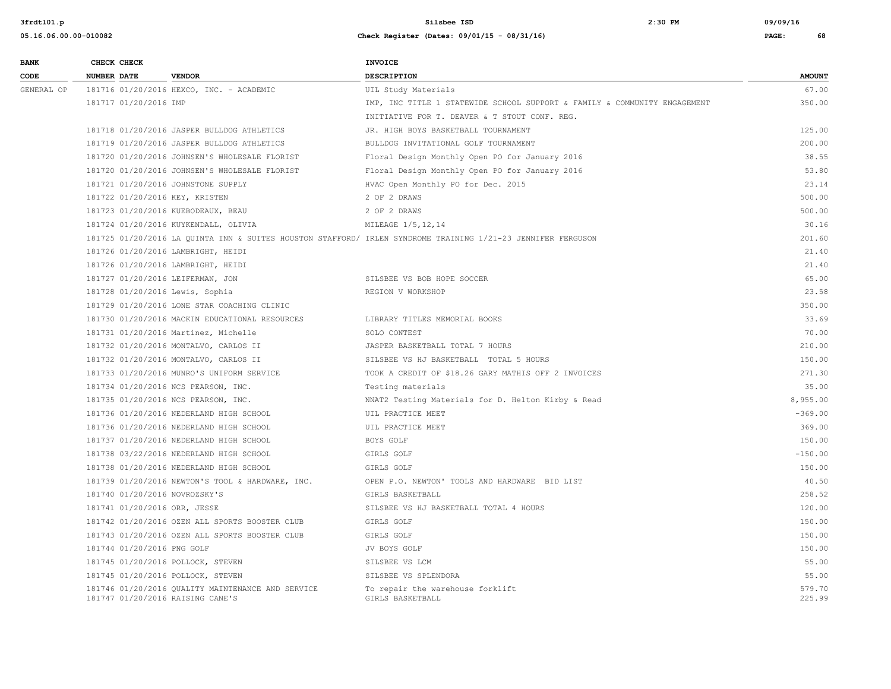| <b>BANK</b> |                    | CHECK CHECK                |                                                                                       | <b>INVOICE</b>                                                                                               |                  |
|-------------|--------------------|----------------------------|---------------------------------------------------------------------------------------|--------------------------------------------------------------------------------------------------------------|------------------|
| CODE        | <b>NUMBER DATE</b> |                            | <b>VENDOR</b>                                                                         | <b>DESCRIPTION</b>                                                                                           | <b>AMOUNT</b>    |
| GENERAL OP  |                    |                            | 181716 01/20/2016 HEXCO, INC. - ACADEMIC                                              | UIL Study Materials                                                                                          | 67.00            |
|             |                    | 181717 01/20/2016 IMP      |                                                                                       | IMP, INC TITLE 1 STATEWIDE SCHOOL SUPPORT & FAMILY & COMMUNITY ENGAGEMENT                                    | 350.00           |
|             |                    |                            |                                                                                       | INITIATIVE FOR T. DEAVER & T STOUT CONF. REG.                                                                |                  |
|             |                    |                            | 181718 01/20/2016 JASPER BULLDOG ATHLETICS                                            | JR. HIGH BOYS BASKETBALL TOURNAMENT                                                                          | 125.00           |
|             |                    |                            | 181719 01/20/2016 JASPER BULLDOG ATHLETICS                                            | BULLDOG INVITATIONAL GOLF TOURNAMENT                                                                         | 200.00           |
|             |                    |                            | 181720 01/20/2016 JOHNSEN'S WHOLESALE FLORIST                                         | Floral Design Monthly Open PO for January 2016                                                               | 38.55            |
|             |                    |                            | 181720 01/20/2016 JOHNSEN'S WHOLESALE FLORIST                                         | Floral Design Monthly Open PO for January 2016                                                               | 53.80            |
|             |                    |                            | 181721 01/20/2016 JOHNSTONE SUPPLY                                                    | HVAC Open Monthly PO for Dec. 2015                                                                           | 23.14            |
|             |                    |                            | 181722 01/20/2016 KEY, KRISTEN                                                        | 2 OF 2 DRAWS                                                                                                 | 500.00           |
|             |                    |                            | 181723 01/20/2016 KUEBODEAUX, BEAU                                                    | 2 OF 2 DRAWS                                                                                                 | 500.00           |
|             |                    |                            | 181724 01/20/2016 KUYKENDALL, OLIVIA                                                  | MILEAGE 1/5, 12, 14                                                                                          | 30.16            |
|             |                    |                            |                                                                                       | 181725 01/20/2016 LA QUINTA INN & SUITES HOUSTON STAFFORD/ IRLEN SYNDROME TRAINING 1/21-23 JENNIFER FERGUSON | 201.60           |
|             |                    |                            | 181726 01/20/2016 LAMBRIGHT, HEIDI                                                    |                                                                                                              | 21.40            |
|             |                    |                            | 181726 01/20/2016 LAMBRIGHT, HEIDI                                                    |                                                                                                              | 21.40            |
|             |                    |                            | 181727 01/20/2016 LEIFERMAN, JON                                                      | SILSBEE VS BOB HOPE SOCCER                                                                                   | 65.00            |
|             |                    |                            | 181728 01/20/2016 Lewis, Sophia                                                       | REGION V WORKSHOP                                                                                            | 23.58            |
|             |                    |                            | 181729 01/20/2016 LONE STAR COACHING CLINIC                                           |                                                                                                              | 350.00           |
|             |                    |                            | 181730 01/20/2016 MACKIN EDUCATIONAL RESOURCES                                        | LIBRARY TITLES MEMORIAL BOOKS                                                                                | 33.69            |
|             |                    |                            | 181731 01/20/2016 Martinez, Michelle                                                  | SOLO CONTEST                                                                                                 | 70.00            |
|             |                    |                            | 181732 01/20/2016 MONTALVO, CARLOS II                                                 | JASPER BASKETBALL TOTAL 7 HOURS                                                                              | 210.00           |
|             |                    |                            | 181732 01/20/2016 MONTALVO, CARLOS II                                                 | SILSBEE VS HJ BASKETBALL TOTAL 5 HOURS                                                                       | 150.00           |
|             |                    |                            | 181733 01/20/2016 MUNRO'S UNIFORM SERVICE                                             | TOOK A CREDIT OF \$18.26 GARY MATHIS OFF 2 INVOICES                                                          | 271.30           |
|             |                    |                            | 181734 01/20/2016 NCS PEARSON, INC.                                                   | Testing materials                                                                                            | 35.00            |
|             |                    |                            | 181735 01/20/2016 NCS PEARSON, INC.                                                   | NNAT2 Testing Materials for D. Helton Kirby & Read                                                           | 8,955.00         |
|             |                    |                            | 181736 01/20/2016 NEDERLAND HIGH SCHOOL                                               | UIL PRACTICE MEET                                                                                            | $-369.00$        |
|             |                    |                            | 181736 01/20/2016 NEDERLAND HIGH SCHOOL                                               | UIL PRACTICE MEET                                                                                            | 369.00           |
|             |                    |                            | 181737 01/20/2016 NEDERLAND HIGH SCHOOL                                               | BOYS GOLF                                                                                                    | 150.00           |
|             |                    |                            | 181738 03/22/2016 NEDERLAND HIGH SCHOOL                                               | GIRLS GOLF                                                                                                   | $-150.00$        |
|             |                    |                            | 181738 01/20/2016 NEDERLAND HIGH SCHOOL                                               | GIRLS GOLF                                                                                                   | 150.00           |
|             |                    |                            | 181739 01/20/2016 NEWTON'S TOOL & HARDWARE, INC.                                      | OPEN P.O. NEWTON' TOOLS AND HARDWARE BID LIST                                                                | 40.50            |
|             |                    |                            | 181740 01/20/2016 NOVROZSKY'S                                                         | GIRLS BASKETBALL                                                                                             | 258.52           |
|             |                    |                            | 181741 01/20/2016 ORR, JESSE                                                          | SILSBEE VS HJ BASKETBALL TOTAL 4 HOURS                                                                       | 120.00           |
|             |                    |                            | 181742 01/20/2016 OZEN ALL SPORTS BOOSTER CLUB                                        | GIRLS GOLF                                                                                                   | 150.00           |
|             |                    |                            | 181743 01/20/2016 OZEN ALL SPORTS BOOSTER CLUB                                        | GIRLS GOLF                                                                                                   | 150.00           |
|             |                    | 181744 01/20/2016 PNG GOLF |                                                                                       | JV BOYS GOLF                                                                                                 | 150.00           |
|             |                    |                            | 181745 01/20/2016 POLLOCK, STEVEN                                                     | SILSBEE VS LCM                                                                                               | 55.00            |
|             |                    |                            | 181745 01/20/2016 POLLOCK, STEVEN                                                     | SILSBEE VS SPLENDORA                                                                                         | 55.00            |
|             |                    |                            | 181746 01/20/2016 QUALITY MAINTENANCE AND SERVICE<br>181747 01/20/2016 RAISING CANE'S | To repair the warehouse forklift<br>GIRLS BASKETBALL                                                         | 579.70<br>225.99 |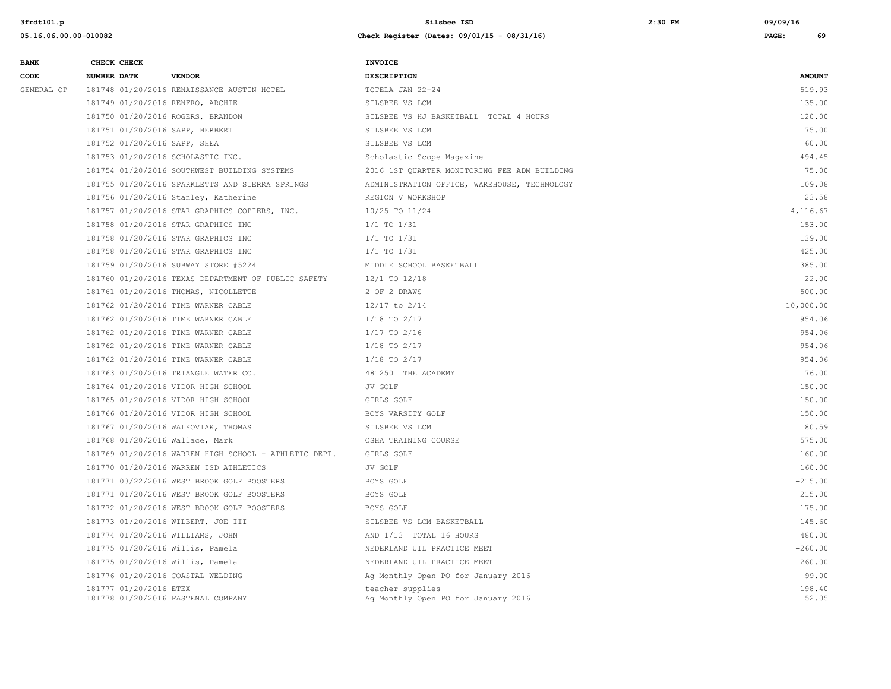| <b>BANK</b><br>CODE | CHECK CHECK |                        |                                                       | <b>INVOICE</b>                                          |                 |
|---------------------|-------------|------------------------|-------------------------------------------------------|---------------------------------------------------------|-----------------|
|                     | NUMBER DATE |                        | <b>VENDOR</b>                                         | <b>DESCRIPTION</b>                                      | <b>AMOUNT</b>   |
| GENERAL OP          |             |                        | 181748 01/20/2016 RENAISSANCE AUSTIN HOTEL            | TCTELA JAN 22-24                                        | 519.93          |
|                     |             |                        | 181749 01/20/2016 RENFRO, ARCHIE                      | SILSBEE VS LCM                                          | 135.00          |
|                     |             |                        | 181750 01/20/2016 ROGERS, BRANDON                     | SILSBEE VS HJ BASKETBALL TOTAL 4 HOURS                  | 120.00          |
|                     |             |                        | 181751 01/20/2016 SAPP, HERBERT                       | SILSBEE VS LCM                                          | 75.00           |
|                     |             |                        | 181752 01/20/2016 SAPP, SHEA                          | SILSBEE VS LCM                                          | 60.00           |
|                     |             |                        | 181753 01/20/2016 SCHOLASTIC INC.                     | Scholastic Scope Magazine                               | 494.45          |
|                     |             |                        | 181754 01/20/2016 SOUTHWEST BUILDING SYSTEMS          | 2016 1ST QUARTER MONITORING FEE ADM BUILDING            | 75.00           |
|                     |             |                        | 181755 01/20/2016 SPARKLETTS AND SIERRA SPRINGS       | ADMINISTRATION OFFICE, WAREHOUSE, TECHNOLOGY            | 109.08          |
|                     |             |                        | 181756 01/20/2016 Stanley, Katherine                  | REGION V WORKSHOP                                       | 23.58           |
|                     |             |                        | 181757 01/20/2016 STAR GRAPHICS COPIERS, INC.         | 10/25 TO 11/24                                          | 4,116.67        |
|                     |             |                        | 181758 01/20/2016 STAR GRAPHICS INC                   | $1/1$ TO $1/31$                                         | 153.00          |
|                     |             |                        | 181758 01/20/2016 STAR GRAPHICS INC                   | $1/1$ TO $1/31$                                         | 139.00          |
|                     |             |                        | 181758 01/20/2016 STAR GRAPHICS INC                   | $1/1$ TO $1/31$                                         | 425.00          |
|                     |             |                        | 181759 01/20/2016 SUBWAY STORE #5224                  | MIDDLE SCHOOL BASKETBALL                                | 385.00          |
|                     |             |                        | 181760 01/20/2016 TEXAS DEPARTMENT OF PUBLIC SAFETY   | $12/1$ TO $12/18$                                       | 22.00           |
|                     |             |                        | 181761 01/20/2016 THOMAS, NICOLLETTE                  | 2 OF 2 DRAWS                                            | 500.00          |
|                     |             |                        | 181762 01/20/2016 TIME WARNER CABLE                   | $12/17$ to $2/14$                                       | 10,000.00       |
|                     |             |                        | 181762 01/20/2016 TIME WARNER CABLE                   | $1/18$ TO $2/17$                                        | 954.06          |
|                     |             |                        | 181762 01/20/2016 TIME WARNER CABLE                   | $1/17$ TO $2/16$                                        | 954.06          |
|                     |             |                        | 181762 01/20/2016 TIME WARNER CABLE                   | $1/18$ TO $2/17$                                        | 954.06          |
|                     |             |                        | 181762 01/20/2016 TIME WARNER CABLE                   | $1/18$ TO $2/17$                                        | 954.06          |
|                     |             |                        | 181763 01/20/2016 TRIANGLE WATER CO.                  | 481250 THE ACADEMY                                      | 76.00           |
|                     |             |                        | 181764 01/20/2016 VIDOR HIGH SCHOOL                   | JV GOLF                                                 | 150.00          |
|                     |             |                        | 181765 01/20/2016 VIDOR HIGH SCHOOL                   | GIRLS GOLF                                              | 150.00          |
|                     |             |                        | 181766 01/20/2016 VIDOR HIGH SCHOOL                   | BOYS VARSITY GOLF                                       | 150.00          |
|                     |             |                        | 181767 01/20/2016 WALKOVIAK, THOMAS                   | SILSBEE VS LCM                                          | 180.59          |
|                     |             |                        | 181768 01/20/2016 Wallace, Mark                       | OSHA TRAINING COURSE                                    | 575.00          |
|                     |             |                        | 181769 01/20/2016 WARREN HIGH SCHOOL - ATHLETIC DEPT. | GIRLS GOLF                                              | 160.00          |
|                     |             |                        | 181770 01/20/2016 WARREN ISD ATHLETICS                | JV GOLF                                                 | 160.00          |
|                     |             |                        | 181771 03/22/2016 WEST BROOK GOLF BOOSTERS            | BOYS GOLF                                               | $-215.00$       |
|                     |             |                        | 181771 01/20/2016 WEST BROOK GOLF BOOSTERS            | BOYS GOLF                                               | 215.00          |
|                     |             |                        | 181772 01/20/2016 WEST BROOK GOLF BOOSTERS            | BOYS GOLF                                               | 175.00          |
|                     |             |                        | 181773 01/20/2016 WILBERT, JOE III                    | SILSBEE VS LCM BASKETBALL                               | 145.60          |
|                     |             |                        | 181774 01/20/2016 WILLIAMS, JOHN                      | AND 1/13 TOTAL 16 HOURS                                 | 480.00          |
|                     |             |                        | 181775 01/20/2016 Willis, Pamela                      | NEDERLAND UIL PRACTICE MEET                             | $-260.00$       |
|                     |             |                        | 181775 01/20/2016 Willis, Pamela                      | NEDERLAND UIL PRACTICE MEET                             | 260.00          |
|                     |             |                        | 181776 01/20/2016 COASTAL WELDING                     | Ag Monthly Open PO for January 2016                     | 99.00           |
|                     |             | 181777 01/20/2016 ETEX | 181778 01/20/2016 FASTENAL COMPANY                    | teacher supplies<br>Ag Monthly Open PO for January 2016 | 198.40<br>52.05 |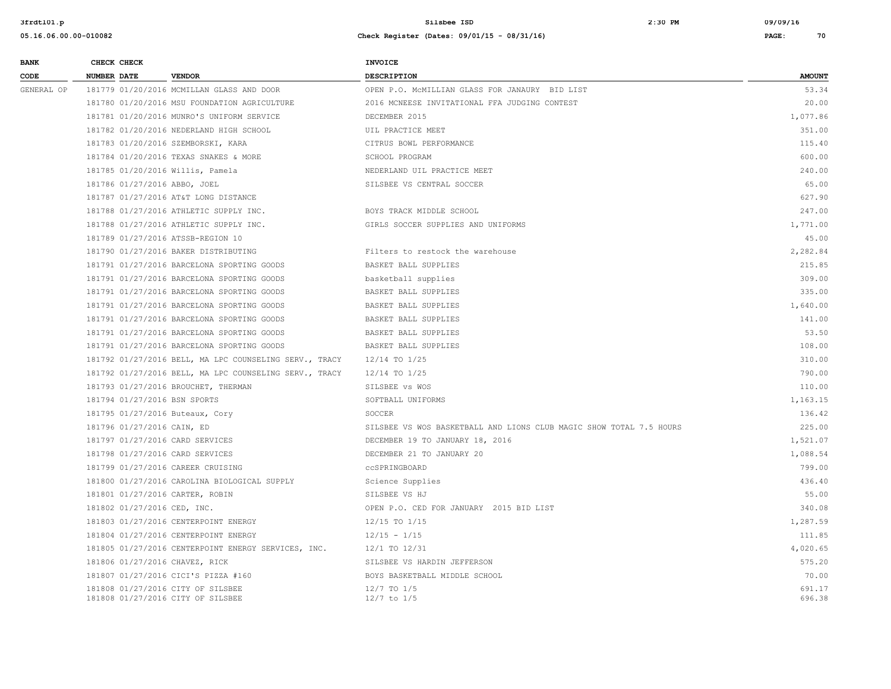| <b>BANK</b> | CHECK CHECK        |                                                                        | <b>INVOICE</b>                                                      |                  |
|-------------|--------------------|------------------------------------------------------------------------|---------------------------------------------------------------------|------------------|
| CODE        | <b>NUMBER DATE</b> | <b>VENDOR</b>                                                          | DESCRIPTION                                                         | <b>AMOUNT</b>    |
| GENERAL OP  |                    | 181779 01/20/2016 MCMILLAN GLASS AND DOOR                              | OPEN P.O. MCMILLIAN GLASS FOR JANAURY BID LIST                      | 53.34            |
|             |                    | 181780 01/20/2016 MSU FOUNDATION AGRICULTURE                           | 2016 MCNEESE INVITATIONAL FFA JUDGING CONTEST                       | 20.00            |
|             |                    | 181781 01/20/2016 MUNRO'S UNIFORM SERVICE                              | DECEMBER 2015                                                       | 1,077.86         |
|             |                    | 181782 01/20/2016 NEDERLAND HIGH SCHOOL                                | UIL PRACTICE MEET                                                   | 351.00           |
|             |                    | 181783 01/20/2016 SZEMBORSKI, KARA                                     | CITRUS BOWL PERFORMANCE                                             | 115.40           |
|             |                    | 181784 01/20/2016 TEXAS SNAKES & MORE                                  | SCHOOL PROGRAM                                                      | 600.00           |
|             |                    | 181785 01/20/2016 Willis, Pamela                                       | NEDERLAND UIL PRACTICE MEET                                         | 240.00           |
|             |                    | 181786 01/27/2016 ABBO, JOEL                                           | SILSBEE VS CENTRAL SOCCER                                           | 65.00            |
|             |                    | 181787 01/27/2016 AT&T LONG DISTANCE                                   |                                                                     | 627.90           |
|             |                    | 181788 01/27/2016 ATHLETIC SUPPLY INC.                                 | BOYS TRACK MIDDLE SCHOOL                                            | 247.00           |
|             |                    | 181788 01/27/2016 ATHLETIC SUPPLY INC.                                 | GIRLS SOCCER SUPPLIES AND UNIFORMS                                  | 1,771.00         |
|             |                    | 181789 01/27/2016 ATSSB-REGION 10                                      |                                                                     | 45.00            |
|             |                    | 181790 01/27/2016 BAKER DISTRIBUTING                                   | Filters to restock the warehouse                                    | 2,282.84         |
|             |                    | 181791 01/27/2016 BARCELONA SPORTING GOODS                             | BASKET BALL SUPPLIES                                                | 215.85           |
|             |                    | 181791 01/27/2016 BARCELONA SPORTING GOODS                             | basketball supplies                                                 | 309.00           |
|             |                    | 181791 01/27/2016 BARCELONA SPORTING GOODS                             | BASKET BALL SUPPLIES                                                | 335.00           |
|             |                    | 181791 01/27/2016 BARCELONA SPORTING GOODS                             | BASKET BALL SUPPLIES                                                | 1,640.00         |
|             |                    | 181791 01/27/2016 BARCELONA SPORTING GOODS                             | BASKET BALL SUPPLIES                                                | 141.00           |
|             |                    | 181791 01/27/2016 BARCELONA SPORTING GOODS                             | BASKET BALL SUPPLIES                                                | 53.50            |
|             |                    | 181791 01/27/2016 BARCELONA SPORTING GOODS                             | BASKET BALL SUPPLIES                                                | 108.00           |
|             |                    | 181792 01/27/2016 BELL, MA LPC COUNSELING SERV., TRACY                 | 12/14 TO 1/25                                                       | 310.00           |
|             |                    | 181792 01/27/2016 BELL, MA LPC COUNSELING SERV., TRACY                 | 12/14 TO 1/25                                                       | 790.00           |
|             |                    | 181793 01/27/2016 BROUCHET, THERMAN                                    | SILSBEE vs WOS                                                      | 110.00           |
|             |                    | 181794 01/27/2016 BSN SPORTS                                           | SOFTBALL UNIFORMS                                                   | 1,163.15         |
|             |                    | 181795 01/27/2016 Buteaux, Cory                                        | SOCCER                                                              | 136.42           |
|             |                    | 181796 01/27/2016 CAIN, ED                                             | SILSBEE VS WOS BASKETBALL AND LIONS CLUB MAGIC SHOW TOTAL 7.5 HOURS | 225.00           |
|             |                    | 181797 01/27/2016 CARD SERVICES                                        | DECEMBER 19 TO JANUARY 18, 2016                                     | 1,521.07         |
|             |                    | 181798 01/27/2016 CARD SERVICES                                        | DECEMBER 21 TO JANUARY 20                                           | 1,088.54         |
|             |                    | 181799 01/27/2016 CAREER CRUISING                                      | CCSPRINGBOARD                                                       | 799.00           |
|             |                    | 181800 01/27/2016 CAROLINA BIOLOGICAL SUPPLY                           | Science Supplies                                                    | 436.40           |
|             |                    | 181801 01/27/2016 CARTER, ROBIN                                        | SILSBEE VS HJ                                                       | 55.00            |
|             |                    | 181802 01/27/2016 CED, INC.                                            | OPEN P.O. CED FOR JANUARY 2015 BID LIST                             | 340.08           |
|             |                    | 181803 01/27/2016 CENTERPOINT ENERGY                                   | 12/15 TO 1/15                                                       | 1,287.59         |
|             |                    | 181804 01/27/2016 CENTERPOINT ENERGY                                   | $12/15 - 1/15$                                                      | 111.85           |
|             |                    | 181805 01/27/2016 CENTERPOINT ENERGY SERVICES, INC.                    | 12/1 TO 12/31                                                       | 4,020.65         |
|             |                    | 181806 01/27/2016 CHAVEZ, RICK                                         | SILSBEE VS HARDIN JEFFERSON                                         | 575.20           |
|             |                    | 181807 01/27/2016 CICI'S PIZZA #160                                    | BOYS BASKETBALL MIDDLE SCHOOL                                       | 70.00            |
|             |                    | 181808 01/27/2016 CITY OF SILSBEE<br>181808 01/27/2016 CITY OF SILSBEE | 12/7 TO 1/5<br>$12/7$ to $1/5$                                      | 691.17<br>696.38 |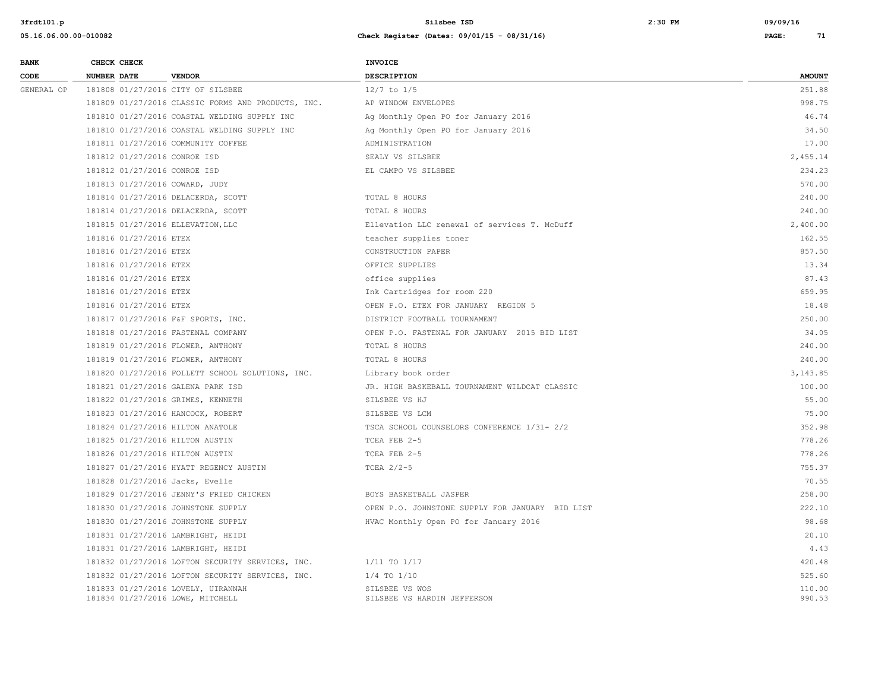| <b>BANK</b> | CHECK CHECK                    |                                                                        | <b>INVOICE</b>                                  |                  |
|-------------|--------------------------------|------------------------------------------------------------------------|-------------------------------------------------|------------------|
| CODE        | <b>NUMBER DATE</b>             | <b>VENDOR</b>                                                          | <b>DESCRIPTION</b>                              | <b>AMOUNT</b>    |
| GENERAL OP  |                                | 181808 01/27/2016 CITY OF SILSBEE                                      | $12/7$ to $1/5$                                 | 251.88           |
|             |                                | 181809 01/27/2016 CLASSIC FORMS AND PRODUCTS, INC.                     | AP WINDOW ENVELOPES                             | 998.75           |
|             |                                | 181810 01/27/2016 COASTAL WELDING SUPPLY INC                           | Ag Monthly Open PO for January 2016             | 46.74            |
|             |                                | 181810 01/27/2016 COASTAL WELDING SUPPLY INC                           | Ag Monthly Open PO for January 2016             | 34.50            |
|             |                                | 181811 01/27/2016 COMMUNITY COFFEE                                     | ADMINISTRATION                                  | 17.00            |
|             | 181812 01/27/2016 CONROE ISD   |                                                                        | SEALY VS SILSBEE                                | 2,455.14         |
|             | 181812 01/27/2016 CONROE ISD   |                                                                        | EL CAMPO VS SILSBEE                             | 234.23           |
|             | 181813 01/27/2016 COWARD, JUDY |                                                                        |                                                 | 570.00           |
|             |                                | 181814 01/27/2016 DELACERDA, SCOTT                                     | TOTAL 8 HOURS                                   | 240.00           |
|             |                                | 181814 01/27/2016 DELACERDA, SCOTT                                     | TOTAL 8 HOURS                                   | 240.00           |
|             |                                | 181815 01/27/2016 ELLEVATION, LLC                                      | Ellevation LLC renewal of services T. McDuff    | 2,400.00         |
|             | 181816 01/27/2016 ETEX         |                                                                        | teacher supplies toner                          | 162.55           |
|             | 181816 01/27/2016 ETEX         |                                                                        | CONSTRUCTION PAPER                              | 857.50           |
|             | 181816 01/27/2016 ETEX         |                                                                        | OFFICE SUPPLIES                                 | 13.34            |
|             | 181816 01/27/2016 ETEX         |                                                                        | office supplies                                 | 87.43            |
|             | 181816 01/27/2016 ETEX         |                                                                        | Ink Cartridges for room 220                     | 659.95           |
|             | 181816 01/27/2016 ETEX         |                                                                        | OPEN P.O. ETEX FOR JANUARY REGION 5             | 18.48            |
|             |                                | 181817 01/27/2016 F&F SPORTS, INC.                                     | DISTRICT FOOTBALL TOURNAMENT                    | 250.00           |
|             |                                | 181818 01/27/2016 FASTENAL COMPANY                                     | OPEN P.O. FASTENAL FOR JANUARY 2015 BID LIST    | 34.05            |
|             |                                | 181819 01/27/2016 FLOWER, ANTHONY                                      | TOTAL 8 HOURS                                   | 240.00           |
|             |                                | 181819 01/27/2016 FLOWER, ANTHONY                                      | TOTAL 8 HOURS                                   | 240.00           |
|             |                                | 181820 01/27/2016 FOLLETT SCHOOL SOLUTIONS, INC.                       | Library book order                              | 3, 143.85        |
|             |                                | 181821 01/27/2016 GALENA PARK ISD                                      | JR. HIGH BASKEBALL TOURNAMENT WILDCAT CLASSIC   | 100.00           |
|             |                                | 181822 01/27/2016 GRIMES, KENNETH                                      | SILSBEE VS HJ                                   | 55.00            |
|             |                                | 181823 01/27/2016 HANCOCK, ROBERT                                      | SILSBEE VS LCM                                  | 75.00            |
|             |                                | 181824 01/27/2016 HILTON ANATOLE                                       | TSCA SCHOOL COUNSELORS CONFERENCE 1/31- 2/2     | 352.98           |
|             |                                | 181825 01/27/2016 HILTON AUSTIN                                        | TCEA FEB 2-5                                    | 778.26           |
|             |                                | 181826 01/27/2016 HILTON AUSTIN                                        | TCEA FEB 2-5                                    | 778.26           |
|             |                                | 181827 01/27/2016 HYATT REGENCY AUSTIN                                 | TCEA $2/2-5$                                    | 755.37           |
|             |                                | 181828 01/27/2016 Jacks, Evelle                                        |                                                 | 70.55            |
|             |                                | 181829 01/27/2016 JENNY'S FRIED CHICKEN                                | BOYS BASKETBALL JASPER                          | 258.00           |
|             |                                | 181830 01/27/2016 JOHNSTONE SUPPLY                                     | OPEN P.O. JOHNSTONE SUPPLY FOR JANUARY BID LIST | 222.10           |
|             |                                | 181830 01/27/2016 JOHNSTONE SUPPLY                                     | HVAC Monthly Open PO for January 2016           | 98.68            |
|             |                                | 181831 01/27/2016 LAMBRIGHT, HEIDI                                     |                                                 | 20.10            |
|             |                                | 181831 01/27/2016 LAMBRIGHT, HEIDI                                     |                                                 | 4.43             |
|             |                                | 181832 01/27/2016 LOFTON SECURITY SERVICES, INC.                       | $1/11$ TO $1/17$                                | 420.48           |
|             |                                | 181832 01/27/2016 LOFTON SECURITY SERVICES, INC.                       | $1/4$ TO $1/10$                                 | 525.60           |
|             |                                | 181833 01/27/2016 LOVELY, UIRANNAH<br>181834 01/27/2016 LOWE, MITCHELL | SILSBEE VS WOS<br>SILSBEE VS HARDIN JEFFERSON   | 110.00<br>990.53 |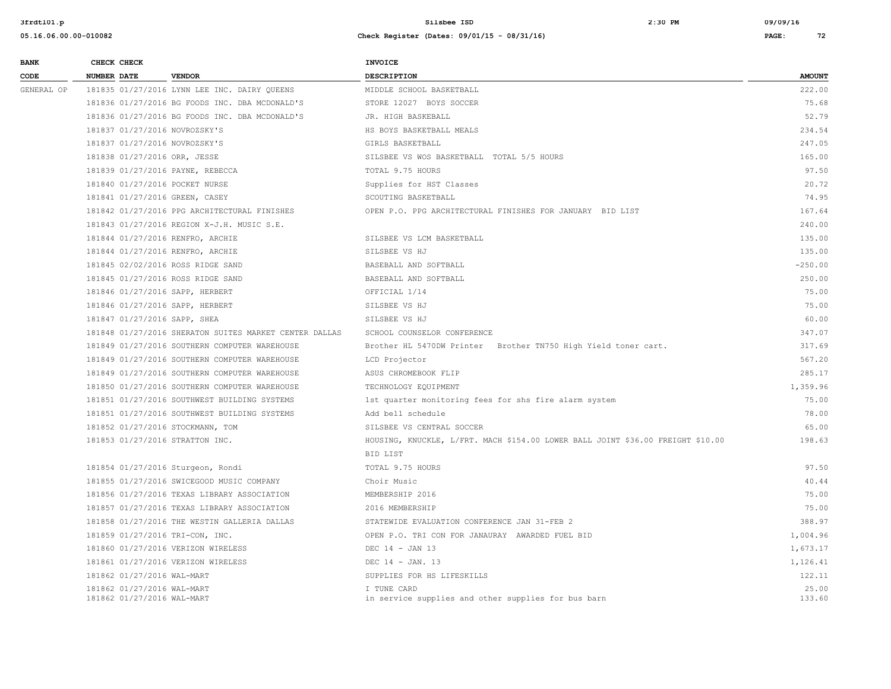| <b>BANK</b> | CHECK CHECK                                              |                                                        | INVOICE                                                                         |                 |
|-------------|----------------------------------------------------------|--------------------------------------------------------|---------------------------------------------------------------------------------|-----------------|
| CODE        | <b>NUMBER DATE</b>                                       | <b>VENDOR</b>                                          | <b>DESCRIPTION</b>                                                              | <b>AMOUNT</b>   |
| GENERAL OP  |                                                          | 181835 01/27/2016 LYNN LEE INC. DAIRY OUEENS           | MIDDLE SCHOOL BASKETBALL                                                        | 222.00          |
|             |                                                          | 181836 01/27/2016 BG FOODS INC. DBA MCDONALD'S         | STORE 12027 BOYS SOCCER                                                         | 75.68           |
|             |                                                          | 181836 01/27/2016 BG FOODS INC. DBA MCDONALD'S         | JR. HIGH BASKEBALL                                                              | 52.79           |
|             | 181837 01/27/2016 NOVROZSKY'S                            |                                                        | HS BOYS BASKETBALL MEALS                                                        | 234.54          |
|             | 181837 01/27/2016 NOVROZSKY'S                            |                                                        | GIRLS BASKETBALL                                                                | 247.05          |
|             | 181838 01/27/2016 ORR, JESSE                             |                                                        | SILSBEE VS WOS BASKETBALL TOTAL 5/5 HOURS                                       | 165.00          |
|             | 181839 01/27/2016 PAYNE, REBECCA                         |                                                        | TOTAL 9.75 HOURS                                                                | 97.50           |
|             | 181840 01/27/2016 POCKET NURSE                           |                                                        | Supplies for HST Classes                                                        | 20.72           |
|             | 181841 01/27/2016 GREEN, CASEY                           |                                                        | SCOUTING BASKETBALL                                                             | 74.95           |
|             |                                                          | 181842 01/27/2016 PPG ARCHITECTURAL FINISHES           | OPEN P.O. PPG ARCHITECTURAL FINISHES FOR JANUARY BID LIST                       | 167.64          |
|             |                                                          | 181843 01/27/2016 REGION X-J.H. MUSIC S.E.             |                                                                                 | 240.00          |
|             | 181844 01/27/2016 RENFRO, ARCHIE                         |                                                        | SILSBEE VS LCM BASKETBALL                                                       | 135.00          |
|             | 181844 01/27/2016 RENFRO, ARCHIE                         |                                                        | SILSBEE VS HJ                                                                   | 135.00          |
|             |                                                          | 181845 02/02/2016 ROSS RIDGE SAND                      | BASEBALL AND SOFTBALL                                                           | $-250.00$       |
|             |                                                          | 181845 01/27/2016 ROSS RIDGE SAND                      | BASEBALL AND SOFTBALL                                                           | 250.00          |
|             | 181846 01/27/2016 SAPP, HERBERT                          |                                                        | OFFICIAL 1/14                                                                   | 75.00           |
|             | 181846 01/27/2016 SAPP, HERBERT                          |                                                        | SILSBEE VS HJ                                                                   | 75.00           |
|             | 181847 01/27/2016 SAPP, SHEA                             |                                                        | SILSBEE VS HJ                                                                   | 60.00           |
|             |                                                          | 181848 01/27/2016 SHERATON SUITES MARKET CENTER DALLAS | SCHOOL COUNSELOR CONFERENCE                                                     | 347.07          |
|             |                                                          | 181849 01/27/2016 SOUTHERN COMPUTER WAREHOUSE          | Brother HL 5470DW Printer Brother TN750 High Yield toner cart.                  | 317.69          |
|             |                                                          | 181849 01/27/2016 SOUTHERN COMPUTER WAREHOUSE          | LCD Projector                                                                   | 567.20          |
|             |                                                          | 181849 01/27/2016 SOUTHERN COMPUTER WAREHOUSE          | ASUS CHROMEBOOK FLIP                                                            | 285.17          |
|             |                                                          | 181850 01/27/2016 SOUTHERN COMPUTER WAREHOUSE          | TECHNOLOGY EQUIPMENT                                                            | 1,359.96        |
|             |                                                          | 181851 01/27/2016 SOUTHWEST BUILDING SYSTEMS           | 1st quarter monitoring fees for shs fire alarm system                           | 75.00           |
|             |                                                          | 181851 01/27/2016 SOUTHWEST BUILDING SYSTEMS           | Add bell schedule                                                               | 78.00           |
|             | 181852 01/27/2016 STOCKMANN, TOM                         |                                                        | SILSBEE VS CENTRAL SOCCER                                                       | 65.00           |
|             | 181853 01/27/2016 STRATTON INC.                          |                                                        | HOUSING, KNUCKLE, L/FRT. MACH \$154.00 LOWER BALL JOINT \$36.00 FREIGHT \$10.00 | 198.63          |
|             |                                                          |                                                        | BID LIST                                                                        |                 |
|             |                                                          | 181854 01/27/2016 Sturgeon, Rondi                      | TOTAL 9.75 HOURS                                                                | 97.50           |
|             |                                                          | 181855 01/27/2016 SWICEGOOD MUSIC COMPANY              | Choir Music                                                                     | 40.44           |
|             |                                                          | 181856 01/27/2016 TEXAS LIBRARY ASSOCIATION            | MEMBERSHIP 2016                                                                 | 75.00           |
|             |                                                          | 181857 01/27/2016 TEXAS LIBRARY ASSOCIATION            | 2016 MEMBERSHIP                                                                 | 75.00           |
|             |                                                          | 181858 01/27/2016 THE WESTIN GALLERIA DALLAS           | STATEWIDE EVALUATION CONFERENCE JAN 31-FEB 2                                    | 388.97          |
|             | 181859 01/27/2016 TRI-CON, INC.                          |                                                        | OPEN P.O. TRI CON FOR JANAURAY AWARDED FUEL BID                                 | 1,004.96        |
|             |                                                          | 181860 01/27/2016 VERIZON WIRELESS                     | DEC 14 - JAN 13                                                                 | 1,673.17        |
|             |                                                          | 181861 01/27/2016 VERIZON WIRELESS                     | DEC $14 - JAN$ . 13                                                             | 1,126.41        |
|             | 181862 01/27/2016 WAL-MART                               |                                                        | SUPPLIES FOR HS LIFESKILLS                                                      | 122.11          |
|             | 181862 01/27/2016 WAL-MART<br>181862 01/27/2016 WAL-MART |                                                        | I TUNE CARD<br>in service supplies and other supplies for bus barn              | 25.00<br>133.60 |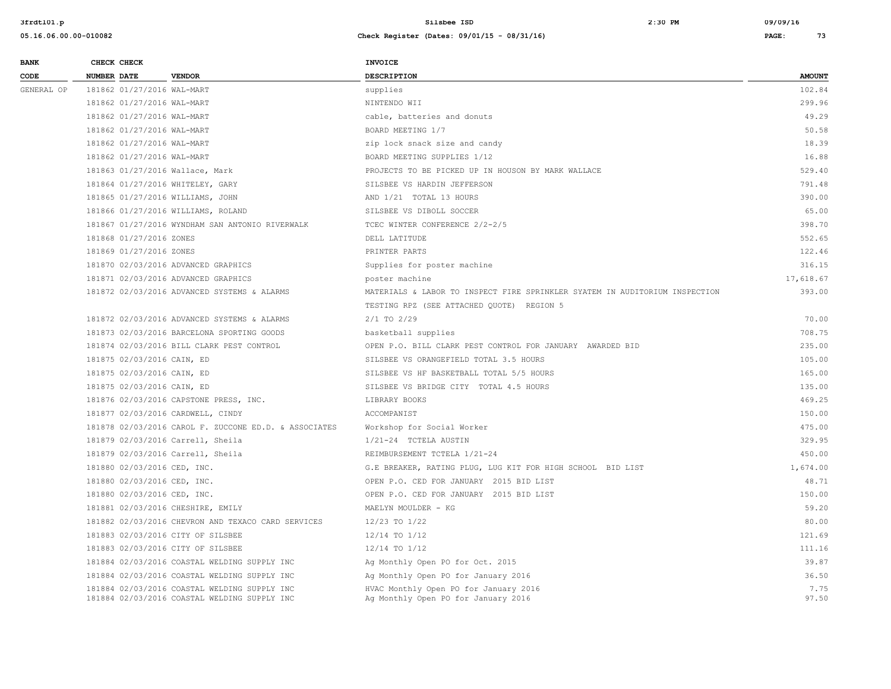| <b>BANK</b> | CHECK CHECK             |                                                                                              | <b>INVOICE</b>                                                               |               |
|-------------|-------------------------|----------------------------------------------------------------------------------------------|------------------------------------------------------------------------------|---------------|
| CODE        | <b>NUMBER DATE</b>      | <b>VENDOR</b>                                                                                | <b>DESCRIPTION</b>                                                           | <b>AMOUNT</b> |
| GENERAL OP  |                         | 181862 01/27/2016 WAL-MART                                                                   | supplies                                                                     | 102.84        |
|             |                         | 181862 01/27/2016 WAL-MART                                                                   | NINTENDO WII                                                                 | 299.96        |
|             |                         | 181862 01/27/2016 WAL-MART                                                                   | cable, batteries and donuts                                                  | 49.29         |
|             |                         | 181862 01/27/2016 WAL-MART                                                                   | BOARD MEETING 1/7                                                            | 50.58         |
|             |                         | 181862 01/27/2016 WAL-MART                                                                   | zip lock snack size and candy                                                | 18.39         |
|             |                         | 181862 01/27/2016 WAL-MART                                                                   | BOARD MEETING SUPPLIES 1/12                                                  | 16.88         |
|             |                         | 181863 01/27/2016 Wallace, Mark                                                              | PROJECTS TO BE PICKED UP IN HOUSON BY MARK WALLACE                           | 529.40        |
|             |                         | 181864 01/27/2016 WHITELEY, GARY                                                             | SILSBEE VS HARDIN JEFFERSON                                                  | 791.48        |
|             |                         | 181865 01/27/2016 WILLIAMS, JOHN                                                             | AND 1/21 TOTAL 13 HOURS                                                      | 390.00        |
|             |                         | 181866 01/27/2016 WILLIAMS, ROLAND                                                           | SILSBEE VS DIBOLL SOCCER                                                     | 65.00         |
|             |                         | 181867 01/27/2016 WYNDHAM SAN ANTONIO RIVERWALK                                              | TCEC WINTER CONFERENCE 2/2-2/5                                               | 398.70        |
|             | 181868 01/27/2016 ZONES |                                                                                              | DELL LATITUDE                                                                | 552.65        |
|             | 181869 01/27/2016 ZONES |                                                                                              | PRINTER PARTS                                                                | 122.46        |
|             |                         | 181870 02/03/2016 ADVANCED GRAPHICS                                                          | Supplies for poster machine                                                  | 316.15        |
|             |                         | 181871 02/03/2016 ADVANCED GRAPHICS                                                          | poster machine                                                               | 17,618.67     |
|             |                         | 181872 02/03/2016 ADVANCED SYSTEMS & ALARMS                                                  | MATERIALS & LABOR TO INSPECT FIRE SPRINKLER SYATEM IN AUDITORIUM INSPECTION  | 393.00        |
|             |                         |                                                                                              | TESTING RPZ (SEE ATTACHED QUOTE) REGION 5                                    |               |
|             |                         | 181872 02/03/2016 ADVANCED SYSTEMS & ALARMS                                                  | $2/1$ TO $2/29$                                                              | 70.00         |
|             |                         | 181873 02/03/2016 BARCELONA SPORTING GOODS                                                   | basketball supplies                                                          | 708.75        |
|             |                         | 181874 02/03/2016 BILL CLARK PEST CONTROL                                                    | OPEN P.O. BILL CLARK PEST CONTROL FOR JANUARY AWARDED BID                    | 235.00        |
|             |                         | 181875 02/03/2016 CAIN, ED                                                                   | SILSBEE VS ORANGEFIELD TOTAL 3.5 HOURS                                       | 105.00        |
|             |                         | 181875 02/03/2016 CAIN, ED                                                                   | SILSBEE VS HF BASKETBALL TOTAL 5/5 HOURS                                     | 165.00        |
|             |                         | 181875 02/03/2016 CAIN, ED                                                                   | SILSBEE VS BRIDGE CITY TOTAL 4.5 HOURS                                       | 135.00        |
|             |                         | 181876 02/03/2016 CAPSTONE PRESS, INC.                                                       | LIBRARY BOOKS                                                                | 469.25        |
|             |                         | 181877 02/03/2016 CARDWELL, CINDY                                                            | ACCOMPANIST                                                                  | 150.00        |
|             |                         | 181878 02/03/2016 CAROL F. ZUCCONE ED.D. & ASSOCIATES                                        | Workshop for Social Worker                                                   | 475.00        |
|             |                         | 181879 02/03/2016 Carrell, Sheila                                                            | 1/21-24 TCTELA AUSTIN                                                        | 329.95        |
|             |                         | 181879 02/03/2016 Carrell, Sheila                                                            | REIMBURSEMENT TCTELA 1/21-24                                                 | 450.00        |
|             |                         | 181880 02/03/2016 CED, INC.                                                                  | G.E BREAKER, RATING PLUG, LUG KIT FOR HIGH SCHOOL BID LIST                   | 1,674.00      |
|             |                         | 181880 02/03/2016 CED, INC.                                                                  | OPEN P.O. CED FOR JANUARY 2015 BID LIST                                      | 48.71         |
|             |                         | 181880 02/03/2016 CED, INC.                                                                  | OPEN P.O. CED FOR JANUARY 2015 BID LIST                                      | 150.00        |
|             |                         | 181881 02/03/2016 CHESHIRE, EMILY                                                            | MAELYN MOULDER - KG                                                          | 59.20         |
|             |                         | 181882 02/03/2016 CHEVRON AND TEXACO CARD SERVICES                                           | 12/23 TO 1/22                                                                | 80.00         |
|             |                         | 181883 02/03/2016 CITY OF SILSBEE                                                            | 12/14 TO 1/12                                                                | 121.69        |
|             |                         | 181883 02/03/2016 CITY OF SILSBEE                                                            | 12/14 TO 1/12                                                                | 111.16        |
|             |                         | 181884 02/03/2016 COASTAL WELDING SUPPLY INC                                                 | Ag Monthly Open PO for Oct. 2015                                             | 39.87         |
|             |                         | 181884 02/03/2016 COASTAL WELDING SUPPLY INC                                                 | Ag Monthly Open PO for January 2016                                          | 36.50         |
|             |                         | 181884 02/03/2016 COASTAL WELDING SUPPLY INC<br>181884 02/03/2016 COASTAL WELDING SUPPLY INC | HVAC Monthly Open PO for January 2016<br>Ag Monthly Open PO for January 2016 | 7.75<br>97.50 |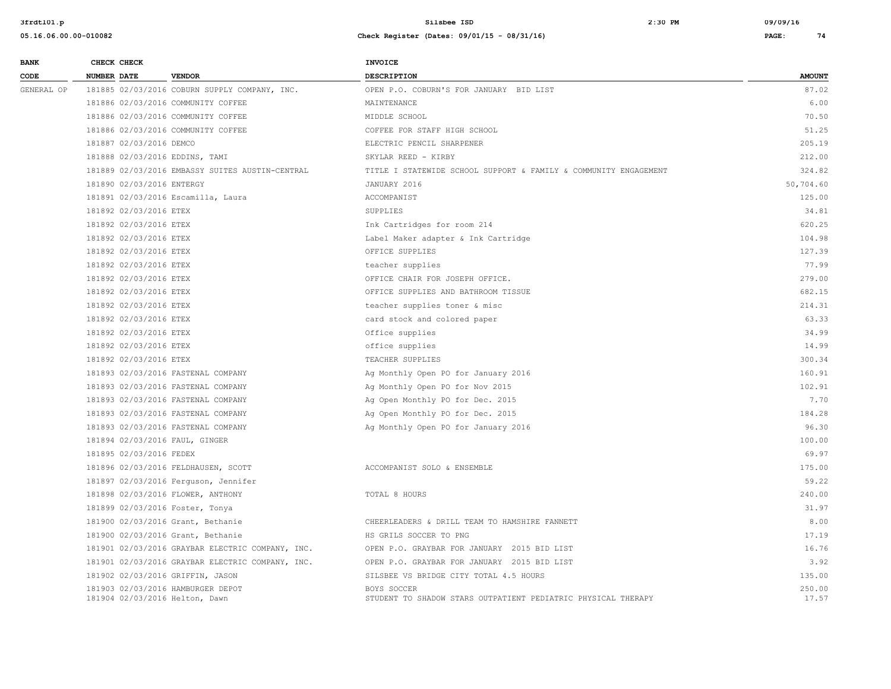| <b>BANK</b> | CHECK CHECK               |                                                                     | <b>INVOICE</b>                                                               |                 |
|-------------|---------------------------|---------------------------------------------------------------------|------------------------------------------------------------------------------|-----------------|
| CODE        | NUMBER DATE               | <b>VENDOR</b>                                                       | <b>DESCRIPTION</b>                                                           | <b>AMOUNT</b>   |
| GENERAL OP  |                           | 181885 02/03/2016 COBURN SUPPLY COMPANY, INC.                       | OPEN P.O. COBURN'S FOR JANUARY BID LIST                                      | 87.02           |
|             |                           | 181886 02/03/2016 COMMUNITY COFFEE                                  | MAINTENANCE                                                                  | 6.00            |
|             |                           | 181886 02/03/2016 COMMUNITY COFFEE                                  | MIDDLE SCHOOL                                                                | 70.50           |
|             |                           | 181886 02/03/2016 COMMUNITY COFFEE                                  | COFFEE FOR STAFF HIGH SCHOOL                                                 | 51.25           |
|             | 181887 02/03/2016 DEMCO   |                                                                     | ELECTRIC PENCIL SHARPENER                                                    | 205.19          |
|             |                           | 181888 02/03/2016 EDDINS, TAMI                                      | SKYLAR REED - KIRBY                                                          | 212.00          |
|             |                           | 181889 02/03/2016 EMBASSY SUITES AUSTIN-CENTRAL                     | TITLE I STATEWIDE SCHOOL SUPPORT & FAMILY & COMMUNITY ENGAGEMENT             | 324.82          |
|             | 181890 02/03/2016 ENTERGY |                                                                     | JANUARY 2016                                                                 | 50,704.60       |
|             |                           | 181891 02/03/2016 Escamilla, Laura                                  | ACCOMPANIST                                                                  | 125.00          |
|             | 181892 02/03/2016 ETEX    |                                                                     | SUPPLIES                                                                     | 34.81           |
|             | 181892 02/03/2016 ETEX    |                                                                     | Ink Cartridges for room 214                                                  | 620.25          |
|             | 181892 02/03/2016 ETEX    |                                                                     | Label Maker adapter & Ink Cartridge                                          | 104.98          |
|             | 181892 02/03/2016 ETEX    |                                                                     | OFFICE SUPPLIES                                                              | 127.39          |
|             | 181892 02/03/2016 ETEX    |                                                                     | teacher supplies                                                             | 77.99           |
|             | 181892 02/03/2016 ETEX    |                                                                     | OFFICE CHAIR FOR JOSEPH OFFICE.                                              | 279.00          |
|             | 181892 02/03/2016 ETEX    |                                                                     | OFFICE SUPPLIES AND BATHROOM TISSUE                                          | 682.15          |
|             | 181892 02/03/2016 ETEX    |                                                                     | teacher supplies toner & misc                                                | 214.31          |
|             | 181892 02/03/2016 ETEX    |                                                                     | card stock and colored paper                                                 | 63.33           |
|             | 181892 02/03/2016 ETEX    |                                                                     | Office supplies                                                              | 34.99           |
|             | 181892 02/03/2016 ETEX    |                                                                     | office supplies                                                              | 14.99           |
|             | 181892 02/03/2016 ETEX    |                                                                     | TEACHER SUPPLIES                                                             | 300.34          |
|             |                           | 181893 02/03/2016 FASTENAL COMPANY                                  | Ag Monthly Open PO for January 2016                                          | 160.91          |
|             |                           | 181893 02/03/2016 FASTENAL COMPANY                                  | Ag Monthly Open PO for Nov 2015                                              | 102.91          |
|             |                           | 181893 02/03/2016 FASTENAL COMPANY                                  | Ag Open Monthly PO for Dec. 2015                                             | 7.70            |
|             |                           | 181893 02/03/2016 FASTENAL COMPANY                                  | Ag Open Monthly PO for Dec. 2015                                             | 184.28          |
|             |                           | 181893 02/03/2016 FASTENAL COMPANY                                  | Ag Monthly Open PO for January 2016                                          | 96.30           |
|             |                           | 181894 02/03/2016 FAUL, GINGER                                      |                                                                              | 100.00          |
|             | 181895 02/03/2016 FEDEX   |                                                                     |                                                                              | 69.97           |
|             |                           | 181896 02/03/2016 FELDHAUSEN, SCOTT                                 | ACCOMPANIST SOLO & ENSEMBLE                                                  | 175.00          |
|             |                           | 181897 02/03/2016 Ferguson, Jennifer                                |                                                                              | 59.22           |
|             |                           | 181898 02/03/2016 FLOWER, ANTHONY                                   | TOTAL 8 HOURS                                                                | 240.00          |
|             |                           | 181899 02/03/2016 Foster, Tonya                                     |                                                                              | 31.97           |
|             |                           | 181900 02/03/2016 Grant, Bethanie                                   | CHEERLEADERS & DRILL TEAM TO HAMSHIRE FANNETT                                | 8.00            |
|             |                           | 181900 02/03/2016 Grant, Bethanie                                   | HS GRILS SOCCER TO PNG                                                       | 17.19           |
|             |                           | 181901 02/03/2016 GRAYBAR ELECTRIC COMPANY, INC.                    | OPEN P.O. GRAYBAR FOR JANUARY 2015 BID LIST                                  | 16.76           |
|             |                           | 181901 02/03/2016 GRAYBAR ELECTRIC COMPANY, INC.                    | OPEN P.O. GRAYBAR FOR JANUARY 2015 BID LIST                                  | 3.92            |
|             |                           | 181902 02/03/2016 GRIFFIN, JASON                                    | SILSBEE VS BRIDGE CITY TOTAL 4.5 HOURS                                       | 135.00          |
|             |                           | 181903 02/03/2016 HAMBURGER DEPOT<br>181904 02/03/2016 Helton, Dawn | BOYS SOCCER<br>STUDENT TO SHADOW STARS OUTPATIENT PEDIATRIC PHYSICAL THERAPY | 250.00<br>17.57 |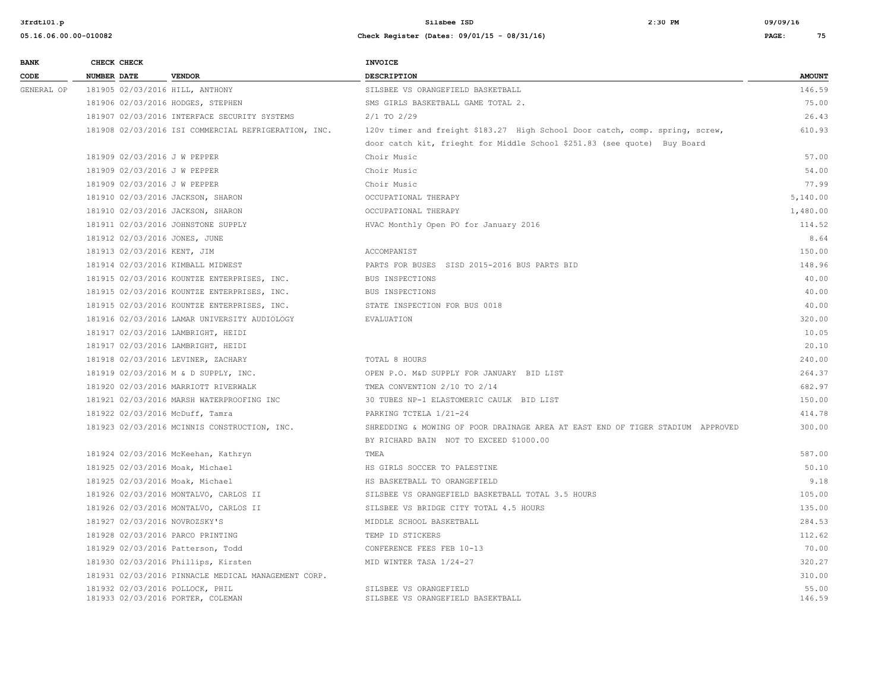| <b>BANK</b> | CHECK CHECK                                                          |                                                      | <b>INVOICE</b>                                                                 |                 |
|-------------|----------------------------------------------------------------------|------------------------------------------------------|--------------------------------------------------------------------------------|-----------------|
| CODE        | <b>NUMBER DATE</b>                                                   | <b>VENDOR</b>                                        | <b>DESCRIPTION</b>                                                             | <b>AMOUNT</b>   |
| GENERAL OP  | 181905 02/03/2016 HILL, ANTHONY                                      |                                                      | SILSBEE VS ORANGEFIELD BASKETBALL                                              | 146.59          |
|             | 181906 02/03/2016 HODGES, STEPHEN                                    |                                                      | SMS GIRLS BASKETBALL GAME TOTAL 2.                                             | 75.00           |
|             |                                                                      | 181907 02/03/2016 INTERFACE SECURITY SYSTEMS         | $2/1$ TO $2/29$                                                                | 26.43           |
|             |                                                                      | 181908 02/03/2016 ISI COMMERCIAL REFRIGERATION, INC. | 120v timer and freight \$183.27 High School Door catch, comp. spring, screw,   | 610.93          |
|             |                                                                      |                                                      | door catch kit, frieght for Middle School \$251.83 (see quote) Buy Board       |                 |
|             | 181909 02/03/2016 J W PEPPER                                         |                                                      | Choir Music                                                                    | 57.00           |
|             | 181909 02/03/2016 J W PEPPER                                         |                                                      | Choir Music                                                                    | 54.00           |
|             | 181909 02/03/2016 J W PEPPER                                         |                                                      | Choir Music                                                                    | 77.99           |
|             | 181910 02/03/2016 JACKSON, SHARON                                    |                                                      | OCCUPATIONAL THERAPY                                                           | 5,140.00        |
|             | 181910 02/03/2016 JACKSON, SHARON                                    |                                                      | OCCUPATIONAL THERAPY                                                           | 1,480.00        |
|             |                                                                      | 181911 02/03/2016 JOHNSTONE SUPPLY                   | HVAC Monthly Open PO for January 2016                                          | 114.52          |
|             | 181912 02/03/2016 JONES, JUNE                                        |                                                      |                                                                                | 8.64            |
|             | 181913 02/03/2016 KENT, JIM                                          |                                                      | ACCOMPANIST                                                                    | 150.00          |
|             | 181914 02/03/2016 KIMBALL MIDWEST                                    |                                                      | PARTS FOR BUSES SISD 2015-2016 BUS PARTS BID                                   | 148.96          |
|             |                                                                      | 181915 02/03/2016 KOUNTZE ENTERPRISES, INC.          | BUS INSPECTIONS                                                                | 40.00           |
|             |                                                                      | 181915 02/03/2016 KOUNTZE ENTERPRISES, INC.          | BUS INSPECTIONS                                                                | 40.00           |
|             |                                                                      | 181915 02/03/2016 KOUNTZE ENTERPRISES, INC.          | STATE INSPECTION FOR BUS 0018                                                  | 40.00           |
|             |                                                                      | 181916 02/03/2016 LAMAR UNIVERSITY AUDIOLOGY         | EVALUATION                                                                     | 320.00          |
|             |                                                                      | 181917 02/03/2016 LAMBRIGHT, HEIDI                   |                                                                                | 10.05           |
|             |                                                                      | 181917 02/03/2016 LAMBRIGHT, HEIDI                   |                                                                                | 20.10           |
|             |                                                                      | 181918 02/03/2016 LEVINER, ZACHARY                   | TOTAL 8 HOURS                                                                  | 240.00          |
|             |                                                                      | 181919 02/03/2016 M & D SUPPLY, INC.                 | OPEN P.O. M&D SUPPLY FOR JANUARY BID LIST                                      | 264.37          |
|             |                                                                      | 181920 02/03/2016 MARRIOTT RIVERWALK                 | TMEA CONVENTION 2/10 TO 2/14                                                   | 682.97          |
|             |                                                                      | 181921 02/03/2016 MARSH WATERPROOFING INC            | 30 TUBES NP-1 ELASTOMERIC CAULK BID LIST                                       | 150.00          |
|             | 181922 02/03/2016 McDuff, Tamra                                      |                                                      | PARKING TCTELA 1/21-24                                                         | 414.78          |
|             |                                                                      | 181923 02/03/2016 MCINNIS CONSTRUCTION, INC.         | SHREDDING & MOWING OF POOR DRAINAGE AREA AT EAST END OF TIGER STADIUM APPROVED | 300.00          |
|             |                                                                      |                                                      | BY RICHARD BAIN NOT TO EXCEED \$1000.00                                        |                 |
|             |                                                                      | 181924 02/03/2016 McKeehan, Kathryn                  | TMEA                                                                           | 587.00          |
|             | 181925 02/03/2016 Moak, Michael                                      |                                                      | HS GIRLS SOCCER TO PALESTINE                                                   | 50.10           |
|             | 181925 02/03/2016 Moak, Michael                                      |                                                      | HS BASKETBALL TO ORANGEFIELD                                                   | 9.18            |
|             |                                                                      | 181926 02/03/2016 MONTALVO, CARLOS II                | SILSBEE VS ORANGEFIELD BASKETBALL TOTAL 3.5 HOURS                              | 105.00          |
|             |                                                                      | 181926 02/03/2016 MONTALVO, CARLOS II                | SILSBEE VS BRIDGE CITY TOTAL 4.5 HOURS                                         | 135.00          |
|             | 181927 02/03/2016 NOVROZSKY'S                                        |                                                      | MIDDLE SCHOOL BASKETBALL                                                       | 284.53          |
|             | 181928 02/03/2016 PARCO PRINTING                                     |                                                      | TEMP ID STICKERS                                                               | 112.62          |
|             | 181929 02/03/2016 Patterson, Todd                                    |                                                      | CONFERENCE FEES FEB 10-13                                                      | 70.00           |
|             |                                                                      | 181930 02/03/2016 Phillips, Kirsten                  | MID WINTER TASA 1/24-27                                                        | 320.27          |
|             |                                                                      | 181931 02/03/2016 PINNACLE MEDICAL MANAGEMENT CORP.  |                                                                                | 310.00          |
|             | 181932 02/03/2016 POLLOCK, PHIL<br>181933 02/03/2016 PORTER, COLEMAN |                                                      | SILSBEE VS ORANGEFIELD<br>SILSBEE VS ORANGEFIELD BASEKTBALL                    | 55.00<br>146.59 |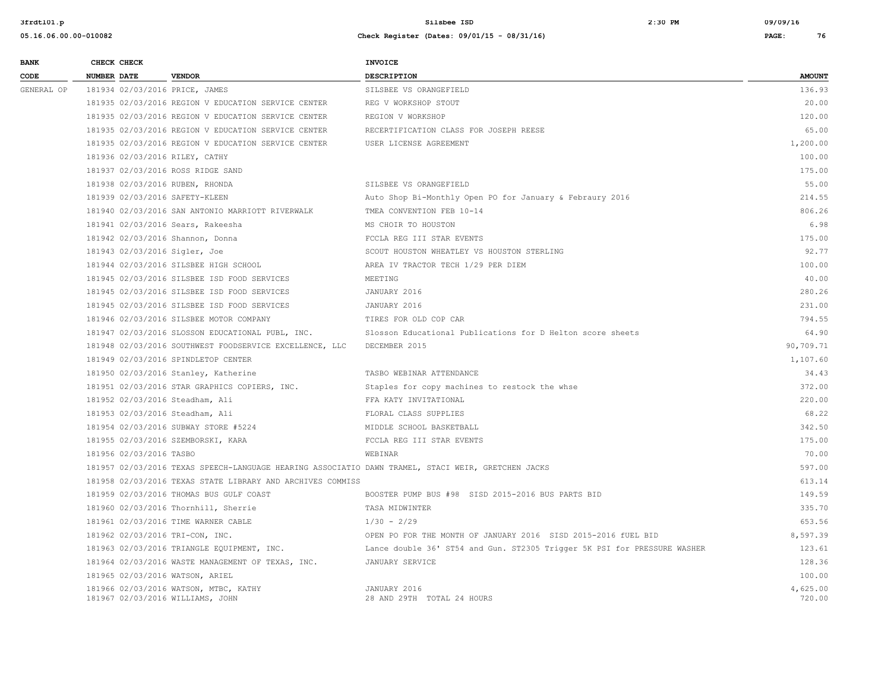| <b>BANK</b> |                    | CHECK CHECK             |                                                                                                    | <b>INVOICE</b>                                                           |                    |
|-------------|--------------------|-------------------------|----------------------------------------------------------------------------------------------------|--------------------------------------------------------------------------|--------------------|
| CODE        | <b>NUMBER DATE</b> |                         | <b>VENDOR</b>                                                                                      | DESCRIPTION                                                              | <b>AMOUNT</b>      |
| GENERAL OP  |                    |                         | 181934 02/03/2016 PRICE, JAMES                                                                     | SILSBEE VS ORANGEFIELD                                                   | 136.93             |
|             |                    |                         | 181935 02/03/2016 REGION V EDUCATION SERVICE CENTER                                                | REG V WORKSHOP STOUT                                                     | 20.00              |
|             |                    |                         | 181935 02/03/2016 REGION V EDUCATION SERVICE CENTER                                                | REGION V WORKSHOP                                                        | 120.00             |
|             |                    |                         | 181935 02/03/2016 REGION V EDUCATION SERVICE CENTER                                                | RECERTIFICATION CLASS FOR JOSEPH REESE                                   | 65.00              |
|             |                    |                         | 181935 02/03/2016 REGION V EDUCATION SERVICE CENTER                                                | USER LICENSE AGREEMENT                                                   | 1,200.00           |
|             |                    |                         | 181936 02/03/2016 RILEY, CATHY                                                                     |                                                                          | 100.00             |
|             |                    |                         | 181937 02/03/2016 ROSS RIDGE SAND                                                                  |                                                                          | 175.00             |
|             |                    |                         | 181938 02/03/2016 RUBEN, RHONDA                                                                    | SILSBEE VS ORANGEFIELD                                                   | 55.00              |
|             |                    |                         | 181939 02/03/2016 SAFETY-KLEEN                                                                     | Auto Shop Bi-Monthly Open PO for January & Febraury 2016                 | 214.55             |
|             |                    |                         | 181940 02/03/2016 SAN ANTONIO MARRIOTT RIVERWALK                                                   | TMEA CONVENTION FEB 10-14                                                | 806.26             |
|             |                    |                         | 181941 02/03/2016 Sears, Rakeesha                                                                  | MS CHOIR TO HOUSTON                                                      | 6.98               |
|             |                    |                         | 181942 02/03/2016 Shannon, Donna                                                                   | FCCLA REG III STAR EVENTS                                                | 175.00             |
|             |                    |                         | 181943 02/03/2016 Sigler, Joe                                                                      | SCOUT HOUSTON WHEATLEY VS HOUSTON STERLING                               | 92.77              |
|             |                    |                         | 181944 02/03/2016 SILSBEE HIGH SCHOOL                                                              | AREA IV TRACTOR TECH 1/29 PER DIEM                                       | 100.00             |
|             |                    |                         | 181945 02/03/2016 SILSBEE ISD FOOD SERVICES                                                        | MEETING                                                                  | 40.00              |
|             |                    |                         | 181945 02/03/2016 SILSBEE ISD FOOD SERVICES                                                        | JANUARY 2016                                                             | 280.26             |
|             |                    |                         | 181945 02/03/2016 SILSBEE ISD FOOD SERVICES                                                        | JANUARY 2016                                                             | 231.00             |
|             |                    |                         | 181946 02/03/2016 SILSBEE MOTOR COMPANY                                                            | TIRES FOR OLD COP CAR                                                    | 794.55             |
|             |                    |                         | 181947 02/03/2016 SLOSSON EDUCATIONAL PUBL, INC.                                                   | Slosson Educational Publications for D Helton score sheets               | 64.90              |
|             |                    |                         | 181948 02/03/2016 SOUTHWEST FOODSERVICE EXCELLENCE, LLC                                            | DECEMBER 2015                                                            | 90,709.71          |
|             |                    |                         | 181949 02/03/2016 SPINDLETOP CENTER                                                                |                                                                          | 1,107.60           |
|             |                    |                         | 181950 02/03/2016 Stanley, Katherine                                                               | TASBO WEBINAR ATTENDANCE                                                 | 34.43              |
|             |                    |                         | 181951 02/03/2016 STAR GRAPHICS COPIERS, INC.                                                      | Staples for copy machines to restock the whse                            | 372.00             |
|             |                    |                         | 181952 02/03/2016 Steadham, Ali                                                                    | FFA KATY INVITATIONAL                                                    | 220.00             |
|             |                    |                         | 181953 02/03/2016 Steadham, Ali                                                                    | FLORAL CLASS SUPPLIES                                                    | 68.22              |
|             |                    |                         | 181954 02/03/2016 SUBWAY STORE #5224                                                               | MIDDLE SCHOOL BASKETBALL                                                 | 342.50             |
|             |                    |                         | 181955 02/03/2016 SZEMBORSKI, KARA                                                                 | FCCLA REG III STAR EVENTS                                                | 175.00             |
|             |                    | 181956 02/03/2016 TASBO |                                                                                                    | WEBINAR                                                                  | 70.00              |
|             |                    |                         | 181957 02/03/2016 TEXAS SPEECH-LANGUAGE HEARING ASSOCIATIO DAWN TRAMEL, STACI WEIR, GRETCHEN JACKS |                                                                          | 597.00             |
|             |                    |                         | 181958 02/03/2016 TEXAS STATE LIBRARY AND ARCHIVES COMMISS                                         |                                                                          | 613.14             |
|             |                    |                         | 181959 02/03/2016 THOMAS BUS GULF COAST                                                            | BOOSTER PUMP BUS #98 SISD 2015-2016 BUS PARTS BID                        | 149.59             |
|             |                    |                         | 181960 02/03/2016 Thornhill, Sherrie                                                               | TASA MIDWINTER                                                           | 335.70             |
|             |                    |                         | 181961 02/03/2016 TIME WARNER CABLE                                                                | $1/30 - 2/29$                                                            | 653.56             |
|             |                    |                         | 181962 02/03/2016 TRI-CON, INC.                                                                    | OPEN PO FOR THE MONTH OF JANUARY 2016 SISD 2015-2016 fUEL BID            | 8,597.39           |
|             |                    |                         | 181963 02/03/2016 TRIANGLE EQUIPMENT, INC.                                                         | Lance double 36' ST54 and Gun. ST2305 Trigger 5K PSI for PRESSURE WASHER | 123.61             |
|             |                    |                         | 181964 02/03/2016 WASTE MANAGEMENT OF TEXAS, INC.                                                  | JANUARY SERVICE                                                          | 128.36             |
|             |                    |                         | 181965 02/03/2016 WATSON, ARIEL                                                                    |                                                                          | 100.00             |
|             |                    |                         | 181966 02/03/2016 WATSON, MTBC, KATHY<br>181967 02/03/2016 WILLIAMS, JOHN                          | JANUARY 2016<br>28 AND 29TH TOTAL 24 HOURS                               | 4,625.00<br>720.00 |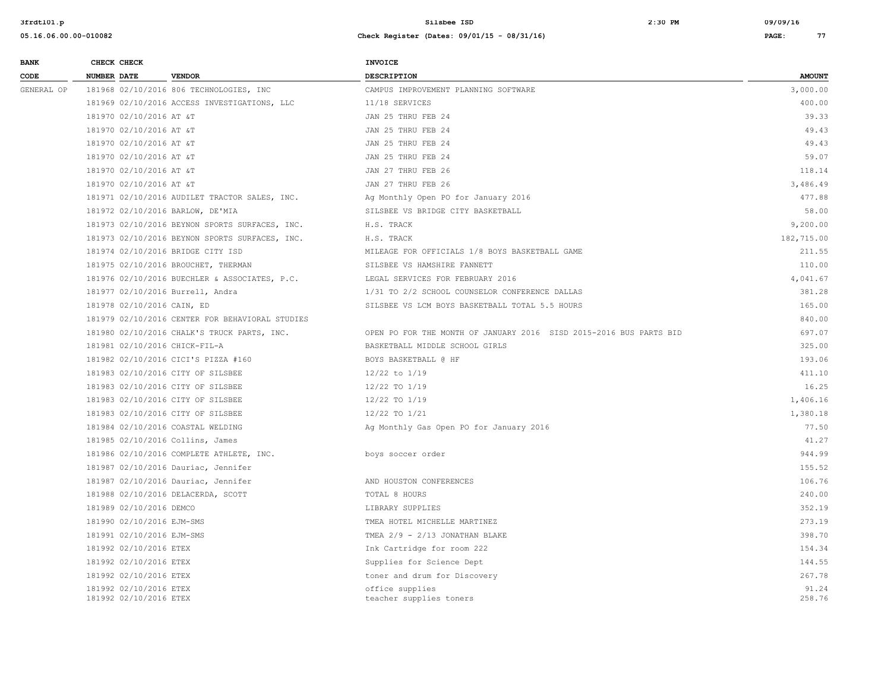| <b>BANK</b> | CHECK CHECK                                      |                                                 | <b>INVOICE</b>                                                     |                 |
|-------------|--------------------------------------------------|-------------------------------------------------|--------------------------------------------------------------------|-----------------|
| CODE        | <b>NUMBER DATE</b>                               | <b>VENDOR</b>                                   | <b>DESCRIPTION</b>                                                 | <b>AMOUNT</b>   |
| GENERAL OP  |                                                  | 181968 02/10/2016 806 TECHNOLOGIES, INC         | CAMPUS IMPROVEMENT PLANNING SOFTWARE                               | 3,000.00        |
|             |                                                  | 181969 02/10/2016 ACCESS INVESTIGATIONS, LLC    | 11/18 SERVICES                                                     | 400.00          |
|             | 181970 02/10/2016 AT &T                          |                                                 | JAN 25 THRU FEB 24                                                 | 39.33           |
|             | 181970 02/10/2016 AT &T                          |                                                 | JAN 25 THRU FEB 24                                                 | 49.43           |
|             | 181970 02/10/2016 AT &T                          |                                                 | JAN 25 THRU FEB 24                                                 | 49.43           |
|             | 181970 02/10/2016 AT &T                          |                                                 | JAN 25 THRU FEB 24                                                 | 59.07           |
|             | 181970 02/10/2016 AT &T                          |                                                 | JAN 27 THRU FEB 26                                                 | 118.14          |
|             | 181970 02/10/2016 AT &T                          |                                                 | JAN 27 THRU FEB 26                                                 | 3,486.49        |
|             |                                                  | 181971 02/10/2016 AUDILET TRACTOR SALES, INC.   | Ag Monthly Open PO for January 2016                                | 477.88          |
|             |                                                  | 181972 02/10/2016 BARLOW, DE'MIA                | SILSBEE VS BRIDGE CITY BASKETBALL                                  | 58.00           |
|             |                                                  | 181973 02/10/2016 BEYNON SPORTS SURFACES, INC.  | H.S. TRACK                                                         | 9,200.00        |
|             |                                                  | 181973 02/10/2016 BEYNON SPORTS SURFACES, INC.  | H.S. TRACK                                                         | 182,715.00      |
|             |                                                  | 181974 02/10/2016 BRIDGE CITY ISD               | MILEAGE FOR OFFICIALS 1/8 BOYS BASKETBALL GAME                     | 211.55          |
|             |                                                  | 181975 02/10/2016 BROUCHET, THERMAN             | SILSBEE VS HAMSHIRE FANNETT                                        | 110.00          |
|             |                                                  | 181976 02/10/2016 BUECHLER & ASSOCIATES, P.C.   | LEGAL SERVICES FOR FEBRUARY 2016                                   | 4,041.67        |
|             |                                                  | 181977 02/10/2016 Burrell, Andra                | 1/31 TO 2/2 SCHOOL COUNSELOR CONFERENCE DALLAS                     | 381.28          |
|             | 181978 02/10/2016 CAIN, ED                       |                                                 | SILSBEE VS LCM BOYS BASKETBALL TOTAL 5.5 HOURS                     | 165.00          |
|             |                                                  | 181979 02/10/2016 CENTER FOR BEHAVIORAL STUDIES |                                                                    | 840.00          |
|             |                                                  | 181980 02/10/2016 CHALK'S TRUCK PARTS, INC.     | OPEN PO FOR THE MONTH OF JANUARY 2016 SISD 2015-2016 BUS PARTS BID | 697.07          |
|             | 181981 02/10/2016 CHICK-FIL-A                    |                                                 | BASKETBALL MIDDLE SCHOOL GIRLS                                     | 325.00          |
|             |                                                  | 181982 02/10/2016 CICI'S PIZZA #160             | BOYS BASKETBALL @ HF                                               | 193.06          |
|             |                                                  | 181983 02/10/2016 CITY OF SILSBEE               | 12/22 to 1/19                                                      | 411.10          |
|             |                                                  | 181983 02/10/2016 CITY OF SILSBEE               | 12/22 TO 1/19                                                      | 16.25           |
|             |                                                  | 181983 02/10/2016 CITY OF SILSBEE               | 12/22 TO 1/19                                                      | 1,406.16        |
|             |                                                  | 181983 02/10/2016 CITY OF SILSBEE               | 12/22 TO 1/21                                                      | 1,380.18        |
|             |                                                  | 181984 02/10/2016 COASTAL WELDING               | Ag Monthly Gas Open PO for January 2016                            | 77.50           |
|             |                                                  | 181985 02/10/2016 Collins, James                |                                                                    | 41.27           |
|             |                                                  | 181986 02/10/2016 COMPLETE ATHLETE, INC.        | boys soccer order                                                  | 944.99          |
|             |                                                  | 181987 02/10/2016 Dauriac, Jennifer             |                                                                    | 155.52          |
|             |                                                  | 181987 02/10/2016 Dauriac, Jennifer             | AND HOUSTON CONFERENCES                                            | 106.76          |
|             |                                                  | 181988 02/10/2016 DELACERDA, SCOTT              | TOTAL 8 HOURS                                                      | 240.00          |
|             | 181989 02/10/2016 DEMCO                          |                                                 | LIBRARY SUPPLIES                                                   | 352.19          |
|             | 181990 02/10/2016 EJM-SMS                        |                                                 | TMEA HOTEL MICHELLE MARTINEZ                                       | 273.19          |
|             | 181991 02/10/2016 EJM-SMS                        |                                                 | TMEA $2/9$ - $2/13$ JONATHAN BLAKE                                 | 398.70          |
|             | 181992 02/10/2016 ETEX                           |                                                 | Ink Cartridge for room 222                                         | 154.34          |
|             | 181992 02/10/2016 ETEX                           |                                                 | Supplies for Science Dept                                          | 144.55          |
|             | 181992 02/10/2016 ETEX                           |                                                 | toner and drum for Discovery                                       | 267.78          |
|             | 181992 02/10/2016 ETEX<br>181992 02/10/2016 ETEX |                                                 | office supplies<br>teacher supplies toners                         | 91.24<br>258.76 |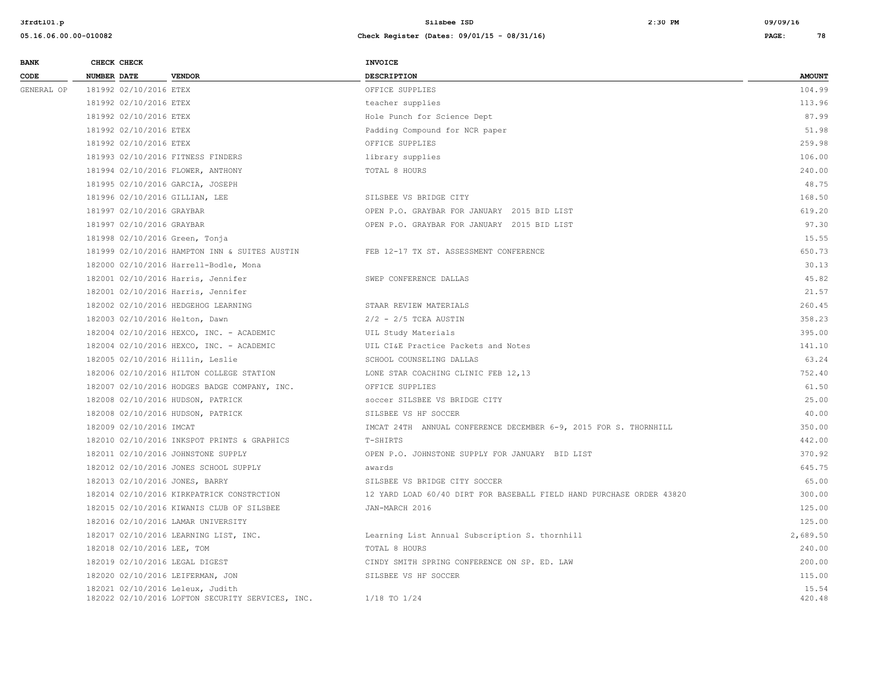| <b>BANK</b> | CHECK CHECK                    |                                                                                      | <b>INVOICE</b>                                                       |                 |
|-------------|--------------------------------|--------------------------------------------------------------------------------------|----------------------------------------------------------------------|-----------------|
| CODE        | <b>NUMBER DATE</b>             | <b>VENDOR</b>                                                                        | <b>DESCRIPTION</b>                                                   | <b>AMOUNT</b>   |
| GENERAL OP  | 181992 02/10/2016 ETEX         |                                                                                      | OFFICE SUPPLIES                                                      | 104.99          |
|             | 181992 02/10/2016 ETEX         |                                                                                      | teacher supplies                                                     | 113.96          |
|             | 181992 02/10/2016 ETEX         |                                                                                      | Hole Punch for Science Dept                                          | 87.99           |
|             | 181992 02/10/2016 ETEX         |                                                                                      | Padding Compound for NCR paper                                       | 51.98           |
|             | 181992 02/10/2016 ETEX         |                                                                                      | OFFICE SUPPLIES                                                      | 259.98          |
|             |                                | 181993 02/10/2016 FITNESS FINDERS                                                    | library supplies                                                     | 106.00          |
|             |                                | 181994 02/10/2016 FLOWER, ANTHONY                                                    | TOTAL 8 HOURS                                                        | 240.00          |
|             |                                | 181995 02/10/2016 GARCIA, JOSEPH                                                     |                                                                      | 48.75           |
|             | 181996 02/10/2016 GILLIAN, LEE |                                                                                      | SILSBEE VS BRIDGE CITY                                               | 168.50          |
|             | 181997 02/10/2016 GRAYBAR      |                                                                                      | OPEN P.O. GRAYBAR FOR JANUARY 2015 BID LIST                          | 619.20          |
|             | 181997 02/10/2016 GRAYBAR      |                                                                                      | OPEN P.O. GRAYBAR FOR JANUARY 2015 BID LIST                          | 97.30           |
|             | 181998 02/10/2016 Green, Tonja |                                                                                      |                                                                      | 15.55           |
|             |                                | 181999 02/10/2016 HAMPTON INN & SUITES AUSTIN                                        | FEB 12-17 TX ST. ASSESSMENT CONFERENCE                               | 650.73          |
|             |                                | 182000 02/10/2016 Harrell-Bodle, Mona                                                |                                                                      | 30.13           |
|             |                                | 182001 02/10/2016 Harris, Jennifer                                                   | SWEP CONFERENCE DALLAS                                               | 45.82           |
|             |                                | 182001 02/10/2016 Harris, Jennifer                                                   |                                                                      | 21.57           |
|             |                                | 182002 02/10/2016 HEDGEHOG LEARNING                                                  | STAAR REVIEW MATERIALS                                               | 260.45          |
|             | 182003 02/10/2016 Helton, Dawn |                                                                                      | $2/2$ - $2/5$ TCEA AUSTIN                                            | 358.23          |
|             |                                | 182004 02/10/2016 HEXCO, INC. - ACADEMIC                                             | UIL Study Materials                                                  | 395.00          |
|             |                                | 182004 02/10/2016 HEXCO, INC. - ACADEMIC                                             | UIL CI&E Practice Packets and Notes                                  | 141.10          |
|             |                                | 182005 02/10/2016 Hillin, Leslie                                                     | SCHOOL COUNSELING DALLAS                                             | 63.24           |
|             |                                | 182006 02/10/2016 HILTON COLLEGE STATION                                             | LONE STAR COACHING CLINIC FEB 12,13                                  | 752.40          |
|             |                                | 182007 02/10/2016 HODGES BADGE COMPANY, INC.                                         | OFFICE SUPPLIES                                                      | 61.50           |
|             |                                | 182008 02/10/2016 HUDSON, PATRICK                                                    | soccer SILSBEE VS BRIDGE CITY                                        | 25.00           |
|             |                                | 182008 02/10/2016 HUDSON, PATRICK                                                    | SILSBEE VS HF SOCCER                                                 | 40.00           |
|             | 182009 02/10/2016 IMCAT        |                                                                                      | IMCAT 24TH ANNUAL CONFERENCE DECEMBER 6-9, 2015 FOR S. THORNHILL     | 350.00          |
|             |                                | 182010 02/10/2016 INKSPOT PRINTS & GRAPHICS                                          | T-SHIRTS                                                             | 442.00          |
|             |                                | 182011 02/10/2016 JOHNSTONE SUPPLY                                                   | OPEN P.O. JOHNSTONE SUPPLY FOR JANUARY BID LIST                      | 370.92          |
|             |                                | 182012 02/10/2016 JONES SCHOOL SUPPLY                                                | awards                                                               | 645.75          |
|             | 182013 02/10/2016 JONES, BARRY |                                                                                      | SILSBEE VS BRIDGE CITY SOCCER                                        | 65.00           |
|             |                                | 182014 02/10/2016 KIRKPATRICK CONSTRCTION                                            | 12 YARD LOAD 60/40 DIRT FOR BASEBALL FIELD HAND PURCHASE ORDER 43820 | 300.00          |
|             |                                | 182015 02/10/2016 KIWANIS CLUB OF SILSBEE                                            | JAN-MARCH 2016                                                       | 125.00          |
|             |                                | 182016 02/10/2016 LAMAR UNIVERSITY                                                   |                                                                      | 125.00          |
|             |                                | 182017 02/10/2016 LEARNING LIST, INC.                                                | Learning List Annual Subscription S. thornhill                       | 2,689.50        |
|             | 182018 02/10/2016 LEE, TOM     |                                                                                      | TOTAL 8 HOURS                                                        | 240.00          |
|             | 182019 02/10/2016 LEGAL DIGEST |                                                                                      | CINDY SMITH SPRING CONFERENCE ON SP. ED. LAW                         | 200.00          |
|             |                                | 182020 02/10/2016 LEIFERMAN, JON                                                     | SILSBEE VS HF SOCCER                                                 | 115.00          |
|             |                                | 182021 02/10/2016 Leleux, Judith<br>182022 02/10/2016 LOFTON SECURITY SERVICES, INC. | $1/18$ TO $1/24$                                                     | 15.54<br>420.48 |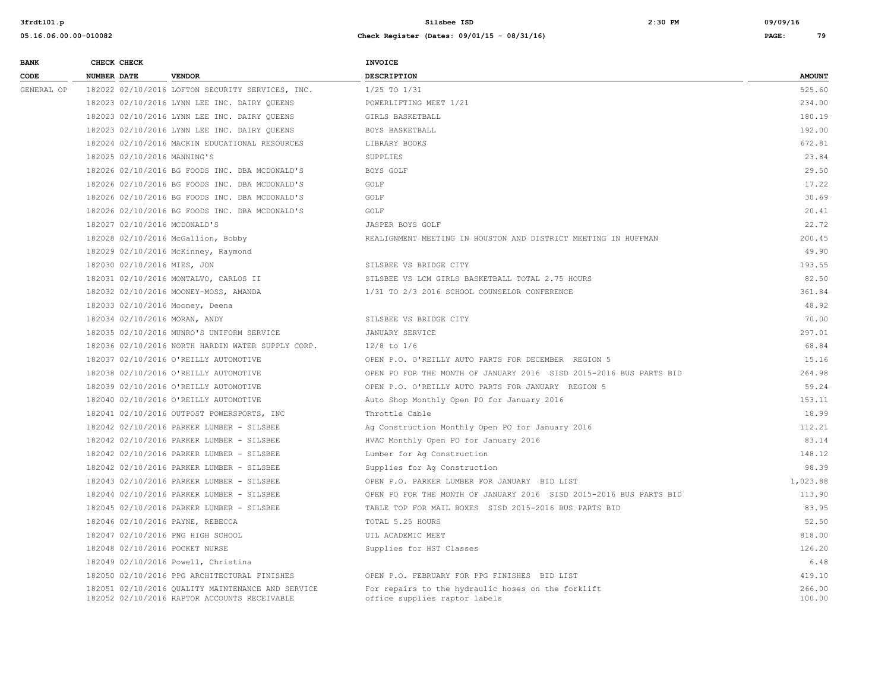| <b>BANK</b> | CHECK CHECK                       |                                                                                                   | <b>INVOICE</b>                                                                      |                  |
|-------------|-----------------------------------|---------------------------------------------------------------------------------------------------|-------------------------------------------------------------------------------------|------------------|
| CODE        | <b>NUMBER DATE</b>                | <b>VENDOR</b>                                                                                     | <b>DESCRIPTION</b>                                                                  | <b>AMOUNT</b>    |
| GENERAL OP  |                                   | 182022 02/10/2016 LOFTON SECURITY SERVICES, INC.                                                  | $1/25$ TO $1/31$                                                                    | 525.60           |
|             |                                   | 182023 02/10/2016 LYNN LEE INC. DAIRY OUEENS                                                      | POWERLIFTING MEET 1/21                                                              | 234.00           |
|             |                                   | 182023 02/10/2016 LYNN LEE INC. DAIRY QUEENS                                                      | GIRLS BASKETBALL                                                                    | 180.19           |
|             |                                   | 182023 02/10/2016 LYNN LEE INC. DAIRY QUEENS                                                      | BOYS BASKETBALL                                                                     | 192.00           |
|             |                                   | 182024 02/10/2016 MACKIN EDUCATIONAL RESOURCES                                                    | LIBRARY BOOKS                                                                       | 672.81           |
|             | 182025 02/10/2016 MANNING'S       |                                                                                                   | <b>SUPPLIES</b>                                                                     | 23.84            |
|             |                                   | 182026 02/10/2016 BG FOODS INC. DBA MCDONALD'S                                                    | BOYS GOLF                                                                           | 29.50            |
|             |                                   | 182026 02/10/2016 BG FOODS INC. DBA MCDONALD'S                                                    | GOLF                                                                                | 17.22            |
|             |                                   | 182026 02/10/2016 BG FOODS INC. DBA MCDONALD'S                                                    | GOLF                                                                                | 30.69            |
|             |                                   | 182026 02/10/2016 BG FOODS INC. DBA MCDONALD'S                                                    | GOLF                                                                                | 20.41            |
|             | 182027 02/10/2016 MCDONALD'S      |                                                                                                   | JASPER BOYS GOLF                                                                    | 22.72            |
|             |                                   | 182028 02/10/2016 McGallion, Bobby                                                                | REALIGNMENT MEETING IN HOUSTON AND DISTRICT MEETING IN HUFFMAN                      | 200.45           |
|             |                                   | 182029 02/10/2016 McKinney, Raymond                                                               |                                                                                     | 49.90            |
|             | 182030 02/10/2016 MIES, JON       |                                                                                                   | SILSBEE VS BRIDGE CITY                                                              | 193.55           |
|             |                                   | 182031 02/10/2016 MONTALVO, CARLOS II                                                             | SILSBEE VS LCM GIRLS BASKETBALL TOTAL 2.75 HOURS                                    | 82.50            |
|             |                                   | 182032 02/10/2016 MOONEY-MOSS, AMANDA                                                             | 1/31 TO 2/3 2016 SCHOOL COUNSELOR CONFERENCE                                        | 361.84           |
|             | 182033 02/10/2016 Mooney, Deena   |                                                                                                   |                                                                                     | 48.92            |
|             | 182034 02/10/2016 MORAN, ANDY     |                                                                                                   | SILSBEE VS BRIDGE CITY                                                              | 70.00            |
|             |                                   | 182035 02/10/2016 MUNRO'S UNIFORM SERVICE                                                         | JANUARY SERVICE                                                                     | 297.01           |
|             |                                   | 182036 02/10/2016 NORTH HARDIN WATER SUPPLY CORP.                                                 | $12/8$ to $1/6$                                                                     | 68.84            |
|             |                                   | 182037 02/10/2016 O'REILLY AUTOMOTIVE                                                             | OPEN P.O. O'REILLY AUTO PARTS FOR DECEMBER REGION 5                                 | 15.16            |
|             |                                   | 182038 02/10/2016 O'REILLY AUTOMOTIVE                                                             | OPEN PO FOR THE MONTH OF JANUARY 2016 SISD 2015-2016 BUS PARTS BID                  | 264.98           |
|             |                                   | 182039 02/10/2016 O'REILLY AUTOMOTIVE                                                             | OPEN P.O. O'REILLY AUTO PARTS FOR JANUARY REGION 5                                  | 59.24            |
|             |                                   | 182040 02/10/2016 O'REILLY AUTOMOTIVE                                                             | Auto Shop Monthly Open PO for January 2016                                          | 153.11           |
|             |                                   | 182041 02/10/2016 OUTPOST POWERSPORTS, INC                                                        | Throttle Cable                                                                      | 18.99            |
|             |                                   | 182042 02/10/2016 PARKER LUMBER - SILSBEE                                                         | Ag Construction Monthly Open PO for January 2016                                    | 112.21           |
|             |                                   | 182042 02/10/2016 PARKER LUMBER - SILSBEE                                                         | HVAC Monthly Open PO for January 2016                                               | 83.14            |
|             |                                   | 182042 02/10/2016 PARKER LUMBER - SILSBEE                                                         | Lumber for Aq Construction                                                          | 148.12           |
|             |                                   | 182042 02/10/2016 PARKER LUMBER - SILSBEE                                                         | Supplies for Ag Construction                                                        | 98.39            |
|             |                                   | 182043 02/10/2016 PARKER LUMBER - SILSBEE                                                         | OPEN P.O. PARKER LUMBER FOR JANUARY BID LIST                                        | 1,023.88         |
|             |                                   | 182044 02/10/2016 PARKER LUMBER - SILSBEE                                                         | OPEN PO FOR THE MONTH OF JANUARY 2016 SISD 2015-2016 BUS PARTS BID                  | 113.90           |
|             |                                   | 182045 02/10/2016 PARKER LUMBER - SILSBEE                                                         | TABLE TOP FOR MAIL BOXES SISD 2015-2016 BUS PARTS BID                               | 83.95            |
|             | 182046 02/10/2016 PAYNE, REBECCA  |                                                                                                   | TOTAL 5.25 HOURS                                                                    | 52.50            |
|             | 182047 02/10/2016 PNG HIGH SCHOOL |                                                                                                   | UIL ACADEMIC MEET                                                                   | 818.00           |
|             | 182048 02/10/2016 POCKET NURSE    |                                                                                                   | Supplies for HST Classes                                                            | 126.20           |
|             |                                   | 182049 02/10/2016 Powell, Christina                                                               |                                                                                     | 6.48             |
|             |                                   | 182050 02/10/2016 PPG ARCHITECTURAL FINISHES                                                      | OPEN P.O. FEBRUARY FOR PPG FINISHES BID LIST                                        | 419.10           |
|             |                                   | 182051 02/10/2016 QUALITY MAINTENANCE AND SERVICE<br>182052 02/10/2016 RAPTOR ACCOUNTS RECEIVABLE | For repairs to the hydraulic hoses on the forklift<br>office supplies raptor labels | 266.00<br>100.00 |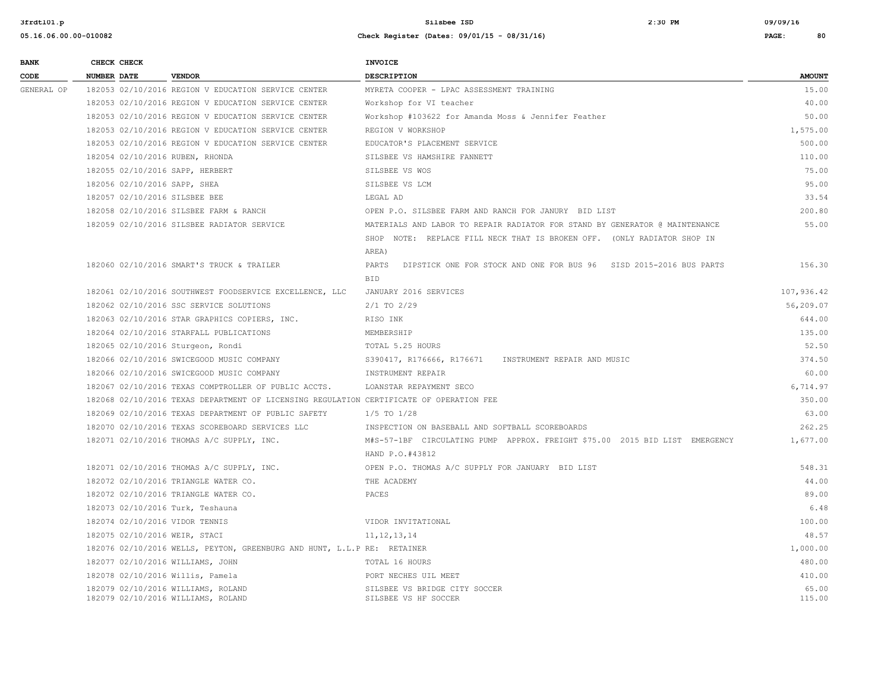| <b>BANK</b> | CHECK CHECK                                                              |                                                                                         | <b>INVOICE</b>                                                              |                 |
|-------------|--------------------------------------------------------------------------|-----------------------------------------------------------------------------------------|-----------------------------------------------------------------------------|-----------------|
| CODE        | NUMBER DATE                                                              | <b>VENDOR</b>                                                                           | DESCRIPTION                                                                 | <b>AMOUNT</b>   |
| GENERAL OP  |                                                                          | 182053 02/10/2016 REGION V EDUCATION SERVICE CENTER                                     | MYRETA COOPER - LPAC ASSESSMENT TRAINING                                    | 15.00           |
|             |                                                                          | 182053 02/10/2016 REGION V EDUCATION SERVICE CENTER                                     | Workshop for VI teacher                                                     | 40.00           |
|             |                                                                          | 182053 02/10/2016 REGION V EDUCATION SERVICE CENTER                                     | Workshop #103622 for Amanda Moss & Jennifer Feather                         | 50.00           |
|             |                                                                          | 182053 02/10/2016 REGION V EDUCATION SERVICE CENTER                                     | REGION V WORKSHOP                                                           | 1,575.00        |
|             |                                                                          | 182053 02/10/2016 REGION V EDUCATION SERVICE CENTER                                     | EDUCATOR'S PLACEMENT SERVICE                                                | 500.00          |
|             | 182054 02/10/2016 RUBEN, RHONDA                                          |                                                                                         | SILSBEE VS HAMSHIRE FANNETT                                                 | 110.00          |
|             | 182055 02/10/2016 SAPP, HERBERT                                          |                                                                                         | SILSBEE VS WOS                                                              | 75.00           |
|             | 182056 02/10/2016 SAPP, SHEA                                             |                                                                                         | SILSBEE VS LCM                                                              | 95.00           |
|             | 182057 02/10/2016 SILSBEE BEE                                            |                                                                                         | LEGAL AD                                                                    | 33.54           |
|             |                                                                          | 182058 02/10/2016 SILSBEE FARM & RANCH                                                  | OPEN P.O. SILSBEE FARM AND RANCH FOR JANURY BID LIST                        | 200.80          |
|             |                                                                          | 182059 02/10/2016 SILSBEE RADIATOR SERVICE                                              | MATERIALS AND LABOR TO REPAIR RADIATOR FOR STAND BY GENERATOR @ MAINTENANCE | 55.00           |
|             |                                                                          |                                                                                         | SHOP NOTE: REPLACE FILL NECK THAT IS BROKEN OFF. (ONLY RADIATOR SHOP IN     |                 |
|             |                                                                          |                                                                                         | AREA)                                                                       |                 |
|             |                                                                          | 182060 02/10/2016 SMART'S TRUCK & TRAILER                                               | PARTS<br>DIPSTICK ONE FOR STOCK AND ONE FOR BUS 96 SISD 2015-2016 BUS PARTS | 156.30          |
|             |                                                                          |                                                                                         | BID                                                                         |                 |
|             |                                                                          | 182061 02/10/2016 SOUTHWEST FOODSERVICE EXCELLENCE, LLC                                 | JANUARY 2016 SERVICES                                                       | 107,936.42      |
|             |                                                                          | 182062 02/10/2016 SSC SERVICE SOLUTIONS                                                 | $2/1$ TO $2/29$                                                             | 56,209.07       |
|             |                                                                          | 182063 02/10/2016 STAR GRAPHICS COPIERS, INC.                                           | RISO INK                                                                    | 644.00          |
|             |                                                                          | 182064 02/10/2016 STARFALL PUBLICATIONS                                                 | MEMBERSHIP                                                                  | 135.00          |
|             | 182065 02/10/2016 Sturgeon, Rondi                                        |                                                                                         | TOTAL 5.25 HOURS                                                            | 52.50           |
|             |                                                                          | 182066 02/10/2016 SWICEGOOD MUSIC COMPANY                                               | S390417, R176666, R176671 INSTRUMENT REPAIR AND MUSIC                       | 374.50          |
|             |                                                                          | 182066 02/10/2016 SWICEGOOD MUSIC COMPANY                                               | INSTRUMENT REPAIR                                                           | 60.00           |
|             |                                                                          | 182067 02/10/2016 TEXAS COMPTROLLER OF PUBLIC ACCTS.                                    | LOANSTAR REPAYMENT SECO                                                     | 6,714.97        |
|             |                                                                          | 182068 02/10/2016 TEXAS DEPARTMENT OF LICENSING REGULATION CERTIFICATE OF OPERATION FEE |                                                                             | 350.00          |
|             |                                                                          | 182069 02/10/2016 TEXAS DEPARTMENT OF PUBLIC SAFETY                                     | $1/5$ TO $1/28$                                                             | 63.00           |
|             |                                                                          | 182070 02/10/2016 TEXAS SCOREBOARD SERVICES LLC                                         | INSPECTION ON BASEBALL AND SOFTBALL SCOREBOARDS                             | 262.25          |
|             |                                                                          | 182071 02/10/2016 THOMAS A/C SUPPLY, INC.                                               | M#S-57-1BF CIRCULATING PUMP APPROX. FREIGHT \$75.00 2015 BID LIST EMERGENCY | 1,677.00        |
|             |                                                                          |                                                                                         | HAND P.O.#43812                                                             |                 |
|             |                                                                          | 182071 02/10/2016 THOMAS A/C SUPPLY, INC.                                               | OPEN P.O. THOMAS A/C SUPPLY FOR JANUARY BID LIST                            | 548.31          |
|             |                                                                          | 182072 02/10/2016 TRIANGLE WATER CO.                                                    | THE ACADEMY                                                                 | 44.00           |
|             |                                                                          | 182072 02/10/2016 TRIANGLE WATER CO.                                                    | PACES                                                                       | 89.00           |
|             | 182073 02/10/2016 Turk, Teshauna                                         |                                                                                         |                                                                             | 6.48            |
|             | 182074 02/10/2016 VIDOR TENNIS                                           |                                                                                         | VIDOR INVITATIONAL                                                          | 100.00          |
|             | 182075 02/10/2016 WEIR, STACI                                            |                                                                                         | 11, 12, 13, 14                                                              | 48.57           |
|             |                                                                          | 182076 02/10/2016 WELLS, PEYTON, GREENBURG AND HUNT, L.L.P RE: RETAINER                 |                                                                             | 1,000.00        |
|             | 182077 02/10/2016 WILLIAMS, JOHN                                         |                                                                                         | TOTAL 16 HOURS                                                              | 480.00          |
|             | 182078 02/10/2016 Willis, Pamela                                         |                                                                                         | PORT NECHES UIL MEET                                                        | 410.00          |
|             | 182079 02/10/2016 WILLIAMS, ROLAND<br>182079 02/10/2016 WILLIAMS, ROLAND |                                                                                         | SILSBEE VS BRIDGE CITY SOCCER<br>SILSBEE VS HF SOCCER                       | 65.00<br>115.00 |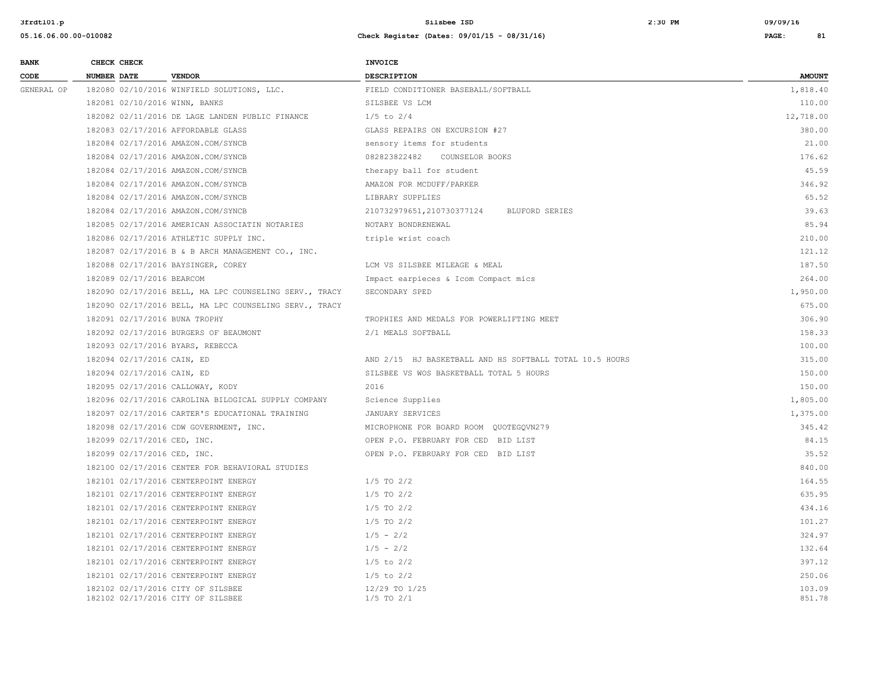| <b>BANK</b> |                    | CHECK CHECK                 |                                                                        | INVOICE                                                 |                  |
|-------------|--------------------|-----------------------------|------------------------------------------------------------------------|---------------------------------------------------------|------------------|
| CODE        | <b>NUMBER DATE</b> |                             | <b>VENDOR</b>                                                          | <b>DESCRIPTION</b>                                      | <b>AMOUNT</b>    |
| GENERAL OP  |                    |                             | 182080 02/10/2016 WINFIELD SOLUTIONS, LLC.                             | FIELD CONDITIONER BASEBALL/SOFTBALL                     | 1,818.40         |
|             |                    |                             | 182081 02/10/2016 WINN, BANKS                                          | SILSBEE VS LCM                                          | 110.00           |
|             |                    |                             | 182082 02/11/2016 DE LAGE LANDEN PUBLIC FINANCE                        | $1/5$ to $2/4$                                          | 12,718.00        |
|             |                    |                             | 182083 02/17/2016 AFFORDABLE GLASS                                     | GLASS REPAIRS ON EXCURSION #27                          | 380.00           |
|             |                    |                             | 182084 02/17/2016 AMAZON.COM/SYNCB                                     | sensory items for students                              | 21.00            |
|             |                    |                             | 182084 02/17/2016 AMAZON.COM/SYNCB                                     | 082823822482 COUNSELOR BOOKS                            | 176.62           |
|             |                    |                             | 182084 02/17/2016 AMAZON.COM/SYNCB                                     | therapy ball for student                                | 45.59            |
|             |                    |                             | 182084 02/17/2016 AMAZON.COM/SYNCB                                     | AMAZON FOR MCDUFF/PARKER                                | 346.92           |
|             |                    |                             | 182084 02/17/2016 AMAZON.COM/SYNCB                                     | LIBRARY SUPPLIES                                        | 65.52            |
|             |                    |                             | 182084 02/17/2016 AMAZON.COM/SYNCB                                     | 210732979651,210730377124<br>BLUFORD SERIES             | 39.63            |
|             |                    |                             | 182085 02/17/2016 AMERICAN ASSOCIATIN NOTARIES                         | NOTARY BONDRENEWAL                                      | 85.94            |
|             |                    |                             | 182086 02/17/2016 ATHLETIC SUPPLY INC.                                 | triple wrist coach                                      | 210.00           |
|             |                    |                             | 182087 02/17/2016 B & B ARCH MANAGEMENT CO., INC.                      |                                                         | 121.12           |
|             |                    |                             | 182088 02/17/2016 BAYSINGER, COREY                                     | LCM VS SILSBEE MILEAGE & MEAL                           | 187.50           |
|             |                    | 182089 02/17/2016 BEARCOM   |                                                                        | Impact earpieces & Icom Compact mics                    | 264.00           |
|             |                    |                             | 182090 02/17/2016 BELL, MA LPC COUNSELING SERV., TRACY                 | SECONDARY SPED                                          | 1,950.00         |
|             |                    |                             | 182090 02/17/2016 BELL, MA LPC COUNSELING SERV., TRACY                 |                                                         | 675.00           |
|             |                    |                             | 182091 02/17/2016 BUNA TROPHY                                          | TROPHIES AND MEDALS FOR POWERLIFTING MEET               | 306.90           |
|             |                    |                             | 182092 02/17/2016 BURGERS OF BEAUMONT                                  | 2/1 MEALS SOFTBALL                                      | 158.33           |
|             |                    |                             | 182093 02/17/2016 BYARS, REBECCA                                       |                                                         | 100.00           |
|             |                    | 182094 02/17/2016 CAIN, ED  |                                                                        | AND 2/15 HJ BASKETBALL AND HS SOFTBALL TOTAL 10.5 HOURS | 315.00           |
|             |                    | 182094 02/17/2016 CAIN, ED  |                                                                        | SILSBEE VS WOS BASKETBALL TOTAL 5 HOURS                 | 150.00           |
|             |                    |                             | 182095 02/17/2016 CALLOWAY, KODY                                       | 2016                                                    | 150.00           |
|             |                    |                             | 182096 02/17/2016 CAROLINA BILOGICAL SUPPLY COMPANY                    | Science Supplies                                        | 1,805.00         |
|             |                    |                             | 182097 02/17/2016 CARTER'S EDUCATIONAL TRAINING                        | JANUARY SERVICES                                        | 1,375.00         |
|             |                    |                             | 182098 02/17/2016 CDW GOVERNMENT, INC.                                 | MICROPHONE FOR BOARD ROOM QUOTEGQVN279                  | 345.42           |
|             |                    | 182099 02/17/2016 CED, INC. |                                                                        | OPEN P.O. FEBRUARY FOR CED BID LIST                     | 84.15            |
|             |                    | 182099 02/17/2016 CED, INC. |                                                                        | OPEN P.O. FEBRUARY FOR CED BID LIST                     | 35.52            |
|             |                    |                             | 182100 02/17/2016 CENTER FOR BEHAVIORAL STUDIES                        |                                                         | 840.00           |
|             |                    |                             | 182101 02/17/2016 CENTERPOINT ENERGY                                   | $1/5$ TO $2/2$                                          | 164.55           |
|             |                    |                             | 182101 02/17/2016 CENTERPOINT ENERGY                                   | $1/5$ TO $2/2$                                          | 635.95           |
|             |                    |                             | 182101 02/17/2016 CENTERPOINT ENERGY                                   | $1/5$ TO $2/2$                                          | 434.16           |
|             |                    |                             | 182101 02/17/2016 CENTERPOINT ENERGY                                   | $1/5$ TO $2/2$                                          | 101.27           |
|             |                    |                             | 182101 02/17/2016 CENTERPOINT ENERGY                                   | $1/5 - 2/2$                                             | 324.97           |
|             |                    |                             | 182101 02/17/2016 CENTERPOINT ENERGY                                   | $1/5 - 2/2$                                             | 132.64           |
|             |                    |                             | 182101 02/17/2016 CENTERPOINT ENERGY                                   | $1/5$ to $2/2$                                          | 397.12           |
|             |                    |                             | 182101 02/17/2016 CENTERPOINT ENERGY                                   | $1/5$ to $2/2$                                          | 250.06           |
|             |                    |                             | 182102 02/17/2016 CITY OF SILSBEE<br>182102 02/17/2016 CITY OF SILSBEE | 12/29 TO 1/25<br>$1/5$ TO $2/1$                         | 103.09<br>851.78 |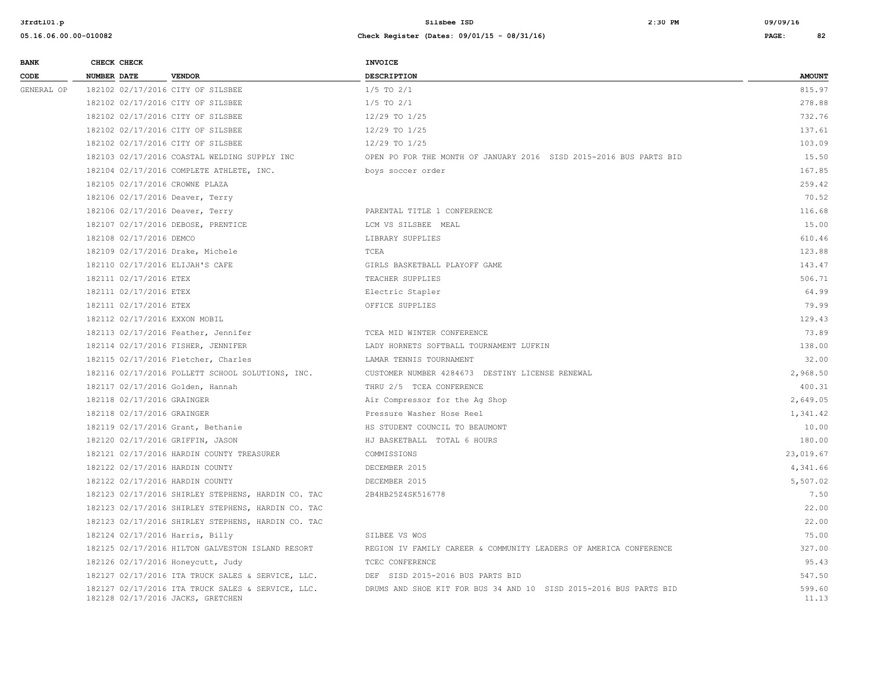| <b>BANK</b> | CHECK CHECK                       |                                                    | <b>INVOICE</b>                                                     |                 |
|-------------|-----------------------------------|----------------------------------------------------|--------------------------------------------------------------------|-----------------|
| CODE        | NUMBER DATE                       | <b>VENDOR</b>                                      | <b>DESCRIPTION</b>                                                 | <b>AMOUNT</b>   |
| GENERAL OP  | 182102 02/17/2016 CITY OF SILSBEE |                                                    | $1/5$ TO $2/1$                                                     | 815.97          |
|             | 182102 02/17/2016 CITY OF SILSBEE |                                                    | $1/5$ TO $2/1$                                                     | 278.88          |
|             | 182102 02/17/2016 CITY OF SILSBEE |                                                    | 12/29 TO 1/25                                                      | 732.76          |
|             | 182102 02/17/2016 CITY OF SILSBEE |                                                    | 12/29 TO 1/25                                                      | 137.61          |
|             | 182102 02/17/2016 CITY OF SILSBEE |                                                    | 12/29 TO 1/25                                                      | 103.09          |
|             |                                   | 182103 02/17/2016 COASTAL WELDING SUPPLY INC       | OPEN PO FOR THE MONTH OF JANUARY 2016 SISD 2015-2016 BUS PARTS BID | 15.50           |
|             |                                   | 182104 02/17/2016 COMPLETE ATHLETE, INC.           | boys soccer order                                                  | 167.85          |
|             | 182105 02/17/2016 CROWNE PLAZA    |                                                    |                                                                    | 259.42          |
|             | 182106 02/17/2016 Deaver, Terry   |                                                    |                                                                    | 70.52           |
|             | 182106 02/17/2016 Deaver, Terry   |                                                    | PARENTAL TITLE 1 CONFERENCE                                        | 116.68          |
|             |                                   | 182107 02/17/2016 DEBOSE, PRENTICE                 | LCM VS SILSBEE MEAL                                                | 15.00           |
|             | 182108 02/17/2016 DEMCO           |                                                    | LIBRARY SUPPLIES                                                   | 610.46          |
|             | 182109 02/17/2016 Drake, Michele  |                                                    | TCEA                                                               | 123.88          |
|             | 182110 02/17/2016 ELIJAH'S CAFE   |                                                    | GIRLS BASKETBALL PLAYOFF GAME                                      | 143.47          |
|             | 182111 02/17/2016 ETEX            |                                                    | TEACHER SUPPLIES                                                   | 506.71          |
|             | 182111 02/17/2016 ETEX            |                                                    | Electric Stapler                                                   | 64.99           |
|             | 182111 02/17/2016 ETEX            |                                                    | OFFICE SUPPLIES                                                    | 79.99           |
|             | 182112 02/17/2016 EXXON MOBIL     |                                                    |                                                                    | 129.43          |
|             |                                   | 182113 02/17/2016 Feather, Jennifer                | TCEA MID WINTER CONFERENCE                                         | 73.89           |
|             |                                   | 182114 02/17/2016 FISHER, JENNIFER                 | LADY HORNETS SOFTBALL TOURNAMENT LUFKIN                            | 138.00          |
|             |                                   | 182115 02/17/2016 Fletcher, Charles                | LAMAR TENNIS TOURNAMENT                                            | 32.00           |
|             |                                   | 182116 02/17/2016 FOLLETT SCHOOL SOLUTIONS, INC.   | CUSTOMER NUMBER 4284673 DESTINY LICENSE RENEWAL                    | 2,968.50        |
|             | 182117 02/17/2016 Golden, Hannah  |                                                    | THRU 2/5 TCEA CONFERENCE                                           | 400.31          |
|             | 182118 02/17/2016 GRAINGER        |                                                    | Air Compressor for the Ag Shop                                     | 2,649.05        |
|             | 182118 02/17/2016 GRAINGER        |                                                    | Pressure Washer Hose Reel                                          | 1,341.42        |
|             | 182119 02/17/2016 Grant, Bethanie |                                                    | HS STUDENT COUNCIL TO BEAUMONT                                     | 10.00           |
|             | 182120 02/17/2016 GRIFFIN, JASON  |                                                    | HJ BASKETBALL TOTAL 6 HOURS                                        | 180.00          |
|             |                                   | 182121 02/17/2016 HARDIN COUNTY TREASURER          | COMMISSIONS                                                        | 23,019.67       |
|             | 182122 02/17/2016 HARDIN COUNTY   |                                                    | DECEMBER 2015                                                      | 4,341.66        |
|             | 182122 02/17/2016 HARDIN COUNTY   |                                                    | DECEMBER 2015                                                      | 5,507.02        |
|             |                                   | 182123 02/17/2016 SHIRLEY STEPHENS, HARDIN CO. TAC | 2B4HB25Z4SK516778                                                  | 7.50            |
|             |                                   | 182123 02/17/2016 SHIRLEY STEPHENS, HARDIN CO. TAC |                                                                    | 22.00           |
|             |                                   | 182123 02/17/2016 SHIRLEY STEPHENS, HARDIN CO. TAC |                                                                    | 22.00           |
|             | 182124 02/17/2016 Harris, Billy   |                                                    | SILBEE VS WOS                                                      | 75.00           |
|             |                                   | 182125 02/17/2016 HILTON GALVESTON ISLAND RESORT   | REGION IV FAMILY CAREER & COMMUNITY LEADERS OF AMERICA CONFERENCE  | 327.00          |
|             | 182126 02/17/2016 Honeycutt, Judy |                                                    | TCEC CONFERENCE                                                    | 95.43           |
|             |                                   | 182127 02/17/2016 ITA TRUCK SALES & SERVICE, LLC.  | DEF SISD 2015-2016 BUS PARTS BID                                   | 547.50          |
|             | 182128 02/17/2016 JACKS, GRETCHEN | 182127 02/17/2016 ITA TRUCK SALES & SERVICE, LLC.  | DRUMS AND SHOE KIT FOR BUS 34 AND 10 SISD 2015-2016 BUS PARTS BID  | 599.60<br>11.13 |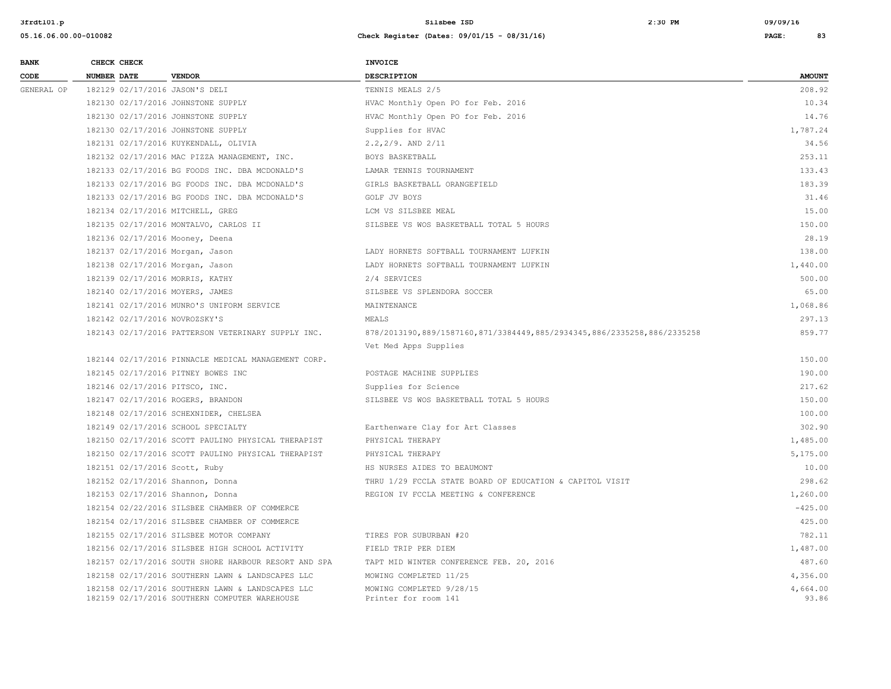| <b>BANK</b> | CHECK CHECK                        |                                                                                                   | <b>INVOICE</b>                                                          |                   |
|-------------|------------------------------------|---------------------------------------------------------------------------------------------------|-------------------------------------------------------------------------|-------------------|
| CODE        | <b>NUMBER DATE</b>                 | <b>VENDOR</b>                                                                                     | <b>DESCRIPTION</b>                                                      | <b>AMOUNT</b>     |
| GENERAL OP  | 182129 02/17/2016 JASON'S DELI     |                                                                                                   | TENNIS MEALS 2/5                                                        | 208.92            |
|             | 182130 02/17/2016 JOHNSTONE SUPPLY |                                                                                                   | HVAC Monthly Open PO for Feb. 2016                                      | 10.34             |
|             | 182130 02/17/2016 JOHNSTONE SUPPLY |                                                                                                   | HVAC Monthly Open PO for Feb. 2016                                      | 14.76             |
|             |                                    | 182130 02/17/2016 JOHNSTONE SUPPLY                                                                | Supplies for HVAC                                                       | 1,787.24          |
|             |                                    | 182131 02/17/2016 KUYKENDALL, OLIVIA                                                              | $2.2, 2/9$ . AND $2/11$                                                 | 34.56             |
|             |                                    | 182132 02/17/2016 MAC PIZZA MANAGEMENT, INC.                                                      | BOYS BASKETBALL                                                         | 253.11            |
|             |                                    | 182133 02/17/2016 BG FOODS INC. DBA MCDONALD'S                                                    | LAMAR TENNIS TOURNAMENT                                                 | 133.43            |
|             |                                    | 182133 02/17/2016 BG FOODS INC. DBA MCDONALD'S                                                    | GIRLS BASKETBALL ORANGEFIELD                                            | 183.39            |
|             |                                    | 182133 02/17/2016 BG FOODS INC. DBA MCDONALD'S                                                    | GOLF JV BOYS                                                            | 31.46             |
|             | 182134 02/17/2016 MITCHELL, GREG   |                                                                                                   | LCM VS SILSBEE MEAL                                                     | 15.00             |
|             |                                    | 182135 02/17/2016 MONTALVO, CARLOS II                                                             | SILSBEE VS WOS BASKETBALL TOTAL 5 HOURS                                 | 150.00            |
|             | 182136 02/17/2016 Mooney, Deena    |                                                                                                   |                                                                         | 28.19             |
|             | 182137 02/17/2016 Morgan, Jason    |                                                                                                   | LADY HORNETS SOFTBALL TOURNAMENT LUFKIN                                 | 138.00            |
|             | 182138 02/17/2016 Morgan, Jason    |                                                                                                   | LADY HORNETS SOFTBALL TOURNAMENT LUFKIN                                 | 1,440.00          |
|             | 182139 02/17/2016 MORRIS, KATHY    |                                                                                                   | 2/4 SERVICES                                                            | 500.00            |
|             | 182140 02/17/2016 MOYERS, JAMES    |                                                                                                   | SILSBEE VS SPLENDORA SOCCER                                             | 65.00             |
|             |                                    | 182141 02/17/2016 MUNRO'S UNIFORM SERVICE                                                         | MAINTENANCE                                                             | 1,068.86          |
|             | 182142 02/17/2016 NOVROZSKY'S      |                                                                                                   | MEALS                                                                   | 297.13            |
|             |                                    | 182143 02/17/2016 PATTERSON VETERINARY SUPPLY INC.                                                | 878/2013190,889/1587160,871/3384449,885/2934345,886/2335258,886/2335258 | 859.77            |
|             |                                    |                                                                                                   | Vet Med Apps Supplies                                                   |                   |
|             |                                    | 182144 02/17/2016 PINNACLE MEDICAL MANAGEMENT CORP.                                               |                                                                         | 150.00            |
|             | 182145 02/17/2016 PITNEY BOWES INC |                                                                                                   | POSTAGE MACHINE SUPPLIES                                                | 190.00            |
|             | 182146 02/17/2016 PITSCO, INC.     |                                                                                                   | Supplies for Science                                                    | 217.62            |
|             | 182147 02/17/2016 ROGERS, BRANDON  |                                                                                                   | SILSBEE VS WOS BASKETBALL TOTAL 5 HOURS                                 | 150.00            |
|             |                                    | 182148 02/17/2016 SCHEXNIDER, CHELSEA                                                             |                                                                         | 100.00            |
|             | 182149 02/17/2016 SCHOOL SPECIALTY |                                                                                                   | Earthenware Clay for Art Classes                                        | 302.90            |
|             |                                    | 182150 02/17/2016 SCOTT PAULINO PHYSICAL THERAPIST                                                | PHYSICAL THERAPY                                                        | 1,485.00          |
|             |                                    | 182150 02/17/2016 SCOTT PAULINO PHYSICAL THERAPIST                                                | PHYSICAL THERAPY                                                        | 5,175.00          |
|             | 182151 02/17/2016 Scott, Ruby      |                                                                                                   | HS NURSES AIDES TO BEAUMONT                                             | 10.00             |
|             | 182152 02/17/2016 Shannon, Donna   |                                                                                                   | THRU 1/29 FCCLA STATE BOARD OF EDUCATION & CAPITOL VISIT                | 298.62            |
|             | 182153 02/17/2016 Shannon, Donna   |                                                                                                   | REGION IV FCCLA MEETING & CONFERENCE                                    | 1,260.00          |
|             |                                    | 182154 02/22/2016 SILSBEE CHAMBER OF COMMERCE                                                     |                                                                         | $-425.00$         |
|             |                                    | 182154 02/17/2016 SILSBEE CHAMBER OF COMMERCE                                                     |                                                                         | 425.00            |
|             |                                    | 182155 02/17/2016 SILSBEE MOTOR COMPANY                                                           | TIRES FOR SUBURBAN #20                                                  | 782.11            |
|             |                                    | 182156 02/17/2016 SILSBEE HIGH SCHOOL ACTIVITY                                                    | FIELD TRIP PER DIEM                                                     | 1,487.00          |
|             |                                    | 182157 02/17/2016 SOUTH SHORE HARBOUR RESORT AND SPA                                              | TAPT MID WINTER CONFERENCE FEB. 20, 2016                                | 487.60            |
|             |                                    | 182158 02/17/2016 SOUTHERN LAWN & LANDSCAPES LLC                                                  | MOWING COMPLETED 11/25                                                  | 4,356.00          |
|             |                                    | 182158 02/17/2016 SOUTHERN LAWN & LANDSCAPES LLC<br>182159 02/17/2016 SOUTHERN COMPUTER WAREHOUSE | MOWING COMPLETED 9/28/15<br>Printer for room 141                        | 4,664.00<br>93.86 |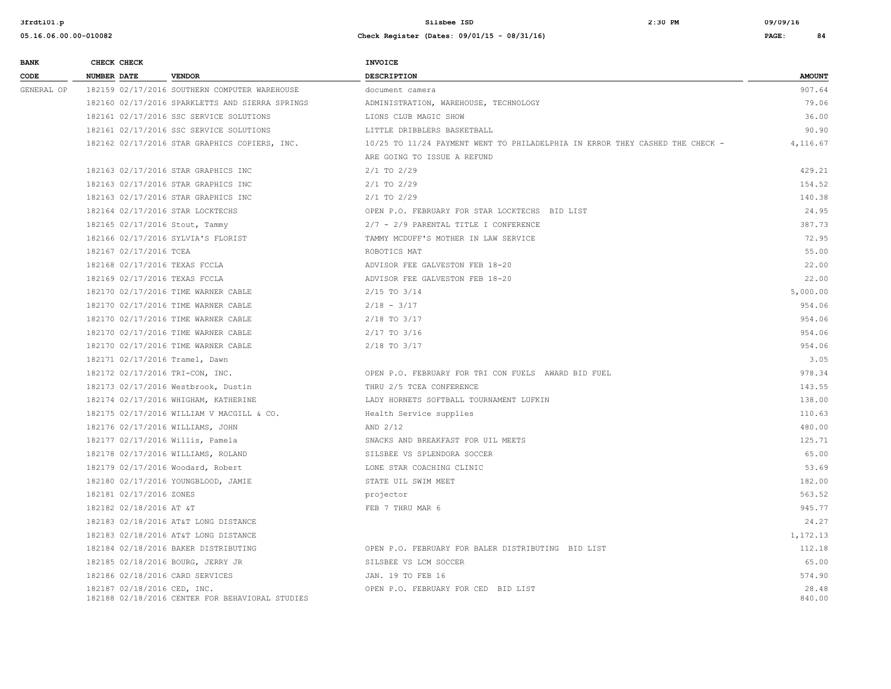| <b>BANK</b> | CHECK CHECK                       |                                                 | <b>INVOICE</b>                                                               |                 |
|-------------|-----------------------------------|-------------------------------------------------|------------------------------------------------------------------------------|-----------------|
| CODE        | <b>NUMBER DATE</b>                | <b>VENDOR</b>                                   | <b>DESCRIPTION</b>                                                           | <b>AMOUNT</b>   |
| GENERAL OP  |                                   | 182159 02/17/2016 SOUTHERN COMPUTER WAREHOUSE   | document camera                                                              | 907.64          |
|             |                                   | 182160 02/17/2016 SPARKLETTS AND SIERRA SPRINGS | ADMINISTRATION, WAREHOUSE, TECHNOLOGY                                        | 79.06           |
|             |                                   | 182161 02/17/2016 SSC SERVICE SOLUTIONS         | LIONS CLUB MAGIC SHOW                                                        | 36.00           |
|             |                                   | 182161 02/17/2016 SSC SERVICE SOLUTIONS         | LITTLE DRIBBLERS BASKETBALL                                                  | 90.90           |
|             |                                   | 182162 02/17/2016 STAR GRAPHICS COPIERS, INC.   | 10/25 TO 11/24 PAYMENT WENT TO PHILADELPHIA IN ERROR THEY CASHED THE CHECK - | 4,116.67        |
|             |                                   |                                                 | ARE GOING TO ISSUE A REFUND                                                  |                 |
|             |                                   | 182163 02/17/2016 STAR GRAPHICS INC             | $2/1$ TO $2/29$                                                              | 429.21          |
|             |                                   | 182163 02/17/2016 STAR GRAPHICS INC             | $2/1$ TO $2/29$                                                              | 154.52          |
|             |                                   | 182163 02/17/2016 STAR GRAPHICS INC             | $2/1$ TO $2/29$                                                              | 140.38          |
|             | 182164 02/17/2016 STAR LOCKTECHS  |                                                 | OPEN P.O. FEBRUARY FOR STAR LOCKTECHS BID LIST                               | 24.95           |
|             | 182165 02/17/2016 Stout, Tammy    |                                                 | 2/7 - 2/9 PARENTAL TITLE I CONFERENCE                                        | 387.73          |
|             |                                   | 182166 02/17/2016 SYLVIA'S FLORIST              | TAMMY MCDUFF'S MOTHER IN LAW SERVICE                                         | 72.95           |
|             | 182167 02/17/2016 TCEA            |                                                 | ROBOTICS MAT                                                                 | 55.00           |
|             | 182168 02/17/2016 TEXAS FCCLA     |                                                 | ADVISOR FEE GALVESTON FEB 18-20                                              | 22.00           |
|             | 182169 02/17/2016 TEXAS FCCLA     |                                                 | ADVISOR FEE GALVESTON FEB 18-20                                              | 22.00           |
|             |                                   | 182170 02/17/2016 TIME WARNER CABLE             | $2/15$ TO $3/14$                                                             | 5,000.00        |
|             |                                   | 182170 02/17/2016 TIME WARNER CABLE             | $2/18 - 3/17$                                                                | 954.06          |
|             |                                   | 182170 02/17/2016 TIME WARNER CABLE             | $2/18$ TO $3/17$                                                             | 954.06          |
|             |                                   | 182170 02/17/2016 TIME WARNER CABLE             | $2/17$ TO $3/16$                                                             | 954.06          |
|             |                                   | 182170 02/17/2016 TIME WARNER CABLE             | 2/18 TO 3/17                                                                 | 954.06          |
|             | 182171 02/17/2016 Tramel, Dawn    |                                                 |                                                                              | 3.05            |
|             | 182172 02/17/2016 TRI-CON, INC.   |                                                 | OPEN P.O. FEBRUARY FOR TRI CON FUELS AWARD BID FUEL                          | 978.34          |
|             |                                   | 182173 02/17/2016 Westbrook, Dustin             | THRU 2/5 TCEA CONFERENCE                                                     | 143.55          |
|             |                                   | 182174 02/17/2016 WHIGHAM, KATHERINE            | LADY HORNETS SOFTBALL TOURNAMENT LUFKIN                                      | 138.00          |
|             |                                   | 182175 02/17/2016 WILLIAM V MACGILL & CO.       | Health Service supplies                                                      | 110.63          |
|             | 182176 02/17/2016 WILLIAMS, JOHN  |                                                 | AND 2/12                                                                     | 480.00          |
|             | 182177 02/17/2016 Willis, Pamela  |                                                 | SNACKS AND BREAKFAST FOR UIL MEETS                                           | 125.71          |
|             |                                   | 182178 02/17/2016 WILLIAMS, ROLAND              | SILSBEE VS SPLENDORA SOCCER                                                  | 65.00           |
|             | 182179 02/17/2016 Woodard, Robert |                                                 | LONE STAR COACHING CLINIC                                                    | 53.69           |
|             |                                   | 182180 02/17/2016 YOUNGBLOOD, JAMIE             | STATE UIL SWIM MEET                                                          | 182.00          |
|             | 182181 02/17/2016 ZONES           |                                                 | projector                                                                    | 563.52          |
|             | 182182 02/18/2016 AT &T           |                                                 | FEB 7 THRU MAR 6                                                             | 945.77          |
|             |                                   | 182183 02/18/2016 AT&T LONG DISTANCE            |                                                                              | 24.27           |
|             |                                   | 182183 02/18/2016 AT&T LONG DISTANCE            |                                                                              | 1,172.13        |
|             |                                   | 182184 02/18/2016 BAKER DISTRIBUTING            | OPEN P.O. FEBRUARY FOR BALER DISTRIBUTING BID LIST                           | 112.18          |
|             | 182185 02/18/2016 BOURG, JERRY JR |                                                 | SILSBEE VS LCM SOCCER                                                        | 65.00           |
|             | 182186 02/18/2016 CARD SERVICES   |                                                 | JAN. 19 TO FEB 16                                                            | 574.90          |
|             | 182187 02/18/2016 CED, INC.       | 182188 02/18/2016 CENTER FOR BEHAVIORAL STUDIES | OPEN P.O. FEBRUARY FOR CED BID LIST                                          | 28.48<br>840.00 |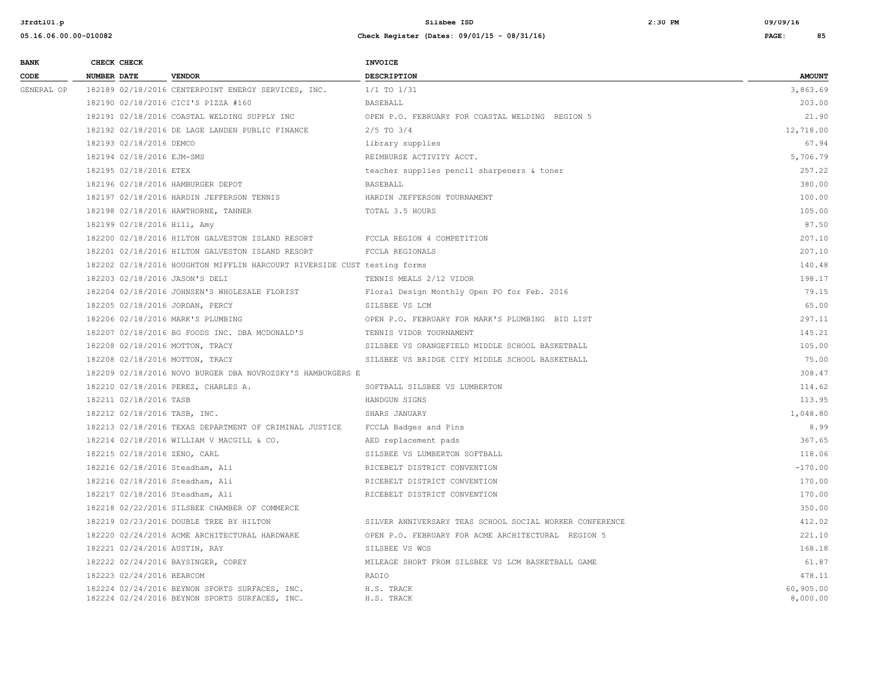| <b>BANK</b> |             | CHECK CHECK                 |                                                                                                  | <b>INVOICE</b>                                          |                       |
|-------------|-------------|-----------------------------|--------------------------------------------------------------------------------------------------|---------------------------------------------------------|-----------------------|
| CODE        | NUMBER DATE |                             | <b>VENDOR</b>                                                                                    | <b>DESCRIPTION</b>                                      | <b>AMOUNT</b>         |
| GENERAL OP  |             |                             | 182189 02/18/2016 CENTERPOINT ENERGY SERVICES, INC.                                              | 1/1 TO 1/31                                             | 3,863.69              |
|             |             |                             | 182190 02/18/2016 CICI'S PIZZA #160                                                              | BASEBALL                                                | 203.00                |
|             |             |                             | 182191 02/18/2016 COASTAL WELDING SUPPLY INC                                                     | OPEN P.O. FEBRUARY FOR COASTAL WELDING REGION 5         | 21.90                 |
|             |             |                             | 182192 02/18/2016 DE LAGE LANDEN PUBLIC FINANCE                                                  | $2/5$ TO $3/4$                                          | 12,718.00             |
|             |             | 182193 02/18/2016 DEMCO     |                                                                                                  | library supplies                                        | 67.94                 |
|             |             | 182194 02/18/2016 EJM-SMS   |                                                                                                  | REIMBURSE ACTIVITY ACCT.                                | 5,706.79              |
|             |             | 182195 02/18/2016 ETEX      |                                                                                                  | teacher supplies pencil sharpeners & toner              | 257.22                |
|             |             |                             | 182196 02/18/2016 HAMBURGER DEPOT                                                                | <b>BASEBALL</b>                                         | 380.00                |
|             |             |                             | 182197 02/18/2016 HARDIN JEFFERSON TENNIS                                                        | HARDIN JEFFERSON TOURNAMENT                             | 100.00                |
|             |             |                             | 182198 02/18/2016 HAWTHORNE, TANNER                                                              | TOTAL 3.5 HOURS                                         | 105.00                |
|             |             | 182199 02/18/2016 Hill, Amy |                                                                                                  |                                                         | 87.50                 |
|             |             |                             | 182200 02/18/2016 HILTON GALVESTON ISLAND RESORT                                                 | FCCLA REGION 4 COMPETITION                              | 207.10                |
|             |             |                             | 182201 02/18/2016 HILTON GALVESTON ISLAND RESORT                                                 | FCCLA REGIONALS                                         | 207.10                |
|             |             |                             | 182202 02/18/2016 HOUGHTON MIFFLIN HARCOURT RIVERSIDE CUST testing forms                         |                                                         | 140.48                |
|             |             |                             | 182203 02/18/2016 JASON'S DELI                                                                   | TENNIS MEALS 2/12 VIDOR                                 | 198.17                |
|             |             |                             | 182204 02/18/2016 JOHNSEN'S WHOLESALE FLORIST                                                    | Floral Design Monthly Open PO for Feb. 2016             | 79.15                 |
|             |             |                             | 182205 02/18/2016 JORDAN, PERCY                                                                  | SILSBEE VS LCM                                          | 65.00                 |
|             |             |                             | 182206 02/18/2016 MARK'S PLUMBING                                                                | OPEN P.O. FEBRUARY FOR MARK'S PLUMBING BID LIST         | 297.11                |
|             |             |                             | 182207 02/18/2016 BG FOODS INC. DBA MCDONALD'S                                                   | TENNIS VIDOR TOURNAMENT                                 | 145.21                |
|             |             |                             | 182208 02/18/2016 MOTTON, TRACY                                                                  | SILSBEE VS ORANGEFIELD MIDDLE SCHOOL BASKETBALL         | 105.00                |
|             |             |                             | 182208 02/18/2016 MOTTON, TRACY                                                                  | SILSBEE VS BRIDGE CITY MIDDLE SCHOOL BASKETBALL         | 75.00                 |
|             |             |                             | 182209 02/18/2016 NOVO BURGER DBA NOVROZSKY'S HAMBURGERS E                                       |                                                         | 308.47                |
|             |             |                             | 182210 02/18/2016 PEREZ, CHARLES A.                                                              | SOFTBALL SILSBEE VS LUMBERTON                           | 114.62                |
|             |             | 182211 02/18/2016 TASB      |                                                                                                  | HANDGUN SIGNS                                           | 113.95                |
|             |             |                             | 182212 02/18/2016 TASB, INC.                                                                     | SHARS JANUARY                                           | 1,048.80              |
|             |             |                             | 182213 02/18/2016 TEXAS DEPARTMENT OF CRIMINAL JUSTICE                                           | FCCLA Badges and Pins                                   | 8.99                  |
|             |             |                             | 182214 02/18/2016 WILLIAM V MACGILL & CO.                                                        | AED replacement pads                                    | 367.65                |
|             |             |                             | 182215 02/18/2016 ZENO, CARL                                                                     | SILSBEE VS LUMBERTON SOFTBALL                           | 118.06                |
|             |             |                             | 182216 02/18/2016 Steadham, Ali                                                                  | RICEBELT DISTRICT CONVENTION                            | $-170.00$             |
|             |             |                             | 182216 02/18/2016 Steadham, Ali                                                                  | RICEBELT DISTRICT CONVENTION                            | 170.00                |
|             |             |                             | 182217 02/18/2016 Steadham, Ali                                                                  | RICEBELT DISTRICT CONVENTION                            | 170.00                |
|             |             |                             | 182218 02/22/2016 SILSBEE CHAMBER OF COMMERCE                                                    |                                                         | 350.00                |
|             |             |                             | 182219 02/23/2016 DOUBLE TREE BY HILTON                                                          | SILVER ANNIVERSARY TEAS SCHOOL SOCIAL WORKER CONFERENCE | 412.02                |
|             |             |                             | 182220 02/24/2016 ACME ARCHITECTURAL HARDWARE                                                    | OPEN P.O. FEBRUARY FOR ACME ARCHITECTURAL REGION 5      | 221.10                |
|             |             |                             | 182221 02/24/2016 AUSTIN, RAY                                                                    | SILSBEE VS WOS                                          | 168.18                |
|             |             |                             | 182222 02/24/2016 BAYSINGER, COREY                                                               | MILEAGE SHORT FROM SILSBEE VS LCM BASKETBALL GAME       | 61.87                 |
|             |             | 182223 02/24/2016 BEARCOM   |                                                                                                  | RADIO                                                   | 478.11                |
|             |             |                             | 182224 02/24/2016 BEYNON SPORTS SURFACES, INC.<br>182224 02/24/2016 BEYNON SPORTS SURFACES, INC. | H.S. TRACK<br>H.S. TRACK                                | 60,905.00<br>8,000.00 |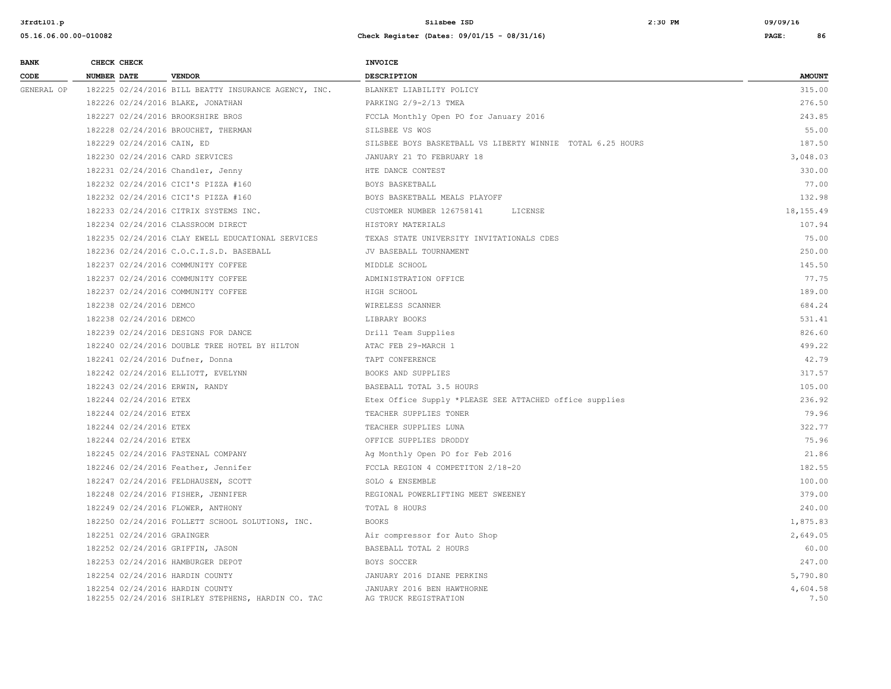| <b>BANK</b> | CHECK CHECK                     |                                                      | <b>INVOICE</b>                                             |                  |
|-------------|---------------------------------|------------------------------------------------------|------------------------------------------------------------|------------------|
| CODE        | <b>NUMBER DATE</b>              | <b>VENDOR</b>                                        | <b>DESCRIPTION</b>                                         | <b>AMOUNT</b>    |
| GENERAL OP  |                                 | 182225 02/24/2016 BILL BEATTY INSURANCE AGENCY, INC. | BLANKET LIABILITY POLICY                                   | 315.00           |
|             |                                 | 182226 02/24/2016 BLAKE, JONATHAN                    | PARKING 2/9-2/13 TMEA                                      | 276.50           |
|             |                                 | 182227 02/24/2016 BROOKSHIRE BROS                    | FCCLA Monthly Open PO for January 2016                     | 243.85           |
|             |                                 | 182228 02/24/2016 BROUCHET, THERMAN                  | SILSBEE VS WOS                                             | 55.00            |
|             | 182229 02/24/2016 CAIN, ED      |                                                      | SILSBEE BOYS BASKETBALL VS LIBERTY WINNIE TOTAL 6.25 HOURS | 187.50           |
|             | 182230 02/24/2016 CARD SERVICES |                                                      | JANUARY 21 TO FEBRUARY 18                                  | 3,048.03         |
|             |                                 | 182231 02/24/2016 Chandler, Jenny                    | HTE DANCE CONTEST                                          | 330.00           |
|             |                                 | 182232 02/24/2016 CICI'S PIZZA #160                  | BOYS BASKETBALL                                            | 77.00            |
|             |                                 | 182232 02/24/2016 CICI'S PIZZA #160                  | BOYS BASKETBALL MEALS PLAYOFF                              | 132.98           |
|             |                                 | 182233 02/24/2016 CITRIX SYSTEMS INC.                | CUSTOMER NUMBER 126758141<br>LICENSE                       | 18,155.49        |
|             |                                 | 182234 02/24/2016 CLASSROOM DIRECT                   | HISTORY MATERIALS                                          | 107.94           |
|             |                                 | 182235 02/24/2016 CLAY EWELL EDUCATIONAL SERVICES    | TEXAS STATE UNIVERSITY INVITATIONALS CDES                  | 75.00            |
|             |                                 | 182236 02/24/2016 C.O.C.I.S.D. BASEBALL              | JV BASEBALL TOURNAMENT                                     | 250.00           |
|             |                                 | 182237 02/24/2016 COMMUNITY COFFEE                   | MIDDLE SCHOOL                                              | 145.50           |
|             |                                 | 182237 02/24/2016 COMMUNITY COFFEE                   | ADMINISTRATION OFFICE                                      | 77.75            |
|             |                                 | 182237 02/24/2016 COMMUNITY COFFEE                   | HIGH SCHOOL                                                | 189.00           |
|             | 182238 02/24/2016 DEMCO         |                                                      | WIRELESS SCANNER                                           | 684.24           |
|             | 182238 02/24/2016 DEMCO         |                                                      | LIBRARY BOOKS                                              | 531.41           |
|             |                                 | 182239 02/24/2016 DESIGNS FOR DANCE                  | Drill Team Supplies                                        | 826.60           |
|             |                                 | 182240 02/24/2016 DOUBLE TREE HOTEL BY HILTON        | ATAC FEB 29-MARCH 1                                        | 499.22           |
|             | 182241 02/24/2016 Dufner, Donna |                                                      | TAPT CONFERENCE                                            | 42.79            |
|             |                                 | 182242 02/24/2016 ELLIOTT, EVELYNN                   | BOOKS AND SUPPLIES                                         | 317.57           |
|             | 182243 02/24/2016 ERWIN, RANDY  |                                                      | BASEBALL TOTAL 3.5 HOURS                                   | 105.00           |
|             | 182244 02/24/2016 ETEX          |                                                      | Etex Office Supply *PLEASE SEE ATTACHED office supplies    | 236.92           |
|             | 182244 02/24/2016 ETEX          |                                                      | TEACHER SUPPLIES TONER                                     | 79.96            |
|             | 182244 02/24/2016 ETEX          |                                                      | TEACHER SUPPLIES LUNA                                      | 322.77           |
|             | 182244 02/24/2016 ETEX          |                                                      | OFFICE SUPPLIES DRODDY                                     | 75.96            |
|             |                                 | 182245 02/24/2016 FASTENAL COMPANY                   | Ag Monthly Open PO for Feb 2016                            | 21.86            |
|             |                                 | 182246 02/24/2016 Feather, Jennifer                  | FCCLA REGION 4 COMPETITON 2/18-20                          | 182.55           |
|             |                                 | 182247 02/24/2016 FELDHAUSEN, SCOTT                  | SOLO & ENSEMBLE                                            | 100.00           |
|             |                                 | 182248 02/24/2016 FISHER, JENNIFER                   | REGIONAL POWERLIFTING MEET SWEENEY                         | 379.00           |
|             |                                 | 182249 02/24/2016 FLOWER, ANTHONY                    | TOTAL 8 HOURS                                              | 240.00           |
|             |                                 | 182250 02/24/2016 FOLLETT SCHOOL SOLUTIONS, INC.     | <b>BOOKS</b>                                               | 1,875.83         |
|             | 182251 02/24/2016 GRAINGER      |                                                      | Air compressor for Auto Shop                               | 2,649.05         |
|             |                                 | 182252 02/24/2016 GRIFFIN, JASON                     | BASEBALL TOTAL 2 HOURS                                     | 60.00            |
|             |                                 | 182253 02/24/2016 HAMBURGER DEPOT                    | BOYS SOCCER                                                | 247.00           |
|             | 182254 02/24/2016 HARDIN COUNTY |                                                      | JANUARY 2016 DIANE PERKINS                                 | 5,790.80         |
|             | 182254 02/24/2016 HARDIN COUNTY | 182255 02/24/2016 SHIRLEY STEPHENS, HARDIN CO. TAC   | JANUARY 2016 BEN HAWTHORNE<br>AG TRUCK REGISTRATION        | 4,604.58<br>7.50 |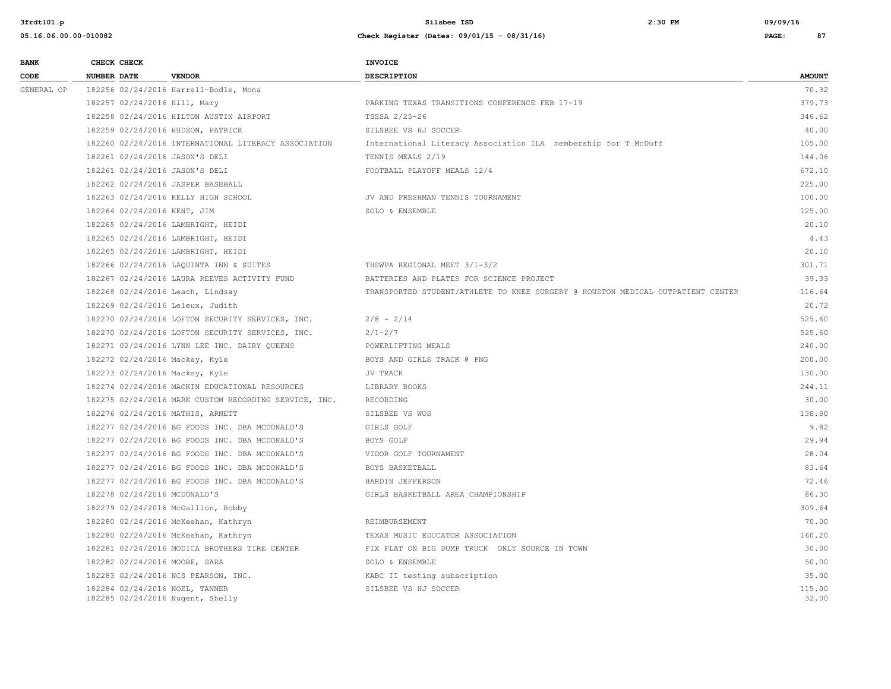| <b>BANK</b> |                    | CHECK CHECK                 |                                                                    | <b>INVOICE</b>                                                                  |                 |
|-------------|--------------------|-----------------------------|--------------------------------------------------------------------|---------------------------------------------------------------------------------|-----------------|
| CODE        | <b>NUMBER DATE</b> |                             | <b>VENDOR</b>                                                      | <b>DESCRIPTION</b>                                                              | <b>AMOUNT</b>   |
| GENERAL OP  |                    |                             | 182256 02/24/2016 Harrell-Bodle, Mona                              |                                                                                 | 70.32           |
|             |                    |                             | 182257 02/24/2016 Hill, Mary                                       | PARKING TEXAS TRANSITIONS CONFERENCE FEB 17-19                                  | 379.73          |
|             |                    |                             | 182258 02/24/2016 HILTON AUSTIN AIRPORT                            | TSSSA 2/25-26                                                                   | 346.62          |
|             |                    |                             | 182259 02/24/2016 HUDSON, PATRICK                                  | SILSBEE VS HJ SOCCER                                                            | 40.00           |
|             |                    |                             | 182260 02/24/2016 INTERNATIONAL LITERACY ASSOCIATION               | International Literacy Association ILA membership for T McDuff                  | 105.00          |
|             |                    |                             | 182261 02/24/2016 JASON'S DELI                                     | TENNIS MEALS 2/19                                                               | 144.06          |
|             |                    |                             | 182261 02/24/2016 JASON'S DELI                                     | FOOTBALL PLAYOFF MEALS 12/4                                                     | 672.10          |
|             |                    |                             | 182262 02/24/2016 JASPER BASEBALL                                  |                                                                                 | 225.00          |
|             |                    |                             | 182263 02/24/2016 KELLY HIGH SCHOOL                                | JV AND FRESHMAN TENNIS TOURNAMENT                                               | 100.00          |
|             |                    | 182264 02/24/2016 KENT, JIM |                                                                    | SOLO & ENSEMBLE                                                                 | 125.00          |
|             |                    |                             | 182265 02/24/2016 LAMBRIGHT, HEIDI                                 |                                                                                 | 20.10           |
|             |                    |                             | 182265 02/24/2016 LAMBRIGHT, HEIDI                                 |                                                                                 | 4.43            |
|             |                    |                             | 182265 02/24/2016 LAMBRIGHT, HEIDI                                 |                                                                                 | 20.10           |
|             |                    |                             | 182266 02/24/2016 LAQUINTA INN & SUITES                            | THSWPA REGIONAL MEET 3/1-3/2                                                    | 301.71          |
|             |                    |                             | 182267 02/24/2016 LAURA REEVES ACTIVITY FUND                       | BATTERIES AND PLATES FOR SCIENCE PROJECT                                        | 39.33           |
|             |                    |                             | 182268 02/24/2016 Leach, Lindsay                                   | TRANSPORTED STUDENT/ATHLETE TO KNEE SURGERY @ HOUSTON MEDICAL OUTPATIENT CENTER | 116.64          |
|             |                    |                             | 182269 02/24/2016 Leleux, Judith                                   |                                                                                 | 20.72           |
|             |                    |                             | 182270 02/24/2016 LOFTON SECURITY SERVICES, INC.                   | $2/8 - 2/14$                                                                    | 525.60          |
|             |                    |                             | 182270 02/24/2016 LOFTON SECURITY SERVICES, INC.                   | $2/1 - 2/7$                                                                     | 525.60          |
|             |                    |                             | 182271 02/24/2016 LYNN LEE INC. DAIRY QUEENS                       | POWERLIFTING MEALS                                                              | 240.00          |
|             |                    |                             | 182272 02/24/2016 Mackey, Kyle                                     | BOYS AND GIRLS TRACK @ PNG                                                      | 200.00          |
|             |                    |                             | 182273 02/24/2016 Mackey, Kyle                                     | JV TRACK                                                                        | 130.00          |
|             |                    |                             | 182274 02/24/2016 MACKIN EDUCATIONAL RESOURCES                     | LIBRARY BOOKS                                                                   | 244.11          |
|             |                    |                             | 182275 02/24/2016 MARK CUSTOM RECORDING SERVICE, INC.              | RECORDING                                                                       | 30.00           |
|             |                    |                             | 182276 02/24/2016 MATHIS, ARNETT                                   | SILSBEE VS WOS                                                                  | 138.80          |
|             |                    |                             | 182277 02/24/2016 BG FOODS INC. DBA MCDONALD'S                     | GIRLS GOLF                                                                      | 9.82            |
|             |                    |                             | 182277 02/24/2016 BG FOODS INC. DBA MCDONALD'S                     | BOYS GOLF                                                                       | 29.94           |
|             |                    |                             | 182277 02/24/2016 BG FOODS INC. DBA MCDONALD'S                     | VIDOR GOLF TOURNAMENT                                                           | 28.04           |
|             |                    |                             | 182277 02/24/2016 BG FOODS INC. DBA MCDONALD'S                     | BOYS BASKETBALL                                                                 | 83.64           |
|             |                    |                             | 182277 02/24/2016 BG FOODS INC. DBA MCDONALD'S                     | HARDIN JEFFERSON                                                                | 72.46           |
|             |                    |                             | 182278 02/24/2016 MCDONALD'S                                       | GIRLS BASKETBALL AREA CHAMPIONSHIP                                              | 86.30           |
|             |                    |                             | 182279 02/24/2016 McGallion, Bobby                                 |                                                                                 | 309.64          |
|             |                    |                             | 182280 02/24/2016 McKeehan, Kathryn                                | REIMBURSEMENT                                                                   | 70.00           |
|             |                    |                             | 182280 02/24/2016 McKeehan, Kathryn                                | TEXAS MUSIC EDUCATOR ASSOCIATION                                                | 160.20          |
|             |                    |                             | 182281 02/24/2016 MODICA BROTHERS TIRE CENTER                      | FIX FLAT ON BIG DUMP TRUCK ONLY SOURCE IN TOWN                                  | 30.00           |
|             |                    |                             | 182282 02/24/2016 MOORE, SARA                                      | SOLO & ENSEMBLE                                                                 | 50.00           |
|             |                    |                             | 182283 02/24/2016 NCS PEARSON, INC.                                | KABC II testing subscription                                                    | 35.00           |
|             |                    |                             | 182284 02/24/2016 NOEL, TANNER<br>182285 02/24/2016 Nugent, Shelly | SILSBEE VS HJ SOCCER                                                            | 115.00<br>32.00 |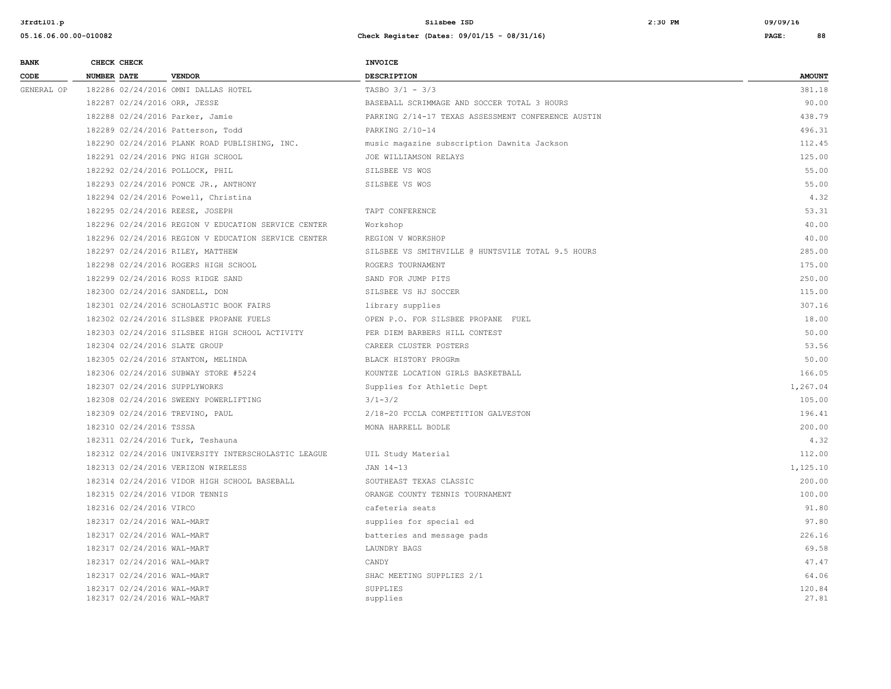| <b>BANK</b> | CHECK CHECK                                              |                                                     | <b>INVOICE</b>                                     |                 |
|-------------|----------------------------------------------------------|-----------------------------------------------------|----------------------------------------------------|-----------------|
| CODE        | <b>NUMBER DATE</b>                                       | <b>VENDOR</b>                                       | <b>DESCRIPTION</b>                                 | <b>AMOUNT</b>   |
| GENERAL OP  |                                                          | 182286 02/24/2016 OMNI DALLAS HOTEL                 | TASBO $3/1 - 3/3$                                  | 381.18          |
|             | 182287 02/24/2016 ORR, JESSE                             |                                                     | BASEBALL SCRIMMAGE AND SOCCER TOTAL 3 HOURS        | 90.00           |
|             | 182288 02/24/2016 Parker, Jamie                          |                                                     | PARKING 2/14-17 TEXAS ASSESSMENT CONFERENCE AUSTIN | 438.79          |
|             |                                                          | 182289 02/24/2016 Patterson, Todd                   | PARKING 2/10-14                                    | 496.31          |
|             |                                                          | 182290 02/24/2016 PLANK ROAD PUBLISHING, INC.       | music magazine subscription Dawnita Jackson        | 112.45          |
|             |                                                          | 182291 02/24/2016 PNG HIGH SCHOOL                   | JOE WILLIAMSON RELAYS                              | 125.00          |
|             | 182292 02/24/2016 POLLOCK, PHIL                          |                                                     | SILSBEE VS WOS                                     | 55.00           |
|             |                                                          | 182293 02/24/2016 PONCE JR., ANTHONY                | SILSBEE VS WOS                                     | 55.00           |
|             |                                                          | 182294 02/24/2016 Powell, Christina                 |                                                    | 4.32            |
|             | 182295 02/24/2016 REESE, JOSEPH                          |                                                     | TAPT CONFERENCE                                    | 53.31           |
|             |                                                          | 182296 02/24/2016 REGION V EDUCATION SERVICE CENTER | Workshop                                           | 40.00           |
|             |                                                          | 182296 02/24/2016 REGION V EDUCATION SERVICE CENTER | REGION V WORKSHOP                                  | 40.00           |
|             | 182297 02/24/2016 RILEY, MATTHEW                         |                                                     | SILSBEE VS SMITHVILLE @ HUNTSVILE TOTAL 9.5 HOURS  | 285.00          |
|             |                                                          | 182298 02/24/2016 ROGERS HIGH SCHOOL                | ROGERS TOURNAMENT                                  | 175.00          |
|             |                                                          | 182299 02/24/2016 ROSS RIDGE SAND                   | SAND FOR JUMP PITS                                 | 250.00          |
|             | 182300 02/24/2016 SANDELL, DON                           |                                                     | SILSBEE VS HJ SOCCER                               | 115.00          |
|             |                                                          | 182301 02/24/2016 SCHOLASTIC BOOK FAIRS             | library supplies                                   | 307.16          |
|             |                                                          | 182302 02/24/2016 SILSBEE PROPANE FUELS             | OPEN P.O. FOR SILSBEE PROPANE FUEL                 | 18.00           |
|             |                                                          | 182303 02/24/2016 SILSBEE HIGH SCHOOL ACTIVITY      | PER DIEM BARBERS HILL CONTEST                      | 50.00           |
|             | 182304 02/24/2016 SLATE GROUP                            |                                                     | CAREER CLUSTER POSTERS                             | 53.56           |
|             |                                                          | 182305 02/24/2016 STANTON, MELINDA                  | BLACK HISTORY PROGRm                               | 50.00           |
|             |                                                          | 182306 02/24/2016 SUBWAY STORE #5224                | KOUNTZE LOCATION GIRLS BASKETBALL                  | 166.05          |
|             | 182307 02/24/2016 SUPPLYWORKS                            |                                                     | Supplies for Athletic Dept                         | 1,267.04        |
|             |                                                          | 182308 02/24/2016 SWEENY POWERLIFTING               | $3/1 - 3/2$                                        | 105.00          |
|             | 182309 02/24/2016 TREVINO, PAUL                          |                                                     | 2/18-20 FCCLA COMPETITION GALVESTON                | 196.41          |
|             | 182310 02/24/2016 TSSSA                                  |                                                     | MONA HARRELL BODLE                                 | 200.00          |
|             | 182311 02/24/2016 Turk, Teshauna                         |                                                     |                                                    | 4.32            |
|             |                                                          | 182312 02/24/2016 UNIVERSITY INTERSCHOLASTIC LEAGUE | UIL Study Material                                 | 112.00          |
|             |                                                          | 182313 02/24/2016 VERIZON WIRELESS                  | JAN 14-13                                          | 1,125.10        |
|             |                                                          | 182314 02/24/2016 VIDOR HIGH SCHOOL BASEBALL        | SOUTHEAST TEXAS CLASSIC                            | 200.00          |
|             | 182315 02/24/2016 VIDOR TENNIS                           |                                                     | ORANGE COUNTY TENNIS TOURNAMENT                    | 100.00          |
|             | 182316 02/24/2016 VIRCO                                  |                                                     | cafeteria seats                                    | 91.80           |
|             | 182317 02/24/2016 WAL-MART                               |                                                     | supplies for special ed                            | 97.80           |
|             | 182317 02/24/2016 WAL-MART                               |                                                     | batteries and message pads                         | 226.16          |
|             | 182317 02/24/2016 WAL-MART                               |                                                     | LAUNDRY BAGS                                       | 69.58           |
|             | 182317 02/24/2016 WAL-MART                               |                                                     | CANDY                                              | 47.47           |
|             | 182317 02/24/2016 WAL-MART                               |                                                     | SHAC MEETING SUPPLIES 2/1                          | 64.06           |
|             | 182317 02/24/2016 WAL-MART<br>182317 02/24/2016 WAL-MART |                                                     | SUPPLIES<br>supplies                               | 120.84<br>27.81 |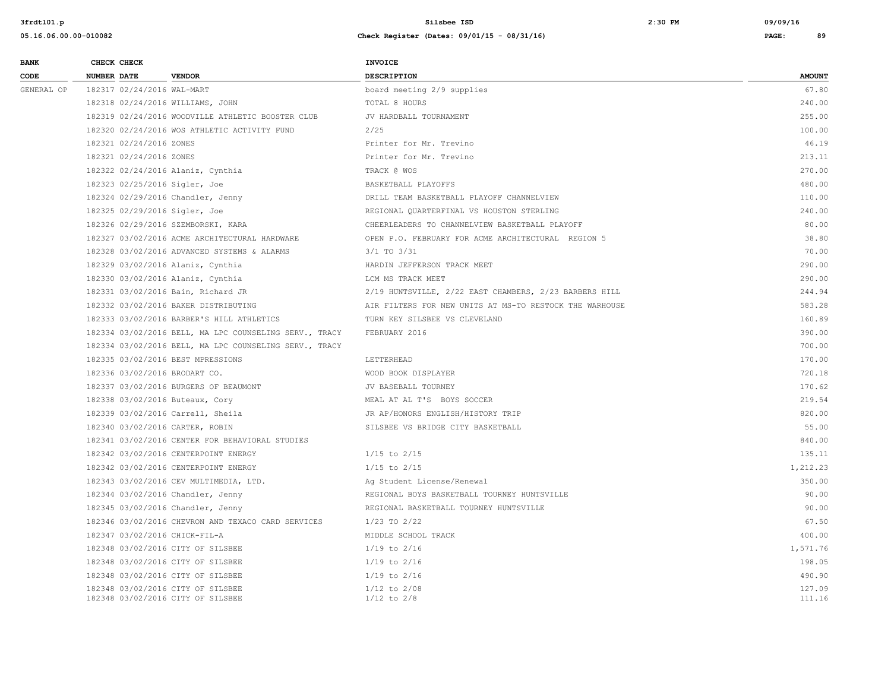| <b>BANK</b> | CHECK CHECK                                                            | <b>INVOICE</b>                                          |                  |
|-------------|------------------------------------------------------------------------|---------------------------------------------------------|------------------|
| CODE        | <b>NUMBER DATE</b><br><b>VENDOR</b>                                    | <b>DESCRIPTION</b>                                      | <b>AMOUNT</b>    |
| GENERAL OP  | 182317 02/24/2016 WAL-MART                                             | board meeting 2/9 supplies                              | 67.80            |
|             | 182318 02/24/2016 WILLIAMS, JOHN                                       | TOTAL 8 HOURS                                           | 240.00           |
|             | 182319 02/24/2016 WOODVILLE ATHLETIC BOOSTER CLUB                      | JV HARDBALL TOURNAMENT                                  | 255.00           |
|             | 182320 02/24/2016 WOS ATHLETIC ACTIVITY FUND                           | 2/25                                                    | 100.00           |
|             | 182321 02/24/2016 ZONES                                                | Printer for Mr. Trevino                                 | 46.19            |
|             | 182321 02/24/2016 ZONES                                                | Printer for Mr. Trevino                                 | 213.11           |
|             | 182322 02/24/2016 Alaniz, Cynthia                                      | TRACK @ WOS                                             | 270.00           |
|             | 182323 02/25/2016 Sigler, Joe                                          | BASKETBALL PLAYOFFS                                     | 480.00           |
|             | 182324 02/29/2016 Chandler, Jenny                                      | DRILL TEAM BASKETBALL PLAYOFF CHANNELVIEW               | 110.00           |
|             | 182325 02/29/2016 Sigler, Joe                                          | REGIONAL QUARTERFINAL VS HOUSTON STERLING               | 240.00           |
|             | 182326 02/29/2016 SZEMBORSKI, KARA                                     | CHEERLEADERS TO CHANNELVIEW BASKETBALL PLAYOFF          | 80.00            |
|             | 182327 03/02/2016 ACME ARCHITECTURAL HARDWARE                          | OPEN P.O. FEBRUARY FOR ACME ARCHITECTURAL REGION 5      | 38.80            |
|             | 182328 03/02/2016 ADVANCED SYSTEMS & ALARMS                            | $3/1$ TO $3/31$                                         | 70.00            |
|             | 182329 03/02/2016 Alaniz, Cynthia                                      | HARDIN JEFFERSON TRACK MEET                             | 290.00           |
|             | 182330 03/02/2016 Alaniz, Cynthia                                      | LCM MS TRACK MEET                                       | 290.00           |
|             | 182331 03/02/2016 Bain, Richard JR                                     | 2/19 HUNTSVILLE, 2/22 EAST CHAMBERS, 2/23 BARBERS HILL  | 244.94           |
|             | 182332 03/02/2016 BAKER DISTRIBUTING                                   | AIR FILTERS FOR NEW UNITS AT MS-TO RESTOCK THE WARHOUSE | 583.28           |
|             | 182333 03/02/2016 BARBER'S HILL ATHLETICS                              | TURN KEY SILSBEE VS CLEVELAND                           | 160.89           |
|             | 182334 03/02/2016 BELL, MA LPC COUNSELING SERV., TRACY                 | FEBRUARY 2016                                           | 390.00           |
|             | 182334 03/02/2016 BELL, MA LPC COUNSELING SERV., TRACY                 |                                                         | 700.00           |
|             | 182335 03/02/2016 BEST MPRESSIONS                                      | LETTERHEAD                                              | 170.00           |
|             | 182336 03/02/2016 BRODART CO.                                          | WOOD BOOK DISPLAYER                                     | 720.18           |
|             | 182337 03/02/2016 BURGERS OF BEAUMONT                                  | JV BASEBALL TOURNEY                                     | 170.62           |
|             | 182338 03/02/2016 Buteaux, Cory                                        | MEAL AT AL T'S BOYS SOCCER                              | 219.54           |
|             | 182339 03/02/2016 Carrell, Sheila                                      | JR AP/HONORS ENGLISH/HISTORY TRIP                       | 820.00           |
|             | 182340 03/02/2016 CARTER, ROBIN                                        | SILSBEE VS BRIDGE CITY BASKETBALL                       | 55.00            |
|             | 182341 03/02/2016 CENTER FOR BEHAVIORAL STUDIES                        |                                                         | 840.00           |
|             | 182342 03/02/2016 CENTERPOINT ENERGY                                   | $1/15$ to $2/15$                                        | 135.11           |
|             | 182342 03/02/2016 CENTERPOINT ENERGY                                   | $1/15$ to $2/15$                                        | 1,212.23         |
|             | 182343 03/02/2016 CEV MULTIMEDIA, LTD.                                 | Ag Student License/Renewal                              | 350.00           |
|             | 182344 03/02/2016 Chandler, Jenny                                      | REGIONAL BOYS BASKETBALL TOURNEY HUNTSVILLE             | 90.00            |
|             | 182345 03/02/2016 Chandler, Jenny                                      | REGIONAL BASKETBALL TOURNEY HUNTSVILLE                  | 90.00            |
|             | 182346 03/02/2016 CHEVRON AND TEXACO CARD SERVICES                     | 1/23 TO 2/22                                            | 67.50            |
|             | 182347 03/02/2016 CHICK-FIL-A                                          | MIDDLE SCHOOL TRACK                                     | 400.00           |
|             | 182348 03/02/2016 CITY OF SILSBEE                                      | $1/19$ to $2/16$                                        | 1,571.76         |
|             | 182348 03/02/2016 CITY OF SILSBEE                                      | $1/19$ to $2/16$                                        | 198.05           |
|             | 182348 03/02/2016 CITY OF SILSBEE                                      | $1/19$ to $2/16$                                        | 490.90           |
|             | 182348 03/02/2016 CITY OF SILSBEE<br>182348 03/02/2016 CITY OF SILSBEE | $1/12$ to $2/08$<br>$1/12$ to $2/8$                     | 127.09<br>111.16 |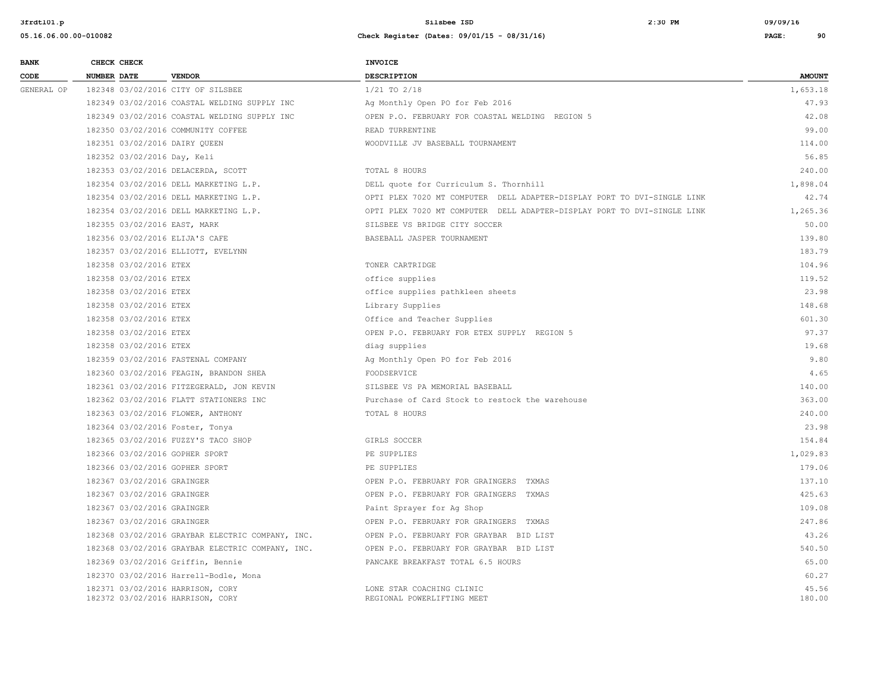| <b>BANK</b> | CHECK CHECK                    |                                                                      | <b>INVOICE</b>                                                          |                 |
|-------------|--------------------------------|----------------------------------------------------------------------|-------------------------------------------------------------------------|-----------------|
| CODE        | NUMBER DATE                    | <b>VENDOR</b>                                                        | DESCRIPTION                                                             | <b>AMOUNT</b>   |
| GENERAL OP  |                                | 182348 03/02/2016 CITY OF SILSBEE                                    | $1/21$ TO $2/18$                                                        | 1,653.18        |
|             |                                | 182349 03/02/2016 COASTAL WELDING SUPPLY INC                         | Ag Monthly Open PO for Feb 2016                                         | 47.93           |
|             |                                | 182349 03/02/2016 COASTAL WELDING SUPPLY INC                         | OPEN P.O. FEBRUARY FOR COASTAL WELDING REGION 5                         | 42.08           |
|             |                                | 182350 03/02/2016 COMMUNITY COFFEE                                   | READ TURRENTINE                                                         | 99.00           |
|             | 182351 03/02/2016 DAIRY QUEEN  |                                                                      | WOODVILLE JV BASEBALL TOURNAMENT                                        | 114.00          |
|             | 182352 03/02/2016 Day, Keli    |                                                                      |                                                                         | 56.85           |
|             |                                | 182353 03/02/2016 DELACERDA, SCOTT                                   | TOTAL 8 HOURS                                                           | 240.00          |
|             |                                | 182354 03/02/2016 DELL MARKETING L.P.                                | DELL quote for Curriculum S. Thornhill                                  | 1,898.04        |
|             |                                | 182354 03/02/2016 DELL MARKETING L.P.                                | OPTI PLEX 7020 MT COMPUTER DELL ADAPTER-DISPLAY PORT TO DVI-SINGLE LINK | 42.74           |
|             |                                | 182354 03/02/2016 DELL MARKETING L.P.                                | OPTI PLEX 7020 MT COMPUTER DELL ADAPTER-DISPLAY PORT TO DVI-SINGLE LINK | 1,265.36        |
|             | 182355 03/02/2016 EAST, MARK   |                                                                      | SILSBEE VS BRIDGE CITY SOCCER                                           | 50.00           |
|             | 182356 03/02/2016 ELIJA'S CAFE |                                                                      | BASEBALL JASPER TOURNAMENT                                              | 139.80          |
|             |                                | 182357 03/02/2016 ELLIOTT, EVELYNN                                   |                                                                         | 183.79          |
|             | 182358 03/02/2016 ETEX         |                                                                      | TONER CARTRIDGE                                                         | 104.96          |
|             | 182358 03/02/2016 ETEX         |                                                                      | office supplies                                                         | 119.52          |
|             | 182358 03/02/2016 ETEX         |                                                                      | office supplies pathkleen sheets                                        | 23.98           |
|             | 182358 03/02/2016 ETEX         |                                                                      | Library Supplies                                                        | 148.68          |
|             | 182358 03/02/2016 ETEX         |                                                                      | Office and Teacher Supplies                                             | 601.30          |
|             | 182358 03/02/2016 ETEX         |                                                                      | OPEN P.O. FEBRUARY FOR ETEX SUPPLY REGION 5                             | 97.37           |
|             | 182358 03/02/2016 ETEX         |                                                                      | diag supplies                                                           | 19.68           |
|             |                                | 182359 03/02/2016 FASTENAL COMPANY                                   | Ag Monthly Open PO for Feb 2016                                         | 9.80            |
|             |                                | 182360 03/02/2016 FEAGIN, BRANDON SHEA                               | FOODSERVICE                                                             | 4.65            |
|             |                                | 182361 03/02/2016 FITZEGERALD, JON KEVIN                             | SILSBEE VS PA MEMORIAL BASEBALL                                         | 140.00          |
|             |                                | 182362 03/02/2016 FLATT STATIONERS INC                               | Purchase of Card Stock to restock the warehouse                         | 363.00          |
|             |                                | 182363 03/02/2016 FLOWER, ANTHONY                                    | TOTAL 8 HOURS                                                           | 240.00          |
|             |                                | 182364 03/02/2016 Foster, Tonya                                      |                                                                         | 23.98           |
|             |                                | 182365 03/02/2016 FUZZY'S TACO SHOP                                  | GIRLS SOCCER                                                            | 154.84          |
|             | 182366 03/02/2016 GOPHER SPORT |                                                                      | PE SUPPLIES                                                             | 1,029.83        |
|             | 182366 03/02/2016 GOPHER SPORT |                                                                      | PE SUPPLIES                                                             | 179.06          |
|             | 182367 03/02/2016 GRAINGER     |                                                                      | OPEN P.O. FEBRUARY FOR GRAINGERS TXMAS                                  | 137.10          |
|             | 182367 03/02/2016 GRAINGER     |                                                                      | OPEN P.O. FEBRUARY FOR GRAINGERS TXMAS                                  | 425.63          |
|             | 182367 03/02/2016 GRAINGER     |                                                                      | Paint Sprayer for Ag Shop                                               | 109.08          |
|             | 182367 03/02/2016 GRAINGER     |                                                                      | OPEN P.O. FEBRUARY FOR GRAINGERS TXMAS                                  | 247.86          |
|             |                                | 182368 03/02/2016 GRAYBAR ELECTRIC COMPANY, INC.                     | OPEN P.O. FEBRUARY FOR GRAYBAR BID LIST                                 | 43.26           |
|             |                                | 182368 03/02/2016 GRAYBAR ELECTRIC COMPANY, INC.                     | OPEN P.O. FEBRUARY FOR GRAYBAR BID LIST                                 | 540.50          |
|             |                                | 182369 03/02/2016 Griffin, Bennie                                    | PANCAKE BREAKFAST TOTAL 6.5 HOURS                                       | 65.00           |
|             |                                | 182370 03/02/2016 Harrell-Bodle, Mona                                |                                                                         | 60.27           |
|             |                                | 182371 03/02/2016 HARRISON, CORY<br>182372 03/02/2016 HARRISON, CORY | LONE STAR COACHING CLINIC<br>REGIONAL POWERLIFTING MEET                 | 45.56<br>180.00 |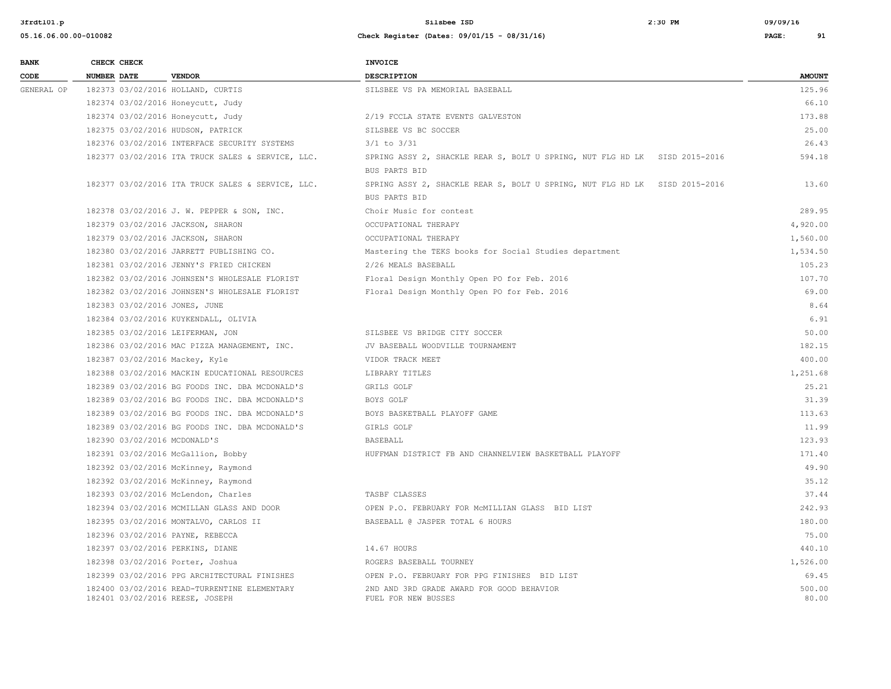**3frdtl01.p Silsbee ISD 2:30 PM 09/09/16**

| <b>BANK</b> |                    | CHECK CHECK |                                                                                 | <b>INVOICE</b>                                                                              |                 |
|-------------|--------------------|-------------|---------------------------------------------------------------------------------|---------------------------------------------------------------------------------------------|-----------------|
| CODE        | <b>NUMBER DATE</b> |             | <b>VENDOR</b>                                                                   | <b>DESCRIPTION</b>                                                                          | <b>AMOUNT</b>   |
| GENERAL OP  |                    |             | 182373 03/02/2016 HOLLAND, CURTIS                                               | SILSBEE VS PA MEMORIAL BASEBALL                                                             | 125.96          |
|             |                    |             | 182374 03/02/2016 Honeycutt, Judy                                               |                                                                                             | 66.10           |
|             |                    |             | 182374 03/02/2016 Honeycutt, Judy                                               | 2/19 FCCLA STATE EVENTS GALVESTON                                                           | 173.88          |
|             |                    |             | 182375 03/02/2016 HUDSON, PATRICK                                               | SILSBEE VS BC SOCCER                                                                        | 25.00           |
|             |                    |             | 182376 03/02/2016 INTERFACE SECURITY SYSTEMS                                    | $3/1$ to $3/31$                                                                             | 26.43           |
|             |                    |             | 182377 03/02/2016 ITA TRUCK SALES & SERVICE, LLC.                               | SPRING ASSY 2, SHACKLE REAR S, BOLT U SPRING, NUT FLG HD LK SISD 2015-2016                  | 594.18          |
|             |                    |             |                                                                                 | BUS PARTS BID                                                                               |                 |
|             |                    |             | 182377 03/02/2016 ITA TRUCK SALES & SERVICE, LLC.                               | SPRING ASSY 2, SHACKLE REAR S, BOLT U SPRING, NUT FLG HD LK SISD 2015-2016<br>BUS PARTS BID | 13.60           |
|             |                    |             | 182378 03/02/2016 J. W. PEPPER & SON, INC.                                      | Choir Music for contest                                                                     | 289.95          |
|             |                    |             | 182379 03/02/2016 JACKSON, SHARON                                               | OCCUPATIONAL THERAPY                                                                        | 4,920.00        |
|             |                    |             | 182379 03/02/2016 JACKSON, SHARON                                               | OCCUPATIONAL THERAPY                                                                        | 1,560.00        |
|             |                    |             | 182380 03/02/2016 JARRETT PUBLISHING CO.                                        | Mastering the TEKS books for Social Studies department                                      | 1,534.50        |
|             |                    |             | 182381 03/02/2016 JENNY'S FRIED CHICKEN                                         | 2/26 MEALS BASEBALL                                                                         | 105.23          |
|             |                    |             | 182382 03/02/2016 JOHNSEN'S WHOLESALE FLORIST                                   | Floral Design Monthly Open PO for Feb. 2016                                                 | 107.70          |
|             |                    |             | 182382 03/02/2016 JOHNSEN'S WHOLESALE FLORIST                                   | Floral Design Monthly Open PO for Feb. 2016                                                 | 69.00           |
|             |                    |             | 182383 03/02/2016 JONES, JUNE                                                   |                                                                                             | 8.64            |
|             |                    |             | 182384 03/02/2016 KUYKENDALL, OLIVIA                                            |                                                                                             | 6.91            |
|             |                    |             | 182385 03/02/2016 LEIFERMAN, JON                                                | SILSBEE VS BRIDGE CITY SOCCER                                                               | 50.00           |
|             |                    |             | 182386 03/02/2016 MAC PIZZA MANAGEMENT, INC.                                    | JV BASEBALL WOODVILLE TOURNAMENT                                                            | 182.15          |
|             |                    |             | 182387 03/02/2016 Mackey, Kyle                                                  | VIDOR TRACK MEET                                                                            | 400.00          |
|             |                    |             | 182388 03/02/2016 MACKIN EDUCATIONAL RESOURCES                                  | LIBRARY TITLES                                                                              | 1,251.68        |
|             |                    |             | 182389 03/02/2016 BG FOODS INC. DBA MCDONALD'S                                  | GRILS GOLF                                                                                  | 25.21           |
|             |                    |             | 182389 03/02/2016 BG FOODS INC. DBA MCDONALD'S                                  | BOYS GOLF                                                                                   | 31.39           |
|             |                    |             | 182389 03/02/2016 BG FOODS INC. DBA MCDONALD'S                                  | BOYS BASKETBALL PLAYOFF GAME                                                                | 113.63          |
|             |                    |             | 182389 03/02/2016 BG FOODS INC. DBA MCDONALD'S                                  | GIRLS GOLF                                                                                  | 11.99           |
|             |                    |             | 182390 03/02/2016 MCDONALD'S                                                    | BASEBALL                                                                                    | 123.93          |
|             |                    |             | 182391 03/02/2016 McGallion, Bobby                                              | HUFFMAN DISTRICT FB AND CHANNELVIEW BASKETBALL PLAYOFF                                      | 171.40          |
|             |                    |             | 182392 03/02/2016 McKinney, Raymond                                             |                                                                                             | 49.90           |
|             |                    |             | 182392 03/02/2016 McKinney, Raymond                                             |                                                                                             | 35.12           |
|             |                    |             | 182393 03/02/2016 McLendon, Charles                                             | TASBF CLASSES                                                                               | 37.44           |
|             |                    |             | 182394 03/02/2016 MCMILLAN GLASS AND DOOR                                       | OPEN P.O. FEBRUARY FOR MCMILLIAN GLASS BID LIST                                             | 242.93          |
|             |                    |             | 182395 03/02/2016 MONTALVO, CARLOS II                                           | BASEBALL @ JASPER TOTAL 6 HOURS                                                             | 180.00          |
|             |                    |             | 182396 03/02/2016 PAYNE, REBECCA                                                |                                                                                             | 75.00           |
|             |                    |             | 182397 03/02/2016 PERKINS, DIANE                                                | 14.67 HOURS                                                                                 | 440.10          |
|             |                    |             | 182398 03/02/2016 Porter, Joshua                                                | ROGERS BASEBALL TOURNEY                                                                     | 1,526.00        |
|             |                    |             | 182399 03/02/2016 PPG ARCHITECTURAL FINISHES                                    | OPEN P.O. FEBRUARY FOR PPG FINISHES BID LIST                                                | 69.45           |
|             |                    |             | 182400 03/02/2016 READ-TURRENTINE ELEMENTARY<br>182401 03/02/2016 REESE, JOSEPH | 2ND AND 3RD GRADE AWARD FOR GOOD BEHAVIOR<br>FUEL FOR NEW BUSSES                            | 500.00<br>80.00 |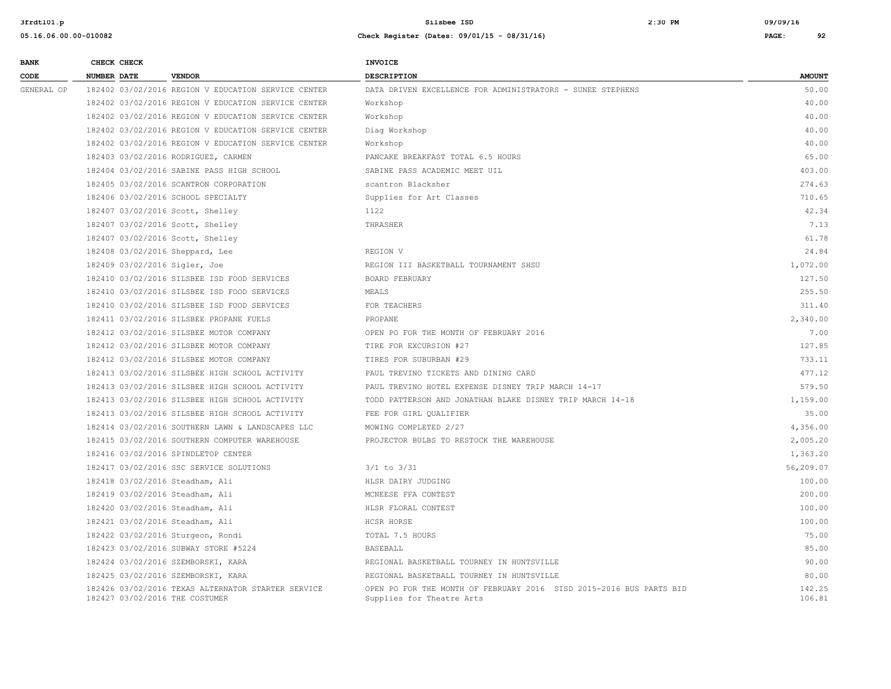| <b>BANK</b> | CHECK CHECK                     |                                                     | <b>INVOICE</b>                                                                                   |                  |
|-------------|---------------------------------|-----------------------------------------------------|--------------------------------------------------------------------------------------------------|------------------|
| CODE        | <b>NUMBER DATE</b>              | <b>VENDOR</b>                                       | <b>DESCRIPTION</b>                                                                               | <b>AMOUNT</b>    |
| GENERAL OP  |                                 | 182402 03/02/2016 REGION V EDUCATION SERVICE CENTER | DATA DRIVEN EXCELLENCE FOR ADMINISTRATORS - SUNEE STEPHENS                                       | 50.00            |
|             |                                 | 182402 03/02/2016 REGION V EDUCATION SERVICE CENTER | Workshop                                                                                         | 40.00            |
|             |                                 | 182402 03/02/2016 REGION V EDUCATION SERVICE CENTER | Workshop                                                                                         | 40.00            |
|             |                                 | 182402 03/02/2016 REGION V EDUCATION SERVICE CENTER | Diag Workshop                                                                                    | 40.00            |
|             |                                 | 182402 03/02/2016 REGION V EDUCATION SERVICE CENTER | Workshop                                                                                         | 40.00            |
|             |                                 | 182403 03/02/2016 RODRIGUEZ, CARMEN                 | PANCAKE BREAKFAST TOTAL 6.5 HOURS                                                                | 65.00            |
|             |                                 | 182404 03/02/2016 SABINE PASS HIGH SCHOOL           | SABINE PASS ACADEMIC MEET UIL                                                                    | 403.00           |
|             |                                 | 182405 03/02/2016 SCANTRON CORPORATION              | scantron Blacksher                                                                               | 274.63           |
|             |                                 | 182406 03/02/2016 SCHOOL SPECIALTY                  | Supplies for Art Classes                                                                         | 710.65           |
|             |                                 | 182407 03/02/2016 Scott, Shelley                    | 1122                                                                                             | 42.34            |
|             |                                 | 182407 03/02/2016 Scott, Shelley                    | THRASHER                                                                                         | 7.13             |
|             |                                 | 182407 03/02/2016 Scott, Shelley                    |                                                                                                  | 61.78            |
|             |                                 | 182408 03/02/2016 Sheppard, Lee                     | REGION V                                                                                         | 24.84            |
|             | 182409 03/02/2016 Sigler, Joe   |                                                     | REGION III BASKETBALL TOURNAMENT SHSU                                                            | 1,072.00         |
|             |                                 | 182410 03/02/2016 SILSBEE ISD FOOD SERVICES         | BOARD FEBRUARY                                                                                   | 127.50           |
|             |                                 | 182410 03/02/2016 SILSBEE ISD FOOD SERVICES         | MEALS                                                                                            | 255.50           |
|             |                                 | 182410 03/02/2016 SILSBEE ISD FOOD SERVICES         | FOR TEACHERS                                                                                     | 311.40           |
|             |                                 | 182411 03/02/2016 SILSBEE PROPANE FUELS             | PROPANE                                                                                          | 2,340.00         |
|             |                                 | 182412 03/02/2016 SILSBEE MOTOR COMPANY             | OPEN PO FOR THE MONTH OF FEBRUARY 2016                                                           | 7.00             |
|             |                                 | 182412 03/02/2016 SILSBEE MOTOR COMPANY             | TIRE FOR EXCURSION #27                                                                           | 127.85           |
|             |                                 | 182412 03/02/2016 SILSBEE MOTOR COMPANY             | TIRES FOR SUBURBAN #29                                                                           | 733.11           |
|             |                                 | 182413 03/02/2016 SILSBEE HIGH SCHOOL ACTIVITY      | PAUL TREVINO TICKETS AND DINING CARD                                                             | 477.12           |
|             |                                 | 182413 03/02/2016 SILSBEE HIGH SCHOOL ACTIVITY      | PAUL TREVINO HOTEL EXPENSE DISNEY TRIP MARCH 14-17                                               | 579.50           |
|             |                                 | 182413 03/02/2016 SILSBEE HIGH SCHOOL ACTIVITY      | TODD PATTERSON AND JONATHAN BLAKE DISNEY TRIP MARCH 14-18                                        | 1,159.00         |
|             |                                 | 182413 03/02/2016 SILSBEE HIGH SCHOOL ACTIVITY      | FEE FOR GIRL QUALIFIER                                                                           | 35.00            |
|             |                                 | 182414 03/02/2016 SOUTHERN LAWN & LANDSCAPES LLC    | MOWING COMPLETED 2/27                                                                            | 4,356.00         |
|             |                                 | 182415 03/02/2016 SOUTHERN COMPUTER WAREHOUSE       | PROJECTOR BULBS TO RESTOCK THE WAREHOUSE                                                         | 2,005.20         |
|             |                                 | 182416 03/02/2016 SPINDLETOP CENTER                 |                                                                                                  | 1,363.20         |
|             |                                 | 182417 03/02/2016 SSC SERVICE SOLUTIONS             | $3/1$ to $3/31$                                                                                  | 56,209.07        |
|             | 182418 03/02/2016 Steadham, Ali |                                                     | HLSR DAIRY JUDGING                                                                               | 100.00           |
|             |                                 | 182419 03/02/2016 Steadham, Ali                     | MCNEESE FFA CONTEST                                                                              | 200.00           |
|             |                                 | 182420 03/02/2016 Steadham, Ali                     | HLSR FLORAL CONTEST                                                                              | 100.00           |
|             |                                 | 182421 03/02/2016 Steadham, Ali                     | HCSR HORSE                                                                                       | 100.00           |
|             |                                 | 182422 03/02/2016 Sturgeon, Rondi                   | TOTAL 7.5 HOURS                                                                                  | 75.00            |
|             |                                 | 182423 03/02/2016 SUBWAY STORE #5224                | BASEBALL                                                                                         | 85.00            |
|             |                                 | 182424 03/02/2016 SZEMBORSKI, KARA                  | REGIONAL BASKETBALL TOURNEY IN HUNTSVILLE                                                        | 90.00            |
|             |                                 | 182425 03/02/2016 SZEMBORSKI, KARA                  | REGIONAL BASKETBALL TOURNEY IN HUNTSVILLE                                                        | 80.00            |
|             | 182427 03/02/2016 THE COSTUMER  | 182426 03/02/2016 TEXAS ALTERNATOR STARTER SERVICE  | OPEN PO FOR THE MONTH OF FEBRUARY 2016 SISD 2015-2016 BUS PARTS BID<br>Supplies for Theatre Arts | 142.25<br>106.81 |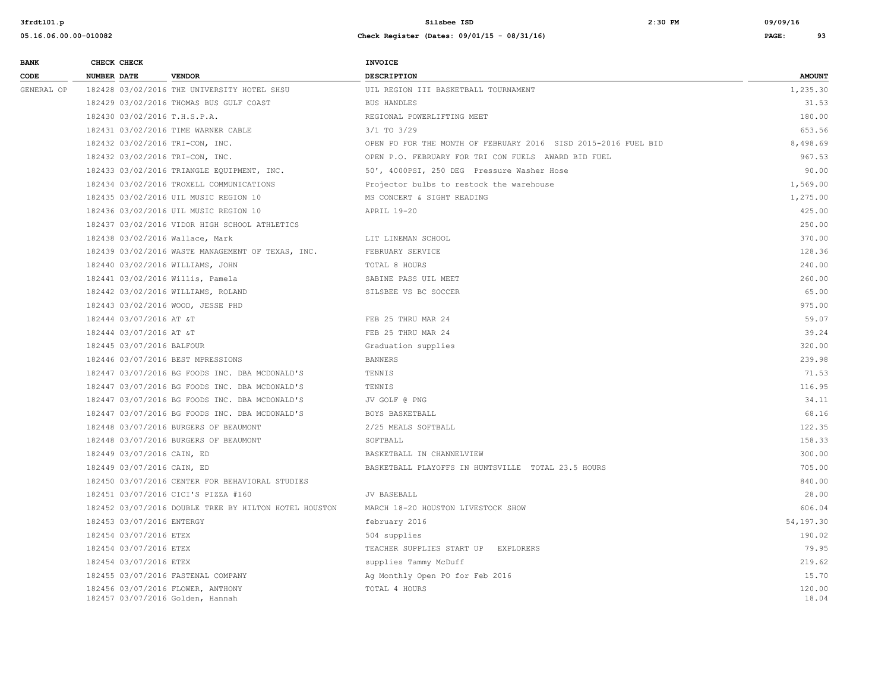| <b>BANK</b> |                    | CHECK CHECK                |                                                                       | <b>INVOICE</b>                                                 |                 |
|-------------|--------------------|----------------------------|-----------------------------------------------------------------------|----------------------------------------------------------------|-----------------|
| CODE        | <b>NUMBER DATE</b> |                            | <b>VENDOR</b>                                                         | <b>DESCRIPTION</b>                                             | <b>AMOUNT</b>   |
| GENERAL OP  |                    |                            | 182428 03/02/2016 THE UNIVERSITY HOTEL SHSU                           | UIL REGION III BASKETBALL TOURNAMENT                           | 1,235.30        |
|             |                    |                            | 182429 03/02/2016 THOMAS BUS GULF COAST                               | <b>BUS HANDLES</b>                                             | 31.53           |
|             |                    |                            | 182430 03/02/2016 T.H.S.P.A.                                          | REGIONAL POWERLIFTING MEET                                     | 180.00          |
|             |                    |                            | 182431 03/02/2016 TIME WARNER CABLE                                   | $3/1$ TO $3/29$                                                | 653.56          |
|             |                    |                            | 182432 03/02/2016 TRI-CON, INC.                                       | OPEN PO FOR THE MONTH OF FEBRUARY 2016 SISD 2015-2016 FUEL BID | 8,498.69        |
|             |                    |                            | 182432 03/02/2016 TRI-CON, INC.                                       | OPEN P.O. FEBRUARY FOR TRI CON FUELS AWARD BID FUEL            | 967.53          |
|             |                    |                            | 182433 03/02/2016 TRIANGLE EQUIPMENT, INC.                            | 50', 4000PSI, 250 DEG Pressure Washer Hose                     | 90.00           |
|             |                    |                            | 182434 03/02/2016 TROXELL COMMUNICATIONS                              | Projector bulbs to restock the warehouse                       | 1,569.00        |
|             |                    |                            | 182435 03/02/2016 UIL MUSIC REGION 10                                 | MS CONCERT & SIGHT READING                                     | 1,275.00        |
|             |                    |                            | 182436 03/02/2016 UIL MUSIC REGION 10                                 | APRIL 19-20                                                    | 425.00          |
|             |                    |                            | 182437 03/02/2016 VIDOR HIGH SCHOOL ATHLETICS                         |                                                                | 250.00          |
|             |                    |                            | 182438 03/02/2016 Wallace, Mark                                       | LIT LINEMAN SCHOOL                                             | 370.00          |
|             |                    |                            | 182439 03/02/2016 WASTE MANAGEMENT OF TEXAS, INC.                     | FEBRUARY SERVICE                                               | 128.36          |
|             |                    |                            | 182440 03/02/2016 WILLIAMS, JOHN                                      | TOTAL 8 HOURS                                                  | 240.00          |
|             |                    |                            | 182441 03/02/2016 Willis, Pamela                                      | SABINE PASS UIL MEET                                           | 260.00          |
|             |                    |                            | 182442 03/02/2016 WILLIAMS, ROLAND                                    | SILSBEE VS BC SOCCER                                           | 65.00           |
|             |                    |                            | 182443 03/02/2016 WOOD, JESSE PHD                                     |                                                                | 975.00          |
|             |                    | 182444 03/07/2016 AT &T    |                                                                       | FEB 25 THRU MAR 24                                             | 59.07           |
|             |                    | 182444 03/07/2016 AT &T    |                                                                       | FEB 25 THRU MAR 24                                             | 39.24           |
|             |                    | 182445 03/07/2016 BALFOUR  |                                                                       | Graduation supplies                                            | 320.00          |
|             |                    |                            | 182446 03/07/2016 BEST MPRESSIONS                                     | <b>BANNERS</b>                                                 | 239.98          |
|             |                    |                            | 182447 03/07/2016 BG FOODS INC. DBA MCDONALD'S                        | TENNIS                                                         | 71.53           |
|             |                    |                            | 182447 03/07/2016 BG FOODS INC. DBA MCDONALD'S                        | TENNIS                                                         | 116.95          |
|             |                    |                            | 182447 03/07/2016 BG FOODS INC. DBA MCDONALD'S                        | JV GOLF @ PNG                                                  | 34.11           |
|             |                    |                            | 182447 03/07/2016 BG FOODS INC. DBA MCDONALD'S                        | BOYS BASKETBALL                                                | 68.16           |
|             |                    |                            | 182448 03/07/2016 BURGERS OF BEAUMONT                                 | 2/25 MEALS SOFTBALL                                            | 122.35          |
|             |                    |                            | 182448 03/07/2016 BURGERS OF BEAUMONT                                 | SOFTBALL                                                       | 158.33          |
|             |                    | 182449 03/07/2016 CAIN, ED |                                                                       | BASKETBALL IN CHANNELVIEW                                      | 300.00          |
|             |                    | 182449 03/07/2016 CAIN, ED |                                                                       | BASKETBALL PLAYOFFS IN HUNTSVILLE TOTAL 23.5 HOURS             | 705.00          |
|             |                    |                            | 182450 03/07/2016 CENTER FOR BEHAVIORAL STUDIES                       |                                                                | 840.00          |
|             |                    |                            | 182451 03/07/2016 CICI'S PIZZA #160                                   | <b>JV BASEBALL</b>                                             | 28.00           |
|             |                    |                            | 182452 03/07/2016 DOUBLE TREE BY HILTON HOTEL HOUSTON                 | MARCH 18-20 HOUSTON LIVESTOCK SHOW                             | 606.04          |
|             |                    | 182453 03/07/2016 ENTERGY  |                                                                       | february 2016                                                  | 54,197.30       |
|             |                    | 182454 03/07/2016 ETEX     |                                                                       | 504 supplies                                                   | 190.02          |
|             |                    | 182454 03/07/2016 ETEX     |                                                                       | TEACHER SUPPLIES START UP EXPLORERS                            | 79.95           |
|             |                    | 182454 03/07/2016 ETEX     |                                                                       | supplies Tammy McDuff                                          | 219.62          |
|             |                    |                            | 182455 03/07/2016 FASTENAL COMPANY                                    | Ag Monthly Open PO for Feb 2016                                | 15.70           |
|             |                    |                            | 182456 03/07/2016 FLOWER, ANTHONY<br>182457 03/07/2016 Golden, Hannah | TOTAL 4 HOURS                                                  | 120.00<br>18.04 |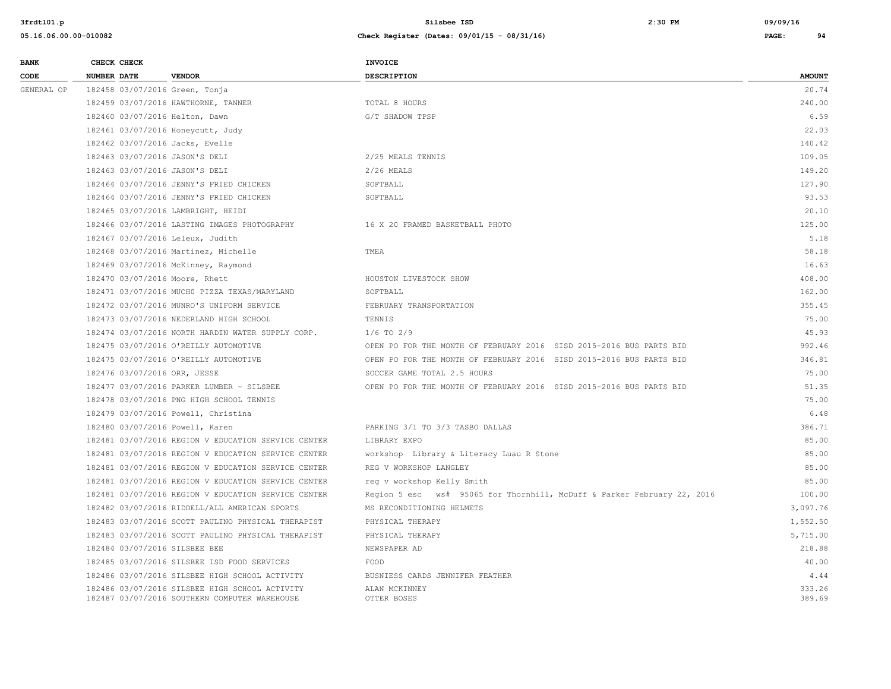| <b>BANK</b> | CHECK CHECK                       |                                                                                                 | <b>INVOICE</b>                                                          |                  |
|-------------|-----------------------------------|-------------------------------------------------------------------------------------------------|-------------------------------------------------------------------------|------------------|
| CODE        | <b>NUMBER DATE</b>                | <b>VENDOR</b>                                                                                   | <b>DESCRIPTION</b>                                                      | <b>AMOUNT</b>    |
| GENERAL OP  | 182458 03/07/2016 Green, Tonja    |                                                                                                 |                                                                         | 20.74            |
|             |                                   | 182459 03/07/2016 HAWTHORNE, TANNER                                                             | TOTAL 8 HOURS                                                           | 240.00           |
|             | 182460 03/07/2016 Helton, Dawn    |                                                                                                 | G/T SHADOW TPSP                                                         | 6.59             |
|             | 182461 03/07/2016 Honeycutt, Judy |                                                                                                 |                                                                         | 22.03            |
|             | 182462 03/07/2016 Jacks, Evelle   |                                                                                                 |                                                                         | 140.42           |
|             | 182463 03/07/2016 JASON'S DELI    |                                                                                                 | 2/25 MEALS TENNIS                                                       | 109.05           |
|             | 182463 03/07/2016 JASON'S DELI    |                                                                                                 | $2/26$ MEALS                                                            | 149.20           |
|             |                                   | 182464 03/07/2016 JENNY'S FRIED CHICKEN                                                         | SOFTBALL                                                                | 127.90           |
|             |                                   | 182464 03/07/2016 JENNY'S FRIED CHICKEN                                                         | SOFTBALL                                                                | 93.53            |
|             |                                   | 182465 03/07/2016 LAMBRIGHT, HEIDI                                                              |                                                                         | 20.10            |
|             |                                   | 182466 03/07/2016 LASTING IMAGES PHOTOGRAPHY                                                    | 16 X 20 FRAMED BASKETBALL PHOTO                                         | 125.00           |
|             | 182467 03/07/2016 Leleux, Judith  |                                                                                                 |                                                                         | 5.18             |
|             |                                   | 182468 03/07/2016 Martinez, Michelle                                                            | TMEA                                                                    | 58.18            |
|             |                                   | 182469 03/07/2016 McKinney, Raymond                                                             |                                                                         | 16.63            |
|             | 182470 03/07/2016 Moore, Rhett    |                                                                                                 | HOUSTON LIVESTOCK SHOW                                                  | 408.00           |
|             |                                   | 182471 03/07/2016 MUCHO PIZZA TEXAS/MARYLAND                                                    | SOFTBALL                                                                | 162.00           |
|             |                                   | 182472 03/07/2016 MUNRO'S UNIFORM SERVICE                                                       | FEBRUARY TRANSPORTATION                                                 | 355.45           |
|             |                                   | 182473 03/07/2016 NEDERLAND HIGH SCHOOL                                                         | TENNIS                                                                  | 75.00            |
|             |                                   | 182474 03/07/2016 NORTH HARDIN WATER SUPPLY CORP.                                               | $1/6$ TO $2/9$                                                          | 45.93            |
|             |                                   | 182475 03/07/2016 O'REILLY AUTOMOTIVE                                                           | OPEN PO FOR THE MONTH OF FEBRUARY 2016 SISD 2015-2016 BUS PARTS BID     | 992.46           |
|             |                                   | 182475 03/07/2016 O'REILLY AUTOMOTIVE                                                           | OPEN PO FOR THE MONTH OF FEBRUARY 2016 SISD 2015-2016 BUS PARTS BID     | 346.81           |
|             | 182476 03/07/2016 ORR, JESSE      |                                                                                                 | SOCCER GAME TOTAL 2.5 HOURS                                             | 75.00            |
|             |                                   | 182477 03/07/2016 PARKER LUMBER - SILSBEE                                                       | OPEN PO FOR THE MONTH OF FEBRUARY 2016 SISD 2015-2016 BUS PARTS BID     | 51.35            |
|             |                                   | 182478 03/07/2016 PNG HIGH SCHOOL TENNIS                                                        |                                                                         | 75.00            |
|             |                                   | 182479 03/07/2016 Powell, Christina                                                             |                                                                         | 6.48             |
|             | 182480 03/07/2016 Powell, Karen   |                                                                                                 | PARKING 3/1 TO 3/3 TASBO DALLAS                                         | 386.71           |
|             |                                   | 182481 03/07/2016 REGION V EDUCATION SERVICE CENTER                                             | LIBRARY EXPO                                                            | 85.00            |
|             |                                   | 182481 03/07/2016 REGION V EDUCATION SERVICE CENTER                                             | workshop Library & Literacy Luau R Stone                                | 85.00            |
|             |                                   | 182481 03/07/2016 REGION V EDUCATION SERVICE CENTER                                             | REG V WORKSHOP LANGLEY                                                  | 85.00            |
|             |                                   | 182481 03/07/2016 REGION V EDUCATION SERVICE CENTER                                             | reg v workshop Kelly Smith                                              | 85.00            |
|             |                                   | 182481 03/07/2016 REGION V EDUCATION SERVICE CENTER                                             | Region 5 esc ws# 95065 for Thornhill, McDuff & Parker February 22, 2016 | 100.00           |
|             |                                   | 182482 03/07/2016 RIDDELL/ALL AMERICAN SPORTS                                                   | MS RECONDITIONING HELMETS                                               | 3,097.76         |
|             |                                   | 182483 03/07/2016 SCOTT PAULINO PHYSICAL THERAPIST                                              | PHYSICAL THERAPY                                                        | 1,552.50         |
|             |                                   | 182483 03/07/2016 SCOTT PAULINO PHYSICAL THERAPIST                                              | PHYSICAL THERAPY                                                        | 5,715.00         |
|             | 182484 03/07/2016 SILSBEE BEE     |                                                                                                 | NEWSPAPER AD                                                            | 218.88           |
|             |                                   | 182485 03/07/2016 SILSBEE ISD FOOD SERVICES                                                     | FOOD                                                                    | 40.00            |
|             |                                   | 182486 03/07/2016 SILSBEE HIGH SCHOOL ACTIVITY                                                  | BUSNIESS CARDS JENNIFER FEATHER                                         | 4.44             |
|             |                                   | 182486 03/07/2016 SILSBEE HIGH SCHOOL ACTIVITY<br>182487 03/07/2016 SOUTHERN COMPUTER WAREHOUSE | ALAN MCKINNEY<br>OTTER BOSES                                            | 333.26<br>389.69 |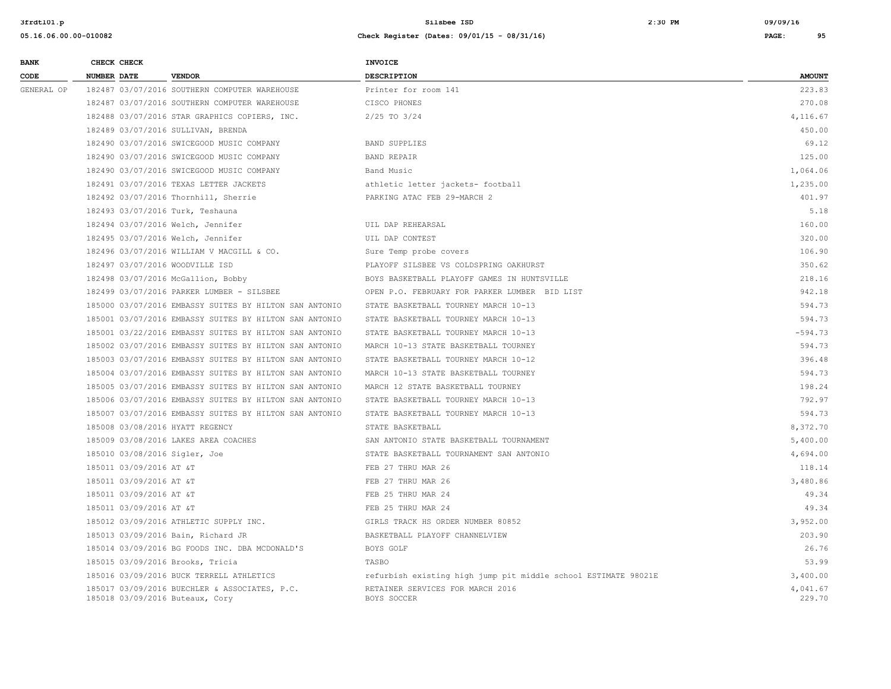| <b>BANK</b> | CHECK CHECK        |                         |                                                                                  | <b>INVOICE</b>                                                 |                    |
|-------------|--------------------|-------------------------|----------------------------------------------------------------------------------|----------------------------------------------------------------|--------------------|
| CODE        | <b>NUMBER DATE</b> |                         | <b>VENDOR</b>                                                                    | DESCRIPTION                                                    | <b>AMOUNT</b>      |
| GENERAL OP  |                    |                         | 182487 03/07/2016 SOUTHERN COMPUTER WAREHOUSE                                    | Printer for room 141                                           | 223.83             |
|             |                    |                         | 182487 03/07/2016 SOUTHERN COMPUTER WAREHOUSE                                    | CISCO PHONES                                                   | 270.08             |
|             |                    |                         | 182488 03/07/2016 STAR GRAPHICS COPIERS, INC.                                    | $2/25$ TO $3/24$                                               | 4,116.67           |
|             |                    |                         | 182489 03/07/2016 SULLIVAN, BRENDA                                               |                                                                | 450.00             |
|             |                    |                         | 182490 03/07/2016 SWICEGOOD MUSIC COMPANY                                        | BAND SUPPLIES                                                  | 69.12              |
|             |                    |                         | 182490 03/07/2016 SWICEGOOD MUSIC COMPANY                                        | <b>BAND REPAIR</b>                                             | 125.00             |
|             |                    |                         | 182490 03/07/2016 SWICEGOOD MUSIC COMPANY                                        | Band Music                                                     | 1,064.06           |
|             |                    |                         | 182491 03/07/2016 TEXAS LETTER JACKETS                                           | athletic letter jackets- football                              | 1,235.00           |
|             |                    |                         | 182492 03/07/2016 Thornhill, Sherrie                                             | PARKING ATAC FEB 29-MARCH 2                                    | 401.97             |
|             |                    |                         | 182493 03/07/2016 Turk, Teshauna                                                 |                                                                | 5.18               |
|             |                    |                         | 182494 03/07/2016 Welch, Jennifer                                                | UIL DAP REHEARSAL                                              | 160.00             |
|             |                    |                         | 182495 03/07/2016 Welch, Jennifer                                                | UIL DAP CONTEST                                                | 320.00             |
|             |                    |                         | 182496 03/07/2016 WILLIAM V MACGILL & CO.                                        | Sure Temp probe covers                                         | 106.90             |
|             |                    |                         | 182497 03/07/2016 WOODVILLE ISD                                                  | PLAYOFF SILSBEE VS COLDSPRING OAKHURST                         | 350.62             |
|             |                    |                         | 182498 03/07/2016 McGallion, Bobby                                               | BOYS BASKETBALL PLAYOFF GAMES IN HUNTSVILLE                    | 218.16             |
|             |                    |                         | 182499 03/07/2016 PARKER LUMBER - SILSBEE                                        | OPEN P.O. FEBRUARY FOR PARKER LUMBER BID LIST                  | 942.18             |
|             |                    |                         | 185000 03/07/2016 EMBASSY SUITES BY HILTON SAN ANTONIO                           | STATE BASKETBALL TOURNEY MARCH 10-13                           | 594.73             |
|             |                    |                         | 185001 03/07/2016 EMBASSY SUITES BY HILTON SAN ANTONIO                           | STATE BASKETBALL TOURNEY MARCH 10-13                           | 594.73             |
|             |                    |                         | 185001 03/22/2016 EMBASSY SUITES BY HILTON SAN ANTONIO                           | STATE BASKETBALL TOURNEY MARCH 10-13                           | $-594.73$          |
|             |                    |                         | 185002 03/07/2016 EMBASSY SUITES BY HILTON SAN ANTONIO                           | MARCH 10-13 STATE BASKETBALL TOURNEY                           | 594.73             |
|             |                    |                         | 185003 03/07/2016 EMBASSY SUITES BY HILTON SAN ANTONIO                           | STATE BASKETBALL TOURNEY MARCH 10-12                           | 396.48             |
|             |                    |                         | 185004 03/07/2016 EMBASSY SUITES BY HILTON SAN ANTONIO                           | MARCH 10-13 STATE BASKETBALL TOURNEY                           | 594.73             |
|             |                    |                         | 185005 03/07/2016 EMBASSY SUITES BY HILTON SAN ANTONIO                           | MARCH 12 STATE BASKETBALL TOURNEY                              | 198.24             |
|             |                    |                         | 185006 03/07/2016 EMBASSY SUITES BY HILTON SAN ANTONIO                           | STATE BASKETBALL TOURNEY MARCH 10-13                           | 792.97             |
|             |                    |                         | 185007 03/07/2016 EMBASSY SUITES BY HILTON SAN ANTONIO                           | STATE BASKETBALL TOURNEY MARCH 10-13                           | 594.73             |
|             |                    |                         | 185008 03/08/2016 HYATT REGENCY                                                  | STATE BASKETBALL                                               | 8,372.70           |
|             |                    |                         | 185009 03/08/2016 LAKES AREA COACHES                                             | SAN ANTONIO STATE BASKETBALL TOURNAMENT                        | 5,400.00           |
|             |                    |                         | 185010 03/08/2016 Sigler, Joe                                                    | STATE BASKETBALL TOURNAMENT SAN ANTONIO                        | 4,694.00           |
|             |                    | 185011 03/09/2016 AT &T |                                                                                  | FEB 27 THRU MAR 26                                             | 118.14             |
|             |                    | 185011 03/09/2016 AT &T |                                                                                  | FEB 27 THRU MAR 26                                             | 3,480.86           |
|             |                    | 185011 03/09/2016 AT &T |                                                                                  | FEB 25 THRU MAR 24                                             | 49.34              |
|             |                    | 185011 03/09/2016 AT &T |                                                                                  | FEB 25 THRU MAR 24                                             | 49.34              |
|             |                    |                         | 185012 03/09/2016 ATHLETIC SUPPLY INC.                                           | GIRLS TRACK HS ORDER NUMBER 80852                              | 3,952.00           |
|             |                    |                         | 185013 03/09/2016 Bain, Richard JR                                               | BASKETBALL PLAYOFF CHANNELVIEW                                 | 203.90             |
|             |                    |                         | 185014 03/09/2016 BG FOODS INC. DBA MCDONALD'S                                   | BOYS GOLF                                                      | 26.76              |
|             |                    |                         | 185015 03/09/2016 Brooks, Tricia                                                 | TASBO                                                          | 53.99              |
|             |                    |                         | 185016 03/09/2016 BUCK TERRELL ATHLETICS                                         | refurbish existing high jump pit middle school ESTIMATE 98021E | 3,400.00           |
|             |                    |                         | 185017 03/09/2016 BUECHLER & ASSOCIATES, P.C.<br>185018 03/09/2016 Buteaux, Cory | RETAINER SERVICES FOR MARCH 2016<br>BOYS SOCCER                | 4,041.67<br>229.70 |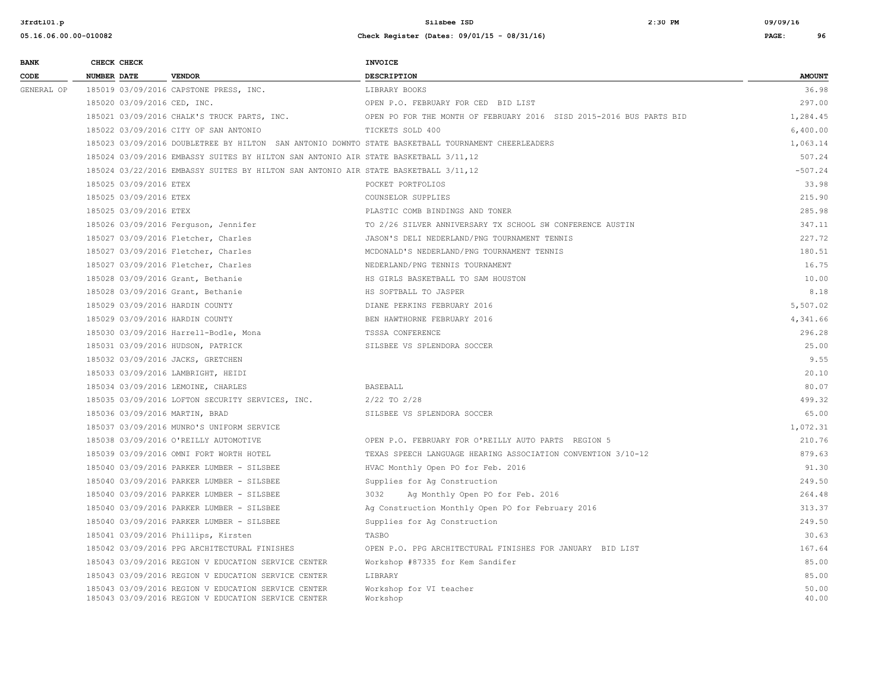| <b>BANK</b> |                    | CHECK CHECK                 |                                                                                                    | <b>INVOICE</b>                                                      |               |
|-------------|--------------------|-----------------------------|----------------------------------------------------------------------------------------------------|---------------------------------------------------------------------|---------------|
| CODE        | <b>NUMBER DATE</b> |                             | <b>VENDOR</b>                                                                                      | <b>DESCRIPTION</b>                                                  | <b>AMOUNT</b> |
| GENERAL OP  |                    |                             | 185019 03/09/2016 CAPSTONE PRESS, INC.                                                             | LIBRARY BOOKS                                                       | 36.98         |
|             |                    | 185020 03/09/2016 CED, INC. |                                                                                                    | OPEN P.O. FEBRUARY FOR CED BID LIST                                 | 297.00        |
|             |                    |                             | 185021 03/09/2016 CHALK'S TRUCK PARTS, INC.                                                        | OPEN PO FOR THE MONTH OF FEBRUARY 2016 SISD 2015-2016 BUS PARTS BID | 1,284.45      |
|             |                    |                             | 185022 03/09/2016 CITY OF SAN ANTONIO                                                              | TICKETS SOLD 400                                                    | 6,400.00      |
|             |                    |                             | 185023 03/09/2016 DOUBLETREE BY HILTON SAN ANTONIO DOWNTO STATE BASKETBALL TOURNAMENT CHEERLEADERS |                                                                     | 1,063.14      |
|             |                    |                             | 185024 03/09/2016 EMBASSY SUITES BY HILTON SAN ANTONIO AIR STATE BASKETBALL 3/11,12                |                                                                     | 507.24        |
|             |                    |                             | 185024 03/22/2016 EMBASSY SUITES BY HILTON SAN ANTONIO AIR STATE BASKETBALL 3/11,12                |                                                                     | $-507.24$     |
|             |                    | 185025 03/09/2016 ETEX      |                                                                                                    | POCKET PORTFOLIOS                                                   | 33.98         |
|             |                    | 185025 03/09/2016 ETEX      |                                                                                                    | COUNSELOR SUPPLIES                                                  | 215.90        |
|             |                    | 185025 03/09/2016 ETEX      |                                                                                                    | PLASTIC COMB BINDINGS AND TONER                                     | 285.98        |
|             |                    |                             | 185026 03/09/2016 Ferguson, Jennifer                                                               | TO 2/26 SILVER ANNIVERSARY TX SCHOOL SW CONFERENCE AUSTIN           | 347.11        |
|             |                    |                             | 185027 03/09/2016 Fletcher, Charles                                                                | JASON'S DELI NEDERLAND/PNG TOURNAMENT TENNIS                        | 227.72        |
|             |                    |                             | 185027 03/09/2016 Fletcher, Charles                                                                | MCDONALD'S NEDERLAND/PNG TOURNAMENT TENNIS                          | 180.51        |
|             |                    |                             | 185027 03/09/2016 Fletcher, Charles                                                                | NEDERLAND/PNG TENNIS TOURNAMENT                                     | 16.75         |
|             |                    |                             | 185028 03/09/2016 Grant, Bethanie                                                                  | HS GIRLS BASKETBALL TO SAM HOUSTON                                  | 10.00         |
|             |                    |                             | 185028 03/09/2016 Grant, Bethanie                                                                  | HS SOFTBALL TO JASPER                                               | 8.18          |
|             |                    |                             | 185029 03/09/2016 HARDIN COUNTY                                                                    | DIANE PERKINS FEBRUARY 2016                                         | 5,507.02      |
|             |                    |                             | 185029 03/09/2016 HARDIN COUNTY                                                                    | BEN HAWTHORNE FEBRUARY 2016                                         | 4,341.66      |
|             |                    |                             | 185030 03/09/2016 Harrell-Bodle, Mona                                                              | TSSSA CONFERENCE                                                    | 296.28        |
|             |                    |                             | 185031 03/09/2016 HUDSON, PATRICK                                                                  | SILSBEE VS SPLENDORA SOCCER                                         | 25.00         |
|             |                    |                             | 185032 03/09/2016 JACKS, GRETCHEN                                                                  |                                                                     | 9.55          |
|             |                    |                             | 185033 03/09/2016 LAMBRIGHT, HEIDI                                                                 |                                                                     | 20.10         |
|             |                    |                             | 185034 03/09/2016 LEMOINE, CHARLES                                                                 | <b>BASEBALL</b>                                                     | 80.07         |
|             |                    |                             | 185035 03/09/2016 LOFTON SECURITY SERVICES, INC.                                                   | $2/22$ TO $2/28$                                                    | 499.32        |
|             |                    |                             | 185036 03/09/2016 MARTIN, BRAD                                                                     | SILSBEE VS SPLENDORA SOCCER                                         | 65.00         |
|             |                    |                             | 185037 03/09/2016 MUNRO'S UNIFORM SERVICE                                                          |                                                                     | 1,072.31      |
|             |                    |                             | 185038 03/09/2016 O'REILLY AUTOMOTIVE                                                              | OPEN P.O. FEBRUARY FOR O'REILLY AUTO PARTS REGION 5                 | 210.76        |
|             |                    |                             | 185039 03/09/2016 OMNI FORT WORTH HOTEL                                                            | TEXAS SPEECH LANGUAGE HEARING ASSOCIATION CONVENTION 3/10-12        | 879.63        |
|             |                    |                             | 185040 03/09/2016 PARKER LUMBER - SILSBEE                                                          | HVAC Monthly Open PO for Feb. 2016                                  | 91.30         |
|             |                    |                             | 185040 03/09/2016 PARKER LUMBER - SILSBEE                                                          | Supplies for Ag Construction                                        | 249.50        |
|             |                    |                             | 185040 03/09/2016 PARKER LUMBER - SILSBEE                                                          | 3032<br>Ag Monthly Open PO for Feb. 2016                            | 264.48        |
|             |                    |                             | 185040 03/09/2016 PARKER LUMBER - SILSBEE                                                          | Ag Construction Monthly Open PO for February 2016                   | 313.37        |
|             |                    |                             | 185040 03/09/2016 PARKER LUMBER - SILSBEE                                                          | Supplies for Aq Construction                                        | 249.50        |
|             |                    |                             | 185041 03/09/2016 Phillips, Kirsten                                                                | TASBO                                                               | 30.63         |
|             |                    |                             | 185042 03/09/2016 PPG ARCHITECTURAL FINISHES                                                       | OPEN P.O. PPG ARCHITECTURAL FINISHES FOR JANUARY BID LIST           | 167.64        |
|             |                    |                             | 185043 03/09/2016 REGION V EDUCATION SERVICE CENTER                                                | Workshop #87335 for Kem Sandifer                                    | 85.00         |
|             |                    |                             | 185043 03/09/2016 REGION V EDUCATION SERVICE CENTER                                                | LIBRARY                                                             | 85.00         |
|             |                    |                             | 185043 03/09/2016 REGION V EDUCATION SERVICE CENTER                                                | Workshop for VI teacher                                             | 50.00         |
|             |                    |                             | 185043 03/09/2016 REGION V EDUCATION SERVICE CENTER                                                | Workshop                                                            | 40.00         |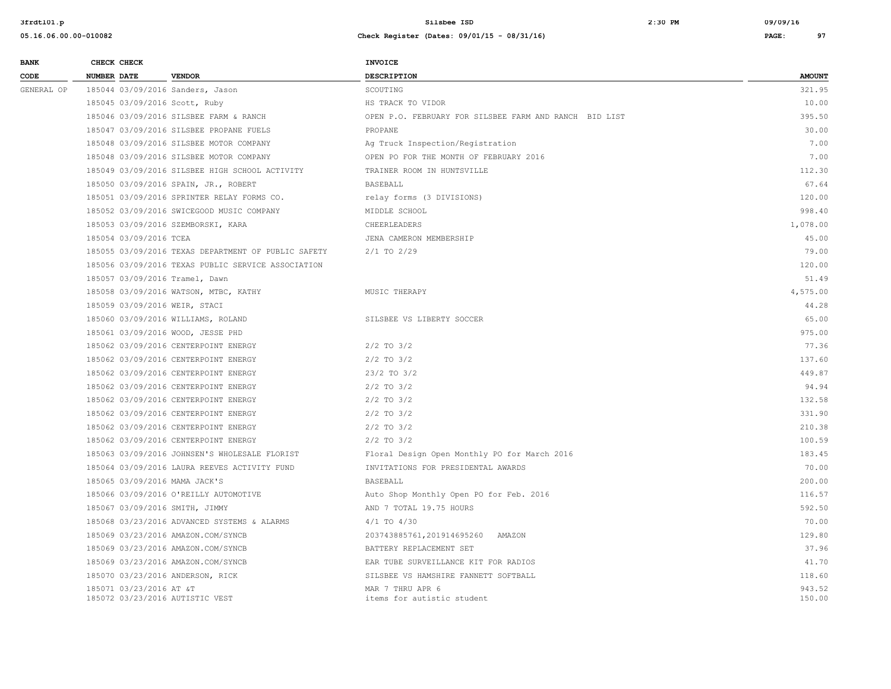| <b>BANK</b> |                    | CHECK CHECK             |                                                     | <b>INVOICE</b>                                         |                  |
|-------------|--------------------|-------------------------|-----------------------------------------------------|--------------------------------------------------------|------------------|
| CODE        | <b>NUMBER DATE</b> |                         | <b>VENDOR</b>                                       | <b>DESCRIPTION</b>                                     | <b>AMOUNT</b>    |
| GENERAL OP  |                    |                         | 185044 03/09/2016 Sanders, Jason                    | SCOUTING                                               | 321.95           |
|             |                    |                         | 185045 03/09/2016 Scott, Ruby                       | HS TRACK TO VIDOR                                      | 10.00            |
|             |                    |                         | 185046 03/09/2016 SILSBEE FARM & RANCH              | OPEN P.O. FEBRUARY FOR SILSBEE FARM AND RANCH BID LIST | 395.50           |
|             |                    |                         | 185047 03/09/2016 SILSBEE PROPANE FUELS             | PROPANE                                                | 30.00            |
|             |                    |                         | 185048 03/09/2016 SILSBEE MOTOR COMPANY             | Ag Truck Inspection/Registration                       | 7.00             |
|             |                    |                         | 185048 03/09/2016 SILSBEE MOTOR COMPANY             | OPEN PO FOR THE MONTH OF FEBRUARY 2016                 | 7.00             |
|             |                    |                         | 185049 03/09/2016 SILSBEE HIGH SCHOOL ACTIVITY      | TRAINER ROOM IN HUNTSVILLE                             | 112.30           |
|             |                    |                         | 185050 03/09/2016 SPAIN, JR., ROBERT                | BASEBALL                                               | 67.64            |
|             |                    |                         | 185051 03/09/2016 SPRINTER RELAY FORMS CO.          | relay forms (3 DIVISIONS)                              | 120.00           |
|             |                    |                         | 185052 03/09/2016 SWICEGOOD MUSIC COMPANY           | MIDDLE SCHOOL                                          | 998.40           |
|             |                    |                         | 185053 03/09/2016 SZEMBORSKI, KARA                  | CHEERLEADERS                                           | 1,078.00         |
|             |                    | 185054 03/09/2016 TCEA  |                                                     | JENA CAMERON MEMBERSHIP                                | 45.00            |
|             |                    |                         | 185055 03/09/2016 TEXAS DEPARTMENT OF PUBLIC SAFETY | $2/1$ TO $2/29$                                        | 79.00            |
|             |                    |                         | 185056 03/09/2016 TEXAS PUBLIC SERVICE ASSOCIATION  |                                                        | 120.00           |
|             |                    |                         | 185057 03/09/2016 Tramel, Dawn                      |                                                        | 51.49            |
|             |                    |                         | 185058 03/09/2016 WATSON, MTBC, KATHY               | MUSIC THERAPY                                          | 4,575.00         |
|             |                    |                         | 185059 03/09/2016 WEIR, STACI                       |                                                        | 44.28            |
|             |                    |                         | 185060 03/09/2016 WILLIAMS, ROLAND                  | SILSBEE VS LIBERTY SOCCER                              | 65.00            |
|             |                    |                         | 185061 03/09/2016 WOOD, JESSE PHD                   |                                                        | 975.00           |
|             |                    |                         | 185062 03/09/2016 CENTERPOINT ENERGY                | $2/2$ TO $3/2$                                         | 77.36            |
|             |                    |                         | 185062 03/09/2016 CENTERPOINT ENERGY                | $2/2$ TO $3/2$                                         | 137.60           |
|             |                    |                         | 185062 03/09/2016 CENTERPOINT ENERGY                | $23/2$ TO $3/2$                                        | 449.87           |
|             |                    |                         | 185062 03/09/2016 CENTERPOINT ENERGY                | $2/2$ TO $3/2$                                         | 94.94            |
|             |                    |                         | 185062 03/09/2016 CENTERPOINT ENERGY                | $2/2$ TO $3/2$                                         | 132.58           |
|             |                    |                         | 185062 03/09/2016 CENTERPOINT ENERGY                | $2/2$ TO $3/2$                                         | 331.90           |
|             |                    |                         | 185062 03/09/2016 CENTERPOINT ENERGY                | $2/2$ TO $3/2$                                         | 210.38           |
|             |                    |                         | 185062 03/09/2016 CENTERPOINT ENERGY                | $2/2$ TO $3/2$                                         | 100.59           |
|             |                    |                         | 185063 03/09/2016 JOHNSEN'S WHOLESALE FLORIST       | Floral Design Open Monthly PO for March 2016           | 183.45           |
|             |                    |                         | 185064 03/09/2016 LAURA REEVES ACTIVITY FUND        | INVITATIONS FOR PRESIDENTAL AWARDS                     | 70.00            |
|             |                    |                         | 185065 03/09/2016 MAMA JACK'S                       | BASEBALL                                               | 200.00           |
|             |                    |                         | 185066 03/09/2016 O'REILLY AUTOMOTIVE               | Auto Shop Monthly Open PO for Feb. 2016                | 116.57           |
|             |                    |                         | 185067 03/09/2016 SMITH, JIMMY                      | AND 7 TOTAL 19.75 HOURS                                | 592.50           |
|             |                    |                         | 185068 03/23/2016 ADVANCED SYSTEMS & ALARMS         | $4/1$ TO $4/30$                                        | 70.00            |
|             |                    |                         | 185069 03/23/2016 AMAZON.COM/SYNCB                  | 203743885761,201914695260 AMAZON                       | 129.80           |
|             |                    |                         | 185069 03/23/2016 AMAZON.COM/SYNCB                  | BATTERY REPLACEMENT SET                                | 37.96            |
|             |                    |                         | 185069 03/23/2016 AMAZON.COM/SYNCB                  | EAR TUBE SURVEILLANCE KIT FOR RADIOS                   | 41.70            |
|             |                    |                         | 185070 03/23/2016 ANDERSON, RICK                    | SILSBEE VS HAMSHIRE FANNETT SOFTBALL                   | 118.60           |
|             |                    | 185071 03/23/2016 AT &T | 185072 03/23/2016 AUTISTIC VEST                     | MAR 7 THRU APR 6<br>items for autistic student         | 943.52<br>150.00 |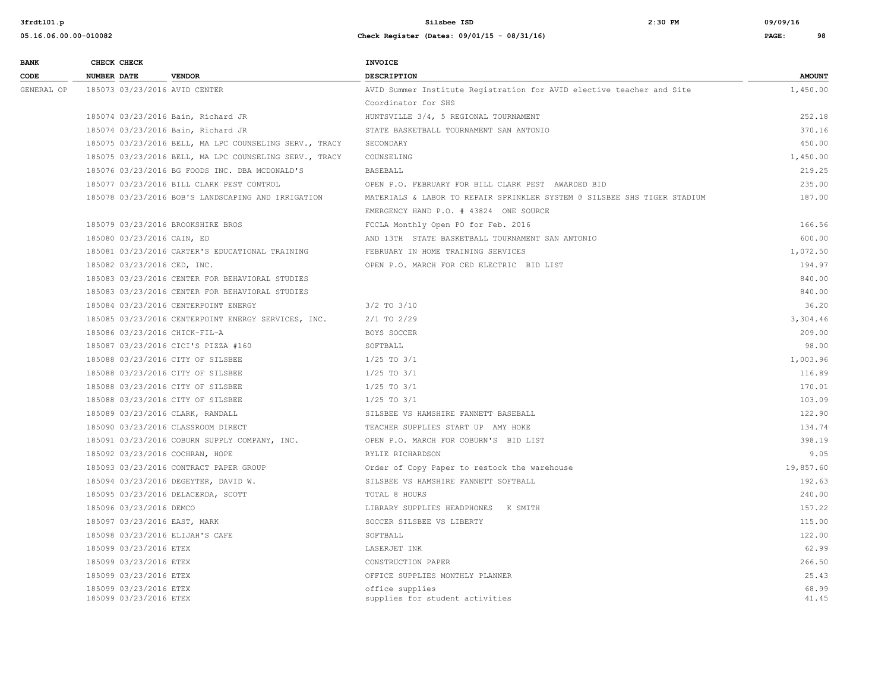| <b>BANK</b> |                    | CHECK CHECK                                      |                                                        | <b>INVOICE</b>                                                           |                |
|-------------|--------------------|--------------------------------------------------|--------------------------------------------------------|--------------------------------------------------------------------------|----------------|
| CODE        | <b>NUMBER DATE</b> |                                                  | <b>VENDOR</b>                                          | DESCRIPTION                                                              | <b>AMOUNT</b>  |
| GENERAL OP  |                    |                                                  | 185073 03/23/2016 AVID CENTER                          | AVID Summer Institute Registration for AVID elective teacher and Site    | 1,450.00       |
|             |                    |                                                  |                                                        | Coordinator for SHS                                                      |                |
|             |                    |                                                  | 185074 03/23/2016 Bain, Richard JR                     | HUNTSVILLE 3/4, 5 REGIONAL TOURNAMENT                                    | 252.18         |
|             |                    |                                                  | 185074 03/23/2016 Bain, Richard JR                     | STATE BASKETBALL TOURNAMENT SAN ANTONIO                                  | 370.16         |
|             |                    |                                                  | 185075 03/23/2016 BELL, MA LPC COUNSELING SERV., TRACY | SECONDARY                                                                | 450.00         |
|             |                    |                                                  | 185075 03/23/2016 BELL, MA LPC COUNSELING SERV., TRACY | COUNSELING                                                               | 1,450.00       |
|             |                    |                                                  | 185076 03/23/2016 BG FOODS INC. DBA MCDONALD'S         | <b>BASEBALL</b>                                                          | 219.25         |
|             |                    |                                                  | 185077 03/23/2016 BILL CLARK PEST CONTROL              | OPEN P.O. FEBRUARY FOR BILL CLARK PEST AWARDED BID                       | 235.00         |
|             |                    |                                                  | 185078 03/23/2016 BOB'S LANDSCAPING AND IRRIGATION     | MATERIALS & LABOR TO REPAIR SPRINKLER SYSTEM @ SILSBEE SHS TIGER STADIUM | 187.00         |
|             |                    |                                                  |                                                        | EMERGENCY HAND P.O. # 43824 ONE SOURCE                                   |                |
|             |                    |                                                  | 185079 03/23/2016 BROOKSHIRE BROS                      | FCCLA Monthly Open PO for Feb. 2016                                      | 166.56         |
|             |                    | 185080 03/23/2016 CAIN, ED                       |                                                        | AND 13TH STATE BASKETBALL TOURNAMENT SAN ANTONIO                         | 600.00         |
|             |                    |                                                  | 185081 03/23/2016 CARTER'S EDUCATIONAL TRAINING        | FEBRUARY IN HOME TRAINING SERVICES                                       | 1,072.50       |
|             |                    | 185082 03/23/2016 CED, INC.                      |                                                        | OPEN P.O. MARCH FOR CED ELECTRIC BID LIST                                | 194.97         |
|             |                    |                                                  | 185083 03/23/2016 CENTER FOR BEHAVIORAL STUDIES        |                                                                          | 840.00         |
|             |                    |                                                  | 185083 03/23/2016 CENTER FOR BEHAVIORAL STUDIES        |                                                                          | 840.00         |
|             |                    |                                                  | 185084 03/23/2016 CENTERPOINT ENERGY                   | 3/2 TO 3/10                                                              | 36.20          |
|             |                    |                                                  | 185085 03/23/2016 CENTERPOINT ENERGY SERVICES, INC.    | $2/1$ TO $2/29$                                                          | 3,304.46       |
|             |                    |                                                  | 185086 03/23/2016 CHICK-FIL-A                          | BOYS SOCCER                                                              | 209.00         |
|             |                    |                                                  | 185087 03/23/2016 CICI'S PIZZA #160                    | SOFTBALL                                                                 | 98.00          |
|             |                    |                                                  | 185088 03/23/2016 CITY OF SILSBEE                      | $1/25$ TO $3/1$                                                          | 1,003.96       |
|             |                    |                                                  | 185088 03/23/2016 CITY OF SILSBEE                      | $1/25$ TO $3/1$                                                          | 116.89         |
|             |                    |                                                  | 185088 03/23/2016 CITY OF SILSBEE                      | $1/25$ TO $3/1$                                                          | 170.01         |
|             |                    |                                                  | 185088 03/23/2016 CITY OF SILSBEE                      | $1/25$ TO $3/1$                                                          | 103.09         |
|             |                    |                                                  | 185089 03/23/2016 CLARK, RANDALL                       | SILSBEE VS HAMSHIRE FANNETT BASEBALL                                     | 122.90         |
|             |                    |                                                  | 185090 03/23/2016 CLASSROOM DIRECT                     | TEACHER SUPPLIES START UP AMY HOKE                                       | 134.74         |
|             |                    |                                                  | 185091 03/23/2016 COBURN SUPPLY COMPANY, INC.          | OPEN P.O. MARCH FOR COBURN'S BID LIST                                    | 398.19         |
|             |                    |                                                  | 185092 03/23/2016 COCHRAN, HOPE                        | RYLIE RICHARDSON                                                         | 9.05           |
|             |                    |                                                  | 185093 03/23/2016 CONTRACT PAPER GROUP                 | Order of Copy Paper to restock the warehouse                             | 19,857.60      |
|             |                    |                                                  | 185094 03/23/2016 DEGEYTER, DAVID W.                   | SILSBEE VS HAMSHIRE FANNETT SOFTBALL                                     | 192.63         |
|             |                    |                                                  | 185095 03/23/2016 DELACERDA, SCOTT                     | TOTAL 8 HOURS                                                            | 240.00         |
|             |                    | 185096 03/23/2016 DEMCO                          |                                                        | LIBRARY SUPPLIES HEADPHONES K SMITH                                      | 157.22         |
|             |                    |                                                  | 185097 03/23/2016 EAST, MARK                           | SOCCER SILSBEE VS LIBERTY                                                | 115.00         |
|             |                    |                                                  | 185098 03/23/2016 ELIJAH'S CAFE                        | SOFTBALL                                                                 | 122.00         |
|             |                    | 185099 03/23/2016 ETEX                           |                                                        | LASERJET INK                                                             | 62.99          |
|             |                    | 185099 03/23/2016 ETEX                           |                                                        | CONSTRUCTION PAPER                                                       | 266.50         |
|             |                    | 185099 03/23/2016 ETEX                           |                                                        | OFFICE SUPPLIES MONTHLY PLANNER                                          | 25.43          |
|             |                    | 185099 03/23/2016 ETEX<br>185099 03/23/2016 ETEX |                                                        | office supplies<br>supplies for student activities                       | 68.99<br>41.45 |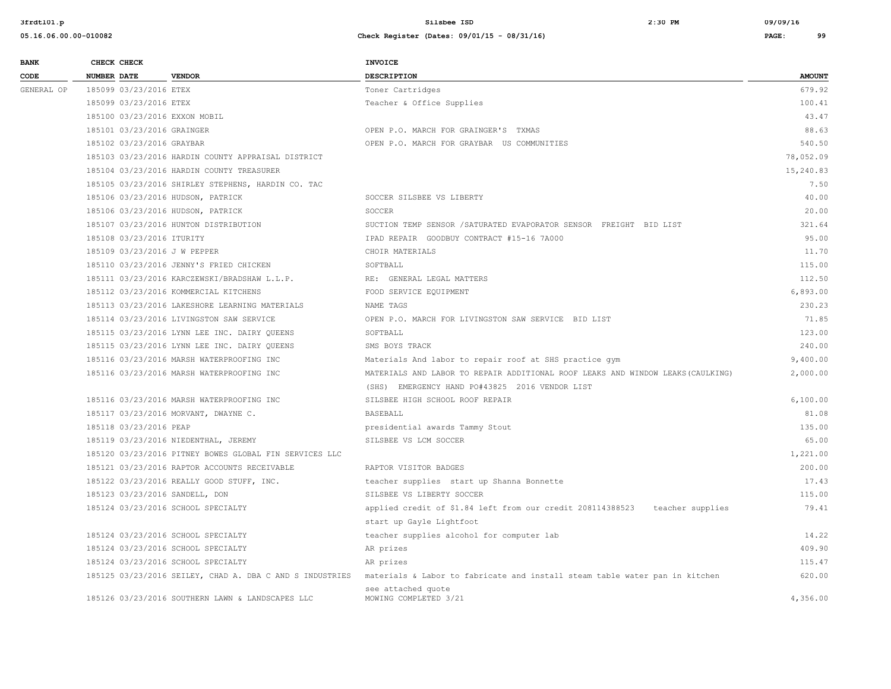| <b>BANK</b> |             | CHECK CHECK                |                                                          | INVOICE                                                                         |               |
|-------------|-------------|----------------------------|----------------------------------------------------------|---------------------------------------------------------------------------------|---------------|
| CODE        | NUMBER DATE |                            | <b>VENDOR</b>                                            | <b>DESCRIPTION</b>                                                              | <b>AMOUNT</b> |
| GENERAL OP  |             | 185099 03/23/2016 ETEX     |                                                          | Toner Cartridges                                                                | 679.92        |
|             |             | 185099 03/23/2016 ETEX     |                                                          | Teacher & Office Supplies                                                       | 100.41        |
|             |             |                            | 185100 03/23/2016 EXXON MOBIL                            |                                                                                 | 43.47         |
|             |             | 185101 03/23/2016 GRAINGER |                                                          | OPEN P.O. MARCH FOR GRAINGER'S TXMAS                                            | 88.63         |
|             |             | 185102 03/23/2016 GRAYBAR  |                                                          | OPEN P.O. MARCH FOR GRAYBAR US COMMUNITIES                                      | 540.50        |
|             |             |                            | 185103 03/23/2016 HARDIN COUNTY APPRAISAL DISTRICT       |                                                                                 | 78,052.09     |
|             |             |                            | 185104 03/23/2016 HARDIN COUNTY TREASURER                |                                                                                 | 15,240.83     |
|             |             |                            | 185105 03/23/2016 SHIRLEY STEPHENS, HARDIN CO. TAC       |                                                                                 | 7.50          |
|             |             |                            | 185106 03/23/2016 HUDSON, PATRICK                        | SOCCER SILSBEE VS LIBERTY                                                       | 40.00         |
|             |             |                            | 185106 03/23/2016 HUDSON, PATRICK                        | SOCCER                                                                          | 20.00         |
|             |             |                            | 185107 03/23/2016 HUNTON DISTRIBUTION                    | SUCTION TEMP SENSOR / SATURATED EVAPORATOR SENSOR FREIGHT BID LIST              | 321.64        |
|             |             | 185108 03/23/2016 ITURITY  |                                                          | IPAD REPAIR GOODBUY CONTRACT #15-16 7A000                                       | 95.00         |
|             |             |                            | 185109 03/23/2016 J W PEPPER                             | CHOIR MATERIALS                                                                 | 11.70         |
|             |             |                            | 185110 03/23/2016 JENNY'S FRIED CHICKEN                  | SOFTBALL                                                                        | 115.00        |
|             |             |                            | 185111 03/23/2016 KARCZEWSKI/BRADSHAW L.L.P.             | RE: GENERAL LEGAL MATTERS                                                       | 112.50        |
|             |             |                            | 185112 03/23/2016 KOMMERCIAL KITCHENS                    | FOOD SERVICE EQUIPMENT                                                          | 6,893.00      |
|             |             |                            | 185113 03/23/2016 LAKESHORE LEARNING MATERIALS           | NAME TAGS                                                                       | 230.23        |
|             |             |                            | 185114 03/23/2016 LIVINGSTON SAW SERVICE                 | OPEN P.O. MARCH FOR LIVINGSTON SAW SERVICE BID LIST                             | 71.85         |
|             |             |                            | 185115 03/23/2016 LYNN LEE INC. DAIRY QUEENS             | SOFTBALL                                                                        | 123.00        |
|             |             |                            | 185115 03/23/2016 LYNN LEE INC. DAIRY QUEENS             | SMS BOYS TRACK                                                                  | 240.00        |
|             |             |                            | 185116 03/23/2016 MARSH WATERPROOFING INC                | Materials And labor to repair roof at SHS practice gym                          | 9,400.00      |
|             |             |                            | 185116 03/23/2016 MARSH WATERPROOFING INC                | MATERIALS AND LABOR TO REPAIR ADDITIONAL ROOF LEAKS AND WINDOW LEAKS (CAULKING) | 2,000.00      |
|             |             |                            |                                                          | (SHS) EMERGENCY HAND PO#43825 2016 VENDOR LIST                                  |               |
|             |             |                            | 185116 03/23/2016 MARSH WATERPROOFING INC                | SILSBEE HIGH SCHOOL ROOF REPAIR                                                 | 6,100.00      |
|             |             |                            | 185117 03/23/2016 MORVANT, DWAYNE C.                     | BASEBALL                                                                        | 81.08         |
|             |             | 185118 03/23/2016 PEAP     |                                                          | presidential awards Tammy Stout                                                 | 135.00        |
|             |             |                            | 185119 03/23/2016 NIEDENTHAL, JEREMY                     | SILSBEE VS LCM SOCCER                                                           | 65.00         |
|             |             |                            | 185120 03/23/2016 PITNEY BOWES GLOBAL FIN SERVICES LLC   |                                                                                 | 1,221.00      |
|             |             |                            | 185121 03/23/2016 RAPTOR ACCOUNTS RECEIVABLE             | RAPTOR VISITOR BADGES                                                           | 200.00        |
|             |             |                            | 185122 03/23/2016 REALLY GOOD STUFF, INC.                | teacher supplies start up Shanna Bonnette                                       | 17.43         |
|             |             |                            | 185123 03/23/2016 SANDELL, DON                           | SILSBEE VS LIBERTY SOCCER                                                       | 115.00        |
|             |             |                            | 185124 03/23/2016 SCHOOL SPECIALTY                       | applied credit of \$1.84 left from our credit 208114388523 teacher supplies     | 79.41         |
|             |             |                            |                                                          | start up Gayle Lightfoot                                                        |               |
|             |             |                            | 185124 03/23/2016 SCHOOL SPECIALTY                       | teacher supplies alcohol for computer lab                                       | 14.22         |
|             |             |                            | 185124 03/23/2016 SCHOOL SPECIALTY                       | AR prizes                                                                       | 409.90        |
|             |             |                            | 185124 03/23/2016 SCHOOL SPECIALTY                       | AR prizes                                                                       | 115.47        |
|             |             |                            | 185125 03/23/2016 SEILEY, CHAD A. DBA C AND S INDUSTRIES | materials & Labor to fabricate and install steam table water pan in kitchen     | 620.00        |
|             |             |                            | 185126 03/23/2016 SOUTHERN LAWN & LANDSCAPES LLC         | see attached quote<br>MOWING COMPLETED 3/21                                     | 4,356.00      |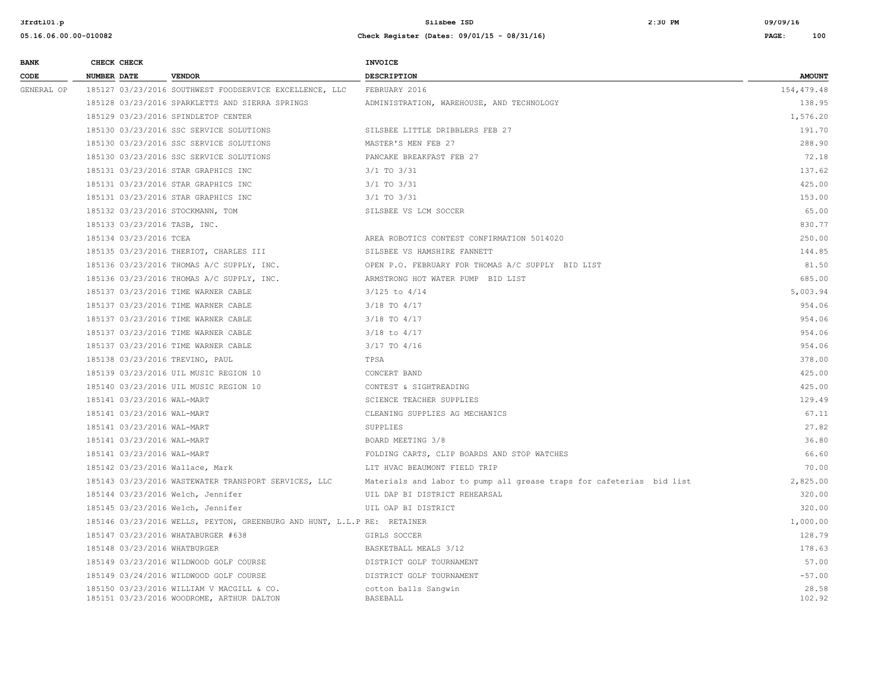| <b>BANK</b> | CHECK CHECK                     |                                                                                        | <b>INVOICE</b>                                                       |                 |
|-------------|---------------------------------|----------------------------------------------------------------------------------------|----------------------------------------------------------------------|-----------------|
| CODE        | <b>NUMBER DATE</b>              | <b>VENDOR</b>                                                                          | DESCRIPTION                                                          | <b>AMOUNT</b>   |
| GENERAL OP  |                                 | 185127 03/23/2016 SOUTHWEST FOODSERVICE EXCELLENCE, LLC                                | FEBRUARY 2016                                                        | 154,479.48      |
|             |                                 | 185128 03/23/2016 SPARKLETTS AND SIERRA SPRINGS                                        | ADMINISTRATION, WAREHOUSE, AND TECHNOLOGY                            | 138.95          |
|             |                                 | 185129 03/23/2016 SPINDLETOP CENTER                                                    |                                                                      | 1,576.20        |
|             |                                 | 185130 03/23/2016 SSC SERVICE SOLUTIONS                                                | SILSBEE LITTLE DRIBBLERS FEB 27                                      | 191.70          |
|             |                                 | 185130 03/23/2016 SSC SERVICE SOLUTIONS                                                | MASTER'S MEN FEB 27                                                  | 288.90          |
|             |                                 | 185130 03/23/2016 SSC SERVICE SOLUTIONS                                                | PANCAKE BREAKFAST FEB 27                                             | 72.18           |
|             |                                 | 185131 03/23/2016 STAR GRAPHICS INC                                                    | 3/1 TO 3/31                                                          | 137.62          |
|             |                                 | 185131 03/23/2016 STAR GRAPHICS INC                                                    | 3/1 TO 3/31                                                          | 425.00          |
|             |                                 | 185131 03/23/2016 STAR GRAPHICS INC                                                    | $3/1$ TO $3/31$                                                      | 153.00          |
|             |                                 | 185132 03/23/2016 STOCKMANN, TOM                                                       | SILSBEE VS LCM SOCCER                                                | 65.00           |
|             | 185133 03/23/2016 TASB, INC.    |                                                                                        |                                                                      | 830.77          |
|             | 185134 03/23/2016 TCEA          |                                                                                        | AREA ROBOTICS CONTEST CONFIRMATION 5014020                           | 250.00          |
|             |                                 | 185135 03/23/2016 THERIOT, CHARLES III                                                 | SILSBEE VS HAMSHIRE FANNETT                                          | 144.85          |
|             |                                 | 185136 03/23/2016 THOMAS A/C SUPPLY, INC.                                              | OPEN P.O. FEBRUARY FOR THOMAS A/C SUPPLY BID LIST                    | 81.50           |
|             |                                 | 185136 03/23/2016 THOMAS A/C SUPPLY, INC.                                              | ARMSTRONG HOT WATER PUMP BID LIST                                    | 685.00          |
|             |                                 | 185137 03/23/2016 TIME WARNER CABLE                                                    | $3/125$ to $4/14$                                                    | 5,003.94        |
|             |                                 | 185137 03/23/2016 TIME WARNER CABLE                                                    | $3/18$ TO $4/17$                                                     | 954.06          |
|             |                                 | 185137 03/23/2016 TIME WARNER CABLE                                                    | 3/18 TO 4/17                                                         | 954.06          |
|             |                                 | 185137 03/23/2016 TIME WARNER CABLE                                                    | $3/18$ to $4/17$                                                     | 954.06          |
|             |                                 | 185137 03/23/2016 TIME WARNER CABLE                                                    | 3/17 TO 4/16                                                         | 954.06          |
|             | 185138 03/23/2016 TREVINO, PAUL |                                                                                        | TPSA                                                                 | 378.00          |
|             |                                 | 185139 03/23/2016 UIL MUSIC REGION 10                                                  | CONCERT BAND                                                         | 425.00          |
|             |                                 | 185140 03/23/2016 UIL MUSIC REGION 10                                                  | CONTEST & SIGHTREADING                                               | 425.00          |
|             | 185141 03/23/2016 WAL-MART      |                                                                                        | SCIENCE TEACHER SUPPLIES                                             | 129.49          |
|             | 185141 03/23/2016 WAL-MART      |                                                                                        | CLEANING SUPPLIES AG MECHANICS                                       | 67.11           |
|             | 185141 03/23/2016 WAL-MART      |                                                                                        | SUPPLIES                                                             | 27.82           |
|             | 185141 03/23/2016 WAL-MART      |                                                                                        | BOARD MEETING 3/8                                                    | 36.80           |
|             | 185141 03/23/2016 WAL-MART      |                                                                                        | FOLDING CARTS, CLIP BOARDS AND STOP WATCHES                          | 66.60           |
|             | 185142 03/23/2016 Wallace, Mark |                                                                                        | LIT HVAC BEAUMONT FIELD TRIP                                         | 70.00           |
|             |                                 | 185143 03/23/2016 WASTEWATER TRANSPORT SERVICES, LLC                                   | Materials and labor to pump all grease traps for cafeterias bid list | 2,825.00        |
|             |                                 | 185144 03/23/2016 Welch, Jennifer                                                      | UIL DAP BI DISTRICT REHEARSAL                                        | 320.00          |
|             |                                 | 185145 03/23/2016 Welch, Jennifer                                                      | UIL OAP BI DISTRICT                                                  | 320.00          |
|             |                                 | 185146 03/23/2016 WELLS, PEYTON, GREENBURG AND HUNT, L.L.P RE: RETAINER                |                                                                      | 1,000.00        |
|             |                                 | 185147 03/23/2016 WHATABURGER #638                                                     | GIRLS SOCCER                                                         | 128.79          |
|             | 185148 03/23/2016 WHATBURGER    |                                                                                        | BASKETBALL MEALS 3/12                                                | 178.63          |
|             |                                 | 185149 03/23/2016 WILDWOOD GOLF COURSE                                                 | DISTRICT GOLF TOURNAMENT                                             | 57.00           |
|             |                                 | 185149 03/24/2016 WILDWOOD GOLF COURSE                                                 | DISTRICT GOLF TOURNAMENT                                             | $-57.00$        |
|             |                                 | 185150 03/23/2016 WILLIAM V MACGILL & CO.<br>185151 03/23/2016 WOODROME, ARTHUR DALTON | cotton balls Sangwin<br>BASEBALL                                     | 28.58<br>102.92 |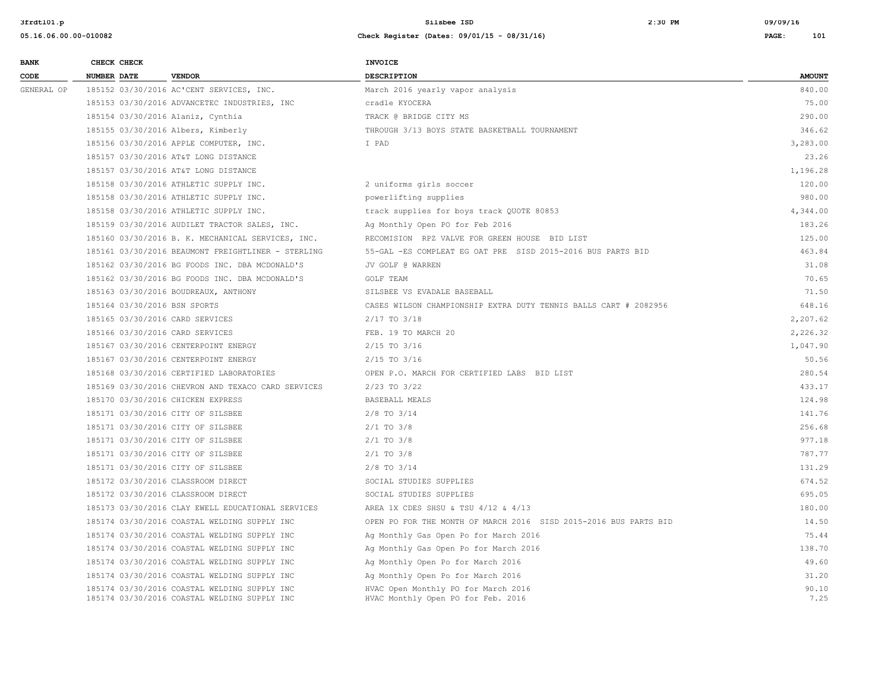| <b>BANK</b> |             | CHECK CHECK |                                                                                              | <b>INVOICE</b>                                                            |               |
|-------------|-------------|-------------|----------------------------------------------------------------------------------------------|---------------------------------------------------------------------------|---------------|
| CODE        | NUMBER DATE |             | <b>VENDOR</b>                                                                                | <b>DESCRIPTION</b>                                                        | <b>AMOUNT</b> |
| GENERAL OP  |             |             | 185152 03/30/2016 AC'CENT SERVICES, INC.                                                     | March 2016 yearly vapor analysis                                          | 840.00        |
|             |             |             | 185153 03/30/2016 ADVANCETEC INDUSTRIES, INC                                                 | cradle KYOCERA                                                            | 75.00         |
|             |             |             | 185154 03/30/2016 Alaniz, Cynthia                                                            | TRACK @ BRIDGE CITY MS                                                    | 290.00        |
|             |             |             | 185155 03/30/2016 Albers, Kimberly                                                           | THROUGH 3/13 BOYS STATE BASKETBALL TOURNAMENT                             | 346.62        |
|             |             |             | 185156 03/30/2016 APPLE COMPUTER, INC.                                                       | I PAD                                                                     | 3,283.00      |
|             |             |             | 185157 03/30/2016 AT&T LONG DISTANCE                                                         |                                                                           | 23.26         |
|             |             |             | 185157 03/30/2016 AT&T LONG DISTANCE                                                         |                                                                           | 1,196.28      |
|             |             |             | 185158 03/30/2016 ATHLETIC SUPPLY INC.                                                       | 2 uniforms girls soccer                                                   | 120.00        |
|             |             |             | 185158 03/30/2016 ATHLETIC SUPPLY INC.                                                       | powerlifting supplies                                                     | 980.00        |
|             |             |             | 185158 03/30/2016 ATHLETIC SUPPLY INC.                                                       | track supplies for boys track QUOTE 80853                                 | 4,344.00      |
|             |             |             | 185159 03/30/2016 AUDILET TRACTOR SALES, INC.                                                | Ag Monthly Open PO for Feb 2016                                           | 183.26        |
|             |             |             | 185160 03/30/2016 B. K. MECHANICAL SERVICES, INC.                                            | RECOMISION RPZ VALVE FOR GREEN HOUSE BID LIST                             | 125.00        |
|             |             |             | 185161 03/30/2016 BEAUMONT FREIGHTLINER - STERLING                                           | 55-GAL -ES COMPLEAT EG OAT PRE SISD 2015-2016 BUS PARTS BID               | 463.84        |
|             |             |             | 185162 03/30/2016 BG FOODS INC. DBA MCDONALD'S                                               | JV GOLF @ WARREN                                                          | 31.08         |
|             |             |             | 185162 03/30/2016 BG FOODS INC. DBA MCDONALD'S                                               | <b>GOLF TEAM</b>                                                          | 70.65         |
|             |             |             | 185163 03/30/2016 BOUDREAUX, ANTHONY                                                         | SILSBEE VS EVADALE BASEBALL                                               | 71.50         |
|             |             |             | 185164 03/30/2016 BSN SPORTS                                                                 | CASES WILSON CHAMPIONSHIP EXTRA DUTY TENNIS BALLS CART # 2082956          | 648.16        |
|             |             |             | 185165 03/30/2016 CARD SERVICES                                                              | $2/17$ TO $3/18$                                                          | 2,207.62      |
|             |             |             | 185166 03/30/2016 CARD SERVICES                                                              | FEB. 19 TO MARCH 20                                                       | 2,226.32      |
|             |             |             | 185167 03/30/2016 CENTERPOINT ENERGY                                                         | $2/15$ TO $3/16$                                                          | 1,047.90      |
|             |             |             | 185167 03/30/2016 CENTERPOINT ENERGY                                                         | $2/15$ TO $3/16$                                                          | 50.56         |
|             |             |             | 185168 03/30/2016 CERTIFIED LABORATORIES                                                     | OPEN P.O. MARCH FOR CERTIFIED LABS BID LIST                               | 280.54        |
|             |             |             | 185169 03/30/2016 CHEVRON AND TEXACO CARD SERVICES                                           | $2/23$ TO $3/22$                                                          | 433.17        |
|             |             |             | 185170 03/30/2016 CHICKEN EXPRESS                                                            | BASEBALL MEALS                                                            | 124.98        |
|             |             |             | 185171 03/30/2016 CITY OF SILSBEE                                                            | $2/8$ TO $3/14$                                                           | 141.76        |
|             |             |             | 185171 03/30/2016 CITY OF SILSBEE                                                            | $2/1$ TO $3/8$                                                            | 256.68        |
|             |             |             | 185171 03/30/2016 CITY OF SILSBEE                                                            | $2/1$ TO $3/8$                                                            | 977.18        |
|             |             |             | 185171 03/30/2016 CITY OF SILSBEE                                                            | $2/1$ TO $3/8$                                                            | 787.77        |
|             |             |             | 185171 03/30/2016 CITY OF SILSBEE                                                            | $2/8$ TO $3/14$                                                           | 131.29        |
|             |             |             | 185172 03/30/2016 CLASSROOM DIRECT                                                           | SOCIAL STUDIES SUPPLIES                                                   | 674.52        |
|             |             |             | 185172 03/30/2016 CLASSROOM DIRECT                                                           | SOCIAL STUDIES SUPPLIES                                                   | 695.05        |
|             |             |             | 185173 03/30/2016 CLAY EWELL EDUCATIONAL SERVICES                                            | AREA 1X CDES SHSU & TSU 4/12 & 4/13                                       | 180.00        |
|             |             |             | 185174 03/30/2016 COASTAL WELDING SUPPLY INC                                                 | OPEN PO FOR THE MONTH OF MARCH 2016 SISD 2015-2016 BUS PARTS BID          | 14.50         |
|             |             |             | 185174 03/30/2016 COASTAL WELDING SUPPLY INC                                                 | Ag Monthly Gas Open Po for March 2016                                     | 75.44         |
|             |             |             | 185174 03/30/2016 COASTAL WELDING SUPPLY INC                                                 | Ag Monthly Gas Open Po for March 2016                                     | 138.70        |
|             |             |             | 185174 03/30/2016 COASTAL WELDING SUPPLY INC                                                 | Ag Monthly Open Po for March 2016                                         | 49.60         |
|             |             |             | 185174 03/30/2016 COASTAL WELDING SUPPLY INC                                                 | Ag Monthly Open Po for March 2016                                         | 31.20         |
|             |             |             | 185174 03/30/2016 COASTAL WELDING SUPPLY INC<br>185174 03/30/2016 COASTAL WELDING SUPPLY INC | HVAC Open Monthly PO for March 2016<br>HVAC Monthly Open PO for Feb. 2016 | 90.10<br>7.25 |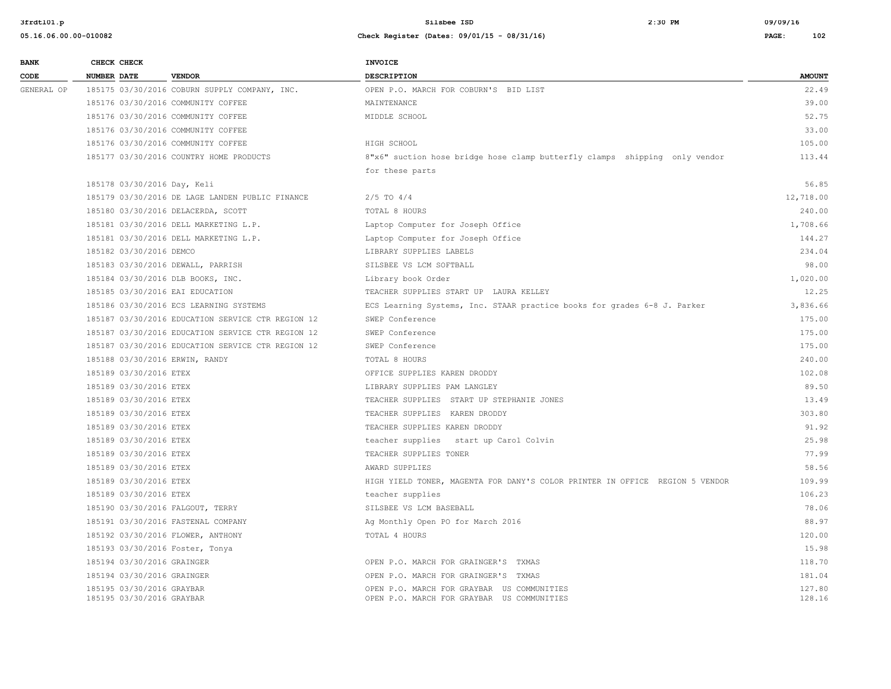| <b>BANK</b> | CHECK CHECK                                            |                                                   | <b>INVOICE</b>                                                                           |                  |
|-------------|--------------------------------------------------------|---------------------------------------------------|------------------------------------------------------------------------------------------|------------------|
| CODE        | <b>NUMBER DATE</b>                                     | <b>VENDOR</b>                                     | DESCRIPTION                                                                              | <b>AMOUNT</b>    |
| GENERAL OP  |                                                        | 185175 03/30/2016 COBURN SUPPLY COMPANY, INC.     | OPEN P.O. MARCH FOR COBURN'S BID LIST                                                    | 22.49            |
|             |                                                        | 185176 03/30/2016 COMMUNITY COFFEE                | MAINTENANCE                                                                              | 39.00            |
|             |                                                        | 185176 03/30/2016 COMMUNITY COFFEE                | MIDDLE SCHOOL                                                                            | 52.75            |
|             |                                                        | 185176 03/30/2016 COMMUNITY COFFEE                |                                                                                          | 33.00            |
|             |                                                        | 185176 03/30/2016 COMMUNITY COFFEE                | HIGH SCHOOL                                                                              | 105.00           |
|             |                                                        | 185177 03/30/2016 COUNTRY HOME PRODUCTS           | 8"x6" suction hose bridge hose clamp butterfly clamps shipping only vendor               | 113.44           |
|             |                                                        |                                                   | for these parts                                                                          |                  |
|             | 185178 03/30/2016 Day, Keli                            |                                                   |                                                                                          | 56.85            |
|             |                                                        | 185179 03/30/2016 DE LAGE LANDEN PUBLIC FINANCE   | $2/5$ TO $4/4$                                                                           | 12,718.00        |
|             |                                                        | 185180 03/30/2016 DELACERDA, SCOTT                | TOTAL 8 HOURS                                                                            | 240.00           |
|             |                                                        | 185181 03/30/2016 DELL MARKETING L.P.             | Laptop Computer for Joseph Office                                                        | 1,708.66         |
|             |                                                        | 185181 03/30/2016 DELL MARKETING L.P.             | Laptop Computer for Joseph Office                                                        | 144.27           |
|             | 185182 03/30/2016 DEMCO                                |                                                   | LIBRARY SUPPLIES LABELS                                                                  | 234.04           |
|             |                                                        | 185183 03/30/2016 DEWALL, PARRISH                 | SILSBEE VS LCM SOFTBALL                                                                  | 98.00            |
|             |                                                        | 185184 03/30/2016 DLB BOOKS, INC.                 | Library book Order                                                                       | 1,020.00         |
|             |                                                        | 185185 03/30/2016 EAI EDUCATION                   | TEACHER SUPPLIES START UP LAURA KELLEY                                                   | 12.25            |
|             |                                                        | 185186 03/30/2016 ECS LEARNING SYSTEMS            | ECS Learning Systems, Inc. STAAR practice books for grades 6-8 J. Parker                 | 3,836.66         |
|             |                                                        | 185187 03/30/2016 EDUCATION SERVICE CTR REGION 12 | SWEP Conference                                                                          | 175.00           |
|             |                                                        | 185187 03/30/2016 EDUCATION SERVICE CTR REGION 12 | SWEP Conference                                                                          | 175.00           |
|             |                                                        | 185187 03/30/2016 EDUCATION SERVICE CTR REGION 12 | SWEP Conference                                                                          | 175.00           |
|             | 185188 03/30/2016 ERWIN, RANDY                         |                                                   | TOTAL 8 HOURS                                                                            | 240.00           |
|             | 185189 03/30/2016 ETEX                                 |                                                   | OFFICE SUPPLIES KAREN DRODDY                                                             | 102.08           |
|             | 185189 03/30/2016 ETEX                                 |                                                   | LIBRARY SUPPLIES PAM LANGLEY                                                             | 89.50            |
|             | 185189 03/30/2016 ETEX                                 |                                                   | TEACHER SUPPLIES START UP STEPHANIE JONES                                                | 13.49            |
|             | 185189 03/30/2016 ETEX                                 |                                                   | TEACHER SUPPLIES KAREN DRODDY                                                            | 303.80           |
|             | 185189 03/30/2016 ETEX                                 |                                                   | TEACHER SUPPLIES KAREN DRODDY                                                            | 91.92            |
|             | 185189 03/30/2016 ETEX                                 |                                                   | teacher supplies start up Carol Colvin                                                   | 25.98            |
|             | 185189 03/30/2016 ETEX                                 |                                                   | TEACHER SUPPLIES TONER                                                                   | 77.99            |
|             | 185189 03/30/2016 ETEX                                 |                                                   | AWARD SUPPLIES                                                                           | 58.56            |
|             | 185189 03/30/2016 ETEX                                 |                                                   | HIGH YIELD TONER, MAGENTA FOR DANY'S COLOR PRINTER IN OFFICE REGION 5 VENDOR             | 109.99           |
|             | 185189 03/30/2016 ETEX                                 |                                                   | teacher supplies                                                                         | 106.23           |
|             |                                                        | 185190 03/30/2016 FALGOUT, TERRY                  | SILSBEE VS LCM BASEBALL                                                                  | 78.06            |
|             |                                                        | 185191 03/30/2016 FASTENAL COMPANY                | Ag Monthly Open PO for March 2016                                                        | 88.97            |
|             |                                                        | 185192 03/30/2016 FLOWER, ANTHONY                 | TOTAL 4 HOURS                                                                            | 120.00           |
|             |                                                        | 185193 03/30/2016 Foster, Tonya                   |                                                                                          | 15.98            |
|             | 185194 03/30/2016 GRAINGER                             |                                                   | OPEN P.O. MARCH FOR GRAINGER'S TXMAS                                                     | 118.70           |
|             | 185194 03/30/2016 GRAINGER                             |                                                   | OPEN P.O. MARCH FOR GRAINGER'S TXMAS                                                     | 181.04           |
|             | 185195 03/30/2016 GRAYBAR<br>185195 03/30/2016 GRAYBAR |                                                   | OPEN P.O. MARCH FOR GRAYBAR US COMMUNITIES<br>OPEN P.O. MARCH FOR GRAYBAR US COMMUNITIES | 127.80<br>128.16 |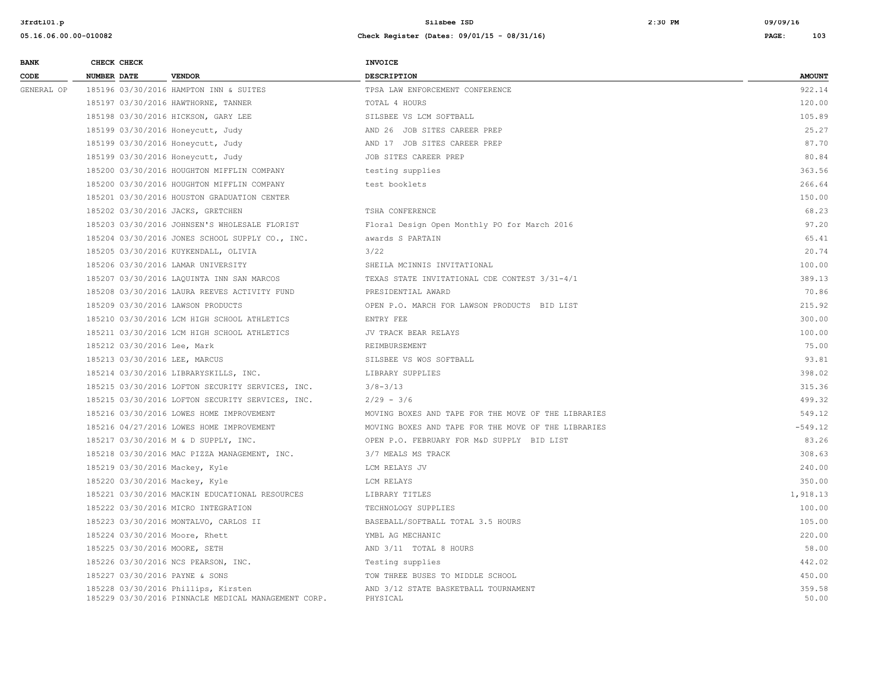| <b>BANK</b> | CHECK CHECK        |                             |                                                                                            | <b>INVOICE</b>                                      |                 |
|-------------|--------------------|-----------------------------|--------------------------------------------------------------------------------------------|-----------------------------------------------------|-----------------|
| CODE        | <b>NUMBER DATE</b> |                             | <b>VENDOR</b>                                                                              | <b>DESCRIPTION</b>                                  | <b>AMOUNT</b>   |
| GENERAL OP  |                    |                             | 185196 03/30/2016 HAMPTON INN & SUITES                                                     | TPSA LAW ENFORCEMENT CONFERENCE                     | 922.14          |
|             |                    |                             | 185197 03/30/2016 HAWTHORNE, TANNER                                                        | TOTAL 4 HOURS                                       | 120.00          |
|             |                    |                             | 185198 03/30/2016 HICKSON, GARY LEE                                                        | SILSBEE VS LCM SOFTBALL                             | 105.89          |
|             |                    |                             | 185199 03/30/2016 Honeycutt, Judy                                                          | AND 26 JOB SITES CAREER PREP                        | 25.27           |
|             |                    |                             | 185199 03/30/2016 Honeycutt, Judy                                                          | AND 17 JOB SITES CAREER PREP                        | 87.70           |
|             |                    |                             | 185199 03/30/2016 Honeycutt, Judy                                                          | JOB SITES CAREER PREP                               | 80.84           |
|             |                    |                             | 185200 03/30/2016 HOUGHTON MIFFLIN COMPANY                                                 | testing supplies                                    | 363.56          |
|             |                    |                             | 185200 03/30/2016 HOUGHTON MIFFLIN COMPANY                                                 | test booklets                                       | 266.64          |
|             |                    |                             | 185201 03/30/2016 HOUSTON GRADUATION CENTER                                                |                                                     | 150.00          |
|             |                    |                             | 185202 03/30/2016 JACKS, GRETCHEN                                                          | TSHA CONFERENCE                                     | 68.23           |
|             |                    |                             | 185203 03/30/2016 JOHNSEN'S WHOLESALE FLORIST                                              | Floral Design Open Monthly PO for March 2016        | 97.20           |
|             |                    |                             | 185204 03/30/2016 JONES SCHOOL SUPPLY CO., INC.                                            | awards S PARTAIN                                    | 65.41           |
|             |                    |                             | 185205 03/30/2016 KUYKENDALL, OLIVIA                                                       | 3/22                                                | 20.74           |
|             |                    |                             | 185206 03/30/2016 LAMAR UNIVERSITY                                                         | SHEILA MCINNIS INVITATIONAL                         | 100.00          |
|             |                    |                             | 185207 03/30/2016 LAQUINTA INN SAN MARCOS                                                  | TEXAS STATE INVITATIONAL CDE CONTEST 3/31-4/1       | 389.13          |
|             |                    |                             | 185208 03/30/2016 LAURA REEVES ACTIVITY FUND                                               | PRESIDENTIAL AWARD                                  | 70.86           |
|             |                    |                             | 185209 03/30/2016 LAWSON PRODUCTS                                                          | OPEN P.O. MARCH FOR LAWSON PRODUCTS BID LIST        | 215.92          |
|             |                    |                             | 185210 03/30/2016 LCM HIGH SCHOOL ATHLETICS                                                | ENTRY FEE                                           | 300.00          |
|             |                    |                             | 185211 03/30/2016 LCM HIGH SCHOOL ATHLETICS                                                | JV TRACK BEAR RELAYS                                | 100.00          |
|             |                    | 185212 03/30/2016 Lee, Mark |                                                                                            | REIMBURSEMENT                                       | 75.00           |
|             |                    |                             | 185213 03/30/2016 LEE, MARCUS                                                              | SILSBEE VS WOS SOFTBALL                             | 93.81           |
|             |                    |                             | 185214 03/30/2016 LIBRARYSKILLS, INC.                                                      | LIBRARY SUPPLIES                                    | 398.02          |
|             |                    |                             | 185215 03/30/2016 LOFTON SECURITY SERVICES, INC.                                           | $3/8 - 3/13$                                        | 315.36          |
|             |                    |                             | 185215 03/30/2016 LOFTON SECURITY SERVICES, INC.                                           | $2/29 - 3/6$                                        | 499.32          |
|             |                    |                             | 185216 03/30/2016 LOWES HOME IMPROVEMENT                                                   | MOVING BOXES AND TAPE FOR THE MOVE OF THE LIBRARIES | 549.12          |
|             |                    |                             | 185216 04/27/2016 LOWES HOME IMPROVEMENT                                                   | MOVING BOXES AND TAPE FOR THE MOVE OF THE LIBRARIES | $-549.12$       |
|             |                    |                             | 185217 03/30/2016 M & D SUPPLY, INC.                                                       | OPEN P.O. FEBRUARY FOR M&D SUPPLY BID LIST          | 83.26           |
|             |                    |                             | 185218 03/30/2016 MAC PIZZA MANAGEMENT, INC.                                               | 3/7 MEALS MS TRACK                                  | 308.63          |
|             |                    |                             | 185219 03/30/2016 Mackey, Kyle                                                             | LCM RELAYS JV                                       | 240.00          |
|             |                    |                             | 185220 03/30/2016 Mackey, Kyle                                                             | LCM RELAYS                                          | 350.00          |
|             |                    |                             | 185221 03/30/2016 MACKIN EDUCATIONAL RESOURCES                                             | LIBRARY TITLES                                      | 1,918.13        |
|             |                    |                             | 185222 03/30/2016 MICRO INTEGRATION                                                        | TECHNOLOGY SUPPLIES                                 | 100.00          |
|             |                    |                             | 185223 03/30/2016 MONTALVO, CARLOS II                                                      | BASEBALL/SOFTBALL TOTAL 3.5 HOURS                   | 105.00          |
|             |                    |                             | 185224 03/30/2016 Moore, Rhett                                                             | YMBL AG MECHANIC                                    | 220.00          |
|             |                    |                             | 185225 03/30/2016 MOORE, SETH                                                              | AND 3/11 TOTAL 8 HOURS                              | 58.00           |
|             |                    |                             | 185226 03/30/2016 NCS PEARSON, INC.                                                        | Testing supplies                                    | 442.02          |
|             |                    |                             | 185227 03/30/2016 PAYNE & SONS                                                             | TOW THREE BUSES TO MIDDLE SCHOOL                    | 450.00          |
|             |                    |                             | 185228 03/30/2016 Phillips, Kirsten<br>185229 03/30/2016 PINNACLE MEDICAL MANAGEMENT CORP. | AND 3/12 STATE BASKETBALL TOURNAMENT<br>PHYSICAL    | 359.58<br>50.00 |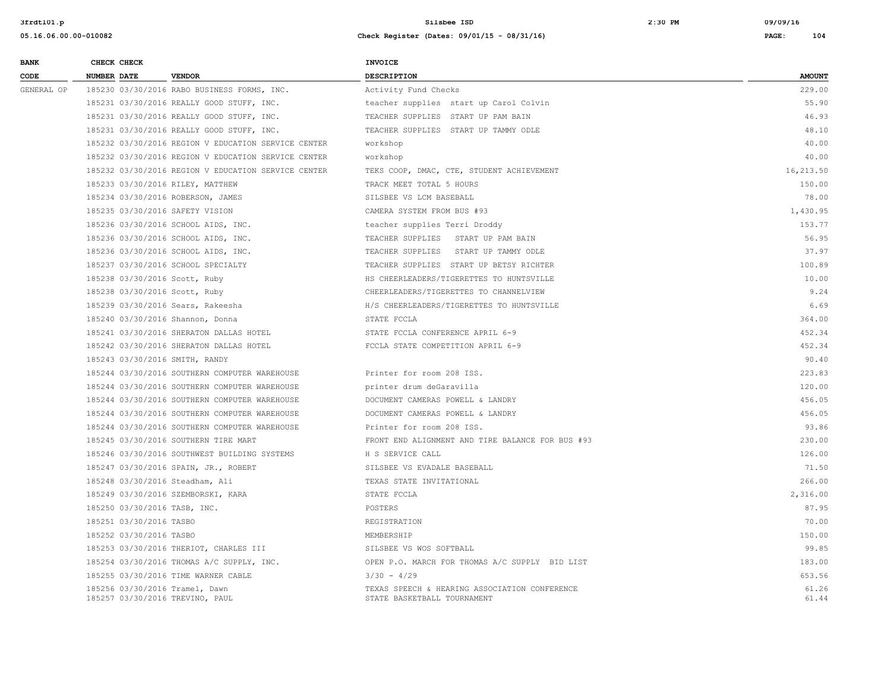| <b>BANK</b> | CHECK CHECK        |                                                                   | <b>INVOICE</b>                                                               |                |
|-------------|--------------------|-------------------------------------------------------------------|------------------------------------------------------------------------------|----------------|
| CODE        | <b>NUMBER DATE</b> | <b>VENDOR</b>                                                     | <b>DESCRIPTION</b>                                                           | <b>AMOUNT</b>  |
| GENERAL OP  |                    | 185230 03/30/2016 RABO BUSINESS FORMS, INC.                       | Activity Fund Checks                                                         | 229.00         |
|             |                    | 185231 03/30/2016 REALLY GOOD STUFF, INC.                         | teacher supplies start up Carol Colvin                                       | 55.90          |
|             |                    | 185231 03/30/2016 REALLY GOOD STUFF, INC.                         | TEACHER SUPPLIES START UP PAM BAIN                                           | 46.93          |
|             |                    | 185231 03/30/2016 REALLY GOOD STUFF, INC.                         | TEACHER SUPPLIES START UP TAMMY ODLE                                         | 48.10          |
|             |                    | 185232 03/30/2016 REGION V EDUCATION SERVICE CENTER               | workshop                                                                     | 40.00          |
|             |                    | 185232 03/30/2016 REGION V EDUCATION SERVICE CENTER               | workshop                                                                     | 40.00          |
|             |                    | 185232 03/30/2016 REGION V EDUCATION SERVICE CENTER               | TEKS COOP, DMAC, CTE, STUDENT ACHIEVEMENT                                    | 16,213.50      |
|             |                    | 185233 03/30/2016 RILEY, MATTHEW                                  | TRACK MEET TOTAL 5 HOURS                                                     | 150.00         |
|             |                    | 185234 03/30/2016 ROBERSON, JAMES                                 | SILSBEE VS LCM BASEBALL                                                      | 78.00          |
|             |                    | 185235 03/30/2016 SAFETY VISION                                   | CAMERA SYSTEM FROM BUS #93                                                   | 1,430.95       |
|             |                    | 185236 03/30/2016 SCHOOL AIDS, INC.                               | teacher supplies Terri Droddy                                                | 153.77         |
|             |                    | 185236 03/30/2016 SCHOOL AIDS, INC.                               | TEACHER SUPPLIES START UP PAM BAIN                                           | 56.95          |
|             |                    | 185236 03/30/2016 SCHOOL AIDS, INC.                               | TEACHER SUPPLIES START UP TAMMY ODLE                                         | 37.97          |
|             |                    | 185237 03/30/2016 SCHOOL SPECIALTY                                | TEACHER SUPPLIES START UP BETSY RICHTER                                      | 100.89         |
|             |                    | 185238 03/30/2016 Scott, Ruby                                     | HS CHEERLEADERS/TIGERETTES TO HUNTSVILLE                                     | 10.00          |
|             |                    | 185238 03/30/2016 Scott, Ruby                                     | CHEERLEADERS/TIGERETTES TO CHANNELVIEW                                       | 9.24           |
|             |                    | 185239 03/30/2016 Sears, Rakeesha                                 | H/S CHEERLEADERS/TIGERETTES TO HUNTSVILLE                                    | 6.69           |
|             |                    | 185240 03/30/2016 Shannon, Donna                                  | STATE FCCLA                                                                  | 364.00         |
|             |                    | 185241 03/30/2016 SHERATON DALLAS HOTEL                           | STATE FCCLA CONFERENCE APRIL 6-9                                             | 452.34         |
|             |                    | 185242 03/30/2016 SHERATON DALLAS HOTEL                           | FCCLA STATE COMPETITION APRIL 6-9                                            | 452.34         |
|             |                    | 185243 03/30/2016 SMITH, RANDY                                    |                                                                              | 90.40          |
|             |                    | 185244 03/30/2016 SOUTHERN COMPUTER WAREHOUSE                     | Printer for room 208 ISS.                                                    | 223.83         |
|             |                    | 185244 03/30/2016 SOUTHERN COMPUTER WAREHOUSE                     | printer drum deGaravilla                                                     | 120.00         |
|             |                    | 185244 03/30/2016 SOUTHERN COMPUTER WAREHOUSE                     | DOCUMENT CAMERAS POWELL & LANDRY                                             | 456.05         |
|             |                    | 185244 03/30/2016 SOUTHERN COMPUTER WAREHOUSE                     | DOCUMENT CAMERAS POWELL & LANDRY                                             | 456.05         |
|             |                    | 185244 03/30/2016 SOUTHERN COMPUTER WAREHOUSE                     | Printer for room 208 ISS.                                                    | 93.86          |
|             |                    | 185245 03/30/2016 SOUTHERN TIRE MART                              | FRONT END ALIGNMENT AND TIRE BALANCE FOR BUS #93                             | 230.00         |
|             |                    | 185246 03/30/2016 SOUTHWEST BUILDING SYSTEMS                      | H S SERVICE CALL                                                             | 126.00         |
|             |                    | 185247 03/30/2016 SPAIN, JR., ROBERT                              | SILSBEE VS EVADALE BASEBALL                                                  | 71.50          |
|             |                    | 185248 03/30/2016 Steadham, Ali                                   | TEXAS STATE INVITATIONAL                                                     | 266.00         |
|             |                    | 185249 03/30/2016 SZEMBORSKI, KARA                                | STATE FCCLA                                                                  | 2,316.00       |
|             |                    | 185250 03/30/2016 TASB, INC.                                      | POSTERS                                                                      | 87.95          |
|             |                    | 185251 03/30/2016 TASBO                                           | REGISTRATION                                                                 | 70.00          |
|             |                    | 185252 03/30/2016 TASBO                                           | MEMBERSHIP                                                                   | 150.00         |
|             |                    | 185253 03/30/2016 THERIOT, CHARLES III                            | SILSBEE VS WOS SOFTBALL                                                      | 99.85          |
|             |                    | 185254 03/30/2016 THOMAS A/C SUPPLY, INC.                         | OPEN P.O. MARCH FOR THOMAS A/C SUPPLY BID LIST                               | 183.00         |
|             |                    | 185255 03/30/2016 TIME WARNER CABLE                               | $3/30 - 4/29$                                                                | 653.56         |
|             |                    | 185256 03/30/2016 Tramel, Dawn<br>185257 03/30/2016 TREVINO, PAUL | TEXAS SPEECH & HEARING ASSOCIATION CONFERENCE<br>STATE BASKETBALL TOURNAMENT | 61.26<br>61.44 |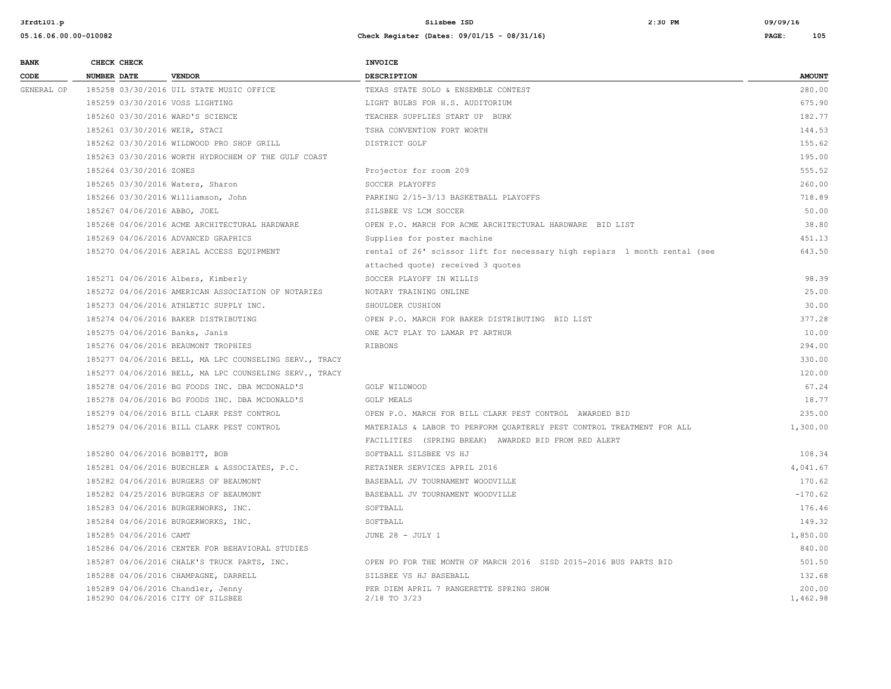| <b>BANK</b> | CHECK CHECK                    |                                                                        | <b>INVOICE</b>                                                            |                    |
|-------------|--------------------------------|------------------------------------------------------------------------|---------------------------------------------------------------------------|--------------------|
| CODE        | <b>NUMBER DATE</b>             | <b>VENDOR</b>                                                          | DESCRIPTION                                                               | <b>AMOUNT</b>      |
| GENERAL OP  |                                | 185258 03/30/2016 UIL STATE MUSIC OFFICE                               | TEXAS STATE SOLO & ENSEMBLE CONTEST                                       | 280.00             |
|             |                                | 185259 03/30/2016 VOSS LIGHTING                                        | LIGHT BULBS FOR H.S. AUDITORIUM                                           | 675.90             |
|             |                                | 185260 03/30/2016 WARD'S SCIENCE                                       | TEACHER SUPPLIES START UP BURK                                            | 182.77             |
|             | 185261 03/30/2016 WEIR, STACI  |                                                                        | TSHA CONVENTION FORT WORTH                                                | 144.53             |
|             |                                | 185262 03/30/2016 WILDWOOD PRO SHOP GRILL                              | DISTRICT GOLF                                                             | 155.62             |
|             |                                | 185263 03/30/2016 WORTH HYDROCHEM OF THE GULF COAST                    |                                                                           | 195.00             |
|             | 185264 03/30/2016 ZONES        |                                                                        | Projector for room 209                                                    | 555.52             |
|             |                                | 185265 03/30/2016 Waters, Sharon                                       | SOCCER PLAYOFFS                                                           | 260.00             |
|             |                                | 185266 03/30/2016 Williamson, John                                     | PARKING 2/15-3/13 BASKETBALL PLAYOFFS                                     | 718.89             |
|             | 185267 04/06/2016 ABBO, JOEL   |                                                                        | SILSBEE VS LCM SOCCER                                                     | 50.00              |
|             |                                | 185268 04/06/2016 ACME ARCHITECTURAL HARDWARE                          | OPEN P.O. MARCH FOR ACME ARCHITECTURAL HARDWARE BID LIST                  | 38.80              |
|             |                                | 185269 04/06/2016 ADVANCED GRAPHICS                                    | Supplies for poster machine                                               | 451.13             |
|             |                                | 185270 04/06/2016 AERIAL ACCESS EQUIPMENT                              | rental of 26' scissor lift for necessary high repiars 1 month rental (see | 643.50             |
|             |                                |                                                                        | attached quote) received 3 quotes                                         |                    |
|             |                                | 185271 04/06/2016 Albers, Kimberly                                     | SOCCER PLAYOFF IN WILLIS                                                  | 98.39              |
|             |                                | 185272 04/06/2016 AMERICAN ASSOCIATION OF NOTARIES                     | NOTARY TRAINING ONLINE                                                    | 25.00              |
|             |                                | 185273 04/06/2016 ATHLETIC SUPPLY INC.                                 | SHOULDER CUSHION                                                          | 30.00              |
|             |                                | 185274 04/06/2016 BAKER DISTRIBUTING                                   | OPEN P.O. MARCH FOR BAKER DISTRIBUTING BID LIST                           | 377.28             |
|             | 185275 04/06/2016 Banks, Janis |                                                                        | ONE ACT PLAY TO LAMAR PT ARTHUR                                           | 10.00              |
|             |                                | 185276 04/06/2016 BEAUMONT TROPHIES                                    | RIBBONS                                                                   | 294.00             |
|             |                                | 185277 04/06/2016 BELL, MA LPC COUNSELING SERV., TRACY                 |                                                                           | 330.00             |
|             |                                | 185277 04/06/2016 BELL, MA LPC COUNSELING SERV., TRACY                 |                                                                           | 120.00             |
|             |                                | 185278 04/06/2016 BG FOODS INC. DBA MCDONALD'S                         | GOLF WILDWOOD                                                             | 67.24              |
|             |                                | 185278 04/06/2016 BG FOODS INC. DBA MCDONALD'S                         | <b>GOLF MEALS</b>                                                         | 18.77              |
|             |                                | 185279 04/06/2016 BILL CLARK PEST CONTROL                              | OPEN P.O. MARCH FOR BILL CLARK PEST CONTROL AWARDED BID                   | 235.00             |
|             |                                | 185279 04/06/2016 BILL CLARK PEST CONTROL                              | MATERIALS & LABOR TO PERFORM QUARTERLY PEST CONTROL TREATMENT FOR ALL     | 1,300.00           |
|             |                                |                                                                        | FACILITIES (SPRING BREAK) AWARDED BID FROM RED ALERT                      |                    |
|             | 185280 04/06/2016 BOBBITT, BOB |                                                                        | SOFTBALL SILSBEE VS HJ                                                    | 108.34             |
|             |                                | 185281 04/06/2016 BUECHLER & ASSOCIATES, P.C.                          | RETAINER SERVICES APRIL 2016                                              | 4,041.67           |
|             |                                | 185282 04/06/2016 BURGERS OF BEAUMONT                                  | BASEBALL JV TOURNAMENT WOODVILLE                                          | 170.62             |
|             |                                | 185282 04/25/2016 BURGERS OF BEAUMONT                                  | BASEBALL JV TOURNAMENT WOODVILLE                                          | $-170.62$          |
|             |                                | 185283 04/06/2016 BURGERWORKS, INC.                                    | SOFTBALL                                                                  | 176.46             |
|             |                                | 185284 04/06/2016 BURGERWORKS, INC.                                    | SOFTBALL                                                                  | 149.32             |
|             | 185285 04/06/2016 CAMT         |                                                                        | JUNE 28 - JULY 1                                                          | 1,850.00           |
|             |                                | 185286 04/06/2016 CENTER FOR BEHAVIORAL STUDIES                        |                                                                           | 840.00             |
|             |                                | 185287 04/06/2016 CHALK'S TRUCK PARTS, INC.                            | OPEN PO FOR THE MONTH OF MARCH 2016 SISD 2015-2016 BUS PARTS BID          | 501.50             |
|             |                                | 185288 04/06/2016 CHAMPAGNE, DARRELL                                   | SILSBEE VS HJ BASEBALL                                                    | 132.68             |
|             |                                | 185289 04/06/2016 Chandler, Jenny<br>185290 04/06/2016 CITY OF SILSBEE | PER DIEM APRIL 7 RANGERETTE SPRING SHOW<br>$2/18$ TO $3/23$               | 200.00<br>1,462.98 |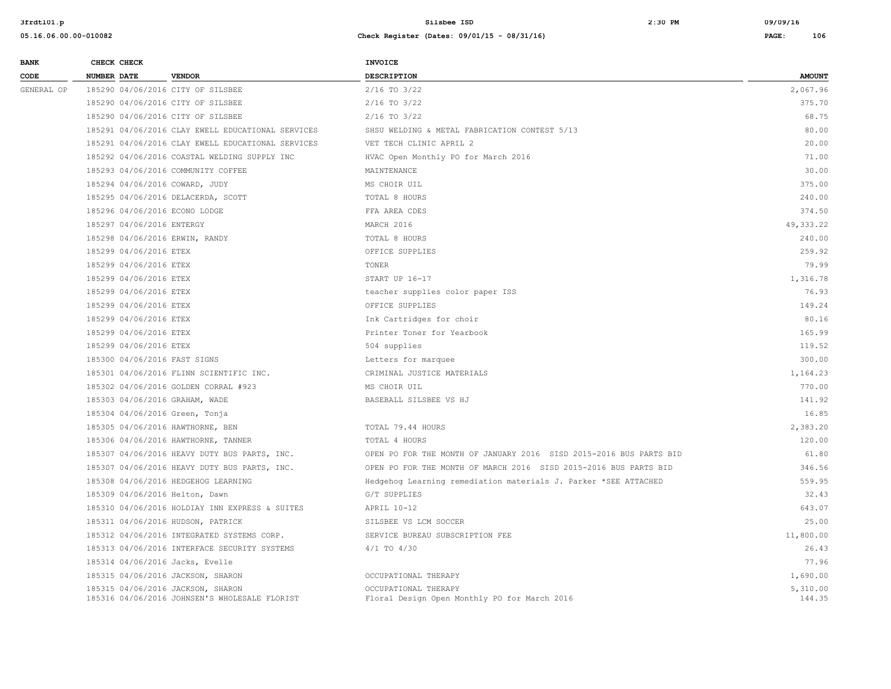| <b>BANK</b> | CHECK CHECK               |                                                                                    | <b>INVOICE</b>                                                       |                    |
|-------------|---------------------------|------------------------------------------------------------------------------------|----------------------------------------------------------------------|--------------------|
| CODE        | NUMBER DATE               | <b>VENDOR</b>                                                                      | <b>DESCRIPTION</b>                                                   | <b>AMOUNT</b>      |
| GENERAL OP  |                           | 185290 04/06/2016 CITY OF SILSBEE                                                  | $2/16$ TO $3/22$                                                     | 2,067.96           |
|             |                           | 185290 04/06/2016 CITY OF SILSBEE                                                  | $2/16$ TO $3/22$                                                     | 375.70             |
|             |                           | 185290 04/06/2016 CITY OF SILSBEE                                                  | $2/16$ TO $3/22$                                                     | 68.75              |
|             |                           | 185291 04/06/2016 CLAY EWELL EDUCATIONAL SERVICES                                  | SHSU WELDING & METAL FABRICATION CONTEST 5/13                        | 80.00              |
|             |                           | 185291 04/06/2016 CLAY EWELL EDUCATIONAL SERVICES                                  | VET TECH CLINIC APRIL 2                                              | 20.00              |
|             |                           | 185292 04/06/2016 COASTAL WELDING SUPPLY INC                                       | HVAC Open Monthly PO for March 2016                                  | 71.00              |
|             |                           | 185293 04/06/2016 COMMUNITY COFFEE                                                 | MAINTENANCE                                                          | 30.00              |
|             |                           | 185294 04/06/2016 COWARD, JUDY                                                     | MS CHOIR UIL                                                         | 375.00             |
|             |                           | 185295 04/06/2016 DELACERDA, SCOTT                                                 | TOTAL 8 HOURS                                                        | 240.00             |
|             |                           | 185296 04/06/2016 ECONO LODGE                                                      | FFA AREA CDES                                                        | 374.50             |
|             | 185297 04/06/2016 ENTERGY |                                                                                    | MARCH 2016                                                           | 49, 333.22         |
|             |                           | 185298 04/06/2016 ERWIN, RANDY                                                     | TOTAL 8 HOURS                                                        | 240.00             |
|             | 185299 04/06/2016 ETEX    |                                                                                    | OFFICE SUPPLIES                                                      | 259.92             |
|             | 185299 04/06/2016 ETEX    |                                                                                    | TONER                                                                | 79.99              |
|             | 185299 04/06/2016 ETEX    |                                                                                    | START UP 16-17                                                       | 1,316.78           |
|             | 185299 04/06/2016 ETEX    |                                                                                    | teacher supplies color paper ISS                                     | 76.93              |
|             | 185299 04/06/2016 ETEX    |                                                                                    | OFFICE SUPPLIES                                                      | 149.24             |
|             | 185299 04/06/2016 ETEX    |                                                                                    | Ink Cartridges for choir                                             | 80.16              |
|             | 185299 04/06/2016 ETEX    |                                                                                    | Printer Toner for Yearbook                                           | 165.99             |
|             | 185299 04/06/2016 ETEX    |                                                                                    | 504 supplies                                                         | 119.52             |
|             |                           | 185300 04/06/2016 FAST SIGNS                                                       | Letters for marquee                                                  | 300.00             |
|             |                           | 185301 04/06/2016 FLINN SCIENTIFIC INC.                                            | CRIMINAL JUSTICE MATERIALS                                           | 1,164.23           |
|             |                           | 185302 04/06/2016 GOLDEN CORRAL #923                                               | MS CHOIR UIL                                                         | 770.00             |
|             |                           | 185303 04/06/2016 GRAHAM, WADE                                                     | BASEBALL SILSBEE VS HJ                                               | 141.92             |
|             |                           | 185304 04/06/2016 Green, Tonja                                                     |                                                                      | 16.85              |
|             |                           | 185305 04/06/2016 HAWTHORNE, BEN                                                   | TOTAL 79.44 HOURS                                                    | 2,383.20           |
|             |                           | 185306 04/06/2016 HAWTHORNE, TANNER                                                | TOTAL 4 HOURS                                                        | 120.00             |
|             |                           | 185307 04/06/2016 HEAVY DUTY BUS PARTS, INC.                                       | OPEN PO FOR THE MONTH OF JANUARY 2016 SISD 2015-2016 BUS PARTS BID   | 61.80              |
|             |                           | 185307 04/06/2016 HEAVY DUTY BUS PARTS, INC.                                       | OPEN PO FOR THE MONTH OF MARCH 2016 SISD 2015-2016 BUS PARTS BID     | 346.56             |
|             |                           | 185308 04/06/2016 HEDGEHOG LEARNING                                                | Hedgehog Learning remediation materials J. Parker *SEE ATTACHED      | 559.95             |
|             |                           | 185309 04/06/2016 Helton, Dawn                                                     | G/T SUPPLIES                                                         | 32.43              |
|             |                           | 185310 04/06/2016 HOLDIAY INN EXPRESS & SUITES                                     | APRIL 10-12                                                          | 643.07             |
|             |                           | 185311 04/06/2016 HUDSON, PATRICK                                                  | SILSBEE VS LCM SOCCER                                                | 25.00              |
|             |                           | 185312 04/06/2016 INTEGRATED SYSTEMS CORP.                                         | SERVICE BUREAU SUBSCRIPTION FEE                                      | 11,800.00          |
|             |                           | 185313 04/06/2016 INTERFACE SECURITY SYSTEMS                                       | $4/1$ TO $4/30$                                                      | 26.43              |
|             |                           | 185314 04/06/2016 Jacks, Evelle                                                    |                                                                      | 77.96              |
|             |                           | 185315 04/06/2016 JACKSON, SHARON                                                  | OCCUPATIONAL THERAPY                                                 | 1,690.00           |
|             |                           | 185315 04/06/2016 JACKSON, SHARON<br>185316 04/06/2016 JOHNSEN'S WHOLESALE FLORIST | OCCUPATIONAL THERAPY<br>Floral Design Open Monthly PO for March 2016 | 5,310.00<br>144.35 |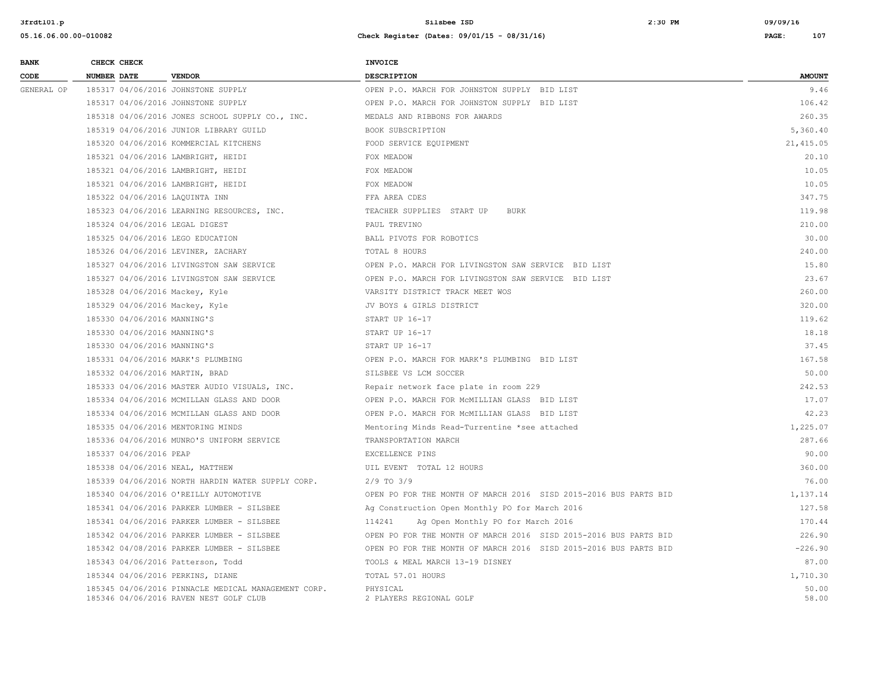| <b>BANK</b> | CHECK CHECK                     |                                                     | <b>INVOICE</b>                                                   |               |
|-------------|---------------------------------|-----------------------------------------------------|------------------------------------------------------------------|---------------|
| CODE        | <b>NUMBER DATE</b>              | <b>VENDOR</b>                                       | <b>DESCRIPTION</b>                                               | <b>AMOUNT</b> |
| GENERAL OP  |                                 | 185317 04/06/2016 JOHNSTONE SUPPLY                  | OPEN P.O. MARCH FOR JOHNSTON SUPPLY BID LIST                     | 9.46          |
|             |                                 | 185317 04/06/2016 JOHNSTONE SUPPLY                  | OPEN P.O. MARCH FOR JOHNSTON SUPPLY BID LIST                     | 106.42        |
|             |                                 | 185318 04/06/2016 JONES SCHOOL SUPPLY CO., INC.     | MEDALS AND RIBBONS FOR AWARDS                                    | 260.35        |
|             |                                 | 185319 04/06/2016 JUNIOR LIBRARY GUILD              | BOOK SUBSCRIPTION                                                | 5,360.40      |
|             |                                 | 185320 04/06/2016 KOMMERCIAL KITCHENS               | FOOD SERVICE EQUIPMENT                                           | 21, 415.05    |
|             |                                 | 185321 04/06/2016 LAMBRIGHT, HEIDI                  | FOX MEADOW                                                       | 20.10         |
|             |                                 | 185321 04/06/2016 LAMBRIGHT, HEIDI                  | FOX MEADOW                                                       | 10.05         |
|             |                                 | 185321 04/06/2016 LAMBRIGHT, HEIDI                  | FOX MEADOW                                                       | 10.05         |
|             | 185322 04/06/2016 LAQUINTA INN  |                                                     | FFA AREA CDES                                                    | 347.75        |
|             |                                 | 185323 04/06/2016 LEARNING RESOURCES, INC.          | TEACHER SUPPLIES START UP<br><b>BURK</b>                         | 119.98        |
|             | 185324 04/06/2016 LEGAL DIGEST  |                                                     | PAUL TREVINO                                                     | 210.00        |
|             |                                 | 185325 04/06/2016 LEGO EDUCATION                    | BALL PIVOTS FOR ROBOTICS                                         | 30.00         |
|             |                                 | 185326 04/06/2016 LEVINER, ZACHARY                  | <b>TOTAL 8 HOURS</b>                                             | 240.00        |
|             |                                 | 185327 04/06/2016 LIVINGSTON SAW SERVICE            | OPEN P.O. MARCH FOR LIVINGSTON SAW SERVICE BID LIST              | 15.80         |
|             |                                 | 185327 04/06/2016 LIVINGSTON SAW SERVICE            | OPEN P.O. MARCH FOR LIVINGSTON SAW SERVICE BID LIST              | 23.67         |
|             | 185328 04/06/2016 Mackey, Kyle  |                                                     | VARSITY DISTRICT TRACK MEET WOS                                  | 260.00        |
|             | 185329 04/06/2016 Mackey, Kyle  |                                                     | JV BOYS & GIRLS DISTRICT                                         | 320.00        |
|             | 185330 04/06/2016 MANNING'S     |                                                     | START UP 16-17                                                   | 119.62        |
|             | 185330 04/06/2016 MANNING'S     |                                                     | START UP 16-17                                                   | 18.18         |
|             | 185330 04/06/2016 MANNING'S     |                                                     | START UP 16-17                                                   | 37.45         |
|             |                                 | 185331 04/06/2016 MARK'S PLUMBING                   | OPEN P.O. MARCH FOR MARK'S PLUMBING BID LIST                     | 167.58        |
|             | 185332 04/06/2016 MARTIN, BRAD  |                                                     | SILSBEE VS LCM SOCCER                                            | 50.00         |
|             |                                 | 185333 04/06/2016 MASTER AUDIO VISUALS, INC.        | Repair network face plate in room 229                            | 242.53        |
|             |                                 | 185334 04/06/2016 MCMILLAN GLASS AND DOOR           | OPEN P.O. MARCH FOR MCMILLIAN GLASS BID LIST                     | 17.07         |
|             |                                 | 185334 04/06/2016 MCMILLAN GLASS AND DOOR           | OPEN P.O. MARCH FOR MCMILLIAN GLASS BID LIST                     | 42.23         |
|             |                                 | 185335 04/06/2016 MENTORING MINDS                   | Mentoring Minds Read-Turrentine *see attached                    | 1,225.07      |
|             |                                 | 185336 04/06/2016 MUNRO'S UNIFORM SERVICE           | TRANSPORTATION MARCH                                             | 287.66        |
|             | 185337 04/06/2016 PEAP          |                                                     | EXCELLENCE PINS                                                  | 90.00         |
|             | 185338 04/06/2016 NEAL, MATTHEW |                                                     | UIL EVENT TOTAL 12 HOURS                                         | 360.00        |
|             |                                 | 185339 04/06/2016 NORTH HARDIN WATER SUPPLY CORP.   | $2/9$ TO $3/9$                                                   | 76.00         |
|             |                                 | 185340 04/06/2016 O'REILLY AUTOMOTIVE               | OPEN PO FOR THE MONTH OF MARCH 2016 SISD 2015-2016 BUS PARTS BID | 1,137.14      |
|             |                                 | 185341 04/06/2016 PARKER LUMBER - SILSBEE           | Ag Construction Open Monthly PO for March 2016                   | 127.58        |
|             |                                 | 185341 04/06/2016 PARKER LUMBER - SILSBEE           | 114241<br>Ag Open Monthly PO for March 2016                      | 170.44        |
|             |                                 | 185342 04/06/2016 PARKER LUMBER - SILSBEE           | OPEN PO FOR THE MONTH OF MARCH 2016 SISD 2015-2016 BUS PARTS BID | 226.90        |
|             |                                 | 185342 04/08/2016 PARKER LUMBER - SILSBEE           | OPEN PO FOR THE MONTH OF MARCH 2016 SISD 2015-2016 BUS PARTS BID | $-226.90$     |
|             |                                 | 185343 04/06/2016 Patterson, Todd                   | TOOLS & MEAL MARCH 13-19 DISNEY                                  | 87.00         |
|             |                                 | 185344 04/06/2016 PERKINS, DIANE                    | TOTAL 57.01 HOURS                                                | 1,710.30      |
|             |                                 | 185345 04/06/2016 PINNACLE MEDICAL MANAGEMENT CORP. | PHYSICAL                                                         | 50.00         |
|             |                                 | 185346 04/06/2016 RAVEN NEST GOLF CLUB              | 2 PLAYERS REGIONAL GOLF                                          | 58.00         |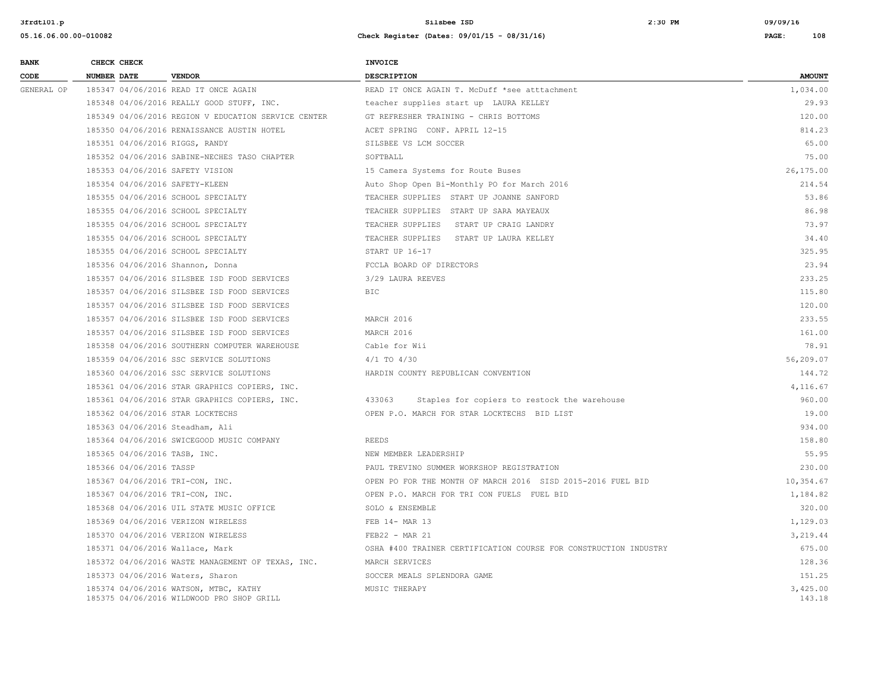| <b>BANK</b> |             | CHECK CHECK             |                                                                                    | <b>INVOICE</b>                                                   |                    |
|-------------|-------------|-------------------------|------------------------------------------------------------------------------------|------------------------------------------------------------------|--------------------|
| CODE        | NUMBER DATE |                         | <b>VENDOR</b>                                                                      | <b>DESCRIPTION</b>                                               | <b>AMOUNT</b>      |
| GENERAL OP  |             |                         | 185347 04/06/2016 READ IT ONCE AGAIN                                               | READ IT ONCE AGAIN T. McDuff *see atttachment                    | 1,034.00           |
|             |             |                         | 185348 04/06/2016 REALLY GOOD STUFF, INC.                                          | teacher supplies start up LAURA KELLEY                           | 29.93              |
|             |             |                         | 185349 04/06/2016 REGION V EDUCATION SERVICE CENTER                                | GT REFRESHER TRAINING - CHRIS BOTTOMS                            | 120.00             |
|             |             |                         | 185350 04/06/2016 RENAISSANCE AUSTIN HOTEL                                         | ACET SPRING CONF. APRIL 12-15                                    | 814.23             |
|             |             |                         | 185351 04/06/2016 RIGGS, RANDY                                                     | SILSBEE VS LCM SOCCER                                            | 65.00              |
|             |             |                         | 185352 04/06/2016 SABINE-NECHES TASO CHAPTER                                       | SOFTBALL                                                         | 75.00              |
|             |             |                         | 185353 04/06/2016 SAFETY VISION                                                    | 15 Camera Systems for Route Buses                                | 26,175.00          |
|             |             |                         | 185354 04/06/2016 SAFETY-KLEEN                                                     | Auto Shop Open Bi-Monthly PO for March 2016                      | 214.54             |
|             |             |                         | 185355 04/06/2016 SCHOOL SPECIALTY                                                 | TEACHER SUPPLIES START UP JOANNE SANFORD                         | 53.86              |
|             |             |                         | 185355 04/06/2016 SCHOOL SPECIALTY                                                 | TEACHER SUPPLIES START UP SARA MAYEAUX                           | 86.98              |
|             |             |                         | 185355 04/06/2016 SCHOOL SPECIALTY                                                 | TEACHER SUPPLIES<br>START UP CRAIG LANDRY                        | 73.97              |
|             |             |                         | 185355 04/06/2016 SCHOOL SPECIALTY                                                 | TEACHER SUPPLIES START UP LAURA KELLEY                           | 34.40              |
|             |             |                         | 185355 04/06/2016 SCHOOL SPECIALTY                                                 | START UP 16-17                                                   | 325.95             |
|             |             |                         | 185356 04/06/2016 Shannon, Donna                                                   | FCCLA BOARD OF DIRECTORS                                         | 23.94              |
|             |             |                         | 185357 04/06/2016 SILSBEE ISD FOOD SERVICES                                        | 3/29 LAURA REEVES                                                | 233.25             |
|             |             |                         | 185357 04/06/2016 SILSBEE ISD FOOD SERVICES                                        | <b>BIC</b>                                                       | 115.80             |
|             |             |                         | 185357 04/06/2016 SILSBEE ISD FOOD SERVICES                                        |                                                                  | 120.00             |
|             |             |                         | 185357 04/06/2016 SILSBEE ISD FOOD SERVICES                                        | MARCH 2016                                                       | 233.55             |
|             |             |                         | 185357 04/06/2016 SILSBEE ISD FOOD SERVICES                                        | MARCH 2016                                                       | 161.00             |
|             |             |                         | 185358 04/06/2016 SOUTHERN COMPUTER WAREHOUSE                                      | Cable for Wii                                                    | 78.91              |
|             |             |                         | 185359 04/06/2016 SSC SERVICE SOLUTIONS                                            | $4/1$ TO $4/30$                                                  | 56,209.07          |
|             |             |                         | 185360 04/06/2016 SSC SERVICE SOLUTIONS                                            | HARDIN COUNTY REPUBLICAN CONVENTION                              | 144.72             |
|             |             |                         | 185361 04/06/2016 STAR GRAPHICS COPIERS, INC.                                      |                                                                  | 4,116.67           |
|             |             |                         | 185361 04/06/2016 STAR GRAPHICS COPIERS, INC.                                      | 433063<br>Staples for copiers to restock the warehouse           | 960.00             |
|             |             |                         | 185362 04/06/2016 STAR LOCKTECHS                                                   | OPEN P.O. MARCH FOR STAR LOCKTECHS BID LIST                      | 19.00              |
|             |             |                         | 185363 04/06/2016 Steadham, Ali                                                    |                                                                  | 934.00             |
|             |             |                         | 185364 04/06/2016 SWICEGOOD MUSIC COMPANY                                          | <b>REEDS</b>                                                     | 158.80             |
|             |             |                         | 185365 04/06/2016 TASB, INC.                                                       | NEW MEMBER LEADERSHIP                                            | 55.95              |
|             |             | 185366 04/06/2016 TASSP |                                                                                    | PAUL TREVINO SUMMER WORKSHOP REGISTRATION                        | 230.00             |
|             |             |                         | 185367 04/06/2016 TRI-CON, INC.                                                    | OPEN PO FOR THE MONTH OF MARCH 2016 SISD 2015-2016 FUEL BID      | 10,354.67          |
|             |             |                         | 185367 04/06/2016 TRI-CON, INC.                                                    | OPEN P.O. MARCH FOR TRI CON FUELS FUEL BID                       | 1,184.82           |
|             |             |                         | 185368 04/06/2016 UIL STATE MUSIC OFFICE                                           | SOLO & ENSEMBLE                                                  | 320.00             |
|             |             |                         | 185369 04/06/2016 VERIZON WIRELESS                                                 | FEB 14- MAR 13                                                   | 1,129.03           |
|             |             |                         | 185370 04/06/2016 VERIZON WIRELESS                                                 | $FEB22 - MAR21$                                                  | 3,219.44           |
|             |             |                         | 185371 04/06/2016 Wallace, Mark                                                    | OSHA #400 TRAINER CERTIFICATION COURSE FOR CONSTRUCTION INDUSTRY | 675.00             |
|             |             |                         | 185372 04/06/2016 WASTE MANAGEMENT OF TEXAS, INC.                                  | MARCH SERVICES                                                   | 128.36             |
|             |             |                         | 185373 04/06/2016 Waters, Sharon                                                   | SOCCER MEALS SPLENDORA GAME                                      | 151.25             |
|             |             |                         | 185374 04/06/2016 WATSON, MTBC, KATHY<br>185375 04/06/2016 WILDWOOD PRO SHOP GRILL | MUSIC THERAPY                                                    | 3,425.00<br>143.18 |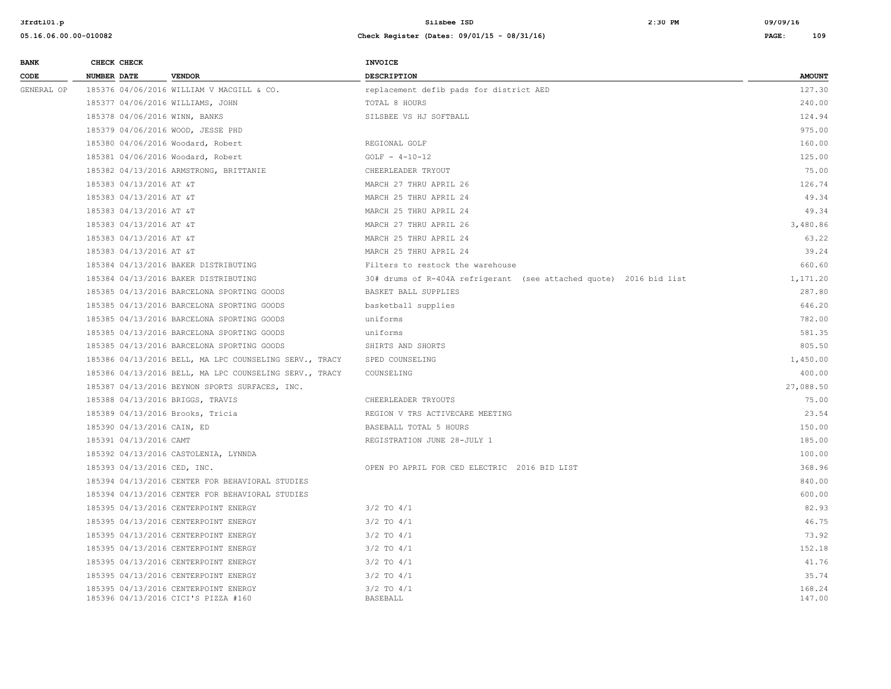| <b>BANK</b> | CHECK CHECK                 |                                                                             | <b>INVOICE</b>                                                     |                  |
|-------------|-----------------------------|-----------------------------------------------------------------------------|--------------------------------------------------------------------|------------------|
| CODE        | <b>NUMBER DATE</b>          | <b>VENDOR</b>                                                               | <b>DESCRIPTION</b>                                                 | <b>AMOUNT</b>    |
| GENERAL OP  |                             | 185376 04/06/2016 WILLIAM V MACGILL & CO.                                   | replacement defib pads for district AED                            | 127.30           |
|             |                             | 185377 04/06/2016 WILLIAMS, JOHN                                            | TOTAL 8 HOURS                                                      | 240.00           |
|             |                             | 185378 04/06/2016 WINN, BANKS                                               | SILSBEE VS HJ SOFTBALL                                             | 124.94           |
|             |                             | 185379 04/06/2016 WOOD, JESSE PHD                                           |                                                                    | 975.00           |
|             |                             | 185380 04/06/2016 Woodard, Robert                                           | REGIONAL GOLF                                                      | 160.00           |
|             |                             | 185381 04/06/2016 Woodard, Robert                                           | $GOLF - 4-10-12$                                                   | 125.00           |
|             |                             | 185382 04/13/2016 ARMSTRONG, BRITTANIE                                      | CHEERLEADER TRYOUT                                                 | 75.00            |
|             | 185383 04/13/2016 AT &T     |                                                                             | MARCH 27 THRU APRIL 26                                             | 126.74           |
|             | 185383 04/13/2016 AT &T     |                                                                             | MARCH 25 THRU APRIL 24                                             | 49.34            |
|             | 185383 04/13/2016 AT &T     |                                                                             | MARCH 25 THRU APRIL 24                                             | 49.34            |
|             | 185383 04/13/2016 AT &T     |                                                                             | MARCH 27 THRU APRIL 26                                             | 3,480.86         |
|             | 185383 04/13/2016 AT &T     |                                                                             | MARCH 25 THRU APRIL 24                                             | 63.22            |
|             | 185383 04/13/2016 AT &T     |                                                                             | MARCH 25 THRU APRIL 24                                             | 39.24            |
|             |                             | 185384 04/13/2016 BAKER DISTRIBUTING                                        | Filters to restock the warehouse                                   | 660.60           |
|             |                             | 185384 04/13/2016 BAKER DISTRIBUTING                                        | 30# drums of R-404A refrigerant (see attached quote) 2016 bid list | 1,171.20         |
|             |                             | 185385 04/13/2016 BARCELONA SPORTING GOODS                                  | BASKET BALL SUPPLIES                                               | 287.80           |
|             |                             | 185385 04/13/2016 BARCELONA SPORTING GOODS                                  | basketball supplies                                                | 646.20           |
|             |                             | 185385 04/13/2016 BARCELONA SPORTING GOODS                                  | uniforms                                                           | 782.00           |
|             |                             | 185385 04/13/2016 BARCELONA SPORTING GOODS                                  | uniforms                                                           | 581.35           |
|             |                             | 185385 04/13/2016 BARCELONA SPORTING GOODS                                  | SHIRTS AND SHORTS                                                  | 805.50           |
|             |                             | 185386 04/13/2016 BELL, MA LPC COUNSELING SERV., TRACY                      | SPED COUNSELING                                                    | 1,450.00         |
|             |                             | 185386 04/13/2016 BELL, MA LPC COUNSELING SERV., TRACY                      | COUNSELING                                                         | 400.00           |
|             |                             | 185387 04/13/2016 BEYNON SPORTS SURFACES, INC.                              |                                                                    | 27,088.50        |
|             |                             | 185388 04/13/2016 BRIGGS, TRAVIS                                            | CHEERLEADER TRYOUTS                                                | 75.00            |
|             |                             | 185389 04/13/2016 Brooks, Tricia                                            | REGION V TRS ACTIVECARE MEETING                                    | 23.54            |
|             | 185390 04/13/2016 CAIN, ED  |                                                                             | BASEBALL TOTAL 5 HOURS                                             | 150.00           |
|             | 185391 04/13/2016 CAMT      |                                                                             | REGISTRATION JUNE 28-JULY 1                                        | 185.00           |
|             |                             | 185392 04/13/2016 CASTOLENIA, LYNNDA                                        |                                                                    | 100.00           |
|             | 185393 04/13/2016 CED, INC. |                                                                             | OPEN PO APRIL FOR CED ELECTRIC 2016 BID LIST                       | 368.96           |
|             |                             | 185394 04/13/2016 CENTER FOR BEHAVIORAL STUDIES                             |                                                                    | 840.00           |
|             |                             | 185394 04/13/2016 CENTER FOR BEHAVIORAL STUDIES                             |                                                                    | 600.00           |
|             |                             | 185395 04/13/2016 CENTERPOINT ENERGY                                        | $3/2$ TO $4/1$                                                     | 82.93            |
|             |                             | 185395 04/13/2016 CENTERPOINT ENERGY                                        | $3/2$ TO $4/1$                                                     | 46.75            |
|             |                             | 185395 04/13/2016 CENTERPOINT ENERGY                                        | $3/2$ TO $4/1$                                                     | 73.92            |
|             |                             | 185395 04/13/2016 CENTERPOINT ENERGY                                        | $3/2$ TO $4/1$                                                     | 152.18           |
|             |                             | 185395 04/13/2016 CENTERPOINT ENERGY                                        | $3/2$ TO $4/1$                                                     | 41.76            |
|             |                             | 185395 04/13/2016 CENTERPOINT ENERGY                                        | $3/2$ TO $4/1$                                                     | 35.74            |
|             |                             | 185395 04/13/2016 CENTERPOINT ENERGY<br>185396 04/13/2016 CICI'S PIZZA #160 | $3/2$ TO $4/1$<br><b>BASEBALL</b>                                  | 168.24<br>147.00 |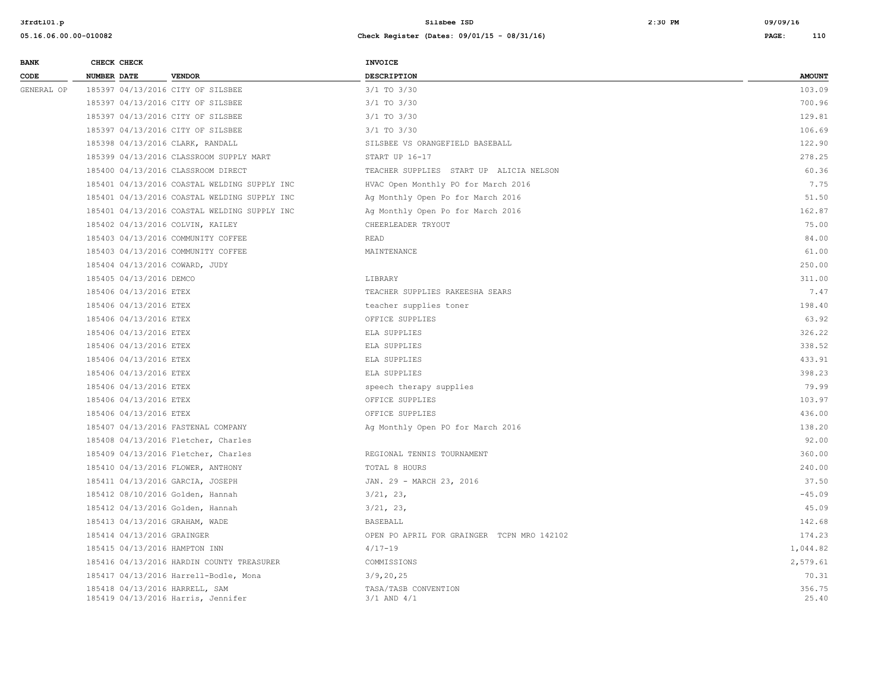| <b>BANK</b> | CHECK CHECK                    |                                                                      | <b>INVOICE</b>                             |                 |
|-------------|--------------------------------|----------------------------------------------------------------------|--------------------------------------------|-----------------|
| CODE        | <b>NUMBER DATE</b>             | <b>VENDOR</b>                                                        | <b>DESCRIPTION</b>                         | <b>AMOUNT</b>   |
| GENERAL OP  |                                | 185397 04/13/2016 CITY OF SILSBEE                                    | 3/1 TO 3/30                                | 103.09          |
|             |                                | 185397 04/13/2016 CITY OF SILSBEE                                    | 3/1 TO 3/30                                | 700.96          |
|             |                                | 185397 04/13/2016 CITY OF SILSBEE                                    | 3/1 TO 3/30                                | 129.81          |
|             |                                | 185397 04/13/2016 CITY OF SILSBEE                                    | 3/1 TO 3/30                                | 106.69          |
|             |                                | 185398 04/13/2016 CLARK, RANDALL                                     | SILSBEE VS ORANGEFIELD BASEBALL            | 122.90          |
|             |                                | 185399 04/13/2016 CLASSROOM SUPPLY MART                              | START UP 16-17                             | 278.25          |
|             |                                | 185400 04/13/2016 CLASSROOM DIRECT                                   | TEACHER SUPPLIES START UP ALICIA NELSON    | 60.36           |
|             |                                | 185401 04/13/2016 COASTAL WELDING SUPPLY INC                         | HVAC Open Monthly PO for March 2016        | 7.75            |
|             |                                | 185401 04/13/2016 COASTAL WELDING SUPPLY INC                         | Ag Monthly Open Po for March 2016          | 51.50           |
|             |                                | 185401 04/13/2016 COASTAL WELDING SUPPLY INC                         | Ag Monthly Open Po for March 2016          | 162.87          |
|             |                                | 185402 04/13/2016 COLVIN, KAILEY                                     | CHEERLEADER TRYOUT                         | 75.00           |
|             |                                | 185403 04/13/2016 COMMUNITY COFFEE                                   | <b>READ</b>                                | 84.00           |
|             |                                | 185403 04/13/2016 COMMUNITY COFFEE                                   | MAINTENANCE                                | 61.00           |
|             | 185404 04/13/2016 COWARD, JUDY |                                                                      |                                            | 250.00          |
|             | 185405 04/13/2016 DEMCO        |                                                                      | LIBRARY                                    | 311.00          |
|             | 185406 04/13/2016 ETEX         |                                                                      | TEACHER SUPPLIES RAKEESHA SEARS            | 7.47            |
|             | 185406 04/13/2016 ETEX         |                                                                      | teacher supplies toner                     | 198.40          |
|             | 185406 04/13/2016 ETEX         |                                                                      | OFFICE SUPPLIES                            | 63.92           |
|             | 185406 04/13/2016 ETEX         |                                                                      | ELA SUPPLIES                               | 326.22          |
|             | 185406 04/13/2016 ETEX         |                                                                      | ELA SUPPLIES                               | 338.52          |
|             | 185406 04/13/2016 ETEX         |                                                                      | ELA SUPPLIES                               | 433.91          |
|             | 185406 04/13/2016 ETEX         |                                                                      | ELA SUPPLIES                               | 398.23          |
|             | 185406 04/13/2016 ETEX         |                                                                      | speech therapy supplies                    | 79.99           |
|             | 185406 04/13/2016 ETEX         |                                                                      | OFFICE SUPPLIES                            | 103.97          |
|             | 185406 04/13/2016 ETEX         |                                                                      | OFFICE SUPPLIES                            | 436.00          |
|             |                                | 185407 04/13/2016 FASTENAL COMPANY                                   | Ag Monthly Open PO for March 2016          | 138.20          |
|             |                                | 185408 04/13/2016 Fletcher, Charles                                  |                                            | 92.00           |
|             |                                | 185409 04/13/2016 Fletcher, Charles                                  | REGIONAL TENNIS TOURNAMENT                 | 360.00          |
|             |                                | 185410 04/13/2016 FLOWER, ANTHONY                                    | TOTAL 8 HOURS                              | 240.00          |
|             |                                | 185411 04/13/2016 GARCIA, JOSEPH                                     | JAN. 29 - MARCH 23, 2016                   | 37.50           |
|             |                                | 185412 08/10/2016 Golden, Hannah                                     | 3/21, 23,                                  | $-45.09$        |
|             |                                | 185412 04/13/2016 Golden, Hannah                                     | 3/21, 23,                                  | 45.09           |
|             | 185413 04/13/2016 GRAHAM, WADE |                                                                      | BASEBALL                                   | 142.68          |
|             | 185414 04/13/2016 GRAINGER     |                                                                      | OPEN PO APRIL FOR GRAINGER TCPN MRO 142102 | 174.23          |
|             | 185415 04/13/2016 HAMPTON INN  |                                                                      | $4/17 - 19$                                | 1,044.82        |
|             |                                | 185416 04/13/2016 HARDIN COUNTY TREASURER                            | COMMISSIONS                                | 2,579.61        |
|             |                                | 185417 04/13/2016 Harrell-Bodle, Mona                                | 3/9, 20, 25                                | 70.31           |
|             |                                | 185418 04/13/2016 HARRELL, SAM<br>185419 04/13/2016 Harris, Jennifer | TASA/TASB CONVENTION<br>$3/1$ AND $4/1$    | 356.75<br>25.40 |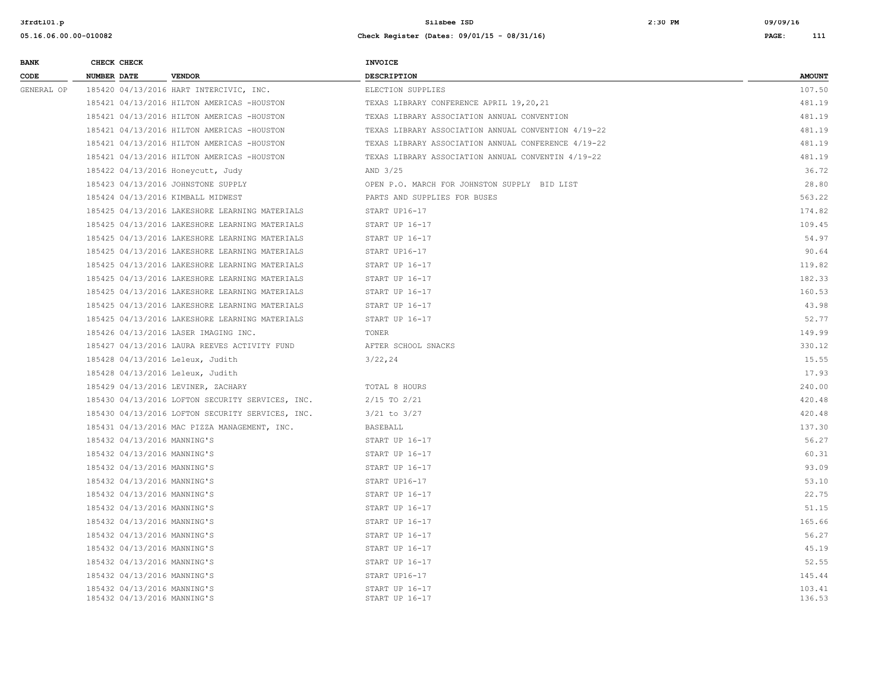| <b>BANK</b> | CHECK CHECK                                                | <b>INVOICE</b>                                      |                  |
|-------------|------------------------------------------------------------|-----------------------------------------------------|------------------|
| CODE        | NUMBER DATE<br><b>VENDOR</b>                               | DESCRIPTION                                         | <b>AMOUNT</b>    |
| GENERAL OP  | 185420 04/13/2016 HART INTERCIVIC, INC.                    | ELECTION SUPPLIES                                   | 107.50           |
|             | 185421 04/13/2016 HILTON AMERICAS -HOUSTON                 | TEXAS LIBRARY CONFERENCE APRIL 19,20,21             | 481.19           |
|             | 185421 04/13/2016 HILTON AMERICAS -HOUSTON                 | TEXAS LIBRARY ASSOCIATION ANNUAL CONVENTION         | 481.19           |
|             | 185421 04/13/2016 HILTON AMERICAS -HOUSTON                 | TEXAS LIBRARY ASSOCIATION ANNUAL CONVENTION 4/19-22 | 481.19           |
|             | 185421 04/13/2016 HILTON AMERICAS -HOUSTON                 | TEXAS LIBRARY ASSOCIATION ANNUAL CONFERENCE 4/19-22 | 481.19           |
|             | 185421 04/13/2016 HILTON AMERICAS -HOUSTON                 | TEXAS LIBRARY ASSOCIATION ANNUAL CONVENTIN 4/19-22  | 481.19           |
|             | 185422 04/13/2016 Honeycutt, Judy                          | AND 3/25                                            | 36.72            |
|             | 185423 04/13/2016 JOHNSTONE SUPPLY                         | OPEN P.O. MARCH FOR JOHNSTON SUPPLY BID LIST        | 28.80            |
|             | 185424 04/13/2016 KIMBALL MIDWEST                          | PARTS AND SUPPLIES FOR BUSES                        | 563.22           |
|             | 185425 04/13/2016 LAKESHORE LEARNING MATERIALS             | START UP16-17                                       | 174.82           |
|             | 185425 04/13/2016 LAKESHORE LEARNING MATERIALS             | START UP 16-17                                      | 109.45           |
|             | 185425 04/13/2016 LAKESHORE LEARNING MATERIALS             | START UP 16-17                                      | 54.97            |
|             | 185425 04/13/2016 LAKESHORE LEARNING MATERIALS             | START UP16-17                                       | 90.64            |
|             | 185425 04/13/2016 LAKESHORE LEARNING MATERIALS             | START UP 16-17                                      | 119.82           |
|             | 185425 04/13/2016 LAKESHORE LEARNING MATERIALS             | START UP 16-17                                      | 182.33           |
|             | 185425 04/13/2016 LAKESHORE LEARNING MATERIALS             | START UP 16-17                                      | 160.53           |
|             | 185425 04/13/2016 LAKESHORE LEARNING MATERIALS             | START UP 16-17                                      | 43.98            |
|             | 185425 04/13/2016 LAKESHORE LEARNING MATERIALS             | START UP 16-17                                      | 52.77            |
|             | 185426 04/13/2016 LASER IMAGING INC.                       | TONER                                               | 149.99           |
|             | 185427 04/13/2016 LAURA REEVES ACTIVITY FUND               | AFTER SCHOOL SNACKS                                 | 330.12           |
|             | 185428 04/13/2016 Leleux, Judith                           | 3/22, 24                                            | 15.55            |
|             | 185428 04/13/2016 Leleux, Judith                           |                                                     | 17.93            |
|             | 185429 04/13/2016 LEVINER, ZACHARY                         | TOTAL 8 HOURS                                       | 240.00           |
|             | 185430 04/13/2016 LOFTON SECURITY SERVICES, INC.           | 2/15 TO 2/21                                        | 420.48           |
|             | 185430 04/13/2016 LOFTON SECURITY SERVICES, INC.           | 3/21 to 3/27                                        | 420.48           |
|             | 185431 04/13/2016 MAC PIZZA MANAGEMENT, INC.               | BASEBALL                                            | 137.30           |
|             | 185432 04/13/2016 MANNING'S                                | START UP 16-17                                      | 56.27            |
|             | 185432 04/13/2016 MANNING'S                                | START UP 16-17                                      | 60.31            |
|             | 185432 04/13/2016 MANNING'S                                | START UP 16-17                                      | 93.09            |
|             | 185432 04/13/2016 MANNING'S                                | START UP16-17                                       | 53.10            |
|             | 185432 04/13/2016 MANNING'S                                | START UP 16-17                                      | 22.75            |
|             | 185432 04/13/2016 MANNING'S                                | START UP 16-17                                      | 51.15            |
|             | 185432 04/13/2016 MANNING'S                                | START UP 16-17                                      | 165.66           |
|             | 185432 04/13/2016 MANNING'S                                | START UP 16-17                                      | 56.27            |
|             | 185432 04/13/2016 MANNING'S                                | START UP 16-17                                      | 45.19            |
|             | 185432 04/13/2016 MANNING'S                                | START UP 16-17                                      | 52.55            |
|             | 185432 04/13/2016 MANNING'S                                | START UP16-17                                       | 145.44           |
|             | 185432 04/13/2016 MANNING'S<br>185432 04/13/2016 MANNING'S | START UP 16-17<br>START UP 16-17                    | 103.41<br>136.53 |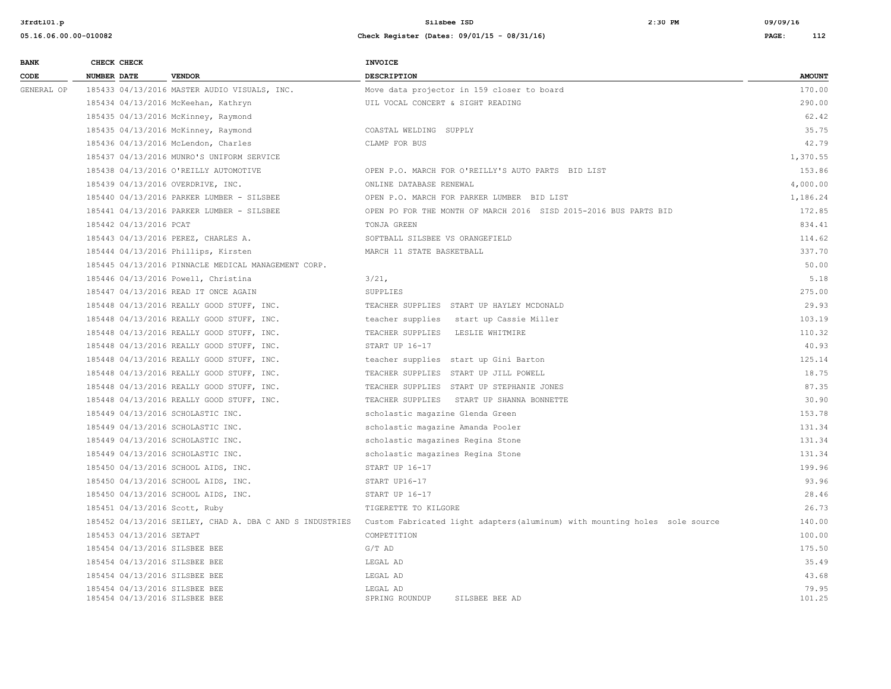| <b>BANK</b> | CHECK CHECK        |                                                                | <b>INVOICE</b>                                                              |                 |
|-------------|--------------------|----------------------------------------------------------------|-----------------------------------------------------------------------------|-----------------|
| CODE        | <b>NUMBER DATE</b> | <b>VENDOR</b>                                                  | <b>DESCRIPTION</b>                                                          | <b>AMOUNT</b>   |
| GENERAL OP  |                    | 185433 04/13/2016 MASTER AUDIO VISUALS, INC.                   | Move data projector in 159 closer to board                                  | 170.00          |
|             |                    | 185434 04/13/2016 McKeehan, Kathryn                            | UIL VOCAL CONCERT & SIGHT READING                                           | 290.00          |
|             |                    | 185435 04/13/2016 McKinney, Raymond                            |                                                                             | 62.42           |
|             |                    | 185435 04/13/2016 McKinney, Raymond                            | COASTAL WELDING SUPPLY                                                      | 35.75           |
|             |                    | 185436 04/13/2016 McLendon, Charles                            | CLAMP FOR BUS                                                               | 42.79           |
|             |                    | 185437 04/13/2016 MUNRO'S UNIFORM SERVICE                      |                                                                             | 1,370.55        |
|             |                    | 185438 04/13/2016 O'REILLY AUTOMOTIVE                          | OPEN P.O. MARCH FOR O'REILLY'S AUTO PARTS BID LIST                          | 153.86          |
|             |                    | 185439 04/13/2016 OVERDRIVE, INC.                              | ONLINE DATABASE RENEWAL                                                     | 4,000.00        |
|             |                    | 185440 04/13/2016 PARKER LUMBER - SILSBEE                      | OPEN P.O. MARCH FOR PARKER LUMBER BID LIST                                  | 1,186.24        |
|             |                    | 185441 04/13/2016 PARKER LUMBER - SILSBEE                      | OPEN PO FOR THE MONTH OF MARCH 2016 SISD 2015-2016 BUS PARTS BID            | 172.85          |
|             |                    | 185442 04/13/2016 PCAT                                         | TONJA GREEN                                                                 | 834.41          |
|             |                    | 185443 04/13/2016 PEREZ, CHARLES A.                            | SOFTBALL SILSBEE VS ORANGEFIELD                                             | 114.62          |
|             |                    | 185444 04/13/2016 Phillips, Kirsten                            | MARCH 11 STATE BASKETBALL                                                   | 337.70          |
|             |                    | 185445 04/13/2016 PINNACLE MEDICAL MANAGEMENT CORP.            |                                                                             | 50.00           |
|             |                    | 185446 04/13/2016 Powell, Christina                            | $3/21$ ,                                                                    | 5.18            |
|             |                    | 185447 04/13/2016 READ IT ONCE AGAIN                           | SUPPLIES                                                                    | 275.00          |
|             |                    | 185448 04/13/2016 REALLY GOOD STUFF, INC.                      | TEACHER SUPPLIES START UP HAYLEY MCDONALD                                   | 29.93           |
|             |                    | 185448 04/13/2016 REALLY GOOD STUFF, INC.                      | teacher supplies start up Cassie Miller                                     | 103.19          |
|             |                    | 185448 04/13/2016 REALLY GOOD STUFF, INC.                      | TEACHER SUPPLIES LESLIE WHITMIRE                                            | 110.32          |
|             |                    | 185448 04/13/2016 REALLY GOOD STUFF, INC.                      | START UP 16-17                                                              | 40.93           |
|             |                    | 185448 04/13/2016 REALLY GOOD STUFF, INC.                      | teacher supplies start up Gini Barton                                       | 125.14          |
|             |                    | 185448 04/13/2016 REALLY GOOD STUFF, INC.                      | TEACHER SUPPLIES START UP JILL POWELL                                       | 18.75           |
|             |                    | 185448 04/13/2016 REALLY GOOD STUFF, INC.                      | TEACHER SUPPLIES START UP STEPHANIE JONES                                   | 87.35           |
|             |                    | 185448 04/13/2016 REALLY GOOD STUFF, INC.                      | TEACHER SUPPLIES START UP SHANNA BONNETTE                                   | 30.90           |
|             |                    | 185449 04/13/2016 SCHOLASTIC INC.                              | scholastic magazine Glenda Green                                            | 153.78          |
|             |                    | 185449 04/13/2016 SCHOLASTIC INC.                              | scholastic magazine Amanda Pooler                                           | 131.34          |
|             |                    | 185449 04/13/2016 SCHOLASTIC INC.                              | scholastic magazines Regina Stone                                           | 131.34          |
|             |                    | 185449 04/13/2016 SCHOLASTIC INC.                              | scholastic magazines Regina Stone                                           | 131.34          |
|             |                    | 185450 04/13/2016 SCHOOL AIDS, INC.                            | START UP 16-17                                                              | 199.96          |
|             |                    | 185450 04/13/2016 SCHOOL AIDS, INC.                            | START UP16-17                                                               | 93.96           |
|             |                    | 185450 04/13/2016 SCHOOL AIDS, INC.                            | START UP 16-17                                                              | 28.46           |
|             |                    | 185451 04/13/2016 Scott, Ruby                                  | TIGERETTE TO KILGORE                                                        | 26.73           |
|             |                    | 185452 04/13/2016 SEILEY, CHAD A. DBA C AND S INDUSTRIES       | Custom Fabricated light adapters (aluminum) with mounting holes sole source | 140.00          |
|             |                    | 185453 04/13/2016 SETAPT                                       | COMPETITION                                                                 | 100.00          |
|             |                    | 185454 04/13/2016 SILSBEE BEE                                  | $G/T$ AD                                                                    | 175.50          |
|             |                    | 185454 04/13/2016 SILSBEE BEE                                  | LEGAL AD                                                                    | 35.49           |
|             |                    | 185454 04/13/2016 SILSBEE BEE                                  | LEGAL AD                                                                    | 43.68           |
|             |                    | 185454 04/13/2016 SILSBEE BEE<br>185454 04/13/2016 SILSBEE BEE | LEGAL AD<br>SPRING ROUNDUP<br>SILSBEE BEE AD                                | 79.95<br>101.25 |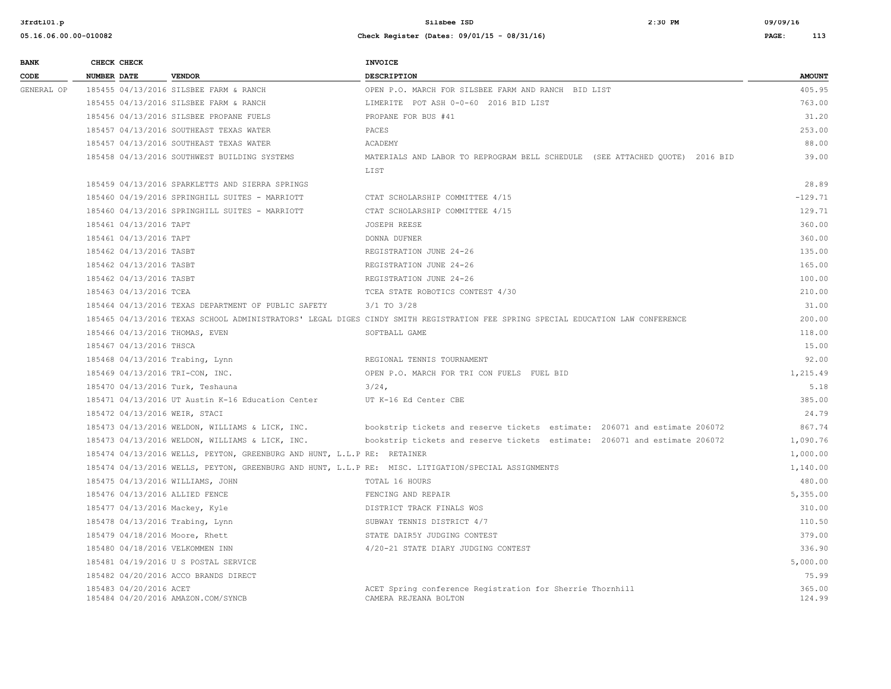| <b>BANK</b> | CHECK CHECK                   |                                                                         | <b>INVOICE</b>                                                                                                                  |                  |
|-------------|-------------------------------|-------------------------------------------------------------------------|---------------------------------------------------------------------------------------------------------------------------------|------------------|
| CODE        | NUMBER DATE                   | <b>VENDOR</b>                                                           | <b>DESCRIPTION</b>                                                                                                              | <b>AMOUNT</b>    |
| GENERAL OP  |                               | 185455 04/13/2016 SILSBEE FARM & RANCH                                  | OPEN P.O. MARCH FOR SILSBEE FARM AND RANCH BID LIST                                                                             | 405.95           |
|             |                               | 185455 04/13/2016 SILSBEE FARM & RANCH                                  | LIMERITE POT ASH 0-0-60 2016 BID LIST                                                                                           | 763.00           |
|             |                               | 185456 04/13/2016 SILSBEE PROPANE FUELS                                 | PROPANE FOR BUS #41                                                                                                             | 31.20            |
|             |                               | 185457 04/13/2016 SOUTHEAST TEXAS WATER                                 | PACES                                                                                                                           | 253.00           |
|             |                               | 185457 04/13/2016 SOUTHEAST TEXAS WATER                                 | ACADEMY                                                                                                                         | 88.00            |
|             |                               | 185458 04/13/2016 SOUTHWEST BUILDING SYSTEMS                            | MATERIALS AND LABOR TO REPROGRAM BELL SCHEDULE (SEE ATTACHED QUOTE) 2016 BID                                                    | 39.00            |
|             |                               |                                                                         | LIST                                                                                                                            |                  |
|             |                               | 185459 04/13/2016 SPARKLETTS AND SIERRA SPRINGS                         |                                                                                                                                 | 28.89            |
|             |                               | 185460 04/19/2016 SPRINGHILL SUITES - MARRIOTT                          | CTAT SCHOLARSHIP COMMITTEE 4/15                                                                                                 | $-129.71$        |
|             |                               | 185460 04/13/2016 SPRINGHILL SUITES - MARRIOTT                          | CTAT SCHOLARSHIP COMMITTEE 4/15                                                                                                 | 129.71           |
|             | 185461 04/13/2016 TAPT        |                                                                         | <b>JOSEPH REESE</b>                                                                                                             | 360.00           |
|             | 185461 04/13/2016 TAPT        |                                                                         | DONNA DUFNER                                                                                                                    | 360.00           |
|             | 185462 04/13/2016 TASBT       |                                                                         | REGISTRATION JUNE 24-26                                                                                                         | 135.00           |
|             | 185462 04/13/2016 TASBT       |                                                                         | REGISTRATION JUNE 24-26                                                                                                         | 165.00           |
|             | 185462 04/13/2016 TASBT       |                                                                         | REGISTRATION JUNE 24-26                                                                                                         | 100.00           |
|             | 185463 04/13/2016 TCEA        |                                                                         | TCEA STATE ROBOTICS CONTEST 4/30                                                                                                | 210.00           |
|             |                               | 185464 04/13/2016 TEXAS DEPARTMENT OF PUBLIC SAFETY                     | $3/1$ TO $3/28$                                                                                                                 | 31.00            |
|             |                               |                                                                         | 185465 04/13/2016 TEXAS SCHOOL ADMINISTRATORS' LEGAL DIGES CINDY SMITH REGISTRATION FEE SPRING SPECIAL EDUCATION LAW CONFERENCE | 200.00           |
|             |                               | 185466 04/13/2016 THOMAS, EVEN                                          | SOFTBALL GAME                                                                                                                   | 118.00           |
|             | 185467 04/13/2016 THSCA       |                                                                         |                                                                                                                                 | 15.00            |
|             |                               | 185468 04/13/2016 Trabing, Lynn                                         | REGIONAL TENNIS TOURNAMENT                                                                                                      | 92.00            |
|             |                               | 185469 04/13/2016 TRI-CON, INC.                                         | OPEN P.O. MARCH FOR TRI CON FUELS FUEL BID                                                                                      | 1,215.49         |
|             |                               | 185470 04/13/2016 Turk, Teshauna                                        | $3/24$ ,                                                                                                                        | 5.18             |
|             |                               | 185471 04/13/2016 UT Austin K-16 Education Center                       | UT K-16 Ed Center CBE                                                                                                           | 385.00           |
|             | 185472 04/13/2016 WEIR, STACI |                                                                         |                                                                                                                                 | 24.79            |
|             |                               | 185473 04/13/2016 WELDON, WILLIAMS & LICK, INC.                         | bookstrip tickets and reserve tickets estimate: 206071 and estimate 206072                                                      | 867.74           |
|             |                               | 185473 04/13/2016 WELDON, WILLIAMS & LICK, INC.                         | bookstrip tickets and reserve tickets estimate: 206071 and estimate 206072                                                      | 1,090.76         |
|             |                               | 185474 04/13/2016 WELLS, PEYTON, GREENBURG AND HUNT, L.L.P RE: RETAINER |                                                                                                                                 | 1,000.00         |
|             |                               |                                                                         | 185474 04/13/2016 WELLS, PEYTON, GREENBURG AND HUNT, L.L.P RE: MISC. LITIGATION/SPECIAL ASSIGNMENTS                             | 1,140.00         |
|             |                               | 185475 04/13/2016 WILLIAMS, JOHN                                        | TOTAL 16 HOURS                                                                                                                  | 480.00           |
|             |                               | 185476 04/13/2016 ALLIED FENCE                                          | FENCING AND REPAIR                                                                                                              | 5,355.00         |
|             |                               | 185477 04/13/2016 Mackey, Kyle                                          | DISTRICT TRACK FINALS WOS                                                                                                       | 310.00           |
|             |                               | 185478 04/13/2016 Trabing, Lynn                                         | SUBWAY TENNIS DISTRICT 4/7                                                                                                      | 110.50           |
|             |                               | 185479 04/18/2016 Moore, Rhett                                          | STATE DAIR5Y JUDGING CONTEST                                                                                                    | 379.00           |
|             |                               | 185480 04/18/2016 VELKOMMEN INN                                         | 4/20-21 STATE DIARY JUDGING CONTEST                                                                                             | 336.90           |
|             |                               | 185481 04/19/2016 U S POSTAL SERVICE                                    |                                                                                                                                 | 5,000.00         |
|             |                               | 185482 04/20/2016 ACCO BRANDS DIRECT                                    |                                                                                                                                 | 75.99            |
|             | 185483 04/20/2016 ACET        | 185484 04/20/2016 AMAZON.COM/SYNCB                                      | ACET Spring conference Registration for Sherrie Thornhill<br>CAMERA REJEANA BOLTON                                              | 365.00<br>124.99 |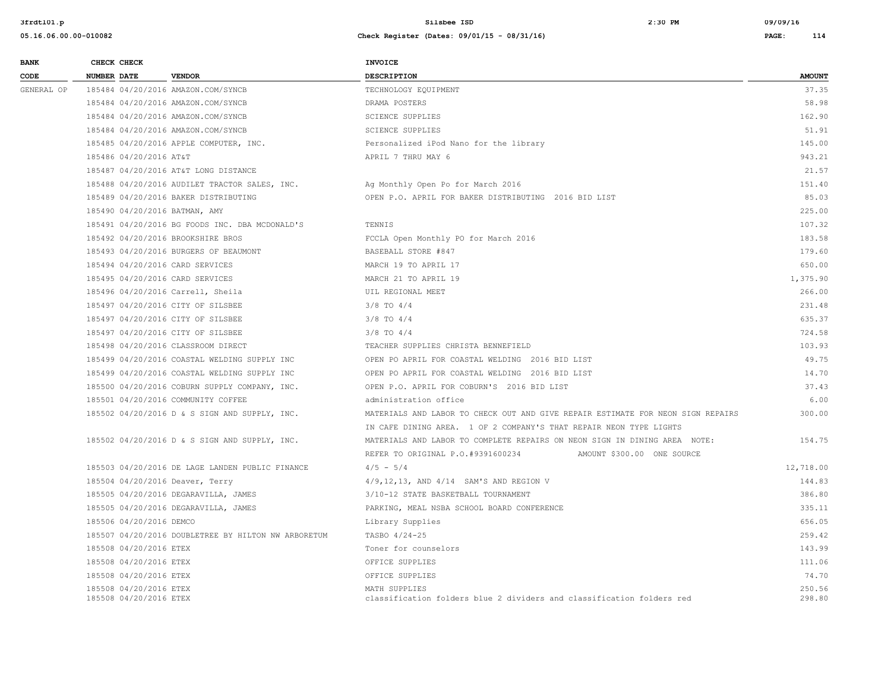| <b>BANK</b> | CHECK CHECK        |                                                  |                                                     | <b>INVOICE</b>                                                                         |                            |                  |
|-------------|--------------------|--------------------------------------------------|-----------------------------------------------------|----------------------------------------------------------------------------------------|----------------------------|------------------|
| CODE        | <b>NUMBER DATE</b> |                                                  | <b>VENDOR</b>                                       | DESCRIPTION                                                                            |                            | <b>AMOUNT</b>    |
| GENERAL OP  |                    |                                                  | 185484 04/20/2016 AMAZON.COM/SYNCB                  | TECHNOLOGY EQUIPMENT                                                                   |                            | 37.35            |
|             |                    |                                                  | 185484 04/20/2016 AMAZON.COM/SYNCB                  | DRAMA POSTERS                                                                          |                            | 58.98            |
|             |                    |                                                  | 185484 04/20/2016 AMAZON.COM/SYNCB                  | <b>SCIENCE SUPPLIES</b>                                                                |                            | 162.90           |
|             |                    |                                                  | 185484 04/20/2016 AMAZON.COM/SYNCB                  | <b>SCIENCE SUPPLIES</b>                                                                |                            | 51.91            |
|             |                    |                                                  | 185485 04/20/2016 APPLE COMPUTER, INC.              | Personalized iPod Nano for the library                                                 |                            | 145.00           |
|             |                    | 185486 04/20/2016 AT&T                           |                                                     | APRIL 7 THRU MAY 6                                                                     |                            | 943.21           |
|             |                    |                                                  | 185487 04/20/2016 AT&T LONG DISTANCE                |                                                                                        |                            | 21.57            |
|             |                    |                                                  | 185488 04/20/2016 AUDILET TRACTOR SALES, INC.       | Ag Monthly Open Po for March 2016                                                      |                            | 151.40           |
|             |                    |                                                  | 185489 04/20/2016 BAKER DISTRIBUTING                | OPEN P.O. APRIL FOR BAKER DISTRIBUTING 2016 BID LIST                                   |                            | 85.03            |
|             |                    |                                                  | 185490 04/20/2016 BATMAN, AMY                       |                                                                                        |                            | 225.00           |
|             |                    |                                                  | 185491 04/20/2016 BG FOODS INC. DBA MCDONALD'S      | TENNIS                                                                                 |                            | 107.32           |
|             |                    |                                                  | 185492 04/20/2016 BROOKSHIRE BROS                   | FCCLA Open Monthly PO for March 2016                                                   |                            | 183.58           |
|             |                    |                                                  | 185493 04/20/2016 BURGERS OF BEAUMONT               | BASEBALL STORE #847                                                                    |                            | 179.60           |
|             |                    |                                                  | 185494 04/20/2016 CARD SERVICES                     | MARCH 19 TO APRIL 17                                                                   |                            | 650.00           |
|             |                    |                                                  | 185495 04/20/2016 CARD SERVICES                     | MARCH 21 TO APRIL 19                                                                   |                            | 1,375.90         |
|             |                    |                                                  | 185496 04/20/2016 Carrell, Sheila                   | UIL REGIONAL MEET                                                                      |                            | 266.00           |
|             |                    |                                                  | 185497 04/20/2016 CITY OF SILSBEE                   | $3/8$ TO $4/4$                                                                         |                            | 231.48           |
|             |                    |                                                  | 185497 04/20/2016 CITY OF SILSBEE                   | $3/8$ TO $4/4$                                                                         |                            | 635.37           |
|             |                    |                                                  | 185497 04/20/2016 CITY OF SILSBEE                   | $3/8$ TO $4/4$                                                                         |                            | 724.58           |
|             |                    |                                                  | 185498 04/20/2016 CLASSROOM DIRECT                  | TEACHER SUPPLIES CHRISTA BENNEFIELD                                                    |                            | 103.93           |
|             |                    |                                                  | 185499 04/20/2016 COASTAL WELDING SUPPLY INC        | OPEN PO APRIL FOR COASTAL WELDING 2016 BID LIST                                        |                            | 49.75            |
|             |                    |                                                  | 185499 04/20/2016 COASTAL WELDING SUPPLY INC        | OPEN PO APRIL FOR COASTAL WELDING 2016 BID LIST                                        |                            | 14.70            |
|             |                    |                                                  | 185500 04/20/2016 COBURN SUPPLY COMPANY, INC.       | OPEN P.O. APRIL FOR COBURN'S 2016 BID LIST                                             |                            | 37.43            |
|             |                    |                                                  | 185501 04/20/2016 COMMUNITY COFFEE                  | administration office                                                                  |                            | 6.00             |
|             |                    |                                                  | 185502 04/20/2016 D & S SIGN AND SUPPLY, INC.       | MATERIALS AND LABOR TO CHECK OUT AND GIVE REPAIR ESTIMATE FOR NEON SIGN REPAIRS        |                            | 300.00           |
|             |                    |                                                  |                                                     | IN CAFE DINING AREA. 1 OF 2 COMPANY'S THAT REPAIR NEON TYPE LIGHTS                     |                            |                  |
|             |                    |                                                  | 185502 04/20/2016 D & S SIGN AND SUPPLY, INC.       | MATERIALS AND LABOR TO COMPLETE REPAIRS ON NEON SIGN IN DINING AREA NOTE:              |                            | 154.75           |
|             |                    |                                                  |                                                     | REFER TO ORIGINAL P.O.#9391600234                                                      | AMOUNT \$300.00 ONE SOURCE |                  |
|             |                    |                                                  | 185503 04/20/2016 DE LAGE LANDEN PUBLIC FINANCE     | $4/5 - 5/4$                                                                            |                            | 12,718.00        |
|             |                    |                                                  | 185504 04/20/2016 Deaver, Terry                     | 4/9,12,13, AND 4/14 SAM'S AND REGION V                                                 |                            | 144.83           |
|             |                    |                                                  | 185505 04/20/2016 DEGARAVILLA, JAMES                | 3/10-12 STATE BASKETBALL TOURNAMENT                                                    |                            | 386.80           |
|             |                    |                                                  | 185505 04/20/2016 DEGARAVILLA, JAMES                | PARKING, MEAL NSBA SCHOOL BOARD CONFERENCE                                             |                            | 335.11           |
|             |                    | 185506 04/20/2016 DEMCO                          |                                                     | Library Supplies                                                                       |                            | 656.05           |
|             |                    |                                                  | 185507 04/20/2016 DOUBLETREE BY HILTON NW ARBORETUM | TASBO 4/24-25                                                                          |                            | 259.42           |
|             |                    | 185508 04/20/2016 ETEX                           |                                                     | Toner for counselors                                                                   |                            | 143.99           |
|             |                    | 185508 04/20/2016 ETEX                           |                                                     | OFFICE SUPPLIES                                                                        |                            | 111.06           |
|             |                    | 185508 04/20/2016 ETEX                           |                                                     | OFFICE SUPPLIES                                                                        |                            | 74.70            |
|             |                    | 185508 04/20/2016 ETEX<br>185508 04/20/2016 ETEX |                                                     | MATH SUPPLIES<br>classification folders blue 2 dividers and classification folders red |                            | 250.56<br>298.80 |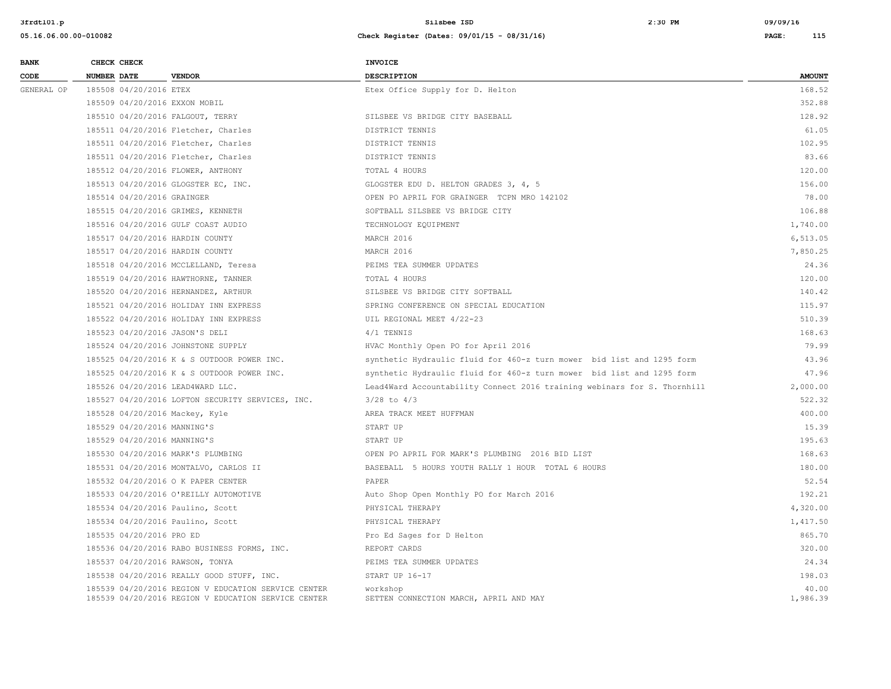| <b>BANK</b> |                    | CHECK CHECK                 |                                                                                                            | INVOICE                                                                  |                   |
|-------------|--------------------|-----------------------------|------------------------------------------------------------------------------------------------------------|--------------------------------------------------------------------------|-------------------|
| CODE        | <b>NUMBER DATE</b> |                             | <b>VENDOR</b>                                                                                              | <b>DESCRIPTION</b>                                                       | <b>AMOUNT</b>     |
| GENERAL OP  |                    | 185508 04/20/2016 ETEX      |                                                                                                            | Etex Office Supply for D. Helton                                         | 168.52            |
|             |                    |                             | 185509 04/20/2016 EXXON MOBIL                                                                              |                                                                          | 352.88            |
|             |                    |                             | 185510 04/20/2016 FALGOUT, TERRY                                                                           | SILSBEE VS BRIDGE CITY BASEBALL                                          | 128.92            |
|             |                    |                             | 185511 04/20/2016 Fletcher, Charles                                                                        | DISTRICT TENNIS                                                          | 61.05             |
|             |                    |                             | 185511 04/20/2016 Fletcher, Charles                                                                        | DISTRICT TENNIS                                                          | 102.95            |
|             |                    |                             | 185511 04/20/2016 Fletcher, Charles                                                                        | DISTRICT TENNIS                                                          | 83.66             |
|             |                    |                             | 185512 04/20/2016 FLOWER, ANTHONY                                                                          | TOTAL 4 HOURS                                                            | 120.00            |
|             |                    |                             | 185513 04/20/2016 GLOGSTER EC, INC.                                                                        | GLOGSTER EDU D. HELTON GRADES 3, 4, 5                                    | 156.00            |
|             |                    | 185514 04/20/2016 GRAINGER  |                                                                                                            | OPEN PO APRIL FOR GRAINGER TCPN MRO 142102                               | 78.00             |
|             |                    |                             | 185515 04/20/2016 GRIMES, KENNETH                                                                          | SOFTBALL SILSBEE VS BRIDGE CITY                                          | 106.88            |
|             |                    |                             | 185516 04/20/2016 GULF COAST AUDIO                                                                         | TECHNOLOGY EQUIPMENT                                                     | 1,740.00          |
|             |                    |                             | 185517 04/20/2016 HARDIN COUNTY                                                                            | MARCH 2016                                                               | 6,513.05          |
|             |                    |                             | 185517 04/20/2016 HARDIN COUNTY                                                                            | MARCH 2016                                                               | 7,850.25          |
|             |                    |                             | 185518 04/20/2016 MCCLELLAND, Teresa                                                                       | PEIMS TEA SUMMER UPDATES                                                 | 24.36             |
|             |                    |                             | 185519 04/20/2016 HAWTHORNE, TANNER                                                                        | TOTAL 4 HOURS                                                            | 120.00            |
|             |                    |                             | 185520 04/20/2016 HERNANDEZ, ARTHUR                                                                        | SILSBEE VS BRIDGE CITY SOFTBALL                                          | 140.42            |
|             |                    |                             | 185521 04/20/2016 HOLIDAY INN EXPRESS                                                                      | SPRING CONFERENCE ON SPECIAL EDUCATION                                   | 115.97            |
|             |                    |                             | 185522 04/20/2016 HOLIDAY INN EXPRESS                                                                      | UIL REGIONAL MEET 4/22-23                                                | 510.39            |
|             |                    |                             | 185523 04/20/2016 JASON'S DELI                                                                             | 4/1 TENNIS                                                               | 168.63            |
|             |                    |                             | 185524 04/20/2016 JOHNSTONE SUPPLY                                                                         | HVAC Monthly Open PO for April 2016                                      | 79.99             |
|             |                    |                             | 185525 04/20/2016 K & S OUTDOOR POWER INC.                                                                 | synthetic Hydraulic fluid for 460-z turn mower bid list and 1295 form    | 43.96             |
|             |                    |                             | 185525 04/20/2016 K & S OUTDOOR POWER INC.                                                                 | synthetic Hydraulic fluid for 460-z turn mower bid list and 1295 form    | 47.96             |
|             |                    |                             | 185526 04/20/2016 LEAD4WARD LLC.                                                                           | Lead4Ward Accountability Connect 2016 training webinars for S. Thornhill | 2,000.00          |
|             |                    |                             | 185527 04/20/2016 LOFTON SECURITY SERVICES, INC.                                                           | $3/28$ to $4/3$                                                          | 522.32            |
|             |                    |                             | 185528 04/20/2016 Mackey, Kyle                                                                             | AREA TRACK MEET HUFFMAN                                                  | 400.00            |
|             |                    | 185529 04/20/2016 MANNING'S |                                                                                                            | START UP                                                                 | 15.39             |
|             |                    | 185529 04/20/2016 MANNING'S |                                                                                                            | START UP                                                                 | 195.63            |
|             |                    |                             | 185530 04/20/2016 MARK'S PLUMBING                                                                          | OPEN PO APRIL FOR MARK'S PLUMBING 2016 BID LIST                          | 168.63            |
|             |                    |                             | 185531 04/20/2016 MONTALVO, CARLOS II                                                                      | BASEBALL 5 HOURS YOUTH RALLY 1 HOUR TOTAL 6 HOURS                        | 180.00            |
|             |                    |                             | 185532 04/20/2016 O K PAPER CENTER                                                                         | PAPER                                                                    | 52.54             |
|             |                    |                             | 185533 04/20/2016 O'REILLY AUTOMOTIVE                                                                      | Auto Shop Open Monthly PO for March 2016                                 | 192.21            |
|             |                    |                             | 185534 04/20/2016 Paulino, Scott                                                                           | PHYSICAL THERAPY                                                         | 4,320.00          |
|             |                    |                             | 185534 04/20/2016 Paulino, Scott                                                                           | PHYSICAL THERAPY                                                         | 1,417.50          |
|             |                    | 185535 04/20/2016 PRO ED    |                                                                                                            | Pro Ed Sages for D Helton                                                | 865.70            |
|             |                    |                             | 185536 04/20/2016 RABO BUSINESS FORMS, INC.                                                                | REPORT CARDS                                                             | 320.00            |
|             |                    |                             | 185537 04/20/2016 RAWSON, TONYA                                                                            | PEIMS TEA SUMMER UPDATES                                                 | 24.34             |
|             |                    |                             | 185538 04/20/2016 REALLY GOOD STUFF, INC.                                                                  | START UP 16-17                                                           | 198.03            |
|             |                    |                             | 185539 04/20/2016 REGION V EDUCATION SERVICE CENTER<br>185539 04/20/2016 REGION V EDUCATION SERVICE CENTER | workshop<br>SETTEN CONNECTION MARCH, APRIL AND MAY                       | 40.00<br>1,986.39 |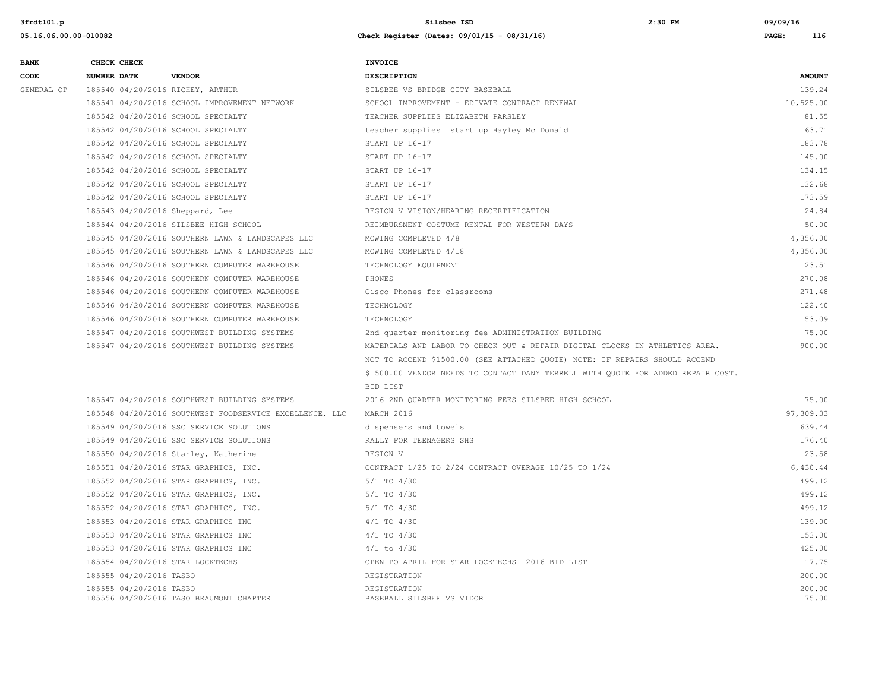| <b>BANK</b> | CHECK CHECK                      |                                                         | <b>INVOICE</b>                                                                   |                 |
|-------------|----------------------------------|---------------------------------------------------------|----------------------------------------------------------------------------------|-----------------|
| CODE        | NUMBER DATE                      | <b>VENDOR</b>                                           | <b>DESCRIPTION</b>                                                               | <b>AMOUNT</b>   |
| GENERAL OP  | 185540 04/20/2016 RICHEY, ARTHUR |                                                         | SILSBEE VS BRIDGE CITY BASEBALL                                                  | 139.24          |
|             |                                  | 185541 04/20/2016 SCHOOL IMPROVEMENT NETWORK            | SCHOOL IMPROVEMENT - EDIVATE CONTRACT RENEWAL                                    | 10,525.00       |
|             |                                  | 185542 04/20/2016 SCHOOL SPECIALTY                      | TEACHER SUPPLIES ELIZABETH PARSLEY                                               | 81.55           |
|             |                                  | 185542 04/20/2016 SCHOOL SPECIALTY                      | teacher supplies start up Hayley Mc Donald                                       | 63.71           |
|             |                                  | 185542 04/20/2016 SCHOOL SPECIALTY                      | START UP 16-17                                                                   | 183.78          |
|             |                                  | 185542 04/20/2016 SCHOOL SPECIALTY                      | START UP 16-17                                                                   | 145.00          |
|             |                                  | 185542 04/20/2016 SCHOOL SPECIALTY                      | START UP 16-17                                                                   | 134.15          |
|             |                                  | 185542 04/20/2016 SCHOOL SPECIALTY                      | START UP 16-17                                                                   | 132.68          |
|             |                                  | 185542 04/20/2016 SCHOOL SPECIALTY                      | START UP 16-17                                                                   | 173.59          |
|             | 185543 04/20/2016 Sheppard, Lee  |                                                         | REGION V VISION/HEARING RECERTIFICATION                                          | 24.84           |
|             |                                  | 185544 04/20/2016 SILSBEE HIGH SCHOOL                   | REIMBURSMENT COSTUME RENTAL FOR WESTERN DAYS                                     | 50.00           |
|             |                                  | 185545 04/20/2016 SOUTHERN LAWN & LANDSCAPES LLC        | MOWING COMPLETED 4/8                                                             | 4,356.00        |
|             |                                  | 185545 04/20/2016 SOUTHERN LAWN & LANDSCAPES LLC        | MOWING COMPLETED 4/18                                                            | 4,356.00        |
|             |                                  | 185546 04/20/2016 SOUTHERN COMPUTER WAREHOUSE           | TECHNOLOGY EQUIPMENT                                                             | 23.51           |
|             |                                  | 185546 04/20/2016 SOUTHERN COMPUTER WAREHOUSE           | PHONES                                                                           | 270.08          |
|             |                                  | 185546 04/20/2016 SOUTHERN COMPUTER WAREHOUSE           | Cisco Phones for classrooms                                                      | 271.48          |
|             |                                  | 185546 04/20/2016 SOUTHERN COMPUTER WAREHOUSE           | TECHNOLOGY                                                                       | 122.40          |
|             |                                  | 185546 04/20/2016 SOUTHERN COMPUTER WAREHOUSE           | TECHNOLOGY                                                                       | 153.09          |
|             |                                  | 185547 04/20/2016 SOUTHWEST BUILDING SYSTEMS            | 2nd quarter monitoring fee ADMINISTRATION BUILDING                               | 75.00           |
|             |                                  | 185547 04/20/2016 SOUTHWEST BUILDING SYSTEMS            | MATERIALS AND LABOR TO CHECK OUT & REPAIR DIGITAL CLOCKS IN ATHLETICS AREA.      | 900.00          |
|             |                                  |                                                         | NOT TO ACCEND \$1500.00 (SEE ATTACHED QUOTE) NOTE: IF REPAIRS SHOULD ACCEND      |                 |
|             |                                  |                                                         | \$1500.00 VENDOR NEEDS TO CONTACT DANY TERRELL WITH OUOTE FOR ADDED REPAIR COST. |                 |
|             |                                  |                                                         | BID LIST                                                                         |                 |
|             |                                  | 185547 04/20/2016 SOUTHWEST BUILDING SYSTEMS            | 2016 2ND OUARTER MONITORING FEES SILSBEE HIGH SCHOOL                             | 75.00           |
|             |                                  | 185548 04/20/2016 SOUTHWEST FOODSERVICE EXCELLENCE, LLC | MARCH 2016                                                                       | 97,309.33       |
|             |                                  | 185549 04/20/2016 SSC SERVICE SOLUTIONS                 | dispensers and towels                                                            | 639.44          |
|             |                                  | 185549 04/20/2016 SSC SERVICE SOLUTIONS                 | RALLY FOR TEENAGERS SHS                                                          | 176.40          |
|             |                                  | 185550 04/20/2016 Stanley, Katherine                    | REGION V                                                                         | 23.58           |
|             |                                  | 185551 04/20/2016 STAR GRAPHICS, INC.                   | CONTRACT 1/25 TO 2/24 CONTRACT OVERAGE 10/25 TO 1/24                             | 6,430.44        |
|             |                                  | 185552 04/20/2016 STAR GRAPHICS, INC.                   | $5/1$ TO $4/30$                                                                  | 499.12          |
|             |                                  | 185552 04/20/2016 STAR GRAPHICS, INC.                   | $5/1$ TO $4/30$                                                                  | 499.12          |
|             |                                  | 185552 04/20/2016 STAR GRAPHICS, INC.                   | $5/1$ TO $4/30$                                                                  | 499.12          |
|             |                                  | 185553 04/20/2016 STAR GRAPHICS INC                     | $4/1$ TO $4/30$                                                                  | 139.00          |
|             |                                  | 185553 04/20/2016 STAR GRAPHICS INC                     | $4/1$ TO $4/30$                                                                  | 153.00          |
|             |                                  | 185553 04/20/2016 STAR GRAPHICS INC                     | $4/1$ to $4/30$                                                                  | 425.00          |
|             | 185554 04/20/2016 STAR LOCKTECHS |                                                         | OPEN PO APRIL FOR STAR LOCKTECHS 2016 BID LIST                                   | 17.75           |
|             | 185555 04/20/2016 TASBO          |                                                         | REGISTRATION                                                                     | 200.00          |
|             | 185555 04/20/2016 TASBO          | 185556 04/20/2016 TASO BEAUMONT CHAPTER                 | REGISTRATION<br>BASEBALL SILSBEE VS VIDOR                                        | 200.00<br>75.00 |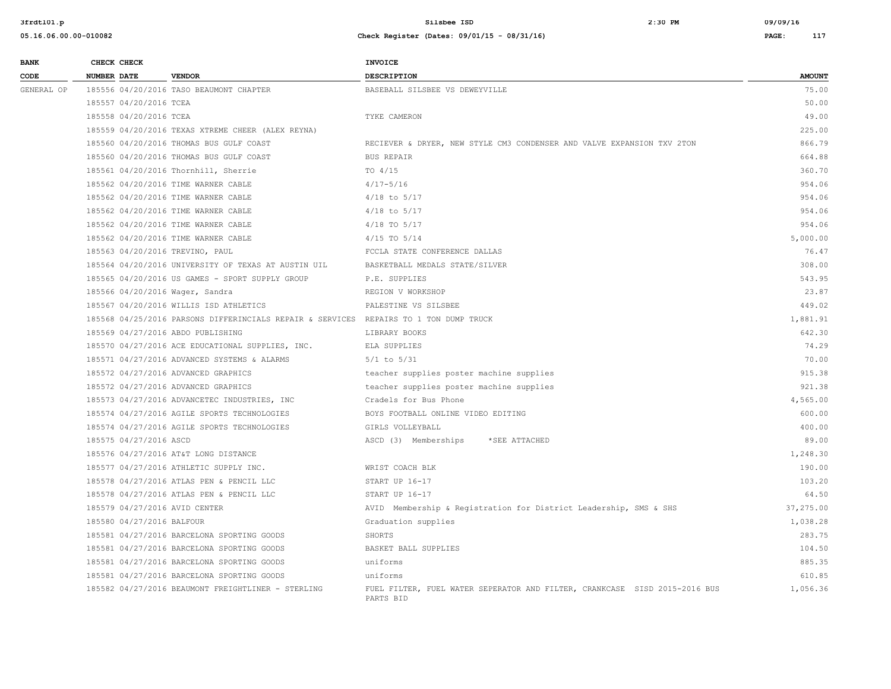| <b>BANK</b> | CHECK CHECK                     |                                                                                       | <b>INVOICE</b>                                                                          |               |
|-------------|---------------------------------|---------------------------------------------------------------------------------------|-----------------------------------------------------------------------------------------|---------------|
| CODE        | <b>NUMBER DATE</b>              | <b>VENDOR</b>                                                                         | DESCRIPTION                                                                             | <b>AMOUNT</b> |
| GENERAL OP  |                                 | 185556 04/20/2016 TASO BEAUMONT CHAPTER                                               | BASEBALL SILSBEE VS DEWEYVILLE                                                          | 75.00         |
|             | 185557 04/20/2016 TCEA          |                                                                                       |                                                                                         | 50.00         |
|             | 185558 04/20/2016 TCEA          |                                                                                       | TYKE CAMERON                                                                            | 49.00         |
|             |                                 | 185559 04/20/2016 TEXAS XTREME CHEER (ALEX REYNA)                                     |                                                                                         | 225.00        |
|             |                                 | 185560 04/20/2016 THOMAS BUS GULF COAST                                               | RECIEVER & DRYER, NEW STYLE CM3 CONDENSER AND VALVE EXPANSION TXV 2TON                  | 866.79        |
|             |                                 | 185560 04/20/2016 THOMAS BUS GULF COAST                                               | <b>BUS REPAIR</b>                                                                       | 664.88        |
|             |                                 | 185561 04/20/2016 Thornhill, Sherrie                                                  | TO $4/15$                                                                               | 360.70        |
|             |                                 | 185562 04/20/2016 TIME WARNER CABLE                                                   | $4/17 - 5/16$                                                                           | 954.06        |
|             |                                 | 185562 04/20/2016 TIME WARNER CABLE                                                   | $4/18$ to $5/17$                                                                        | 954.06        |
|             |                                 | 185562 04/20/2016 TIME WARNER CABLE                                                   | $4/18$ to $5/17$                                                                        | 954.06        |
|             |                                 | 185562 04/20/2016 TIME WARNER CABLE                                                   | $4/18$ TO $5/17$                                                                        | 954.06        |
|             |                                 | 185562 04/20/2016 TIME WARNER CABLE                                                   | $4/15$ TO $5/14$                                                                        | 5,000.00      |
|             | 185563 04/20/2016 TREVINO, PAUL |                                                                                       | FCCLA STATE CONFERENCE DALLAS                                                           | 76.47         |
|             |                                 | 185564 04/20/2016 UNIVERSITY OF TEXAS AT AUSTIN UIL                                   | BASKETBALL MEDALS STATE/SILVER                                                          | 308.00        |
|             |                                 | 185565 04/20/2016 US GAMES - SPORT SUPPLY GROUP                                       | P.E. SUPPLIES                                                                           | 543.95        |
|             | 185566 04/20/2016 Wager, Sandra |                                                                                       | REGION V WORKSHOP                                                                       | 23.87         |
|             |                                 | 185567 04/20/2016 WILLIS ISD ATHLETICS                                                | PALESTINE VS SILSBEE                                                                    | 449.02        |
|             |                                 | 185568 04/25/2016 PARSONS DIFFERINCIALS REPAIR & SERVICES REPAIRS TO 1 TON DUMP TRUCK |                                                                                         | 1,881.91      |
|             |                                 | 185569 04/27/2016 ABDO PUBLISHING                                                     | LIBRARY BOOKS                                                                           | 642.30        |
|             |                                 | 185570 04/27/2016 ACE EDUCATIONAL SUPPLIES, INC.                                      | ELA SUPPLIES                                                                            | 74.29         |
|             |                                 | 185571 04/27/2016 ADVANCED SYSTEMS & ALARMS                                           | $5/1$ to $5/31$                                                                         | 70.00         |
|             |                                 | 185572 04/27/2016 ADVANCED GRAPHICS                                                   | teacher supplies poster machine supplies                                                | 915.38        |
|             |                                 | 185572 04/27/2016 ADVANCED GRAPHICS                                                   | teacher supplies poster machine supplies                                                | 921.38        |
|             |                                 | 185573 04/27/2016 ADVANCETEC INDUSTRIES, INC                                          | Cradels for Bus Phone                                                                   | 4,565.00      |
|             |                                 | 185574 04/27/2016 AGILE SPORTS TECHNOLOGIES                                           | BOYS FOOTBALL ONLINE VIDEO EDITING                                                      | 600.00        |
|             |                                 | 185574 04/27/2016 AGILE SPORTS TECHNOLOGIES                                           | GIRLS VOLLEYBALL                                                                        | 400.00        |
|             | 185575 04/27/2016 ASCD          |                                                                                       | ASCD (3) Memberships<br>*SEE ATTACHED                                                   | 89.00         |
|             |                                 | 185576 04/27/2016 AT&T LONG DISTANCE                                                  |                                                                                         | 1,248.30      |
|             |                                 | 185577 04/27/2016 ATHLETIC SUPPLY INC.                                                | WRIST COACH BLK                                                                         | 190.00        |
|             |                                 | 185578 04/27/2016 ATLAS PEN & PENCIL LLC                                              | START UP 16-17                                                                          | 103.20        |
|             |                                 | 185578 04/27/2016 ATLAS PEN & PENCIL LLC                                              | START UP 16-17                                                                          | 64.50         |
|             | 185579 04/27/2016 AVID CENTER   |                                                                                       | AVID Membership & Registration for District Leadership, SMS & SHS                       | 37,275.00     |
|             | 185580 04/27/2016 BALFOUR       |                                                                                       | Graduation supplies                                                                     | 1,038.28      |
|             |                                 | 185581 04/27/2016 BARCELONA SPORTING GOODS                                            | SHORTS                                                                                  | 283.75        |
|             |                                 | 185581 04/27/2016 BARCELONA SPORTING GOODS                                            | BASKET BALL SUPPLIES                                                                    | 104.50        |
|             |                                 | 185581 04/27/2016 BARCELONA SPORTING GOODS                                            | uniforms                                                                                | 885.35        |
|             |                                 | 185581 04/27/2016 BARCELONA SPORTING GOODS                                            | uniforms                                                                                | 610.85        |
|             |                                 | 185582 04/27/2016 BEAUMONT FREIGHTLINER - STERLING                                    | FUEL FILTER, FUEL WATER SEPERATOR AND FILTER, CRANKCASE SISD 2015-2016 BUS<br>PARTS BID | 1,056.36      |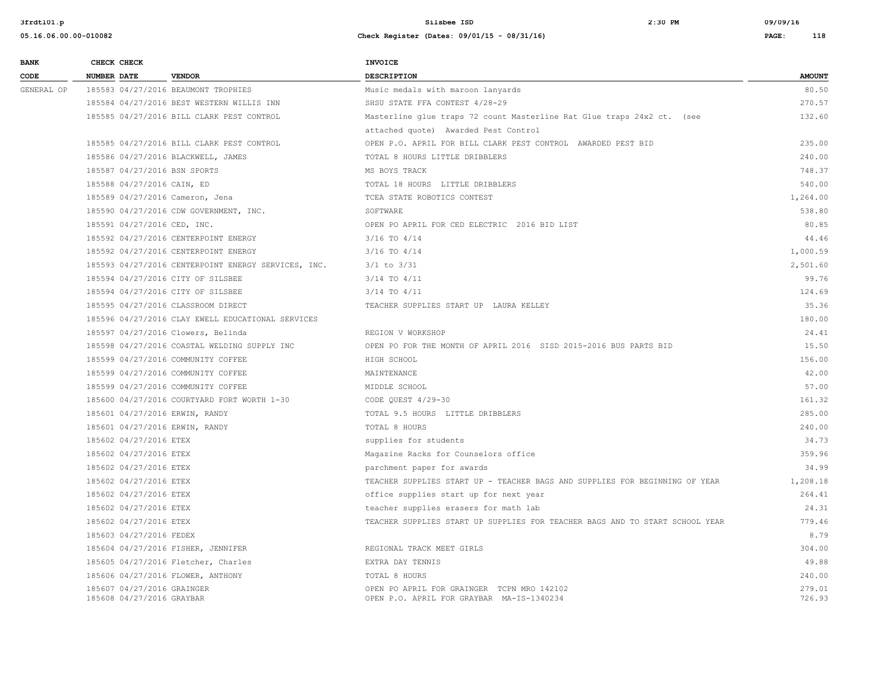| <b>BANK</b> |                    | CHECK CHECK                                             |                                                     | <b>INVOICE</b>                                                                          |                  |
|-------------|--------------------|---------------------------------------------------------|-----------------------------------------------------|-----------------------------------------------------------------------------------------|------------------|
| CODE        | <b>NUMBER DATE</b> |                                                         | <b>VENDOR</b>                                       | <b>DESCRIPTION</b>                                                                      | <b>AMOUNT</b>    |
| GENERAL OP  |                    |                                                         | 185583 04/27/2016 BEAUMONT TROPHIES                 | Music medals with maroon lanyards                                                       | 80.50            |
|             |                    |                                                         | 185584 04/27/2016 BEST WESTERN WILLIS INN           | SHSU STATE FFA CONTEST 4/28-29                                                          | 270.57           |
|             |                    |                                                         | 185585 04/27/2016 BILL CLARK PEST CONTROL           | Masterline glue traps 72 count Masterline Rat Glue traps 24x2 ct. (see                  | 132.60           |
|             |                    |                                                         |                                                     | attached quote) Awarded Pest Control                                                    |                  |
|             |                    |                                                         | 185585 04/27/2016 BILL CLARK PEST CONTROL           | OPEN P.O. APRIL FOR BILL CLARK PEST CONTROL AWARDED PEST BID                            | 235.00           |
|             |                    |                                                         | 185586 04/27/2016 BLACKWELL, JAMES                  | TOTAL 8 HOURS LITTLE DRIBBLERS                                                          | 240.00           |
|             |                    |                                                         | 185587 04/27/2016 BSN SPORTS                        | MS BOYS TRACK                                                                           | 748.37           |
|             |                    | 185588 04/27/2016 CAIN, ED                              |                                                     | TOTAL 18 HOURS LITTLE DRIBBLERS                                                         | 540.00           |
|             |                    |                                                         | 185589 04/27/2016 Cameron, Jena                     | TCEA STATE ROBOTICS CONTEST                                                             | 1,264.00         |
|             |                    |                                                         | 185590 04/27/2016 CDW GOVERNMENT, INC.              | SOFTWARE                                                                                | 538.80           |
|             |                    | 185591 04/27/2016 CED, INC.                             |                                                     | OPEN PO APRIL FOR CED ELECTRIC 2016 BID LIST                                            | 80.85            |
|             |                    |                                                         | 185592 04/27/2016 CENTERPOINT ENERGY                | $3/16$ TO $4/14$                                                                        | 44.46            |
|             |                    |                                                         | 185592 04/27/2016 CENTERPOINT ENERGY                | $3/16$ TO $4/14$                                                                        | 1,000.59         |
|             |                    |                                                         | 185593 04/27/2016 CENTERPOINT ENERGY SERVICES, INC. | $3/1$ to $3/31$                                                                         | 2,501.60         |
|             |                    |                                                         | 185594 04/27/2016 CITY OF SILSBEE                   | $3/14$ TO $4/11$                                                                        | 99.76            |
|             |                    |                                                         | 185594 04/27/2016 CITY OF SILSBEE                   | $3/14$ TO $4/11$                                                                        | 124.69           |
|             |                    |                                                         | 185595 04/27/2016 CLASSROOM DIRECT                  | TEACHER SUPPLIES START UP LAURA KELLEY                                                  | 35.36            |
|             |                    |                                                         | 185596 04/27/2016 CLAY EWELL EDUCATIONAL SERVICES   |                                                                                         | 180.00           |
|             |                    |                                                         | 185597 04/27/2016 Clowers, Belinda                  | REGION V WORKSHOP                                                                       | 24.41            |
|             |                    |                                                         | 185598 04/27/2016 COASTAL WELDING SUPPLY INC        | OPEN PO FOR THE MONTH OF APRIL 2016 SISD 2015-2016 BUS PARTS BID                        | 15.50            |
|             |                    |                                                         | 185599 04/27/2016 COMMUNITY COFFEE                  | HIGH SCHOOL                                                                             | 156.00           |
|             |                    |                                                         | 185599 04/27/2016 COMMUNITY COFFEE                  | MAINTENANCE                                                                             | 42.00            |
|             |                    |                                                         | 185599 04/27/2016 COMMUNITY COFFEE                  | MIDDLE SCHOOL                                                                           | 57.00            |
|             |                    |                                                         | 185600 04/27/2016 COURTYARD FORT WORTH 1-30         | CODE OUEST 4/29-30                                                                      | 161.32           |
|             |                    |                                                         | 185601 04/27/2016 ERWIN, RANDY                      | TOTAL 9.5 HOURS LITTLE DRIBBLERS                                                        | 285.00           |
|             |                    |                                                         | 185601 04/27/2016 ERWIN, RANDY                      | TOTAL 8 HOURS                                                                           | 240.00           |
|             |                    | 185602 04/27/2016 ETEX                                  |                                                     | supplies for students                                                                   | 34.73            |
|             |                    | 185602 04/27/2016 ETEX                                  |                                                     | Magazine Racks for Counselors office                                                    | 359.96           |
|             |                    | 185602 04/27/2016 ETEX                                  |                                                     | parchment paper for awards                                                              | 34.99            |
|             |                    | 185602 04/27/2016 ETEX                                  |                                                     | TEACHER SUPPLIES START UP - TEACHER BAGS AND SUPPLIES FOR BEGINNING OF YEAR             | 1,208.18         |
|             |                    | 185602 04/27/2016 ETEX                                  |                                                     | office supplies start up for next year                                                  | 264.41           |
|             |                    | 185602 04/27/2016 ETEX                                  |                                                     | teacher supplies erasers for math lab                                                   | 24.31            |
|             |                    | 185602 04/27/2016 ETEX                                  |                                                     | TEACHER SUPPLIES START UP SUPPLIES FOR TEACHER BAGS AND TO START SCHOOL YEAR            | 779.46           |
|             |                    | 185603 04/27/2016 FEDEX                                 |                                                     |                                                                                         | 8.79             |
|             |                    |                                                         | 185604 04/27/2016 FISHER, JENNIFER                  | REGIONAL TRACK MEET GIRLS                                                               | 304.00           |
|             |                    |                                                         | 185605 04/27/2016 Fletcher, Charles                 | EXTRA DAY TENNIS                                                                        | 49.88            |
|             |                    |                                                         | 185606 04/27/2016 FLOWER, ANTHONY                   | TOTAL 8 HOURS                                                                           | 240.00           |
|             |                    | 185607 04/27/2016 GRAINGER<br>185608 04/27/2016 GRAYBAR |                                                     | OPEN PO APRIL FOR GRAINGER TCPN MRO 142102<br>OPEN P.O. APRIL FOR GRAYBAR MA-IS-1340234 | 279.01<br>726.93 |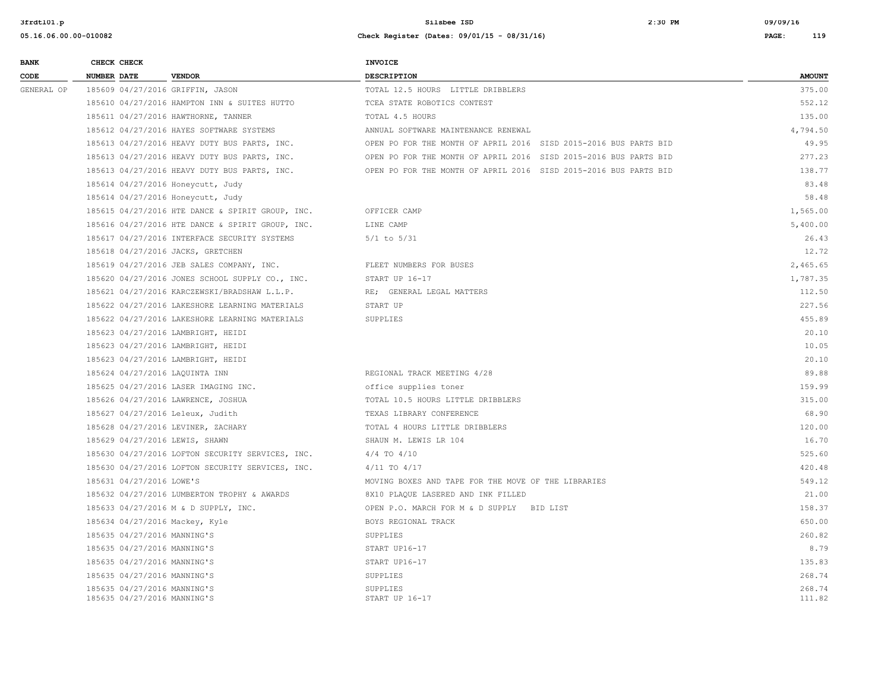| <b>BANK</b> | CHECK CHECK                                                | <b>INVOICE</b>                                                   |                  |
|-------------|------------------------------------------------------------|------------------------------------------------------------------|------------------|
| CODE        | <b>NUMBER DATE</b><br><b>VENDOR</b>                        | <b>DESCRIPTION</b>                                               | <b>AMOUNT</b>    |
| GENERAL OP  | 185609 04/27/2016 GRIFFIN, JASON                           | TOTAL 12.5 HOURS LITTLE DRIBBLERS                                | 375.00           |
|             | 185610 04/27/2016 HAMPTON INN & SUITES HUTTO               | TCEA STATE ROBOTICS CONTEST                                      | 552.12           |
|             | 185611 04/27/2016 HAWTHORNE, TANNER                        | TOTAL 4.5 HOURS                                                  | 135.00           |
|             | 185612 04/27/2016 HAYES SOFTWARE SYSTEMS                   | ANNUAL SOFTWARE MAINTENANCE RENEWAL                              | 4,794.50         |
|             | 185613 04/27/2016 HEAVY DUTY BUS PARTS, INC.               | OPEN PO FOR THE MONTH OF APRIL 2016 SISD 2015-2016 BUS PARTS BID | 49.95            |
|             | 185613 04/27/2016 HEAVY DUTY BUS PARTS, INC.               | OPEN PO FOR THE MONTH OF APRIL 2016 SISD 2015-2016 BUS PARTS BID | 277.23           |
|             | 185613 04/27/2016 HEAVY DUTY BUS PARTS, INC.               | OPEN PO FOR THE MONTH OF APRIL 2016 SISD 2015-2016 BUS PARTS BID | 138.77           |
|             | 185614 04/27/2016 Honeycutt, Judy                          |                                                                  | 83.48            |
|             | 185614 04/27/2016 Honeycutt, Judy                          |                                                                  | 58.48            |
|             | 185615 04/27/2016 HTE DANCE & SPIRIT GROUP, INC.           | OFFICER CAMP                                                     | 1,565.00         |
|             | 185616 04/27/2016 HTE DANCE & SPIRIT GROUP, INC.           | LINE CAMP                                                        | 5,400.00         |
|             | 185617 04/27/2016 INTERFACE SECURITY SYSTEMS               | $5/1$ to $5/31$                                                  | 26.43            |
|             | 185618 04/27/2016 JACKS, GRETCHEN                          |                                                                  | 12.72            |
|             | 185619 04/27/2016 JEB SALES COMPANY, INC.                  | FLEET NUMBERS FOR BUSES                                          | 2,465.65         |
|             | 185620 04/27/2016 JONES SCHOOL SUPPLY CO., INC.            | START UP 16-17                                                   | 1,787.35         |
|             | 185621 04/27/2016 KARCZEWSKI/BRADSHAW L.L.P.               | RE; GENERAL LEGAL MATTERS                                        | 112.50           |
|             | 185622 04/27/2016 LAKESHORE LEARNING MATERIALS             | START UP                                                         | 227.56           |
|             | 185622 04/27/2016 LAKESHORE LEARNING MATERIALS             | SUPPLIES                                                         | 455.89           |
|             | 185623 04/27/2016 LAMBRIGHT, HEIDI                         |                                                                  | 20.10            |
|             | 185623 04/27/2016 LAMBRIGHT, HEIDI                         |                                                                  | 10.05            |
|             | 185623 04/27/2016 LAMBRIGHT, HEIDI                         |                                                                  | 20.10            |
|             | 185624 04/27/2016 LAQUINTA INN                             | REGIONAL TRACK MEETING 4/28                                      | 89.88            |
|             | 185625 04/27/2016 LASER IMAGING INC.                       | office supplies toner                                            | 159.99           |
|             | 185626 04/27/2016 LAWRENCE, JOSHUA                         | TOTAL 10.5 HOURS LITTLE DRIBBLERS                                | 315.00           |
|             | 185627 04/27/2016 Leleux, Judith                           | TEXAS LIBRARY CONFERENCE                                         | 68.90            |
|             | 185628 04/27/2016 LEVINER, ZACHARY                         | TOTAL 4 HOURS LITTLE DRIBBLERS                                   | 120.00           |
|             | 185629 04/27/2016 LEWIS, SHAWN                             | SHAUN M. LEWIS LR 104                                            | 16.70            |
|             | 185630 04/27/2016 LOFTON SECURITY SERVICES, INC.           | $4/4$ TO $4/10$                                                  | 525.60           |
|             | 185630 04/27/2016 LOFTON SECURITY SERVICES, INC.           | $4/11$ TO $4/17$                                                 | 420.48           |
|             | 185631 04/27/2016 LOWE'S                                   | MOVING BOXES AND TAPE FOR THE MOVE OF THE LIBRARIES              | 549.12           |
|             | 185632 04/27/2016 LUMBERTON TROPHY & AWARDS                | 8X10 PLAQUE LASERED AND INK FILLED                               | 21.00            |
|             | 185633 04/27/2016 M & D SUPPLY, INC.                       | OPEN P.O. MARCH FOR M & D SUPPLY BID LIST                        | 158.37           |
|             | 185634 04/27/2016 Mackey, Kyle                             | BOYS REGIONAL TRACK                                              | 650.00           |
|             | 185635 04/27/2016 MANNING'S                                | SUPPLIES                                                         | 260.82           |
|             | 185635 04/27/2016 MANNING'S                                | START UP16-17                                                    | 8.79             |
|             | 185635 04/27/2016 MANNING'S                                | START UP16-17                                                    | 135.83           |
|             | 185635 04/27/2016 MANNING'S                                | SUPPLIES                                                         | 268.74           |
|             | 185635 04/27/2016 MANNING'S<br>185635 04/27/2016 MANNING'S | SUPPLIES<br>START UP 16-17                                       | 268.74<br>111.82 |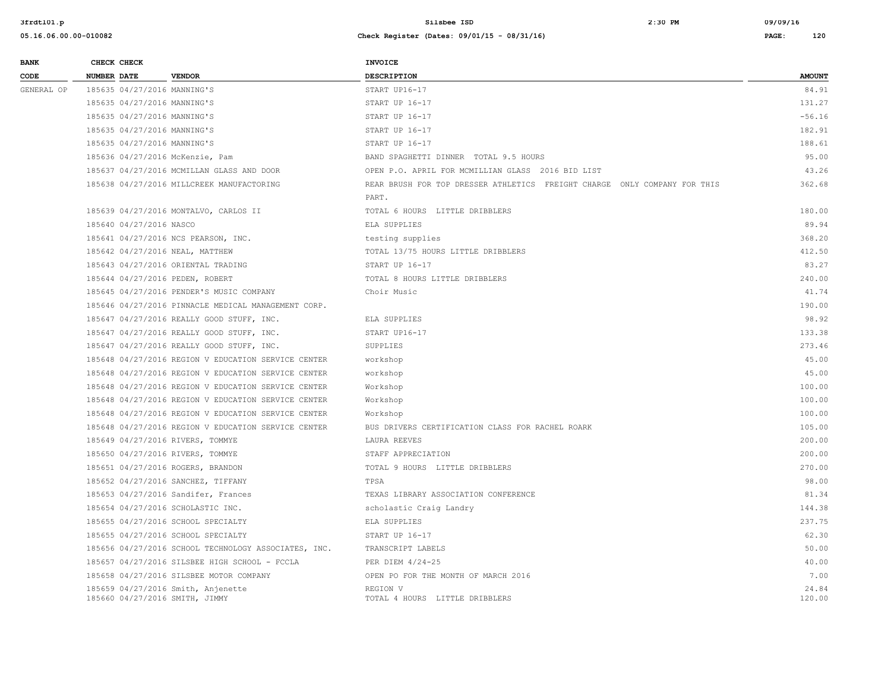| <b>BANK</b> | CHECK CHECK        |                             |                                                      | <b>INVOICE</b>                                                            |               |
|-------------|--------------------|-----------------------------|------------------------------------------------------|---------------------------------------------------------------------------|---------------|
| CODE        | <b>NUMBER DATE</b> |                             | <b>VENDOR</b>                                        | <b>DESCRIPTION</b>                                                        | <b>AMOUNT</b> |
| GENERAL OP  |                    | 185635 04/27/2016 MANNING'S |                                                      | START UP16-17                                                             | 84.91         |
|             |                    | 185635 04/27/2016 MANNING'S |                                                      | START UP 16-17                                                            | 131.27        |
|             |                    | 185635 04/27/2016 MANNING'S |                                                      | START UP 16-17                                                            | $-56.16$      |
|             |                    | 185635 04/27/2016 MANNING'S |                                                      | START UP 16-17                                                            | 182.91        |
|             |                    | 185635 04/27/2016 MANNING'S |                                                      | START UP 16-17                                                            | 188.61        |
|             |                    |                             | 185636 04/27/2016 McKenzie, Pam                      | BAND SPAGHETTI DINNER TOTAL 9.5 HOURS                                     | 95.00         |
|             |                    |                             | 185637 04/27/2016 MCMILLAN GLASS AND DOOR            | OPEN P.O. APRIL FOR MCMILLIAN GLASS 2016 BID LIST                         | 43.26         |
|             |                    |                             | 185638 04/27/2016 MILLCREEK MANUFACTORING            | REAR BRUSH FOR TOP DRESSER ATHLETICS FREIGHT CHARGE ONLY COMPANY FOR THIS | 362.68        |
|             |                    |                             |                                                      | PART.                                                                     |               |
|             |                    |                             | 185639 04/27/2016 MONTALVO, CARLOS II                | TOTAL 6 HOURS LITTLE DRIBBLERS                                            | 180.00        |
|             |                    | 185640 04/27/2016 NASCO     |                                                      | ELA SUPPLIES                                                              | 89.94         |
|             |                    |                             | 185641 04/27/2016 NCS PEARSON, INC.                  | testing supplies                                                          | 368.20        |
|             |                    |                             | 185642 04/27/2016 NEAL, MATTHEW                      | TOTAL 13/75 HOURS LITTLE DRIBBLERS                                        | 412.50        |
|             |                    |                             | 185643 04/27/2016 ORIENTAL TRADING                   | START UP 16-17                                                            | 83.27         |
|             |                    |                             | 185644 04/27/2016 PEDEN, ROBERT                      | TOTAL 8 HOURS LITTLE DRIBBLERS                                            | 240.00        |
|             |                    |                             | 185645 04/27/2016 PENDER'S MUSIC COMPANY             | Choir Music                                                               | 41.74         |
|             |                    |                             | 185646 04/27/2016 PINNACLE MEDICAL MANAGEMENT CORP.  |                                                                           | 190.00        |
|             |                    |                             | 185647 04/27/2016 REALLY GOOD STUFF, INC.            | ELA SUPPLIES                                                              | 98.92         |
|             |                    |                             | 185647 04/27/2016 REALLY GOOD STUFF, INC.            | START UP16-17                                                             | 133.38        |
|             |                    |                             | 185647 04/27/2016 REALLY GOOD STUFF, INC.            | SUPPLIES                                                                  | 273.46        |
|             |                    |                             | 185648 04/27/2016 REGION V EDUCATION SERVICE CENTER  | workshop                                                                  | 45.00         |
|             |                    |                             | 185648 04/27/2016 REGION V EDUCATION SERVICE CENTER  | workshop                                                                  | 45.00         |
|             |                    |                             | 185648 04/27/2016 REGION V EDUCATION SERVICE CENTER  | Workshop                                                                  | 100.00        |
|             |                    |                             | 185648 04/27/2016 REGION V EDUCATION SERVICE CENTER  | Workshop                                                                  | 100.00        |
|             |                    |                             | 185648 04/27/2016 REGION V EDUCATION SERVICE CENTER  | Workshop                                                                  | 100.00        |
|             |                    |                             | 185648 04/27/2016 REGION V EDUCATION SERVICE CENTER  | BUS DRIVERS CERTIFICATION CLASS FOR RACHEL ROARK                          | 105.00        |
|             |                    |                             | 185649 04/27/2016 RIVERS, TOMMYE                     | LAURA REEVES                                                              | 200.00        |
|             |                    |                             | 185650 04/27/2016 RIVERS, TOMMYE                     | STAFF APPRECIATION                                                        | 200.00        |
|             |                    |                             | 185651 04/27/2016 ROGERS, BRANDON                    | TOTAL 9 HOURS LITTLE DRIBBLERS                                            | 270.00        |
|             |                    |                             | 185652 04/27/2016 SANCHEZ, TIFFANY                   | TPSA                                                                      | 98.00         |
|             |                    |                             | 185653 04/27/2016 Sandifer, Frances                  | TEXAS LIBRARY ASSOCIATION CONFERENCE                                      | 81.34         |
|             |                    |                             | 185654 04/27/2016 SCHOLASTIC INC.                    | scholastic Craig Landry                                                   | 144.38        |
|             |                    |                             | 185655 04/27/2016 SCHOOL SPECIALTY                   | ELA SUPPLIES                                                              | 237.75        |
|             |                    |                             | 185655 04/27/2016 SCHOOL SPECIALTY                   | START UP 16-17                                                            | 62.30         |
|             |                    |                             | 185656 04/27/2016 SCHOOL TECHNOLOGY ASSOCIATES, INC. | TRANSCRIPT LABELS                                                         | 50.00         |
|             |                    |                             | 185657 04/27/2016 SILSBEE HIGH SCHOOL - FCCLA        | PER DIEM 4/24-25                                                          | 40.00         |
|             |                    |                             | 185658 04/27/2016 SILSBEE MOTOR COMPANY              | OPEN PO FOR THE MONTH OF MARCH 2016                                       | 7.00          |
|             |                    |                             | 185659 04/27/2016 Smith, Anjenette                   | REGION V                                                                  | 24.84         |
|             |                    |                             | 185660 04/27/2016 SMITH, JIMMY                       | TOTAL 4 HOURS LITTLE DRIBBLERS                                            | 120.00        |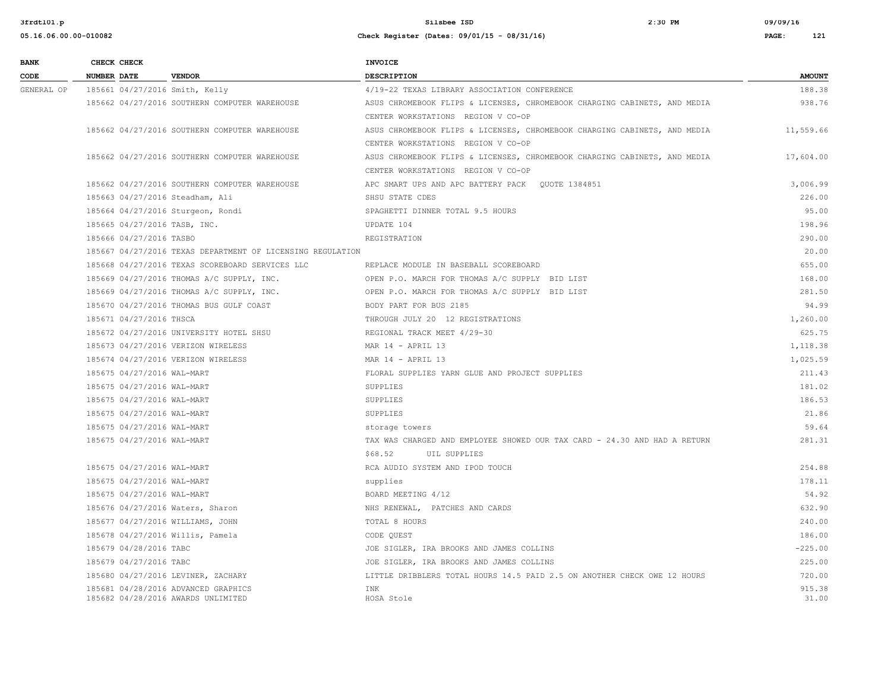| <b>BANK</b> | CHECK CHECK                    |                                                                           | INVOICE                                                                   |                 |
|-------------|--------------------------------|---------------------------------------------------------------------------|---------------------------------------------------------------------------|-----------------|
| CODE        | <b>NUMBER DATE</b>             | <b>VENDOR</b>                                                             | <b>DESCRIPTION</b>                                                        | <b>AMOUNT</b>   |
| GENERAL OP  | 185661 04/27/2016 Smith, Kelly |                                                                           | 4/19-22 TEXAS LIBRARY ASSOCIATION CONFERENCE                              | 188.38          |
|             |                                | 185662 04/27/2016 SOUTHERN COMPUTER WAREHOUSE                             | ASUS CHROMEBOOK FLIPS & LICENSES, CHROMEBOOK CHARGING CABINETS, AND MEDIA | 938.76          |
|             |                                |                                                                           | CENTER WORKSTATIONS REGION V CO-OP                                        |                 |
|             |                                | 185662 04/27/2016 SOUTHERN COMPUTER WAREHOUSE                             | ASUS CHROMEBOOK FLIPS & LICENSES, CHROMEBOOK CHARGING CABINETS, AND MEDIA | 11,559.66       |
|             |                                |                                                                           | CENTER WORKSTATIONS REGION V CO-OP                                        |                 |
|             |                                | 185662 04/27/2016 SOUTHERN COMPUTER WAREHOUSE                             | ASUS CHROMEBOOK FLIPS & LICENSES, CHROMEBOOK CHARGING CABINETS, AND MEDIA | 17,604.00       |
|             |                                |                                                                           | CENTER WORKSTATIONS REGION V CO-OP                                        |                 |
|             |                                | 185662 04/27/2016 SOUTHERN COMPUTER WAREHOUSE                             | APC SMART UPS AND APC BATTERY PACK OUOTE 1384851                          | 3,006.99        |
|             |                                | 185663 04/27/2016 Steadham, Ali                                           | SHSU STATE CDES                                                           | 226.00          |
|             |                                | 185664 04/27/2016 Sturgeon, Rondi                                         | SPAGHETTI DINNER TOTAL 9.5 HOURS                                          | 95.00           |
|             | 185665 04/27/2016 TASB, INC.   |                                                                           | UPDATE 104                                                                | 198.96          |
|             | 185666 04/27/2016 TASBO        |                                                                           | REGISTRATION                                                              | 290.00          |
|             |                                | 185667 04/27/2016 TEXAS DEPARTMENT OF LICENSING REGULATION                |                                                                           | 20.00           |
|             |                                | 185668 04/27/2016 TEXAS SCOREBOARD SERVICES LLC                           | REPLACE MODULE IN BASEBALL SCOREBOARD                                     | 655.00          |
|             |                                | 185669 04/27/2016 THOMAS A/C SUPPLY, INC.                                 | OPEN P.O. MARCH FOR THOMAS A/C SUPPLY BID LIST                            | 168.00          |
|             |                                | 185669 04/27/2016 THOMAS A/C SUPPLY, INC.                                 | OPEN P.O. MARCH FOR THOMAS A/C SUPPLY BID LIST                            | 281.50          |
|             |                                | 185670 04/27/2016 THOMAS BUS GULF COAST                                   | BODY PART FOR BUS 2185                                                    | 94.99           |
|             | 185671 04/27/2016 THSCA        |                                                                           | THROUGH JULY 20 12 REGISTRATIONS                                          | 1,260.00        |
|             |                                | 185672 04/27/2016 UNIVERSITY HOTEL SHSU                                   | REGIONAL TRACK MEET 4/29-30                                               | 625.75          |
|             |                                | 185673 04/27/2016 VERIZON WIRELESS                                        | MAR $14$ - APRIL 13                                                       | 1,118.38        |
|             |                                | 185674 04/27/2016 VERIZON WIRELESS                                        | MAR 14 - APRIL 13                                                         | 1,025.59        |
|             | 185675 04/27/2016 WAL-MART     |                                                                           | FLORAL SUPPLIES YARN GLUE AND PROJECT SUPPLIES                            | 211.43          |
|             | 185675 04/27/2016 WAL-MART     |                                                                           | SUPPLIES                                                                  | 181.02          |
|             | 185675 04/27/2016 WAL-MART     |                                                                           | SUPPLIES                                                                  | 186.53          |
|             | 185675 04/27/2016 WAL-MART     |                                                                           | SUPPLIES                                                                  | 21.86           |
|             | 185675 04/27/2016 WAL-MART     |                                                                           | storage towers                                                            | 59.64           |
|             | 185675 04/27/2016 WAL-MART     |                                                                           | TAX WAS CHARGED AND EMPLOYEE SHOWED OUR TAX CARD - 24.30 AND HAD A RETURN | 281.31          |
|             |                                |                                                                           | \$68.52<br>UIL SUPPLIES                                                   |                 |
|             | 185675 04/27/2016 WAL-MART     |                                                                           | RCA AUDIO SYSTEM AND IPOD TOUCH                                           | 254.88          |
|             | 185675 04/27/2016 WAL-MART     |                                                                           | supplies                                                                  | 178.11          |
|             | 185675 04/27/2016 WAL-MART     |                                                                           | BOARD MEETING 4/12                                                        | 54.92           |
|             |                                | 185676 04/27/2016 Waters, Sharon                                          | NHS RENEWAL, PATCHES AND CARDS                                            | 632.90          |
|             |                                | 185677 04/27/2016 WILLIAMS, JOHN                                          | TOTAL 8 HOURS                                                             | 240.00          |
|             |                                | 185678 04/27/2016 Willis, Pamela                                          | CODE QUEST                                                                | 186.00          |
|             | 185679 04/28/2016 TABC         |                                                                           | JOE SIGLER, IRA BROOKS AND JAMES COLLINS                                  | $-225.00$       |
|             | 185679 04/27/2016 TABC         |                                                                           | JOE SIGLER, IRA BROOKS AND JAMES COLLINS                                  | 225.00          |
|             |                                | 185680 04/27/2016 LEVINER, ZACHARY                                        | LITTLE DRIBBLERS TOTAL HOURS 14.5 PAID 2.5 ON ANOTHER CHECK OWE 12 HOURS  | 720.00          |
|             |                                | 185681 04/28/2016 ADVANCED GRAPHICS<br>185682 04/28/2016 AWARDS UNLIMITED | INK<br>HOSA Stole                                                         | 915.38<br>31.00 |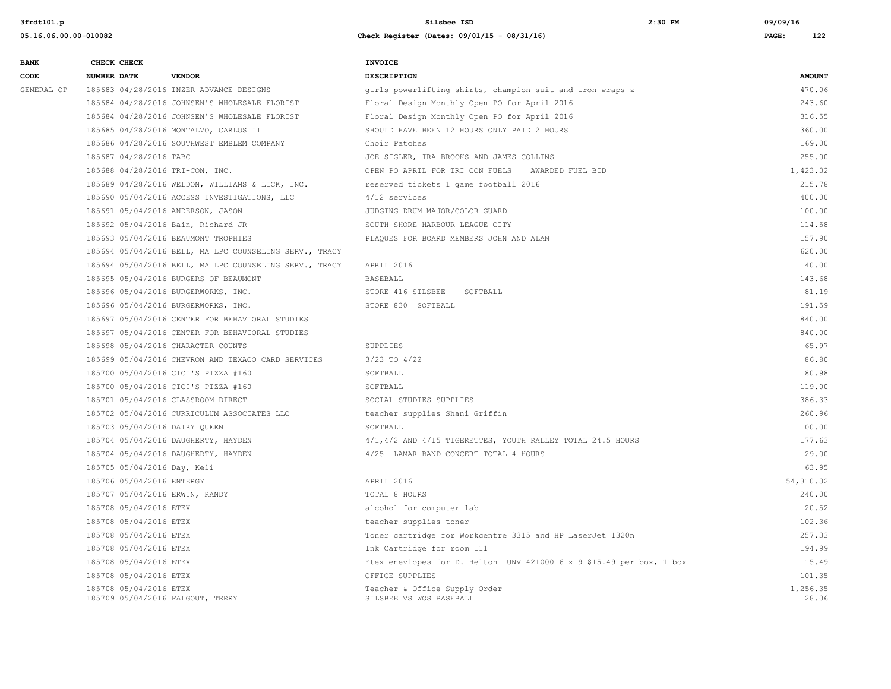| <b>BANK</b> | CHECK CHECK                    |                                                        | <b>INVOICE</b>                                                       |                    |
|-------------|--------------------------------|--------------------------------------------------------|----------------------------------------------------------------------|--------------------|
| CODE        | <b>NUMBER DATE</b>             | <b>VENDOR</b>                                          | <b>DESCRIPTION</b>                                                   | <b>AMOUNT</b>      |
| GENERAL OP  |                                | 185683 04/28/2016 INZER ADVANCE DESIGNS                | girls powerlifting shirts, champion suit and iron wraps z            | 470.06             |
|             |                                | 185684 04/28/2016 JOHNSEN'S WHOLESALE FLORIST          | Floral Design Monthly Open PO for April 2016                         | 243.60             |
|             |                                | 185684 04/28/2016 JOHNSEN'S WHOLESALE FLORIST          | Floral Design Monthly Open PO for April 2016                         | 316.55             |
|             |                                | 185685 04/28/2016 MONTALVO, CARLOS II                  | SHOULD HAVE BEEN 12 HOURS ONLY PAID 2 HOURS                          | 360.00             |
|             |                                | 185686 04/28/2016 SOUTHWEST EMBLEM COMPANY             | Choir Patches                                                        | 169.00             |
|             | 185687 04/28/2016 TABC         |                                                        | JOE SIGLER, IRA BROOKS AND JAMES COLLINS                             | 255.00             |
|             |                                | 185688 04/28/2016 TRI-CON, INC.                        | OPEN PO APRIL FOR TRI CON FUELS AWARDED FUEL BID                     | 1,423.32           |
|             |                                | 185689 04/28/2016 WELDON, WILLIAMS & LICK, INC.        | reserved tickets 1 game football 2016                                | 215.78             |
|             |                                | 185690 05/04/2016 ACCESS INVESTIGATIONS, LLC           | $4/12$ services                                                      | 400.00             |
|             |                                | 185691 05/04/2016 ANDERSON, JASON                      | JUDGING DRUM MAJOR/COLOR GUARD                                       | 100.00             |
|             |                                | 185692 05/04/2016 Bain, Richard JR                     | SOUTH SHORE HARBOUR LEAGUE CITY                                      | 114.58             |
|             |                                | 185693 05/04/2016 BEAUMONT TROPHIES                    | PLAQUES FOR BOARD MEMBERS JOHN AND ALAN                              | 157.90             |
|             |                                | 185694 05/04/2016 BELL, MA LPC COUNSELING SERV., TRACY |                                                                      | 620.00             |
|             |                                | 185694 05/04/2016 BELL, MA LPC COUNSELING SERV., TRACY | APRIL 2016                                                           | 140.00             |
|             |                                | 185695 05/04/2016 BURGERS OF BEAUMONT                  | <b>BASEBALL</b>                                                      | 143.68             |
|             |                                | 185696 05/04/2016 BURGERWORKS, INC.                    | STORE 416 SILSBEE SOFTBALL                                           | 81.19              |
|             |                                | 185696 05/04/2016 BURGERWORKS, INC.                    | STORE 830 SOFTBALL                                                   | 191.59             |
|             |                                | 185697 05/04/2016 CENTER FOR BEHAVIORAL STUDIES        |                                                                      | 840.00             |
|             |                                | 185697 05/04/2016 CENTER FOR BEHAVIORAL STUDIES        |                                                                      | 840.00             |
|             |                                | 185698 05/04/2016 CHARACTER COUNTS                     | SUPPLIES                                                             | 65.97              |
|             |                                | 185699 05/04/2016 CHEVRON AND TEXACO CARD SERVICES     | $3/23$ TO $4/22$                                                     | 86.80              |
|             |                                | 185700 05/04/2016 CICI'S PIZZA #160                    | SOFTBALL                                                             | 80.98              |
|             |                                | 185700 05/04/2016 CICI'S PIZZA #160                    | SOFTBALL                                                             | 119.00             |
|             |                                | 185701 05/04/2016 CLASSROOM DIRECT                     | SOCIAL STUDIES SUPPLIES                                              | 386.33             |
|             |                                | 185702 05/04/2016 CURRICULUM ASSOCIATES LLC            | teacher supplies Shani Griffin                                       | 260.96             |
|             | 185703 05/04/2016 DAIRY QUEEN  |                                                        | SOFTBALL                                                             | 100.00             |
|             |                                | 185704 05/04/2016 DAUGHERTY, HAYDEN                    | 4/1,4/2 AND 4/15 TIGERETTES, YOUTH RALLEY TOTAL 24.5 HOURS           | 177.63             |
|             |                                | 185704 05/04/2016 DAUGHERTY, HAYDEN                    | 4/25 LAMAR BAND CONCERT TOTAL 4 HOURS                                | 29.00              |
|             | 185705 05/04/2016 Day, Keli    |                                                        |                                                                      | 63.95              |
|             | 185706 05/04/2016 ENTERGY      |                                                        | APRIL 2016                                                           | 54, 310.32         |
|             | 185707 05/04/2016 ERWIN, RANDY |                                                        | TOTAL 8 HOURS                                                        | 240.00             |
|             | 185708 05/04/2016 ETEX         |                                                        | alcohol for computer lab                                             | 20.52              |
|             | 185708 05/04/2016 ETEX         |                                                        | teacher supplies toner                                               | 102.36             |
|             | 185708 05/04/2016 ETEX         |                                                        | Toner cartridge for Workcentre 3315 and HP LaserJet 1320n            | 257.33             |
|             | 185708 05/04/2016 ETEX         |                                                        | Ink Cartridge for room 111                                           | 194.99             |
|             | 185708 05/04/2016 ETEX         |                                                        | Etex enevlopes for D. Helton UNV 421000 6 x 9 \$15.49 per box, 1 box | 15.49              |
|             | 185708 05/04/2016 ETEX         |                                                        | OFFICE SUPPLIES                                                      | 101.35             |
|             | 185708 05/04/2016 ETEX         | 185709 05/04/2016 FALGOUT, TERRY                       | Teacher & Office Supply Order<br>SILSBEE VS WOS BASEBALL             | 1,256.35<br>128.06 |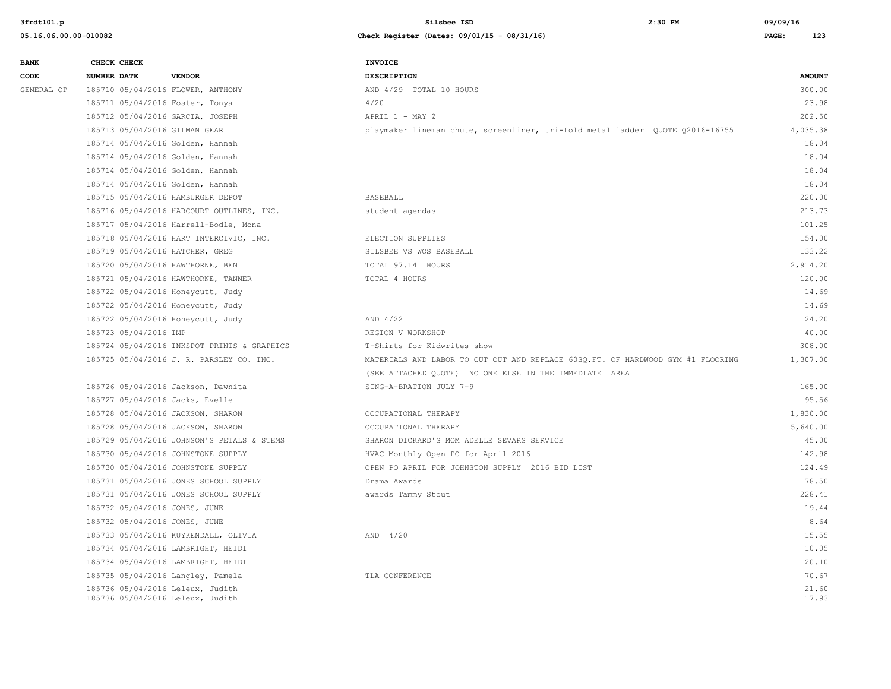| <b>BANK</b> | CHECK CHECK           |                                                                      | INVOICE                                                                         |                |
|-------------|-----------------------|----------------------------------------------------------------------|---------------------------------------------------------------------------------|----------------|
| CODE        | <b>NUMBER DATE</b>    | <b>VENDOR</b>                                                        | <b>DESCRIPTION</b>                                                              | <b>AMOUNT</b>  |
| GENERAL OP  |                       | 185710 05/04/2016 FLOWER, ANTHONY                                    | AND 4/29 TOTAL 10 HOURS                                                         | 300.00         |
|             |                       | 185711 05/04/2016 Foster, Tonya                                      | 4/20                                                                            | 23.98          |
|             |                       | 185712 05/04/2016 GARCIA, JOSEPH                                     | APRIL $1 - \text{MAX} 2$                                                        | 202.50         |
|             |                       | 185713 05/04/2016 GILMAN GEAR                                        | playmaker lineman chute, screenliner, tri-fold metal ladder QUOTE Q2016-16755   | 4,035.38       |
|             |                       | 185714 05/04/2016 Golden, Hannah                                     |                                                                                 | 18.04          |
|             |                       | 185714 05/04/2016 Golden, Hannah                                     |                                                                                 | 18.04          |
|             |                       | 185714 05/04/2016 Golden, Hannah                                     |                                                                                 | 18.04          |
|             |                       | 185714 05/04/2016 Golden, Hannah                                     |                                                                                 | 18.04          |
|             |                       | 185715 05/04/2016 HAMBURGER DEPOT                                    | <b>BASEBALL</b>                                                                 | 220.00         |
|             |                       | 185716 05/04/2016 HARCOURT OUTLINES, INC.                            | student agendas                                                                 | 213.73         |
|             |                       | 185717 05/04/2016 Harrell-Bodle, Mona                                |                                                                                 | 101.25         |
|             |                       | 185718 05/04/2016 HART INTERCIVIC, INC.                              | ELECTION SUPPLIES                                                               | 154.00         |
|             |                       | 185719 05/04/2016 HATCHER, GREG                                      | SILSBEE VS WOS BASEBALL                                                         | 133.22         |
|             |                       | 185720 05/04/2016 HAWTHORNE, BEN                                     | TOTAL 97.14 HOURS                                                               | 2,914.20       |
|             |                       | 185721 05/04/2016 HAWTHORNE, TANNER                                  | TOTAL 4 HOURS                                                                   | 120.00         |
|             |                       | 185722 05/04/2016 Honeycutt, Judy                                    |                                                                                 | 14.69          |
|             |                       | 185722 05/04/2016 Honeycutt, Judy                                    |                                                                                 | 14.69          |
|             |                       | 185722 05/04/2016 Honeycutt, Judy                                    | AND 4/22                                                                        | 24.20          |
|             | 185723 05/04/2016 IMP |                                                                      | REGION V WORKSHOP                                                               | 40.00          |
|             |                       | 185724 05/04/2016 INKSPOT PRINTS & GRAPHICS                          | T-Shirts for Kidwrites show                                                     | 308.00         |
|             |                       | 185725 05/04/2016 J. R. PARSLEY CO. INC.                             | MATERIALS AND LABOR TO CUT OUT AND REPLACE 60SQ.FT. OF HARDWOOD GYM #1 FLOORING | 1,307.00       |
|             |                       |                                                                      | (SEE ATTACHED QUOTE) NO ONE ELSE IN THE IMMEDIATE AREA                          |                |
|             |                       | 185726 05/04/2016 Jackson, Dawnita                                   | SING-A-BRATION JULY 7-9                                                         | 165.00         |
|             |                       | 185727 05/04/2016 Jacks, Evelle                                      |                                                                                 | 95.56          |
|             |                       | 185728 05/04/2016 JACKSON, SHARON                                    | OCCUPATIONAL THERAPY                                                            | 1,830.00       |
|             |                       | 185728 05/04/2016 JACKSON, SHARON                                    | OCCUPATIONAL THERAPY                                                            | 5,640.00       |
|             |                       | 185729 05/04/2016 JOHNSON'S PETALS & STEMS                           | SHARON DICKARD'S MOM ADELLE SEVARS SERVICE                                      | 45.00          |
|             |                       | 185730 05/04/2016 JOHNSTONE SUPPLY                                   | HVAC Monthly Open PO for April 2016                                             | 142.98         |
|             |                       | 185730 05/04/2016 JOHNSTONE SUPPLY                                   | OPEN PO APRIL FOR JOHNSTON SUPPLY 2016 BID LIST                                 | 124.49         |
|             |                       | 185731 05/04/2016 JONES SCHOOL SUPPLY                                | Drama Awards                                                                    | 178.50         |
|             |                       | 185731 05/04/2016 JONES SCHOOL SUPPLY                                | awards Tammy Stout                                                              | 228.41         |
|             |                       | 185732 05/04/2016 JONES, JUNE                                        |                                                                                 | 19.44          |
|             |                       | 185732 05/04/2016 JONES, JUNE                                        |                                                                                 | 8.64           |
|             |                       | 185733 05/04/2016 KUYKENDALL, OLIVIA                                 | $AND$ 4/20                                                                      | 15.55          |
|             |                       | 185734 05/04/2016 LAMBRIGHT, HEIDI                                   |                                                                                 | 10.05          |
|             |                       | 185734 05/04/2016 LAMBRIGHT, HEIDI                                   |                                                                                 | 20.10          |
|             |                       | 185735 05/04/2016 Langley, Pamela                                    | TLA CONFERENCE                                                                  | 70.67          |
|             |                       | 185736 05/04/2016 Leleux, Judith<br>185736 05/04/2016 Leleux, Judith |                                                                                 | 21.60<br>17.93 |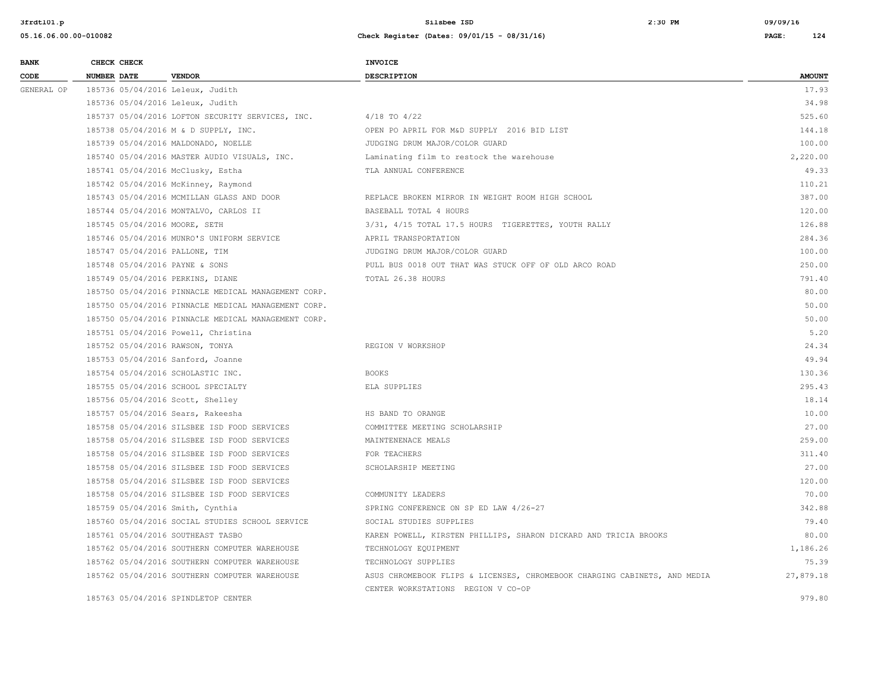| <b>BANK</b> | CHECK CHECK                    |                                                     | <b>INVOICE</b>                                                            |               |
|-------------|--------------------------------|-----------------------------------------------------|---------------------------------------------------------------------------|---------------|
| CODE        | <b>NUMBER DATE</b>             | <b>VENDOR</b>                                       | DESCRIPTION                                                               | <b>AMOUNT</b> |
| GENERAL OP  |                                | 185736 05/04/2016 Leleux, Judith                    |                                                                           | 17.93         |
|             |                                | 185736 05/04/2016 Leleux, Judith                    |                                                                           | 34.98         |
|             |                                | 185737 05/04/2016 LOFTON SECURITY SERVICES, INC.    | $4/18$ TO $4/22$                                                          | 525.60        |
|             |                                | 185738 05/04/2016 M & D SUPPLY, INC.                | OPEN PO APRIL FOR M&D SUPPLY 2016 BID LIST                                | 144.18        |
|             |                                | 185739 05/04/2016 MALDONADO, NOELLE                 | JUDGING DRUM MAJOR/COLOR GUARD                                            | 100.00        |
|             |                                | 185740 05/04/2016 MASTER AUDIO VISUALS, INC.        | Laminating film to restock the warehouse                                  | 2,220.00      |
|             |                                | 185741 05/04/2016 McClusky, Estha                   | TLA ANNUAL CONFERENCE                                                     | 49.33         |
|             |                                | 185742 05/04/2016 McKinney, Raymond                 |                                                                           | 110.21        |
|             |                                | 185743 05/04/2016 MCMILLAN GLASS AND DOOR           | REPLACE BROKEN MIRROR IN WEIGHT ROOM HIGH SCHOOL                          | 387.00        |
|             |                                | 185744 05/04/2016 MONTALVO, CARLOS II               | BASEBALL TOTAL 4 HOURS                                                    | 120.00        |
|             | 185745 05/04/2016 MOORE, SETH  |                                                     | 3/31, 4/15 TOTAL 17.5 HOURS TIGERETTES, YOUTH RALLY                       | 126.88        |
|             |                                | 185746 05/04/2016 MUNRO'S UNIFORM SERVICE           | APRIL TRANSPORTATION                                                      | 284.36        |
|             | 185747 05/04/2016 PALLONE, TIM |                                                     | JUDGING DRUM MAJOR/COLOR GUARD                                            | 100.00        |
|             | 185748 05/04/2016 PAYNE & SONS |                                                     | PULL BUS 0018 OUT THAT WAS STUCK OFF OF OLD ARCO ROAD                     | 250.00        |
|             |                                | 185749 05/04/2016 PERKINS, DIANE                    | TOTAL 26.38 HOURS                                                         | 791.40        |
|             |                                | 185750 05/04/2016 PINNACLE MEDICAL MANAGEMENT CORP. |                                                                           | 80.00         |
|             |                                | 185750 05/04/2016 PINNACLE MEDICAL MANAGEMENT CORP. |                                                                           | 50.00         |
|             |                                | 185750 05/04/2016 PINNACLE MEDICAL MANAGEMENT CORP. |                                                                           | 50.00         |
|             |                                | 185751 05/04/2016 Powell, Christina                 |                                                                           | 5.20          |
|             |                                | 185752 05/04/2016 RAWSON, TONYA                     | REGION V WORKSHOP                                                         | 24.34         |
|             |                                | 185753 05/04/2016 Sanford, Joanne                   |                                                                           | 49.94         |
|             |                                | 185754 05/04/2016 SCHOLASTIC INC.                   | <b>BOOKS</b>                                                              | 130.36        |
|             |                                | 185755 05/04/2016 SCHOOL SPECIALTY                  | ELA SUPPLIES                                                              | 295.43        |
|             |                                | 185756 05/04/2016 Scott, Shelley                    |                                                                           | 18.14         |
|             |                                | 185757 05/04/2016 Sears, Rakeesha                   | HS BAND TO ORANGE                                                         | 10.00         |
|             |                                | 185758 05/04/2016 SILSBEE ISD FOOD SERVICES         | COMMITTEE MEETING SCHOLARSHIP                                             | 27.00         |
|             |                                | 185758 05/04/2016 SILSBEE ISD FOOD SERVICES         | MAINTENENACE MEALS                                                        | 259.00        |
|             |                                | 185758 05/04/2016 SILSBEE ISD FOOD SERVICES         | FOR TEACHERS                                                              | 311.40        |
|             |                                | 185758 05/04/2016 SILSBEE ISD FOOD SERVICES         | SCHOLARSHIP MEETING                                                       | 27.00         |
|             |                                | 185758 05/04/2016 SILSBEE ISD FOOD SERVICES         |                                                                           | 120.00        |
|             |                                | 185758 05/04/2016 SILSBEE ISD FOOD SERVICES         | COMMUNITY LEADERS                                                         | 70.00         |
|             |                                | 185759 05/04/2016 Smith, Cynthia                    | SPRING CONFERENCE ON SP ED LAW 4/26-27                                    | 342.88        |
|             |                                | 185760 05/04/2016 SOCIAL STUDIES SCHOOL SERVICE     | SOCIAL STUDIES SUPPLIES                                                   | 79.40         |
|             |                                | 185761 05/04/2016 SOUTHEAST TASBO                   | KAREN POWELL, KIRSTEN PHILLIPS, SHARON DICKARD AND TRICIA BROOKS          | 80.00         |
|             |                                | 185762 05/04/2016 SOUTHERN COMPUTER WAREHOUSE       | TECHNOLOGY EQUIPMENT                                                      | 1,186.26      |
|             |                                | 185762 05/04/2016 SOUTHERN COMPUTER WAREHOUSE       | TECHNOLOGY SUPPLIES                                                       | 75.39         |
|             |                                | 185762 05/04/2016 SOUTHERN COMPUTER WAREHOUSE       | ASUS CHROMEBOOK FLIPS & LICENSES, CHROMEBOOK CHARGING CABINETS, AND MEDIA | 27,879.18     |
|             |                                |                                                     | CENTER WORKSTATIONS REGION V CO-OP                                        |               |
|             |                                | 185763 05/04/2016 SPINDLETOP CENTER                 |                                                                           | 979.80        |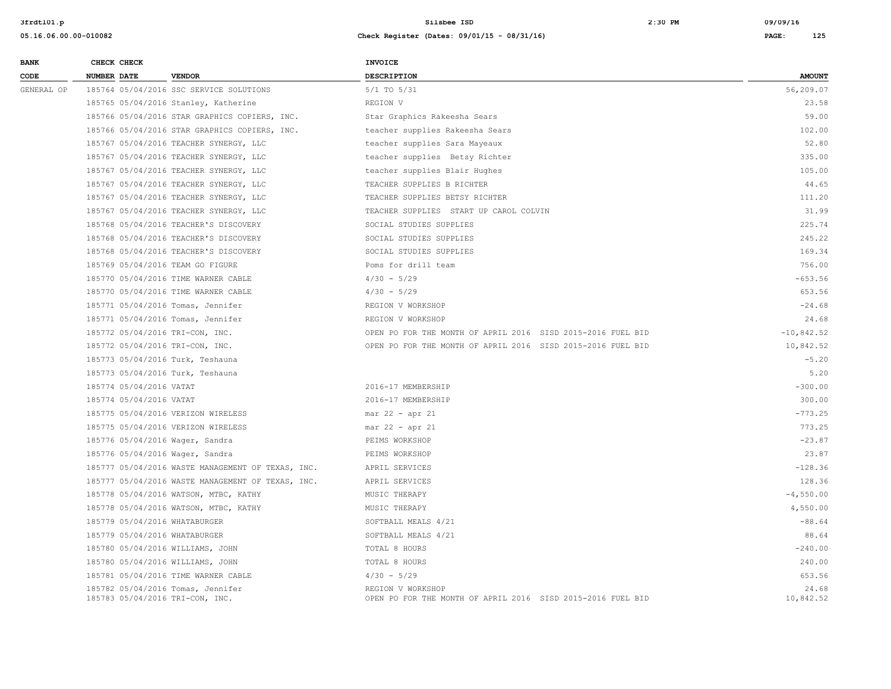| <b>BANK</b> | CHECK CHECK                                                          | <b>INVOICE</b>                                                                   |                    |
|-------------|----------------------------------------------------------------------|----------------------------------------------------------------------------------|--------------------|
| CODE        | <b>NUMBER DATE</b><br><b>VENDOR</b>                                  | <b>DESCRIPTION</b>                                                               | <b>AMOUNT</b>      |
| GENERAL OP  | 185764 05/04/2016 SSC SERVICE SOLUTIONS                              | $5/1$ TO $5/31$                                                                  | 56,209.07          |
|             | 185765 05/04/2016 Stanley, Katherine                                 | REGION V                                                                         | 23.58              |
|             | 185766 05/04/2016 STAR GRAPHICS COPIERS, INC.                        | Star Graphics Rakeesha Sears                                                     | 59.00              |
|             | 185766 05/04/2016 STAR GRAPHICS COPIERS, INC.                        | teacher supplies Rakeesha Sears                                                  | 102.00             |
|             | 185767 05/04/2016 TEACHER SYNERGY, LLC                               | teacher supplies Sara Mayeaux                                                    | 52.80              |
|             | 185767 05/04/2016 TEACHER SYNERGY, LLC                               | teacher supplies Betsy Richter                                                   | 335.00             |
|             | 185767 05/04/2016 TEACHER SYNERGY, LLC                               | teacher supplies Blair Hughes                                                    | 105.00             |
|             | 185767 05/04/2016 TEACHER SYNERGY, LLC                               | TEACHER SUPPLIES B RICHTER                                                       | 44.65              |
|             | 185767 05/04/2016 TEACHER SYNERGY, LLC                               | TEACHER SUPPLIES BETSY RICHTER                                                   | 111.20             |
|             | 185767 05/04/2016 TEACHER SYNERGY, LLC                               | TEACHER SUPPLIES START UP CAROL COLVIN                                           | 31.99              |
|             | 185768 05/04/2016 TEACHER'S DISCOVERY                                | SOCIAL STUDIES SUPPLIES                                                          | 225.74             |
|             | 185768 05/04/2016 TEACHER'S DISCOVERY                                | SOCIAL STUDIES SUPPLIES                                                          | 245.22             |
|             | 185768 05/04/2016 TEACHER'S DISCOVERY                                | SOCIAL STUDIES SUPPLIES                                                          | 169.34             |
|             | 185769 05/04/2016 TEAM GO FIGURE                                     | Poms for drill team                                                              | 756.00             |
|             | 185770 05/04/2016 TIME WARNER CABLE                                  | $4/30 - 5/29$                                                                    | $-653.56$          |
|             | 185770 05/04/2016 TIME WARNER CABLE                                  | $4/30 - 5/29$                                                                    | 653.56             |
|             | 185771 05/04/2016 Tomas, Jennifer                                    | REGION V WORKSHOP                                                                | $-24.68$           |
|             | 185771 05/04/2016 Tomas, Jennifer                                    | REGION V WORKSHOP                                                                | 24.68              |
|             | 185772 05/04/2016 TRI-CON, INC.                                      | OPEN PO FOR THE MONTH OF APRIL 2016 SISD 2015-2016 FUEL BID                      | $-10,842.52$       |
|             | 185772 05/04/2016 TRI-CON, INC.                                      | OPEN PO FOR THE MONTH OF APRIL 2016 SISD 2015-2016 FUEL BID                      | 10,842.52          |
|             | 185773 05/04/2016 Turk, Teshauna                                     |                                                                                  | $-5.20$            |
|             | 185773 05/04/2016 Turk, Teshauna                                     |                                                                                  | 5.20               |
|             | 185774 05/04/2016 VATAT                                              | 2016-17 MEMBERSHIP                                                               | $-300.00$          |
|             | 185774 05/04/2016 VATAT                                              | 2016-17 MEMBERSHIP                                                               | 300.00             |
|             | 185775 05/04/2016 VERIZON WIRELESS                                   | $mar 22 - apr 21$                                                                | $-773.25$          |
|             | 185775 05/04/2016 VERIZON WIRELESS                                   | $mar 22 - apr 21$                                                                | 773.25             |
|             | 185776 05/04/2016 Wager, Sandra                                      | PEIMS WORKSHOP                                                                   | $-23.87$           |
|             | 185776 05/04/2016 Wager, Sandra                                      | PEIMS WORKSHOP                                                                   | 23.87              |
|             | 185777 05/04/2016 WASTE MANAGEMENT OF TEXAS, INC.                    | APRIL SERVICES                                                                   | $-128.36$          |
|             | 185777 05/04/2016 WASTE MANAGEMENT OF TEXAS, INC.                    | APRIL SERVICES                                                                   | 128.36             |
|             | 185778 05/04/2016 WATSON, MTBC, KATHY                                | MUSIC THERAPY                                                                    | $-4,550.00$        |
|             | 185778 05/04/2016 WATSON, MTBC, KATHY                                | MUSIC THERAPY                                                                    | 4,550.00           |
|             | 185779 05/04/2016 WHATABURGER                                        | SOFTBALL MEALS 4/21                                                              | $-88.64$           |
|             | 185779 05/04/2016 WHATABURGER                                        | SOFTBALL MEALS 4/21                                                              | 88.64              |
|             | 185780 05/04/2016 WILLIAMS, JOHN                                     | TOTAL 8 HOURS                                                                    | $-240.00$          |
|             | 185780 05/04/2016 WILLIAMS, JOHN                                     | TOTAL 8 HOURS                                                                    | 240.00             |
|             | 185781 05/04/2016 TIME WARNER CABLE                                  | $4/30 - 5/29$                                                                    | 653.56             |
|             | 185782 05/04/2016 Tomas, Jennifer<br>185783 05/04/2016 TRI-CON, INC. | REGION V WORKSHOP<br>OPEN PO FOR THE MONTH OF APRIL 2016 SISD 2015-2016 FUEL BID | 24.68<br>10,842.52 |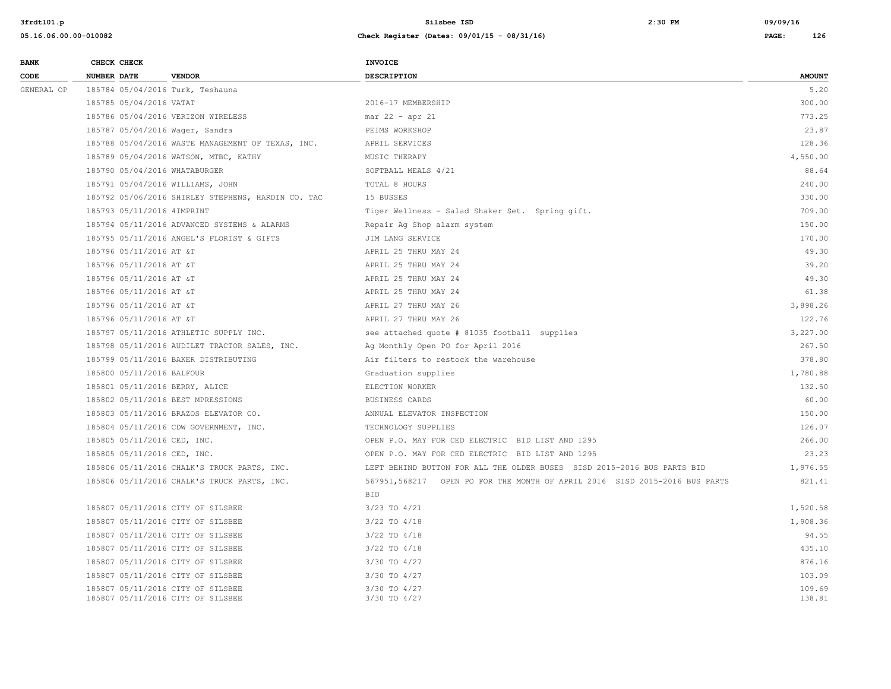| <b>BANK</b> | CHECK CHECK                     |                                                    | INVOICE                                                                    |               |
|-------------|---------------------------------|----------------------------------------------------|----------------------------------------------------------------------------|---------------|
| CODE        | NUMBER DATE                     | <b>VENDOR</b>                                      | <b>DESCRIPTION</b>                                                         | <b>AMOUNT</b> |
| GENERAL OP  |                                 | 185784 05/04/2016 Turk, Teshauna                   |                                                                            | 5.20          |
|             | 185785 05/04/2016 VATAT         |                                                    | 2016-17 MEMBERSHIP                                                         | 300.00        |
|             |                                 | 185786 05/04/2016 VERIZON WIRELESS                 | mar 22 - apr 21                                                            | 773.25        |
|             | 185787 05/04/2016 Wager, Sandra |                                                    | PEIMS WORKSHOP                                                             | 23.87         |
|             |                                 | 185788 05/04/2016 WASTE MANAGEMENT OF TEXAS, INC.  | APRIL SERVICES                                                             | 128.36        |
|             |                                 | 185789 05/04/2016 WATSON, MTBC, KATHY              | MUSIC THERAPY                                                              | 4,550.00      |
|             | 185790 05/04/2016 WHATABURGER   |                                                    | SOFTBALL MEALS 4/21                                                        | 88.64         |
|             |                                 | 185791 05/04/2016 WILLIAMS, JOHN                   | TOTAL 8 HOURS                                                              | 240.00        |
|             |                                 | 185792 05/06/2016 SHIRLEY STEPHENS, HARDIN CO. TAC | 15 BUSSES                                                                  | 330.00        |
|             | 185793 05/11/2016 4IMPRINT      |                                                    | Tiger Wellness - Salad Shaker Set. Spring gift.                            | 709.00        |
|             |                                 | 185794 05/11/2016 ADVANCED SYSTEMS & ALARMS        | Repair Ag Shop alarm system                                                | 150.00        |
|             |                                 | 185795 05/11/2016 ANGEL'S FLORIST & GIFTS          | JIM LANG SERVICE                                                           | 170.00        |
|             | 185796 05/11/2016 AT &T         |                                                    | APRIL 25 THRU MAY 24                                                       | 49.30         |
|             | 185796 05/11/2016 AT &T         |                                                    | APRIL 25 THRU MAY 24                                                       | 39.20         |
|             | 185796 05/11/2016 AT &T         |                                                    | APRIL 25 THRU MAY 24                                                       | 49.30         |
|             | 185796 05/11/2016 AT &T         |                                                    | APRIL 25 THRU MAY 24                                                       | 61.38         |
|             | 185796 05/11/2016 AT &T         |                                                    | APRIL 27 THRU MAY 26                                                       | 3,898.26      |
|             | 185796 05/11/2016 AT &T         |                                                    | APRIL 27 THRU MAY 26                                                       | 122.76        |
|             |                                 | 185797 05/11/2016 ATHLETIC SUPPLY INC.             | see attached quote # 81035 football supplies                               | 3,227.00      |
|             |                                 | 185798 05/11/2016 AUDILET TRACTOR SALES, INC.      | Ag Monthly Open PO for April 2016                                          | 267.50        |
|             |                                 | 185799 05/11/2016 BAKER DISTRIBUTING               | Air filters to restock the warehouse                                       | 378.80        |
|             | 185800 05/11/2016 BALFOUR       |                                                    | Graduation supplies                                                        | 1,780.88      |
|             | 185801 05/11/2016 BERRY, ALICE  |                                                    | ELECTION WORKER                                                            | 132.50        |
|             |                                 | 185802 05/11/2016 BEST MPRESSIONS                  | BUSINESS CARDS                                                             | 60.00         |
|             |                                 | 185803 05/11/2016 BRAZOS ELEVATOR CO.              | ANNUAL ELEVATOR INSPECTION                                                 | 150.00        |
|             |                                 | 185804 05/11/2016 CDW GOVERNMENT, INC.             | TECHNOLOGY SUPPLIES                                                        | 126.07        |
|             | 185805 05/11/2016 CED, INC.     |                                                    | OPEN P.O. MAY FOR CED ELECTRIC BID LIST AND 1295                           | 266.00        |
|             | 185805 05/11/2016 CED, INC.     |                                                    | OPEN P.O. MAY FOR CED ELECTRIC BID LIST AND 1295                           | 23.23         |
|             |                                 | 185806 05/11/2016 CHALK'S TRUCK PARTS, INC.        | LEFT BEHIND BUTTON FOR ALL THE OLDER BUSES SISD 2015-2016 BUS PARTS BID    | 1,976.55      |
|             |                                 | 185806 05/11/2016 CHALK'S TRUCK PARTS, INC.        | 567951,568217 OPEN PO FOR THE MONTH OF APRIL 2016 SISD 2015-2016 BUS PARTS | 821.41        |
|             |                                 |                                                    | <b>BID</b>                                                                 |               |
|             |                                 | 185807 05/11/2016 CITY OF SILSBEE                  | $3/23$ TO $4/21$                                                           | 1,520.58      |
|             |                                 | 185807 05/11/2016 CITY OF SILSBEE                  | $3/22$ TO $4/18$                                                           | 1,908.36      |
|             |                                 | 185807 05/11/2016 CITY OF SILSBEE                  | $3/22$ TO $4/18$                                                           | 94.55         |
|             |                                 | 185807 05/11/2016 CITY OF SILSBEE                  | $3/22$ TO $4/18$                                                           | 435.10        |
|             |                                 | 185807 05/11/2016 CITY OF SILSBEE                  | 3/30 TO 4/27                                                               | 876.16        |
|             |                                 | 185807 05/11/2016 CITY OF SILSBEE                  | 3/30 TO 4/27                                                               | 103.09        |
|             |                                 | 185807 05/11/2016 CITY OF SILSBEE                  | 3/30 TO 4/27                                                               | 109.69        |
|             |                                 | 185807 05/11/2016 CITY OF SILSBEE                  | 3/30 TO 4/27                                                               | 138.81        |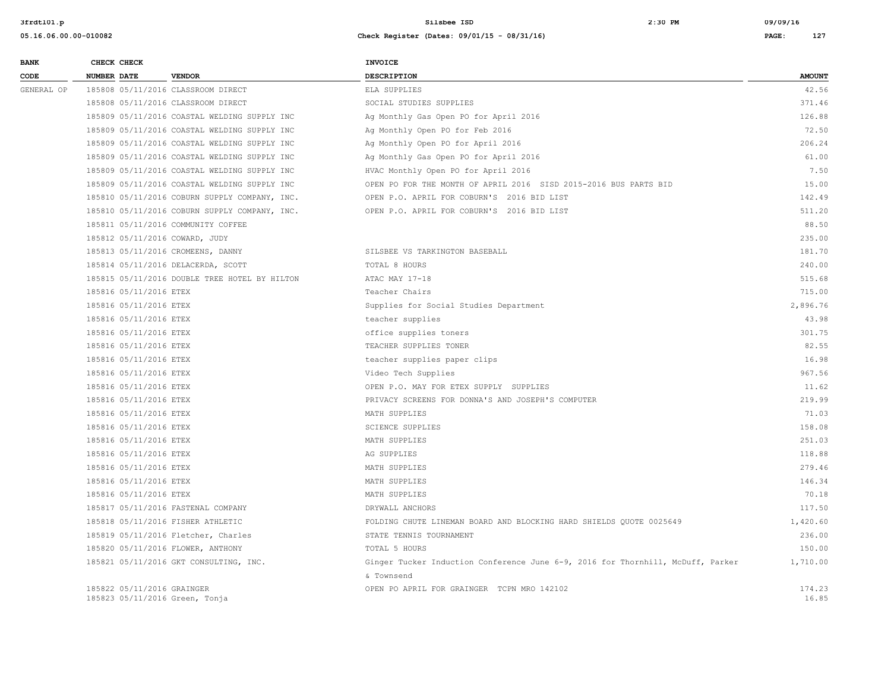| <b>BANK</b> | CHECK CHECK                                                  |                                               | <b>INVOICE</b>                                                                  |                 |
|-------------|--------------------------------------------------------------|-----------------------------------------------|---------------------------------------------------------------------------------|-----------------|
| CODE        | NUMBER DATE                                                  | <b>VENDOR</b>                                 | <b>DESCRIPTION</b>                                                              | <b>AMOUNT</b>   |
| GENERAL OP  |                                                              | 185808 05/11/2016 CLASSROOM DIRECT            | ELA SUPPLIES                                                                    | 42.56           |
|             |                                                              | 185808 05/11/2016 CLASSROOM DIRECT            | SOCIAL STUDIES SUPPLIES                                                         | 371.46          |
|             |                                                              | 185809 05/11/2016 COASTAL WELDING SUPPLY INC  | Ag Monthly Gas Open PO for April 2016                                           | 126.88          |
|             |                                                              | 185809 05/11/2016 COASTAL WELDING SUPPLY INC  | Ag Monthly Open PO for Feb 2016                                                 | 72.50           |
|             |                                                              | 185809 05/11/2016 COASTAL WELDING SUPPLY INC  | Ag Monthly Open PO for April 2016                                               | 206.24          |
|             |                                                              | 185809 05/11/2016 COASTAL WELDING SUPPLY INC  | Ag Monthly Gas Open PO for April 2016                                           | 61.00           |
|             |                                                              | 185809 05/11/2016 COASTAL WELDING SUPPLY INC  | HVAC Monthly Open PO for April 2016                                             | 7.50            |
|             |                                                              | 185809 05/11/2016 COASTAL WELDING SUPPLY INC  | OPEN PO FOR THE MONTH OF APRIL 2016 SISD 2015-2016 BUS PARTS BID                | 15.00           |
|             |                                                              | 185810 05/11/2016 COBURN SUPPLY COMPANY, INC. | OPEN P.O. APRIL FOR COBURN'S 2016 BID LIST                                      | 142.49          |
|             |                                                              | 185810 05/11/2016 COBURN SUPPLY COMPANY, INC. | OPEN P.O. APRIL FOR COBURN'S 2016 BID LIST                                      | 511.20          |
|             |                                                              | 185811 05/11/2016 COMMUNITY COFFEE            |                                                                                 | 88.50           |
|             | 185812 05/11/2016 COWARD, JUDY                               |                                               |                                                                                 | 235.00          |
|             | 185813 05/11/2016 CROMEENS, DANNY                            |                                               | SILSBEE VS TARKINGTON BASEBALL                                                  | 181.70          |
|             |                                                              | 185814 05/11/2016 DELACERDA, SCOTT            | TOTAL 8 HOURS                                                                   | 240.00          |
|             |                                                              | 185815 05/11/2016 DOUBLE TREE HOTEL BY HILTON | ATAC MAY 17-18                                                                  | 515.68          |
|             | 185816 05/11/2016 ETEX                                       |                                               | Teacher Chairs                                                                  | 715.00          |
|             | 185816 05/11/2016 ETEX                                       |                                               | Supplies for Social Studies Department                                          | 2,896.76        |
|             | 185816 05/11/2016 ETEX                                       |                                               | teacher supplies                                                                | 43.98           |
|             | 185816 05/11/2016 ETEX                                       |                                               | office supplies toners                                                          | 301.75          |
|             | 185816 05/11/2016 ETEX                                       |                                               | TEACHER SUPPLIES TONER                                                          | 82.55           |
|             | 185816 05/11/2016 ETEX                                       |                                               | teacher supplies paper clips                                                    | 16.98           |
|             | 185816 05/11/2016 ETEX                                       |                                               | Video Tech Supplies                                                             | 967.56          |
|             | 185816 05/11/2016 ETEX                                       |                                               | OPEN P.O. MAY FOR ETEX SUPPLY SUPPLIES                                          | 11.62           |
|             | 185816 05/11/2016 ETEX                                       |                                               | PRIVACY SCREENS FOR DONNA'S AND JOSEPH'S COMPUTER                               | 219.99          |
|             | 185816 05/11/2016 ETEX                                       |                                               | MATH SUPPLIES                                                                   | 71.03           |
|             | 185816 05/11/2016 ETEX                                       |                                               | <b>SCIENCE SUPPLIES</b>                                                         | 158.08          |
|             | 185816 05/11/2016 ETEX                                       |                                               | MATH SUPPLIES                                                                   | 251.03          |
|             | 185816 05/11/2016 ETEX                                       |                                               | AG SUPPLIES                                                                     | 118.88          |
|             | 185816 05/11/2016 ETEX                                       |                                               | MATH SUPPLIES                                                                   | 279.46          |
|             | 185816 05/11/2016 ETEX                                       |                                               | MATH SUPPLIES                                                                   | 146.34          |
|             | 185816 05/11/2016 ETEX                                       |                                               | MATH SUPPLIES                                                                   | 70.18           |
|             |                                                              | 185817 05/11/2016 FASTENAL COMPANY            | DRYWALL ANCHORS                                                                 | 117.50          |
|             | 185818 05/11/2016 FISHER ATHLETIC                            |                                               | FOLDING CHUTE LINEMAN BOARD AND BLOCKING HARD SHIELDS QUOTE 0025649             | 1,420.60        |
|             |                                                              | 185819 05/11/2016 Fletcher, Charles           | STATE TENNIS TOURNAMENT                                                         | 236.00          |
|             | 185820 05/11/2016 FLOWER, ANTHONY                            |                                               | TOTAL 5 HOURS                                                                   | 150.00          |
|             |                                                              | 185821 05/11/2016 GKT CONSULTING, INC.        | Ginger Tucker Induction Conference June 6-9, 2016 for Thornhill, McDuff, Parker | 1,710.00        |
|             |                                                              |                                               | & Townsend                                                                      |                 |
|             | 185822 05/11/2016 GRAINGER<br>185823 05/11/2016 Green, Tonja |                                               | OPEN PO APRIL FOR GRAINGER TCPN MRO 142102                                      | 174.23<br>16.85 |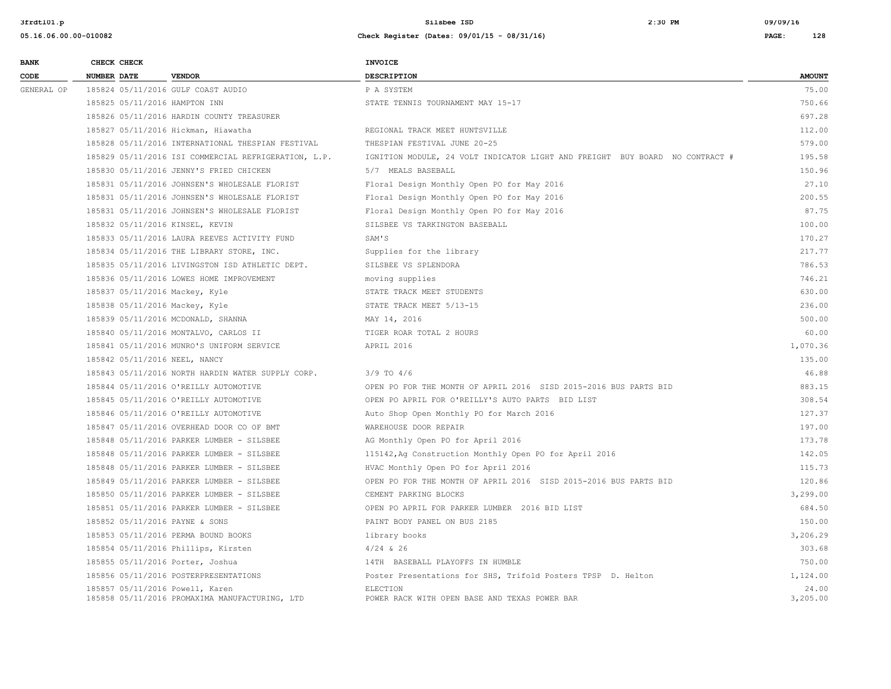| <b>BANK</b> | CHECK CHECK                      |                                                      | <b>INVOICE</b>                                                               |                   |
|-------------|----------------------------------|------------------------------------------------------|------------------------------------------------------------------------------|-------------------|
| CODE        | <b>NUMBER DATE</b>               | <b>VENDOR</b>                                        | <b>DESCRIPTION</b>                                                           | <b>AMOUNT</b>     |
| GENERAL OP  |                                  | 185824 05/11/2016 GULF COAST AUDIO                   | P A SYSTEM                                                                   | 75.00             |
|             | 185825 05/11/2016 HAMPTON INN    |                                                      | STATE TENNIS TOURNAMENT MAY 15-17                                            | 750.66            |
|             |                                  | 185826 05/11/2016 HARDIN COUNTY TREASURER            |                                                                              | 697.28            |
|             |                                  | 185827 05/11/2016 Hickman, Hiawatha                  | REGIONAL TRACK MEET HUNTSVILLE                                               | 112.00            |
|             |                                  | 185828 05/11/2016 INTERNATIONAL THESPIAN FESTIVAL    | THESPIAN FESTIVAL JUNE 20-25                                                 | 579.00            |
|             |                                  | 185829 05/11/2016 ISI COMMERCIAL REFRIGERATION, L.P. | IGNITION MODULE, 24 VOLT INDICATOR LIGHT AND FREIGHT BUY BOARD NO CONTRACT # | 195.58            |
|             |                                  | 185830 05/11/2016 JENNY'S FRIED CHICKEN              | 5/7 MEALS BASEBALL                                                           | 150.96            |
|             |                                  | 185831 05/11/2016 JOHNSEN'S WHOLESALE FLORIST        | Floral Design Monthly Open PO for May 2016                                   | 27.10             |
|             |                                  | 185831 05/11/2016 JOHNSEN'S WHOLESALE FLORIST        | Floral Design Monthly Open PO for May 2016                                   | 200.55            |
|             |                                  | 185831 05/11/2016 JOHNSEN'S WHOLESALE FLORIST        | Floral Design Monthly Open PO for May 2016                                   | 87.75             |
|             | 185832 05/11/2016 KINSEL, KEVIN  |                                                      | SILSBEE VS TARKINGTON BASEBALL                                               | 100.00            |
|             |                                  | 185833 05/11/2016 LAURA REEVES ACTIVITY FUND         | SAM'S                                                                        | 170.27            |
|             |                                  | 185834 05/11/2016 THE LIBRARY STORE, INC.            | Supplies for the library                                                     | 217.77            |
|             |                                  | 185835 05/11/2016 LIVINGSTON ISD ATHLETIC DEPT.      | SILSBEE VS SPLENDORA                                                         | 786.53            |
|             |                                  | 185836 05/11/2016 LOWES HOME IMPROVEMENT             | moving supplies                                                              | 746.21            |
|             | 185837 05/11/2016 Mackey, Kyle   |                                                      | STATE TRACK MEET STUDENTS                                                    | 630.00            |
|             | 185838 05/11/2016 Mackey, Kyle   |                                                      | STATE TRACK MEET 5/13-15                                                     | 236.00            |
|             |                                  | 185839 05/11/2016 MCDONALD, SHANNA                   | MAY 14, 2016                                                                 | 500.00            |
|             |                                  | 185840 05/11/2016 MONTALVO, CARLOS II                | TIGER ROAR TOTAL 2 HOURS                                                     | 60.00             |
|             |                                  | 185841 05/11/2016 MUNRO'S UNIFORM SERVICE            | APRIL 2016                                                                   | 1,070.36          |
|             | 185842 05/11/2016 NEEL, NANCY    |                                                      |                                                                              | 135.00            |
|             |                                  | 185843 05/11/2016 NORTH HARDIN WATER SUPPLY CORP.    | $3/9$ TO $4/6$                                                               | 46.88             |
|             |                                  | 185844 05/11/2016 O'REILLY AUTOMOTIVE                | OPEN PO FOR THE MONTH OF APRIL 2016 SISD 2015-2016 BUS PARTS BID             | 883.15            |
|             |                                  | 185845 05/11/2016 O'REILLY AUTOMOTIVE                | OPEN PO APRIL FOR O'REILLY'S AUTO PARTS BID LIST                             | 308.54            |
|             |                                  | 185846 05/11/2016 O'REILLY AUTOMOTIVE                | Auto Shop Open Monthly PO for March 2016                                     | 127.37            |
|             |                                  | 185847 05/11/2016 OVERHEAD DOOR CO OF BMT            | WAREHOUSE DOOR REPAIR                                                        | 197.00            |
|             |                                  | 185848 05/11/2016 PARKER LUMBER - SILSBEE            | AG Monthly Open PO for April 2016                                            | 173.78            |
|             |                                  | 185848 05/11/2016 PARKER LUMBER - SILSBEE            | 115142, Ag Construction Monthly Open PO for April 2016                       | 142.05            |
|             |                                  | 185848 05/11/2016 PARKER LUMBER - SILSBEE            | HVAC Monthly Open PO for April 2016                                          | 115.73            |
|             |                                  | 185849 05/11/2016 PARKER LUMBER - SILSBEE            | OPEN PO FOR THE MONTH OF APRIL 2016 SISD 2015-2016 BUS PARTS BID             | 120.86            |
|             |                                  | 185850 05/11/2016 PARKER LUMBER - SILSBEE            | CEMENT PARKING BLOCKS                                                        | 3,299.00          |
|             |                                  | 185851 05/11/2016 PARKER LUMBER - SILSBEE            | OPEN PO APRIL FOR PARKER LUMBER 2016 BID LIST                                | 684.50            |
|             | 185852 05/11/2016 PAYNE & SONS   |                                                      | PAINT BODY PANEL ON BUS 2185                                                 | 150.00            |
|             |                                  | 185853 05/11/2016 PERMA BOUND BOOKS                  | library books                                                                | 3,206.29          |
|             |                                  | 185854 05/11/2016 Phillips, Kirsten                  | $4/24$ & 26                                                                  | 303.68            |
|             | 185855 05/11/2016 Porter, Joshua |                                                      | 14TH BASEBALL PLAYOFFS IN HUMBLE                                             | 750.00            |
|             |                                  | 185856 05/11/2016 POSTERPRESENTATIONS                | Poster Presentations for SHS, Trifold Posters TPSP D. Helton                 | 1,124.00          |
|             | 185857 05/11/2016 Powell, Karen  | 185858 05/11/2016 PROMAXIMA MANUFACTURING, LTD       | ELECTION<br>POWER RACK WITH OPEN BASE AND TEXAS POWER BAR                    | 24.00<br>3,205.00 |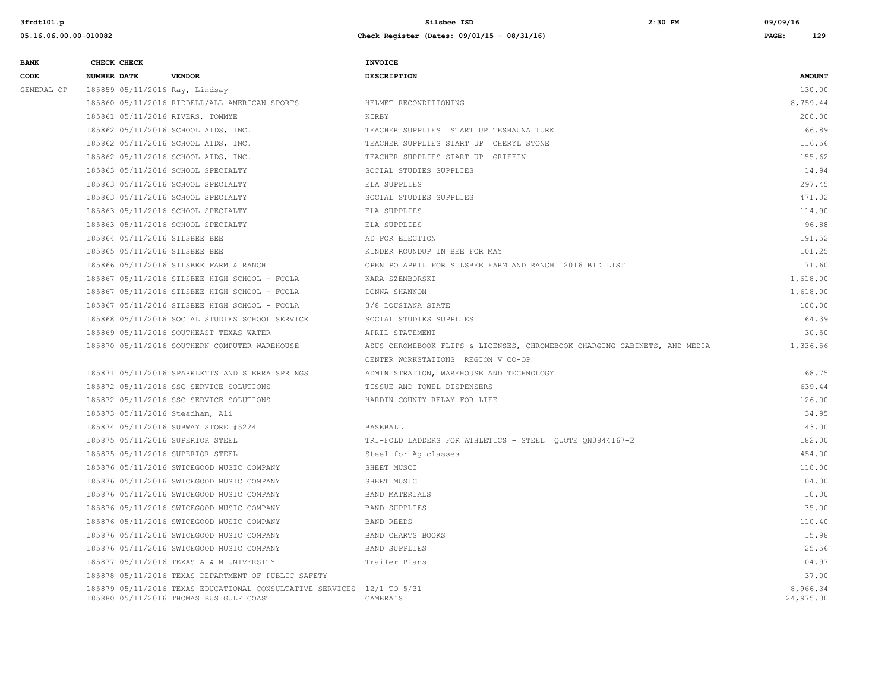| <b>BANK</b> | CHECK CHECK                      |                                                                                                                   | <b>INVOICE</b>                                                            |                       |
|-------------|----------------------------------|-------------------------------------------------------------------------------------------------------------------|---------------------------------------------------------------------------|-----------------------|
| CODE        | NUMBER DATE                      | <b>VENDOR</b>                                                                                                     | <b>DESCRIPTION</b>                                                        | <b>AMOUNT</b>         |
| GENERAL OP  | 185859 05/11/2016 Ray, Lindsay   |                                                                                                                   |                                                                           | 130.00                |
|             |                                  | 185860 05/11/2016 RIDDELL/ALL AMERICAN SPORTS                                                                     | HELMET RECONDITIONING                                                     | 8,759.44              |
|             | 185861 05/11/2016 RIVERS, TOMMYE |                                                                                                                   | KIRBY                                                                     | 200.00                |
|             |                                  | 185862 05/11/2016 SCHOOL AIDS, INC.                                                                               | TEACHER SUPPLIES START UP TESHAUNA TURK                                   | 66.89                 |
|             |                                  | 185862 05/11/2016 SCHOOL AIDS, INC.                                                                               | TEACHER SUPPLIES START UP CHERYL STONE                                    | 116.56                |
|             |                                  | 185862 05/11/2016 SCHOOL AIDS, INC.                                                                               | TEACHER SUPPLIES START UP GRIFFIN                                         | 155.62                |
|             |                                  | 185863 05/11/2016 SCHOOL SPECIALTY                                                                                | SOCIAL STUDIES SUPPLIES                                                   | 14.94                 |
|             |                                  | 185863 05/11/2016 SCHOOL SPECIALTY                                                                                | ELA SUPPLIES                                                              | 297.45                |
|             |                                  | 185863 05/11/2016 SCHOOL SPECIALTY                                                                                | SOCIAL STUDIES SUPPLIES                                                   | 471.02                |
|             |                                  | 185863 05/11/2016 SCHOOL SPECIALTY                                                                                | ELA SUPPLIES                                                              | 114.90                |
|             |                                  | 185863 05/11/2016 SCHOOL SPECIALTY                                                                                | ELA SUPPLIES                                                              | 96.88                 |
|             | 185864 05/11/2016 SILSBEE BEE    |                                                                                                                   | AD FOR ELECTION                                                           | 191.52                |
|             | 185865 05/11/2016 SILSBEE BEE    |                                                                                                                   | KINDER ROUNDUP IN BEE FOR MAY                                             | 101.25                |
|             |                                  | 185866 05/11/2016 SILSBEE FARM & RANCH                                                                            | OPEN PO APRIL FOR SILSBEE FARM AND RANCH 2016 BID LIST                    | 71.60                 |
|             |                                  | 185867 05/11/2016 SILSBEE HIGH SCHOOL - FCCLA                                                                     | KARA SZEMBORSKI                                                           | 1,618.00              |
|             |                                  | 185867 05/11/2016 SILSBEE HIGH SCHOOL - FCCLA                                                                     | DONNA SHANNON                                                             | 1,618.00              |
|             |                                  | 185867 05/11/2016 SILSBEE HIGH SCHOOL - FCCLA                                                                     | 3/8 LOUSIANA STATE                                                        | 100.00                |
|             |                                  | 185868 05/11/2016 SOCIAL STUDIES SCHOOL SERVICE                                                                   | SOCIAL STUDIES SUPPLIES                                                   | 64.39                 |
|             |                                  | 185869 05/11/2016 SOUTHEAST TEXAS WATER                                                                           | APRIL STATEMENT                                                           | 30.50                 |
|             |                                  | 185870 05/11/2016 SOUTHERN COMPUTER WAREHOUSE                                                                     | ASUS CHROMEBOOK FLIPS & LICENSES, CHROMEBOOK CHARGING CABINETS, AND MEDIA | 1,336.56              |
|             |                                  |                                                                                                                   | CENTER WORKSTATIONS REGION V CO-OP                                        |                       |
|             |                                  | 185871 05/11/2016 SPARKLETTS AND SIERRA SPRINGS                                                                   | ADMINISTRATION, WAREHOUSE AND TECHNOLOGY                                  | 68.75                 |
|             |                                  | 185872 05/11/2016 SSC SERVICE SOLUTIONS                                                                           | TISSUE AND TOWEL DISPENSERS                                               | 639.44                |
|             |                                  | 185872 05/11/2016 SSC SERVICE SOLUTIONS                                                                           | HARDIN COUNTY RELAY FOR LIFE                                              | 126.00                |
|             | 185873 05/11/2016 Steadham, Ali  |                                                                                                                   |                                                                           | 34.95                 |
|             |                                  | 185874 05/11/2016 SUBWAY STORE #5224                                                                              | BASEBALL                                                                  | 143.00                |
|             | 185875 05/11/2016 SUPERIOR STEEL |                                                                                                                   | TRI-FOLD LADDERS FOR ATHLETICS - STEEL QUOTE QN0844167-2                  | 182.00                |
|             | 185875 05/11/2016 SUPERIOR STEEL |                                                                                                                   | Steel for Aq classes                                                      | 454.00                |
|             |                                  | 185876 05/11/2016 SWICEGOOD MUSIC COMPANY                                                                         | SHEET MUSCI                                                               | 110.00                |
|             |                                  | 185876 05/11/2016 SWICEGOOD MUSIC COMPANY                                                                         | SHEET MUSIC                                                               | 104.00                |
|             |                                  | 185876 05/11/2016 SWICEGOOD MUSIC COMPANY                                                                         | <b>BAND MATERIALS</b>                                                     | 10.00                 |
|             |                                  | 185876 05/11/2016 SWICEGOOD MUSIC COMPANY                                                                         | <b>BAND SUPPLIES</b>                                                      | 35.00                 |
|             |                                  | 185876 05/11/2016 SWICEGOOD MUSIC COMPANY                                                                         | BAND REEDS                                                                | 110.40                |
|             |                                  | 185876 05/11/2016 SWICEGOOD MUSIC COMPANY                                                                         | BAND CHARTS BOOKS                                                         | 15.98                 |
|             |                                  | 185876 05/11/2016 SWICEGOOD MUSIC COMPANY                                                                         | <b>BAND SUPPLIES</b>                                                      | 25.56                 |
|             |                                  | 185877 05/11/2016 TEXAS A & M UNIVERSITY                                                                          | Trailer Plans                                                             | 104.97                |
|             |                                  | 185878 05/11/2016 TEXAS DEPARTMENT OF PUBLIC SAFETY                                                               |                                                                           | 37.00                 |
|             |                                  | 185879 05/11/2016 TEXAS EDUCATIONAL CONSULTATIVE SERVICES 12/1 TO 5/31<br>185880 05/11/2016 THOMAS BUS GULF COAST | CAMERA'S                                                                  | 8,966.34<br>24,975.00 |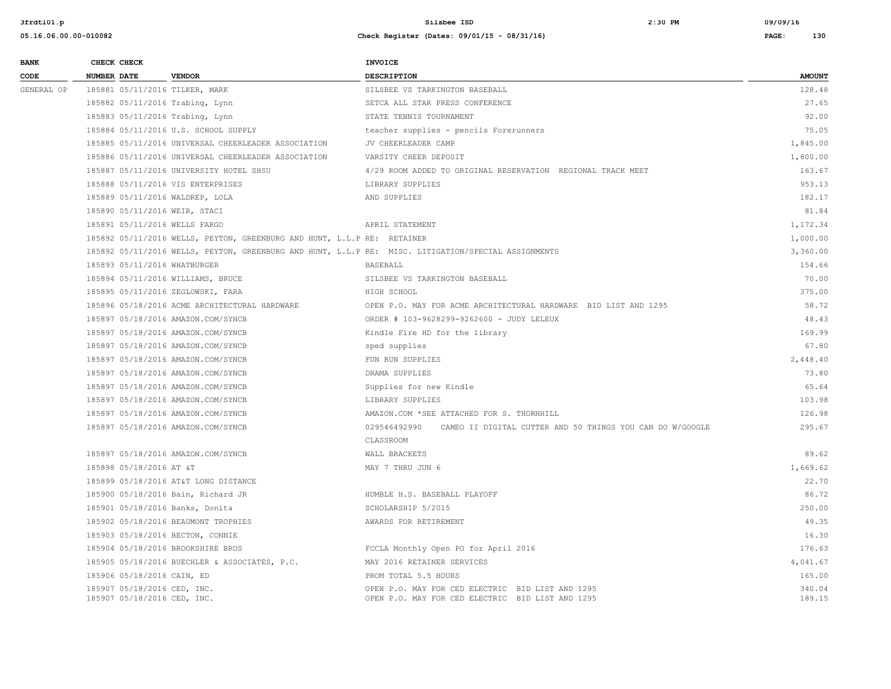| <b>BANK</b> |             | CHECK CHECK                                                |                                                                         | <b>INVOICE</b>                                                                                       |                  |
|-------------|-------------|------------------------------------------------------------|-------------------------------------------------------------------------|------------------------------------------------------------------------------------------------------|------------------|
| CODE        | NUMBER DATE |                                                            | <b>VENDOR</b>                                                           | <b>DESCRIPTION</b>                                                                                   | <b>AMOUNT</b>    |
| GENERAL OP  |             |                                                            | 185881 05/11/2016 TILKER, MARK                                          | SILSBEE VS TARKINGTON BASEBALL                                                                       | 128.48           |
|             |             |                                                            | 185882 05/11/2016 Trabing, Lynn                                         | SETCA ALL STAR PRESS CONFERENCE                                                                      | 27.65            |
|             |             |                                                            | 185883 05/11/2016 Trabing, Lynn                                         | STATE TENNIS TOURNAMENT                                                                              | 92.00            |
|             |             |                                                            | 185884 05/11/2016 U.S. SCHOOL SUPPLY                                    | teacher supplies - pencils Forerunners                                                               | 75.05            |
|             |             |                                                            | 185885 05/11/2016 UNIVERSAL CHEERLEADER ASSOCIATION                     | JV CHEERLEADER CAMP                                                                                  | 1,845.00         |
|             |             |                                                            | 185886 05/11/2016 UNIVERSAL CHEERLEADER ASSOCIATION                     | VARSITY CHEER DEPOSIT                                                                                | 1,800.00         |
|             |             |                                                            | 185887 05/11/2016 UNIVERSITY HOTEL SHSU                                 | 4/29 ROOM ADDED TO ORIGINAL RESERVATION REGIONAL TRACK MEET                                          | 163.67           |
|             |             |                                                            | 185888 05/11/2016 VIS ENTERPRISES                                       | LIBRARY SUPPLIES                                                                                     | 953.13           |
|             |             |                                                            | 185889 05/11/2016 WALDREP, LOLA                                         | AND SUPPLIES                                                                                         | 182.17           |
|             |             |                                                            | 185890 05/11/2016 WEIR, STACI                                           |                                                                                                      | 81.84            |
|             |             |                                                            | 185891 05/11/2016 WELLS FARGO                                           | APRIL STATEMENT                                                                                      | 1,172.34         |
|             |             |                                                            | 185892 05/11/2016 WELLS, PEYTON, GREENBURG AND HUNT, L.L.P RE: RETAINER |                                                                                                      | 1,000.00         |
|             |             |                                                            |                                                                         | 185892 05/11/2016 WELLS, PEYTON, GREENBURG AND HUNT, L.L.P RE: MISC. LITIGATION/SPECIAL ASSIGNMENTS  | 3,360.00         |
|             |             |                                                            | 185893 05/11/2016 WHATBURGER                                            | BASEBALL                                                                                             | 154.66           |
|             |             |                                                            | 185894 05/11/2016 WILLIAMS, BRUCE                                       | SILSBEE VS TARKINGTON BASEBALL                                                                       | 70.00            |
|             |             |                                                            | 185895 05/11/2016 ZEGLOWSKI, FARA                                       | HIGH SCHOOL                                                                                          | 375.00           |
|             |             |                                                            | 185896 05/18/2016 ACME ARCHITECTURAL HARDWARE                           | OPEN P.O. MAY FOR ACME ARCHITECTURAL HARDWARE BID LIST AND 1295                                      | 58.72            |
|             |             |                                                            | 185897 05/18/2016 AMAZON.COM/SYNCB                                      | ORDER # 103-9628299-9262600 - JUDY LELEUX                                                            | 48.43            |
|             |             |                                                            | 185897 05/18/2016 AMAZON.COM/SYNCB                                      | Kindle Fire HD for the library                                                                       | 169.99           |
|             |             |                                                            | 185897 05/18/2016 AMAZON.COM/SYNCB                                      | sped supplies                                                                                        | 67.80            |
|             |             |                                                            | 185897 05/18/2016 AMAZON.COM/SYNCB                                      | FUN RUN SUPPLIES                                                                                     | 2,448.40         |
|             |             |                                                            | 185897 05/18/2016 AMAZON.COM/SYNCB                                      | DRAMA SUPPLIES                                                                                       | 73.80            |
|             |             |                                                            | 185897 05/18/2016 AMAZON.COM/SYNCB                                      | Supplies for new Kindle                                                                              | 65.64            |
|             |             |                                                            | 185897 05/18/2016 AMAZON.COM/SYNCB                                      | LIBRARY SUPPLIES                                                                                     | 103.98           |
|             |             |                                                            | 185897 05/18/2016 AMAZON.COM/SYNCB                                      | AMAZON.COM *SEE ATTACHED FOR S. THORNHILL                                                            | 126.98           |
|             |             |                                                            | 185897 05/18/2016 AMAZON.COM/SYNCB                                      | 029546492990<br>CAMEO II DIGITAL CUTTER AND 50 THINGS YOU CAN DO W/GOOGLE                            | 295.67           |
|             |             |                                                            |                                                                         | CLASSROOM                                                                                            |                  |
|             |             |                                                            | 185897 05/18/2016 AMAZON.COM/SYNCB                                      | WALL BRACKETS                                                                                        | 89.62            |
|             |             | 185898 05/18/2016 AT &T                                    |                                                                         | MAY 7 THRU JUN 6                                                                                     | 1,669.62         |
|             |             |                                                            | 185899 05/18/2016 AT&T LONG DISTANCE                                    |                                                                                                      | 22.70            |
|             |             |                                                            | 185900 05/18/2016 Bain, Richard JR                                      | HUMBLE H.S. BASEBALL PLAYOFF                                                                         | 86.72            |
|             |             |                                                            | 185901 05/18/2016 Banks, Donita                                         | SCHOLARSHIP 5/2015                                                                                   | 250.00           |
|             |             |                                                            | 185902 05/18/2016 BEAUMONT TROPHIES                                     | AWARDS FOR RETIREMENT                                                                                | 49.35            |
|             |             |                                                            | 185903 05/18/2016 BECTON, CONNIE                                        |                                                                                                      | 16.30            |
|             |             |                                                            | 185904 05/18/2016 BROOKSHIRE BROS                                       | FCCLA Monthly Open PO for April 2016                                                                 | 176.63           |
|             |             |                                                            | 185905 05/18/2016 BUECHLER & ASSOCIATES, P.C.                           | MAY 2016 RETAINER SERVICES                                                                           | 4,041.67         |
|             |             | 185906 05/18/2016 CAIN, ED                                 |                                                                         | PROM TOTAL 5.5 HOURS                                                                                 | 165.00           |
|             |             | 185907 05/18/2016 CED, INC.<br>185907 05/18/2016 CED, INC. |                                                                         | OPEN P.O. MAY FOR CED ELECTRIC BID LIST AND 1295<br>OPEN P.O. MAY FOR CED ELECTRIC BID LIST AND 1295 | 340.04<br>189.15 |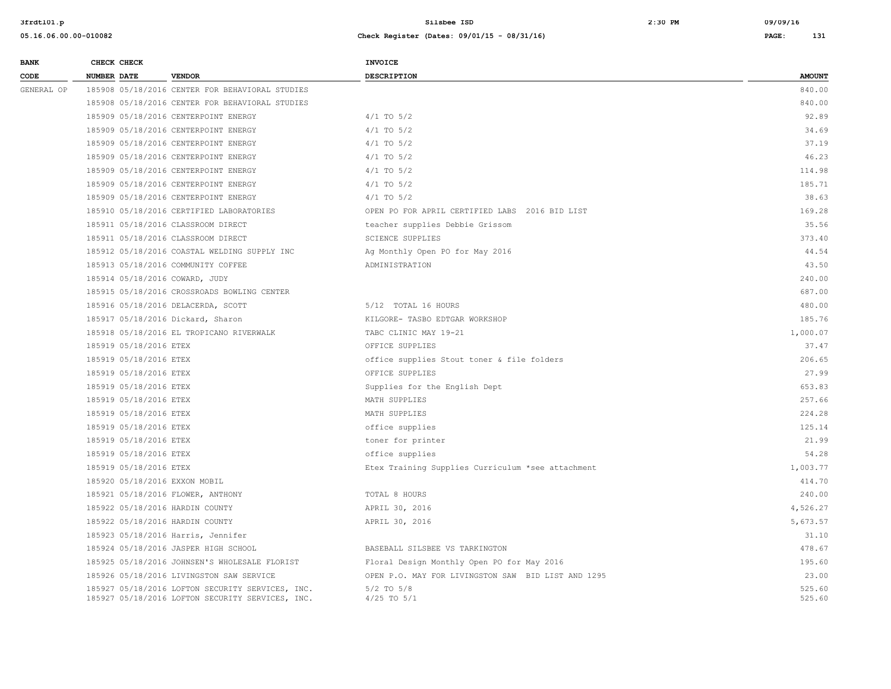| <b>BANK</b> |             | CHECK CHECK            |                                                                                                      | INVOICE                                            |                  |
|-------------|-------------|------------------------|------------------------------------------------------------------------------------------------------|----------------------------------------------------|------------------|
| CODE        | NUMBER DATE |                        | <b>VENDOR</b>                                                                                        | <b>DESCRIPTION</b>                                 | <b>AMOUNT</b>    |
| GENERAL OP  |             |                        | 185908 05/18/2016 CENTER FOR BEHAVIORAL STUDIES                                                      |                                                    | 840.00           |
|             |             |                        | 185908 05/18/2016 CENTER FOR BEHAVIORAL STUDIES                                                      |                                                    | 840.00           |
|             |             |                        | 185909 05/18/2016 CENTERPOINT ENERGY                                                                 | $4/1$ TO $5/2$                                     | 92.89            |
|             |             |                        | 185909 05/18/2016 CENTERPOINT ENERGY                                                                 | $4/1$ TO $5/2$                                     | 34.69            |
|             |             |                        | 185909 05/18/2016 CENTERPOINT ENERGY                                                                 | $4/1$ TO $5/2$                                     | 37.19            |
|             |             |                        | 185909 05/18/2016 CENTERPOINT ENERGY                                                                 | $4/1$ TO $5/2$                                     | 46.23            |
|             |             |                        | 185909 05/18/2016 CENTERPOINT ENERGY                                                                 | $4/1$ TO $5/2$                                     | 114.98           |
|             |             |                        | 185909 05/18/2016 CENTERPOINT ENERGY                                                                 | $4/1$ TO $5/2$                                     | 185.71           |
|             |             |                        | 185909 05/18/2016 CENTERPOINT ENERGY                                                                 | $4/1$ TO $5/2$                                     | 38.63            |
|             |             |                        | 185910 05/18/2016 CERTIFIED LABORATORIES                                                             | OPEN PO FOR APRIL CERTIFIED LABS 2016 BID LIST     | 169.28           |
|             |             |                        | 185911 05/18/2016 CLASSROOM DIRECT                                                                   | teacher supplies Debbie Grissom                    | 35.56            |
|             |             |                        | 185911 05/18/2016 CLASSROOM DIRECT                                                                   | <b>SCIENCE SUPPLIES</b>                            | 373.40           |
|             |             |                        | 185912 05/18/2016 COASTAL WELDING SUPPLY INC                                                         | Ag Monthly Open PO for May 2016                    | 44.54            |
|             |             |                        | 185913 05/18/2016 COMMUNITY COFFEE                                                                   | ADMINISTRATION                                     | 43.50            |
|             |             |                        | 185914 05/18/2016 COWARD, JUDY                                                                       |                                                    | 240.00           |
|             |             |                        | 185915 05/18/2016 CROSSROADS BOWLING CENTER                                                          |                                                    | 687.00           |
|             |             |                        | 185916 05/18/2016 DELACERDA, SCOTT                                                                   | 5/12 TOTAL 16 HOURS                                | 480.00           |
|             |             |                        | 185917 05/18/2016 Dickard, Sharon                                                                    | KILGORE- TASBO EDTGAR WORKSHOP                     | 185.76           |
|             |             |                        | 185918 05/18/2016 EL TROPICANO RIVERWALK                                                             | TABC CLINIC MAY 19-21                              | 1,000.07         |
|             |             | 185919 05/18/2016 ETEX |                                                                                                      | OFFICE SUPPLIES                                    | 37.47            |
|             |             | 185919 05/18/2016 ETEX |                                                                                                      | office supplies Stout toner & file folders         | 206.65           |
|             |             | 185919 05/18/2016 ETEX |                                                                                                      | OFFICE SUPPLIES                                    | 27.99            |
|             |             | 185919 05/18/2016 ETEX |                                                                                                      | Supplies for the English Dept                      | 653.83           |
|             |             | 185919 05/18/2016 ETEX |                                                                                                      | MATH SUPPLIES                                      | 257.66           |
|             |             | 185919 05/18/2016 ETEX |                                                                                                      | MATH SUPPLIES                                      | 224.28           |
|             |             | 185919 05/18/2016 ETEX |                                                                                                      | office supplies                                    | 125.14           |
|             |             | 185919 05/18/2016 ETEX |                                                                                                      | toner for printer                                  | 21.99            |
|             |             | 185919 05/18/2016 ETEX |                                                                                                      | office supplies                                    | 54.28            |
|             |             | 185919 05/18/2016 ETEX |                                                                                                      | Etex Training Supplies Curriculum *see attachment  | 1,003.77         |
|             |             |                        | 185920 05/18/2016 EXXON MOBIL                                                                        |                                                    | 414.70           |
|             |             |                        | 185921 05/18/2016 FLOWER, ANTHONY                                                                    | TOTAL 8 HOURS                                      | 240.00           |
|             |             |                        | 185922 05/18/2016 HARDIN COUNTY                                                                      | APRIL 30, 2016                                     | 4,526.27         |
|             |             |                        | 185922 05/18/2016 HARDIN COUNTY                                                                      | APRIL 30, 2016                                     | 5,673.57         |
|             |             |                        | 185923 05/18/2016 Harris, Jennifer                                                                   |                                                    | 31.10            |
|             |             |                        | 185924 05/18/2016 JASPER HIGH SCHOOL                                                                 | BASEBALL SILSBEE VS TARKINGTON                     | 478.67           |
|             |             |                        | 185925 05/18/2016 JOHNSEN'S WHOLESALE FLORIST                                                        | Floral Design Monthly Open PO for May 2016         | 195.60           |
|             |             |                        | 185926 05/18/2016 LIVINGSTON SAW SERVICE                                                             | OPEN P.O. MAY FOR LIVINGSTON SAW BID LIST AND 1295 | 23.00            |
|             |             |                        | 185927 05/18/2016 LOFTON SECURITY SERVICES, INC.<br>185927 05/18/2016 LOFTON SECURITY SERVICES, INC. | $5/2$ TO $5/8$<br>$4/25$ TO $5/1$                  | 525.60<br>525.60 |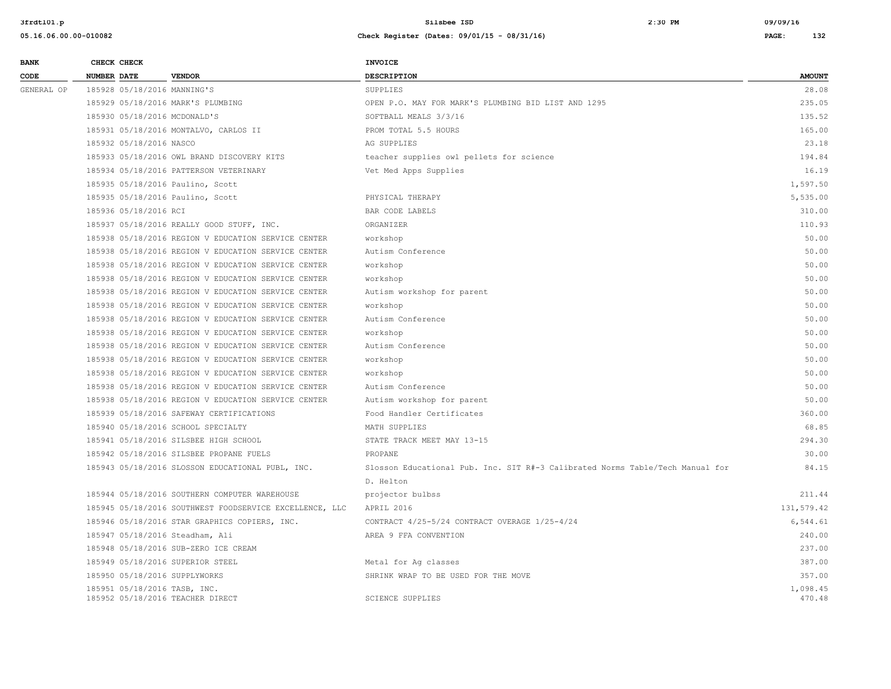| <b>BANK</b> | CHECK CHECK                   |                                                         | INVOICE                                                                       |                    |
|-------------|-------------------------------|---------------------------------------------------------|-------------------------------------------------------------------------------|--------------------|
| CODE        | <b>NUMBER DATE</b>            | <b>VENDOR</b>                                           | <b>DESCRIPTION</b>                                                            | <b>AMOUNT</b>      |
| GENERAL OP  | 185928 05/18/2016 MANNING'S   |                                                         | SUPPLIES                                                                      | 28.08              |
|             |                               | 185929 05/18/2016 MARK'S PLUMBING                       | OPEN P.O. MAY FOR MARK'S PLUMBING BID LIST AND 1295                           | 235.05             |
|             | 185930 05/18/2016 MCDONALD'S  |                                                         | SOFTBALL MEALS 3/3/16                                                         | 135.52             |
|             |                               | 185931 05/18/2016 MONTALVO, CARLOS II                   | PROM TOTAL 5.5 HOURS                                                          | 165.00             |
|             | 185932 05/18/2016 NASCO       |                                                         | AG SUPPLIES                                                                   | 23.18              |
|             |                               | 185933 05/18/2016 OWL BRAND DISCOVERY KITS              | teacher supplies owl pellets for science                                      | 194.84             |
|             |                               | 185934 05/18/2016 PATTERSON VETERINARY                  | Vet Med Apps Supplies                                                         | 16.19              |
|             |                               | 185935 05/18/2016 Paulino, Scott                        |                                                                               | 1,597.50           |
|             |                               | 185935 05/18/2016 Paulino, Scott                        | PHYSICAL THERAPY                                                              | 5,535.00           |
|             | 185936 05/18/2016 RCI         |                                                         | BAR CODE LABELS                                                               | 310.00             |
|             |                               | 185937 05/18/2016 REALLY GOOD STUFF, INC.               | ORGANIZER                                                                     | 110.93             |
|             |                               | 185938 05/18/2016 REGION V EDUCATION SERVICE CENTER     | workshop                                                                      | 50.00              |
|             |                               | 185938 05/18/2016 REGION V EDUCATION SERVICE CENTER     | Autism Conference                                                             | 50.00              |
|             |                               | 185938 05/18/2016 REGION V EDUCATION SERVICE CENTER     | workshop                                                                      | 50.00              |
|             |                               | 185938 05/18/2016 REGION V EDUCATION SERVICE CENTER     | workshop                                                                      | 50.00              |
|             |                               | 185938 05/18/2016 REGION V EDUCATION SERVICE CENTER     | Autism workshop for parent                                                    | 50.00              |
|             |                               | 185938 05/18/2016 REGION V EDUCATION SERVICE CENTER     | workshop                                                                      | 50.00              |
|             |                               | 185938 05/18/2016 REGION V EDUCATION SERVICE CENTER     | Autism Conference                                                             | 50.00              |
|             |                               | 185938 05/18/2016 REGION V EDUCATION SERVICE CENTER     | workshop                                                                      | 50.00              |
|             |                               | 185938 05/18/2016 REGION V EDUCATION SERVICE CENTER     | Autism Conference                                                             | 50.00              |
|             |                               | 185938 05/18/2016 REGION V EDUCATION SERVICE CENTER     | workshop                                                                      | 50.00              |
|             |                               | 185938 05/18/2016 REGION V EDUCATION SERVICE CENTER     | workshop                                                                      | 50.00              |
|             |                               | 185938 05/18/2016 REGION V EDUCATION SERVICE CENTER     | Autism Conference                                                             | 50.00              |
|             |                               | 185938 05/18/2016 REGION V EDUCATION SERVICE CENTER     | Autism workshop for parent                                                    | 50.00              |
|             |                               | 185939 05/18/2016 SAFEWAY CERTIFICATIONS                | Food Handler Certificates                                                     | 360.00             |
|             |                               | 185940 05/18/2016 SCHOOL SPECIALTY                      | MATH SUPPLIES                                                                 | 68.85              |
|             |                               | 185941 05/18/2016 SILSBEE HIGH SCHOOL                   | STATE TRACK MEET MAY 13-15                                                    | 294.30             |
|             |                               | 185942 05/18/2016 SILSBEE PROPANE FUELS                 | PROPANE                                                                       | 30.00              |
|             |                               | 185943 05/18/2016 SLOSSON EDUCATIONAL PUBL, INC.        | Slosson Educational Pub. Inc. SIT R#-3 Calibrated Norms Table/Tech Manual for | 84.15              |
|             |                               |                                                         | D. Helton                                                                     |                    |
|             |                               | 185944 05/18/2016 SOUTHERN COMPUTER WAREHOUSE           | projector bulbss                                                              | 211.44             |
|             |                               | 185945 05/18/2016 SOUTHWEST FOODSERVICE EXCELLENCE, LLC | APRIL 2016                                                                    | 131,579.42         |
|             |                               | 185946 05/18/2016 STAR GRAPHICS COPIERS, INC.           | CONTRACT 4/25-5/24 CONTRACT OVERAGE 1/25-4/24                                 | 6,544.61           |
|             |                               | 185947 05/18/2016 Steadham, Ali                         | AREA 9 FFA CONVENTION                                                         | 240.00             |
|             |                               | 185948 05/18/2016 SUB-ZERO ICE CREAM                    |                                                                               | 237.00             |
|             |                               | 185949 05/18/2016 SUPERIOR STEEL                        | Metal for Ag classes                                                          | 387.00             |
|             | 185950 05/18/2016 SUPPLYWORKS |                                                         | SHRINK WRAP TO BE USED FOR THE MOVE                                           | 357.00             |
|             | 185951 05/18/2016 TASB, INC.  | 185952 05/18/2016 TEACHER DIRECT                        | <b>SCIENCE SUPPLIES</b>                                                       | 1,098.45<br>470.48 |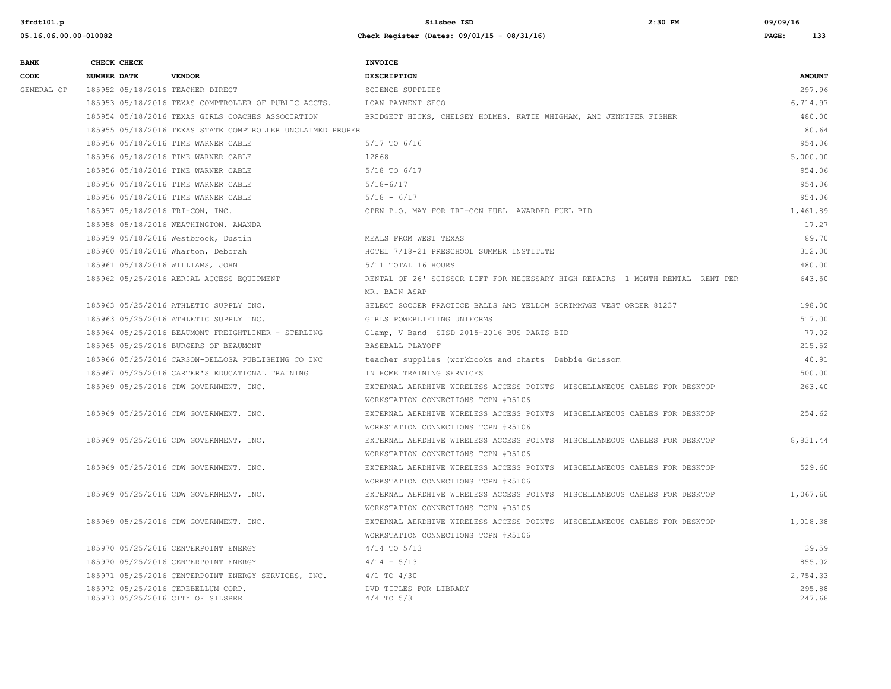| <b>BANK</b> |                    | CHECK CHECK |                                                                         | <b>INVOICE</b>                                                                |                  |
|-------------|--------------------|-------------|-------------------------------------------------------------------------|-------------------------------------------------------------------------------|------------------|
| CODE        | <b>NUMBER DATE</b> |             | <b>VENDOR</b>                                                           | <b>DESCRIPTION</b>                                                            | <b>AMOUNT</b>    |
| GENERAL OP  |                    |             | 185952 05/18/2016 TEACHER DIRECT                                        | <b>SCIENCE SUPPLIES</b>                                                       | 297.96           |
|             |                    |             | 185953 05/18/2016 TEXAS COMPTROLLER OF PUBLIC ACCTS.                    | LOAN PAYMENT SECO                                                             | 6,714.97         |
|             |                    |             | 185954 05/18/2016 TEXAS GIRLS COACHES ASSOCIATION                       | BRIDGETT HICKS, CHELSEY HOLMES, KATIE WHIGHAM, AND JENNIFER FISHER            | 480.00           |
|             |                    |             | 185955 05/18/2016 TEXAS STATE COMPTROLLER UNCLAIMED PROPER              |                                                                               | 180.64           |
|             |                    |             | 185956 05/18/2016 TIME WARNER CABLE                                     | 5/17 TO 6/16                                                                  | 954.06           |
|             |                    |             | 185956 05/18/2016 TIME WARNER CABLE                                     | 12868                                                                         | 5,000.00         |
|             |                    |             | 185956 05/18/2016 TIME WARNER CABLE                                     | 5/18 TO 6/17                                                                  | 954.06           |
|             |                    |             | 185956 05/18/2016 TIME WARNER CABLE                                     | $5/18 - 6/17$                                                                 | 954.06           |
|             |                    |             | 185956 05/18/2016 TIME WARNER CABLE                                     | $5/18 - 6/17$                                                                 | 954.06           |
|             |                    |             | 185957 05/18/2016 TRI-CON, INC.                                         | OPEN P.O. MAY FOR TRI-CON FUEL AWARDED FUEL BID                               | 1,461.89         |
|             |                    |             | 185958 05/18/2016 WEATHINGTON, AMANDA                                   |                                                                               | 17.27            |
|             |                    |             | 185959 05/18/2016 Westbrook, Dustin                                     | MEALS FROM WEST TEXAS                                                         | 89.70            |
|             |                    |             | 185960 05/18/2016 Wharton, Deborah                                      | HOTEL 7/18-21 PRESCHOOL SUMMER INSTITUTE                                      | 312.00           |
|             |                    |             | 185961 05/18/2016 WILLIAMS, JOHN                                        | 5/11 TOTAL 16 HOURS                                                           | 480.00           |
|             |                    |             | 185962 05/25/2016 AERIAL ACCESS EQUIPMENT                               | RENTAL OF 26' SCISSOR LIFT FOR NECESSARY HIGH REPAIRS 1 MONTH RENTAL RENT PER | 643.50           |
|             |                    |             |                                                                         | MR. BAIN ASAP                                                                 |                  |
|             |                    |             | 185963 05/25/2016 ATHLETIC SUPPLY INC.                                  | SELECT SOCCER PRACTICE BALLS AND YELLOW SCRIMMAGE VEST ORDER 81237            | 198.00           |
|             |                    |             | 185963 05/25/2016 ATHLETIC SUPPLY INC.                                  | GIRLS POWERLIFTING UNIFORMS                                                   | 517.00           |
|             |                    |             | 185964 05/25/2016 BEAUMONT FREIGHTLINER - STERLING                      | Clamp, V Band SISD 2015-2016 BUS PARTS BID                                    | 77.02            |
|             |                    |             | 185965 05/25/2016 BURGERS OF BEAUMONT                                   | BASEBALL PLAYOFF                                                              | 215.52           |
|             |                    |             | 185966 05/25/2016 CARSON-DELLOSA PUBLISHING CO INC                      | teacher supplies (workbooks and charts Debbie Grissom                         | 40.91            |
|             |                    |             | 185967 05/25/2016 CARTER'S EDUCATIONAL TRAINING                         | IN HOME TRAINING SERVICES                                                     | 500.00           |
|             |                    |             | 185969 05/25/2016 CDW GOVERNMENT, INC.                                  | EXTERNAL AERDHIVE WIRELESS ACCESS POINTS MISCELLANEOUS CABLES FOR DESKTOP     | 263.40           |
|             |                    |             |                                                                         | WORKSTATION CONNECTIONS TCPN #R5106                                           |                  |
|             |                    |             | 185969 05/25/2016 CDW GOVERNMENT, INC.                                  | EXTERNAL AERDHIVE WIRELESS ACCESS POINTS MISCELLANEOUS CABLES FOR DESKTOP     | 254.62           |
|             |                    |             |                                                                         | WORKSTATION CONNECTIONS TCPN #R5106                                           |                  |
|             |                    |             | 185969 05/25/2016 CDW GOVERNMENT, INC.                                  | EXTERNAL AERDHIVE WIRELESS ACCESS POINTS MISCELLANEOUS CABLES FOR DESKTOP     | 8,831.44         |
|             |                    |             |                                                                         | WORKSTATION CONNECTIONS TCPN #R5106                                           |                  |
|             |                    |             | 185969 05/25/2016 CDW GOVERNMENT, INC.                                  | EXTERNAL AERDHIVE WIRELESS ACCESS POINTS MISCELLANEOUS CABLES FOR DESKTOP     | 529.60           |
|             |                    |             |                                                                         | WORKSTATION CONNECTIONS TCPN #R5106                                           |                  |
|             |                    |             | 185969 05/25/2016 CDW GOVERNMENT, INC.                                  | EXTERNAL AERDHIVE WIRELESS ACCESS POINTS MISCELLANEOUS CABLES FOR DESKTOP     | 1,067.60         |
|             |                    |             |                                                                         | WORKSTATION CONNECTIONS TCPN #R5106                                           |                  |
|             |                    |             | 185969 05/25/2016 CDW GOVERNMENT, INC.                                  | EXTERNAL AERDHIVE WIRELESS ACCESS POINTS MISCELLANEOUS CABLES FOR DESKTOP     | 1,018.38         |
|             |                    |             |                                                                         | WORKSTATION CONNECTIONS TCPN #R5106                                           |                  |
|             |                    |             | 185970 05/25/2016 CENTERPOINT ENERGY                                    | $4/14$ TO $5/13$                                                              | 39.59            |
|             |                    |             | 185970 05/25/2016 CENTERPOINT ENERGY                                    | $4/14 - 5/13$                                                                 | 855.02           |
|             |                    |             | 185971 05/25/2016 CENTERPOINT ENERGY SERVICES, INC.                     | $4/1$ TO $4/30$                                                               | 2,754.33         |
|             |                    |             | 185972 05/25/2016 CEREBELLUM CORP.<br>185973 05/25/2016 CITY OF SILSBEE | DVD TITLES FOR LIBRARY<br>$4/4$ TO $5/3$                                      | 295.88<br>247.68 |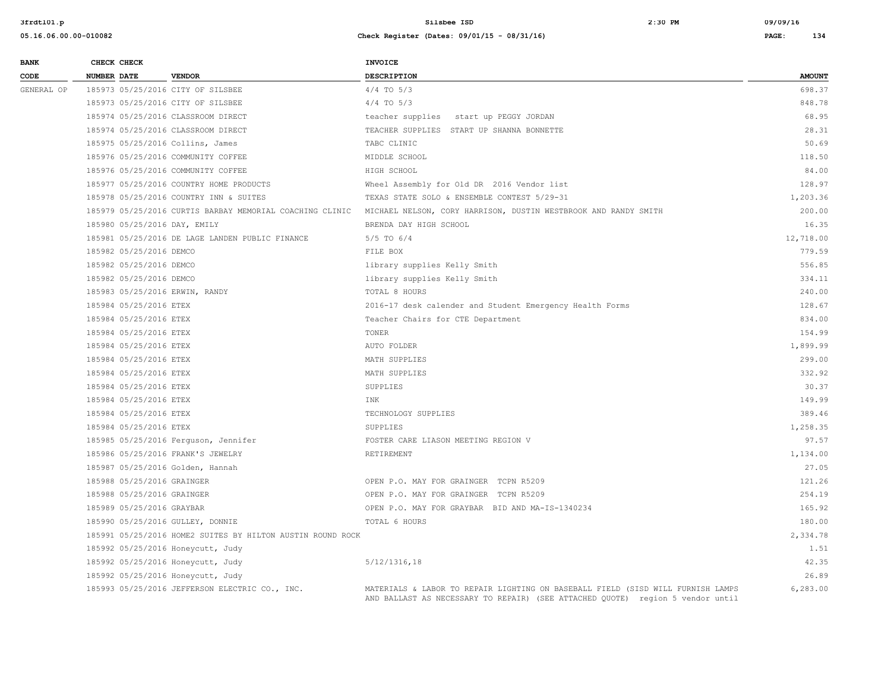| <b>BANK</b> | CHECK CHECK        |                            |                                                            | <b>INVOICE</b>                                                                                                                                                    |               |
|-------------|--------------------|----------------------------|------------------------------------------------------------|-------------------------------------------------------------------------------------------------------------------------------------------------------------------|---------------|
| CODE        | <b>NUMBER DATE</b> |                            | <b>VENDOR</b>                                              | <b>DESCRIPTION</b>                                                                                                                                                | <b>AMOUNT</b> |
| GENERAL OP  |                    |                            | 185973 05/25/2016 CITY OF SILSBEE                          | $4/4$ TO $5/3$                                                                                                                                                    | 698.37        |
|             |                    |                            | 185973 05/25/2016 CITY OF SILSBEE                          | $4/4$ TO $5/3$                                                                                                                                                    | 848.78        |
|             |                    |                            | 185974 05/25/2016 CLASSROOM DIRECT                         | teacher supplies start up PEGGY JORDAN                                                                                                                            | 68.95         |
|             |                    |                            | 185974 05/25/2016 CLASSROOM DIRECT                         | TEACHER SUPPLIES START UP SHANNA BONNETTE                                                                                                                         | 28.31         |
|             |                    |                            | 185975 05/25/2016 Collins, James                           | TABC CLINIC                                                                                                                                                       | 50.69         |
|             |                    |                            | 185976 05/25/2016 COMMUNITY COFFEE                         | MIDDLE SCHOOL                                                                                                                                                     | 118.50        |
|             |                    |                            | 185976 05/25/2016 COMMUNITY COFFEE                         | HIGH SCHOOL                                                                                                                                                       | 84.00         |
|             |                    |                            | 185977 05/25/2016 COUNTRY HOME PRODUCTS                    | Wheel Assembly for Old DR 2016 Vendor list                                                                                                                        | 128.97        |
|             |                    |                            | 185978 05/25/2016 COUNTRY INN & SUITES                     | TEXAS STATE SOLO & ENSEMBLE CONTEST 5/29-31                                                                                                                       | 1,203.36      |
|             |                    |                            | 185979 05/25/2016 CURTIS BARBAY MEMORIAL COACHING CLINIC   | MICHAEL NELSON, CORY HARRISON, DUSTIN WESTBROOK AND RANDY SMITH                                                                                                   | 200.00        |
|             |                    |                            | 185980 05/25/2016 DAY, EMILY                               | BRENDA DAY HIGH SCHOOL                                                                                                                                            | 16.35         |
|             |                    |                            | 185981 05/25/2016 DE LAGE LANDEN PUBLIC FINANCE            | 5/5 TO 6/4                                                                                                                                                        | 12,718.00     |
|             |                    | 185982 05/25/2016 DEMCO    |                                                            | FILE BOX                                                                                                                                                          | 779.59        |
|             |                    | 185982 05/25/2016 DEMCO    |                                                            | library supplies Kelly Smith                                                                                                                                      | 556.85        |
|             |                    | 185982 05/25/2016 DEMCO    |                                                            | library supplies Kelly Smith                                                                                                                                      | 334.11        |
|             |                    |                            | 185983 05/25/2016 ERWIN, RANDY                             | TOTAL 8 HOURS                                                                                                                                                     | 240.00        |
|             |                    | 185984 05/25/2016 ETEX     |                                                            | 2016-17 desk calender and Student Emergency Health Forms                                                                                                          | 128.67        |
|             |                    | 185984 05/25/2016 ETEX     |                                                            | Teacher Chairs for CTE Department                                                                                                                                 | 834.00        |
|             |                    | 185984 05/25/2016 ETEX     |                                                            | TONER                                                                                                                                                             | 154.99        |
|             |                    | 185984 05/25/2016 ETEX     |                                                            | AUTO FOLDER                                                                                                                                                       | 1,899.99      |
|             |                    | 185984 05/25/2016 ETEX     |                                                            | MATH SUPPLIES                                                                                                                                                     | 299.00        |
|             |                    | 185984 05/25/2016 ETEX     |                                                            | MATH SUPPLIES                                                                                                                                                     | 332.92        |
|             |                    | 185984 05/25/2016 ETEX     |                                                            | SUPPLIES                                                                                                                                                          | 30.37         |
|             |                    | 185984 05/25/2016 ETEX     |                                                            | INK                                                                                                                                                               | 149.99        |
|             |                    | 185984 05/25/2016 ETEX     |                                                            | TECHNOLOGY SUPPLIES                                                                                                                                               | 389.46        |
|             |                    | 185984 05/25/2016 ETEX     |                                                            | SUPPLIES                                                                                                                                                          | 1,258.35      |
|             |                    |                            | 185985 05/25/2016 Ferguson, Jennifer                       | FOSTER CARE LIASON MEETING REGION V                                                                                                                               | 97.57         |
|             |                    |                            | 185986 05/25/2016 FRANK'S JEWELRY                          | RETIREMENT                                                                                                                                                        | 1,134.00      |
|             |                    |                            | 185987 05/25/2016 Golden, Hannah                           |                                                                                                                                                                   | 27.05         |
|             |                    | 185988 05/25/2016 GRAINGER |                                                            | OPEN P.O. MAY FOR GRAINGER TCPN R5209                                                                                                                             | 121.26        |
|             |                    | 185988 05/25/2016 GRAINGER |                                                            | OPEN P.O. MAY FOR GRAINGER TCPN R5209                                                                                                                             | 254.19        |
|             |                    | 185989 05/25/2016 GRAYBAR  |                                                            | OPEN P.O. MAY FOR GRAYBAR BID AND MA-IS-1340234                                                                                                                   | 165.92        |
|             |                    |                            | 185990 05/25/2016 GULLEY, DONNIE                           | TOTAL 6 HOURS                                                                                                                                                     | 180.00        |
|             |                    |                            | 185991 05/25/2016 HOME2 SUITES BY HILTON AUSTIN ROUND ROCK |                                                                                                                                                                   | 2,334.78      |
|             |                    |                            | 185992 05/25/2016 Honeycutt, Judy                          |                                                                                                                                                                   | 1.51          |
|             |                    |                            | 185992 05/25/2016 Honeycutt, Judy                          | 5/12/1316,18                                                                                                                                                      | 42.35         |
|             |                    |                            | 185992 05/25/2016 Honeycutt, Judy                          |                                                                                                                                                                   | 26.89         |
|             |                    |                            | 185993 05/25/2016 JEFFERSON ELECTRIC CO., INC.             | MATERIALS & LABOR TO REPAIR LIGHTING ON BASEBALL FIELD (SISD WILL FURNISH LAMPS<br>AND BALLAST AS NECESSARY TO REPAIR) (SEE ATTACHED QUOTE) region 5 vendor until | 6,283.00      |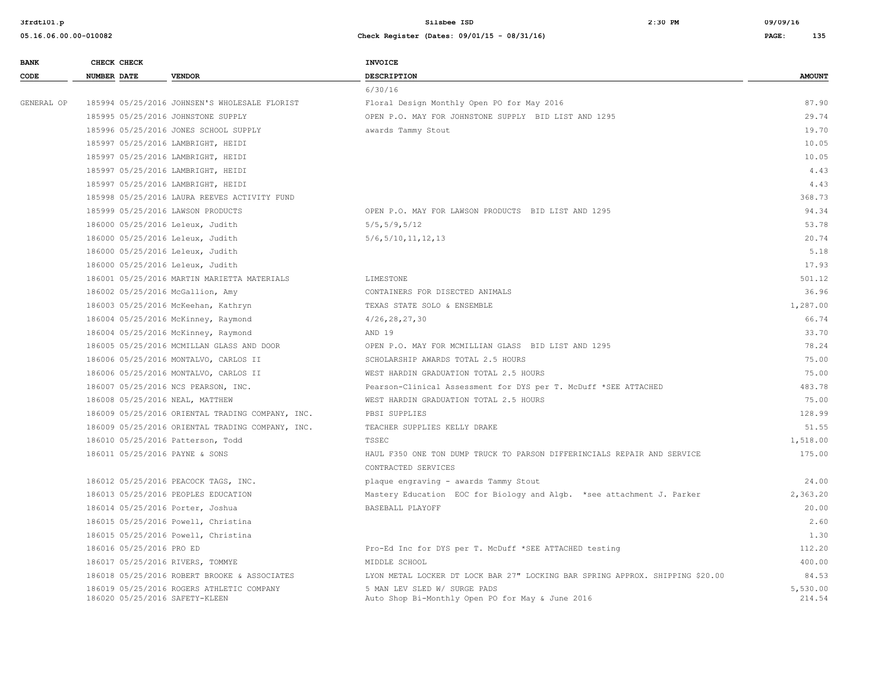| <b>BANK</b> | CHECK CHECK                       |                                                  | INVOICE                                                                          |                    |
|-------------|-----------------------------------|--------------------------------------------------|----------------------------------------------------------------------------------|--------------------|
| CODE        | <b>NUMBER DATE</b>                | <b>VENDOR</b>                                    | <b>DESCRIPTION</b>                                                               | <b>AMOUNT</b>      |
|             |                                   |                                                  | 6/30/16                                                                          |                    |
| GENERAL OP  |                                   | 185994 05/25/2016 JOHNSEN'S WHOLESALE FLORIST    | Floral Design Monthly Open PO for May 2016                                       | 87.90              |
|             |                                   | 185995 05/25/2016 JOHNSTONE SUPPLY               | OPEN P.O. MAY FOR JOHNSTONE SUPPLY BID LIST AND 1295                             | 29.74              |
|             |                                   | 185996 05/25/2016 JONES SCHOOL SUPPLY            | awards Tammy Stout                                                               | 19.70              |
|             |                                   | 185997 05/25/2016 LAMBRIGHT, HEIDI               |                                                                                  | 10.05              |
|             |                                   | 185997 05/25/2016 LAMBRIGHT, HEIDI               |                                                                                  | 10.05              |
|             |                                   | 185997 05/25/2016 LAMBRIGHT, HEIDI               |                                                                                  | 4.43               |
|             |                                   | 185997 05/25/2016 LAMBRIGHT, HEIDI               |                                                                                  | 4.43               |
|             |                                   | 185998 05/25/2016 LAURA REEVES ACTIVITY FUND     |                                                                                  | 368.73             |
|             | 185999 05/25/2016 LAWSON PRODUCTS |                                                  | OPEN P.O. MAY FOR LAWSON PRODUCTS BID LIST AND 1295                              | 94.34              |
|             | 186000 05/25/2016 Leleux, Judith  |                                                  | 5/5, 5/9, 5/12                                                                   | 53.78              |
|             | 186000 05/25/2016 Leleux, Judith  |                                                  | 5/6, 5/10, 11, 12, 13                                                            | 20.74              |
|             | 186000 05/25/2016 Leleux, Judith  |                                                  |                                                                                  | 5.18               |
|             | 186000 05/25/2016 Leleux, Judith  |                                                  |                                                                                  | 17.93              |
|             |                                   | 186001 05/25/2016 MARTIN MARIETTA MATERIALS      | LIMESTONE                                                                        | 501.12             |
|             | 186002 05/25/2016 McGallion, Amy  |                                                  | CONTAINERS FOR DISECTED ANIMALS                                                  | 36.96              |
|             |                                   | 186003 05/25/2016 McKeehan, Kathryn              | TEXAS STATE SOLO & ENSEMBLE                                                      | 1,287.00           |
|             |                                   | 186004 05/25/2016 McKinney, Raymond              | 4/26, 28, 27, 30                                                                 | 66.74              |
|             |                                   | 186004 05/25/2016 McKinney, Raymond              | AND 19                                                                           | 33.70              |
|             |                                   | 186005 05/25/2016 MCMILLAN GLASS AND DOOR        | OPEN P.O. MAY FOR MCMILLIAN GLASS BID LIST AND 1295                              | 78.24              |
|             |                                   | 186006 05/25/2016 MONTALVO, CARLOS II            | SCHOLARSHIP AWARDS TOTAL 2.5 HOURS                                               | 75.00              |
|             |                                   | 186006 05/25/2016 MONTALVO, CARLOS II            | WEST HARDIN GRADUATION TOTAL 2.5 HOURS                                           | 75.00              |
|             |                                   | 186007 05/25/2016 NCS PEARSON, INC.              | Pearson-Clinical Assessment for DYS per T. McDuff *SEE ATTACHED                  | 483.78             |
|             | 186008 05/25/2016 NEAL, MATTHEW   |                                                  | WEST HARDIN GRADUATION TOTAL 2.5 HOURS                                           | 75.00              |
|             |                                   | 186009 05/25/2016 ORIENTAL TRADING COMPANY, INC. | PBSI SUPPLIES                                                                    | 128.99             |
|             |                                   | 186009 05/25/2016 ORIENTAL TRADING COMPANY, INC. | TEACHER SUPPLIES KELLY DRAKE                                                     | 51.55              |
|             | 186010 05/25/2016 Patterson, Todd |                                                  | <b>TSSEC</b>                                                                     | 1,518.00           |
|             | 186011 05/25/2016 PAYNE & SONS    |                                                  | HAUL F350 ONE TON DUMP TRUCK TO PARSON DIFFERINCIALS REPAIR AND SERVICE          | 175.00             |
|             |                                   |                                                  | CONTRACTED SERVICES                                                              |                    |
|             |                                   | 186012 05/25/2016 PEACOCK TAGS, INC.             | plaque engraving - awards Tammy Stout                                            | 24.00              |
|             |                                   | 186013 05/25/2016 PEOPLES EDUCATION              | Mastery Education EOC for Biology and Algb. *see attachment J. Parker            | 2,363.20           |
|             | 186014 05/25/2016 Porter, Joshua  |                                                  | BASEBALL PLAYOFF                                                                 | 20.00              |
|             |                                   | 186015 05/25/2016 Powell, Christina              |                                                                                  | 2.60               |
|             |                                   | 186015 05/25/2016 Powell, Christina              |                                                                                  | 1.30               |
|             | 186016 05/25/2016 PRO ED          |                                                  | Pro-Ed Inc for DYS per T. McDuff *SEE ATTACHED testing                           | 112.20             |
|             | 186017 05/25/2016 RIVERS, TOMMYE  |                                                  | MIDDLE SCHOOL                                                                    | 400.00             |
|             |                                   | 186018 05/25/2016 ROBERT BROOKE & ASSOCIATES     | LYON METAL LOCKER DT LOCK BAR 27" LOCKING BAR SPRING APPROX. SHIPPING \$20.00    | 84.53              |
|             | 186020 05/25/2016 SAFETY-KLEEN    | 186019 05/25/2016 ROGERS ATHLETIC COMPANY        | 5 MAN LEV SLED W/ SURGE PADS<br>Auto Shop Bi-Monthly Open PO for May & June 2016 | 5,530.00<br>214.54 |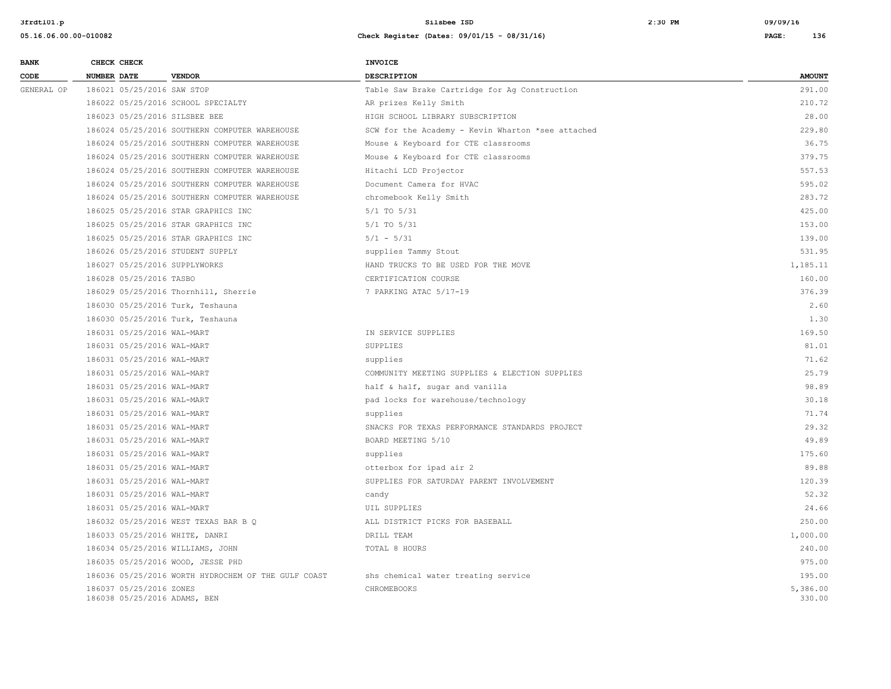| <b>BANK</b> | CHECK CHECK                                             |                                                     | <b>INVOICE</b>                                    |                    |
|-------------|---------------------------------------------------------|-----------------------------------------------------|---------------------------------------------------|--------------------|
| CODE        | <b>NUMBER DATE</b>                                      | <b>VENDOR</b>                                       | <b>DESCRIPTION</b>                                | <b>AMOUNT</b>      |
| GENERAL OP  | 186021 05/25/2016 SAW STOP                              |                                                     | Table Saw Brake Cartridge for Ag Construction     | 291.00             |
|             |                                                         | 186022 05/25/2016 SCHOOL SPECIALTY                  | AR prizes Kelly Smith                             | 210.72             |
|             | 186023 05/25/2016 SILSBEE BEE                           |                                                     | HIGH SCHOOL LIBRARY SUBSCRIPTION                  | 28.00              |
|             |                                                         | 186024 05/25/2016 SOUTHERN COMPUTER WAREHOUSE       | SCW for the Academy - Kevin Wharton *see attached | 229.80             |
|             |                                                         | 186024 05/25/2016 SOUTHERN COMPUTER WAREHOUSE       | Mouse & Keyboard for CTE classrooms               | 36.75              |
|             |                                                         | 186024 05/25/2016 SOUTHERN COMPUTER WAREHOUSE       | Mouse & Keyboard for CTE classrooms               | 379.75             |
|             |                                                         | 186024 05/25/2016 SOUTHERN COMPUTER WAREHOUSE       | Hitachi LCD Projector                             | 557.53             |
|             |                                                         | 186024 05/25/2016 SOUTHERN COMPUTER WAREHOUSE       | Document Camera for HVAC                          | 595.02             |
|             |                                                         | 186024 05/25/2016 SOUTHERN COMPUTER WAREHOUSE       | chromebook Kelly Smith                            | 283.72             |
|             |                                                         | 186025 05/25/2016 STAR GRAPHICS INC                 | $5/1$ TO $5/31$                                   | 425.00             |
|             |                                                         | 186025 05/25/2016 STAR GRAPHICS INC                 | $5/1$ TO $5/31$                                   | 153.00             |
|             |                                                         | 186025 05/25/2016 STAR GRAPHICS INC                 | $5/1 - 5/31$                                      | 139.00             |
|             | 186026 05/25/2016 STUDENT SUPPLY                        |                                                     | supplies Tammy Stout                              | 531.95             |
|             | 186027 05/25/2016 SUPPLYWORKS                           |                                                     | HAND TRUCKS TO BE USED FOR THE MOVE               | 1,185.11           |
|             | 186028 05/25/2016 TASBO                                 |                                                     | CERTIFICATION COURSE                              | 160.00             |
|             |                                                         | 186029 05/25/2016 Thornhill, Sherrie                | 7 PARKING ATAC 5/17-19                            | 376.39             |
|             | 186030 05/25/2016 Turk, Teshauna                        |                                                     |                                                   | 2.60               |
|             | 186030 05/25/2016 Turk, Teshauna                        |                                                     |                                                   | 1.30               |
|             | 186031 05/25/2016 WAL-MART                              |                                                     | IN SERVICE SUPPLIES                               | 169.50             |
|             | 186031 05/25/2016 WAL-MART                              |                                                     | SUPPLIES                                          | 81.01              |
|             | 186031 05/25/2016 WAL-MART                              |                                                     | supplies                                          | 71.62              |
|             | 186031 05/25/2016 WAL-MART                              |                                                     | COMMUNITY MEETING SUPPLIES & ELECTION SUPPLIES    | 25.79              |
|             | 186031 05/25/2016 WAL-MART                              |                                                     | half & half, sugar and vanilla                    | 98.89              |
|             | 186031 05/25/2016 WAL-MART                              |                                                     | pad locks for warehouse/technology                | 30.18              |
|             | 186031 05/25/2016 WAL-MART                              |                                                     | supplies                                          | 71.74              |
|             | 186031 05/25/2016 WAL-MART                              |                                                     | SNACKS FOR TEXAS PERFORMANCE STANDARDS PROJECT    | 29.32              |
|             | 186031 05/25/2016 WAL-MART                              |                                                     | BOARD MEETING 5/10                                | 49.89              |
|             | 186031 05/25/2016 WAL-MART                              |                                                     | supplies                                          | 175.60             |
|             | 186031 05/25/2016 WAL-MART                              |                                                     | otterbox for ipad air 2                           | 89.88              |
|             | 186031 05/25/2016 WAL-MART                              |                                                     | SUPPLIES FOR SATURDAY PARENT INVOLVEMENT          | 120.39             |
|             | 186031 05/25/2016 WAL-MART                              |                                                     | candy                                             | 52.32              |
|             | 186031 05/25/2016 WAL-MART                              |                                                     | UIL SUPPLIES                                      | 24.66              |
|             |                                                         | 186032 05/25/2016 WEST TEXAS BAR B Q                | ALL DISTRICT PICKS FOR BASEBALL                   | 250.00             |
|             | 186033 05/25/2016 WHITE, DANRI                          |                                                     | DRILL TEAM                                        | 1,000.00           |
|             | 186034 05/25/2016 WILLIAMS, JOHN                        |                                                     | TOTAL 8 HOURS                                     | 240.00             |
|             |                                                         | 186035 05/25/2016 WOOD, JESSE PHD                   |                                                   | 975.00             |
|             |                                                         | 186036 05/25/2016 WORTH HYDROCHEM OF THE GULF COAST | shs chemical water treating service               | 195.00             |
|             | 186037 05/25/2016 ZONES<br>186038 05/25/2016 ADAMS, BEN |                                                     | <b>CHROMEBOOKS</b>                                | 5,386.00<br>330.00 |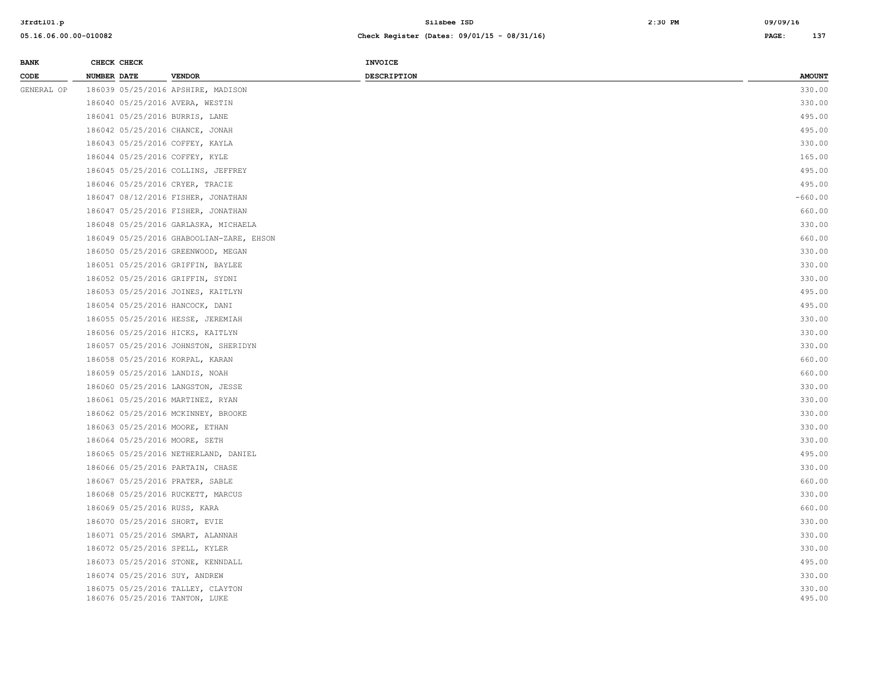| <b>BANK</b> | CHECK CHECK                              | <b>INVOICE</b>     |               |
|-------------|------------------------------------------|--------------------|---------------|
| CODE        | <b>NUMBER DATE</b><br><b>VENDOR</b>      | <b>DESCRIPTION</b> | <b>AMOUNT</b> |
| GENERAL OP  | 186039 05/25/2016 APSHIRE, MADISON       |                    | 330.00        |
|             | 186040 05/25/2016 AVERA, WESTIN          |                    | 330.00        |
|             | 186041 05/25/2016 BURRIS, LANE           |                    | 495.00        |
|             | 186042 05/25/2016 CHANCE, JONAH          |                    | 495.00        |
|             | 186043 05/25/2016 COFFEY, KAYLA          |                    | 330.00        |
|             | 186044 05/25/2016 COFFEY, KYLE           |                    | 165.00        |
|             | 186045 05/25/2016 COLLINS, JEFFREY       |                    | 495.00        |
|             | 186046 05/25/2016 CRYER, TRACIE          |                    | 495.00        |
|             | 186047 08/12/2016 FISHER, JONATHAN       |                    | $-660.00$     |
|             | 186047 05/25/2016 FISHER, JONATHAN       |                    | 660.00        |
|             | 186048 05/25/2016 GARLASKA, MICHAELA     |                    | 330.00        |
|             | 186049 05/25/2016 GHABOOLIAN-ZARE, EHSON |                    | 660.00        |
|             | 186050 05/25/2016 GREENWOOD, MEGAN       |                    | 330.00        |
|             | 186051 05/25/2016 GRIFFIN, BAYLEE        |                    | 330.00        |
|             | 186052 05/25/2016 GRIFFIN, SYDNI         |                    | 330.00        |
|             | 186053 05/25/2016 JOINES, KAITLYN        |                    | 495.00        |
|             | 186054 05/25/2016 HANCOCK, DANI          |                    | 495.00        |
|             | 186055 05/25/2016 HESSE, JEREMIAH        |                    | 330.00        |
|             | 186056 05/25/2016 HICKS, KAITLYN         |                    | 330.00        |
|             | 186057 05/25/2016 JOHNSTON, SHERIDYN     |                    | 330.00        |
|             | 186058 05/25/2016 KORPAL, KARAN          |                    | 660.00        |
|             | 186059 05/25/2016 LANDIS, NOAH           |                    | 660.00        |
|             | 186060 05/25/2016 LANGSTON, JESSE        |                    | 330.00        |
|             | 186061 05/25/2016 MARTINEZ, RYAN         |                    | 330.00        |
|             | 186062 05/25/2016 MCKINNEY, BROOKE       |                    | 330.00        |
|             | 186063 05/25/2016 MOORE, ETHAN           |                    | 330.00        |
|             | 186064 05/25/2016 MOORE, SETH            |                    | 330.00        |
|             | 186065 05/25/2016 NETHERLAND, DANIEL     |                    | 495.00        |
|             | 186066 05/25/2016 PARTAIN, CHASE         |                    | 330.00        |
|             | 186067 05/25/2016 PRATER, SABLE          |                    | 660.00        |
|             | 186068 05/25/2016 RUCKETT, MARCUS        |                    | 330.00        |
|             | 186069 05/25/2016 RUSS, KARA             |                    | 660.00        |
|             | 186070 05/25/2016 SHORT, EVIE            |                    | 330.00        |
|             | 186071 05/25/2016 SMART, ALANNAH         |                    | 330.00        |
|             | 186072 05/25/2016 SPELL, KYLER           |                    | 330.00        |
|             | 186073 05/25/2016 STONE, KENNDALL        |                    | 495.00        |
|             | 186074 05/25/2016 SUY, ANDREW            |                    | 330.00        |
|             | 186075 05/25/2016 TALLEY, CLAYTON        |                    | 330.00        |
|             | 186076 05/25/2016 TANTON, LUKE           |                    | 495.00        |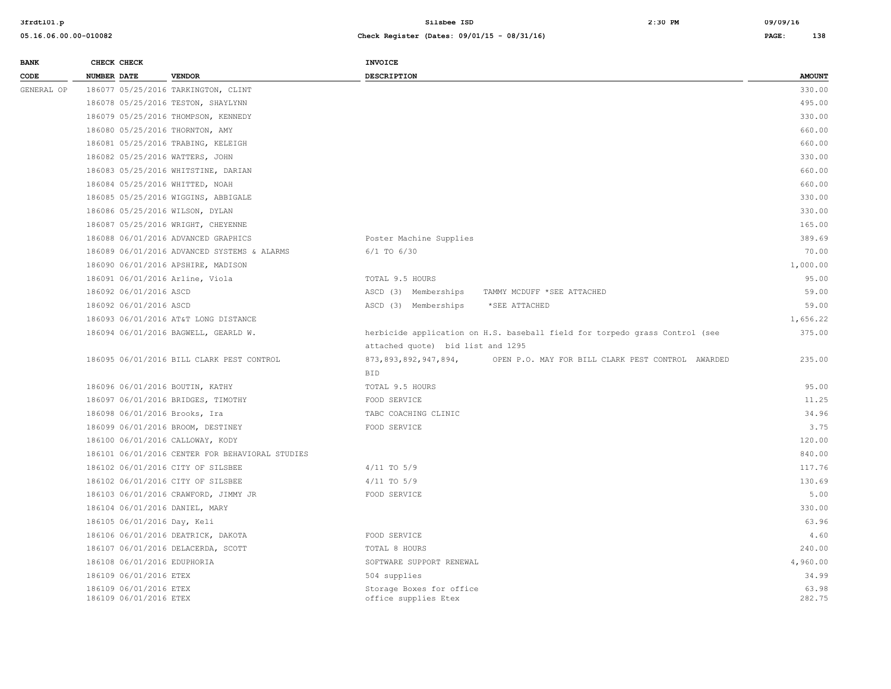| <b>BANK</b> | CHECK CHECK                                      |                                                 | <b>INVOICE</b>                                   |                                                                             |                 |
|-------------|--------------------------------------------------|-------------------------------------------------|--------------------------------------------------|-----------------------------------------------------------------------------|-----------------|
| CODE        | NUMBER DATE                                      | <b>VENDOR</b>                                   | DESCRIPTION                                      |                                                                             | <b>AMOUNT</b>   |
| GENERAL OP  |                                                  | 186077 05/25/2016 TARKINGTON, CLINT             |                                                  |                                                                             | 330.00          |
|             |                                                  | 186078 05/25/2016 TESTON, SHAYLYNN              |                                                  |                                                                             | 495.00          |
|             |                                                  | 186079 05/25/2016 THOMPSON, KENNEDY             |                                                  |                                                                             | 330.00          |
|             | 186080 05/25/2016 THORNTON, AMY                  |                                                 |                                                  |                                                                             | 660.00          |
|             |                                                  | 186081 05/25/2016 TRABING, KELEIGH              |                                                  |                                                                             | 660.00          |
|             | 186082 05/25/2016 WATTERS, JOHN                  |                                                 |                                                  |                                                                             | 330.00          |
|             |                                                  | 186083 05/25/2016 WHITSTINE, DARIAN             |                                                  |                                                                             | 660.00          |
|             | 186084 05/25/2016 WHITTED, NOAH                  |                                                 |                                                  |                                                                             | 660.00          |
|             |                                                  | 186085 05/25/2016 WIGGINS, ABBIGALE             |                                                  |                                                                             | 330.00          |
|             | 186086 05/25/2016 WILSON, DYLAN                  |                                                 |                                                  |                                                                             | 330.00          |
|             |                                                  | 186087 05/25/2016 WRIGHT, CHEYENNE              |                                                  |                                                                             | 165.00          |
|             |                                                  | 186088 06/01/2016 ADVANCED GRAPHICS             | Poster Machine Supplies                          |                                                                             | 389.69          |
|             |                                                  | 186089 06/01/2016 ADVANCED SYSTEMS & ALARMS     | 6/1 TO 6/30                                      |                                                                             | 70.00           |
|             |                                                  | 186090 06/01/2016 APSHIRE, MADISON              |                                                  |                                                                             | 1,000.00        |
|             | 186091 06/01/2016 Arline, Viola                  |                                                 | TOTAL 9.5 HOURS                                  |                                                                             | 95.00           |
|             | 186092 06/01/2016 ASCD                           |                                                 | ASCD (3) Memberships                             | TAMMY MCDUFF *SEE ATTACHED                                                  | 59.00           |
|             | 186092 06/01/2016 ASCD                           |                                                 | ASCD (3) Memberships                             | *SEE ATTACHED                                                               | 59.00           |
|             |                                                  | 186093 06/01/2016 AT&T LONG DISTANCE            |                                                  |                                                                             | 1,656.22        |
|             |                                                  | 186094 06/01/2016 BAGWELL, GEARLD W.            |                                                  | herbicide application on H.S. baseball field for torpedo grass Control (see | 375.00          |
|             |                                                  |                                                 | attached quote) bid list and 1295                |                                                                             |                 |
|             |                                                  | 186095 06/01/2016 BILL CLARK PEST CONTROL       | 873, 893, 892, 947, 894,                         | OPEN P.O. MAY FOR BILL CLARK PEST CONTROL AWARDED                           | 235.00          |
|             |                                                  |                                                 | <b>BID</b>                                       |                                                                             |                 |
|             | 186096 06/01/2016 BOUTIN, KATHY                  |                                                 | TOTAL 9.5 HOURS                                  |                                                                             | 95.00           |
|             |                                                  | 186097 06/01/2016 BRIDGES, TIMOTHY              | FOOD SERVICE                                     |                                                                             | 11.25           |
|             | 186098 06/01/2016 Brooks, Ira                    |                                                 | TABC COACHING CLINIC                             |                                                                             | 34.96           |
|             |                                                  | 186099 06/01/2016 BROOM, DESTINEY               | FOOD SERVICE                                     |                                                                             | 3.75            |
|             | 186100 06/01/2016 CALLOWAY, KODY                 |                                                 |                                                  |                                                                             | 120.00          |
|             |                                                  | 186101 06/01/2016 CENTER FOR BEHAVIORAL STUDIES |                                                  |                                                                             | 840.00          |
|             |                                                  | 186102 06/01/2016 CITY OF SILSBEE               | $4/11$ TO $5/9$                                  |                                                                             | 117.76          |
|             |                                                  | 186102 06/01/2016 CITY OF SILSBEE               | $4/11$ TO $5/9$                                  |                                                                             | 130.69          |
|             |                                                  | 186103 06/01/2016 CRAWFORD, JIMMY JR            | FOOD SERVICE                                     |                                                                             | 5.00            |
|             | 186104 06/01/2016 DANIEL, MARY                   |                                                 |                                                  |                                                                             | 330.00          |
|             | 186105 06/01/2016 Day, Keli                      |                                                 |                                                  |                                                                             | 63.96           |
|             |                                                  | 186106 06/01/2016 DEATRICK, DAKOTA              | FOOD SERVICE                                     |                                                                             | 4.60            |
|             |                                                  | 186107 06/01/2016 DELACERDA, SCOTT              | TOTAL 8 HOURS                                    |                                                                             | 240.00          |
|             | 186108 06/01/2016 EDUPHORIA                      |                                                 | SOFTWARE SUPPORT RENEWAL                         |                                                                             | 4,960.00        |
|             | 186109 06/01/2016 ETEX                           |                                                 | 504 supplies                                     |                                                                             | 34.99           |
|             | 186109 06/01/2016 ETEX<br>186109 06/01/2016 ETEX |                                                 | Storage Boxes for office<br>office supplies Etex |                                                                             | 63.98<br>282.75 |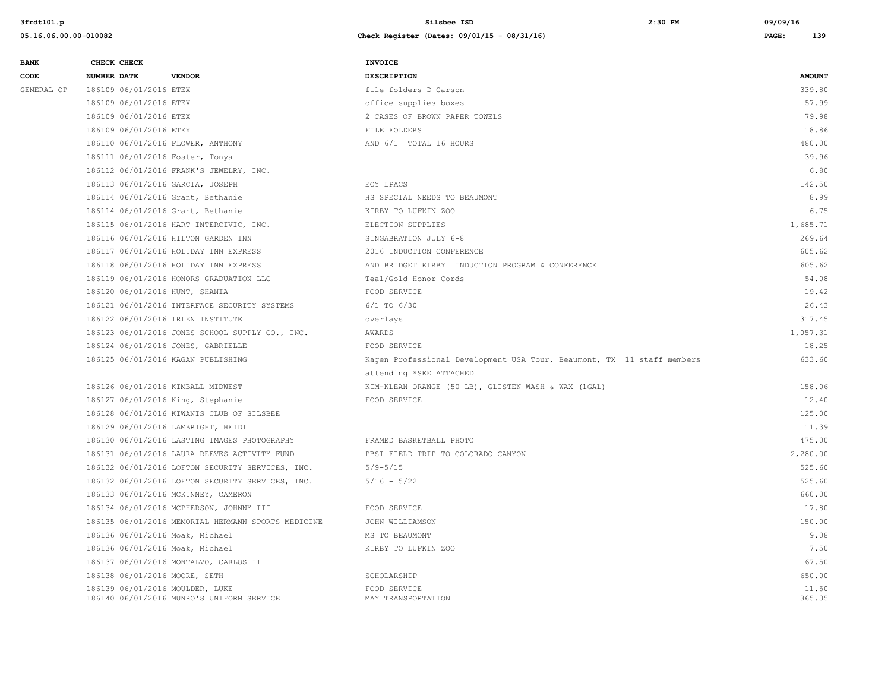| <b>BANK</b> | CHECK CHECK                       |                                                    | <b>INVOICE</b>                                                         |                 |
|-------------|-----------------------------------|----------------------------------------------------|------------------------------------------------------------------------|-----------------|
| CODE        | NUMBER DATE                       | <b>VENDOR</b>                                      | DESCRIPTION                                                            | <b>AMOUNT</b>   |
| GENERAL OP  | 186109 06/01/2016 ETEX            |                                                    | file folders D Carson                                                  | 339.80          |
|             | 186109 06/01/2016 ETEX            |                                                    | office supplies boxes                                                  | 57.99           |
|             | 186109 06/01/2016 ETEX            |                                                    | 2 CASES OF BROWN PAPER TOWELS                                          | 79.98           |
|             | 186109 06/01/2016 ETEX            |                                                    | FILE FOLDERS                                                           | 118.86          |
|             | 186110 06/01/2016 FLOWER, ANTHONY |                                                    | AND 6/1 TOTAL 16 HOURS                                                 | 480.00          |
|             | 186111 06/01/2016 Foster, Tonya   |                                                    |                                                                        | 39.96           |
|             |                                   | 186112 06/01/2016 FRANK'S JEWELRY, INC.            |                                                                        | 6.80            |
|             | 186113 06/01/2016 GARCIA, JOSEPH  |                                                    | EOY LPACS                                                              | 142.50          |
|             | 186114 06/01/2016 Grant, Bethanie |                                                    | HS SPECIAL NEEDS TO BEAUMONT                                           | 8.99            |
|             | 186114 06/01/2016 Grant, Bethanie |                                                    | KIRBY TO LUFKIN ZOO                                                    | 6.75            |
|             |                                   | 186115 06/01/2016 HART INTERCIVIC, INC.            | ELECTION SUPPLIES                                                      | 1,685.71        |
|             |                                   | 186116 06/01/2016 HILTON GARDEN INN                | SINGABRATION JULY 6-8                                                  | 269.64          |
|             |                                   | 186117 06/01/2016 HOLIDAY INN EXPRESS              | 2016 INDUCTION CONFERENCE                                              | 605.62          |
|             |                                   | 186118 06/01/2016 HOLIDAY INN EXPRESS              | AND BRIDGET KIRBY INDUCTION PROGRAM & CONFERENCE                       | 605.62          |
|             |                                   | 186119 06/01/2016 HONORS GRADUATION LLC            | Teal/Gold Honor Cords                                                  | 54.08           |
|             | 186120 06/01/2016 HUNT, SHANIA    |                                                    | FOOD SERVICE                                                           | 19.42           |
|             |                                   | 186121 06/01/2016 INTERFACE SECURITY SYSTEMS       | $6/1$ TO $6/30$                                                        | 26.43           |
|             | 186122 06/01/2016 IRLEN INSTITUTE |                                                    | overlays                                                               | 317.45          |
|             |                                   | 186123 06/01/2016 JONES SCHOOL SUPPLY CO., INC.    | AWARDS                                                                 | 1,057.31        |
|             |                                   | 186124 06/01/2016 JONES, GABRIELLE                 | FOOD SERVICE                                                           | 18.25           |
|             |                                   | 186125 06/01/2016 KAGAN PUBLISHING                 | Kagen Professional Development USA Tour, Beaumont, TX 11 staff members | 633.60          |
|             |                                   |                                                    | attending *SEE ATTACHED                                                |                 |
|             | 186126 06/01/2016 KIMBALL MIDWEST |                                                    | KIM-KLEAN ORANGE (50 LB), GLISTEN WASH & WAX (1GAL)                    | 158.06          |
|             | 186127 06/01/2016 King, Stephanie |                                                    | FOOD SERVICE                                                           | 12.40           |
|             |                                   | 186128 06/01/2016 KIWANIS CLUB OF SILSBEE          |                                                                        | 125.00          |
|             |                                   | 186129 06/01/2016 LAMBRIGHT, HEIDI                 |                                                                        | 11.39           |
|             |                                   | 186130 06/01/2016 LASTING IMAGES PHOTOGRAPHY       | FRAMED BASKETBALL PHOTO                                                | 475.00          |
|             |                                   | 186131 06/01/2016 LAURA REEVES ACTIVITY FUND       | PBSI FIELD TRIP TO COLORADO CANYON                                     | 2,280.00        |
|             |                                   | 186132 06/01/2016 LOFTON SECURITY SERVICES, INC.   | $5/9 - 5/15$                                                           | 525.60          |
|             |                                   | 186132 06/01/2016 LOFTON SECURITY SERVICES, INC.   | $5/16 - 5/22$                                                          | 525.60          |
|             |                                   | 186133 06/01/2016 MCKINNEY, CAMERON                |                                                                        | 660.00          |
|             |                                   | 186134 06/01/2016 MCPHERSON, JOHNNY III            | FOOD SERVICE                                                           | 17.80           |
|             |                                   | 186135 06/01/2016 MEMORIAL HERMANN SPORTS MEDICINE | JOHN WILLIAMSON                                                        | 150.00          |
|             | 186136 06/01/2016 Moak, Michael   |                                                    | MS TO BEAUMONT                                                         | 9.08            |
|             | 186136 06/01/2016 Moak, Michael   |                                                    | KIRBY TO LUFKIN ZOO                                                    | 7.50            |
|             |                                   | 186137 06/01/2016 MONTALVO, CARLOS II              |                                                                        | 67.50           |
|             | 186138 06/01/2016 MOORE, SETH     |                                                    | SCHOLARSHIP                                                            | 650.00          |
|             | 186139 06/01/2016 MOULDER, LUKE   | 186140 06/01/2016 MUNRO'S UNIFORM SERVICE          | FOOD SERVICE<br>MAY TRANSPORTATION                                     | 11.50<br>365.35 |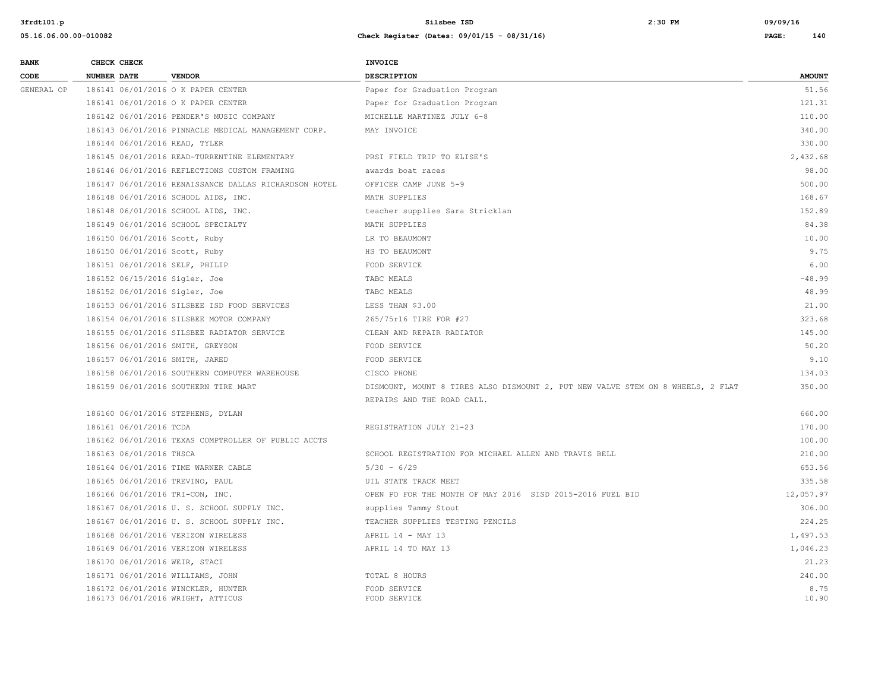**3frdtl01.p Silsbee ISD 2:30 PM 09/09/16**

| <b>BANK</b> | CHECK CHECK                     |                                                                         | INVOICE                                                                         |               |
|-------------|---------------------------------|-------------------------------------------------------------------------|---------------------------------------------------------------------------------|---------------|
| CODE        | <b>NUMBER DATE</b>              | <b>VENDOR</b>                                                           | <b>DESCRIPTION</b>                                                              | <b>AMOUNT</b> |
| GENERAL OP  |                                 | 186141 06/01/2016 O K PAPER CENTER                                      | Paper for Graduation Program                                                    | 51.56         |
|             |                                 | 186141 06/01/2016 O K PAPER CENTER                                      | Paper for Graduation Program                                                    | 121.31        |
|             |                                 | 186142 06/01/2016 PENDER'S MUSIC COMPANY                                | MICHELLE MARTINEZ JULY 6-8                                                      | 110.00        |
|             |                                 | 186143 06/01/2016 PINNACLE MEDICAL MANAGEMENT CORP.                     | MAY INVOICE                                                                     | 340.00        |
|             | 186144 06/01/2016 READ, TYLER   |                                                                         |                                                                                 | 330.00        |
|             |                                 | 186145 06/01/2016 READ-TURRENTINE ELEMENTARY                            | PRSI FIELD TRIP TO ELISE'S                                                      | 2,432.68      |
|             |                                 | 186146 06/01/2016 REFLECTIONS CUSTOM FRAMING                            | awards boat races                                                               | 98.00         |
|             |                                 | 186147 06/01/2016 RENAISSANCE DALLAS RICHARDSON HOTEL                   | OFFICER CAMP JUNE 5-9                                                           | 500.00        |
|             |                                 | 186148 06/01/2016 SCHOOL AIDS, INC.                                     | MATH SUPPLIES                                                                   | 168.67        |
|             |                                 | 186148 06/01/2016 SCHOOL AIDS, INC.                                     | teacher supplies Sara Stricklan                                                 | 152.89        |
|             |                                 | 186149 06/01/2016 SCHOOL SPECIALTY                                      | MATH SUPPLIES                                                                   | 84.38         |
|             | 186150 06/01/2016 Scott, Ruby   |                                                                         | LR TO BEAUMONT                                                                  | 10.00         |
|             | 186150 06/01/2016 Scott, Ruby   |                                                                         | HS TO BEAUMONT                                                                  | 9.75          |
|             | 186151 06/01/2016 SELF, PHILIP  |                                                                         | FOOD SERVICE                                                                    | 6.00          |
|             | 186152 06/15/2016 Sigler, Joe   |                                                                         | TABC MEALS                                                                      | $-48.99$      |
|             | 186152 06/01/2016 Sigler, Joe   |                                                                         | TABC MEALS                                                                      | 48.99         |
|             |                                 | 186153 06/01/2016 SILSBEE ISD FOOD SERVICES                             | LESS THAN \$3.00                                                                | 21.00         |
|             |                                 | 186154 06/01/2016 SILSBEE MOTOR COMPANY                                 | 265/75r16 TIRE FOR #27                                                          | 323.68        |
|             |                                 | 186155 06/01/2016 SILSBEE RADIATOR SERVICE                              | CLEAN AND REPAIR RADIATOR                                                       | 145.00        |
|             |                                 | 186156 06/01/2016 SMITH, GREYSON                                        | FOOD SERVICE                                                                    | 50.20         |
|             | 186157 06/01/2016 SMITH, JARED  |                                                                         | FOOD SERVICE                                                                    | 9.10          |
|             |                                 | 186158 06/01/2016 SOUTHERN COMPUTER WAREHOUSE                           | CISCO PHONE                                                                     | 134.03        |
|             |                                 | 186159 06/01/2016 SOUTHERN TIRE MART                                    | DISMOUNT, MOUNT 8 TIRES ALSO DISMOUNT 2, PUT NEW VALVE STEM ON 8 WHEELS, 2 FLAT | 350.00        |
|             |                                 |                                                                         | REPAIRS AND THE ROAD CALL.                                                      |               |
|             |                                 | 186160 06/01/2016 STEPHENS, DYLAN                                       |                                                                                 | 660.00        |
|             | 186161 06/01/2016 TCDA          |                                                                         | REGISTRATION JULY 21-23                                                         | 170.00        |
|             |                                 | 186162 06/01/2016 TEXAS COMPTROLLER OF PUBLIC ACCTS                     |                                                                                 | 100.00        |
|             | 186163 06/01/2016 THSCA         |                                                                         | SCHOOL REGISTRATION FOR MICHAEL ALLEN AND TRAVIS BELL                           | 210.00        |
|             |                                 | 186164 06/01/2016 TIME WARNER CABLE                                     | $5/30 - 6/29$                                                                   | 653.56        |
|             | 186165 06/01/2016 TREVINO, PAUL |                                                                         | UIL STATE TRACK MEET                                                            | 335.58        |
|             | 186166 06/01/2016 TRI-CON, INC. |                                                                         | OPEN PO FOR THE MONTH OF MAY 2016 SISD 2015-2016 FUEL BID                       | 12,057.97     |
|             |                                 | 186167 06/01/2016 U.S. SCHOOL SUPPLY INC.                               | supplies Tammy Stout                                                            | 306.00        |
|             |                                 | 186167 06/01/2016 U. S. SCHOOL SUPPLY INC.                              | TEACHER SUPPLIES TESTING PENCILS                                                | 224.25        |
|             |                                 | 186168 06/01/2016 VERIZON WIRELESS                                      | APRIL 14 - MAY 13                                                               | 1,497.53      |
|             |                                 | 186169 06/01/2016 VERIZON WIRELESS                                      | APRIL 14 TO MAY 13                                                              | 1,046.23      |
|             | 186170 06/01/2016 WEIR, STACI   |                                                                         |                                                                                 | 21.23         |
|             |                                 | 186171 06/01/2016 WILLIAMS, JOHN                                        | TOTAL 8 HOURS                                                                   | 240.00        |
|             |                                 | 186172 06/01/2016 WINCKLER, HUNTER<br>186173 06/01/2016 WRIGHT, ATTICUS | FOOD SERVICE<br>FOOD SERVICE                                                    | 8.75<br>10.90 |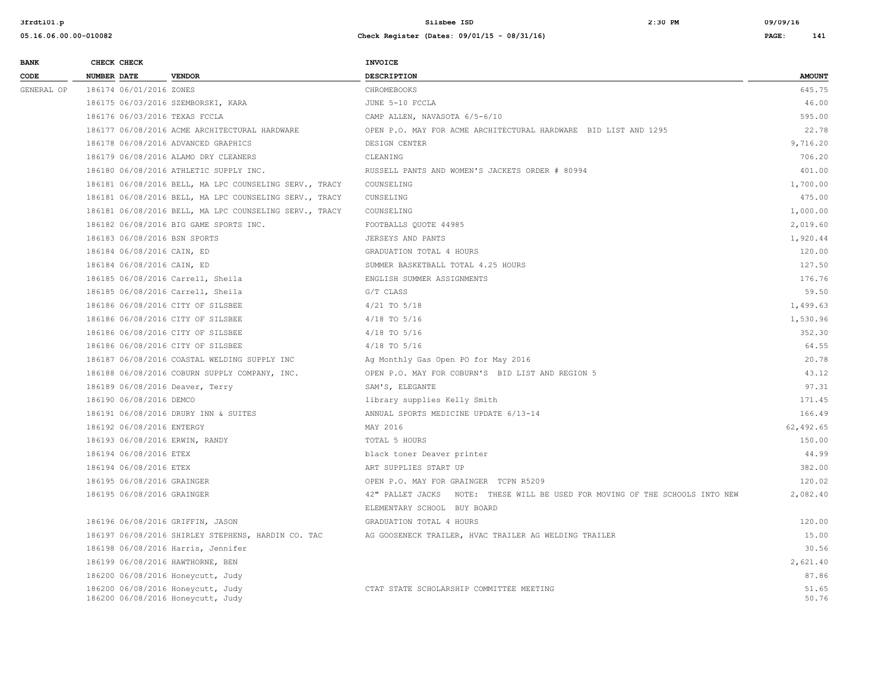| <b>BANK</b> | CHECK CHECK        |                            |                                                                        | <b>INVOICE</b>                                                               |                |
|-------------|--------------------|----------------------------|------------------------------------------------------------------------|------------------------------------------------------------------------------|----------------|
| CODE        | <b>NUMBER DATE</b> |                            | <b>VENDOR</b>                                                          | DESCRIPTION                                                                  | <b>AMOUNT</b>  |
| GENERAL OP  |                    | 186174 06/01/2016 ZONES    |                                                                        | CHROMEBOOKS                                                                  | 645.75         |
|             |                    |                            | 186175 06/03/2016 SZEMBORSKI, KARA                                     | JUNE 5-10 FCCLA                                                              | 46.00          |
|             |                    |                            | 186176 06/03/2016 TEXAS FCCLA                                          | CAMP ALLEN, NAVASOTA 6/5-6/10                                                | 595.00         |
|             |                    |                            | 186177 06/08/2016 ACME ARCHITECTURAL HARDWARE                          | OPEN P.O. MAY FOR ACME ARCHITECTURAL HARDWARE BID LIST AND 1295              | 22.78          |
|             |                    |                            | 186178 06/08/2016 ADVANCED GRAPHICS                                    | DESIGN CENTER                                                                | 9,716.20       |
|             |                    |                            | 186179 06/08/2016 ALAMO DRY CLEANERS                                   | CLEANING                                                                     | 706.20         |
|             |                    |                            | 186180 06/08/2016 ATHLETIC SUPPLY INC.                                 | RUSSELL PANTS AND WOMEN'S JACKETS ORDER # 80994                              | 401.00         |
|             |                    |                            | 186181 06/08/2016 BELL, MA LPC COUNSELING SERV., TRACY                 | COUNSELING                                                                   | 1,700.00       |
|             |                    |                            | 186181 06/08/2016 BELL, MA LPC COUNSELING SERV., TRACY                 | CUNSELING                                                                    | 475.00         |
|             |                    |                            | 186181 06/08/2016 BELL, MA LPC COUNSELING SERV., TRACY                 | COUNSELING                                                                   | 1,000.00       |
|             |                    |                            | 186182 06/08/2016 BIG GAME SPORTS INC.                                 | FOOTBALLS QUOTE 44985                                                        | 2,019.60       |
|             |                    |                            | 186183 06/08/2016 BSN SPORTS                                           | JERSEYS AND PANTS                                                            | 1,920.44       |
|             |                    | 186184 06/08/2016 CAIN, ED |                                                                        | GRADUATION TOTAL 4 HOURS                                                     | 120.00         |
|             |                    | 186184 06/08/2016 CAIN, ED |                                                                        | SUMMER BASKETBALL TOTAL 4.25 HOURS                                           | 127.50         |
|             |                    |                            | 186185 06/08/2016 Carrell, Sheila                                      | ENGLISH SUMMER ASSIGNMENTS                                                   | 176.76         |
|             |                    |                            | 186185 06/08/2016 Carrell, Sheila                                      | G/T CLASS                                                                    | 59.50          |
|             |                    |                            | 186186 06/08/2016 CITY OF SILSBEE                                      | $4/21$ TO $5/18$                                                             | 1,499.63       |
|             |                    |                            | 186186 06/08/2016 CITY OF SILSBEE                                      | $4/18$ TO $5/16$                                                             | 1,530.96       |
|             |                    |                            | 186186 06/08/2016 CITY OF SILSBEE                                      | 4/18 TO 5/16                                                                 | 352.30         |
|             |                    |                            | 186186 06/08/2016 CITY OF SILSBEE                                      | $4/18$ TO $5/16$                                                             | 64.55          |
|             |                    |                            | 186187 06/08/2016 COASTAL WELDING SUPPLY INC                           | Ag Monthly Gas Open PO for May 2016                                          | 20.78          |
|             |                    |                            | 186188 06/08/2016 COBURN SUPPLY COMPANY, INC.                          | OPEN P.O. MAY FOR COBURN'S BID LIST AND REGION 5                             | 43.12          |
|             |                    |                            | 186189 06/08/2016 Deaver, Terry                                        | SAM'S, ELEGANTE                                                              | 97.31          |
|             |                    | 186190 06/08/2016 DEMCO    |                                                                        | library supplies Kelly Smith                                                 | 171.45         |
|             |                    |                            | 186191 06/08/2016 DRURY INN & SUITES                                   | ANNUAL SPORTS MEDICINE UPDATE 6/13-14                                        | 166.49         |
|             |                    | 186192 06/08/2016 ENTERGY  |                                                                        | MAY 2016                                                                     | 62,492.65      |
|             |                    |                            | 186193 06/08/2016 ERWIN, RANDY                                         | TOTAL 5 HOURS                                                                | 150.00         |
|             |                    | 186194 06/08/2016 ETEX     |                                                                        | black toner Deaver printer                                                   | 44.99          |
|             |                    | 186194 06/08/2016 ETEX     |                                                                        | ART SUPPLIES START UP                                                        | 382.00         |
|             |                    | 186195 06/08/2016 GRAINGER |                                                                        | OPEN P.O. MAY FOR GRAINGER TCPN R5209                                        | 120.02         |
|             |                    | 186195 06/08/2016 GRAINGER |                                                                        | 42" PALLET JACKS NOTE: THESE WILL BE USED FOR MOVING OF THE SCHOOLS INTO NEW | 2,082.40       |
|             |                    |                            |                                                                        | ELEMENTARY SCHOOL BUY BOARD                                                  |                |
|             |                    |                            | 186196 06/08/2016 GRIFFIN, JASON                                       | GRADUATION TOTAL 4 HOURS                                                     | 120.00         |
|             |                    |                            | 186197 06/08/2016 SHIRLEY STEPHENS, HARDIN CO. TAC                     | AG GOOSENECK TRAILER, HVAC TRAILER AG WELDING TRAILER                        | 15.00          |
|             |                    |                            | 186198 06/08/2016 Harris, Jennifer                                     |                                                                              | 30.56          |
|             |                    |                            | 186199 06/08/2016 HAWTHORNE, BEN                                       |                                                                              | 2,621.40       |
|             |                    |                            | 186200 06/08/2016 Honeycutt, Judy                                      |                                                                              | 87.86          |
|             |                    |                            | 186200 06/08/2016 Honeycutt, Judy<br>186200 06/08/2016 Honeycutt, Judy | CTAT STATE SCHOLARSHIP COMMITTEE MEETING                                     | 51.65<br>50.76 |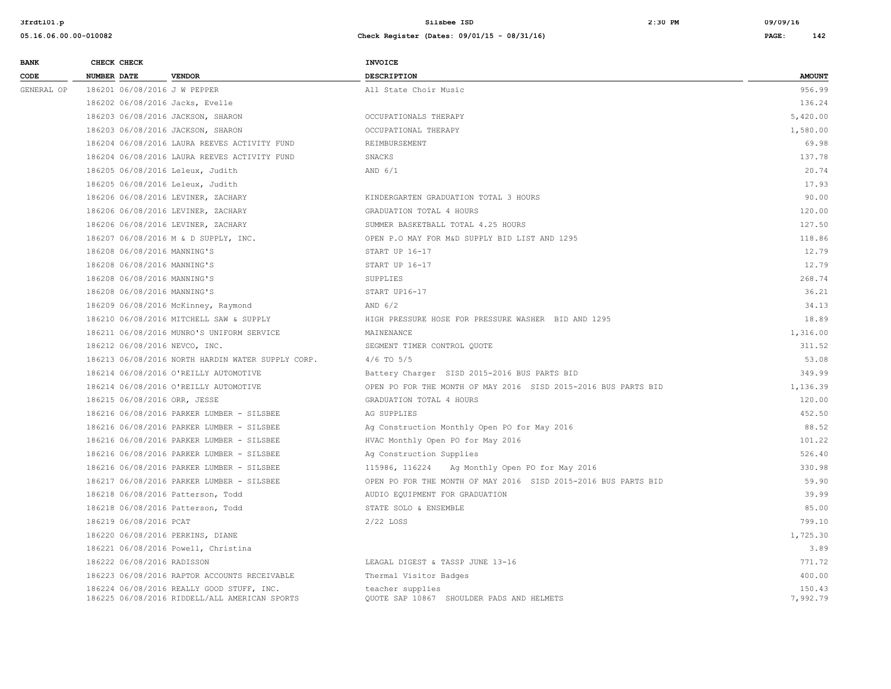| <b>BANK</b> |                    | CHECK CHECK                 |                                                                                            | <b>INVOICE</b>                                                 |                    |
|-------------|--------------------|-----------------------------|--------------------------------------------------------------------------------------------|----------------------------------------------------------------|--------------------|
| CODE        | <b>NUMBER DATE</b> |                             | <b>VENDOR</b>                                                                              | <b>DESCRIPTION</b>                                             | <b>AMOUNT</b>      |
| GENERAL OP  |                    |                             | 186201 06/08/2016 J W PEPPER                                                               | All State Choir Music                                          | 956.99             |
|             |                    |                             | 186202 06/08/2016 Jacks, Evelle                                                            |                                                                | 136.24             |
|             |                    |                             | 186203 06/08/2016 JACKSON, SHARON                                                          | OCCUPATIONALS THERAPY                                          | 5,420.00           |
|             |                    |                             | 186203 06/08/2016 JACKSON, SHARON                                                          | OCCUPATIONAL THERAPY                                           | 1,580.00           |
|             |                    |                             | 186204 06/08/2016 LAURA REEVES ACTIVITY FUND                                               | REIMBURSEMENT                                                  | 69.98              |
|             |                    |                             | 186204 06/08/2016 LAURA REEVES ACTIVITY FUND                                               | SNACKS                                                         | 137.78             |
|             |                    |                             | 186205 06/08/2016 Leleux, Judith                                                           | AND $6/1$                                                      | 20.74              |
|             |                    |                             | 186205 06/08/2016 Leleux, Judith                                                           |                                                                | 17.93              |
|             |                    |                             | 186206 06/08/2016 LEVINER, ZACHARY                                                         | KINDERGARTEN GRADUATION TOTAL 3 HOURS                          | 90.00              |
|             |                    |                             | 186206 06/08/2016 LEVINER, ZACHARY                                                         | GRADUATION TOTAL 4 HOURS                                       | 120.00             |
|             |                    |                             | 186206 06/08/2016 LEVINER, ZACHARY                                                         | SUMMER BASKETBALL TOTAL 4.25 HOURS                             | 127.50             |
|             |                    |                             | 186207 06/08/2016 M & D SUPPLY, INC.                                                       | OPEN P.O MAY FOR M&D SUPPLY BID LIST AND 1295                  | 118.86             |
|             |                    | 186208 06/08/2016 MANNING'S |                                                                                            | START UP 16-17                                                 | 12.79              |
|             |                    | 186208 06/08/2016 MANNING'S |                                                                                            | START UP 16-17                                                 | 12.79              |
|             |                    | 186208 06/08/2016 MANNING'S |                                                                                            | SUPPLIES                                                       | 268.74             |
|             |                    | 186208 06/08/2016 MANNING'S |                                                                                            | START UP16-17                                                  | 36.21              |
|             |                    |                             | 186209 06/08/2016 McKinney, Raymond                                                        | AND $6/2$                                                      | 34.13              |
|             |                    |                             | 186210 06/08/2016 MITCHELL SAW & SUPPLY                                                    | HIGH PRESSURE HOSE FOR PRESSURE WASHER BID AND 1295            | 18.89              |
|             |                    |                             | 186211 06/08/2016 MUNRO'S UNIFORM SERVICE                                                  | MAINENANCE                                                     | 1,316.00           |
|             |                    |                             | 186212 06/08/2016 NEVCO, INC.                                                              | SEGMENT TIMER CONTROL QUOTE                                    | 311.52             |
|             |                    |                             | 186213 06/08/2016 NORTH HARDIN WATER SUPPLY CORP.                                          | $4/6$ TO $5/5$                                                 | 53.08              |
|             |                    |                             | 186214 06/08/2016 O'REILLY AUTOMOTIVE                                                      | Battery Charger SISD 2015-2016 BUS PARTS BID                   | 349.99             |
|             |                    |                             | 186214 06/08/2016 O'REILLY AUTOMOTIVE                                                      | OPEN PO FOR THE MONTH OF MAY 2016 SISD 2015-2016 BUS PARTS BID | 1,136.39           |
|             |                    |                             | 186215 06/08/2016 ORR, JESSE                                                               | GRADUATION TOTAL 4 HOURS                                       | 120.00             |
|             |                    |                             | 186216 06/08/2016 PARKER LUMBER - SILSBEE                                                  | AG SUPPLIES                                                    | 452.50             |
|             |                    |                             | 186216 06/08/2016 PARKER LUMBER - SILSBEE                                                  | Ag Construction Monthly Open PO for May 2016                   | 88.52              |
|             |                    |                             | 186216 06/08/2016 PARKER LUMBER - SILSBEE                                                  | HVAC Monthly Open PO for May 2016                              | 101.22             |
|             |                    |                             | 186216 06/08/2016 PARKER LUMBER - SILSBEE                                                  | Ag Construction Supplies                                       | 526.40             |
|             |                    |                             | 186216 06/08/2016 PARKER LUMBER - SILSBEE                                                  | 115986, 116224 Ag Monthly Open PO for May 2016                 | 330.98             |
|             |                    |                             | 186217 06/08/2016 PARKER LUMBER - SILSBEE                                                  | OPEN PO FOR THE MONTH OF MAY 2016 SISD 2015-2016 BUS PARTS BID | 59.90              |
|             |                    |                             | 186218 06/08/2016 Patterson, Todd                                                          | AUDIO EQUIPMENT FOR GRADUATION                                 | 39.99              |
|             |                    |                             | 186218 06/08/2016 Patterson, Todd                                                          | STATE SOLO & ENSEMBLE                                          | 85.00              |
|             |                    | 186219 06/08/2016 PCAT      |                                                                                            | 2/22 LOSS                                                      | 799.10             |
|             |                    |                             | 186220 06/08/2016 PERKINS, DIANE                                                           |                                                                | 1,725.30           |
|             |                    |                             | 186221 06/08/2016 Powell, Christina                                                        |                                                                | 3.89               |
|             |                    | 186222 06/08/2016 RADISSON  |                                                                                            | LEAGAL DIGEST & TASSP JUNE 13-16                               | 771.72             |
|             |                    |                             | 186223 06/08/2016 RAPTOR ACCOUNTS RECEIVABLE                                               | Thermal Visitor Badges                                         | 400.00             |
|             |                    |                             | 186224 06/08/2016 REALLY GOOD STUFF, INC.<br>186225 06/08/2016 RIDDELL/ALL AMERICAN SPORTS | teacher supplies<br>QUOTE SAP 10867 SHOULDER PADS AND HELMETS  | 150.43<br>7,992.79 |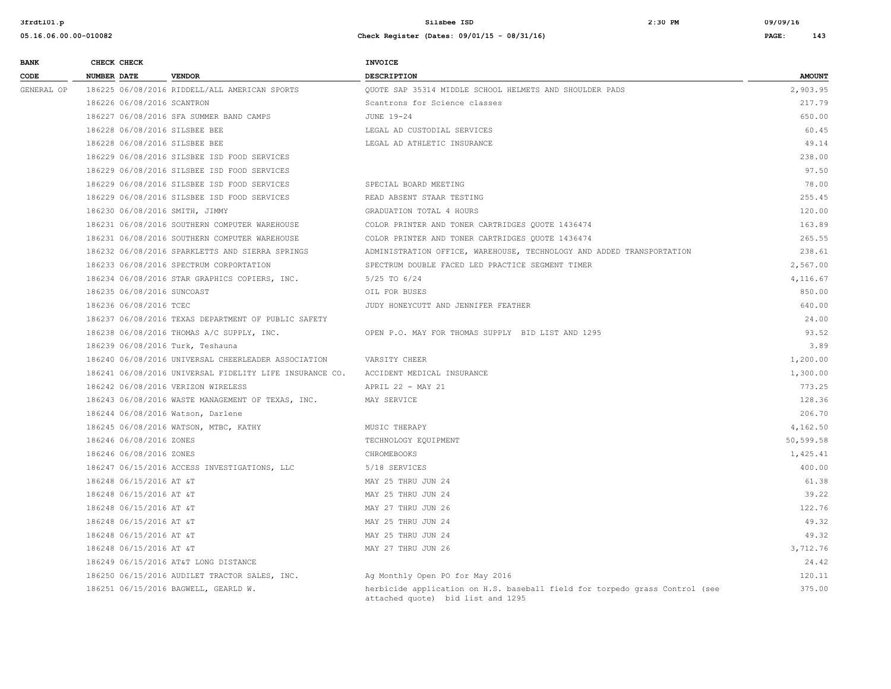| <b>BANK</b> |                    | CHECK CHECK                |                                                         | <b>INVOICE</b>                                                                                                   |               |
|-------------|--------------------|----------------------------|---------------------------------------------------------|------------------------------------------------------------------------------------------------------------------|---------------|
| CODE        | <b>NUMBER DATE</b> |                            | <b>VENDOR</b>                                           | DESCRIPTION                                                                                                      | <b>AMOUNT</b> |
| GENERAL OP  |                    |                            | 186225 06/08/2016 RIDDELL/ALL AMERICAN SPORTS           | OUOTE SAP 35314 MIDDLE SCHOOL HELMETS AND SHOULDER PADS                                                          | 2,903.95      |
|             |                    | 186226 06/08/2016 SCANTRON |                                                         | Scantrons for Science classes                                                                                    | 217.79        |
|             |                    |                            | 186227 06/08/2016 SFA SUMMER BAND CAMPS                 | JUNE 19-24                                                                                                       | 650.00        |
|             |                    |                            | 186228 06/08/2016 SILSBEE BEE                           | LEGAL AD CUSTODIAL SERVICES                                                                                      | 60.45         |
|             |                    |                            | 186228 06/08/2016 SILSBEE BEE                           | LEGAL AD ATHLETIC INSURANCE                                                                                      | 49.14         |
|             |                    |                            | 186229 06/08/2016 SILSBEE ISD FOOD SERVICES             |                                                                                                                  | 238.00        |
|             |                    |                            | 186229 06/08/2016 SILSBEE ISD FOOD SERVICES             |                                                                                                                  | 97.50         |
|             |                    |                            | 186229 06/08/2016 SILSBEE ISD FOOD SERVICES             | SPECIAL BOARD MEETING                                                                                            | 78.00         |
|             |                    |                            | 186229 06/08/2016 SILSBEE ISD FOOD SERVICES             | READ ABSENT STAAR TESTING                                                                                        | 255.45        |
|             |                    |                            | 186230 06/08/2016 SMITH, JIMMY                          | GRADUATION TOTAL 4 HOURS                                                                                         | 120.00        |
|             |                    |                            | 186231 06/08/2016 SOUTHERN COMPUTER WAREHOUSE           | COLOR PRINTER AND TONER CARTRIDGES QUOTE 1436474                                                                 | 163.89        |
|             |                    |                            | 186231 06/08/2016 SOUTHERN COMPUTER WAREHOUSE           | COLOR PRINTER AND TONER CARTRIDGES OUOTE 1436474                                                                 | 265.55        |
|             |                    |                            | 186232 06/08/2016 SPARKLETTS AND SIERRA SPRINGS         | ADMINISTRATION OFFICE, WAREHOUSE, TECHNOLOGY AND ADDED TRANSPORTATION                                            | 238.61        |
|             |                    |                            | 186233 06/08/2016 SPECTRUM CORPORTATION                 | SPECTRUM DOUBLE FACED LED PRACTICE SEGMENT TIMER                                                                 | 2,567.00      |
|             |                    |                            | 186234 06/08/2016 STAR GRAPHICS COPIERS, INC.           | 5/25 TO 6/24                                                                                                     | 4,116.67      |
|             |                    | 186235 06/08/2016 SUNCOAST |                                                         | OIL FOR BUSES                                                                                                    | 850.00        |
|             |                    | 186236 06/08/2016 TCEC     |                                                         | JUDY HONEYCUTT AND JENNIFER FEATHER                                                                              | 640.00        |
|             |                    |                            | 186237 06/08/2016 TEXAS DEPARTMENT OF PUBLIC SAFETY     |                                                                                                                  | 24.00         |
|             |                    |                            | 186238 06/08/2016 THOMAS A/C SUPPLY, INC.               | OPEN P.O. MAY FOR THOMAS SUPPLY BID LIST AND 1295                                                                | 93.52         |
|             |                    |                            | 186239 06/08/2016 Turk, Teshauna                        |                                                                                                                  | 3.89          |
|             |                    |                            | 186240 06/08/2016 UNIVERSAL CHEERLEADER ASSOCIATION     | VARSITY CHEER                                                                                                    | 1,200.00      |
|             |                    |                            | 186241 06/08/2016 UNIVERSAL FIDELITY LIFE INSURANCE CO. | ACCIDENT MEDICAL INSURANCE                                                                                       | 1,300.00      |
|             |                    |                            | 186242 06/08/2016 VERIZON WIRELESS                      | APRIL 22 - MAY 21                                                                                                | 773.25        |
|             |                    |                            | 186243 06/08/2016 WASTE MANAGEMENT OF TEXAS, INC.       | MAY SERVICE                                                                                                      | 128.36        |
|             |                    |                            | 186244 06/08/2016 Watson, Darlene                       |                                                                                                                  | 206.70        |
|             |                    |                            | 186245 06/08/2016 WATSON, MTBC, KATHY                   | MUSIC THERAPY                                                                                                    | 4,162.50      |
|             |                    | 186246 06/08/2016 ZONES    |                                                         | TECHNOLOGY EQUIPMENT                                                                                             | 50,599.58     |
|             |                    | 186246 06/08/2016 ZONES    |                                                         | CHROMEBOOKS                                                                                                      | 1,425.41      |
|             |                    |                            | 186247 06/15/2016 ACCESS INVESTIGATIONS, LLC            | 5/18 SERVICES                                                                                                    | 400.00        |
|             |                    | 186248 06/15/2016 AT &T    |                                                         | MAY 25 THRU JUN 24                                                                                               | 61.38         |
|             |                    | 186248 06/15/2016 AT &T    |                                                         | MAY 25 THRU JUN 24                                                                                               | 39.22         |
|             |                    | 186248 06/15/2016 AT &T    |                                                         | MAY 27 THRU JUN 26                                                                                               | 122.76        |
|             |                    | 186248 06/15/2016 AT &T    |                                                         | MAY 25 THRU JUN 24                                                                                               | 49.32         |
|             |                    | 186248 06/15/2016 AT &T    |                                                         | MAY 25 THRU JUN 24                                                                                               | 49.32         |
|             |                    | 186248 06/15/2016 AT &T    |                                                         | MAY 27 THRU JUN 26                                                                                               | 3,712.76      |
|             |                    |                            | 186249 06/15/2016 AT&T LONG DISTANCE                    |                                                                                                                  | 24.42         |
|             |                    |                            | 186250 06/15/2016 AUDILET TRACTOR SALES, INC.           | Ag Monthly Open PO for May 2016                                                                                  | 120.11        |
|             |                    |                            | 186251 06/15/2016 BAGWELL, GEARLD W.                    | herbicide application on H.S. baseball field for torpedo grass Control (see<br>attached quote) bid list and 1295 | 375.00        |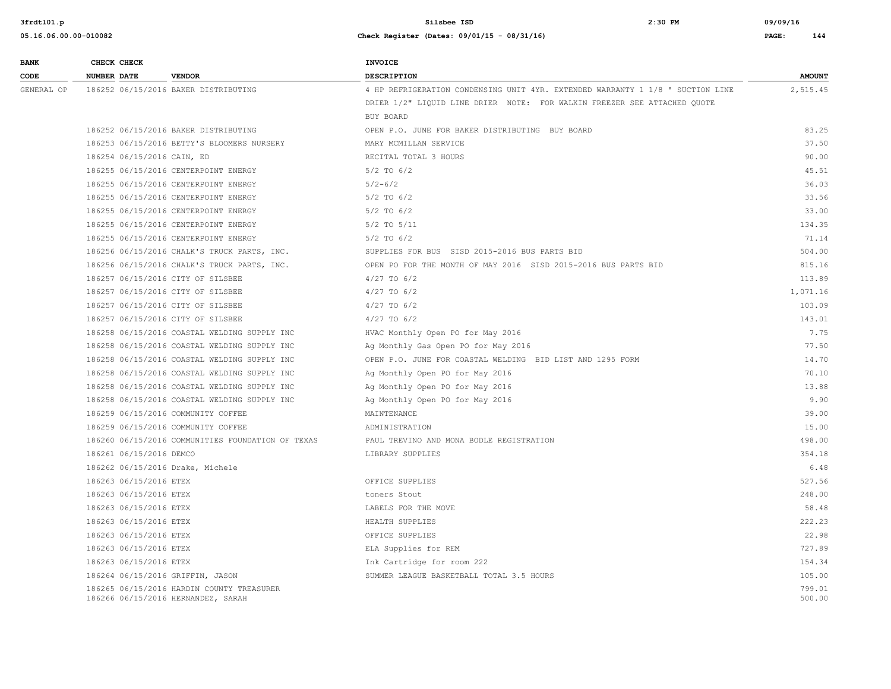| <b>BANK</b> | CHECK CHECK                |                                                                                 | INVOICE                                                                        |                  |
|-------------|----------------------------|---------------------------------------------------------------------------------|--------------------------------------------------------------------------------|------------------|
| CODE        | NUMBER DATE                | <b>VENDOR</b>                                                                   | <b>DESCRIPTION</b>                                                             | <b>AMOUNT</b>    |
| GENERAL OP  |                            | 186252 06/15/2016 BAKER DISTRIBUTING                                            | 4 HP REFRIGERATION CONDENSING UNIT 4YR. EXTENDED WARRANTY 1 1/8 ' SUCTION LINE | 2,515.45         |
|             |                            |                                                                                 | DRIER 1/2" LIQUID LINE DRIER NOTE: FOR WALKIN FREEZER SEE ATTACHED QUOTE       |                  |
|             |                            |                                                                                 | BUY BOARD                                                                      |                  |
|             |                            | 186252 06/15/2016 BAKER DISTRIBUTING                                            | OPEN P.O. JUNE FOR BAKER DISTRIBUTING BUY BOARD                                | 83.25            |
|             |                            | 186253 06/15/2016 BETTY'S BLOOMERS NURSERY                                      | MARY MCMILLAN SERVICE                                                          | 37.50            |
|             | 186254 06/15/2016 CAIN, ED |                                                                                 | RECITAL TOTAL 3 HOURS                                                          | 90.00            |
|             |                            | 186255 06/15/2016 CENTERPOINT ENERGY                                            | $5/2$ TO $6/2$                                                                 | 45.51            |
|             |                            | 186255 06/15/2016 CENTERPOINT ENERGY                                            | $5/2 - 6/2$                                                                    | 36.03            |
|             |                            | 186255 06/15/2016 CENTERPOINT ENERGY                                            | $5/2$ TO $6/2$                                                                 | 33.56            |
|             |                            | 186255 06/15/2016 CENTERPOINT ENERGY                                            | $5/2$ TO $6/2$                                                                 | 33.00            |
|             |                            | 186255 06/15/2016 CENTERPOINT ENERGY                                            | $5/2$ TO $5/11$                                                                | 134.35           |
|             |                            | 186255 06/15/2016 CENTERPOINT ENERGY                                            | $5/2$ TO $6/2$                                                                 | 71.14            |
|             |                            | 186256 06/15/2016 CHALK'S TRUCK PARTS, INC.                                     | SUPPLIES FOR BUS SISD 2015-2016 BUS PARTS BID                                  | 504.00           |
|             |                            | 186256 06/15/2016 CHALK'S TRUCK PARTS, INC.                                     | OPEN PO FOR THE MONTH OF MAY 2016 SISD 2015-2016 BUS PARTS BID                 | 815.16           |
|             |                            | 186257 06/15/2016 CITY OF SILSBEE                                               | $4/27$ TO $6/2$                                                                | 113.89           |
|             |                            | 186257 06/15/2016 CITY OF SILSBEE                                               | $4/27$ TO 6/2                                                                  | 1,071.16         |
|             |                            | 186257 06/15/2016 CITY OF SILSBEE                                               | $4/27$ TO 6/2                                                                  | 103.09           |
|             |                            | 186257 06/15/2016 CITY OF SILSBEE                                               | $4/27$ TO $6/2$                                                                | 143.01           |
|             |                            | 186258 06/15/2016 COASTAL WELDING SUPPLY INC                                    | HVAC Monthly Open PO for May 2016                                              | 7.75             |
|             |                            | 186258 06/15/2016 COASTAL WELDING SUPPLY INC                                    | Ag Monthly Gas Open PO for May 2016                                            | 77.50            |
|             |                            | 186258 06/15/2016 COASTAL WELDING SUPPLY INC                                    | OPEN P.O. JUNE FOR COASTAL WELDING BID LIST AND 1295 FORM                      | 14.70            |
|             |                            | 186258 06/15/2016 COASTAL WELDING SUPPLY INC                                    | Ag Monthly Open PO for May 2016                                                | 70.10            |
|             |                            | 186258 06/15/2016 COASTAL WELDING SUPPLY INC                                    | Ag Monthly Open PO for May 2016                                                | 13.88            |
|             |                            | 186258 06/15/2016 COASTAL WELDING SUPPLY INC                                    | Ag Monthly Open PO for May 2016                                                | 9.90             |
|             |                            | 186259 06/15/2016 COMMUNITY COFFEE                                              | MAINTENANCE                                                                    | 39.00            |
|             |                            | 186259 06/15/2016 COMMUNITY COFFEE                                              | ADMINISTRATION                                                                 | 15.00            |
|             |                            | 186260 06/15/2016 COMMUNITIES FOUNDATION OF TEXAS                               | PAUL TREVINO AND MONA BODLE REGISTRATION                                       | 498.00           |
|             | 186261 06/15/2016 DEMCO    |                                                                                 | LIBRARY SUPPLIES                                                               | 354.18           |
|             |                            | 186262 06/15/2016 Drake, Michele                                                |                                                                                | 6.48             |
|             | 186263 06/15/2016 ETEX     |                                                                                 | OFFICE SUPPLIES                                                                | 527.56           |
|             | 186263 06/15/2016 ETEX     |                                                                                 | toners Stout                                                                   | 248.00           |
|             | 186263 06/15/2016 ETEX     |                                                                                 | LABELS FOR THE MOVE                                                            | 58.48            |
|             | 186263 06/15/2016 ETEX     |                                                                                 | HEALTH SUPPLIES                                                                | 222.23           |
|             | 186263 06/15/2016 ETEX     |                                                                                 | OFFICE SUPPLIES                                                                | 22.98            |
|             | 186263 06/15/2016 ETEX     |                                                                                 | ELA Supplies for REM                                                           | 727.89           |
|             | 186263 06/15/2016 ETEX     |                                                                                 | Ink Cartridge for room 222                                                     | 154.34           |
|             |                            | 186264 06/15/2016 GRIFFIN, JASON                                                | SUMMER LEAGUE BASKETBALL TOTAL 3.5 HOURS                                       | 105.00           |
|             |                            | 186265 06/15/2016 HARDIN COUNTY TREASURER<br>186266 06/15/2016 HERNANDEZ, SARAH |                                                                                | 799.01<br>500.00 |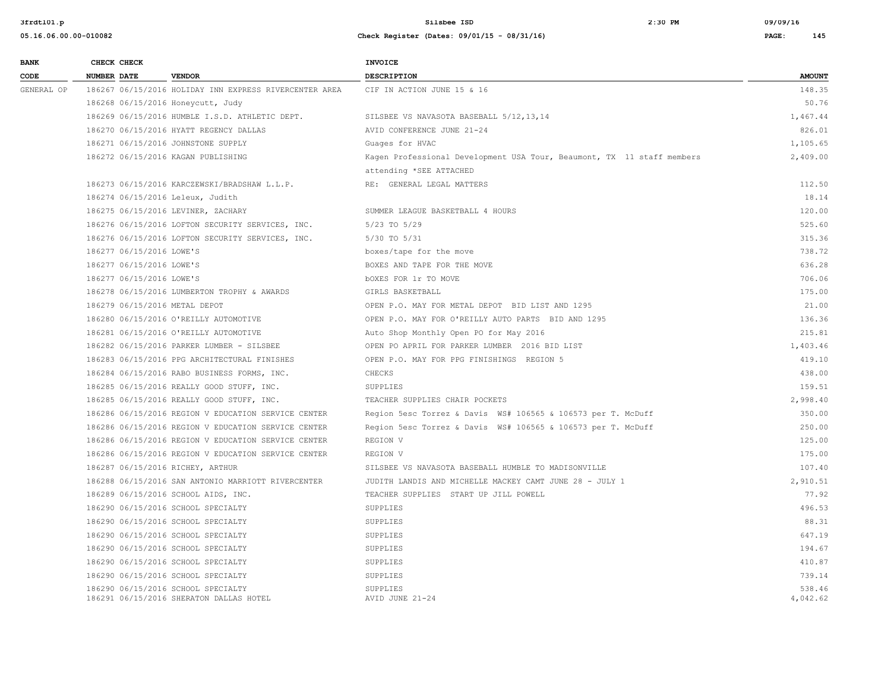| <b>BANK</b> | CHECK CHECK                      |                                                                               | <b>INVOICE</b>                                                         |                    |
|-------------|----------------------------------|-------------------------------------------------------------------------------|------------------------------------------------------------------------|--------------------|
| CODE        | <b>NUMBER DATE</b>               | <b>VENDOR</b>                                                                 | <b>DESCRIPTION</b>                                                     | <b>AMOUNT</b>      |
| GENERAL OP  |                                  | 186267 06/15/2016 HOLIDAY INN EXPRESS RIVERCENTER AREA                        | CIF IN ACTION JUNE 15 & 16                                             | 148.35             |
|             |                                  | 186268 06/15/2016 Honeycutt, Judy                                             |                                                                        | 50.76              |
|             |                                  | 186269 06/15/2016 HUMBLE I.S.D. ATHLETIC DEPT.                                | SILSBEE VS NAVASOTA BASEBALL 5/12, 13, 14                              | 1,467.44           |
|             |                                  | 186270 06/15/2016 HYATT REGENCY DALLAS                                        | AVID CONFERENCE JUNE 21-24                                             | 826.01             |
|             |                                  | 186271 06/15/2016 JOHNSTONE SUPPLY                                            | Guages for HVAC                                                        | 1,105.65           |
|             |                                  | 186272 06/15/2016 KAGAN PUBLISHING                                            | Kagen Professional Development USA Tour, Beaumont, TX 11 staff members | 2,409.00           |
|             |                                  |                                                                               | attending *SEE ATTACHED                                                |                    |
|             |                                  | 186273 06/15/2016 KARCZEWSKI/BRADSHAW L.L.P.                                  | RE: GENERAL LEGAL MATTERS                                              | 112.50             |
|             | 186274 06/15/2016 Leleux, Judith |                                                                               |                                                                        | 18.14              |
|             |                                  | 186275 06/15/2016 LEVINER, ZACHARY                                            | SUMMER LEAGUE BASKETBALL 4 HOURS                                       | 120.00             |
|             |                                  | 186276 06/15/2016 LOFTON SECURITY SERVICES, INC.                              | 5/23 TO 5/29                                                           | 525.60             |
|             |                                  | 186276 06/15/2016 LOFTON SECURITY SERVICES, INC.                              | 5/30 TO 5/31                                                           | 315.36             |
|             | 186277 06/15/2016 LOWE'S         |                                                                               | boxes/tape for the move                                                | 738.72             |
|             | 186277 06/15/2016 LOWE'S         |                                                                               | BOXES AND TAPE FOR THE MOVE                                            | 636.28             |
|             | 186277 06/15/2016 LOWE'S         |                                                                               | <b>bOXES FOR 1r TO MOVE</b>                                            | 706.06             |
|             |                                  | 186278 06/15/2016 LUMBERTON TROPHY & AWARDS                                   | GIRLS BASKETBALL                                                       | 175.00             |
|             | 186279 06/15/2016 METAL DEPOT    |                                                                               | OPEN P.O. MAY FOR METAL DEPOT BID LIST AND 1295                        | 21.00              |
|             |                                  | 186280 06/15/2016 O'REILLY AUTOMOTIVE                                         | OPEN P.O. MAY FOR O'REILLY AUTO PARTS BID AND 1295                     | 136.36             |
|             |                                  | 186281 06/15/2016 O'REILLY AUTOMOTIVE                                         | Auto Shop Monthly Open PO for May 2016                                 | 215.81             |
|             |                                  | 186282 06/15/2016 PARKER LUMBER - SILSBEE                                     | OPEN PO APRIL FOR PARKER LUMBER 2016 BID LIST                          | 1,403.46           |
|             |                                  | 186283 06/15/2016 PPG ARCHITECTURAL FINISHES                                  | OPEN P.O. MAY FOR PPG FINISHINGS REGION 5                              | 419.10             |
|             |                                  | 186284 06/15/2016 RABO BUSINESS FORMS, INC.                                   | CHECKS                                                                 | 438.00             |
|             |                                  | 186285 06/15/2016 REALLY GOOD STUFF, INC.                                     | SUPPLIES                                                               | 159.51             |
|             |                                  | 186285 06/15/2016 REALLY GOOD STUFF, INC.                                     | TEACHER SUPPLIES CHAIR POCKETS                                         | 2,998.40           |
|             |                                  | 186286 06/15/2016 REGION V EDUCATION SERVICE CENTER                           | Region 5esc Torrez & Davis WS# 106565 & 106573 per T. McDuff           | 350.00             |
|             |                                  | 186286 06/15/2016 REGION V EDUCATION SERVICE CENTER                           | Region 5esc Torrez & Davis WS# 106565 & 106573 per T. McDuff           | 250.00             |
|             |                                  | 186286 06/15/2016 REGION V EDUCATION SERVICE CENTER                           | REGION V                                                               | 125.00             |
|             |                                  | 186286 06/15/2016 REGION V EDUCATION SERVICE CENTER                           | REGION V                                                               | 175.00             |
|             | 186287 06/15/2016 RICHEY, ARTHUR |                                                                               | SILSBEE VS NAVASOTA BASEBALL HUMBLE TO MADISONVILLE                    | 107.40             |
|             |                                  | 186288 06/15/2016 SAN ANTONIO MARRIOTT RIVERCENTER                            | JUDITH LANDIS AND MICHELLE MACKEY CAMT JUNE 28 - JULY 1                | 2,910.51           |
|             |                                  | 186289 06/15/2016 SCHOOL AIDS, INC.                                           | TEACHER SUPPLIES START UP JILL POWELL                                  | 77.92              |
|             |                                  | 186290 06/15/2016 SCHOOL SPECIALTY                                            | SUPPLIES                                                               | 496.53             |
|             |                                  | 186290 06/15/2016 SCHOOL SPECIALTY                                            | SUPPLIES                                                               | 88.31              |
|             |                                  | 186290 06/15/2016 SCHOOL SPECIALTY                                            | SUPPLIES                                                               | 647.19             |
|             |                                  | 186290 06/15/2016 SCHOOL SPECIALTY                                            | SUPPLIES                                                               | 194.67             |
|             |                                  | 186290 06/15/2016 SCHOOL SPECIALTY                                            | SUPPLIES                                                               | 410.87             |
|             |                                  | 186290 06/15/2016 SCHOOL SPECIALTY                                            | SUPPLIES                                                               | 739.14             |
|             |                                  | 186290 06/15/2016 SCHOOL SPECIALTY<br>186291 06/15/2016 SHERATON DALLAS HOTEL | <b>SUPPLIES</b><br>AVID JUNE 21-24                                     | 538.46<br>4,042.62 |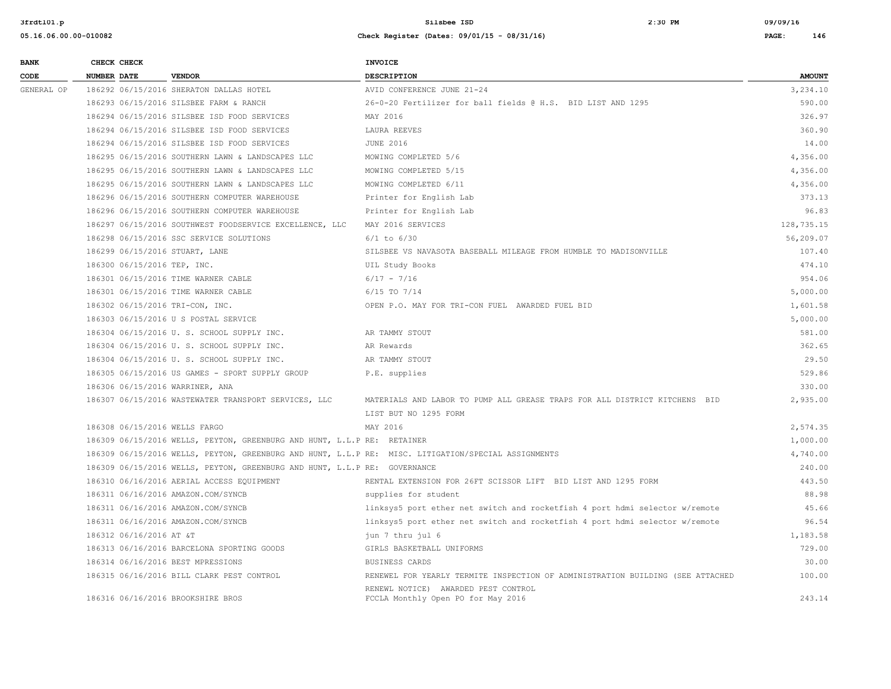| <b>BANK</b> | CHECK CHECK        |                             |                                                                           | <b>INVOICE</b>                                                                                      |               |
|-------------|--------------------|-----------------------------|---------------------------------------------------------------------------|-----------------------------------------------------------------------------------------------------|---------------|
| CODE        | <b>NUMBER DATE</b> |                             | <b>VENDOR</b>                                                             | <b>DESCRIPTION</b>                                                                                  | <b>AMOUNT</b> |
| GENERAL OP  |                    |                             | 186292 06/15/2016 SHERATON DALLAS HOTEL                                   | AVID CONFERENCE JUNE 21-24                                                                          | 3,234.10      |
|             |                    |                             | 186293 06/15/2016 SILSBEE FARM & RANCH                                    | 26-0-20 Fertilizer for ball fields @ H.S. BID LIST AND 1295                                         | 590.00        |
|             |                    |                             | 186294 06/15/2016 SILSBEE ISD FOOD SERVICES                               | MAY 2016                                                                                            | 326.97        |
|             |                    |                             | 186294 06/15/2016 SILSBEE ISD FOOD SERVICES                               | LAURA REEVES                                                                                        | 360.90        |
|             |                    |                             | 186294 06/15/2016 SILSBEE ISD FOOD SERVICES                               | <b>JUNE 2016</b>                                                                                    | 14.00         |
|             |                    |                             | 186295 06/15/2016 SOUTHERN LAWN & LANDSCAPES LLC                          | MOWING COMPLETED 5/6                                                                                | 4,356.00      |
|             |                    |                             | 186295 06/15/2016 SOUTHERN LAWN & LANDSCAPES LLC                          | MOWING COMPLETED 5/15                                                                               | 4,356.00      |
|             |                    |                             | 186295 06/15/2016 SOUTHERN LAWN & LANDSCAPES LLC                          | MOWING COMPLETED 6/11                                                                               | 4,356.00      |
|             |                    |                             | 186296 06/15/2016 SOUTHERN COMPUTER WAREHOUSE                             | Printer for English Lab                                                                             | 373.13        |
|             |                    |                             | 186296 06/15/2016 SOUTHERN COMPUTER WAREHOUSE                             | Printer for English Lab                                                                             | 96.83         |
|             |                    |                             | 186297 06/15/2016 SOUTHWEST FOODSERVICE EXCELLENCE, LLC                   | MAY 2016 SERVICES                                                                                   | 128,735.15    |
|             |                    |                             | 186298 06/15/2016 SSC SERVICE SOLUTIONS                                   | $6/1$ to $6/30$                                                                                     | 56,209.07     |
|             |                    |                             | 186299 06/15/2016 STUART, LANE                                            | SILSBEE VS NAVASOTA BASEBALL MILEAGE FROM HUMBLE TO MADISONVILLE                                    | 107.40        |
|             |                    | 186300 06/15/2016 TEP, INC. |                                                                           | UIL Study Books                                                                                     | 474.10        |
|             |                    |                             | 186301 06/15/2016 TIME WARNER CABLE                                       | $6/17 - 7/16$                                                                                       | 954.06        |
|             |                    |                             | 186301 06/15/2016 TIME WARNER CABLE                                       | $6/15$ TO $7/14$                                                                                    | 5,000.00      |
|             |                    |                             | 186302 06/15/2016 TRI-CON, INC.                                           | OPEN P.O. MAY FOR TRI-CON FUEL AWARDED FUEL BID                                                     | 1,601.58      |
|             |                    |                             | 186303 06/15/2016 U S POSTAL SERVICE                                      |                                                                                                     | 5,000.00      |
|             |                    |                             | 186304 06/15/2016 U. S. SCHOOL SUPPLY INC.                                | AR TAMMY STOUT                                                                                      | 581.00        |
|             |                    |                             | 186304 06/15/2016 U. S. SCHOOL SUPPLY INC.                                | AR Rewards                                                                                          | 362.65        |
|             |                    |                             | 186304 06/15/2016 U. S. SCHOOL SUPPLY INC.                                | AR TAMMY STOUT                                                                                      | 29.50         |
|             |                    |                             | 186305 06/15/2016 US GAMES - SPORT SUPPLY GROUP                           | P.E. supplies                                                                                       | 529.86        |
|             |                    |                             | 186306 06/15/2016 WARRINER, ANA                                           |                                                                                                     | 330.00        |
|             |                    |                             | 186307 06/15/2016 WASTEWATER TRANSPORT SERVICES, LLC                      | MATERIALS AND LABOR TO PUMP ALL GREASE TRAPS FOR ALL DISTRICT KITCHENS BID                          | 2,935.00      |
|             |                    |                             |                                                                           | LIST BUT NO 1295 FORM                                                                               |               |
|             |                    |                             | 186308 06/15/2016 WELLS FARGO                                             | MAY 2016                                                                                            | 2,574.35      |
|             |                    |                             | 186309 06/15/2016 WELLS, PEYTON, GREENBURG AND HUNT, L.L.P RE: RETAINER   |                                                                                                     | 1,000.00      |
|             |                    |                             |                                                                           | 186309 06/15/2016 WELLS, PEYTON, GREENBURG AND HUNT, L.L.P RE: MISC. LITIGATION/SPECIAL ASSIGNMENTS | 4,740.00      |
|             |                    |                             | 186309 06/15/2016 WELLS, PEYTON, GREENBURG AND HUNT, L.L.P RE: GOVERNANCE |                                                                                                     | 240.00        |
|             |                    |                             | 186310 06/16/2016 AERIAL ACCESS EQUIPMENT                                 | RENTAL EXTENSION FOR 26FT SCISSOR LIFT BID LIST AND 1295 FORM                                       | 443.50        |
|             |                    |                             | 186311 06/16/2016 AMAZON.COM/SYNCB                                        | supplies for student                                                                                | 88.98         |
|             |                    |                             | 186311 06/16/2016 AMAZON.COM/SYNCB                                        | linksys5 port ether net switch and rocketfish 4 port hdmi selector w/remote                         | 45.66         |
|             |                    |                             | 186311 06/16/2016 AMAZON.COM/SYNCB                                        | linksys5 port ether net switch and rocketfish 4 port hdmi selector w/remote                         | 96.54         |
|             |                    | 186312 06/16/2016 AT &T     |                                                                           | jun 7 thru jul 6                                                                                    | 1,183.58      |
|             |                    |                             | 186313 06/16/2016 BARCELONA SPORTING GOODS                                | GIRLS BASKETBALL UNIFORMS                                                                           | 729.00        |
|             |                    |                             | 186314 06/16/2016 BEST MPRESSIONS                                         | BUSINESS CARDS                                                                                      | 30.00         |
|             |                    |                             | 186315 06/16/2016 BILL CLARK PEST CONTROL                                 | RENEWEL FOR YEARLY TERMITE INSPECTION OF ADMINISTRATION BUILDING (SEE ATTACHED                      | 100.00        |
|             |                    |                             | 186316 06/16/2016 BROOKSHIRE BROS                                         | RENEWL NOTICE) AWARDED PEST CONTROL<br>FCCLA Monthly Open PO for May 2016                           | 243.14        |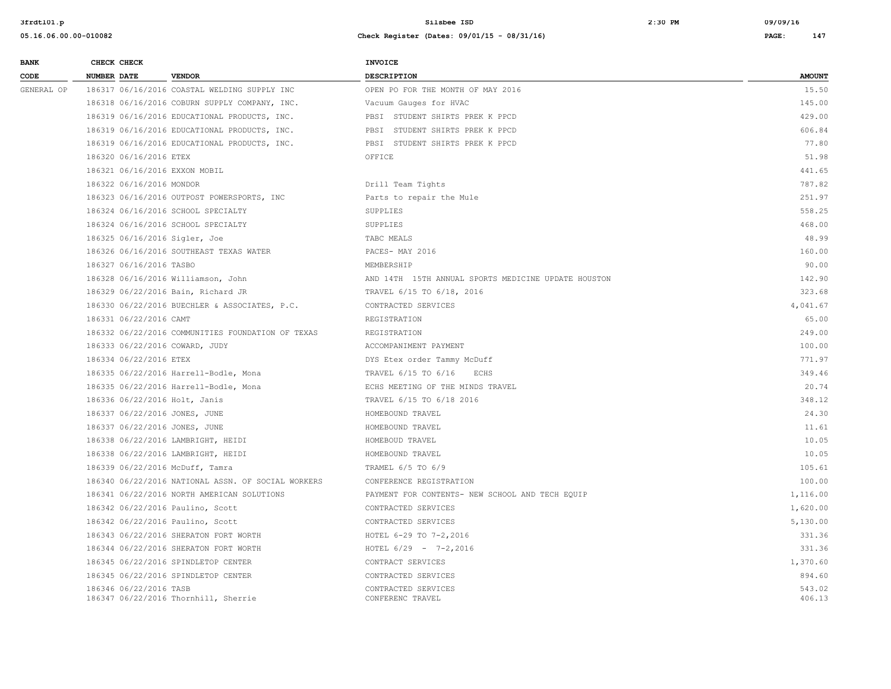| <b>BANK</b> | CHECK CHECK                                                    | <b>INVOICE</b>                                      |                  |
|-------------|----------------------------------------------------------------|-----------------------------------------------------|------------------|
| CODE        | <b>NUMBER DATE</b><br><b>VENDOR</b>                            | <b>DESCRIPTION</b>                                  | <b>AMOUNT</b>    |
| GENERAL OP  | 186317 06/16/2016 COASTAL WELDING SUPPLY INC                   | OPEN PO FOR THE MONTH OF MAY 2016                   | 15.50            |
|             | 186318 06/16/2016 COBURN SUPPLY COMPANY, INC.                  | Vacuum Gauges for HVAC                              | 145.00           |
|             | 186319 06/16/2016 EDUCATIONAL PRODUCTS, INC.                   | PBSI STUDENT SHIRTS PREK K PPCD                     | 429.00           |
|             | 186319 06/16/2016 EDUCATIONAL PRODUCTS, INC.                   | PBSI STUDENT SHIRTS PREK K PPCD                     | 606.84           |
|             | 186319 06/16/2016 EDUCATIONAL PRODUCTS, INC.                   | PBSI STUDENT SHIRTS PREK K PPCD                     | 77.80            |
|             | 186320 06/16/2016 ETEX                                         | OFFICE                                              | 51.98            |
|             | 186321 06/16/2016 EXXON MOBIL                                  |                                                     | 441.65           |
|             | 186322 06/16/2016 MONDOR                                       | Drill Team Tights                                   | 787.82           |
|             | 186323 06/16/2016 OUTPOST POWERSPORTS, INC                     | Parts to repair the Mule                            | 251.97           |
|             | 186324 06/16/2016 SCHOOL SPECIALTY                             | SUPPLIES                                            | 558.25           |
|             | 186324 06/16/2016 SCHOOL SPECIALTY                             | SUPPLIES                                            | 468.00           |
|             | 186325 06/16/2016 Sigler, Joe                                  | TABC MEALS                                          | 48.99            |
|             | 186326 06/16/2016 SOUTHEAST TEXAS WATER                        | PACES- MAY 2016                                     | 160.00           |
|             | 186327 06/16/2016 TASBO                                        | MEMBERSHIP                                          | 90.00            |
|             | 186328 06/16/2016 Williamson, John                             | AND 14TH 15TH ANNUAL SPORTS MEDICINE UPDATE HOUSTON | 142.90           |
|             | 186329 06/22/2016 Bain, Richard JR                             | TRAVEL 6/15 TO 6/18, 2016                           | 323.68           |
|             | 186330 06/22/2016 BUECHLER & ASSOCIATES, P.C.                  | CONTRACTED SERVICES                                 | 4,041.67         |
|             | 186331 06/22/2016 CAMT                                         | REGISTRATION                                        | 65.00            |
|             | 186332 06/22/2016 COMMUNITIES FOUNDATION OF TEXAS              | REGISTRATION                                        | 249.00           |
|             | 186333 06/22/2016 COWARD, JUDY                                 | ACCOMPANIMENT PAYMENT                               | 100.00           |
|             | 186334 06/22/2016 ETEX                                         | DYS Etex order Tammy McDuff                         | 771.97           |
|             | 186335 06/22/2016 Harrell-Bodle, Mona                          | TRAVEL 6/15 TO 6/16<br>ECHS                         | 349.46           |
|             | 186335 06/22/2016 Harrell-Bodle, Mona                          | ECHS MEETING OF THE MINDS TRAVEL                    | 20.74            |
|             | 186336 06/22/2016 Holt, Janis                                  | TRAVEL 6/15 TO 6/18 2016                            | 348.12           |
|             | 186337 06/22/2016 JONES, JUNE                                  | HOMEBOUND TRAVEL                                    | 24.30            |
|             | 186337 06/22/2016 JONES, JUNE                                  | HOMEBOUND TRAVEL                                    | 11.61            |
|             | 186338 06/22/2016 LAMBRIGHT, HEIDI                             | HOMEBOUD TRAVEL                                     | 10.05            |
|             | 186338 06/22/2016 LAMBRIGHT, HEIDI                             | HOMEBOUND TRAVEL                                    | 10.05            |
|             | 186339 06/22/2016 McDuff, Tamra                                | TRAMEL 6/5 TO 6/9                                   | 105.61           |
|             | 186340 06/22/2016 NATIONAL ASSN. OF SOCIAL WORKERS             | CONFERENCE REGISTRATION                             | 100.00           |
|             | 186341 06/22/2016 NORTH AMERICAN SOLUTIONS                     | PAYMENT FOR CONTENTS- NEW SCHOOL AND TECH EQUIP     | 1,116.00         |
|             | 186342 06/22/2016 Paulino, Scott                               | CONTRACTED SERVICES                                 | 1,620.00         |
|             | 186342 06/22/2016 Paulino, Scott                               | CONTRACTED SERVICES                                 | 5,130.00         |
|             | 186343 06/22/2016 SHERATON FORT WORTH                          | HOTEL 6-29 TO 7-2,2016                              | 331.36           |
|             | 186344 06/22/2016 SHERATON FORT WORTH                          | HOTEL $6/29 - 7-2,2016$                             | 331.36           |
|             | 186345 06/22/2016 SPINDLETOP CENTER                            | CONTRACT SERVICES                                   | 1,370.60         |
|             | 186345 06/22/2016 SPINDLETOP CENTER                            | CONTRACTED SERVICES                                 | 894.60           |
|             | 186346 06/22/2016 TASB<br>186347 06/22/2016 Thornhill, Sherrie | CONTRACTED SERVICES<br>CONFERENC TRAVEL             | 543.02<br>406.13 |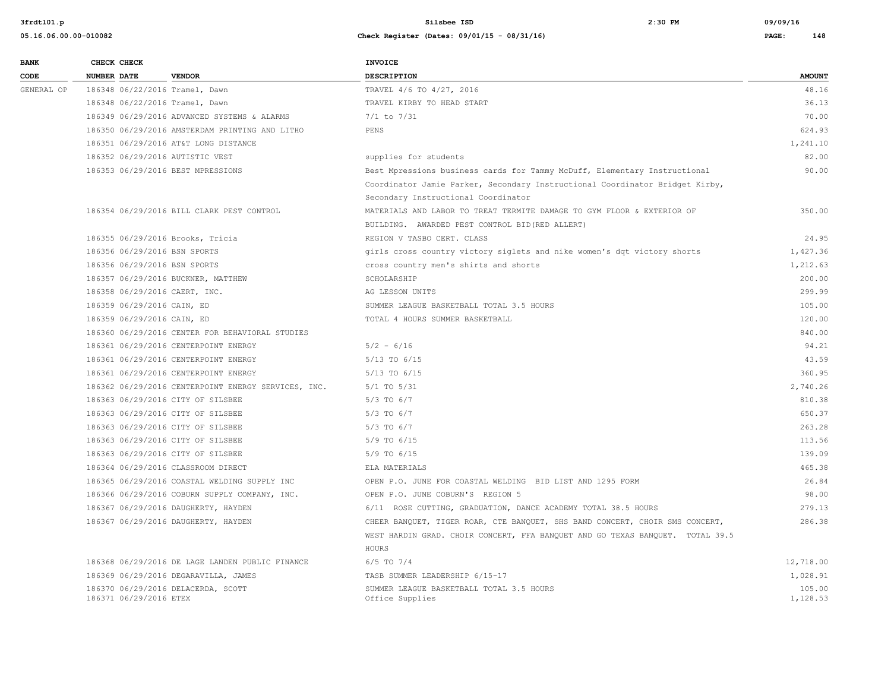| CODE<br><b>NUMBER DATE</b><br><b>VENDOR</b><br><b>DESCRIPTION</b><br>186348 06/22/2016 Tramel, Dawn<br>TRAVEL 4/6 TO 4/27, 2016<br>GENERAL OP<br>186348 06/22/2016 Tramel, Dawn<br>TRAVEL KIRBY TO HEAD START<br>186349 06/29/2016 ADVANCED SYSTEMS & ALARMS<br>$7/1$ to $7/31$<br>186350 06/29/2016 AMSTERDAM PRINTING AND LITHO<br>PENS<br>186351 06/29/2016 AT&T LONG DISTANCE<br>186352 06/29/2016 AUTISTIC VEST<br>supplies for students<br>186353 06/29/2016 BEST MPRESSIONS<br>Best Mpressions business cards for Tammy McDuff, Elementary Instructional<br>Coordinator Jamie Parker, Secondary Instructional Coordinator Bridget Kirby,<br>Secondary Instructional Coordinator<br>186354 06/29/2016 BILL CLARK PEST CONTROL<br>MATERIALS AND LABOR TO TREAT TERMITE DAMAGE TO GYM FLOOR & EXTERIOR OF<br>BUILDING. AWARDED PEST CONTROL BID (RED ALLERT)<br>186355 06/29/2016 Brooks, Tricia<br>REGION V TASBO CERT. CLASS<br>186356 06/29/2016 BSN SPORTS<br>girls cross country victory siglets and nike women's dqt victory shorts<br>186356 06/29/2016 BSN SPORTS<br>cross country men's shirts and shorts<br>186357 06/29/2016 BUCKNER, MATTHEW<br>SCHOLARSHIP<br>186358 06/29/2016 CAERT, INC.<br>AG LESSON UNITS<br>186359 06/29/2016 CAIN, ED<br>SUMMER LEAGUE BASKETBALL TOTAL 3.5 HOURS<br>186359 06/29/2016 CAIN, ED<br>TOTAL 4 HOURS SUMMER BASKETBALL<br>186360 06/29/2016 CENTER FOR BEHAVIORAL STUDIES<br>186361 06/29/2016 CENTERPOINT ENERGY<br>$5/2 - 6/16$<br>186361 06/29/2016 CENTERPOINT ENERGY<br>5/13 TO 6/15<br>186361 06/29/2016 CENTERPOINT ENERGY<br>5/13 TO 6/15<br>186362 06/29/2016 CENTERPOINT ENERGY SERVICES, INC.<br>$5/1$ TO $5/31$<br>186363 06/29/2016 CITY OF SILSBEE<br>$5/3$ TO $6/7$<br>186363 06/29/2016 CITY OF SILSBEE<br>$5/3$ TO $6/7$<br>186363 06/29/2016 CITY OF SILSBEE<br>$5/3$ TO $6/7$<br>186363 06/29/2016 CITY OF SILSBEE<br>5/9 TO 6/15<br>186363 06/29/2016 CITY OF SILSBEE<br>$5/9$ TO $6/15$<br>186364 06/29/2016 CLASSROOM DIRECT<br>ELA MATERIALS<br>186365 06/29/2016 COASTAL WELDING SUPPLY INC<br>OPEN P.O. JUNE FOR COASTAL WELDING BID LIST AND 1295 FORM<br>186366 06/29/2016 COBURN SUPPLY COMPANY, INC.<br>OPEN P.O. JUNE COBURN'S REGION 5<br>186367 06/29/2016 DAUGHERTY, HAYDEN<br>6/11 ROSE CUTTING, GRADUATION, DANCE ACADEMY TOTAL 38.5 HOURS<br>186367 06/29/2016 DAUGHERTY, HAYDEN<br>CHEER BANQUET, TIGER ROAR, CTE BANQUET, SHS BAND CONCERT, CHOIR SMS CONCERT,<br>WEST HARDIN GRAD. CHOIR CONCERT, FFA BANQUET AND GO TEXAS BANQUET. TOTAL 39.5<br>HOURS<br>186368 06/29/2016 DE LAGE LANDEN PUBLIC FINANCE<br>$6/5$ TO $7/4$<br>186369 06/29/2016 DEGARAVILLA, JAMES<br>TASB SUMMER LEADERSHIP 6/15-17<br>186370 06/29/2016 DELACERDA, SCOTT | <b>BANK</b> | CHECK CHECK | <b>INVOICE</b>                           |               |
|-----------------------------------------------------------------------------------------------------------------------------------------------------------------------------------------------------------------------------------------------------------------------------------------------------------------------------------------------------------------------------------------------------------------------------------------------------------------------------------------------------------------------------------------------------------------------------------------------------------------------------------------------------------------------------------------------------------------------------------------------------------------------------------------------------------------------------------------------------------------------------------------------------------------------------------------------------------------------------------------------------------------------------------------------------------------------------------------------------------------------------------------------------------------------------------------------------------------------------------------------------------------------------------------------------------------------------------------------------------------------------------------------------------------------------------------------------------------------------------------------------------------------------------------------------------------------------------------------------------------------------------------------------------------------------------------------------------------------------------------------------------------------------------------------------------------------------------------------------------------------------------------------------------------------------------------------------------------------------------------------------------------------------------------------------------------------------------------------------------------------------------------------------------------------------------------------------------------------------------------------------------------------------------------------------------------------------------------------------------------------------------------------------------------------------------------------------------------------------------------------------------------------------------------------------------------------------------------------------------------------------------------------------------------------------------------------------------------------------------------|-------------|-------------|------------------------------------------|---------------|
| 48.16<br>36.13<br>70.00<br>624.93<br>1,241.10<br>82.00<br>90.00<br>350.00<br>24.95<br>1,427.36<br>1,212.63<br>200.00<br>299.99<br>105.00<br>120.00<br>840.00<br>94.21<br>43.59<br>360.95<br>2,740.26<br>810.38<br>650.37<br>263.28<br>113.56<br>139.09<br>465.38<br>26.84<br>98.00<br>279.13<br>286.38<br>12,718.00<br>1,028.91<br>105.00                                                                                                                                                                                                                                                                                                                                                                                                                                                                                                                                                                                                                                                                                                                                                                                                                                                                                                                                                                                                                                                                                                                                                                                                                                                                                                                                                                                                                                                                                                                                                                                                                                                                                                                                                                                                                                                                                                                                                                                                                                                                                                                                                                                                                                                                                                                                                                                               |             |             |                                          | <b>AMOUNT</b> |
|                                                                                                                                                                                                                                                                                                                                                                                                                                                                                                                                                                                                                                                                                                                                                                                                                                                                                                                                                                                                                                                                                                                                                                                                                                                                                                                                                                                                                                                                                                                                                                                                                                                                                                                                                                                                                                                                                                                                                                                                                                                                                                                                                                                                                                                                                                                                                                                                                                                                                                                                                                                                                                                                                                                                         |             |             |                                          |               |
|                                                                                                                                                                                                                                                                                                                                                                                                                                                                                                                                                                                                                                                                                                                                                                                                                                                                                                                                                                                                                                                                                                                                                                                                                                                                                                                                                                                                                                                                                                                                                                                                                                                                                                                                                                                                                                                                                                                                                                                                                                                                                                                                                                                                                                                                                                                                                                                                                                                                                                                                                                                                                                                                                                                                         |             |             |                                          |               |
|                                                                                                                                                                                                                                                                                                                                                                                                                                                                                                                                                                                                                                                                                                                                                                                                                                                                                                                                                                                                                                                                                                                                                                                                                                                                                                                                                                                                                                                                                                                                                                                                                                                                                                                                                                                                                                                                                                                                                                                                                                                                                                                                                                                                                                                                                                                                                                                                                                                                                                                                                                                                                                                                                                                                         |             |             |                                          |               |
|                                                                                                                                                                                                                                                                                                                                                                                                                                                                                                                                                                                                                                                                                                                                                                                                                                                                                                                                                                                                                                                                                                                                                                                                                                                                                                                                                                                                                                                                                                                                                                                                                                                                                                                                                                                                                                                                                                                                                                                                                                                                                                                                                                                                                                                                                                                                                                                                                                                                                                                                                                                                                                                                                                                                         |             |             |                                          |               |
|                                                                                                                                                                                                                                                                                                                                                                                                                                                                                                                                                                                                                                                                                                                                                                                                                                                                                                                                                                                                                                                                                                                                                                                                                                                                                                                                                                                                                                                                                                                                                                                                                                                                                                                                                                                                                                                                                                                                                                                                                                                                                                                                                                                                                                                                                                                                                                                                                                                                                                                                                                                                                                                                                                                                         |             |             |                                          |               |
|                                                                                                                                                                                                                                                                                                                                                                                                                                                                                                                                                                                                                                                                                                                                                                                                                                                                                                                                                                                                                                                                                                                                                                                                                                                                                                                                                                                                                                                                                                                                                                                                                                                                                                                                                                                                                                                                                                                                                                                                                                                                                                                                                                                                                                                                                                                                                                                                                                                                                                                                                                                                                                                                                                                                         |             |             |                                          |               |
|                                                                                                                                                                                                                                                                                                                                                                                                                                                                                                                                                                                                                                                                                                                                                                                                                                                                                                                                                                                                                                                                                                                                                                                                                                                                                                                                                                                                                                                                                                                                                                                                                                                                                                                                                                                                                                                                                                                                                                                                                                                                                                                                                                                                                                                                                                                                                                                                                                                                                                                                                                                                                                                                                                                                         |             |             |                                          |               |
|                                                                                                                                                                                                                                                                                                                                                                                                                                                                                                                                                                                                                                                                                                                                                                                                                                                                                                                                                                                                                                                                                                                                                                                                                                                                                                                                                                                                                                                                                                                                                                                                                                                                                                                                                                                                                                                                                                                                                                                                                                                                                                                                                                                                                                                                                                                                                                                                                                                                                                                                                                                                                                                                                                                                         |             |             |                                          |               |
|                                                                                                                                                                                                                                                                                                                                                                                                                                                                                                                                                                                                                                                                                                                                                                                                                                                                                                                                                                                                                                                                                                                                                                                                                                                                                                                                                                                                                                                                                                                                                                                                                                                                                                                                                                                                                                                                                                                                                                                                                                                                                                                                                                                                                                                                                                                                                                                                                                                                                                                                                                                                                                                                                                                                         |             |             |                                          |               |
|                                                                                                                                                                                                                                                                                                                                                                                                                                                                                                                                                                                                                                                                                                                                                                                                                                                                                                                                                                                                                                                                                                                                                                                                                                                                                                                                                                                                                                                                                                                                                                                                                                                                                                                                                                                                                                                                                                                                                                                                                                                                                                                                                                                                                                                                                                                                                                                                                                                                                                                                                                                                                                                                                                                                         |             |             |                                          |               |
|                                                                                                                                                                                                                                                                                                                                                                                                                                                                                                                                                                                                                                                                                                                                                                                                                                                                                                                                                                                                                                                                                                                                                                                                                                                                                                                                                                                                                                                                                                                                                                                                                                                                                                                                                                                                                                                                                                                                                                                                                                                                                                                                                                                                                                                                                                                                                                                                                                                                                                                                                                                                                                                                                                                                         |             |             |                                          |               |
|                                                                                                                                                                                                                                                                                                                                                                                                                                                                                                                                                                                                                                                                                                                                                                                                                                                                                                                                                                                                                                                                                                                                                                                                                                                                                                                                                                                                                                                                                                                                                                                                                                                                                                                                                                                                                                                                                                                                                                                                                                                                                                                                                                                                                                                                                                                                                                                                                                                                                                                                                                                                                                                                                                                                         |             |             |                                          |               |
|                                                                                                                                                                                                                                                                                                                                                                                                                                                                                                                                                                                                                                                                                                                                                                                                                                                                                                                                                                                                                                                                                                                                                                                                                                                                                                                                                                                                                                                                                                                                                                                                                                                                                                                                                                                                                                                                                                                                                                                                                                                                                                                                                                                                                                                                                                                                                                                                                                                                                                                                                                                                                                                                                                                                         |             |             |                                          |               |
|                                                                                                                                                                                                                                                                                                                                                                                                                                                                                                                                                                                                                                                                                                                                                                                                                                                                                                                                                                                                                                                                                                                                                                                                                                                                                                                                                                                                                                                                                                                                                                                                                                                                                                                                                                                                                                                                                                                                                                                                                                                                                                                                                                                                                                                                                                                                                                                                                                                                                                                                                                                                                                                                                                                                         |             |             |                                          |               |
|                                                                                                                                                                                                                                                                                                                                                                                                                                                                                                                                                                                                                                                                                                                                                                                                                                                                                                                                                                                                                                                                                                                                                                                                                                                                                                                                                                                                                                                                                                                                                                                                                                                                                                                                                                                                                                                                                                                                                                                                                                                                                                                                                                                                                                                                                                                                                                                                                                                                                                                                                                                                                                                                                                                                         |             |             |                                          |               |
|                                                                                                                                                                                                                                                                                                                                                                                                                                                                                                                                                                                                                                                                                                                                                                                                                                                                                                                                                                                                                                                                                                                                                                                                                                                                                                                                                                                                                                                                                                                                                                                                                                                                                                                                                                                                                                                                                                                                                                                                                                                                                                                                                                                                                                                                                                                                                                                                                                                                                                                                                                                                                                                                                                                                         |             |             |                                          |               |
|                                                                                                                                                                                                                                                                                                                                                                                                                                                                                                                                                                                                                                                                                                                                                                                                                                                                                                                                                                                                                                                                                                                                                                                                                                                                                                                                                                                                                                                                                                                                                                                                                                                                                                                                                                                                                                                                                                                                                                                                                                                                                                                                                                                                                                                                                                                                                                                                                                                                                                                                                                                                                                                                                                                                         |             |             |                                          |               |
|                                                                                                                                                                                                                                                                                                                                                                                                                                                                                                                                                                                                                                                                                                                                                                                                                                                                                                                                                                                                                                                                                                                                                                                                                                                                                                                                                                                                                                                                                                                                                                                                                                                                                                                                                                                                                                                                                                                                                                                                                                                                                                                                                                                                                                                                                                                                                                                                                                                                                                                                                                                                                                                                                                                                         |             |             |                                          |               |
|                                                                                                                                                                                                                                                                                                                                                                                                                                                                                                                                                                                                                                                                                                                                                                                                                                                                                                                                                                                                                                                                                                                                                                                                                                                                                                                                                                                                                                                                                                                                                                                                                                                                                                                                                                                                                                                                                                                                                                                                                                                                                                                                                                                                                                                                                                                                                                                                                                                                                                                                                                                                                                                                                                                                         |             |             |                                          |               |
|                                                                                                                                                                                                                                                                                                                                                                                                                                                                                                                                                                                                                                                                                                                                                                                                                                                                                                                                                                                                                                                                                                                                                                                                                                                                                                                                                                                                                                                                                                                                                                                                                                                                                                                                                                                                                                                                                                                                                                                                                                                                                                                                                                                                                                                                                                                                                                                                                                                                                                                                                                                                                                                                                                                                         |             |             |                                          |               |
|                                                                                                                                                                                                                                                                                                                                                                                                                                                                                                                                                                                                                                                                                                                                                                                                                                                                                                                                                                                                                                                                                                                                                                                                                                                                                                                                                                                                                                                                                                                                                                                                                                                                                                                                                                                                                                                                                                                                                                                                                                                                                                                                                                                                                                                                                                                                                                                                                                                                                                                                                                                                                                                                                                                                         |             |             |                                          |               |
|                                                                                                                                                                                                                                                                                                                                                                                                                                                                                                                                                                                                                                                                                                                                                                                                                                                                                                                                                                                                                                                                                                                                                                                                                                                                                                                                                                                                                                                                                                                                                                                                                                                                                                                                                                                                                                                                                                                                                                                                                                                                                                                                                                                                                                                                                                                                                                                                                                                                                                                                                                                                                                                                                                                                         |             |             |                                          |               |
|                                                                                                                                                                                                                                                                                                                                                                                                                                                                                                                                                                                                                                                                                                                                                                                                                                                                                                                                                                                                                                                                                                                                                                                                                                                                                                                                                                                                                                                                                                                                                                                                                                                                                                                                                                                                                                                                                                                                                                                                                                                                                                                                                                                                                                                                                                                                                                                                                                                                                                                                                                                                                                                                                                                                         |             |             |                                          |               |
|                                                                                                                                                                                                                                                                                                                                                                                                                                                                                                                                                                                                                                                                                                                                                                                                                                                                                                                                                                                                                                                                                                                                                                                                                                                                                                                                                                                                                                                                                                                                                                                                                                                                                                                                                                                                                                                                                                                                                                                                                                                                                                                                                                                                                                                                                                                                                                                                                                                                                                                                                                                                                                                                                                                                         |             |             |                                          |               |
|                                                                                                                                                                                                                                                                                                                                                                                                                                                                                                                                                                                                                                                                                                                                                                                                                                                                                                                                                                                                                                                                                                                                                                                                                                                                                                                                                                                                                                                                                                                                                                                                                                                                                                                                                                                                                                                                                                                                                                                                                                                                                                                                                                                                                                                                                                                                                                                                                                                                                                                                                                                                                                                                                                                                         |             |             |                                          |               |
|                                                                                                                                                                                                                                                                                                                                                                                                                                                                                                                                                                                                                                                                                                                                                                                                                                                                                                                                                                                                                                                                                                                                                                                                                                                                                                                                                                                                                                                                                                                                                                                                                                                                                                                                                                                                                                                                                                                                                                                                                                                                                                                                                                                                                                                                                                                                                                                                                                                                                                                                                                                                                                                                                                                                         |             |             |                                          |               |
|                                                                                                                                                                                                                                                                                                                                                                                                                                                                                                                                                                                                                                                                                                                                                                                                                                                                                                                                                                                                                                                                                                                                                                                                                                                                                                                                                                                                                                                                                                                                                                                                                                                                                                                                                                                                                                                                                                                                                                                                                                                                                                                                                                                                                                                                                                                                                                                                                                                                                                                                                                                                                                                                                                                                         |             |             |                                          |               |
|                                                                                                                                                                                                                                                                                                                                                                                                                                                                                                                                                                                                                                                                                                                                                                                                                                                                                                                                                                                                                                                                                                                                                                                                                                                                                                                                                                                                                                                                                                                                                                                                                                                                                                                                                                                                                                                                                                                                                                                                                                                                                                                                                                                                                                                                                                                                                                                                                                                                                                                                                                                                                                                                                                                                         |             |             |                                          |               |
|                                                                                                                                                                                                                                                                                                                                                                                                                                                                                                                                                                                                                                                                                                                                                                                                                                                                                                                                                                                                                                                                                                                                                                                                                                                                                                                                                                                                                                                                                                                                                                                                                                                                                                                                                                                                                                                                                                                                                                                                                                                                                                                                                                                                                                                                                                                                                                                                                                                                                                                                                                                                                                                                                                                                         |             |             |                                          |               |
|                                                                                                                                                                                                                                                                                                                                                                                                                                                                                                                                                                                                                                                                                                                                                                                                                                                                                                                                                                                                                                                                                                                                                                                                                                                                                                                                                                                                                                                                                                                                                                                                                                                                                                                                                                                                                                                                                                                                                                                                                                                                                                                                                                                                                                                                                                                                                                                                                                                                                                                                                                                                                                                                                                                                         |             |             |                                          |               |
|                                                                                                                                                                                                                                                                                                                                                                                                                                                                                                                                                                                                                                                                                                                                                                                                                                                                                                                                                                                                                                                                                                                                                                                                                                                                                                                                                                                                                                                                                                                                                                                                                                                                                                                                                                                                                                                                                                                                                                                                                                                                                                                                                                                                                                                                                                                                                                                                                                                                                                                                                                                                                                                                                                                                         |             |             |                                          |               |
|                                                                                                                                                                                                                                                                                                                                                                                                                                                                                                                                                                                                                                                                                                                                                                                                                                                                                                                                                                                                                                                                                                                                                                                                                                                                                                                                                                                                                                                                                                                                                                                                                                                                                                                                                                                                                                                                                                                                                                                                                                                                                                                                                                                                                                                                                                                                                                                                                                                                                                                                                                                                                                                                                                                                         |             |             |                                          |               |
|                                                                                                                                                                                                                                                                                                                                                                                                                                                                                                                                                                                                                                                                                                                                                                                                                                                                                                                                                                                                                                                                                                                                                                                                                                                                                                                                                                                                                                                                                                                                                                                                                                                                                                                                                                                                                                                                                                                                                                                                                                                                                                                                                                                                                                                                                                                                                                                                                                                                                                                                                                                                                                                                                                                                         |             |             |                                          |               |
|                                                                                                                                                                                                                                                                                                                                                                                                                                                                                                                                                                                                                                                                                                                                                                                                                                                                                                                                                                                                                                                                                                                                                                                                                                                                                                                                                                                                                                                                                                                                                                                                                                                                                                                                                                                                                                                                                                                                                                                                                                                                                                                                                                                                                                                                                                                                                                                                                                                                                                                                                                                                                                                                                                                                         |             |             |                                          |               |
|                                                                                                                                                                                                                                                                                                                                                                                                                                                                                                                                                                                                                                                                                                                                                                                                                                                                                                                                                                                                                                                                                                                                                                                                                                                                                                                                                                                                                                                                                                                                                                                                                                                                                                                                                                                                                                                                                                                                                                                                                                                                                                                                                                                                                                                                                                                                                                                                                                                                                                                                                                                                                                                                                                                                         |             |             |                                          |               |
|                                                                                                                                                                                                                                                                                                                                                                                                                                                                                                                                                                                                                                                                                                                                                                                                                                                                                                                                                                                                                                                                                                                                                                                                                                                                                                                                                                                                                                                                                                                                                                                                                                                                                                                                                                                                                                                                                                                                                                                                                                                                                                                                                                                                                                                                                                                                                                                                                                                                                                                                                                                                                                                                                                                                         |             |             |                                          |               |
|                                                                                                                                                                                                                                                                                                                                                                                                                                                                                                                                                                                                                                                                                                                                                                                                                                                                                                                                                                                                                                                                                                                                                                                                                                                                                                                                                                                                                                                                                                                                                                                                                                                                                                                                                                                                                                                                                                                                                                                                                                                                                                                                                                                                                                                                                                                                                                                                                                                                                                                                                                                                                                                                                                                                         |             |             |                                          |               |
| 186371 06/29/2016 ETEX<br>1,128.53<br>Office Supplies                                                                                                                                                                                                                                                                                                                                                                                                                                                                                                                                                                                                                                                                                                                                                                                                                                                                                                                                                                                                                                                                                                                                                                                                                                                                                                                                                                                                                                                                                                                                                                                                                                                                                                                                                                                                                                                                                                                                                                                                                                                                                                                                                                                                                                                                                                                                                                                                                                                                                                                                                                                                                                                                                   |             |             | SUMMER LEAGUE BASKETBALL TOTAL 3.5 HOURS |               |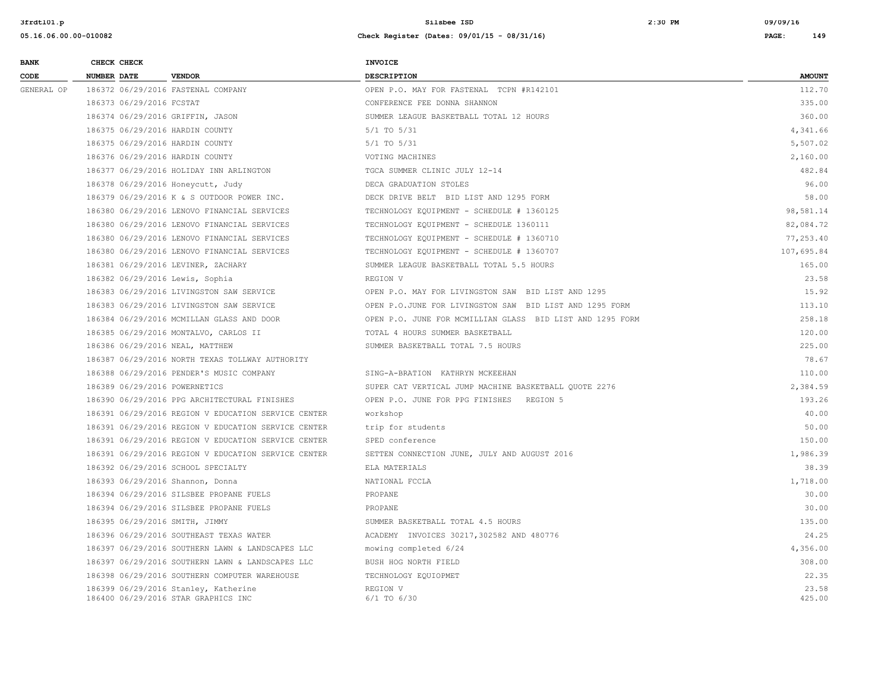| <b>BANK</b> | CHECK CHECK                   |                                                                             | <b>INVOICE</b>                                            |                 |
|-------------|-------------------------------|-----------------------------------------------------------------------------|-----------------------------------------------------------|-----------------|
| CODE        | NUMBER DATE                   | <b>VENDOR</b>                                                               | <b>DESCRIPTION</b>                                        | <b>AMOUNT</b>   |
| GENERAL OP  |                               | 186372 06/29/2016 FASTENAL COMPANY                                          | OPEN P.O. MAY FOR FASTENAL TCPN #R142101                  | 112.70          |
|             | 186373 06/29/2016 FCSTAT      |                                                                             | CONFERENCE FEE DONNA SHANNON                              | 335.00          |
|             |                               | 186374 06/29/2016 GRIFFIN, JASON                                            | SUMMER LEAGUE BASKETBALL TOTAL 12 HOURS                   | 360.00          |
|             |                               | 186375 06/29/2016 HARDIN COUNTY                                             | $5/1$ TO $5/31$                                           | 4,341.66        |
|             |                               | 186375 06/29/2016 HARDIN COUNTY                                             | $5/1$ TO $5/31$                                           | 5,507.02        |
|             |                               | 186376 06/29/2016 HARDIN COUNTY                                             | VOTING MACHINES                                           | 2,160.00        |
|             |                               | 186377 06/29/2016 HOLIDAY INN ARLINGTON                                     | TGCA SUMMER CLINIC JULY 12-14                             | 482.84          |
|             |                               | 186378 06/29/2016 Honeycutt, Judy                                           | DECA GRADUATION STOLES                                    | 96.00           |
|             |                               | 186379 06/29/2016 K & S OUTDOOR POWER INC.                                  | DECK DRIVE BELT BID LIST AND 1295 FORM                    | 58.00           |
|             |                               | 186380 06/29/2016 LENOVO FINANCIAL SERVICES                                 | TECHNOLOGY EQUIPMENT - SCHEDULE # 1360125                 | 98,581.14       |
|             |                               | 186380 06/29/2016 LENOVO FINANCIAL SERVICES                                 | TECHNOLOGY EQUIPMENT - SCHEDULE 1360111                   | 82,084.72       |
|             |                               | 186380 06/29/2016 LENOVO FINANCIAL SERVICES                                 | TECHNOLOGY EQUIPMENT - SCHEDULE # 1360710                 | 77,253.40       |
|             |                               | 186380 06/29/2016 LENOVO FINANCIAL SERVICES                                 | TECHNOLOGY EQUIPMENT - SCHEDULE # 1360707                 | 107,695.84      |
|             |                               | 186381 06/29/2016 LEVINER, ZACHARY                                          | SUMMER LEAGUE BASKETBALL TOTAL 5.5 HOURS                  | 165.00          |
|             |                               | 186382 06/29/2016 Lewis, Sophia                                             | REGION V                                                  | 23.58           |
|             |                               | 186383 06/29/2016 LIVINGSTON SAW SERVICE                                    | OPEN P.O. MAY FOR LIVINGSTON SAW BID LIST AND 1295        | 15.92           |
|             |                               | 186383 06/29/2016 LIVINGSTON SAW SERVICE                                    | OPEN P.O.JUNE FOR LIVINGSTON SAW BID LIST AND 1295 FORM   | 113.10          |
|             |                               | 186384 06/29/2016 MCMILLAN GLASS AND DOOR                                   | OPEN P.O. JUNE FOR MCMILLIAN GLASS BID LIST AND 1295 FORM | 258.18          |
|             |                               | 186385 06/29/2016 MONTALVO, CARLOS II                                       | TOTAL 4 HOURS SUMMER BASKETBALL                           | 120.00          |
|             |                               | 186386 06/29/2016 NEAL, MATTHEW                                             | SUMMER BASKETBALL TOTAL 7.5 HOURS                         | 225.00          |
|             |                               | 186387 06/29/2016 NORTH TEXAS TOLLWAY AUTHORITY                             |                                                           | 78.67           |
|             |                               | 186388 06/29/2016 PENDER'S MUSIC COMPANY                                    | SING-A-BRATION KATHRYN MCKEEHAN                           | 110.00          |
|             | 186389 06/29/2016 POWERNETICS |                                                                             | SUPER CAT VERTICAL JUMP MACHINE BASKETBALL QUOTE 2276     | 2,384.59        |
|             |                               | 186390 06/29/2016 PPG ARCHITECTURAL FINISHES                                | OPEN P.O. JUNE FOR PPG FINISHES REGION 5                  | 193.26          |
|             |                               | 186391 06/29/2016 REGION V EDUCATION SERVICE CENTER                         | workshop                                                  | 40.00           |
|             |                               | 186391 06/29/2016 REGION V EDUCATION SERVICE CENTER                         | trip for students                                         | 50.00           |
|             |                               | 186391 06/29/2016 REGION V EDUCATION SERVICE CENTER                         | SPED conference                                           | 150.00          |
|             |                               | 186391 06/29/2016 REGION V EDUCATION SERVICE CENTER                         | SETTEN CONNECTION JUNE, JULY AND AUGUST 2016              | 1,986.39        |
|             |                               | 186392 06/29/2016 SCHOOL SPECIALTY                                          | ELA MATERIALS                                             | 38.39           |
|             |                               | 186393 06/29/2016 Shannon, Donna                                            | NATIONAL FCCLA                                            | 1,718.00        |
|             |                               | 186394 06/29/2016 SILSBEE PROPANE FUELS                                     | PROPANE                                                   | 30.00           |
|             |                               | 186394 06/29/2016 SILSBEE PROPANE FUELS                                     | PROPANE                                                   | 30.00           |
|             |                               | 186395 06/29/2016 SMITH, JIMMY                                              | SUMMER BASKETBALL TOTAL 4.5 HOURS                         | 135.00          |
|             |                               | 186396 06/29/2016 SOUTHEAST TEXAS WATER                                     | ACADEMY INVOICES 30217, 302582 AND 480776                 | 24.25           |
|             |                               | 186397 06/29/2016 SOUTHERN LAWN & LANDSCAPES LLC                            | mowing completed 6/24                                     | 4,356.00        |
|             |                               | 186397 06/29/2016 SOUTHERN LAWN & LANDSCAPES LLC                            | BUSH HOG NORTH FIELD                                      | 308.00          |
|             |                               | 186398 06/29/2016 SOUTHERN COMPUTER WAREHOUSE                               | TECHNOLOGY EQUIOPMET                                      | 22.35           |
|             |                               | 186399 06/29/2016 Stanley, Katherine<br>186400 06/29/2016 STAR GRAPHICS INC | REGION V<br>$6/1$ TO $6/30$                               | 23.58<br>425.00 |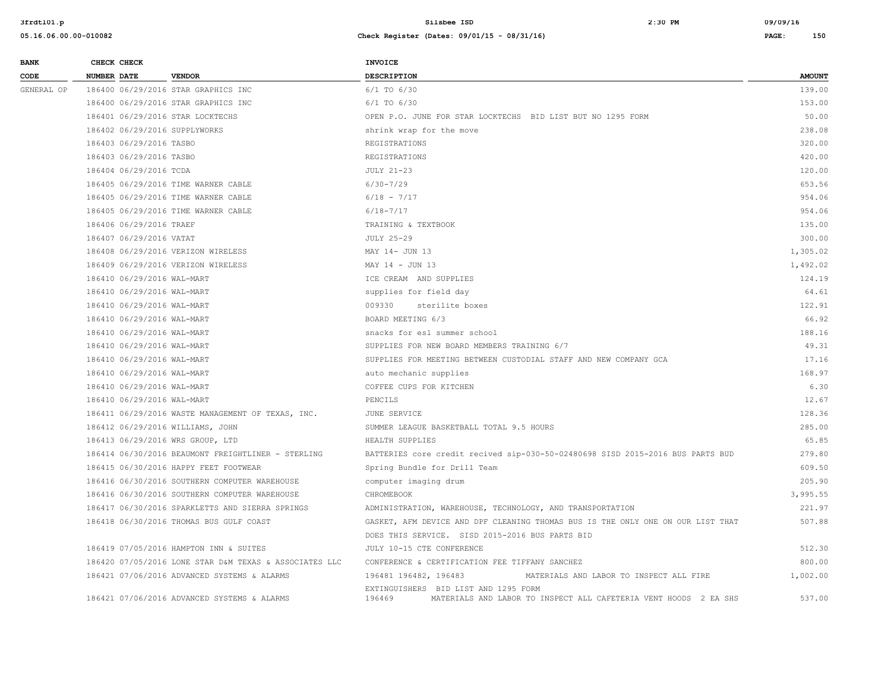| <b>BANK</b> |                    | CHECK CHECK                |                                                        | <b>INVOICE</b>                                                                                                     |               |
|-------------|--------------------|----------------------------|--------------------------------------------------------|--------------------------------------------------------------------------------------------------------------------|---------------|
| CODE        | <b>NUMBER DATE</b> |                            | <b>VENDOR</b>                                          | <b>DESCRIPTION</b>                                                                                                 | <b>AMOUNT</b> |
| GENERAL OP  |                    |                            | 186400 06/29/2016 STAR GRAPHICS INC                    | 6/1 TO 6/30                                                                                                        | 139.00        |
|             |                    |                            | 186400 06/29/2016 STAR GRAPHICS INC                    | $6/1$ TO $6/30$                                                                                                    | 153.00        |
|             |                    |                            | 186401 06/29/2016 STAR LOCKTECHS                       | OPEN P.O. JUNE FOR STAR LOCKTECHS BID LIST BUT NO 1295 FORM                                                        | 50.00         |
|             |                    |                            | 186402 06/29/2016 SUPPLYWORKS                          | shrink wrap for the move                                                                                           | 238.08        |
|             |                    | 186403 06/29/2016 TASBO    |                                                        | REGISTRATIONS                                                                                                      | 320.00        |
|             |                    | 186403 06/29/2016 TASBO    |                                                        | REGISTRATIONS                                                                                                      | 420.00        |
|             |                    | 186404 06/29/2016 TCDA     |                                                        | <b>JULY 21-23</b>                                                                                                  | 120.00        |
|             |                    |                            | 186405 06/29/2016 TIME WARNER CABLE                    | $6/30 - 7/29$                                                                                                      | 653.56        |
|             |                    |                            | 186405 06/29/2016 TIME WARNER CABLE                    | $6/18 - 7/17$                                                                                                      | 954.06        |
|             |                    |                            | 186405 06/29/2016 TIME WARNER CABLE                    | $6/18 - 7/17$                                                                                                      | 954.06        |
|             |                    | 186406 06/29/2016 TRAEF    |                                                        | TRAINING & TEXTBOOK                                                                                                | 135.00        |
|             |                    | 186407 06/29/2016 VATAT    |                                                        | <b>JULY 25-29</b>                                                                                                  | 300.00        |
|             |                    |                            | 186408 06/29/2016 VERIZON WIRELESS                     | MAY 14- JUN 13                                                                                                     | 1,305.02      |
|             |                    |                            | 186409 06/29/2016 VERIZON WIRELESS                     | MAY 14 - JUN 13                                                                                                    | 1,492.02      |
|             |                    | 186410 06/29/2016 WAL-MART |                                                        | ICE CREAM AND SUPPLIES                                                                                             | 124.19        |
|             |                    | 186410 06/29/2016 WAL-MART |                                                        | supplies for field day                                                                                             | 64.61         |
|             |                    | 186410 06/29/2016 WAL-MART |                                                        | 009330<br>sterilite boxes                                                                                          | 122.91        |
|             |                    | 186410 06/29/2016 WAL-MART |                                                        | BOARD MEETING 6/3                                                                                                  | 66.92         |
|             |                    | 186410 06/29/2016 WAL-MART |                                                        | snacks for esl summer school                                                                                       | 188.16        |
|             |                    | 186410 06/29/2016 WAL-MART |                                                        | SUPPLIES FOR NEW BOARD MEMBERS TRAINING 6/7                                                                        | 49.31         |
|             |                    | 186410 06/29/2016 WAL-MART |                                                        | SUPPLIES FOR MEETING BETWEEN CUSTODIAL STAFF AND NEW COMPANY GCA                                                   | 17.16         |
|             |                    | 186410 06/29/2016 WAL-MART |                                                        | auto mechanic supplies                                                                                             | 168.97        |
|             |                    | 186410 06/29/2016 WAL-MART |                                                        | COFFEE CUPS FOR KITCHEN                                                                                            | 6.30          |
|             |                    | 186410 06/29/2016 WAL-MART |                                                        | PENCILS                                                                                                            | 12.67         |
|             |                    |                            | 186411 06/29/2016 WASTE MANAGEMENT OF TEXAS, INC.      | JUNE SERVICE                                                                                                       | 128.36        |
|             |                    |                            | 186412 06/29/2016 WILLIAMS, JOHN                       | SUMMER LEAGUE BASKETBALL TOTAL 9.5 HOURS                                                                           | 285.00        |
|             |                    |                            | 186413 06/29/2016 WRS GROUP, LTD                       | HEALTH SUPPLIES                                                                                                    | 65.85         |
|             |                    |                            | 186414 06/30/2016 BEAUMONT FREIGHTLINER - STERLING     | BATTERIES core credit recived sip-030-50-02480698 SISD 2015-2016 BUS PARTS BUD                                     | 279.80        |
|             |                    |                            | 186415 06/30/2016 HAPPY FEET FOOTWEAR                  | Spring Bundle for Drill Team                                                                                       | 609.50        |
|             |                    |                            | 186416 06/30/2016 SOUTHERN COMPUTER WAREHOUSE          | computer imaging drum                                                                                              | 205.90        |
|             |                    |                            | 186416 06/30/2016 SOUTHERN COMPUTER WAREHOUSE          | CHROMEBOOK                                                                                                         | 3,995.55      |
|             |                    |                            | 186417 06/30/2016 SPARKLETTS AND SIERRA SPRINGS        | ADMINISTRATION, WAREHOUSE, TECHNOLOGY, AND TRANSPORTATION                                                          | 221.97        |
|             |                    |                            | 186418 06/30/2016 THOMAS BUS GULF COAST                | GASKET, AFM DEVICE AND DPF CLEANING THOMAS BUS IS THE ONLY ONE ON OUR LIST THAT                                    | 507.88        |
|             |                    |                            |                                                        | DOES THIS SERVICE. SISD 2015-2016 BUS PARTS BID                                                                    |               |
|             |                    |                            | 186419 07/05/2016 HAMPTON INN & SUITES                 | JULY 10-15 CTE CONFERENCE                                                                                          | 512.30        |
|             |                    |                            | 186420 07/05/2016 LONE STAR D&M TEXAS & ASSOCIATES LLC | CONFERENCE & CERTIFICATION FEE TIFFANY SANCHEZ                                                                     | 800.00        |
|             |                    |                            | 186421 07/06/2016 ADVANCED SYSTEMS & ALARMS            | 196481 196482, 196483<br>MATERIALS AND LABOR TO INSPECT ALL FIRE                                                   | 1,002.00      |
|             |                    |                            | 186421 07/06/2016 ADVANCED SYSTEMS & ALARMS            | EXTINGUISHERS BID LIST AND 1295 FORM<br>MATERIALS AND LABOR TO INSPECT ALL CAFETERIA VENT HOODS 2 EA SHS<br>196469 | 537.00        |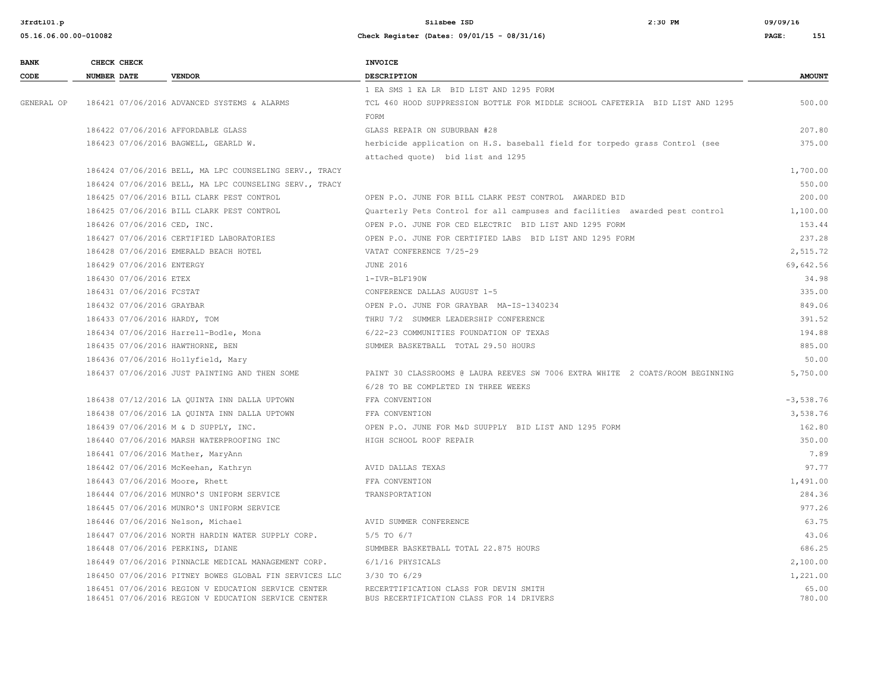| <b>BANK</b> |             | CHECK CHECK                 |                                                                                                            | <b>INVOICE</b>                                                                     |                 |
|-------------|-------------|-----------------------------|------------------------------------------------------------------------------------------------------------|------------------------------------------------------------------------------------|-----------------|
| CODE        | NUMBER DATE |                             | <b>VENDOR</b>                                                                                              | DESCRIPTION                                                                        | <b>AMOUNT</b>   |
|             |             |                             |                                                                                                            | 1 EA SMS 1 EA LR BID LIST AND 1295 FORM                                            |                 |
| GENERAL OP  |             |                             | 186421 07/06/2016 ADVANCED SYSTEMS & ALARMS                                                                | TCL 460 HOOD SUPPRESSION BOTTLE FOR MIDDLE SCHOOL CAFETERIA BID LIST AND 1295      | 500.00          |
|             |             |                             |                                                                                                            | FORM                                                                               |                 |
|             |             |                             | 186422 07/06/2016 AFFORDABLE GLASS                                                                         | GLASS REPAIR ON SUBURBAN #28                                                       | 207.80          |
|             |             |                             | 186423 07/06/2016 BAGWELL, GEARLD W.                                                                       | herbicide application on H.S. baseball field for torpedo grass Control (see        | 375.00          |
|             |             |                             |                                                                                                            | attached quote) bid list and 1295                                                  |                 |
|             |             |                             | 186424 07/06/2016 BELL, MA LPC COUNSELING SERV., TRACY                                                     |                                                                                    | 1,700.00        |
|             |             |                             | 186424 07/06/2016 BELL, MA LPC COUNSELING SERV., TRACY                                                     |                                                                                    | 550.00          |
|             |             |                             | 186425 07/06/2016 BILL CLARK PEST CONTROL                                                                  | OPEN P.O. JUNE FOR BILL CLARK PEST CONTROL AWARDED BID                             | 200.00          |
|             |             |                             | 186425 07/06/2016 BILL CLARK PEST CONTROL                                                                  | Quarterly Pets Control for all campuses and facilities awarded pest control        | 1,100.00        |
|             |             | 186426 07/06/2016 CED, INC. |                                                                                                            | OPEN P.O. JUNE FOR CED ELECTRIC BID LIST AND 1295 FORM                             | 153.44          |
|             |             |                             | 186427 07/06/2016 CERTIFIED LABORATORIES                                                                   | OPEN P.O. JUNE FOR CERTIFIED LABS BID LIST AND 1295 FORM                           | 237.28          |
|             |             |                             | 186428 07/06/2016 EMERALD BEACH HOTEL                                                                      | VATAT CONFERENCE 7/25-29                                                           | 2,515.72        |
|             |             | 186429 07/06/2016 ENTERGY   |                                                                                                            | <b>JUNE 2016</b>                                                                   | 69,642.56       |
|             |             | 186430 07/06/2016 ETEX      |                                                                                                            | 1-IVR-BLF190W                                                                      | 34.98           |
|             |             | 186431 07/06/2016 FCSTAT    |                                                                                                            | CONFERENCE DALLAS AUGUST 1-5                                                       | 335.00          |
|             |             | 186432 07/06/2016 GRAYBAR   |                                                                                                            | OPEN P.O. JUNE FOR GRAYBAR MA-IS-1340234                                           | 849.06          |
|             |             |                             | 186433 07/06/2016 HARDY, TOM                                                                               | THRU 7/2 SUMMER LEADERSHIP CONFERENCE                                              | 391.52          |
|             |             |                             | 186434 07/06/2016 Harrell-Bodle, Mona                                                                      | 6/22-23 COMMUNITIES FOUNDATION OF TEXAS                                            | 194.88          |
|             |             |                             | 186435 07/06/2016 HAWTHORNE, BEN                                                                           | SUMMER BASKETBALL TOTAL 29.50 HOURS                                                | 885.00          |
|             |             |                             | 186436 07/06/2016 Hollyfield, Mary                                                                         |                                                                                    | 50.00           |
|             |             |                             | 186437 07/06/2016 JUST PAINTING AND THEN SOME                                                              | PAINT 30 CLASSROOMS @ LAURA REEVES SW 7006 EXTRA WHITE 2 COATS/ROOM BEGINNING      | 5,750.00        |
|             |             |                             |                                                                                                            | 6/28 TO BE COMPLETED IN THREE WEEKS                                                |                 |
|             |             |                             | 186438 07/12/2016 LA QUINTA INN DALLA UPTOWN                                                               | FFA CONVENTION                                                                     | $-3,538.76$     |
|             |             |                             | 186438 07/06/2016 LA QUINTA INN DALLA UPTOWN                                                               | FFA CONVENTION                                                                     | 3,538.76        |
|             |             |                             | 186439 07/06/2016 M & D SUPPLY, INC.                                                                       | OPEN P.O. JUNE FOR M&D SUUPPLY BID LIST AND 1295 FORM                              | 162.80          |
|             |             |                             | 186440 07/06/2016 MARSH WATERPROOFING INC                                                                  | HIGH SCHOOL ROOF REPAIR                                                            | 350.00          |
|             |             |                             | 186441 07/06/2016 Mather, MaryAnn                                                                          |                                                                                    | 7.89            |
|             |             |                             | 186442 07/06/2016 McKeehan, Kathryn                                                                        | AVID DALLAS TEXAS                                                                  | 97.77           |
|             |             |                             | 186443 07/06/2016 Moore, Rhett                                                                             | FFA CONVENTION                                                                     | 1,491.00        |
|             |             |                             | 186444 07/06/2016 MUNRO'S UNIFORM SERVICE                                                                  | TRANSPORTATION                                                                     | 284.36          |
|             |             |                             | 186445 07/06/2016 MUNRO'S UNIFORM SERVICE                                                                  |                                                                                    | 977.26          |
|             |             |                             | 186446 07/06/2016 Nelson, Michael                                                                          | AVID SUMMER CONFERENCE                                                             | 63.75           |
|             |             |                             | 186447 07/06/2016 NORTH HARDIN WATER SUPPLY CORP.                                                          | $5/5$ TO $6/7$                                                                     | 43.06           |
|             |             |                             | 186448 07/06/2016 PERKINS, DIANE                                                                           | SUMMBER BASKETBALL TOTAL 22.875 HOURS                                              | 686.25          |
|             |             |                             | 186449 07/06/2016 PINNACLE MEDICAL MANAGEMENT CORP.                                                        | 6/1/16 PHYSICALS                                                                   | 2,100.00        |
|             |             |                             | 186450 07/06/2016 PITNEY BOWES GLOBAL FIN SERVICES LLC                                                     | 3/30 TO 6/29                                                                       | 1,221.00        |
|             |             |                             | 186451 07/06/2016 REGION V EDUCATION SERVICE CENTER<br>186451 07/06/2016 REGION V EDUCATION SERVICE CENTER | RECERTTIFICATION CLASS FOR DEVIN SMITH<br>BUS RECERTIFICATION CLASS FOR 14 DRIVERS | 65.00<br>780.00 |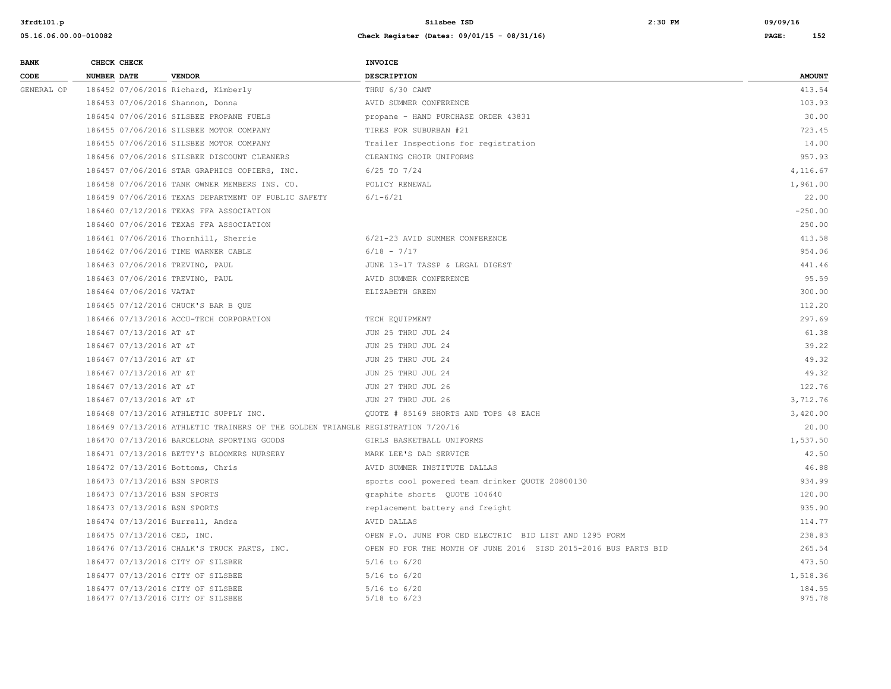| <b>BANK</b> | CHECK CHECK                      |                                                                                 | <b>INVOICE</b>                                                  |               |
|-------------|----------------------------------|---------------------------------------------------------------------------------|-----------------------------------------------------------------|---------------|
| CODE        | <b>NUMBER DATE</b>               | <b>VENDOR</b>                                                                   | <b>DESCRIPTION</b>                                              | <b>AMOUNT</b> |
| GENERAL OP  |                                  | 186452 07/06/2016 Richard, Kimberly                                             | THRU 6/30 CAMT                                                  | 413.54        |
|             | 186453 07/06/2016 Shannon, Donna |                                                                                 | AVID SUMMER CONFERENCE                                          | 103.93        |
|             |                                  | 186454 07/06/2016 SILSBEE PROPANE FUELS                                         | propane - HAND PURCHASE ORDER 43831                             | 30.00         |
|             |                                  | 186455 07/06/2016 SILSBEE MOTOR COMPANY                                         | TIRES FOR SUBURBAN #21                                          | 723.45        |
|             |                                  | 186455 07/06/2016 SILSBEE MOTOR COMPANY                                         | Trailer Inspections for registration                            | 14.00         |
|             |                                  | 186456 07/06/2016 SILSBEE DISCOUNT CLEANERS                                     | CLEANING CHOIR UNIFORMS                                         | 957.93        |
|             |                                  | 186457 07/06/2016 STAR GRAPHICS COPIERS, INC.                                   | 6/25 TO 7/24                                                    | 4,116.67      |
|             |                                  | 186458 07/06/2016 TANK OWNER MEMBERS INS. CO.                                   | POLICY RENEWAL                                                  | 1,961.00      |
|             |                                  | 186459 07/06/2016 TEXAS DEPARTMENT OF PUBLIC SAFETY                             | $6/1 - 6/21$                                                    | 22.00         |
|             |                                  | 186460 07/12/2016 TEXAS FFA ASSOCIATION                                         |                                                                 | $-250.00$     |
|             |                                  | 186460 07/06/2016 TEXAS FFA ASSOCIATION                                         |                                                                 | 250.00        |
|             |                                  | 186461 07/06/2016 Thornhill, Sherrie                                            | 6/21-23 AVID SUMMER CONFERENCE                                  | 413.58        |
|             |                                  | 186462 07/06/2016 TIME WARNER CABLE                                             | $6/18 - 7/17$                                                   | 954.06        |
|             | 186463 07/06/2016 TREVINO, PAUL  |                                                                                 | JUNE 13-17 TASSP & LEGAL DIGEST                                 | 441.46        |
|             | 186463 07/06/2016 TREVINO, PAUL  |                                                                                 | AVID SUMMER CONFERENCE                                          | 95.59         |
|             | 186464 07/06/2016 VATAT          |                                                                                 | ELIZABETH GREEN                                                 | 300.00        |
|             |                                  | 186465 07/12/2016 CHUCK'S BAR B QUE                                             |                                                                 | 112.20        |
|             |                                  | 186466 07/13/2016 ACCU-TECH CORPORATION                                         | TECH EQUIPMENT                                                  | 297.69        |
|             | 186467 07/13/2016 AT &T          |                                                                                 | JUN 25 THRU JUL 24                                              | 61.38         |
|             | 186467 07/13/2016 AT &T          |                                                                                 | JUN 25 THRU JUL 24                                              | 39.22         |
|             | 186467 07/13/2016 AT &T          |                                                                                 | JUN 25 THRU JUL 24                                              | 49.32         |
|             | 186467 07/13/2016 AT &T          |                                                                                 | JUN 25 THRU JUL 24                                              | 49.32         |
|             | 186467 07/13/2016 AT &T          |                                                                                 | JUN 27 THRU JUL 26                                              | 122.76        |
|             | 186467 07/13/2016 AT &T          |                                                                                 | JUN 27 THRU JUL 26                                              | 3,712.76      |
|             |                                  | 186468 07/13/2016 ATHLETIC SUPPLY INC.                                          | QUOTE # 85169 SHORTS AND TOPS 48 EACH                           | 3,420.00      |
|             |                                  | 186469 07/13/2016 ATHLETIC TRAINERS OF THE GOLDEN TRIANGLE REGISTRATION 7/20/16 |                                                                 | 20.00         |
|             |                                  | 186470 07/13/2016 BARCELONA SPORTING GOODS                                      | GIRLS BASKETBALL UNIFORMS                                       | 1,537.50      |
|             |                                  | 186471 07/13/2016 BETTY'S BLOOMERS NURSERY                                      | MARK LEE'S DAD SERVICE                                          | 42.50         |
|             | 186472 07/13/2016 Bottoms, Chris |                                                                                 | AVID SUMMER INSTITUTE DALLAS                                    | 46.88         |
|             | 186473 07/13/2016 BSN SPORTS     |                                                                                 | sports cool powered team drinker QUOTE 20800130                 | 934.99        |
|             | 186473 07/13/2016 BSN SPORTS     |                                                                                 | graphite shorts QUOTE 104640                                    | 120.00        |
|             | 186473 07/13/2016 BSN SPORTS     |                                                                                 | replacement battery and freight                                 | 935.90        |
|             | 186474 07/13/2016 Burrell, Andra |                                                                                 | AVID DALLAS                                                     | 114.77        |
|             | 186475 07/13/2016 CED, INC.      |                                                                                 | OPEN P.O. JUNE FOR CED ELECTRIC BID LIST AND 1295 FORM          | 238.83        |
|             |                                  | 186476 07/13/2016 CHALK'S TRUCK PARTS, INC.                                     | OPEN PO FOR THE MONTH OF JUNE 2016 SISD 2015-2016 BUS PARTS BID | 265.54        |
|             |                                  | 186477 07/13/2016 CITY OF SILSBEE                                               | $5/16$ to $6/20$                                                | 473.50        |
|             |                                  | 186477 07/13/2016 CITY OF SILSBEE                                               | $5/16$ to $6/20$                                                | 1,518.36      |
|             |                                  | 186477 07/13/2016 CITY OF SILSBEE                                               | $5/16$ to $6/20$                                                | 184.55        |
|             |                                  | 186477 07/13/2016 CITY OF SILSBEE                                               | $5/18$ to $6/23$                                                | 975.78        |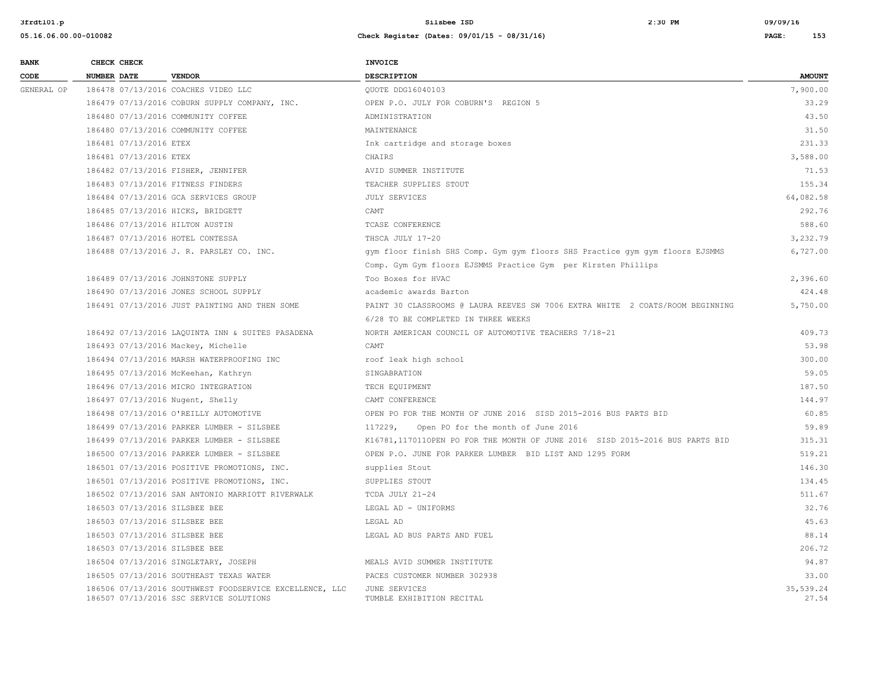| <b>BANK</b> |                    | CHECK CHECK            |                                                                                                    | <b>INVOICE</b>                                                                |                    |
|-------------|--------------------|------------------------|----------------------------------------------------------------------------------------------------|-------------------------------------------------------------------------------|--------------------|
| CODE        | <b>NUMBER DATE</b> |                        | <b>VENDOR</b>                                                                                      | <b>DESCRIPTION</b>                                                            | <b>AMOUNT</b>      |
| GENERAL OP  |                    |                        | 186478 07/13/2016 COACHES VIDEO LLC                                                                | OUOTE DDG16040103                                                             | 7,900.00           |
|             |                    |                        | 186479 07/13/2016 COBURN SUPPLY COMPANY, INC.                                                      | OPEN P.O. JULY FOR COBURN'S REGION 5                                          | 33.29              |
|             |                    |                        | 186480 07/13/2016 COMMUNITY COFFEE                                                                 | ADMINISTRATION                                                                | 43.50              |
|             |                    |                        | 186480 07/13/2016 COMMUNITY COFFEE                                                                 | MAINTENANCE                                                                   | 31.50              |
|             |                    | 186481 07/13/2016 ETEX |                                                                                                    | Ink cartridge and storage boxes                                               | 231.33             |
|             |                    | 186481 07/13/2016 ETEX |                                                                                                    | CHAIRS                                                                        | 3,588.00           |
|             |                    |                        | 186482 07/13/2016 FISHER, JENNIFER                                                                 | AVID SUMMER INSTITUTE                                                         | 71.53              |
|             |                    |                        | 186483 07/13/2016 FITNESS FINDERS                                                                  | TEACHER SUPPLIES STOUT                                                        | 155.34             |
|             |                    |                        | 186484 07/13/2016 GCA SERVICES GROUP                                                               | JULY SERVICES                                                                 | 64,082.58          |
|             |                    |                        | 186485 07/13/2016 HICKS, BRIDGETT                                                                  | CAMT                                                                          | 292.76             |
|             |                    |                        | 186486 07/13/2016 HILTON AUSTIN                                                                    | TCASE CONFERENCE                                                              | 588.60             |
|             |                    |                        | 186487 07/13/2016 HOTEL CONTESSA                                                                   | THSCA JULY 17-20                                                              | 3,232.79           |
|             |                    |                        | 186488 07/13/2016 J. R. PARSLEY CO. INC.                                                           | gym floor finish SHS Comp. Gym gym floors SHS Practice gym gym floors EJSMMS  | 6,727.00           |
|             |                    |                        |                                                                                                    | Comp. Gym Gym floors EJSMMS Practice Gym per Kirsten Phillips                 |                    |
|             |                    |                        | 186489 07/13/2016 JOHNSTONE SUPPLY                                                                 | Too Boxes for HVAC                                                            | 2,396.60           |
|             |                    |                        | 186490 07/13/2016 JONES SCHOOL SUPPLY                                                              | academic awards Barton                                                        | 424.48             |
|             |                    |                        | 186491 07/13/2016 JUST PAINTING AND THEN SOME                                                      | PAINT 30 CLASSROOMS @ LAURA REEVES SW 7006 EXTRA WHITE 2 COATS/ROOM BEGINNING | 5,750.00           |
|             |                    |                        |                                                                                                    | 6/28 TO BE COMPLETED IN THREE WEEKS                                           |                    |
|             |                    |                        | 186492 07/13/2016 LAQUINTA INN & SUITES PASADENA                                                   | NORTH AMERICAN COUNCIL OF AUTOMOTIVE TEACHERS 7/18-21                         | 409.73             |
|             |                    |                        | 186493 07/13/2016 Mackey, Michelle                                                                 | CAMT                                                                          | 53.98              |
|             |                    |                        | 186494 07/13/2016 MARSH WATERPROOFING INC                                                          | roof leak high school                                                         | 300.00             |
|             |                    |                        | 186495 07/13/2016 McKeehan, Kathryn                                                                | SINGABRATION                                                                  | 59.05              |
|             |                    |                        | 186496 07/13/2016 MICRO INTEGRATION                                                                | TECH EQUIPMENT                                                                | 187.50             |
|             |                    |                        | 186497 07/13/2016 Nugent, Shelly                                                                   | CAMT CONFERENCE                                                               | 144.97             |
|             |                    |                        | 186498 07/13/2016 O'REILLY AUTOMOTIVE                                                              | OPEN PO FOR THE MONTH OF JUNE 2016 SISD 2015-2016 BUS PARTS BID               | 60.85              |
|             |                    |                        | 186499 07/13/2016 PARKER LUMBER - SILSBEE                                                          | 117229,<br>Open PO for the month of June 2016                                 | 59.89              |
|             |                    |                        | 186499 07/13/2016 PARKER LUMBER - SILSBEE                                                          | K16781, 117011OPEN PO FOR THE MONTH OF JUNE 2016 SISD 2015-2016 BUS PARTS BID | 315.31             |
|             |                    |                        | 186500 07/13/2016 PARKER LUMBER - SILSBEE                                                          | OPEN P.O. JUNE FOR PARKER LUMBER BID LIST AND 1295 FORM                       | 519.21             |
|             |                    |                        | 186501 07/13/2016 POSITIVE PROMOTIONS, INC.                                                        | supplies Stout                                                                | 146.30             |
|             |                    |                        | 186501 07/13/2016 POSITIVE PROMOTIONS, INC.                                                        | SUPPLIES STOUT                                                                | 134.45             |
|             |                    |                        | 186502 07/13/2016 SAN ANTONIO MARRIOTT RIVERWALK                                                   | TCDA JULY 21-24                                                               | 511.67             |
|             |                    |                        | 186503 07/13/2016 SILSBEE BEE                                                                      | LEGAL AD - UNIFORMS                                                           | 32.76              |
|             |                    |                        | 186503 07/13/2016 SILSBEE BEE                                                                      | LEGAL AD                                                                      | 45.63              |
|             |                    |                        | 186503 07/13/2016 SILSBEE BEE                                                                      | LEGAL AD BUS PARTS AND FUEL                                                   | 88.14              |
|             |                    |                        | 186503 07/13/2016 SILSBEE BEE                                                                      |                                                                               | 206.72             |
|             |                    |                        | 186504 07/13/2016 SINGLETARY, JOSEPH                                                               | MEALS AVID SUMMER INSTITUTE                                                   | 94.87              |
|             |                    |                        | 186505 07/13/2016 SOUTHEAST TEXAS WATER                                                            | PACES CUSTOMER NUMBER 302938                                                  | 33.00              |
|             |                    |                        | 186506 07/13/2016 SOUTHWEST FOODSERVICE EXCELLENCE, LLC<br>186507 07/13/2016 SSC SERVICE SOLUTIONS | JUNE SERVICES<br>TUMBLE EXHIBITION RECITAL                                    | 35,539.24<br>27.54 |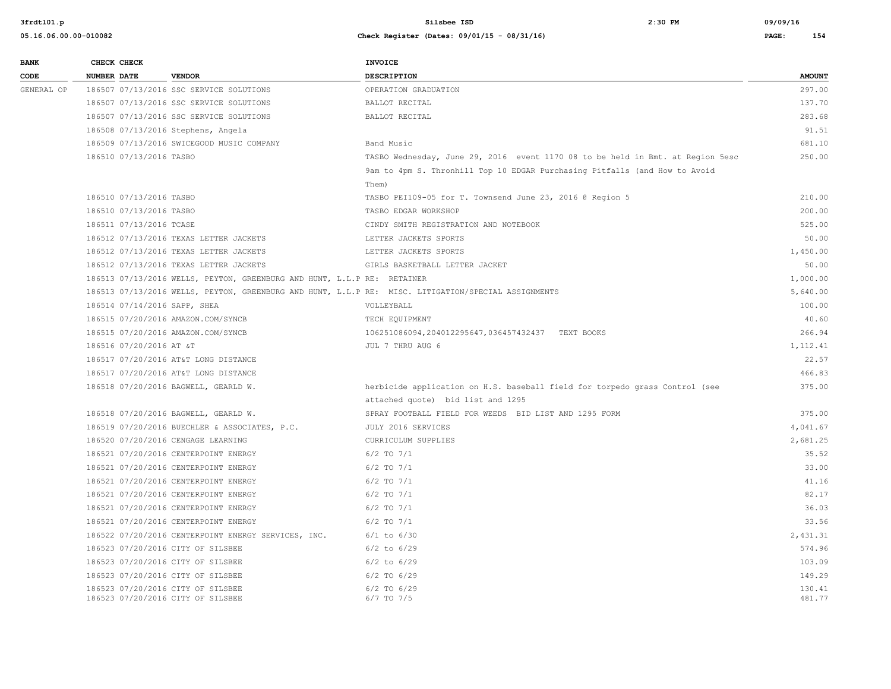| <b>NUMBER DATE</b><br><b>VENDOR</b><br><b>DESCRIPTION</b><br>CODE<br>186507 07/13/2016 SSC SERVICE SOLUTIONS<br>GENERAL OP<br>OPERATION GRADUATION<br>186507 07/13/2016 SSC SERVICE SOLUTIONS<br>BALLOT RECITAL<br>186507 07/13/2016 SSC SERVICE SOLUTIONS<br>BALLOT RECITAL | <b>AMOUNT</b><br>297.00<br>137.70<br>283.68<br>91.51<br>681.10<br>250.00 |
|------------------------------------------------------------------------------------------------------------------------------------------------------------------------------------------------------------------------------------------------------------------------------|--------------------------------------------------------------------------|
|                                                                                                                                                                                                                                                                              |                                                                          |
|                                                                                                                                                                                                                                                                              |                                                                          |
|                                                                                                                                                                                                                                                                              |                                                                          |
|                                                                                                                                                                                                                                                                              |                                                                          |
| 186508 07/13/2016 Stephens, Angela                                                                                                                                                                                                                                           |                                                                          |
| 186509 07/13/2016 SWICEGOOD MUSIC COMPANY<br>Band Music                                                                                                                                                                                                                      |                                                                          |
| 186510 07/13/2016 TASBO<br>TASBO Wednesday, June 29, 2016 event 1170 08 to be held in Bmt. at Region 5esc                                                                                                                                                                    |                                                                          |
| 9am to 4pm S. Thronhill Top 10 EDGAR Purchasing Pitfalls (and How to Avoid                                                                                                                                                                                                   |                                                                          |
| Them)                                                                                                                                                                                                                                                                        |                                                                          |
| 186510 07/13/2016 TASBO<br>TASBO PEI109-05 for T. Townsend June 23, 2016 @ Region 5                                                                                                                                                                                          | 210.00                                                                   |
| 186510 07/13/2016 TASBO<br>TASBO EDGAR WORKSHOP                                                                                                                                                                                                                              | 200.00                                                                   |
| 186511 07/13/2016 TCASE<br>CINDY SMITH REGISTRATION AND NOTEBOOK                                                                                                                                                                                                             | 525.00                                                                   |
| 186512 07/13/2016 TEXAS LETTER JACKETS<br>LETTER JACKETS SPORTS                                                                                                                                                                                                              | 50.00                                                                    |
| 186512 07/13/2016 TEXAS LETTER JACKETS<br>LETTER JACKETS SPORTS                                                                                                                                                                                                              | 1,450.00                                                                 |
| 186512 07/13/2016 TEXAS LETTER JACKETS<br>GIRLS BASKETBALL LETTER JACKET                                                                                                                                                                                                     | 50.00                                                                    |
| 186513 07/13/2016 WELLS, PEYTON, GREENBURG AND HUNT, L.L.P RE: RETAINER                                                                                                                                                                                                      | 1,000.00                                                                 |
| 186513 07/13/2016 WELLS, PEYTON, GREENBURG AND HUNT, L.L.P RE: MISC. LITIGATION/SPECIAL ASSIGNMENTS                                                                                                                                                                          | 5,640.00                                                                 |
| 186514 07/14/2016 SAPP, SHEA<br>VOLLEYBALL                                                                                                                                                                                                                                   | 100.00                                                                   |
| 186515 07/20/2016 AMAZON.COM/SYNCB<br>TECH EQUIPMENT                                                                                                                                                                                                                         | 40.60                                                                    |
| 186515 07/20/2016 AMAZON.COM/SYNCB<br>106251086094,204012295647,036457432437 TEXT BOOKS                                                                                                                                                                                      | 266.94                                                                   |
| 186516 07/20/2016 AT &T<br>JUL 7 THRU AUG 6                                                                                                                                                                                                                                  | 1,112.41                                                                 |
| 186517 07/20/2016 AT&T LONG DISTANCE                                                                                                                                                                                                                                         | 22.57                                                                    |
| 186517 07/20/2016 AT&T LONG DISTANCE                                                                                                                                                                                                                                         | 466.83                                                                   |
| 186518 07/20/2016 BAGWELL, GEARLD W.<br>herbicide application on H.S. baseball field for torpedo grass Control (see                                                                                                                                                          | 375.00                                                                   |
| attached quote) bid list and 1295                                                                                                                                                                                                                                            |                                                                          |
| 186518 07/20/2016 BAGWELL, GEARLD W.<br>SPRAY FOOTBALL FIELD FOR WEEDS BID LIST AND 1295 FORM                                                                                                                                                                                | 375.00                                                                   |
| 186519 07/20/2016 BUECHLER & ASSOCIATES, P.C.<br>JULY 2016 SERVICES                                                                                                                                                                                                          | 4,041.67                                                                 |
| 186520 07/20/2016 CENGAGE LEARNING<br>CURRICULUM SUPPLIES                                                                                                                                                                                                                    | 2,681.25                                                                 |
| 186521 07/20/2016 CENTERPOINT ENERGY<br>$6/2$ TO $7/1$                                                                                                                                                                                                                       | 35.52                                                                    |
| 186521 07/20/2016 CENTERPOINT ENERGY<br>$6/2$ TO $7/1$                                                                                                                                                                                                                       | 33.00                                                                    |
| 186521 07/20/2016 CENTERPOINT ENERGY<br>$6/2$ TO $7/1$                                                                                                                                                                                                                       | 41.16                                                                    |
| 186521 07/20/2016 CENTERPOINT ENERGY<br>$6/2$ TO $7/1$                                                                                                                                                                                                                       | 82.17                                                                    |
| 186521 07/20/2016 CENTERPOINT ENERGY<br>$6/2$ TO $7/1$                                                                                                                                                                                                                       | 36.03                                                                    |
| $6/2$ TO $7/1$<br>186521 07/20/2016 CENTERPOINT ENERGY                                                                                                                                                                                                                       | 33.56                                                                    |
| 186522 07/20/2016 CENTERPOINT ENERGY SERVICES, INC.<br>$6/1$ to $6/30$                                                                                                                                                                                                       | 2,431.31                                                                 |
| 186523 07/20/2016 CITY OF SILSBEE<br>$6/2$ to $6/29$                                                                                                                                                                                                                         | 574.96                                                                   |
| 186523 07/20/2016 CITY OF SILSBEE<br>$6/2$ to $6/29$                                                                                                                                                                                                                         | 103.09                                                                   |
| 186523 07/20/2016 CITY OF SILSBEE<br>$6/2$ TO $6/29$                                                                                                                                                                                                                         | 149.29                                                                   |
| 186523 07/20/2016 CITY OF SILSBEE<br>$6/2$ TO $6/29$<br>186523 07/20/2016 CITY OF SILSBEE<br>$6/7$ TO $7/5$                                                                                                                                                                  | 130.41<br>481.77                                                         |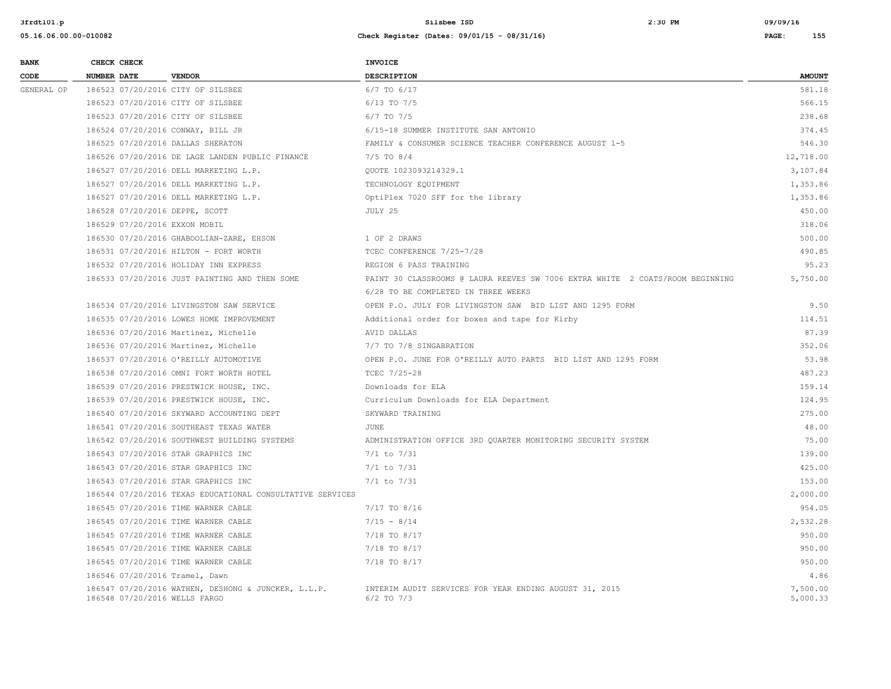| <b>BANK</b> | CHECK CHECK        |                                                                                      | INVOICE                                                                       |                      |
|-------------|--------------------|--------------------------------------------------------------------------------------|-------------------------------------------------------------------------------|----------------------|
| CODE        | <b>NUMBER DATE</b> | <b>VENDOR</b>                                                                        | <b>DESCRIPTION</b>                                                            | <b>AMOUNT</b>        |
| GENERAL OP  |                    | 186523 07/20/2016 CITY OF SILSBEE                                                    | 6/7 TO 6/17                                                                   | 581.18               |
|             |                    | 186523 07/20/2016 CITY OF SILSBEE                                                    | $6/13$ TO $7/5$                                                               | 566.15               |
|             |                    | 186523 07/20/2016 CITY OF SILSBEE                                                    | $6/7$ TO $7/5$                                                                | 238.68               |
|             |                    | 186524 07/20/2016 CONWAY, BILL JR                                                    | 6/15-18 SUMMER INSTITUTE SAN ANTONIO                                          | 374.45               |
|             |                    | 186525 07/20/2016 DALLAS SHERATON                                                    | FAMILY & CONSUMER SCIENCE TEACHER CONFERENCE AUGUST 1-5                       | 546.30               |
|             |                    | 186526 07/20/2016 DE LAGE LANDEN PUBLIC FINANCE                                      | $7/5$ TO $8/4$                                                                | 12,718.00            |
|             |                    | 186527 07/20/2016 DELL MARKETING L.P.                                                | OUOTE 1023093214329.1                                                         | 3,107.84             |
|             |                    | 186527 07/20/2016 DELL MARKETING L.P.                                                | TECHNOLOGY EQUIPMENT                                                          | 1,353.86             |
|             |                    | 186527 07/20/2016 DELL MARKETING L.P.                                                | OptiPlex 7020 SFF for the library                                             | 1,353.86             |
|             |                    | 186528 07/20/2016 DEPPE, SCOTT                                                       | JULY 25                                                                       | 450.00               |
|             |                    | 186529 07/20/2016 EXXON MOBIL                                                        |                                                                               | 318.06               |
|             |                    | 186530 07/20/2016 GHABOOLIAN-ZARE, EHSON                                             | 1 OF 2 DRAWS                                                                  | 500.00               |
|             |                    | 186531 07/20/2016 HILTON - FORT WORTH                                                | TCEC CONFERENCE 7/25-7/28                                                     | 490.85               |
|             |                    | 186532 07/20/2016 HOLIDAY INN EXPRESS                                                | REGION 6 PASS TRAINING                                                        | 95.23                |
|             |                    | 186533 07/20/2016 JUST PAINTING AND THEN SOME                                        | PAINT 30 CLASSROOMS @ LAURA REEVES SW 7006 EXTRA WHITE 2 COATS/ROOM BEGINNING | 5,750.00             |
|             |                    |                                                                                      | 6/28 TO BE COMPLETED IN THREE WEEKS                                           |                      |
|             |                    | 186534 07/20/2016 LIVINGSTON SAW SERVICE                                             | OPEN P.O. JULY FOR LIVINGSTON SAW BID LIST AND 1295 FORM                      | 9.50                 |
|             |                    | 186535 07/20/2016 LOWES HOME IMPROVEMENT                                             | Additional order for boxes and tape for Kirby                                 | 114.51               |
|             |                    | 186536 07/20/2016 Martinez, Michelle                                                 | AVID DALLAS                                                                   | 87.39                |
|             |                    | 186536 07/20/2016 Martinez, Michelle                                                 | 7/7 TO 7/8 SINGABRATION                                                       | 352.06               |
|             |                    | 186537 07/20/2016 O'REILLY AUTOMOTIVE                                                | OPEN P.O. JUNE FOR O'REILLY AUTO PARTS BID LIST AND 1295 FORM                 | 53.98                |
|             |                    | 186538 07/20/2016 OMNI FORT WORTH HOTEL                                              | TCEC 7/25-28                                                                  | 487.23               |
|             |                    | 186539 07/20/2016 PRESTWICK HOUSE, INC.                                              | Downloads for ELA                                                             | 159.14               |
|             |                    | 186539 07/20/2016 PRESTWICK HOUSE, INC.                                              | Curriculum Downloads for ELA Department                                       | 124.95               |
|             |                    | 186540 07/20/2016 SKYWARD ACCOUNTING DEPT                                            | SKYWARD TRAINING                                                              | 275.00               |
|             |                    | 186541 07/20/2016 SOUTHEAST TEXAS WATER                                              | JUNE                                                                          | 48.00                |
|             |                    | 186542 07/20/2016 SOUTHWEST BUILDING SYSTEMS                                         | ADMINISTRATION OFFICE 3RD QUARTER MONITORING SECURITY SYSTEM                  | 75.00                |
|             |                    | 186543 07/20/2016 STAR GRAPHICS INC                                                  | $7/1$ to $7/31$                                                               | 139.00               |
|             |                    | 186543 07/20/2016 STAR GRAPHICS INC                                                  | $7/1$ to $7/31$                                                               | 425.00               |
|             |                    | 186543 07/20/2016 STAR GRAPHICS INC                                                  | $7/1$ to $7/31$                                                               | 153.00               |
|             |                    | 186544 07/20/2016 TEXAS EDUCATIONAL CONSULTATIVE SERVICES                            |                                                                               | 2,000.00             |
|             |                    | 186545 07/20/2016 TIME WARNER CABLE                                                  | 7/17 TO 8/16                                                                  | 954.05               |
|             |                    | 186545 07/20/2016 TIME WARNER CABLE                                                  | $7/15 - 8/14$                                                                 | 2,532.28             |
|             |                    | 186545 07/20/2016 TIME WARNER CABLE                                                  | 7/18 TO 8/17                                                                  | 950.00               |
|             |                    | 186545 07/20/2016 TIME WARNER CABLE                                                  | 7/18 TO 8/17                                                                  | 950.00               |
|             |                    | 186545 07/20/2016 TIME WARNER CABLE                                                  | 7/18 TO 8/17                                                                  | 950.00               |
|             |                    | 186546 07/20/2016 Tramel, Dawn                                                       |                                                                               | 4.86                 |
|             |                    | 186547 07/20/2016 WATHEN, DESHONG & JUNCKER, L.L.P.<br>186548 07/20/2016 WELLS FARGO | INTERIM AUDIT SERVICES FOR YEAR ENDING AUGUST 31, 2015<br>$6/2$ TO $7/3$      | 7,500.00<br>5,000.33 |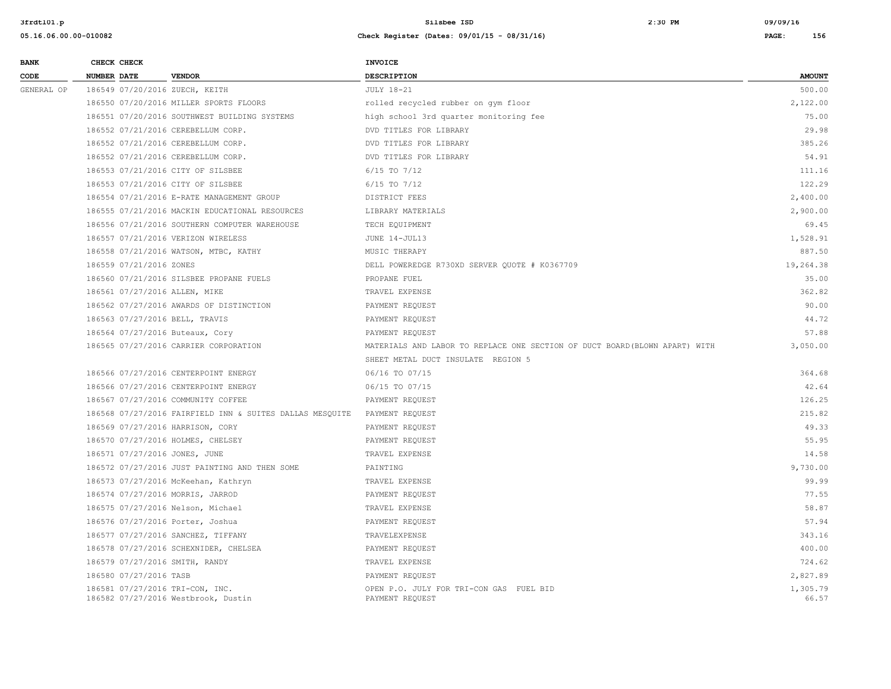| <b>BANK</b> | CHECK CHECK             |                                                                        | <b>INVOICE</b>                                                              |                   |
|-------------|-------------------------|------------------------------------------------------------------------|-----------------------------------------------------------------------------|-------------------|
| CODE        | NUMBER DATE             | <b>VENDOR</b>                                                          | <b>DESCRIPTION</b>                                                          | <b>AMOUNT</b>     |
| GENERAL OP  |                         | 186549 07/20/2016 ZUECH, KEITH                                         | <b>JULY 18-21</b>                                                           | 500.00            |
|             |                         | 186550 07/20/2016 MILLER SPORTS FLOORS                                 | rolled recycled rubber on gym floor                                         | 2,122.00          |
|             |                         | 186551 07/20/2016 SOUTHWEST BUILDING SYSTEMS                           | high school 3rd quarter monitoring fee                                      | 75.00             |
|             |                         | 186552 07/21/2016 CEREBELLUM CORP.                                     | DVD TITLES FOR LIBRARY                                                      | 29.98             |
|             |                         | 186552 07/21/2016 CEREBELLUM CORP.                                     | DVD TITLES FOR LIBRARY                                                      | 385.26            |
|             |                         | 186552 07/21/2016 CEREBELLUM CORP.                                     | DVD TITLES FOR LIBRARY                                                      | 54.91             |
|             |                         | 186553 07/21/2016 CITY OF SILSBEE                                      | $6/15$ TO $7/12$                                                            | 111.16            |
|             |                         | 186553 07/21/2016 CITY OF SILSBEE                                      | $6/15$ TO $7/12$                                                            | 122.29            |
|             |                         | 186554 07/21/2016 E-RATE MANAGEMENT GROUP                              | DISTRICT FEES                                                               | 2,400.00          |
|             |                         | 186555 07/21/2016 MACKIN EDUCATIONAL RESOURCES                         | LIBRARY MATERIALS                                                           | 2,900.00          |
|             |                         | 186556 07/21/2016 SOUTHERN COMPUTER WAREHOUSE                          | TECH EQUIPMENT                                                              | 69.45             |
|             |                         | 186557 07/21/2016 VERIZON WIRELESS                                     | JUNE 14-JUL13                                                               | 1,528.91          |
|             |                         | 186558 07/21/2016 WATSON, MTBC, KATHY                                  | MUSIC THERAPY                                                               | 887.50            |
|             | 186559 07/21/2016 ZONES |                                                                        | DELL POWEREDGE R730XD SERVER QUOTE # K0367709                               | 19,264.38         |
|             |                         | 186560 07/21/2016 SILSBEE PROPANE FUELS                                | PROPANE FUEL                                                                | 35.00             |
|             |                         | 186561 07/27/2016 ALLEN, MIKE                                          | TRAVEL EXPENSE                                                              | 362.82            |
|             |                         | 186562 07/27/2016 AWARDS OF DISTINCTION                                | PAYMENT REQUEST                                                             | 90.00             |
|             |                         | 186563 07/27/2016 BELL, TRAVIS                                         | PAYMENT REQUEST                                                             | 44.72             |
|             |                         | 186564 07/27/2016 Buteaux, Cory                                        | PAYMENT REQUEST                                                             | 57.88             |
|             |                         | 186565 07/27/2016 CARRIER CORPORATION                                  | MATERIALS AND LABOR TO REPLACE ONE SECTION OF DUCT BOARD (BLOWN APART) WITH | 3,050.00          |
|             |                         |                                                                        | SHEET METAL DUCT INSULATE REGION 5                                          |                   |
|             |                         | 186566 07/27/2016 CENTERPOINT ENERGY                                   | 06/16 TO 07/15                                                              | 364.68            |
|             |                         | 186566 07/27/2016 CENTERPOINT ENERGY                                   | 06/15 TO 07/15                                                              | 42.64             |
|             |                         | 186567 07/27/2016 COMMUNITY COFFEE                                     | PAYMENT REQUEST                                                             | 126.25            |
|             |                         | 186568 07/27/2016 FAIRFIELD INN & SUITES DALLAS MESQUITE               | PAYMENT REQUEST                                                             | 215.82            |
|             |                         | 186569 07/27/2016 HARRISON, CORY                                       | PAYMENT REQUEST                                                             | 49.33             |
|             |                         | 186570 07/27/2016 HOLMES, CHELSEY                                      | PAYMENT REQUEST                                                             | 55.95             |
|             |                         | 186571 07/27/2016 JONES, JUNE                                          | TRAVEL EXPENSE                                                              | 14.58             |
|             |                         | 186572 07/27/2016 JUST PAINTING AND THEN SOME                          | PAINTING                                                                    | 9,730.00          |
|             |                         | 186573 07/27/2016 McKeehan, Kathryn                                    | TRAVEL EXPENSE                                                              | 99.99             |
|             |                         | 186574 07/27/2016 MORRIS, JARROD                                       | PAYMENT REQUEST                                                             | 77.55             |
|             |                         | 186575 07/27/2016 Nelson, Michael                                      | TRAVEL EXPENSE                                                              | 58.87             |
|             |                         | 186576 07/27/2016 Porter, Joshua                                       | PAYMENT REQUEST                                                             | 57.94             |
|             |                         | 186577 07/27/2016 SANCHEZ, TIFFANY                                     | TRAVELEXPENSE                                                               | 343.16            |
|             |                         | 186578 07/27/2016 SCHEXNIDER, CHELSEA                                  | PAYMENT REQUEST                                                             | 400.00            |
|             |                         | 186579 07/27/2016 SMITH, RANDY                                         | TRAVEL EXPENSE                                                              | 724.62            |
|             | 186580 07/27/2016 TASB  |                                                                        | PAYMENT REQUEST                                                             | 2,827.89          |
|             |                         | 186581 07/27/2016 TRI-CON, INC.<br>186582 07/27/2016 Westbrook, Dustin | OPEN P.O. JULY FOR TRI-CON GAS FUEL BID<br>PAYMENT REQUEST                  | 1,305.79<br>66.57 |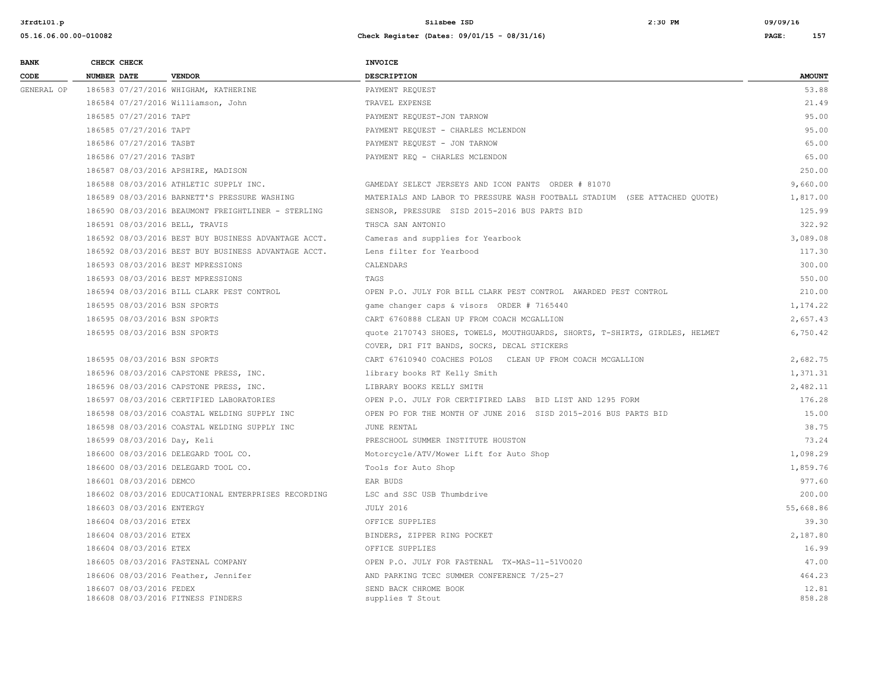| <b>BANK</b> | CHECK CHECK                 |                                                     | <b>INVOICE</b>                                                              |                 |
|-------------|-----------------------------|-----------------------------------------------------|-----------------------------------------------------------------------------|-----------------|
| CODE        | NUMBER DATE                 | <b>VENDOR</b>                                       | DESCRIPTION                                                                 | <b>AMOUNT</b>   |
| GENERAL OP  |                             | 186583 07/27/2016 WHIGHAM, KATHERINE                | PAYMENT REQUEST                                                             | 53.88           |
|             |                             | 186584 07/27/2016 Williamson, John                  | TRAVEL EXPENSE                                                              | 21.49           |
|             | 186585 07/27/2016 TAPT      |                                                     | PAYMENT REQUEST-JON TARNOW                                                  | 95.00           |
|             | 186585 07/27/2016 TAPT      |                                                     | PAYMENT REQUEST - CHARLES MCLENDON                                          | 95.00           |
|             | 186586 07/27/2016 TASBT     |                                                     | PAYMENT REQUEST - JON TARNOW                                                | 65.00           |
|             | 186586 07/27/2016 TASBT     |                                                     | PAYMENT REQ - CHARLES MCLENDON                                              | 65.00           |
|             |                             | 186587 08/03/2016 APSHIRE, MADISON                  |                                                                             | 250.00          |
|             |                             | 186588 08/03/2016 ATHLETIC SUPPLY INC.              | GAMEDAY SELECT JERSEYS AND ICON PANTS ORDER # 81070                         | 9,660.00        |
|             |                             | 186589 08/03/2016 BARNETT'S PRESSURE WASHING        | MATERIALS AND LABOR TO PRESSURE WASH FOOTBALL STADIUM (SEE ATTACHED QUOTE)  | 1,817.00        |
|             |                             | 186590 08/03/2016 BEAUMONT FREIGHTLINER - STERLING  | SENSOR, PRESSURE SISD 2015-2016 BUS PARTS BID                               | 125.99          |
|             |                             | 186591 08/03/2016 BELL, TRAVIS                      | THSCA SAN ANTONIO                                                           | 322.92          |
|             |                             | 186592 08/03/2016 BEST BUY BUSINESS ADVANTAGE ACCT. | Cameras and supplies for Yearbook                                           | 3,089.08        |
|             |                             | 186592 08/03/2016 BEST BUY BUSINESS ADVANTAGE ACCT. | Lens filter for Yearbood                                                    | 117.30          |
|             |                             | 186593 08/03/2016 BEST MPRESSIONS                   | CALENDARS                                                                   | 300.00          |
|             |                             | 186593 08/03/2016 BEST MPRESSIONS                   | TAGS                                                                        | 550.00          |
|             |                             | 186594 08/03/2016 BILL CLARK PEST CONTROL           | OPEN P.O. JULY FOR BILL CLARK PEST CONTROL AWARDED PEST CONTROL             | 210.00          |
|             |                             | 186595 08/03/2016 BSN SPORTS                        | game changer caps & visors ORDER # 7165440                                  | 1,174.22        |
|             |                             | 186595 08/03/2016 BSN SPORTS                        | CART 6760888 CLEAN UP FROM COACH MCGALLION                                  | 2,657.43        |
|             |                             | 186595 08/03/2016 BSN SPORTS                        | quote 2170743 SHOES, TOWELS, MOUTHGUARDS, SHORTS, T-SHIRTS, GIRDLES, HELMET | 6,750.42        |
|             |                             |                                                     | COVER, DRI FIT BANDS, SOCKS, DECAL STICKERS                                 |                 |
|             |                             | 186595 08/03/2016 BSN SPORTS                        | CART 67610940 COACHES POLOS CLEAN UP FROM COACH MCGALLION                   | 2,682.75        |
|             |                             | 186596 08/03/2016 CAPSTONE PRESS, INC.              | library books RT Kelly Smith                                                | 1,371.31        |
|             |                             | 186596 08/03/2016 CAPSTONE PRESS, INC.              | LIBRARY BOOKS KELLY SMITH                                                   | 2,482.11        |
|             |                             | 186597 08/03/2016 CERTIFIED LABORATORIES            | OPEN P.O. JULY FOR CERTIFIRED LABS BID LIST AND 1295 FORM                   | 176.28          |
|             |                             | 186598 08/03/2016 COASTAL WELDING SUPPLY INC        | OPEN PO FOR THE MONTH OF JUNE 2016 SISD 2015-2016 BUS PARTS BID             | 15.00           |
|             |                             | 186598 08/03/2016 COASTAL WELDING SUPPLY INC        | JUNE RENTAL                                                                 | 38.75           |
|             | 186599 08/03/2016 Day, Keli |                                                     | PRESCHOOL SUMMER INSTITUTE HOUSTON                                          | 73.24           |
|             |                             | 186600 08/03/2016 DELEGARD TOOL CO.                 | Motorcycle/ATV/Mower Lift for Auto Shop                                     | 1,098.29        |
|             |                             | 186600 08/03/2016 DELEGARD TOOL CO.                 | Tools for Auto Shop                                                         | 1,859.76        |
|             | 186601 08/03/2016 DEMCO     |                                                     | EAR BUDS                                                                    | 977.60          |
|             |                             | 186602 08/03/2016 EDUCATIONAL ENTERPRISES RECORDING | LSC and SSC USB Thumbdrive                                                  | 200.00          |
|             | 186603 08/03/2016 ENTERGY   |                                                     | <b>JULY 2016</b>                                                            | 55,668.86       |
|             | 186604 08/03/2016 ETEX      |                                                     | OFFICE SUPPLIES                                                             | 39.30           |
|             | 186604 08/03/2016 ETEX      |                                                     | BINDERS, ZIPPER RING POCKET                                                 | 2,187.80        |
|             | 186604 08/03/2016 ETEX      |                                                     | OFFICE SUPPLIES                                                             | 16.99           |
|             |                             | 186605 08/03/2016 FASTENAL COMPANY                  | OPEN P.O. JULY FOR FASTENAL TX-MAS-11-51VO020                               | 47.00           |
|             |                             | 186606 08/03/2016 Feather, Jennifer                 | AND PARKING TCEC SUMMER CONFERENCE 7/25-27                                  | 464.23          |
|             | 186607 08/03/2016 FEDEX     | 186608 08/03/2016 FITNESS FINDERS                   | SEND BACK CHROME BOOK<br>supplies T Stout                                   | 12.81<br>858.28 |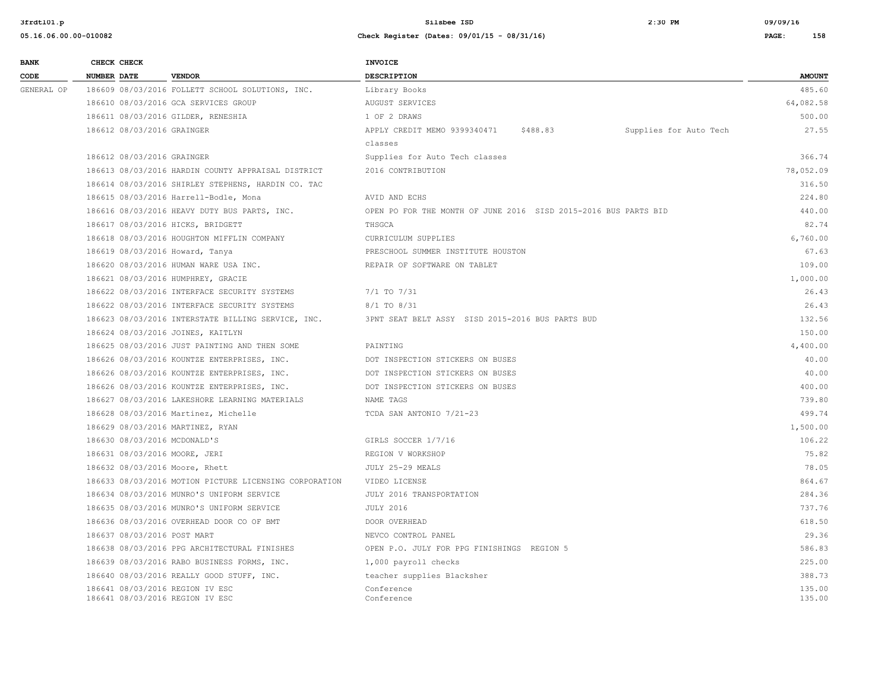| <b>BANK</b> |                    | CHECK CHECK                                        |                                                                       | INVOICE                                                         |          |                        |                  |
|-------------|--------------------|----------------------------------------------------|-----------------------------------------------------------------------|-----------------------------------------------------------------|----------|------------------------|------------------|
| CODE        | <b>NUMBER DATE</b> |                                                    | <b>VENDOR</b>                                                         | <b>DESCRIPTION</b>                                              |          |                        | <b>AMOUNT</b>    |
| GENERAL OP  |                    |                                                    | 186609 08/03/2016 FOLLETT SCHOOL SOLUTIONS, INC.                      | Library Books                                                   |          |                        | 485.60           |
|             |                    |                                                    | 186610 08/03/2016 GCA SERVICES GROUP                                  | AUGUST SERVICES                                                 |          |                        | 64,082.58        |
|             |                    |                                                    | 186611 08/03/2016 GILDER, RENESHIA                                    | 1 OF 2 DRAWS                                                    |          |                        | 500.00           |
|             |                    | 186612 08/03/2016 GRAINGER                         |                                                                       | APPLY CREDIT MEMO 9399340471                                    | \$488.83 | Supplies for Auto Tech | 27.55            |
|             |                    |                                                    |                                                                       | classes                                                         |          |                        |                  |
|             |                    | 186612 08/03/2016 GRAINGER                         |                                                                       | Supplies for Auto Tech classes                                  |          |                        | 366.74           |
|             |                    |                                                    | 186613 08/03/2016 HARDIN COUNTY APPRAISAL DISTRICT                    | 2016 CONTRIBUTION                                               |          |                        | 78,052.09        |
|             |                    | 186614 08/03/2016 SHIRLEY STEPHENS, HARDIN CO. TAC |                                                                       |                                                                 |          |                        | 316.50           |
|             |                    |                                                    | 186615 08/03/2016 Harrell-Bodle, Mona                                 | AVID AND ECHS                                                   |          |                        | 224.80           |
|             |                    |                                                    | 186616 08/03/2016 HEAVY DUTY BUS PARTS, INC.                          | OPEN PO FOR THE MONTH OF JUNE 2016 SISD 2015-2016 BUS PARTS BID |          |                        | 440.00           |
|             |                    |                                                    | 186617 08/03/2016 HICKS, BRIDGETT                                     | THSGCA                                                          |          |                        | 82.74            |
|             |                    |                                                    | 186618 08/03/2016 HOUGHTON MIFFLIN COMPANY                            | CURRICULUM SUPPLIES                                             |          |                        | 6,760.00         |
|             |                    |                                                    | 186619 08/03/2016 Howard, Tanya<br>PRESCHOOL SUMMER INSTITUTE HOUSTON |                                                                 |          |                        | 67.63            |
|             |                    |                                                    | 186620 08/03/2016 HUMAN WARE USA INC.                                 | REPAIR OF SOFTWARE ON TABLET                                    |          |                        | 109.00           |
|             |                    |                                                    | 186621 08/03/2016 HUMPHREY, GRACIE                                    |                                                                 |          |                        | 1,000.00         |
|             |                    |                                                    | 186622 08/03/2016 INTERFACE SECURITY SYSTEMS                          | 7/1 TO 7/31                                                     |          |                        | 26.43            |
|             |                    |                                                    | 186622 08/03/2016 INTERFACE SECURITY SYSTEMS                          | 8/1 TO 8/31                                                     |          |                        | 26.43            |
|             |                    |                                                    | 186623 08/03/2016 INTERSTATE BILLING SERVICE, INC.                    | 3PNT SEAT BELT ASSY SISD 2015-2016 BUS PARTS BUD                |          |                        | 132.56           |
|             |                    | 186624 08/03/2016 JOINES, KAITLYN                  |                                                                       |                                                                 |          |                        | 150.00           |
|             |                    |                                                    | 186625 08/03/2016 JUST PAINTING AND THEN SOME                         | PAINTING                                                        |          |                        | 4,400.00         |
|             |                    |                                                    | 186626 08/03/2016 KOUNTZE ENTERPRISES, INC.                           | DOT INSPECTION STICKERS ON BUSES                                | 40.00    |                        |                  |
|             |                    |                                                    | 186626 08/03/2016 KOUNTZE ENTERPRISES, INC.                           | DOT INSPECTION STICKERS ON BUSES                                |          | 40.00                  |                  |
|             |                    |                                                    | 186626 08/03/2016 KOUNTZE ENTERPRISES, INC.                           | DOT INSPECTION STICKERS ON BUSES                                |          |                        | 400.00           |
|             |                    |                                                    | 186627 08/03/2016 LAKESHORE LEARNING MATERIALS                        | NAME TAGS                                                       |          |                        | 739.80           |
|             |                    |                                                    | 186628 08/03/2016 Martinez, Michelle                                  | TCDA SAN ANTONIO 7/21-23                                        |          |                        | 499.74           |
|             |                    |                                                    | 186629 08/03/2016 MARTINEZ, RYAN                                      |                                                                 |          |                        | 1,500.00         |
|             |                    |                                                    | 186630 08/03/2016 MCDONALD'S                                          | GIRLS SOCCER 1/7/16                                             |          |                        | 106.22           |
|             |                    |                                                    | 186631 08/03/2016 MOORE, JERI                                         | REGION V WORKSHOP                                               |          |                        | 75.82            |
|             |                    |                                                    | 186632 08/03/2016 Moore, Rhett                                        | JULY 25-29 MEALS                                                |          |                        | 78.05            |
|             |                    |                                                    | 186633 08/03/2016 MOTION PICTURE LICENSING CORPORATION                | VIDEO LICENSE                                                   |          |                        | 864.67           |
|             |                    |                                                    | 186634 08/03/2016 MUNRO'S UNIFORM SERVICE                             | JULY 2016 TRANSPORTATION                                        |          |                        | 284.36           |
|             |                    |                                                    | 186635 08/03/2016 MUNRO'S UNIFORM SERVICE                             | <b>JULY 2016</b>                                                |          |                        | 737.76           |
|             |                    |                                                    | 186636 08/03/2016 OVERHEAD DOOR CO OF BMT                             | DOOR OVERHEAD                                                   |          |                        | 618.50           |
|             |                    | 186637 08/03/2016 POST MART                        |                                                                       | NEVCO CONTROL PANEL                                             |          |                        | 29.36            |
|             |                    |                                                    | 186638 08/03/2016 PPG ARCHITECTURAL FINISHES                          | OPEN P.O. JULY FOR PPG FINISHINGS REGION 5                      |          |                        | 586.83           |
|             |                    |                                                    | 186639 08/03/2016 RABO BUSINESS FORMS, INC.                           | 1,000 payroll checks                                            |          |                        | 225.00           |
|             |                    |                                                    | 186640 08/03/2016 REALLY GOOD STUFF, INC.                             | teacher supplies Blacksher                                      |          |                        | 388.73           |
|             |                    |                                                    | 186641 08/03/2016 REGION IV ESC<br>186641 08/03/2016 REGION IV ESC    | Conference<br>Conference                                        |          |                        | 135.00<br>135.00 |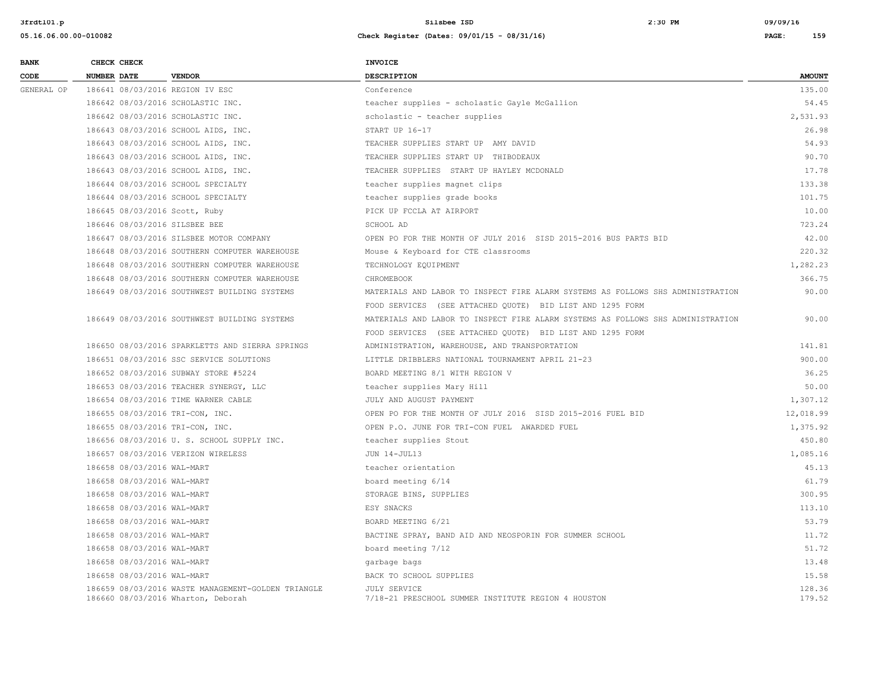**3frdtl01.p Silsbee ISD 2:30 PM 09/09/16**

| <b>BANK</b> | CHECK CHECK        |                            |                                                                                          | <b>INVOICE</b>                                                                  |                  |
|-------------|--------------------|----------------------------|------------------------------------------------------------------------------------------|---------------------------------------------------------------------------------|------------------|
| CODE        | <b>NUMBER DATE</b> |                            | <b>VENDOR</b>                                                                            | <b>DESCRIPTION</b>                                                              | <b>AMOUNT</b>    |
| GENERAL OP  |                    |                            | 186641 08/03/2016 REGION IV ESC                                                          | Conference                                                                      | 135.00           |
|             |                    |                            | 186642 08/03/2016 SCHOLASTIC INC.                                                        | teacher supplies - scholastic Gayle McGallion                                   | 54.45            |
|             |                    |                            | 186642 08/03/2016 SCHOLASTIC INC.                                                        | scholastic - teacher supplies                                                   | 2,531.93         |
|             |                    |                            | 186643 08/03/2016 SCHOOL AIDS, INC.                                                      | START UP 16-17                                                                  | 26.98            |
|             |                    |                            | 186643 08/03/2016 SCHOOL AIDS, INC.                                                      | TEACHER SUPPLIES START UP AMY DAVID                                             | 54.93            |
|             |                    |                            | 186643 08/03/2016 SCHOOL AIDS, INC.                                                      | TEACHER SUPPLIES START UP THIBODEAUX                                            | 90.70            |
|             |                    |                            | 186643 08/03/2016 SCHOOL AIDS, INC.                                                      | TEACHER SUPPLIES START UP HAYLEY MCDONALD                                       | 17.78            |
|             |                    |                            | 186644 08/03/2016 SCHOOL SPECIALTY                                                       | teacher supplies magnet clips                                                   | 133.38           |
|             |                    |                            | 186644 08/03/2016 SCHOOL SPECIALTY                                                       | teacher supplies grade books                                                    | 101.75           |
|             |                    |                            | 186645 08/03/2016 Scott, Ruby                                                            | PICK UP FCCLA AT AIRPORT                                                        | 10.00            |
|             |                    |                            | 186646 08/03/2016 SILSBEE BEE                                                            | SCHOOL AD                                                                       | 723.24           |
|             |                    |                            | 186647 08/03/2016 SILSBEE MOTOR COMPANY                                                  | OPEN PO FOR THE MONTH OF JULY 2016 SISD 2015-2016 BUS PARTS BID                 | 42.00            |
|             |                    |                            | 186648 08/03/2016 SOUTHERN COMPUTER WAREHOUSE                                            | Mouse & Keyboard for CTE classrooms                                             | 220.32           |
|             |                    |                            | 186648 08/03/2016 SOUTHERN COMPUTER WAREHOUSE                                            | TECHNOLOGY EQUIPMENT                                                            | 1,282.23         |
|             |                    |                            | 186648 08/03/2016 SOUTHERN COMPUTER WAREHOUSE                                            | CHROMEBOOK                                                                      | 366.75           |
|             |                    |                            | 186649 08/03/2016 SOUTHWEST BUILDING SYSTEMS                                             | MATERIALS AND LABOR TO INSPECT FIRE ALARM SYSTEMS AS FOLLOWS SHS ADMINISTRATION | 90.00            |
|             |                    |                            |                                                                                          | FOOD SERVICES (SEE ATTACHED QUOTE) BID LIST AND 1295 FORM                       |                  |
|             |                    |                            | 186649 08/03/2016 SOUTHWEST BUILDING SYSTEMS                                             | MATERIALS AND LABOR TO INSPECT FIRE ALARM SYSTEMS AS FOLLOWS SHS ADMINISTRATION | 90.00            |
|             |                    |                            |                                                                                          | FOOD SERVICES (SEE ATTACHED QUOTE) BID LIST AND 1295 FORM                       |                  |
|             |                    |                            | 186650 08/03/2016 SPARKLETTS AND SIERRA SPRINGS                                          | ADMINISTRATION, WAREHOUSE, AND TRANSPORTATION                                   | 141.81           |
|             |                    |                            | 186651 08/03/2016 SSC SERVICE SOLUTIONS                                                  | LITTLE DRIBBLERS NATIONAL TOURNAMENT APRIL 21-23                                | 900.00           |
|             |                    |                            | 186652 08/03/2016 SUBWAY STORE #5224                                                     | BOARD MEETING 8/1 WITH REGION V                                                 | 36.25            |
|             |                    |                            | 186653 08/03/2016 TEACHER SYNERGY, LLC                                                   | teacher supplies Mary Hill                                                      | 50.00            |
|             |                    |                            | 186654 08/03/2016 TIME WARNER CABLE                                                      | JULY AND AUGUST PAYMENT                                                         | 1,307.12         |
|             |                    |                            | 186655 08/03/2016 TRI-CON, INC.                                                          | OPEN PO FOR THE MONTH OF JULY 2016 SISD 2015-2016 FUEL BID                      | 12,018.99        |
|             |                    |                            | 186655 08/03/2016 TRI-CON, INC.                                                          | OPEN P.O. JUNE FOR TRI-CON FUEL AWARDED FUEL                                    | 1,375.92         |
|             |                    |                            | 186656 08/03/2016 U. S. SCHOOL SUPPLY INC.                                               | teacher supplies Stout                                                          | 450.80           |
|             |                    |                            | 186657 08/03/2016 VERIZON WIRELESS                                                       | JUN 14-JUL13                                                                    | 1,085.16         |
|             |                    | 186658 08/03/2016 WAL-MART |                                                                                          | teacher orientation                                                             | 45.13            |
|             |                    | 186658 08/03/2016 WAL-MART |                                                                                          | board meeting 6/14                                                              | 61.79            |
|             |                    | 186658 08/03/2016 WAL-MART |                                                                                          | STORAGE BINS, SUPPLIES                                                          | 300.95           |
|             |                    | 186658 08/03/2016 WAL-MART |                                                                                          | ESY SNACKS                                                                      | 113.10           |
|             |                    | 186658 08/03/2016 WAL-MART |                                                                                          | BOARD MEETING 6/21                                                              | 53.79            |
|             |                    | 186658 08/03/2016 WAL-MART |                                                                                          | BACTINE SPRAY, BAND AID AND NEOSPORIN FOR SUMMER SCHOOL                         | 11.72            |
|             |                    | 186658 08/03/2016 WAL-MART |                                                                                          | board meeting 7/12                                                              | 51.72            |
|             |                    | 186658 08/03/2016 WAL-MART |                                                                                          | garbage bags                                                                    | 13.48            |
|             |                    | 186658 08/03/2016 WAL-MART |                                                                                          | BACK TO SCHOOL SUPPLIES                                                         | 15.58            |
|             |                    |                            | 186659 08/03/2016 WASTE MANAGEMENT-GOLDEN TRIANGLE<br>186660 08/03/2016 Wharton, Deborah | <b>JULY SERVICE</b><br>7/18-21 PRESCHOOL SUMMER INSTITUTE REGION 4 HOUSTON      | 128.36<br>179.52 |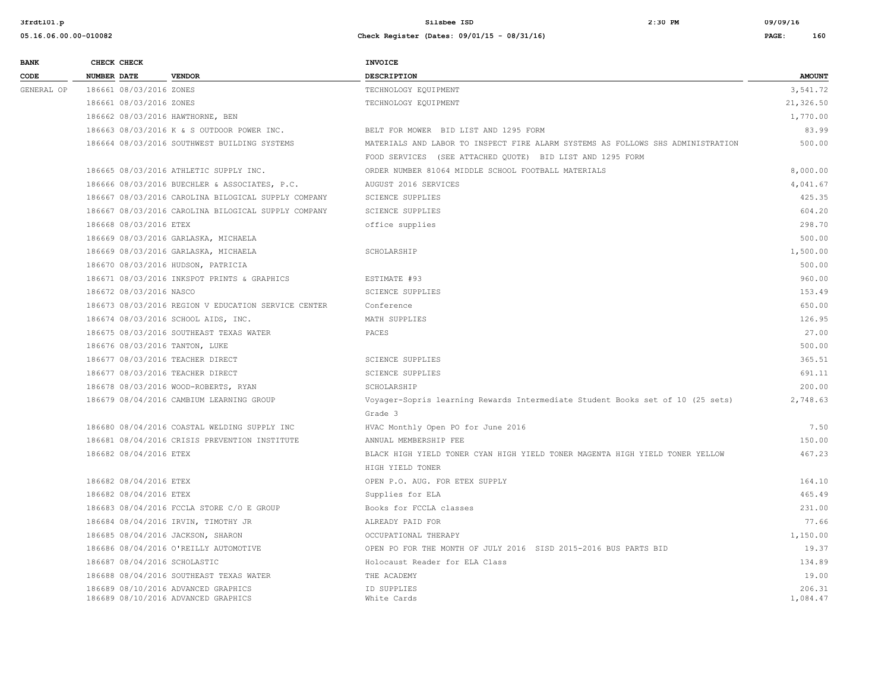| <b>BANK</b> | CHECK CHECK             |                                                     | <b>INVOICE</b>                                                                  |               |
|-------------|-------------------------|-----------------------------------------------------|---------------------------------------------------------------------------------|---------------|
| CODE        | <b>NUMBER DATE</b>      | <b>VENDOR</b>                                       | <b>DESCRIPTION</b>                                                              | <b>AMOUNT</b> |
| GENERAL OP  | 186661 08/03/2016 ZONES |                                                     | TECHNOLOGY EQUIPMENT                                                            | 3,541.72      |
|             | 186661 08/03/2016 ZONES |                                                     | TECHNOLOGY EQUIPMENT                                                            | 21,326.50     |
|             |                         | 186662 08/03/2016 HAWTHORNE, BEN                    |                                                                                 | 1,770.00      |
|             |                         | 186663 08/03/2016 K & S OUTDOOR POWER INC.          | BELT FOR MOWER BID LIST AND 1295 FORM                                           | 83.99         |
|             |                         | 186664 08/03/2016 SOUTHWEST BUILDING SYSTEMS        | MATERIALS AND LABOR TO INSPECT FIRE ALARM SYSTEMS AS FOLLOWS SHS ADMINISTRATION | 500.00        |
|             |                         |                                                     | FOOD SERVICES (SEE ATTACHED QUOTE) BID LIST AND 1295 FORM                       |               |
|             |                         | 186665 08/03/2016 ATHLETIC SUPPLY INC.              | ORDER NUMBER 81064 MIDDLE SCHOOL FOOTBALL MATERIALS                             | 8,000.00      |
|             |                         | 186666 08/03/2016 BUECHLER & ASSOCIATES, P.C.       | AUGUST 2016 SERVICES                                                            | 4,041.67      |
|             |                         | 186667 08/03/2016 CAROLINA BILOGICAL SUPPLY COMPANY | <b>SCIENCE SUPPLIES</b>                                                         | 425.35        |
|             |                         | 186667 08/03/2016 CAROLINA BILOGICAL SUPPLY COMPANY | <b>SCIENCE SUPPLIES</b>                                                         | 604.20        |
|             | 186668 08/03/2016 ETEX  |                                                     | office supplies                                                                 | 298.70        |
|             |                         | 186669 08/03/2016 GARLASKA, MICHAELA                |                                                                                 | 500.00        |
|             |                         | 186669 08/03/2016 GARLASKA, MICHAELA                | SCHOLARSHIP                                                                     | 1,500.00      |
|             |                         | 186670 08/03/2016 HUDSON, PATRICIA                  |                                                                                 | 500.00        |
|             |                         | 186671 08/03/2016 INKSPOT PRINTS & GRAPHICS         | ESTIMATE #93                                                                    | 960.00        |
|             | 186672 08/03/2016 NASCO |                                                     | <b>SCIENCE SUPPLIES</b>                                                         | 153.49        |
|             |                         | 186673 08/03/2016 REGION V EDUCATION SERVICE CENTER | Conference                                                                      | 650.00        |
|             |                         | 186674 08/03/2016 SCHOOL AIDS, INC.                 | MATH SUPPLIES                                                                   | 126.95        |
|             |                         | 186675 08/03/2016 SOUTHEAST TEXAS WATER             | PACES                                                                           | 27.00         |
|             |                         | 186676 08/03/2016 TANTON, LUKE                      |                                                                                 | 500.00        |
|             |                         | 186677 08/03/2016 TEACHER DIRECT                    | <b>SCIENCE SUPPLIES</b>                                                         | 365.51        |
|             |                         | 186677 08/03/2016 TEACHER DIRECT                    | <b>SCIENCE SUPPLIES</b>                                                         | 691.11        |
|             |                         | 186678 08/03/2016 WOOD-ROBERTS, RYAN                | SCHOLARSHIP                                                                     | 200.00        |
|             |                         | 186679 08/04/2016 CAMBIUM LEARNING GROUP            | Voyager-Sopris learning Rewards Intermediate Student Books set of 10 (25 sets)  | 2,748.63      |
|             |                         |                                                     | Grade 3                                                                         |               |
|             |                         | 186680 08/04/2016 COASTAL WELDING SUPPLY INC        | HVAC Monthly Open PO for June 2016                                              | 7.50          |
|             |                         | 186681 08/04/2016 CRISIS PREVENTION INSTITUTE       | ANNUAL MEMBERSHIP FEE                                                           | 150.00        |
|             | 186682 08/04/2016 ETEX  |                                                     | BLACK HIGH YIELD TONER CYAN HIGH YIELD TONER MAGENTA HIGH YIELD TONER YELLOW    | 467.23        |
|             |                         |                                                     | HIGH YIELD TONER                                                                |               |
|             | 186682 08/04/2016 ETEX  |                                                     | OPEN P.O. AUG. FOR ETEX SUPPLY                                                  | 164.10        |
|             | 186682 08/04/2016 ETEX  |                                                     | Supplies for ELA                                                                | 465.49        |
|             |                         | 186683 08/04/2016 FCCLA STORE C/O E GROUP           | Books for FCCLA classes                                                         | 231.00        |
|             |                         | 186684 08/04/2016 IRVIN, TIMOTHY JR                 | ALREADY PAID FOR                                                                | 77.66         |
|             |                         | 186685 08/04/2016 JACKSON, SHARON                   | OCCUPATIONAL THERAPY                                                            | 1,150.00      |
|             |                         | 186686 08/04/2016 O'REILLY AUTOMOTIVE               | OPEN PO FOR THE MONTH OF JULY 2016 SISD 2015-2016 BUS PARTS BID                 | 19.37         |
|             |                         | 186687 08/04/2016 SCHOLASTIC                        | Holocaust Reader for ELA Class                                                  | 134.89        |
|             |                         | 186688 08/04/2016 SOUTHEAST TEXAS WATER             | THE ACADEMY                                                                     | 19.00         |
|             |                         | 186689 08/10/2016 ADVANCED GRAPHICS                 | ID SUPPLIES                                                                     | 206.31        |
|             |                         | 186689 08/10/2016 ADVANCED GRAPHICS                 | White Cards                                                                     | 1,084.47      |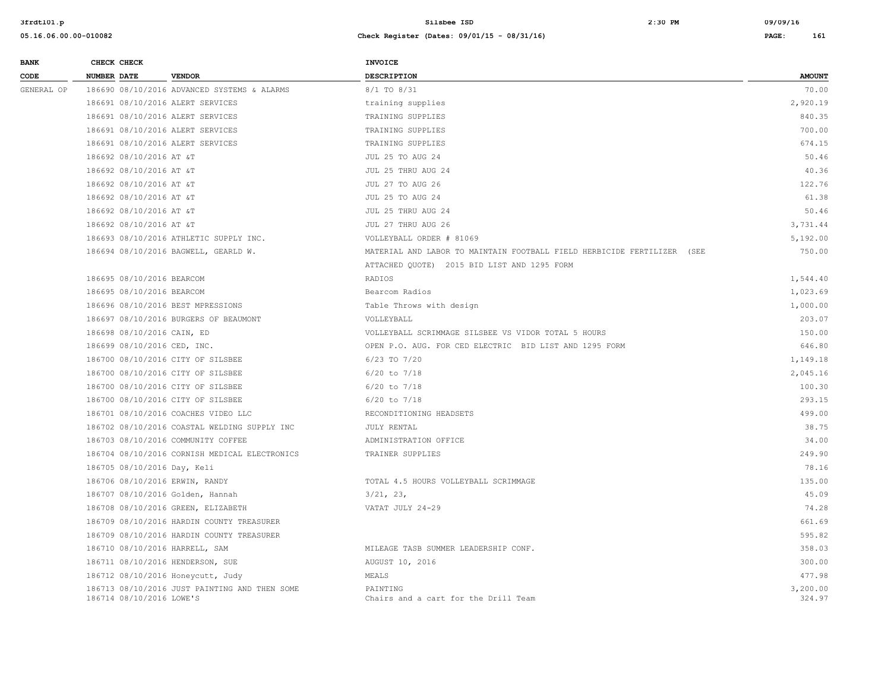| <b>BANK</b> | CHECK CHECK                    |                                               | <b>INVOICE</b>                                                          |                    |
|-------------|--------------------------------|-----------------------------------------------|-------------------------------------------------------------------------|--------------------|
| CODE        | NUMBER DATE                    | <b>VENDOR</b>                                 | DESCRIPTION                                                             | <b>AMOUNT</b>      |
| GENERAL OP  |                                | 186690 08/10/2016 ADVANCED SYSTEMS & ALARMS   | 8/1 TO 8/31                                                             | 70.00              |
|             |                                | 186691 08/10/2016 ALERT SERVICES              | training supplies                                                       | 2,920.19           |
|             |                                | 186691 08/10/2016 ALERT SERVICES              | TRAINING SUPPLIES                                                       | 840.35             |
|             |                                | 186691 08/10/2016 ALERT SERVICES              | TRAINING SUPPLIES                                                       | 700.00             |
|             |                                | 186691 08/10/2016 ALERT SERVICES              | TRAINING SUPPLIES                                                       | 674.15             |
|             | 186692 08/10/2016 AT &T        |                                               | JUL 25 TO AUG 24                                                        | 50.46              |
|             | 186692 08/10/2016 AT &T        |                                               | JUL 25 THRU AUG 24                                                      | 40.36              |
|             | 186692 08/10/2016 AT &T        |                                               | JUL 27 TO AUG 26                                                        | 122.76             |
|             | 186692 08/10/2016 AT &T        |                                               | JUL 25 TO AUG 24                                                        | 61.38              |
|             | 186692 08/10/2016 AT &T        |                                               | JUL 25 THRU AUG 24                                                      | 50.46              |
|             | 186692 08/10/2016 AT &T        |                                               | JUL 27 THRU AUG 26                                                      | 3,731.44           |
|             |                                | 186693 08/10/2016 ATHLETIC SUPPLY INC.        | VOLLEYBALL ORDER # 81069                                                | 5,192.00           |
|             |                                | 186694 08/10/2016 BAGWELL, GEARLD W.          | MATERIAL AND LABOR TO MAINTAIN FOOTBALL FIELD HERBICIDE FERTILIZER (SEE | 750.00             |
|             |                                |                                               | ATTACHED QUOTE) 2015 BID LIST AND 1295 FORM                             |                    |
|             | 186695 08/10/2016 BEARCOM      |                                               | RADIOS                                                                  | 1,544.40           |
|             | 186695 08/10/2016 BEARCOM      |                                               | Bearcom Radios                                                          | 1,023.69           |
|             |                                | 186696 08/10/2016 BEST MPRESSIONS             | Table Throws with design                                                | 1,000.00           |
|             |                                | 186697 08/10/2016 BURGERS OF BEAUMONT         | VOLLEYBALL                                                              | 203.07             |
|             | 186698 08/10/2016 CAIN, ED     |                                               | VOLLEYBALL SCRIMMAGE SILSBEE VS VIDOR TOTAL 5 HOURS                     | 150.00             |
|             | 186699 08/10/2016 CED, INC.    |                                               | OPEN P.O. AUG. FOR CED ELECTRIC BID LIST AND 1295 FORM                  | 646.80             |
|             |                                | 186700 08/10/2016 CITY OF SILSBEE             | $6/23$ TO $7/20$                                                        | 1,149.18           |
|             |                                | 186700 08/10/2016 CITY OF SILSBEE             | $6/20$ to $7/18$                                                        | 2,045.16           |
|             |                                | 186700 08/10/2016 CITY OF SILSBEE             | $6/20$ to $7/18$                                                        | 100.30             |
|             |                                | 186700 08/10/2016 CITY OF SILSBEE             | $6/20$ to $7/18$                                                        | 293.15             |
|             |                                | 186701 08/10/2016 COACHES VIDEO LLC           | RECONDITIONING HEADSETS                                                 | 499.00             |
|             |                                | 186702 08/10/2016 COASTAL WELDING SUPPLY INC  | <b>JULY RENTAL</b>                                                      | 38.75              |
|             |                                | 186703 08/10/2016 COMMUNITY COFFEE            | ADMINISTRATION OFFICE                                                   | 34.00              |
|             |                                | 186704 08/10/2016 CORNISH MEDICAL ELECTRONICS | TRAINER SUPPLIES                                                        | 249.90             |
|             | 186705 08/10/2016 Day, Keli    |                                               |                                                                         | 78.16              |
|             | 186706 08/10/2016 ERWIN, RANDY |                                               | TOTAL 4.5 HOURS VOLLEYBALL SCRIMMAGE                                    | 135.00             |
|             |                                | 186707 08/10/2016 Golden, Hannah              | 3/21, 23,                                                               | 45.09              |
|             |                                | 186708 08/10/2016 GREEN, ELIZABETH            | VATAT JULY 24-29                                                        | 74.28              |
|             |                                | 186709 08/10/2016 HARDIN COUNTY TREASURER     |                                                                         | 661.69             |
|             |                                | 186709 08/10/2016 HARDIN COUNTY TREASURER     |                                                                         | 595.82             |
|             | 186710 08/10/2016 HARRELL, SAM |                                               | MILEAGE TASB SUMMER LEADERSHIP CONF.                                    | 358.03             |
|             |                                | 186711 08/10/2016 HENDERSON, SUE              | AUGUST 10, 2016                                                         | 300.00             |
|             |                                | 186712 08/10/2016 Honeycutt, Judy             | MEALS                                                                   | 477.98             |
|             | 186714 08/10/2016 LOWE'S       | 186713 08/10/2016 JUST PAINTING AND THEN SOME | PAINTING<br>Chairs and a cart for the Drill Team                        | 3,200.00<br>324.97 |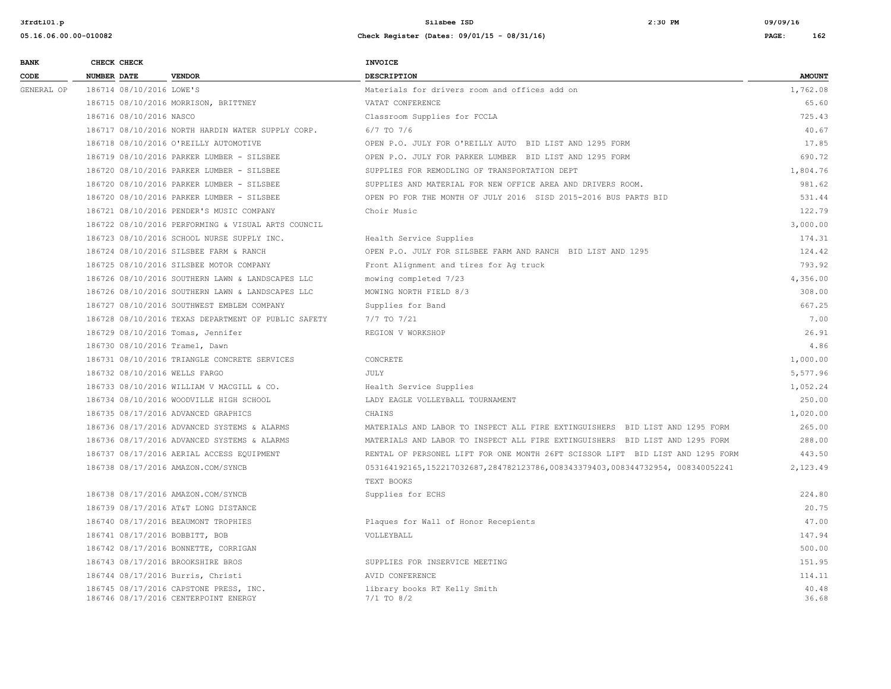| <b>BANK</b> | CHECK CHECK                    |                                                                                | <b>INVOICE</b>                                                                 |                |
|-------------|--------------------------------|--------------------------------------------------------------------------------|--------------------------------------------------------------------------------|----------------|
| CODE        | <b>NUMBER DATE</b>             | <b>VENDOR</b>                                                                  | <b>DESCRIPTION</b>                                                             | <b>AMOUNT</b>  |
| GENERAL OP  | 186714 08/10/2016 LOWE'S       |                                                                                | Materials for drivers room and offices add on                                  | 1,762.08       |
|             |                                | 186715 08/10/2016 MORRISON, BRITTNEY                                           | VATAT CONFERENCE                                                               | 65.60          |
|             | 186716 08/10/2016 NASCO        |                                                                                | Classroom Supplies for FCCLA                                                   | 725.43         |
|             |                                | 186717 08/10/2016 NORTH HARDIN WATER SUPPLY CORP.                              | $6/7$ TO $7/6$                                                                 | 40.67          |
|             |                                | 186718 08/10/2016 O'REILLY AUTOMOTIVE                                          | OPEN P.O. JULY FOR O'REILLY AUTO BID LIST AND 1295 FORM                        | 17.85          |
|             |                                | 186719 08/10/2016 PARKER LUMBER - SILSBEE                                      | OPEN P.O. JULY FOR PARKER LUMBER BID LIST AND 1295 FORM                        | 690.72         |
|             |                                | 186720 08/10/2016 PARKER LUMBER - SILSBEE                                      | SUPPLIES FOR REMODLING OF TRANSPORTATION DEPT                                  | 1,804.76       |
|             |                                | 186720 08/10/2016 PARKER LUMBER - SILSBEE                                      | SUPPLIES AND MATERIAL FOR NEW OFFICE AREA AND DRIVERS ROOM.                    | 981.62         |
|             |                                | 186720 08/10/2016 PARKER LUMBER - SILSBEE                                      | OPEN PO FOR THE MONTH OF JULY 2016 SISD 2015-2016 BUS PARTS BID                | 531.44         |
|             |                                | 186721 08/10/2016 PENDER'S MUSIC COMPANY                                       | Choir Music                                                                    | 122.79         |
|             |                                | 186722 08/10/2016 PERFORMING & VISUAL ARTS COUNCIL                             |                                                                                | 3,000.00       |
|             |                                | 186723 08/10/2016 SCHOOL NURSE SUPPLY INC.                                     | Health Service Supplies                                                        | 174.31         |
|             |                                | 186724 08/10/2016 SILSBEE FARM & RANCH                                         | OPEN P.O. JULY FOR SILSBEE FARM AND RANCH BID LIST AND 1295                    | 124.42         |
|             |                                | 186725 08/10/2016 SILSBEE MOTOR COMPANY                                        | Front Alignment and tires for Ag truck                                         | 793.92         |
|             |                                | 186726 08/10/2016 SOUTHERN LAWN & LANDSCAPES LLC                               | mowing completed 7/23                                                          | 4,356.00       |
|             |                                | 186726 08/10/2016 SOUTHERN LAWN & LANDSCAPES LLC                               | MOWING NORTH FIELD 8/3                                                         | 308.00         |
|             |                                | 186727 08/10/2016 SOUTHWEST EMBLEM COMPANY                                     | Supplies for Band                                                              | 667.25         |
|             |                                | 186728 08/10/2016 TEXAS DEPARTMENT OF PUBLIC SAFETY                            | 7/7 TO 7/21                                                                    | 7.00           |
|             |                                | 186729 08/10/2016 Tomas, Jennifer                                              | REGION V WORKSHOP                                                              | 26.91          |
|             | 186730 08/10/2016 Tramel, Dawn |                                                                                |                                                                                | 4.86           |
|             |                                | 186731 08/10/2016 TRIANGLE CONCRETE SERVICES                                   | CONCRETE                                                                       | 1,000.00       |
|             | 186732 08/10/2016 WELLS FARGO  |                                                                                | JULY                                                                           | 5,577.96       |
|             |                                | 186733 08/10/2016 WILLIAM V MACGILL & CO.                                      | Health Service Supplies                                                        | 1,052.24       |
|             |                                | 186734 08/10/2016 WOODVILLE HIGH SCHOOL                                        | LADY EAGLE VOLLEYBALL TOURNAMENT                                               | 250.00         |
|             |                                | 186735 08/17/2016 ADVANCED GRAPHICS                                            | CHAINS                                                                         | 1,020.00       |
|             |                                | 186736 08/17/2016 ADVANCED SYSTEMS & ALARMS                                    | MATERIALS AND LABOR TO INSPECT ALL FIRE EXTINGUISHERS BID LIST AND 1295 FORM   | 265.00         |
|             |                                | 186736 08/17/2016 ADVANCED SYSTEMS & ALARMS                                    | MATERIALS AND LABOR TO INSPECT ALL FIRE EXTINGUISHERS BID LIST AND 1295 FORM   | 288.00         |
|             |                                | 186737 08/17/2016 AERIAL ACCESS EQUIPMENT                                      | RENTAL OF PERSONEL LIFT FOR ONE MONTH 26FT SCISSOR LIFT BID LIST AND 1295 FORM | 443.50         |
|             |                                | 186738 08/17/2016 AMAZON.COM/SYNCB                                             | 053164192165,152217032687,284782123786,008343379403,008344732954,008340052241  | 2,123.49       |
|             |                                |                                                                                | TEXT BOOKS                                                                     |                |
|             |                                | 186738 08/17/2016 AMAZON.COM/SYNCB                                             | Supplies for ECHS                                                              | 224.80         |
|             |                                | 186739 08/17/2016 AT&T LONG DISTANCE                                           |                                                                                | 20.75          |
|             |                                | 186740 08/17/2016 BEAUMONT TROPHIES                                            | Plaques for Wall of Honor Recepients                                           | 47.00          |
|             | 186741 08/17/2016 BOBBITT, BOB |                                                                                | VOLLEYBALL                                                                     | 147.94         |
|             |                                | 186742 08/17/2016 BONNETTE, CORRIGAN                                           |                                                                                | 500.00         |
|             |                                | 186743 08/17/2016 BROOKSHIRE BROS                                              | SUPPLIES FOR INSERVICE MEETING                                                 | 151.95         |
|             |                                | 186744 08/17/2016 Burris, Christi                                              | AVID CONFERENCE                                                                | 114.11         |
|             |                                | 186745 08/17/2016 CAPSTONE PRESS, INC.<br>186746 08/17/2016 CENTERPOINT ENERGY | library books RT Kelly Smith<br>$7/1$ TO $8/2$                                 | 40.48<br>36.68 |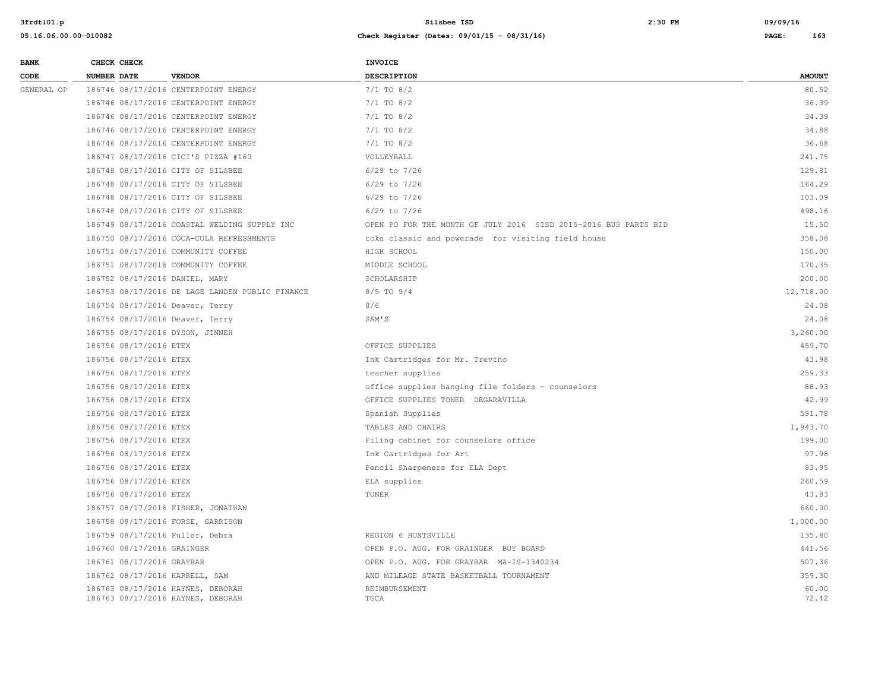| <b>BANK</b> | CHECK CHECK                     |                                                                        | <b>INVOICE</b>                                                  |                |
|-------------|---------------------------------|------------------------------------------------------------------------|-----------------------------------------------------------------|----------------|
| CODE        | <b>NUMBER DATE</b>              | <b>VENDOR</b>                                                          | <b>DESCRIPTION</b>                                              | <b>AMOUNT</b>  |
| GENERAL OP  |                                 | 186746 08/17/2016 CENTERPOINT ENERGY                                   | $7/1$ TO $8/2$                                                  | 80.52          |
|             |                                 | 186746 08/17/2016 CENTERPOINT ENERGY                                   | $7/1$ TO $8/2$                                                  | 36.39          |
|             |                                 | 186746 08/17/2016 CENTERPOINT ENERGY                                   | $7/1$ TO $8/2$                                                  | 34.39          |
|             |                                 | 186746 08/17/2016 CENTERPOINT ENERGY                                   | $7/1$ TO $8/2$                                                  | 34.88          |
|             |                                 | 186746 08/17/2016 CENTERPOINT ENERGY                                   | $7/1$ TO $8/2$                                                  | 36.68          |
|             |                                 | 186747 08/17/2016 CICI'S PIZZA #160                                    | VOLLEYBALL                                                      | 241.75         |
|             |                                 | 186748 08/17/2016 CITY OF SILSBEE                                      | $6/29$ to $7/26$                                                | 129.81         |
|             |                                 | 186748 08/17/2016 CITY OF SILSBEE                                      | $6/29$ to $7/26$                                                | 164.29         |
|             |                                 | 186748 08/17/2016 CITY OF SILSBEE                                      | $6/29$ to $7/26$                                                | 103.09         |
|             |                                 | 186748 08/17/2016 CITY OF SILSBEE                                      | $6/29$ to $7/26$                                                | 498.16         |
|             |                                 | 186749 08/17/2016 COASTAL WELDING SUPPLY INC                           | OPEN PO FOR THE MONTH OF JULY 2016 SISD 2015-2016 BUS PARTS BID | 15.50          |
|             |                                 | 186750 08/17/2016 COCA-COLA REFRESHMENTS                               | coke classic and powerade for visiting field house              | 358.08         |
|             |                                 | 186751 08/17/2016 COMMUNITY COFFEE                                     | HIGH SCHOOL                                                     | 150.00         |
|             |                                 | 186751 08/17/2016 COMMUNITY COFFEE                                     | MIDDLE SCHOOL                                                   | 170.35         |
|             | 186752 08/17/2016 DANIEL, MARY  |                                                                        | SCHOLARSHIP                                                     | 200.00         |
|             |                                 | 186753 08/17/2016 DE LAGE LANDEN PUBLIC FINANCE                        | 8/5 TO 9/4                                                      | 12,718.00      |
|             | 186754 08/17/2016 Deaver, Terry |                                                                        | 8/6                                                             | 24.08          |
|             | 186754 08/17/2016 Deaver, Terry |                                                                        | SAM'S                                                           | 24.08          |
|             | 186755 08/17/2016 DYSON, JINNEH |                                                                        |                                                                 | 3,260.00       |
|             | 186756 08/17/2016 ETEX          |                                                                        | OFFICE SUPPLIES                                                 | 459.70         |
|             | 186756 08/17/2016 ETEX          |                                                                        | Ink Cartridges for Mr. Trevino                                  | 43.98          |
|             | 186756 08/17/2016 ETEX          |                                                                        | teacher supplies                                                | 259.33         |
|             | 186756 08/17/2016 ETEX          |                                                                        | office supplies hanging file folders - counselors               | 88.93          |
|             | 186756 08/17/2016 ETEX          |                                                                        | OFFICE SUPPLIES TONER DEGARAVILLA                               | 42.99          |
|             | 186756 08/17/2016 ETEX          |                                                                        | Spanish Supplies                                                | 591.78         |
|             | 186756 08/17/2016 ETEX          |                                                                        | TABLES AND CHAIRS                                               | 1,943.70       |
|             | 186756 08/17/2016 ETEX          |                                                                        | Filing cabinet for counselors office                            | 199.00         |
|             | 186756 08/17/2016 ETEX          |                                                                        | Ink Cartridges for Art                                          | 97.98          |
|             | 186756 08/17/2016 ETEX          |                                                                        | Pencil Sharpeners for ELA Dept                                  | 83.95          |
|             | 186756 08/17/2016 ETEX          |                                                                        | ELA supplies                                                    | 260.59         |
|             | 186756 08/17/2016 ETEX          |                                                                        | TONER                                                           | 43.83          |
|             |                                 | 186757 08/17/2016 FISHER, JONATHAN                                     |                                                                 | 660.00         |
|             |                                 | 186758 08/17/2016 FORSE, GARRISON                                      |                                                                 | 1,000.00       |
|             | 186759 08/17/2016 Fuller, Debra |                                                                        | REGION 6 HUNTSVILLE                                             | 135.80         |
|             | 186760 08/17/2016 GRAINGER      |                                                                        | OPEN P.O. AUG. FOR GRAINGER BUY BOARD                           | 441.56         |
|             | 186761 08/17/2016 GRAYBAR       |                                                                        | OPEN P.O. AUG. FOR GRAYBAR MA-IS-1340234                        | 507.36         |
|             | 186762 08/17/2016 HARRELL, SAM  |                                                                        | AND MILEAGE STATE BASKETBALL TOURNAMENT                         | 359.30         |
|             |                                 | 186763 08/17/2016 HAYNES, DEBORAH<br>186763 08/17/2016 HAYNES, DEBORAH | REIMBURSEMENT<br>TGCA                                           | 60.00<br>72.42 |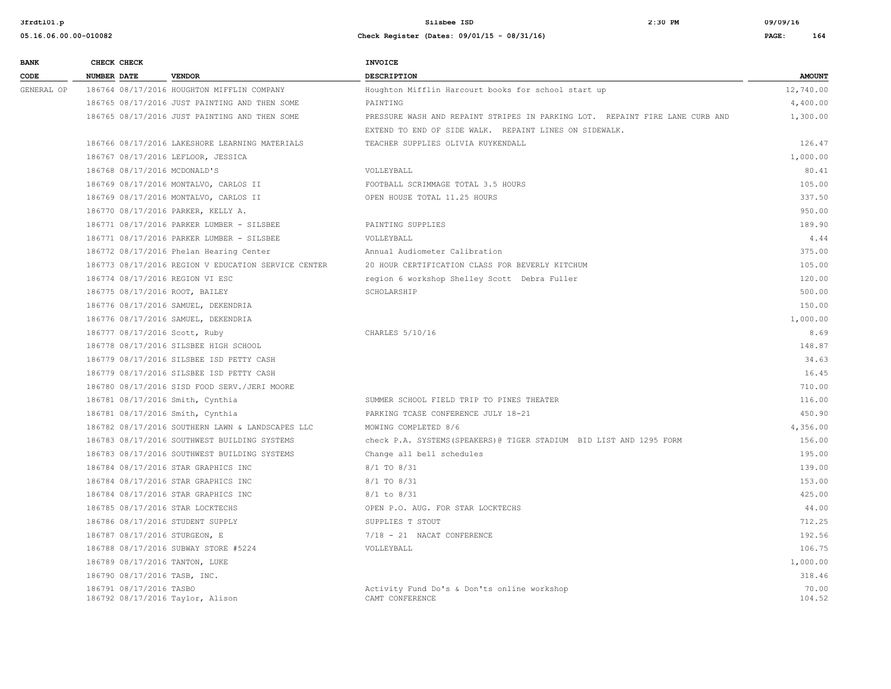| <b>BANK</b> | CHECK CHECK                    |                                                     | <b>INVOICE</b>                                                               |                 |
|-------------|--------------------------------|-----------------------------------------------------|------------------------------------------------------------------------------|-----------------|
| <b>CODE</b> | NUMBER DATE                    | <b>VENDOR</b>                                       | <b>DESCRIPTION</b>                                                           | <b>AMOUNT</b>   |
| GENERAL OP  |                                | 186764 08/17/2016 HOUGHTON MIFFLIN COMPANY          | Houghton Mifflin Harcourt books for school start up                          | 12,740.00       |
|             |                                | 186765 08/17/2016 JUST PAINTING AND THEN SOME       | PAINTING                                                                     | 4,400.00        |
|             |                                | 186765 08/17/2016 JUST PAINTING AND THEN SOME       | PRESSURE WASH AND REPAINT STRIPES IN PARKING LOT. REPAINT FIRE LANE CURB AND | 1,300.00        |
|             |                                |                                                     | EXTEND TO END OF SIDE WALK. REPAINT LINES ON SIDEWALK.                       |                 |
|             |                                | 186766 08/17/2016 LAKESHORE LEARNING MATERIALS      | TEACHER SUPPLIES OLIVIA KUYKENDALL                                           | 126.47          |
|             |                                | 186767 08/17/2016 LEFLOOR, JESSICA                  |                                                                              | 1,000.00        |
|             | 186768 08/17/2016 MCDONALD'S   |                                                     | VOLLEYBALL                                                                   | 80.41           |
|             |                                | 186769 08/17/2016 MONTALVO, CARLOS II               | FOOTBALL SCRIMMAGE TOTAL 3.5 HOURS                                           | 105.00          |
|             |                                | 186769 08/17/2016 MONTALVO, CARLOS II               | OPEN HOUSE TOTAL 11.25 HOURS                                                 | 337.50          |
|             |                                | 186770 08/17/2016 PARKER, KELLY A.                  |                                                                              | 950.00          |
|             |                                | 186771 08/17/2016 PARKER LUMBER - SILSBEE           | PAINTING SUPPLIES                                                            | 189.90          |
|             |                                | 186771 08/17/2016 PARKER LUMBER - SILSBEE           | VOLLEYBALL                                                                   | 4.44            |
|             |                                | 186772 08/17/2016 Phelan Hearing Center             | Annual Audiometer Calibration                                                | 375.00          |
|             |                                | 186773 08/17/2016 REGION V EDUCATION SERVICE CENTER | 20 HOUR CERTIFICATION CLASS FOR BEVERLY KITCHUM                              | 105.00          |
|             |                                | 186774 08/17/2016 REGION VI ESC                     | region 6 workshop Shelley Scott Debra Fuller                                 | 120.00          |
|             |                                | 186775 08/17/2016 ROOT, BAILEY                      | SCHOLARSHIP                                                                  | 500.00          |
|             |                                | 186776 08/17/2016 SAMUEL, DEKENDRIA                 |                                                                              | 150.00          |
|             |                                | 186776 08/17/2016 SAMUEL, DEKENDRIA                 |                                                                              | 1,000.00        |
|             | 186777 08/17/2016 Scott, Ruby  |                                                     | CHARLES 5/10/16                                                              | 8.69            |
|             |                                | 186778 08/17/2016 SILSBEE HIGH SCHOOL               |                                                                              | 148.87          |
|             |                                | 186779 08/17/2016 SILSBEE ISD PETTY CASH            |                                                                              | 34.63           |
|             |                                | 186779 08/17/2016 SILSBEE ISD PETTY CASH            |                                                                              | 16.45           |
|             |                                | 186780 08/17/2016 SISD FOOD SERV./JERI MOORE        |                                                                              | 710.00          |
|             |                                | 186781 08/17/2016 Smith, Cynthia                    | SUMMER SCHOOL FIELD TRIP TO PINES THEATER                                    | 116.00          |
|             |                                | 186781 08/17/2016 Smith, Cynthia                    | PARKING TCASE CONFERENCE JULY 18-21                                          | 450.90          |
|             |                                | 186782 08/17/2016 SOUTHERN LAWN & LANDSCAPES LLC    | MOWING COMPLETED 8/6                                                         | 4,356.00        |
|             |                                | 186783 08/17/2016 SOUTHWEST BUILDING SYSTEMS        | check P.A. SYSTEMS (SPEAKERS) @ TIGER STADIUM BID LIST AND 1295 FORM         | 156.00          |
|             |                                | 186783 08/17/2016 SOUTHWEST BUILDING SYSTEMS        | Change all bell schedules                                                    | 195.00          |
|             |                                | 186784 08/17/2016 STAR GRAPHICS INC                 | 8/1 TO 8/31                                                                  | 139.00          |
|             |                                | 186784 08/17/2016 STAR GRAPHICS INC                 | 8/1 TO 8/31                                                                  | 153.00          |
|             |                                | 186784 08/17/2016 STAR GRAPHICS INC                 | $8/1$ to $8/31$                                                              | 425.00          |
|             |                                | 186785 08/17/2016 STAR LOCKTECHS                    | OPEN P.O. AUG. FOR STAR LOCKTECHS                                            | 44.00           |
|             |                                | 186786 08/17/2016 STUDENT SUPPLY                    | SUPPLIES T STOUT                                                             | 712.25          |
|             | 186787 08/17/2016 STURGEON, E  |                                                     | 7/18 - 21 NACAT CONFERENCE                                                   | 192.56          |
|             |                                | 186788 08/17/2016 SUBWAY STORE #5224                | VOLLEYBALL                                                                   | 106.75          |
|             | 186789 08/17/2016 TANTON, LUKE |                                                     |                                                                              | 1,000.00        |
|             | 186790 08/17/2016 TASB, INC.   |                                                     |                                                                              | 318.46          |
|             | 186791 08/17/2016 TASBO        | 186792 08/17/2016 Taylor, Alison                    | Activity Fund Do's & Don'ts online workshop<br>CAMT CONFERENCE               | 70.00<br>104.52 |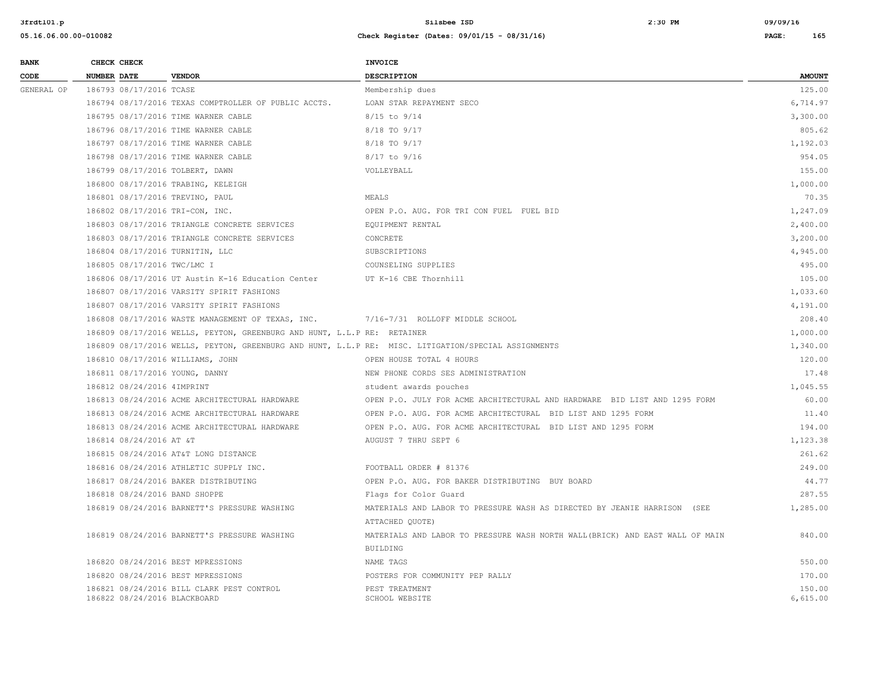| <b>BANK</b> | CHECK CHECK                      |                                                                         | <b>INVOICE</b>                                                                                      |                    |
|-------------|----------------------------------|-------------------------------------------------------------------------|-----------------------------------------------------------------------------------------------------|--------------------|
| CODE        | <b>NUMBER DATE</b>               | <b>VENDOR</b>                                                           | <b>DESCRIPTION</b>                                                                                  | <b>AMOUNT</b>      |
| GENERAL OP  | 186793 08/17/2016 TCASE          |                                                                         | Membership dues                                                                                     | 125.00             |
|             |                                  | 186794 08/17/2016 TEXAS COMPTROLLER OF PUBLIC ACCTS.                    | LOAN STAR REPAYMENT SECO                                                                            | 6,714.97           |
|             |                                  | 186795 08/17/2016 TIME WARNER CABLE                                     | $8/15$ to $9/14$                                                                                    | 3,300.00           |
|             |                                  | 186796 08/17/2016 TIME WARNER CABLE                                     | 8/18 TO 9/17                                                                                        | 805.62             |
|             |                                  | 186797 08/17/2016 TIME WARNER CABLE                                     | 8/18 TO 9/17                                                                                        | 1,192.03           |
|             |                                  | 186798 08/17/2016 TIME WARNER CABLE                                     | $8/17$ to $9/16$                                                                                    | 954.05             |
|             | 186799 08/17/2016 TOLBERT, DAWN  |                                                                         | VOLLEYBALL                                                                                          | 155.00             |
|             |                                  | 186800 08/17/2016 TRABING, KELEIGH                                      |                                                                                                     | 1,000.00           |
|             | 186801 08/17/2016 TREVINO, PAUL  |                                                                         | MEALS                                                                                               | 70.35              |
|             | 186802 08/17/2016 TRI-CON, INC.  |                                                                         | OPEN P.O. AUG. FOR TRI CON FUEL FUEL BID                                                            | 1,247.09           |
|             |                                  | 186803 08/17/2016 TRIANGLE CONCRETE SERVICES                            | EQUIPMENT RENTAL                                                                                    | 2,400.00           |
|             |                                  | 186803 08/17/2016 TRIANGLE CONCRETE SERVICES                            | CONCRETE                                                                                            | 3,200.00           |
|             | 186804 08/17/2016 TURNITIN, LLC  |                                                                         | SUBSCRIPTIONS                                                                                       | 4,945.00           |
|             | 186805 08/17/2016 TWC/LMC I      |                                                                         | COUNSELING SUPPLIES                                                                                 | 495.00             |
|             |                                  | 186806 08/17/2016 UT Austin K-16 Education Center                       | UT K-16 CBE Thornhill                                                                               | 105.00             |
|             |                                  | 186807 08/17/2016 VARSITY SPIRIT FASHIONS                               |                                                                                                     | 1,033.60           |
|             |                                  | 186807 08/17/2016 VARSITY SPIRIT FASHIONS                               |                                                                                                     | 4,191.00           |
|             |                                  | 186808 08/17/2016 WASTE MANAGEMENT OF TEXAS, INC.                       | 7/16-7/31 ROLLOFF MIDDLE SCHOOL                                                                     | 208.40             |
|             |                                  | 186809 08/17/2016 WELLS, PEYTON, GREENBURG AND HUNT, L.L.P RE: RETAINER |                                                                                                     | 1,000.00           |
|             |                                  |                                                                         | 186809 08/17/2016 WELLS, PEYTON, GREENBURG AND HUNT, L.L.P RE: MISC. LITIGATION/SPECIAL ASSIGNMENTS | 1,340.00           |
|             | 186810 08/17/2016 WILLIAMS, JOHN |                                                                         | OPEN HOUSE TOTAL 4 HOURS                                                                            | 120.00             |
|             | 186811 08/17/2016 YOUNG, DANNY   |                                                                         | NEW PHONE CORDS SES ADMINISTRATION                                                                  | 17.48              |
|             | 186812 08/24/2016 4IMPRINT       |                                                                         | student awards pouches                                                                              | 1,045.55           |
|             |                                  | 186813 08/24/2016 ACME ARCHITECTURAL HARDWARE                           | OPEN P.O. JULY FOR ACME ARCHITECTURAL AND HARDWARE BID LIST AND 1295 FORM                           | 60.00              |
|             |                                  | 186813 08/24/2016 ACME ARCHITECTURAL HARDWARE                           | OPEN P.O. AUG. FOR ACME ARCHITECTURAL BID LIST AND 1295 FORM                                        | 11.40              |
|             |                                  | 186813 08/24/2016 ACME ARCHITECTURAL HARDWARE                           | OPEN P.O. AUG. FOR ACME ARCHITECTURAL BID LIST AND 1295 FORM                                        | 194.00             |
|             | 186814 08/24/2016 AT &T          |                                                                         | AUGUST 7 THRU SEPT 6                                                                                | 1,123.38           |
|             |                                  | 186815 08/24/2016 AT&T LONG DISTANCE                                    |                                                                                                     | 261.62             |
|             |                                  | 186816 08/24/2016 ATHLETIC SUPPLY INC.                                  | FOOTBALL ORDER # 81376                                                                              | 249.00             |
|             |                                  | 186817 08/24/2016 BAKER DISTRIBUTING                                    | OPEN P.O. AUG. FOR BAKER DISTRIBUTING BUY BOARD                                                     | 44.77              |
|             | 186818 08/24/2016 BAND SHOPPE    |                                                                         | Flags for Color Guard                                                                               | 287.55             |
|             |                                  | 186819 08/24/2016 BARNETT'S PRESSURE WASHING                            | MATERIALS AND LABOR TO PRESSURE WASH AS DIRECTED BY JEANIE HARRISON (SEE                            | 1,285.00           |
|             |                                  |                                                                         | ATTACHED QUOTE)                                                                                     |                    |
|             |                                  | 186819 08/24/2016 BARNETT'S PRESSURE WASHING                            | MATERIALS AND LABOR TO PRESSURE WASH NORTH WALL (BRICK) AND EAST WALL OF MAIN                       | 840.00             |
|             |                                  |                                                                         | <b>BUILDING</b>                                                                                     |                    |
|             |                                  | 186820 08/24/2016 BEST MPRESSIONS                                       | NAME TAGS                                                                                           | 550.00             |
|             |                                  | 186820 08/24/2016 BEST MPRESSIONS                                       | POSTERS FOR COMMUNITY PEP RALLY                                                                     | 170.00             |
|             | 186822 08/24/2016 BLACKBOARD     | 186821 08/24/2016 BILL CLARK PEST CONTROL                               | PEST TREATMENT<br>SCHOOL WEBSITE                                                                    | 150.00<br>6.615.00 |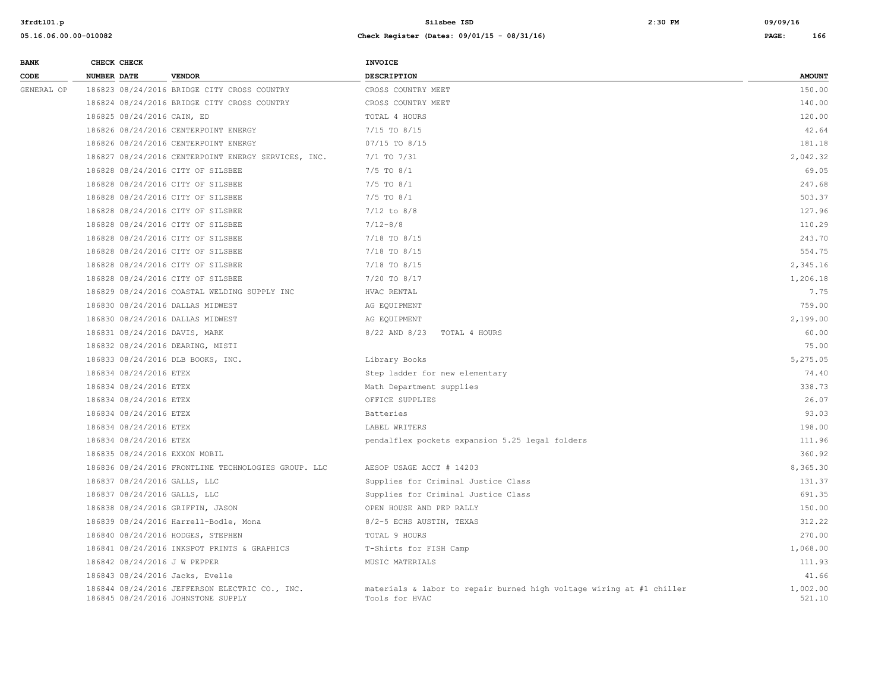| <b>BANK</b> | CHECK CHECK                                                                          | <b>INVOICE</b>                                                                         |                    |
|-------------|--------------------------------------------------------------------------------------|----------------------------------------------------------------------------------------|--------------------|
| CODE        | NUMBER DATE<br><b>VENDOR</b>                                                         | <b>DESCRIPTION</b>                                                                     | <b>AMOUNT</b>      |
| GENERAL OP  | 186823 08/24/2016 BRIDGE CITY CROSS COUNTRY                                          | CROSS COUNTRY MEET                                                                     | 150.00             |
|             | 186824 08/24/2016 BRIDGE CITY CROSS COUNTRY                                          | CROSS COUNTRY MEET                                                                     | 140.00             |
|             | 186825 08/24/2016 CAIN, ED                                                           | TOTAL 4 HOURS                                                                          | 120.00             |
|             | 186826 08/24/2016 CENTERPOINT ENERGY                                                 | $7/15$ TO $8/15$                                                                       | 42.64              |
|             | 186826 08/24/2016 CENTERPOINT ENERGY                                                 | 07/15 TO 8/15                                                                          | 181.18             |
|             | 186827 08/24/2016 CENTERPOINT ENERGY SERVICES, INC.                                  | 7/1 TO 7/31                                                                            | 2,042.32           |
|             | 186828 08/24/2016 CITY OF SILSBEE                                                    | $7/5$ TO $8/1$                                                                         | 69.05              |
|             | 186828 08/24/2016 CITY OF SILSBEE                                                    | $7/5$ TO $8/1$                                                                         | 247.68             |
|             | 186828 08/24/2016 CITY OF SILSBEE                                                    | $7/5$ TO $8/1$                                                                         | 503.37             |
|             | 186828 08/24/2016 CITY OF SILSBEE                                                    | $7/12$ to $8/8$                                                                        | 127.96             |
|             | 186828 08/24/2016 CITY OF SILSBEE                                                    | $7/12 - 8/8$                                                                           | 110.29             |
|             | 186828 08/24/2016 CITY OF SILSBEE                                                    | 7/18 TO 8/15                                                                           | 243.70             |
|             | 186828 08/24/2016 CITY OF SILSBEE                                                    | 7/18 TO 8/15                                                                           | 554.75             |
|             | 186828 08/24/2016 CITY OF SILSBEE                                                    | $7/18$ TO $8/15$                                                                       | 2,345.16           |
|             | 186828 08/24/2016 CITY OF SILSBEE                                                    | 7/20 TO 8/17                                                                           | 1,206.18           |
|             | 186829 08/24/2016 COASTAL WELDING SUPPLY INC                                         | HVAC RENTAL                                                                            | 7.75               |
|             | 186830 08/24/2016 DALLAS MIDWEST                                                     | AG EQUIPMENT                                                                           | 759.00             |
|             | 186830 08/24/2016 DALLAS MIDWEST                                                     | AG EQUIPMENT                                                                           | 2,199.00           |
|             | 186831 08/24/2016 DAVIS, MARK                                                        | 8/22 AND 8/23<br>TOTAL 4 HOURS                                                         | 60.00              |
|             | 186832 08/24/2016 DEARING, MISTI                                                     |                                                                                        | 75.00              |
|             | 186833 08/24/2016 DLB BOOKS, INC.                                                    | Library Books                                                                          | 5,275.05           |
|             | 186834 08/24/2016 ETEX                                                               | Step ladder for new elementary                                                         | 74.40              |
|             | 186834 08/24/2016 ETEX                                                               | Math Department supplies                                                               | 338.73             |
|             | 186834 08/24/2016 ETEX                                                               | OFFICE SUPPLIES                                                                        | 26.07              |
|             | 186834 08/24/2016 ETEX                                                               | Batteries                                                                              | 93.03              |
|             | 186834 08/24/2016 ETEX                                                               | LABEL WRITERS                                                                          | 198.00             |
|             | 186834 08/24/2016 ETEX                                                               | pendalflex pockets expansion 5.25 legal folders                                        | 111.96             |
|             | 186835 08/24/2016 EXXON MOBIL                                                        |                                                                                        | 360.92             |
|             | 186836 08/24/2016 FRONTLINE TECHNOLOGIES GROUP. LLC                                  | AESOP USAGE ACCT # 14203                                                               | 8,365.30           |
|             | 186837 08/24/2016 GALLS, LLC                                                         | Supplies for Criminal Justice Class                                                    | 131.37             |
|             | 186837 08/24/2016 GALLS, LLC                                                         | Supplies for Criminal Justice Class                                                    | 691.35             |
|             | 186838 08/24/2016 GRIFFIN, JASON                                                     | OPEN HOUSE AND PEP RALLY                                                               | 150.00             |
|             | 186839 08/24/2016 Harrell-Bodle, Mona                                                | 8/2-5 ECHS AUSTIN, TEXAS                                                               | 312.22             |
|             | 186840 08/24/2016 HODGES, STEPHEN                                                    | TOTAL 9 HOURS                                                                          | 270.00             |
|             | 186841 08/24/2016 INKSPOT PRINTS & GRAPHICS                                          | T-Shirts for FISH Camp                                                                 | 1,068.00           |
|             | 186842 08/24/2016 J W PEPPER                                                         | MUSIC MATERIALS                                                                        | 111.93             |
|             | 186843 08/24/2016 Jacks, Evelle                                                      |                                                                                        | 41.66              |
|             | 186844 08/24/2016 JEFFERSON ELECTRIC CO., INC.<br>186845 08/24/2016 JOHNSTONE SUPPLY | materials & labor to repair burned high voltage wiring at #1 chiller<br>Tools for HVAC | 1,002.00<br>521.10 |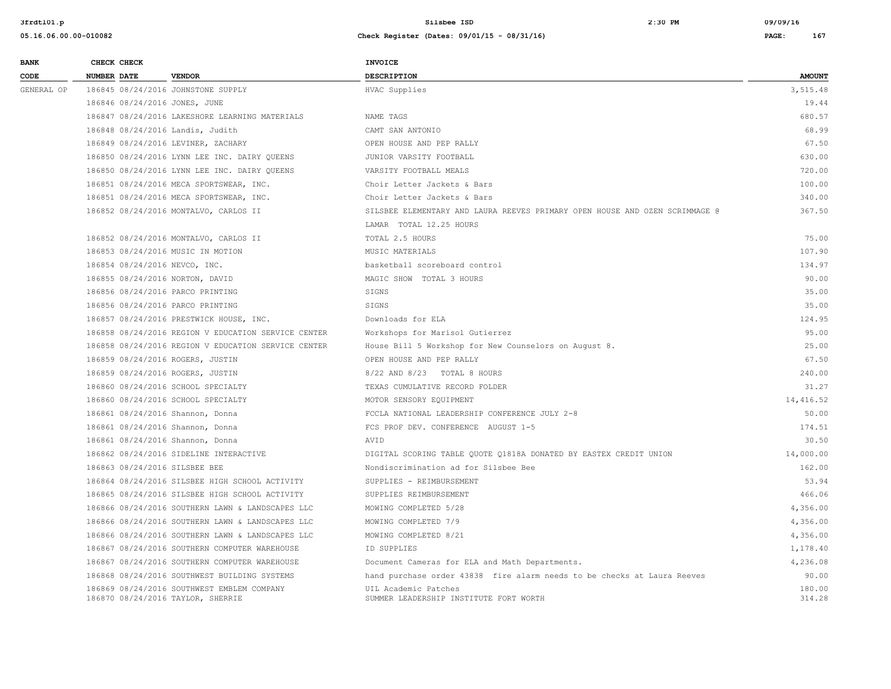| <b>BANK</b> | CHECK CHECK                        |                                                     | <b>INVOICE</b>                                                              |                  |
|-------------|------------------------------------|-----------------------------------------------------|-----------------------------------------------------------------------------|------------------|
| CODE        | <b>NUMBER DATE</b>                 | <b>VENDOR</b>                                       | <b>DESCRIPTION</b>                                                          | <b>AMOUNT</b>    |
| GENERAL OP  | 186845 08/24/2016 JOHNSTONE SUPPLY |                                                     | HVAC Supplies                                                               | 3,515.48         |
|             | 186846 08/24/2016 JONES, JUNE      |                                                     |                                                                             | 19.44            |
|             |                                    | 186847 08/24/2016 LAKESHORE LEARNING MATERIALS      | NAME TAGS                                                                   | 680.57           |
|             | 186848 08/24/2016 Landis, Judith   |                                                     | CAMT SAN ANTONIO                                                            | 68.99            |
|             |                                    | 186849 08/24/2016 LEVINER, ZACHARY                  | OPEN HOUSE AND PEP RALLY                                                    | 67.50            |
|             |                                    | 186850 08/24/2016 LYNN LEE INC. DAIRY OUEENS        | JUNIOR VARSITY FOOTBALL                                                     | 630.00           |
|             |                                    | 186850 08/24/2016 LYNN LEE INC. DAIRY QUEENS        | VARSITY FOOTBALL MEALS                                                      | 720.00           |
|             |                                    | 186851 08/24/2016 MECA SPORTSWEAR, INC.             | Choir Letter Jackets & Bars                                                 | 100.00           |
|             |                                    | 186851 08/24/2016 MECA SPORTSWEAR, INC.             | Choir Letter Jackets & Bars                                                 | 340.00           |
|             |                                    | 186852 08/24/2016 MONTALVO, CARLOS II               | SILSBEE ELEMENTARY AND LAURA REEVES PRIMARY OPEN HOUSE AND OZEN SCRIMMAGE @ | 367.50           |
|             |                                    |                                                     | LAMAR TOTAL 12.25 HOURS                                                     |                  |
|             |                                    | 186852 08/24/2016 MONTALVO, CARLOS II               | TOTAL 2.5 HOURS                                                             | 75.00            |
|             | 186853 08/24/2016 MUSIC IN MOTION  |                                                     | MUSIC MATERIALS                                                             | 107.90           |
|             | 186854 08/24/2016 NEVCO, INC.      |                                                     | basketball scoreboard control                                               | 134.97           |
|             | 186855 08/24/2016 NORTON, DAVID    |                                                     | MAGIC SHOW TOTAL 3 HOURS                                                    | 90.00            |
|             | 186856 08/24/2016 PARCO PRINTING   |                                                     | SIGNS                                                                       | 35.00            |
|             | 186856 08/24/2016 PARCO PRINTING   |                                                     | SIGNS                                                                       | 35.00            |
|             |                                    | 186857 08/24/2016 PRESTWICK HOUSE, INC.             | Downloads for ELA                                                           | 124.95           |
|             |                                    | 186858 08/24/2016 REGION V EDUCATION SERVICE CENTER | Workshops for Marisol Gutierrez                                             | 95.00            |
|             |                                    | 186858 08/24/2016 REGION V EDUCATION SERVICE CENTER | House Bill 5 Workshop for New Counselors on August 8.                       | 25.00            |
|             | 186859 08/24/2016 ROGERS, JUSTIN   |                                                     | OPEN HOUSE AND PEP RALLY                                                    | 67.50            |
|             | 186859 08/24/2016 ROGERS, JUSTIN   |                                                     | 8/22 AND 8/23 TOTAL 8 HOURS                                                 | 240.00           |
|             |                                    | 186860 08/24/2016 SCHOOL SPECIALTY                  | TEXAS CUMULATIVE RECORD FOLDER                                              | 31.27            |
|             |                                    | 186860 08/24/2016 SCHOOL SPECIALTY                  | MOTOR SENSORY EQUIPMENT                                                     | 14,416.52        |
|             | 186861 08/24/2016 Shannon, Donna   |                                                     | FCCLA NATIONAL LEADERSHIP CONFERENCE JULY 2-8                               | 50.00            |
|             | 186861 08/24/2016 Shannon, Donna   |                                                     | FCS PROF DEV. CONFERENCE AUGUST 1-5                                         | 174.51           |
|             | 186861 08/24/2016 Shannon, Donna   |                                                     | AVID                                                                        | 30.50            |
|             |                                    | 186862 08/24/2016 SIDELINE INTERACTIVE              | DIGITAL SCORING TABLE QUOTE Q1818A DONATED BY EASTEX CREDIT UNION           | 14,000.00        |
|             | 186863 08/24/2016 SILSBEE BEE      |                                                     | Nondiscrimination ad for Silsbee Bee                                        | 162.00           |
|             |                                    | 186864 08/24/2016 SILSBEE HIGH SCHOOL ACTIVITY      | SUPPLIES - REIMBURSEMENT                                                    | 53.94            |
|             |                                    | 186865 08/24/2016 SILSBEE HIGH SCHOOL ACTIVITY      | SUPPLIES REIMBURSEMENT                                                      | 466.06           |
|             |                                    | 186866 08/24/2016 SOUTHERN LAWN & LANDSCAPES LLC    | MOWING COMPLETED 5/28                                                       | 4,356.00         |
|             |                                    | 186866 08/24/2016 SOUTHERN LAWN & LANDSCAPES LLC    | MOWING COMPLETED 7/9                                                        | 4,356.00         |
|             |                                    | 186866 08/24/2016 SOUTHERN LAWN & LANDSCAPES LLC    | MOWING COMPLETED 8/21                                                       | 4,356.00         |
|             |                                    | 186867 08/24/2016 SOUTHERN COMPUTER WAREHOUSE       | ID SUPPLIES                                                                 | 1,178.40         |
|             |                                    | 186867 08/24/2016 SOUTHERN COMPUTER WAREHOUSE       | Document Cameras for ELA and Math Departments.                              | 4,236.08         |
|             |                                    | 186868 08/24/2016 SOUTHWEST BUILDING SYSTEMS        | hand purchase order 43838 fire alarm needs to be checks at Laura Reeves     | 90.00            |
|             | 186870 08/24/2016 TAYLOR, SHERRIE  | 186869 08/24/2016 SOUTHWEST EMBLEM COMPANY          | UIL Academic Patches<br>SUMMER LEADERSHIP INSTITUTE FORT WORTH              | 180.00<br>314.28 |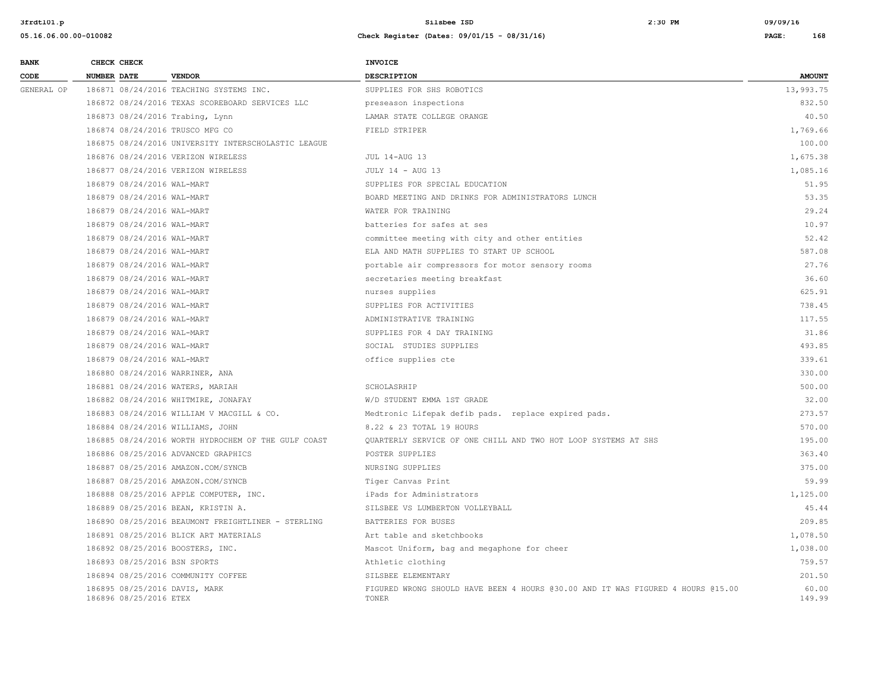**3frdtl01.p Silsbee ISD 2:30 PM 09/09/16**

# **BANK** CHECK CHECK **CHECK CODE NUMBER DATE VENDOR DESCRIPTION AMOUNT** GENERAL OP 186871 08/24/2016 TEACHING SYSTEMS INC. SUPPLIES FOR SHS ROBOTICS 13,993.75 186872 08/24/2016 TEXAS SCOREBOARD SERVICES LLC preseason inspections 832.50 186873 08/24/2016 Trabing, Lynn 10.50 COLLEGE ORANGE COLLEGE ORANGE AND LAMAR STATE COLLEGE ORANGE 186874 08/24/2016 TRUSCO MFG CO **FIELD STRIPER** FIELD STRIPER 1,769.66 186875 08/24/2016 UNIVERSITY INTERSCHOLASTIC LEAGUE 100.00 186876 08/24/2016 VERIZON WIRELESS **1.675.38** JUL 14-AUG 13 1,675.38 186877 08/24/2016 VERIZON WIRELESS **1.085.16** JULY 14 - AUG 13 **1.085.16** 1,085.16 186879 08/24/2016 WAL-MART SUPPLIES FOR SPECIAL EDUCATION 51.95 186879 08/24/2016 WAL-MART BOARD MEETING AND DRINKS FOR ADMINISTRATORS LUNCH 53.35 186879 08/24/2016 WAL-MART WATER FOR TRAINING 29.24 186879 08/24/2016 WAL-MART batteries for safes at ses 10.97 186879 08/24/2016 WAL-MART committee meeting with city and other entities 52.42 186879 08/24/2016 WAL-MART ELA AND MATH SUPPLIES TO START UP SCHOOL 587.08 186879 08/24/2016 WAL-MART portable air compressors for motor sensory rooms 27.76 186879 08/24/2016 WAL-MART 36.60 Secretaries meeting breakfast 36.60 Secretaries meeting breakfast 36.60 186879 08/24/2016 WAL-MART nurses supplies 625.91 186879 08/24/2016 WAL-MART 6 6 CONSULTER FOR ACTIVITIES FOR ACTIVITIES 738.45 186879 08/24/2016 WAL-MART 117.55 (117.55 ADMINISTRATIVE TRAINING 117.55 ADMINISTRATIVE TRAINING 117.55 186879 08/24/2016 WAL-MART SUPPLIES FOR 4 DAY TRAINING 31.86 186879 08/24/2016 WAL-MART SOCIAL STUDIES SUPPLIES 493.85 186879 08/24/2016 WAL-MART office supplies cte 339.61 186880 08/24/2016 WARRINER, ANA 330.00 186881 08/24/2016 WATERS, MARIAH SCHOLASRHIP 500.00 186882 08/24/2016 WHITMIRE, JONAFAY W/D STUDENT EMMA 1ST GRADE 32.00 186883 08/24/2016 WILLIAM V MACGILL & CO. Medtronic Lifepak defib pads. replace expired pads. 273.57 186884 08/24/2016 WILLIAMS, JOHN 8.22 & 23 TOTAL 19 HOURS 570.00 186885 08/24/2016 WORTH HYDROCHEM OF THE GULF COAST QUARTERLY SERVICE OF ONE CHILL AND TWO HOT LOOP SYSTEMS AT SHS 195.00 186886 08/25/2016 ADVANCED GRAPHICS POSTER SUPPLIES 363.40 186887 08/25/2016 AMAZON.COM/SYNCB NURSING SUPPLIES 375.00 186887 08/25/2016 AMAZON.COM/SYNCB Tiger Canvas Print 59.99 186888 08/25/2016 APPLE COMPUTER, INC. iPads for Administrators 1,125.00 186889 08/25/2016 BEAN, KRISTIN A. SILSBEE VS LUMBERTON VOLLEYBALL 45.44 186890 08/25/2016 BEAUMONT FREIGHTLINER - STERLING BATTERIES FOR BUSES 209.85 186891 08/25/2016 BLICK ART MATERIALS Art table and sketchbooks 1,078.50 186892 08/25/2016 BOOSTERS, INC. Mascot Uniform, bag and megaphone for cheer 1,038.00 186893 08/25/2016 BSN SPORTS Athletic clothing 759.57 186894 08/25/2016 COMMUNITY COFFEE SILSBEE ELEMENTARY 201.50 186895 08/25/2016 DAVIS, MARK FIGURED WRONG SHOULD HAVE BEEN 4 HOURS @30.00 AND IT WAS FIGURED 4 HOURS @15.00 60.00 186896 08/25/2016 ETEX TONER 149.99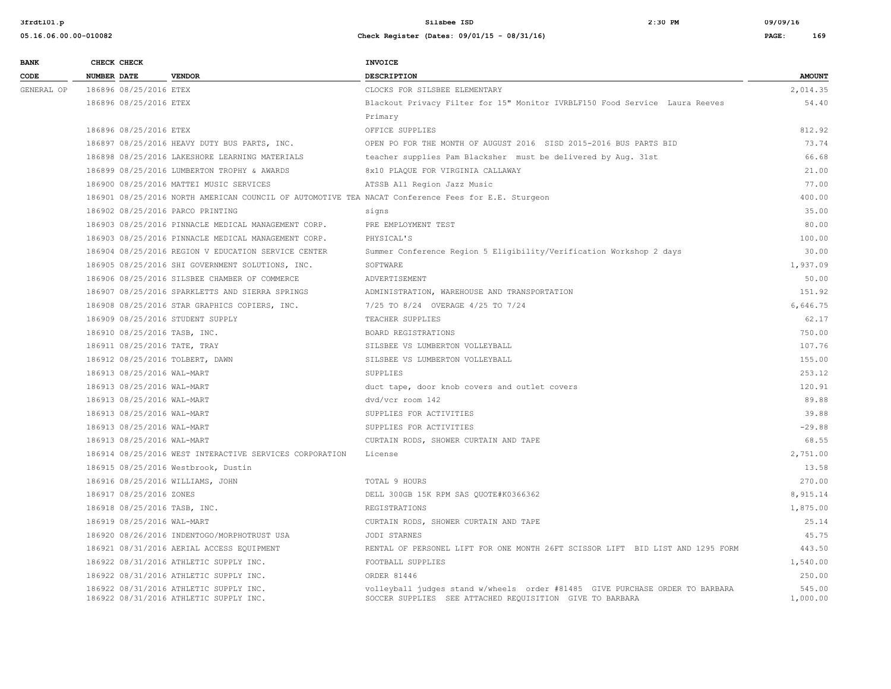| 05.16.06.00.00-010082 | Check Register (Dates: 09/01/15 - 08/31/16) | PAGE: | 169 |
|-----------------------|---------------------------------------------|-------|-----|
|                       |                                             |       |     |

| <b>BANK</b> |                    | CHECK CHECK                |                                                                                                    | <b>INVOICE</b>                                                                                                                           |                    |
|-------------|--------------------|----------------------------|----------------------------------------------------------------------------------------------------|------------------------------------------------------------------------------------------------------------------------------------------|--------------------|
| CODE        | <b>NUMBER DATE</b> |                            | <b>VENDOR</b>                                                                                      | <b>DESCRIPTION</b>                                                                                                                       | <b>AMOUNT</b>      |
| GENERAL OP  |                    | 186896 08/25/2016 ETEX     |                                                                                                    | CLOCKS FOR SILSBEE ELEMENTARY                                                                                                            | 2,014.35           |
|             |                    | 186896 08/25/2016 ETEX     |                                                                                                    | Blackout Privacy Filter for 15" Monitor IVRBLF150 Food Service Laura Reeves                                                              | 54.40              |
|             |                    |                            |                                                                                                    | Primary                                                                                                                                  |                    |
|             |                    | 186896 08/25/2016 ETEX     |                                                                                                    | OFFICE SUPPLIES                                                                                                                          | 812.92             |
|             |                    |                            | 186897 08/25/2016 HEAVY DUTY BUS PARTS, INC.                                                       | OPEN PO FOR THE MONTH OF AUGUST 2016 SISD 2015-2016 BUS PARTS BID                                                                        | 73.74              |
|             |                    |                            | 186898 08/25/2016 LAKESHORE LEARNING MATERIALS                                                     | teacher supplies Pam Blacksher must be delivered by Aug. 31st                                                                            | 66.68              |
|             |                    |                            | 186899 08/25/2016 LUMBERTON TROPHY & AWARDS                                                        | 8x10 PLAQUE FOR VIRGINIA CALLAWAY                                                                                                        | 21.00              |
|             |                    |                            | 186900 08/25/2016 MATTEI MUSIC SERVICES                                                            | ATSSB All Region Jazz Music                                                                                                              | 77.00              |
|             |                    |                            | 186901 08/25/2016 NORTH AMERICAN COUNCIL OF AUTOMOTIVE TEA NACAT Conference Fees for E.E. Sturgeon |                                                                                                                                          | 400.00             |
|             |                    |                            | 186902 08/25/2016 PARCO PRINTING                                                                   | signs                                                                                                                                    | 35.00              |
|             |                    |                            | 186903 08/25/2016 PINNACLE MEDICAL MANAGEMENT CORP.                                                | PRE EMPLOYMENT TEST                                                                                                                      | 80.00              |
|             |                    |                            | 186903 08/25/2016 PINNACLE MEDICAL MANAGEMENT CORP.                                                | PHYSICAL'S                                                                                                                               | 100.00             |
|             |                    |                            | 186904 08/25/2016 REGION V EDUCATION SERVICE CENTER                                                | Summer Conference Region 5 Eligibility/Verification Workshop 2 days                                                                      | 30.00              |
|             |                    |                            | 186905 08/25/2016 SHI GOVERNMENT SOLUTIONS, INC.                                                   | SOFTWARE                                                                                                                                 | 1,937.09           |
|             |                    |                            | 186906 08/25/2016 SILSBEE CHAMBER OF COMMERCE                                                      | ADVERTISEMENT                                                                                                                            | 50.00              |
|             |                    |                            | 186907 08/25/2016 SPARKLETTS AND SIERRA SPRINGS                                                    | ADMINISTRATION, WAREHOUSE AND TRANSPORTATION                                                                                             | 151.92             |
|             |                    |                            | 186908 08/25/2016 STAR GRAPHICS COPIERS, INC.                                                      | 7/25 TO 8/24 OVERAGE 4/25 TO 7/24                                                                                                        | 6,646.75           |
|             |                    |                            | 186909 08/25/2016 STUDENT SUPPLY                                                                   | TEACHER SUPPLIES                                                                                                                         | 62.17              |
|             |                    |                            | 186910 08/25/2016 TASB, INC.                                                                       | BOARD REGISTRATIONS                                                                                                                      | 750.00             |
|             |                    |                            | 186911 08/25/2016 TATE, TRAY                                                                       | SILSBEE VS LUMBERTON VOLLEYBALL                                                                                                          | 107.76             |
|             |                    |                            | 186912 08/25/2016 TOLBERT, DAWN                                                                    | SILSBEE VS LUMBERTON VOLLEYBALL                                                                                                          | 155.00             |
|             |                    | 186913 08/25/2016 WAL-MART |                                                                                                    | SUPPLIES                                                                                                                                 | 253.12             |
|             |                    | 186913 08/25/2016 WAL-MART |                                                                                                    | duct tape, door knob covers and outlet covers                                                                                            | 120.91             |
|             |                    | 186913 08/25/2016 WAL-MART |                                                                                                    | dvd/vcr room 142                                                                                                                         | 89.88              |
|             |                    | 186913 08/25/2016 WAL-MART |                                                                                                    | SUPPLIES FOR ACTIVITIES                                                                                                                  | 39.88              |
|             |                    | 186913 08/25/2016 WAL-MART |                                                                                                    | SUPPLIES FOR ACTIVITIES                                                                                                                  | $-29.88$           |
|             |                    | 186913 08/25/2016 WAL-MART |                                                                                                    | CURTAIN RODS, SHOWER CURTAIN AND TAPE                                                                                                    | 68.55              |
|             |                    |                            | 186914 08/25/2016 WEST INTERACTIVE SERVICES CORPORATION                                            | License                                                                                                                                  | 2,751.00           |
|             |                    |                            | 186915 08/25/2016 Westbrook, Dustin                                                                |                                                                                                                                          | 13.58              |
|             |                    |                            | 186916 08/25/2016 WILLIAMS, JOHN                                                                   | TOTAL 9 HOURS                                                                                                                            | 270.00             |
|             |                    | 186917 08/25/2016 ZONES    |                                                                                                    | DELL 300GB 15K RPM SAS QUOTE#K0366362                                                                                                    | 8,915.14           |
|             |                    |                            | 186918 08/25/2016 TASB, INC.                                                                       | REGISTRATIONS                                                                                                                            | 1,875.00           |
|             |                    | 186919 08/25/2016 WAL-MART |                                                                                                    | CURTAIN RODS, SHOWER CURTAIN AND TAPE                                                                                                    | 25.14              |
|             |                    |                            | 186920 08/26/2016 INDENTOGO/MORPHOTRUST USA                                                        | JODI STARNES                                                                                                                             | 45.75              |
|             |                    |                            | 186921 08/31/2016 AERIAL ACCESS EQUIPMENT                                                          | RENTAL OF PERSONEL LIFT FOR ONE MONTH 26FT SCISSOR LIFT BID LIST AND 1295 FORM                                                           | 443.50             |
|             |                    |                            | 186922 08/31/2016 ATHLETIC SUPPLY INC.                                                             | FOOTBALL SUPPLIES                                                                                                                        | 1,540.00           |
|             |                    |                            | 186922 08/31/2016 ATHLETIC SUPPLY INC.                                                             | ORDER 81446                                                                                                                              | 250.00             |
|             |                    |                            | 186922 08/31/2016 ATHLETIC SUPPLY INC.<br>186922 08/31/2016 ATHLETIC SUPPLY INC.                   | volleyball judges stand w/wheels order #81485 GIVE PURCHASE ORDER TO BARBARA<br>SOCCER SUPPLIES SEE ATTACHED REQUISITION GIVE TO BARBARA | 545.00<br>1,000.00 |
|             |                    |                            |                                                                                                    |                                                                                                                                          |                    |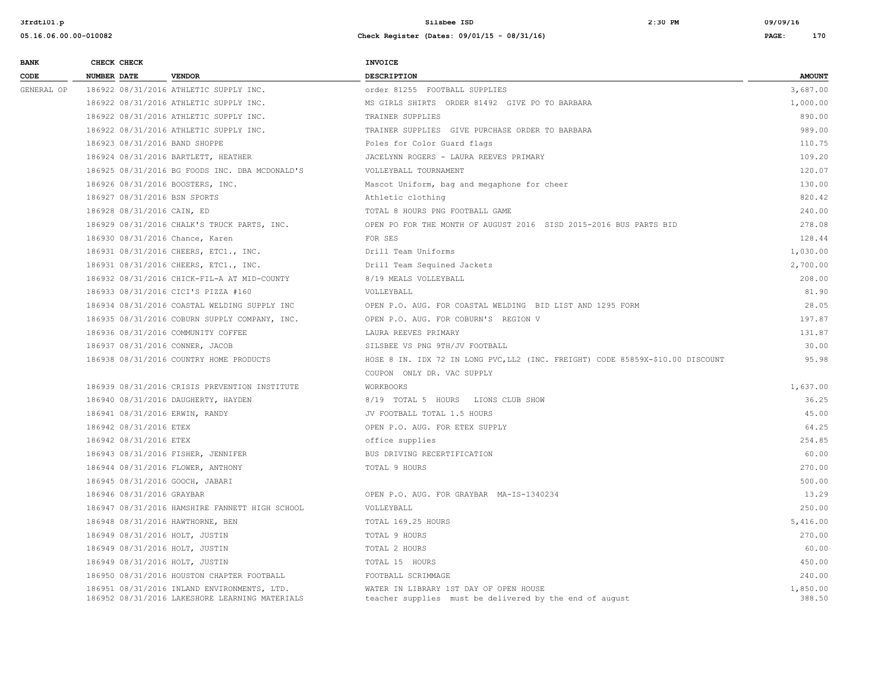| <b>BANK</b> |                    | CHECK CHECK                |                                                                                               | <b>INVOICE</b>                                                                                    |                    |
|-------------|--------------------|----------------------------|-----------------------------------------------------------------------------------------------|---------------------------------------------------------------------------------------------------|--------------------|
| CODE        | <b>NUMBER DATE</b> |                            | <b>VENDOR</b>                                                                                 | <b>DESCRIPTION</b>                                                                                | <b>AMOUNT</b>      |
| GENERAL OP  |                    |                            | 186922 08/31/2016 ATHLETIC SUPPLY INC.                                                        | order 81255 FOOTBALL SUPPLIES                                                                     | 3,687.00           |
|             |                    |                            | 186922 08/31/2016 ATHLETIC SUPPLY INC.                                                        | MS GIRLS SHIRTS ORDER 81492 GIVE PO TO BARBARA                                                    | 1,000.00           |
|             |                    |                            | 186922 08/31/2016 ATHLETIC SUPPLY INC.                                                        | TRAINER SUPPLIES                                                                                  | 890.00             |
|             |                    |                            | 186922 08/31/2016 ATHLETIC SUPPLY INC.                                                        | TRAINER SUPPLIES GIVE PURCHASE ORDER TO BARBARA                                                   | 989.00             |
|             |                    |                            | 186923 08/31/2016 BAND SHOPPE                                                                 | Poles for Color Guard flags                                                                       | 110.75             |
|             |                    |                            | 186924 08/31/2016 BARTLETT, HEATHER                                                           | JACELYNN ROGERS - LAURA REEVES PRIMARY                                                            | 109.20             |
|             |                    |                            | 186925 08/31/2016 BG FOODS INC. DBA MCDONALD'S                                                | VOLLEYBALL TOURNAMENT                                                                             | 120.07             |
|             |                    |                            | 186926 08/31/2016 BOOSTERS, INC.                                                              | Mascot Uniform, bag and megaphone for cheer                                                       | 130.00             |
|             |                    |                            | 186927 08/31/2016 BSN SPORTS                                                                  | Athletic clothing                                                                                 | 820.42             |
|             |                    | 186928 08/31/2016 CAIN, ED |                                                                                               | TOTAL 8 HOURS PNG FOOTBALL GAME                                                                   | 240.00             |
|             |                    |                            | 186929 08/31/2016 CHALK'S TRUCK PARTS, INC.                                                   | OPEN PO FOR THE MONTH OF AUGUST 2016 SISD 2015-2016 BUS PARTS BID                                 | 278.08             |
|             |                    |                            | 186930 08/31/2016 Chance, Karen                                                               | FOR SES                                                                                           | 128.44             |
|             |                    |                            | 186931 08/31/2016 CHEERS, ETC1., INC.                                                         | Drill Team Uniforms                                                                               | 1,030.00           |
|             |                    |                            | 186931 08/31/2016 CHEERS, ETC1., INC.                                                         | Drill Team Sequined Jackets                                                                       | 2,700.00           |
|             |                    |                            | 186932 08/31/2016 CHICK-FIL-A AT MID-COUNTY                                                   | 8/19 MEALS VOLLEYBALL                                                                             | 208.00             |
|             |                    |                            | 186933 08/31/2016 CICI'S PIZZA #160                                                           | VOLLEYBALL                                                                                        | 81.90              |
|             |                    |                            | 186934 08/31/2016 COASTAL WELDING SUPPLY INC                                                  | OPEN P.O. AUG. FOR COASTAL WELDING BID LIST AND 1295 FORM                                         | 28.05              |
|             |                    |                            | 186935 08/31/2016 COBURN SUPPLY COMPANY, INC.                                                 | OPEN P.O. AUG. FOR COBURN'S REGION V                                                              | 197.87             |
|             |                    |                            | 186936 08/31/2016 COMMUNITY COFFEE                                                            | LAURA REEVES PRIMARY                                                                              | 131.87             |
|             |                    |                            | 186937 08/31/2016 CONNER, JACOB                                                               | SILSBEE VS PNG 9TH/JV FOOTBALL                                                                    | 30.00              |
|             |                    |                            | 186938 08/31/2016 COUNTRY HOME PRODUCTS                                                       | HOSE 8 IN. IDX 72 IN LONG PVC, LL2 (INC. FREIGHT) CODE 85859X-\$10.00 DISCOUNT                    | 95.98              |
|             |                    |                            |                                                                                               | COUPON ONLY DR. VAC SUPPLY                                                                        |                    |
|             |                    |                            | 186939 08/31/2016 CRISIS PREVENTION INSTITUTE                                                 | <b>WORKBOOKS</b>                                                                                  | 1,637.00           |
|             |                    |                            | 186940 08/31/2016 DAUGHERTY, HAYDEN                                                           | 8/19 TOTAL 5 HOURS LIONS CLUB SHOW                                                                | 36.25              |
|             |                    |                            | 186941 08/31/2016 ERWIN, RANDY                                                                | JV FOOTBALL TOTAL 1.5 HOURS                                                                       | 45.00              |
|             |                    | 186942 08/31/2016 ETEX     |                                                                                               | OPEN P.O. AUG. FOR ETEX SUPPLY                                                                    | 64.25              |
|             |                    | 186942 08/31/2016 ETEX     |                                                                                               | office supplies                                                                                   | 254.85             |
|             |                    |                            | 186943 08/31/2016 FISHER, JENNIFER                                                            | BUS DRIVING RECERTIFICATION                                                                       | 60.00              |
|             |                    |                            | 186944 08/31/2016 FLOWER, ANTHONY                                                             | TOTAL 9 HOURS                                                                                     | 270.00             |
|             |                    |                            | 186945 08/31/2016 GOOCH, JABARI                                                               |                                                                                                   | 500.00             |
|             |                    | 186946 08/31/2016 GRAYBAR  |                                                                                               | OPEN P.O. AUG. FOR GRAYBAR MA-IS-1340234                                                          | 13.29              |
|             |                    |                            | 186947 08/31/2016 HAMSHIRE FANNETT HIGH SCHOOL                                                | VOLLEYBALL                                                                                        | 250.00             |
|             |                    |                            | 186948 08/31/2016 HAWTHORNE, BEN                                                              | TOTAL 169.25 HOURS                                                                                | 5,416.00           |
|             |                    |                            | 186949 08/31/2016 HOLT, JUSTIN                                                                | TOTAL 9 HOURS                                                                                     | 270.00             |
|             |                    |                            | 186949 08/31/2016 HOLT, JUSTIN                                                                | TOTAL 2 HOURS                                                                                     | 60.00              |
|             |                    |                            | 186949 08/31/2016 HOLT, JUSTIN                                                                | TOTAL 15 HOURS                                                                                    | 450.00             |
|             |                    |                            | 186950 08/31/2016 HOUSTON CHAPTER FOOTBALL                                                    | FOOTBALL SCRIMMAGE                                                                                | 240.00             |
|             |                    |                            | 186951 08/31/2016 INLAND ENVIRONMENTS, LTD.<br>186952 08/31/2016 LAKESHORE LEARNING MATERIALS | WATER IN LIBRARY 1ST DAY OF OPEN HOUSE<br>teacher supplies must be delivered by the end of august | 1,850.00<br>388.50 |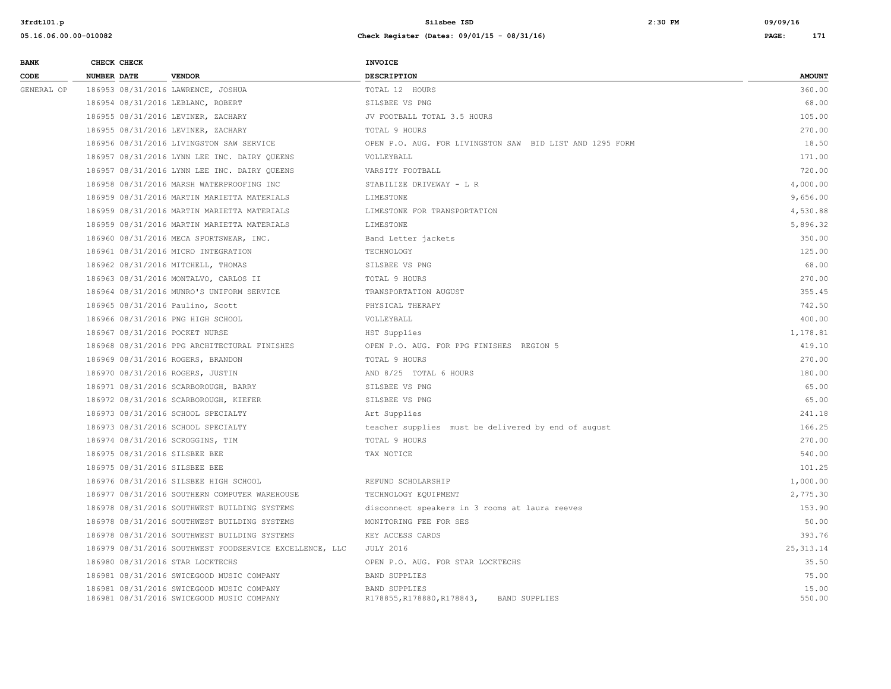| <b>BANK</b> | CHECK CHECK                         |  |                                                                                        | <b>INVOICE</b>                                                             |                 |  |
|-------------|-------------------------------------|--|----------------------------------------------------------------------------------------|----------------------------------------------------------------------------|-----------------|--|
| CODE        | <b>NUMBER DATE</b>                  |  | <b>VENDOR</b>                                                                          | DESCRIPTION                                                                | <b>AMOUNT</b>   |  |
| GENERAL OP  |                                     |  | 186953 08/31/2016 LAWRENCE, JOSHUA                                                     | TOTAL 12 HOURS                                                             | 360.00          |  |
|             |                                     |  | 186954 08/31/2016 LEBLANC, ROBERT                                                      | SILSBEE VS PNG                                                             | 68.00           |  |
|             |                                     |  | 186955 08/31/2016 LEVINER, ZACHARY                                                     | JV FOOTBALL TOTAL 3.5 HOURS                                                | 105.00          |  |
|             |                                     |  | 186955 08/31/2016 LEVINER, ZACHARY                                                     | TOTAL 9 HOURS                                                              | 270.00          |  |
|             |                                     |  | 186956 08/31/2016 LIVINGSTON SAW SERVICE                                               | OPEN P.O. AUG. FOR LIVINGSTON SAW BID LIST AND 1295 FORM                   | 18.50           |  |
|             |                                     |  | 186957 08/31/2016 LYNN LEE INC. DAIRY OUEENS                                           | VOLLEYBALL                                                                 | 171.00          |  |
|             |                                     |  | 186957 08/31/2016 LYNN LEE INC. DAIRY QUEENS                                           | VARSITY FOOTBALL                                                           | 720.00          |  |
|             |                                     |  | 186958 08/31/2016 MARSH WATERPROOFING INC                                              | STABILIZE DRIVEWAY - L R                                                   | 4,000.00        |  |
|             |                                     |  | 186959 08/31/2016 MARTIN MARIETTA MATERIALS                                            | LIMESTONE                                                                  | 9,656.00        |  |
|             |                                     |  | 186959 08/31/2016 MARTIN MARIETTA MATERIALS                                            | LIMESTONE FOR TRANSPORTATION                                               | 4,530.88        |  |
|             |                                     |  | 186959 08/31/2016 MARTIN MARIETTA MATERIALS                                            | LIMESTONE                                                                  | 5,896.32        |  |
|             |                                     |  | 186960 08/31/2016 MECA SPORTSWEAR, INC.                                                | Band Letter jackets                                                        | 350.00          |  |
|             | 186961 08/31/2016 MICRO INTEGRATION |  |                                                                                        | TECHNOLOGY                                                                 | 125.00          |  |
|             |                                     |  | 186962 08/31/2016 MITCHELL, THOMAS                                                     | SILSBEE VS PNG                                                             | 68.00           |  |
|             |                                     |  | 186963 08/31/2016 MONTALVO, CARLOS II                                                  | TOTAL 9 HOURS                                                              | 270.00          |  |
|             |                                     |  | 186964 08/31/2016 MUNRO'S UNIFORM SERVICE                                              | TRANSPORTATION AUGUST                                                      | 355.45          |  |
|             |                                     |  | 186965 08/31/2016 Paulino, Scott                                                       | PHYSICAL THERAPY                                                           | 742.50          |  |
|             | 186966 08/31/2016 PNG HIGH SCHOOL   |  | VOLLEYBALL                                                                             | 400.00                                                                     |                 |  |
|             |                                     |  | 186967 08/31/2016 POCKET NURSE                                                         | HST Supplies                                                               | 1,178.81        |  |
|             |                                     |  | 186968 08/31/2016 PPG ARCHITECTURAL FINISHES                                           | OPEN P.O. AUG. FOR PPG FINISHES REGION 5                                   | 419.10          |  |
|             |                                     |  | 186969 08/31/2016 ROGERS, BRANDON                                                      | TOTAL 9 HOURS                                                              | 270.00          |  |
|             |                                     |  | 186970 08/31/2016 ROGERS, JUSTIN                                                       | AND 8/25 TOTAL 6 HOURS                                                     | 180.00          |  |
|             |                                     |  | 186971 08/31/2016 SCARBOROUGH, BARRY                                                   | SILSBEE VS PNG                                                             | 65.00           |  |
|             |                                     |  | 186972 08/31/2016 SCARBOROUGH, KIEFER                                                  | SILSBEE VS PNG                                                             | 65.00           |  |
|             |                                     |  | 186973 08/31/2016 SCHOOL SPECIALTY                                                     | Art Supplies                                                               | 241.18          |  |
|             |                                     |  | 186973 08/31/2016 SCHOOL SPECIALTY                                                     | teacher supplies must be delivered by end of august                        | 166.25          |  |
|             |                                     |  | 186974 08/31/2016 SCROGGINS, TIM                                                       | TOTAL 9 HOURS                                                              | 270.00          |  |
|             |                                     |  | 186975 08/31/2016 SILSBEE BEE                                                          | TAX NOTICE                                                                 | 540.00          |  |
|             |                                     |  | 186975 08/31/2016 SILSBEE BEE                                                          |                                                                            | 101.25          |  |
|             |                                     |  | 186976 08/31/2016 SILSBEE HIGH SCHOOL                                                  | REFUND SCHOLARSHIP                                                         | 1,000.00        |  |
|             |                                     |  | 186977 08/31/2016 SOUTHERN COMPUTER WAREHOUSE                                          | TECHNOLOGY EQUIPMENT                                                       | 2,775.30        |  |
|             |                                     |  | 186978 08/31/2016 SOUTHWEST BUILDING SYSTEMS                                           | disconnect speakers in 3 rooms at laura reeves                             | 153.90          |  |
|             |                                     |  | 186978 08/31/2016 SOUTHWEST BUILDING SYSTEMS                                           | MONITORING FEE FOR SES                                                     | 50.00           |  |
|             |                                     |  | 186978 08/31/2016 SOUTHWEST BUILDING SYSTEMS                                           | KEY ACCESS CARDS                                                           | 393.76          |  |
|             |                                     |  | 186979 08/31/2016 SOUTHWEST FOODSERVICE EXCELLENCE, LLC                                | <b>JULY 2016</b>                                                           | 25, 313.14      |  |
|             |                                     |  | 186980 08/31/2016 STAR LOCKTECHS                                                       | OPEN P.O. AUG. FOR STAR LOCKTECHS                                          | 35.50           |  |
|             |                                     |  | 186981 08/31/2016 SWICEGOOD MUSIC COMPANY                                              | <b>BAND SUPPLIES</b>                                                       | 75.00           |  |
|             |                                     |  | 186981 08/31/2016 SWICEGOOD MUSIC COMPANY<br>186981 08/31/2016 SWICEGOOD MUSIC COMPANY | <b>BAND SUPPLIES</b><br>R178855, R178880, R178843,<br><b>BAND SUPPLIES</b> | 15.00<br>550.00 |  |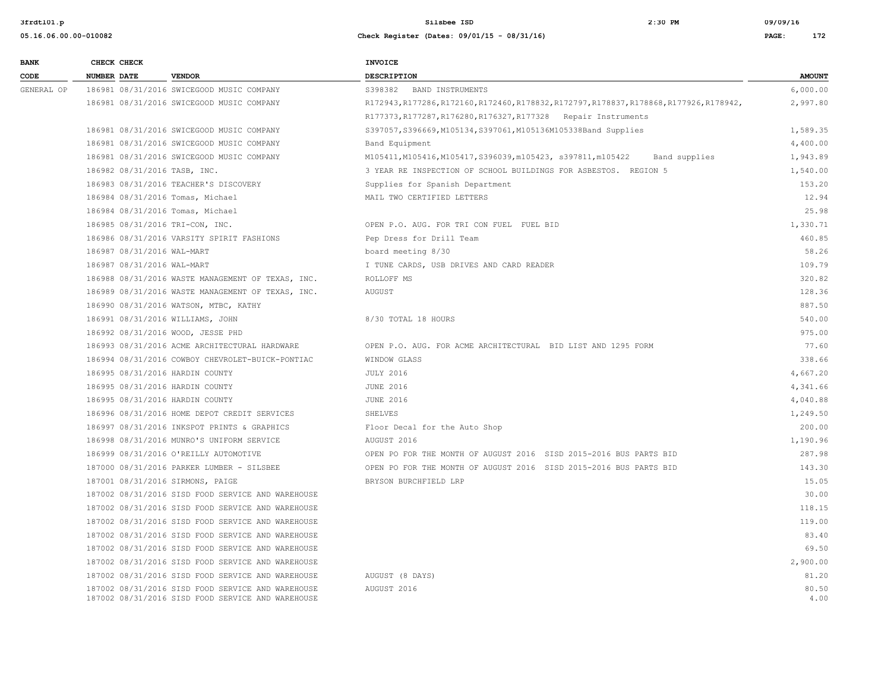| <b>BANK</b> | CHECK CHECK        |                                                                                                        | <b>INVOICE</b>                                                                            |               |
|-------------|--------------------|--------------------------------------------------------------------------------------------------------|-------------------------------------------------------------------------------------------|---------------|
| CODE        | <b>NUMBER DATE</b> | <b>VENDOR</b>                                                                                          | <b>DESCRIPTION</b>                                                                        | <b>AMOUNT</b> |
| GENERAL OP  |                    | 186981 08/31/2016 SWICEGOOD MUSIC COMPANY                                                              | S398382 BAND INSTRUMENTS                                                                  | 6,000.00      |
|             |                    | 186981 08/31/2016 SWICEGOOD MUSIC COMPANY                                                              | R172943, R177286, R172160, R172460, R178832, R172797, R178837, R178868, R177926, R178942, | 2,997.80      |
|             |                    |                                                                                                        | R177373, R177287, R176280, R176327, R177328 Repair Instruments                            |               |
|             |                    | 186981 08/31/2016 SWICEGOOD MUSIC COMPANY                                                              | S397057, S396669, M105134, S397061, M105136M105338Band Supplies                           | 1,589.35      |
|             |                    | 186981 08/31/2016 SWICEGOOD MUSIC COMPANY                                                              | Band Equipment                                                                            | 4,400.00      |
|             |                    | 186981 08/31/2016 SWICEGOOD MUSIC COMPANY                                                              | M105411, M105416, M105417, S396039, m105423, s397811, m105422<br>Band supplies            | 1,943.89      |
|             |                    | 186982 08/31/2016 TASB, INC.                                                                           | 3 YEAR RE INSPECTION OF SCHOOL BUILDINGS FOR ASBESTOS. REGION 5                           | 1,540.00      |
|             |                    | 186983 08/31/2016 TEACHER'S DISCOVERY                                                                  | Supplies for Spanish Department                                                           | 153.20        |
|             |                    | 186984 08/31/2016 Tomas, Michael                                                                       | MAIL TWO CERTIFIED LETTERS                                                                | 12.94         |
|             |                    | 186984 08/31/2016 Tomas, Michael                                                                       |                                                                                           | 25.98         |
|             |                    | 186985 08/31/2016 TRI-CON, INC.                                                                        | OPEN P.O. AUG. FOR TRI CON FUEL FUEL BID                                                  | 1,330.71      |
|             |                    | 186986 08/31/2016 VARSITY SPIRIT FASHIONS                                                              | Pep Dress for Drill Team                                                                  | 460.85        |
|             |                    | 186987 08/31/2016 WAL-MART                                                                             | board meeting 8/30                                                                        | 58.26         |
|             |                    | 186987 08/31/2016 WAL-MART                                                                             | I TUNE CARDS, USB DRIVES AND CARD READER                                                  | 109.79        |
|             |                    | 186988 08/31/2016 WASTE MANAGEMENT OF TEXAS, INC.                                                      | ROLLOFF MS                                                                                | 320.82        |
|             |                    | 186989 08/31/2016 WASTE MANAGEMENT OF TEXAS, INC.                                                      | <b>AUGUST</b>                                                                             | 128.36        |
|             |                    | 186990 08/31/2016 WATSON, MTBC, KATHY                                                                  |                                                                                           | 887.50        |
|             |                    | 186991 08/31/2016 WILLIAMS, JOHN                                                                       | 8/30 TOTAL 18 HOURS                                                                       | 540.00        |
|             |                    | 186992 08/31/2016 WOOD, JESSE PHD                                                                      |                                                                                           | 975.00        |
|             |                    | 186993 08/31/2016 ACME ARCHITECTURAL HARDWARE                                                          | OPEN P.O. AUG. FOR ACME ARCHITECTURAL BID LIST AND 1295 FORM                              | 77.60         |
|             |                    | 186994 08/31/2016 COWBOY CHEVROLET-BUICK-PONTIAC                                                       | WINDOW GLASS                                                                              | 338.66        |
|             |                    | 186995 08/31/2016 HARDIN COUNTY                                                                        | <b>JULY 2016</b>                                                                          | 4,667.20      |
|             |                    | 186995 08/31/2016 HARDIN COUNTY                                                                        | <b>JUNE 2016</b>                                                                          | 4,341.66      |
|             |                    | 186995 08/31/2016 HARDIN COUNTY                                                                        | <b>JUNE 2016</b>                                                                          | 4,040.88      |
|             |                    | 186996 08/31/2016 HOME DEPOT CREDIT SERVICES                                                           | SHELVES                                                                                   | 1,249.50      |
|             |                    | 186997 08/31/2016 INKSPOT PRINTS & GRAPHICS                                                            | Floor Decal for the Auto Shop                                                             | 200.00        |
|             |                    | 186998 08/31/2016 MUNRO'S UNIFORM SERVICE                                                              | AUGUST 2016                                                                               | 1,190.96      |
|             |                    | 186999 08/31/2016 O'REILLY AUTOMOTIVE                                                                  | OPEN PO FOR THE MONTH OF AUGUST 2016 SISD 2015-2016 BUS PARTS BID                         | 287.98        |
|             |                    | 187000 08/31/2016 PARKER LUMBER - SILSBEE                                                              | OPEN PO FOR THE MONTH OF AUGUST 2016 SISD 2015-2016 BUS PARTS BID                         | 143.30        |
|             |                    | 187001 08/31/2016 SIRMONS, PAIGE                                                                       | BRYSON BURCHFIELD LRP                                                                     | 15.05         |
|             |                    | 187002 08/31/2016 SISD FOOD SERVICE AND WAREHOUSE                                                      |                                                                                           | 30.00         |
|             |                    | 187002 08/31/2016 SISD FOOD SERVICE AND WAREHOUSE                                                      |                                                                                           | 118.15        |
|             |                    | 187002 08/31/2016 SISD FOOD SERVICE AND WAREHOUSE                                                      |                                                                                           | 119.00        |
|             |                    | 187002 08/31/2016 SISD FOOD SERVICE AND WAREHOUSE                                                      |                                                                                           | 83.40         |
|             |                    | 187002 08/31/2016 SISD FOOD SERVICE AND WAREHOUSE                                                      |                                                                                           | 69.50         |
|             |                    | 187002 08/31/2016 SISD FOOD SERVICE AND WAREHOUSE                                                      |                                                                                           | 2,900.00      |
|             |                    | 187002 08/31/2016 SISD FOOD SERVICE AND WAREHOUSE                                                      | AUGUST (8 DAYS)                                                                           | 81.20         |
|             |                    | 187002 08/31/2016 SISD FOOD SERVICE AND WAREHOUSE<br>187002 08/31/2016 SISD FOOD SERVICE AND WAREHOUSE | AUGUST 2016                                                                               | 80.50<br>4.00 |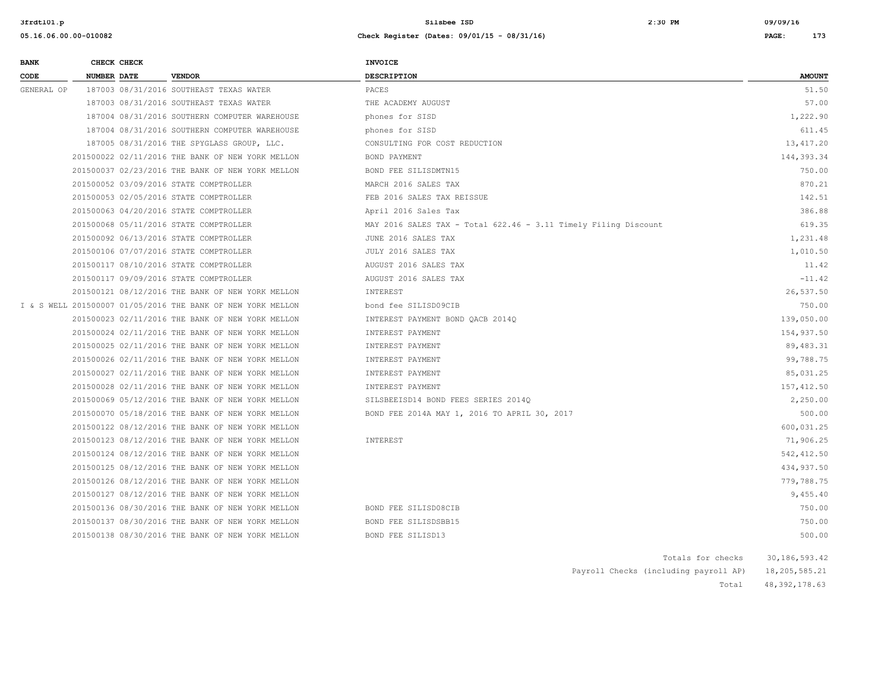**05.16.06.00.00-010082 Check Register (Dates: 09/01/15 - 08/31/16) PAGE: 173**

| <b>BANK</b> | CHECK CHECK        |                                                             | <b>INVOICE</b>                                                  |                   |                 |
|-------------|--------------------|-------------------------------------------------------------|-----------------------------------------------------------------|-------------------|-----------------|
| CODE        | <b>NUMBER DATE</b> | <b>VENDOR</b>                                               | <b>DESCRIPTION</b>                                              |                   | <b>AMOUNT</b>   |
| GENERAL OP  |                    | 187003 08/31/2016 SOUTHEAST TEXAS WATER                     | PACES                                                           |                   | 51.50           |
|             |                    | 187003 08/31/2016 SOUTHEAST TEXAS WATER                     | THE ACADEMY AUGUST                                              |                   | 57.00           |
|             |                    | 187004 08/31/2016 SOUTHERN COMPUTER WAREHOUSE               | phones for SISD                                                 |                   | 1,222.90        |
|             |                    | 187004 08/31/2016 SOUTHERN COMPUTER WAREHOUSE               | phones for SISD                                                 |                   | 611.45          |
|             |                    | 187005 08/31/2016 THE SPYGLASS GROUP, LLC.                  | CONSULTING FOR COST REDUCTION                                   |                   | 13, 417.20      |
|             |                    | 201500022 02/11/2016 THE BANK OF NEW YORK MELLON            | BOND PAYMENT                                                    |                   | 144,393.34      |
|             |                    | 201500037 02/23/2016 THE BANK OF NEW YORK MELLON            | BOND FEE SILISDMTN15                                            |                   | 750.00          |
|             |                    | 201500052 03/09/2016 STATE COMPTROLLER                      | MARCH 2016 SALES TAX                                            |                   | 870.21          |
|             |                    | 201500053 02/05/2016 STATE COMPTROLLER                      | FEB 2016 SALES TAX REISSUE                                      |                   | 142.51          |
|             |                    | 201500063 04/20/2016 STATE COMPTROLLER                      | April 2016 Sales Tax                                            |                   | 386.88          |
|             |                    | 201500068 05/11/2016 STATE COMPTROLLER                      | MAY 2016 SALES TAX - Total 622.46 - 3.11 Timely Filing Discount |                   | 619.35          |
|             |                    | 201500092 06/13/2016 STATE COMPTROLLER                      | JUNE 2016 SALES TAX                                             |                   | 1,231.48        |
|             |                    | 201500106 07/07/2016 STATE COMPTROLLER                      | JULY 2016 SALES TAX                                             |                   | 1,010.50        |
|             |                    | 201500117 08/10/2016 STATE COMPTROLLER                      | AUGUST 2016 SALES TAX                                           |                   | 11.42           |
|             |                    | 201500117 09/09/2016 STATE COMPTROLLER                      | AUGUST 2016 SALES TAX                                           |                   | $-11.42$        |
|             |                    | 201500121 08/12/2016 THE BANK OF NEW YORK MELLON            | INTEREST                                                        |                   | 26,537.50       |
|             |                    | I & S WELL 201500007 01/05/2016 THE BANK OF NEW YORK MELLON | bond fee SILISD09CIB                                            |                   | 750.00          |
|             |                    | 201500023 02/11/2016 THE BANK OF NEW YORK MELLON            | INTEREST PAYMENT BOND QACB 2014Q                                |                   | 139,050.00      |
|             |                    | 201500024 02/11/2016 THE BANK OF NEW YORK MELLON            | INTEREST PAYMENT                                                |                   | 154,937.50      |
|             |                    | 201500025 02/11/2016 THE BANK OF NEW YORK MELLON            | INTEREST PAYMENT                                                |                   | 89,483.31       |
|             |                    | 201500026 02/11/2016 THE BANK OF NEW YORK MELLON            | INTEREST PAYMENT                                                |                   | 99,788.75       |
|             |                    | 201500027 02/11/2016 THE BANK OF NEW YORK MELLON            | INTEREST PAYMENT                                                |                   | 85,031.25       |
|             |                    | 201500028 02/11/2016 THE BANK OF NEW YORK MELLON            | INTEREST PAYMENT                                                |                   | 157, 412.50     |
|             |                    | 201500069 05/12/2016 THE BANK OF NEW YORK MELLON            | SILSBEEISD14 BOND FEES SERIES 2014Q                             |                   | 2,250.00        |
|             |                    | 201500070 05/18/2016 THE BANK OF NEW YORK MELLON            | BOND FEE 2014A MAY 1, 2016 TO APRIL 30, 2017                    |                   | 500.00          |
|             |                    | 201500122 08/12/2016 THE BANK OF NEW YORK MELLON            |                                                                 |                   | 600,031.25      |
|             |                    | 201500123 08/12/2016 THE BANK OF NEW YORK MELLON            | INTEREST                                                        |                   | 71,906.25       |
|             |                    | 201500124 08/12/2016 THE BANK OF NEW YORK MELLON            |                                                                 |                   | 542,412.50      |
|             |                    | 201500125 08/12/2016 THE BANK OF NEW YORK MELLON            |                                                                 |                   | 434,937.50      |
|             |                    | 201500126 08/12/2016 THE BANK OF NEW YORK MELLON            |                                                                 |                   | 779,788.75      |
|             |                    | 201500127 08/12/2016 THE BANK OF NEW YORK MELLON            |                                                                 |                   | 9,455.40        |
|             |                    | 201500136 08/30/2016 THE BANK OF NEW YORK MELLON            | BOND FEE SILISD08CIB                                            |                   | 750.00          |
|             |                    | 201500137 08/30/2016 THE BANK OF NEW YORK MELLON            | BOND FEE SILISDSBB15                                            |                   | 750.00          |
|             |                    | 201500138 08/30/2016 THE BANK OF NEW YORK MELLON            | BOND FEE SILISD13                                               |                   | 500.00          |
|             |                    |                                                             |                                                                 | Totals for checks | 30, 186, 593.42 |

|  | Payroll Checks (including payroll AP) | 18,205,585.21 |
|--|---------------------------------------|---------------|

Total 48,392,178.63